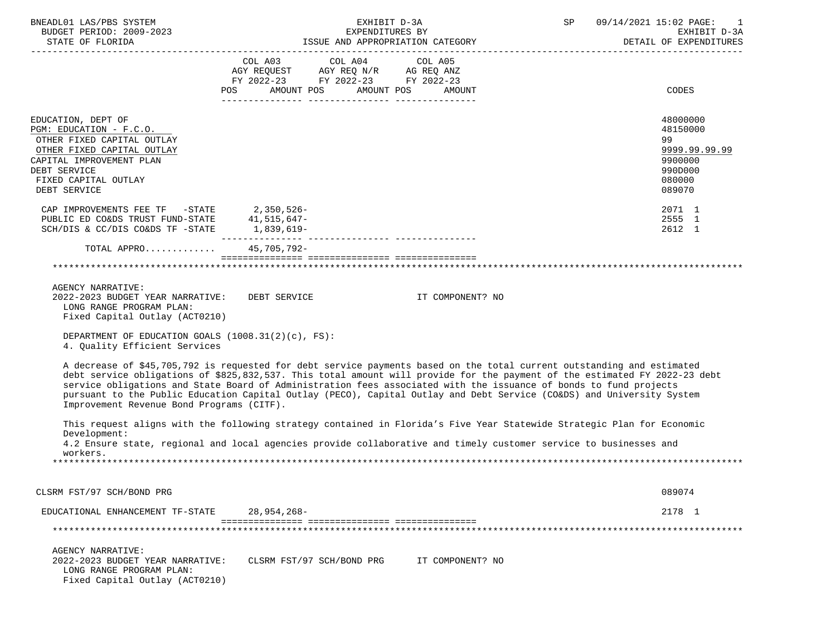| BNEADL01 LAS/PBS SYSTEM<br>BUDGET PERIOD: 2009-2023                                                                                                                                           | EXHIBIT D-3A<br>EXPENDITURES BY                                                                                                                                                                                                                                                                                                                                                                                                                                                                    | SP 09/14/2021 15:02 PAGE:<br>EXHIBIT D-3A |  |                                                                                       |
|-----------------------------------------------------------------------------------------------------------------------------------------------------------------------------------------------|----------------------------------------------------------------------------------------------------------------------------------------------------------------------------------------------------------------------------------------------------------------------------------------------------------------------------------------------------------------------------------------------------------------------------------------------------------------------------------------------------|-------------------------------------------|--|---------------------------------------------------------------------------------------|
|                                                                                                                                                                                               |                                                                                                                                                                                                                                                                                                                                                                                                                                                                                                    |                                           |  | DETAIL OF EXPENDITURES                                                                |
|                                                                                                                                                                                               | COL A03 COL A04 COL A05<br>AGY REQUEST AGY REQ N/R AG REQ ANZ<br>FY 2022-23 FY 2022-23 FY 2022-23<br>POS AMOUNT POS AMOUNT POS AMOUNT                                                                                                                                                                                                                                                                                                                                                              |                                           |  | CODES                                                                                 |
| EDUCATION, DEPT OF<br>PGM: EDUCATION - F.C.O.<br>OTHER FIXED CAPITAL OUTLAY<br>OTHER FIXED CAPITAL OUTLAY<br>CAPITAL IMPROVEMENT PLAN<br>DEBT SERVICE<br>FIXED CAPITAL OUTLAY<br>DEBT SERVICE |                                                                                                                                                                                                                                                                                                                                                                                                                                                                                                    |                                           |  | 48000000<br>48150000<br>99<br>9999.99.99.99<br>9900000<br>990D000<br>080000<br>089070 |
| CAP IMPROVEMENTS FEE TF -STATE 2,350,526-<br>PUBLIC ED CO&DS TRUST FUND-STATE 41,515,647-<br>SCH/DIS & CC/DIS CO&DS TF -STATE 1,839,619-                                                      |                                                                                                                                                                                                                                                                                                                                                                                                                                                                                                    |                                           |  | 2071 1<br>2555 1<br>2612 1                                                            |
| TOTAL APPRO 45,705,792-                                                                                                                                                                       |                                                                                                                                                                                                                                                                                                                                                                                                                                                                                                    |                                           |  |                                                                                       |
|                                                                                                                                                                                               |                                                                                                                                                                                                                                                                                                                                                                                                                                                                                                    |                                           |  |                                                                                       |
| <b>AGENCY NARRATIVE:</b><br>LONG RANGE PROGRAM PLAN:<br>Fixed Capital Outlay (ACT0210)                                                                                                        | 2022-2023 BUDGET YEAR NARRATIVE: DEBT SERVICE THE SEROLL TOMPONENT? NO                                                                                                                                                                                                                                                                                                                                                                                                                             |                                           |  |                                                                                       |
| DEPARTMENT OF EDUCATION GOALS (1008.31(2)(c), FS):<br>4. Quality Efficient Services                                                                                                           |                                                                                                                                                                                                                                                                                                                                                                                                                                                                                                    |                                           |  |                                                                                       |
| Improvement Revenue Bond Programs (CITF).                                                                                                                                                     | A decrease of \$45,705,792 is requested for debt service payments based on the total current outstanding and estimated<br>debt service obligations of \$825,832,537. This total amount will provide for the payment of the estimated FY 2022-23 debt<br>service obligations and State Board of Administration fees associated with the issuance of bonds to fund projects<br>pursuant to the Public Education Capital Outlay (PECO), Capital Outlay and Debt Service (CO&DS) and University System |                                           |  |                                                                                       |
| Development:<br>workers.                                                                                                                                                                      | This request aligns with the following strategy contained in Florida's Five Year Statewide Strategic Plan for Economic<br>4.2 Ensure state, regional and local agencies provide collaborative and timely customer service to businesses and                                                                                                                                                                                                                                                        |                                           |  |                                                                                       |
|                                                                                                                                                                                               |                                                                                                                                                                                                                                                                                                                                                                                                                                                                                                    |                                           |  |                                                                                       |
| CLSRM FST/97 SCH/BOND PRG                                                                                                                                                                     |                                                                                                                                                                                                                                                                                                                                                                                                                                                                                                    |                                           |  | 089074                                                                                |
| EDUCATIONAL ENHANCEMENT TF-STATE                                                                                                                                                              | $28,954,268-$                                                                                                                                                                                                                                                                                                                                                                                                                                                                                      |                                           |  | 2178 1                                                                                |
|                                                                                                                                                                                               |                                                                                                                                                                                                                                                                                                                                                                                                                                                                                                    |                                           |  |                                                                                       |
| AGENCY NARRATIVE:<br>2022-2023 BUDGET YEAR NARRATIVE:<br>LONG RANGE PROGRAM PLAN:<br>Fixed Capital Outlay (ACT0210)                                                                           | CLSRM FST/97 SCH/BOND PRG                                                                                                                                                                                                                                                                                                                                                                                                                                                                          | IT COMPONENT? NO                          |  |                                                                                       |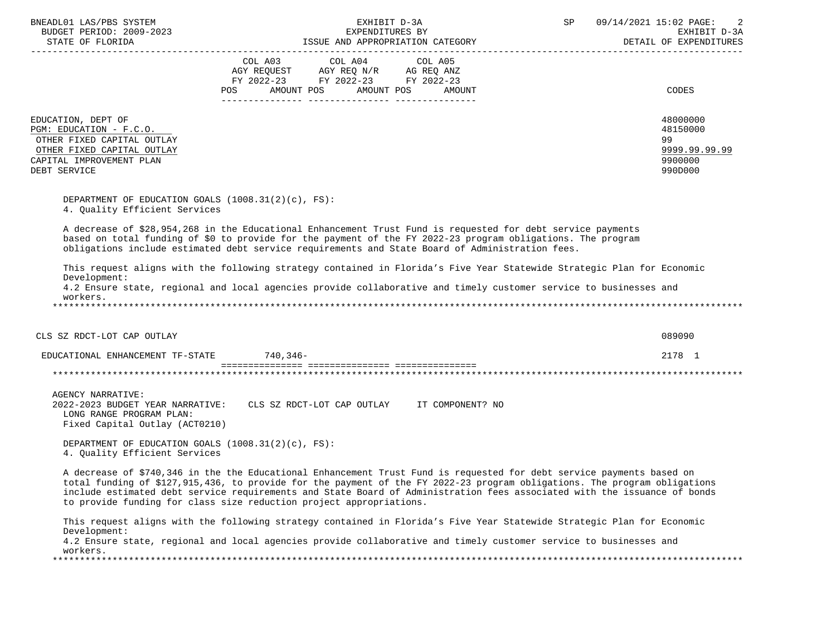| BNEADL01 LAS/PBS SYSTEM<br>BUDGET PERIOD: 2009-2023                                                                                                   | EXHIBIT D-3A<br>EXPENDITURES BY                                                                                                                                                                                                                                                                                                                                                                                                                       | SP 09/14/2021 15:02 PAGE:<br>EXHIBIT D-3A<br>DETAIL OF EXPENDITURES |
|-------------------------------------------------------------------------------------------------------------------------------------------------------|-------------------------------------------------------------------------------------------------------------------------------------------------------------------------------------------------------------------------------------------------------------------------------------------------------------------------------------------------------------------------------------------------------------------------------------------------------|---------------------------------------------------------------------|
|                                                                                                                                                       | COL A03 COL A04 COL A05<br>AGY REQUEST AGY REQ N/R AG REQ ANZ<br>FY 2022-23 FY 2022-23 FY 2022-23                                                                                                                                                                                                                                                                                                                                                     |                                                                     |
|                                                                                                                                                       | AMOUNT POS<br>AMOUNT POS<br>POS<br>AMOUNT                                                                                                                                                                                                                                                                                                                                                                                                             | CODES                                                               |
| EDUCATION, DEPT OF<br>PGM: EDUCATION - F.C.O.<br>OTHER FIXED CAPITAL OUTLAY<br>OTHER FIXED CAPITAL OUTLAY<br>CAPITAL IMPROVEMENT PLAN<br>DEBT SERVICE |                                                                                                                                                                                                                                                                                                                                                                                                                                                       | 48000000<br>48150000<br>99<br>9999.99.99.99<br>9900000<br>990D000   |
| DEPARTMENT OF EDUCATION GOALS $(1008.31(2)(c), FS)$ :<br>4. Quality Efficient Services                                                                |                                                                                                                                                                                                                                                                                                                                                                                                                                                       |                                                                     |
|                                                                                                                                                       | A decrease of \$28,954,268 in the Educational Enhancement Trust Fund is requested for debt service payments<br>based on total funding of \$0 to provide for the payment of the FY 2022-23 program obligations. The program<br>obligations include estimated debt service requirements and State Board of Administration fees.                                                                                                                         |                                                                     |
| Development:<br>workers.                                                                                                                              | This request aligns with the following strategy contained in Florida's Five Year Statewide Strategic Plan for Economic<br>4.2 Ensure state, regional and local agencies provide collaborative and timely customer service to businesses and                                                                                                                                                                                                           |                                                                     |
| CLS SZ RDCT-LOT CAP OUTLAY                                                                                                                            |                                                                                                                                                                                                                                                                                                                                                                                                                                                       | 089090                                                              |
| EDUCATIONAL ENHANCEMENT TF-STATE 740,346-                                                                                                             |                                                                                                                                                                                                                                                                                                                                                                                                                                                       | 2178 1                                                              |
|                                                                                                                                                       |                                                                                                                                                                                                                                                                                                                                                                                                                                                       |                                                                     |
| AGENCY NARRATIVE:<br>LONG RANGE PROGRAM PLAN:<br>Fixed Capital Outlay (ACT0210)                                                                       | 2022-2023 BUDGET YEAR NARRATIVE: CLS SZ RDCT-LOT CAP OUTLAY IT COMPONENT? NO                                                                                                                                                                                                                                                                                                                                                                          |                                                                     |
| DEPARTMENT OF EDUCATION GOALS $(1008.31(2)(c), FS)$ :<br>4. Ouality Efficient Services                                                                |                                                                                                                                                                                                                                                                                                                                                                                                                                                       |                                                                     |
|                                                                                                                                                       | A decrease of \$740,346 in the the Educational Enhancement Trust Fund is requested for debt service payments based on<br>total funding of \$127,915,436, to provide for the payment of the FY 2022-23 program obligations. The program obligations<br>include estimated debt service requirements and State Board of Administration fees associated with the issuance of bonds<br>to provide funding for class size reduction project appropriations. |                                                                     |
| Development:                                                                                                                                          | This request aligns with the following strategy contained in Florida's Five Year Statewide Strategic Plan for Economic<br>4.2 Ensure state, regional and local agencies provide collaborative and timely customer service to businesses and                                                                                                                                                                                                           |                                                                     |
| workers.<br>**********************************                                                                                                        |                                                                                                                                                                                                                                                                                                                                                                                                                                                       |                                                                     |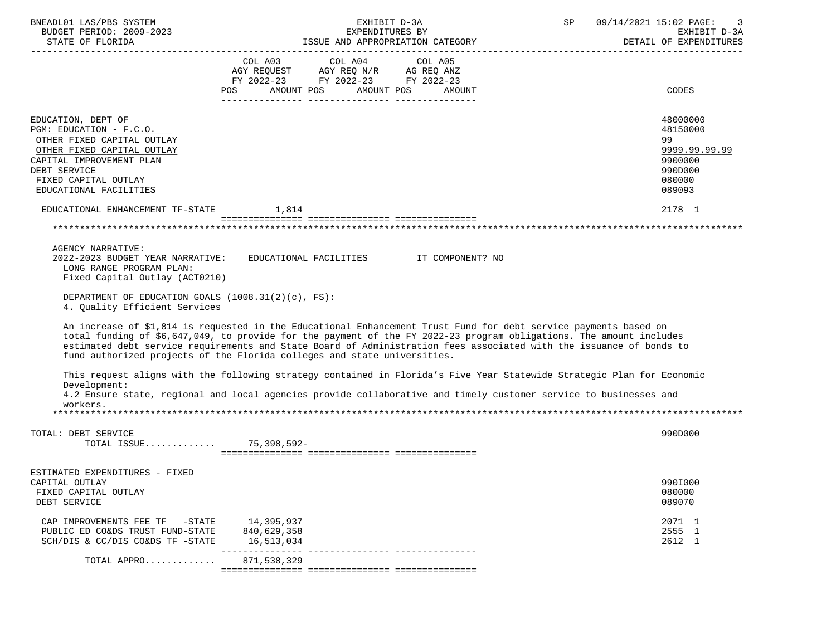| BNEADL01 LAS/PBS SYSTEM<br>BUDGET PERIOD: 2009-2023                                                                                                                                                     | EXHIBIT D-3A<br>EXPENDITURES BY                                                                                                                                                                                                                                                                                                                                                                                                            | $\operatorname{SP}$ | 09/14/2021 15:02 PAGE:<br>3<br>EXHIBIT D-3A<br>DETAIL OF EXPENDITURES                 |
|---------------------------------------------------------------------------------------------------------------------------------------------------------------------------------------------------------|--------------------------------------------------------------------------------------------------------------------------------------------------------------------------------------------------------------------------------------------------------------------------------------------------------------------------------------------------------------------------------------------------------------------------------------------|---------------------|---------------------------------------------------------------------------------------|
|                                                                                                                                                                                                         | COL A03 COL A04 COL A05<br>AGY REQUEST AGY REQ N/R AG REQ ANZ<br>FY 2022-23 FY 2022-23 FY 2022-23<br>AMOUNT POS<br>AMOUNT POS<br>POS<br>AMOUNT                                                                                                                                                                                                                                                                                             |                     | CODES                                                                                 |
| EDUCATION, DEPT OF<br>PGM: EDUCATION - F.C.O.<br>OTHER FIXED CAPITAL OUTLAY<br>OTHER FIXED CAPITAL OUTLAY<br>CAPITAL IMPROVEMENT PLAN<br>DEBT SERVICE<br>FIXED CAPITAL OUTLAY<br>EDUCATIONAL FACILITIES |                                                                                                                                                                                                                                                                                                                                                                                                                                            |                     | 48000000<br>48150000<br>99<br>9999.99.99.99<br>9900000<br>990D000<br>080000<br>089093 |
| EDUCATIONAL ENHANCEMENT TF-STATE 1,814                                                                                                                                                                  |                                                                                                                                                                                                                                                                                                                                                                                                                                            |                     | 2178 1                                                                                |
|                                                                                                                                                                                                         |                                                                                                                                                                                                                                                                                                                                                                                                                                            |                     |                                                                                       |
| <b>AGENCY NARRATIVE:</b><br>LONG RANGE PROGRAM PLAN:<br>Fixed Capital Outlay (ACT0210)<br>DEPARTMENT OF EDUCATION GOALS $(1008.31(2)(c), FS)$ :<br>4. Quality Efficient Services                        | 2022-2023 BUDGET YEAR NARRATIVE: EDUCATIONAL FACILITIES THE COMPONENT? NO                                                                                                                                                                                                                                                                                                                                                                  |                     |                                                                                       |
|                                                                                                                                                                                                         | An increase of \$1,814 is requested in the Educational Enhancement Trust Fund for debt service payments based on<br>total funding of \$6,647,049, to provide for the payment of the FY 2022-23 program obligations. The amount includes<br>estimated debt service requirements and State Board of Administration fees associated with the issuance of bonds to<br>fund authorized projects of the Florida colleges and state universities. |                     |                                                                                       |
|                                                                                                                                                                                                         | This request aligns with the following strategy contained in Florida's Five Year Statewide Strategic Plan for Economic                                                                                                                                                                                                                                                                                                                     |                     |                                                                                       |
| Development:<br>workers.                                                                                                                                                                                | 4.2 Ensure state, regional and local agencies provide collaborative and timely customer service to businesses and                                                                                                                                                                                                                                                                                                                          |                     |                                                                                       |
|                                                                                                                                                                                                         |                                                                                                                                                                                                                                                                                                                                                                                                                                            |                     |                                                                                       |
| TOTAL: DEBT SERVICE<br>TOTAL ISSUE 75,398,592-                                                                                                                                                          |                                                                                                                                                                                                                                                                                                                                                                                                                                            |                     | 990D000                                                                               |
| ESTIMATED EXPENDITURES - FIXED<br>CAPITAL OUTLAY<br>FIXED CAPITAL OUTLAY<br>DEBT SERVICE                                                                                                                |                                                                                                                                                                                                                                                                                                                                                                                                                                            |                     | 990I000<br>080000<br>089070                                                           |
| CAP IMPROVEMENTS FEE TF<br>-STATE<br>PUBLIC ED CO&DS TRUST FUND-STATE<br>SCH/DIS & CC/DIS CO&DS TF -STATE                                                                                               | 14,395,937<br>840,629,358<br>16,513,034                                                                                                                                                                                                                                                                                                                                                                                                    |                     | 2071 1<br>2555 1<br>2612 1                                                            |
| TOTAL APPRO                                                                                                                                                                                             | 871,538,329                                                                                                                                                                                                                                                                                                                                                                                                                                |                     |                                                                                       |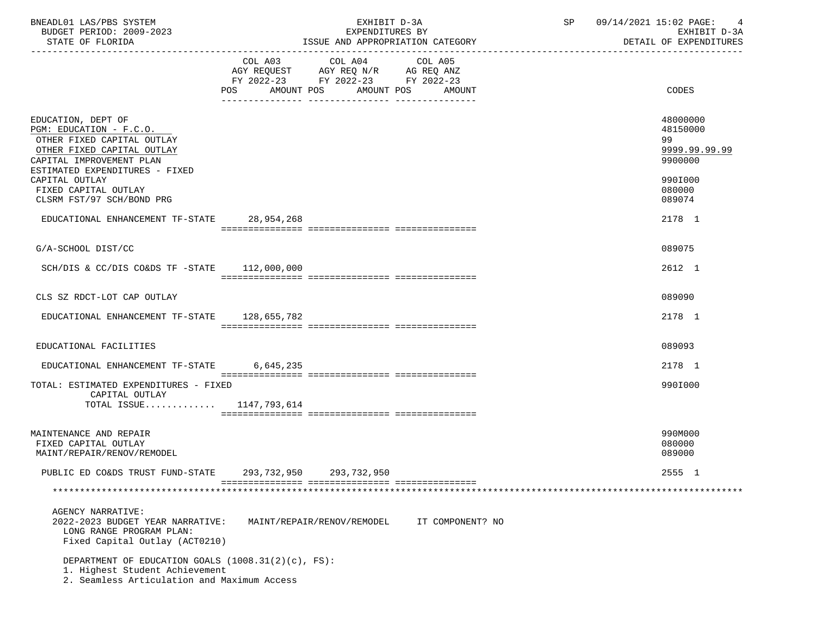| BNEADL01 LAS/PBS SYSTEM<br>BUDGET PERIOD: 2009-2023<br>STATE OF FLORIDA                                                                                                                   | EXHIBIT D-3A<br>EXPENDITURES BY<br>ISSUE AND APPROPRIATION CATEGORY                                                                                                                                                                                          | SP<br>09/14/2021 15:02 PAGE:<br>EXHIBIT D-3A<br>DETAIL OF EXPENDITURES |
|-------------------------------------------------------------------------------------------------------------------------------------------------------------------------------------------|--------------------------------------------------------------------------------------------------------------------------------------------------------------------------------------------------------------------------------------------------------------|------------------------------------------------------------------------|
|                                                                                                                                                                                           | COL A03 COL A04<br>COL A05<br>AGY REQUEST AGY REQ N/R AG REQ ANZ<br>FY 2022-23 FY 2022-23 FY 2022-23<br>AMOUNT POS<br>AMOUNT POS<br>POS FOR THE POST OF THE POST OF THE POST OF THE POST OF THE POST OF THE POST OF THE POST OF THE POST OF THE PO<br>AMOUNT | CODES                                                                  |
| EDUCATION, DEPT OF<br>PGM: EDUCATION - F.C.O.<br>OTHER FIXED CAPITAL OUTLAY<br>OTHER FIXED CAPITAL OUTLAY<br>CAPITAL IMPROVEMENT PLAN<br>ESTIMATED EXPENDITURES - FIXED<br>CAPITAL OUTLAY |                                                                                                                                                                                                                                                              | 48000000<br>48150000<br>99<br>9999.99.99.99<br>9900000<br>990I000      |
| FIXED CAPITAL OUTLAY<br>CLSRM FST/97 SCH/BOND PRG                                                                                                                                         |                                                                                                                                                                                                                                                              | 080000<br>089074                                                       |
| EDUCATIONAL ENHANCEMENT TF-STATE 28,954,268                                                                                                                                               |                                                                                                                                                                                                                                                              | 2178 1                                                                 |
| G/A-SCHOOL DIST/CC                                                                                                                                                                        |                                                                                                                                                                                                                                                              | 089075                                                                 |
| SCH/DIS & CC/DIS CO&DS TF $-$ STATE 112,000,000                                                                                                                                           |                                                                                                                                                                                                                                                              | 2612 1                                                                 |
| CLS SZ RDCT-LOT CAP OUTLAY                                                                                                                                                                |                                                                                                                                                                                                                                                              | 089090                                                                 |
| EDUCATIONAL ENHANCEMENT TF-STATE 128,655,782                                                                                                                                              |                                                                                                                                                                                                                                                              | 2178 1                                                                 |
| EDUCATIONAL FACILITIES                                                                                                                                                                    |                                                                                                                                                                                                                                                              | 089093                                                                 |
| EDUCATIONAL ENHANCEMENT TF-STATE 6,645,235                                                                                                                                                |                                                                                                                                                                                                                                                              | 2178 1                                                                 |
| TOTAL: ESTIMATED EXPENDITURES - FIXED<br>CAPITAL OUTLAY                                                                                                                                   |                                                                                                                                                                                                                                                              | 990I000                                                                |
| TOTAL ISSUE 1147,793,614                                                                                                                                                                  |                                                                                                                                                                                                                                                              |                                                                        |
| MAINTENANCE AND REPAIR<br>FIXED CAPITAL OUTLAY<br>MAINT/REPAIR/RENOV/REMODEL                                                                                                              |                                                                                                                                                                                                                                                              | 990M000<br>080000<br>089000                                            |
| PUBLIC ED CO&DS TRUST FUND-STATE                                                                                                                                                          | 293, 732, 950 293, 732, 950                                                                                                                                                                                                                                  | 2555 1                                                                 |
|                                                                                                                                                                                           |                                                                                                                                                                                                                                                              |                                                                        |
| AGENCY NARRATIVE:<br>2022-2023 BUDGET YEAR NARRATIVE:<br>LONG RANGE PROGRAM PLAN:<br>Fixed Capital Outlay (ACT0210)                                                                       | MAINT/REPAIR/RENOV/REMODEL<br>IT COMPONENT? NO                                                                                                                                                                                                               |                                                                        |
| DEPARTMENT OF EDUCATION GOALS (1008.31(2)(c), FS):<br>1. Highest Student Achievement<br>2. Seamless Articulation and Maximum Access                                                       |                                                                                                                                                                                                                                                              |                                                                        |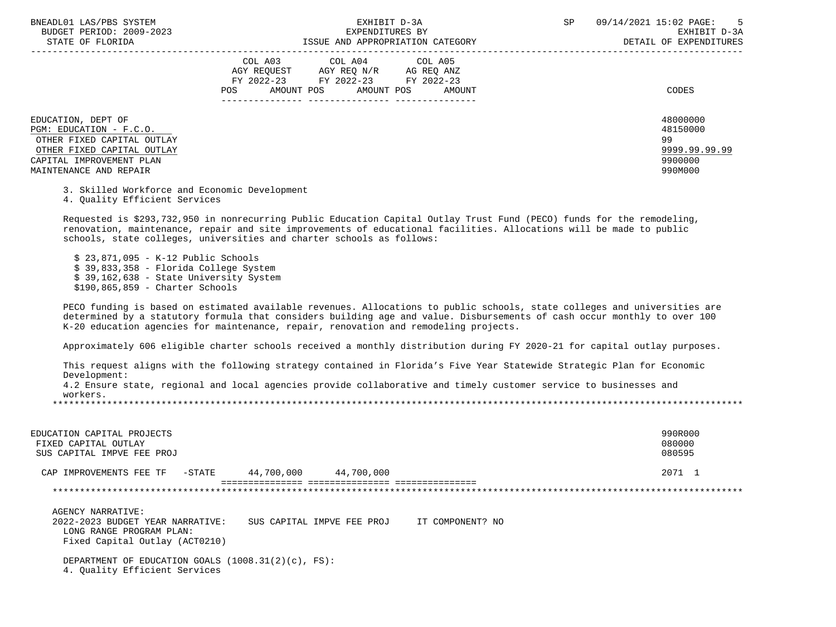| BNEADL01 LAS/PBS SYSTEM<br>BUDGET PERIOD: 2009-2023<br>STATE OF FLORIDA                                                                                         | EXHIBIT D-3A<br>EXPENDITURES BY<br>ISSUE AND APPROPRIATION CATEGORY                                                                               | 09/14/2021 15:02 PAGE:<br><b>SP</b> | $5^{\circ}$<br>EXHIBIT D-3A<br>DETAIL OF EXPENDITURES       |
|-----------------------------------------------------------------------------------------------------------------------------------------------------------------|---------------------------------------------------------------------------------------------------------------------------------------------------|-------------------------------------|-------------------------------------------------------------|
|                                                                                                                                                                 | COL A04 COL A05<br>COL A03<br>AGY REOUEST<br>AGY REQ N/R AG REQ ANZ<br>FY 2022-23 FY 2022-23 FY 2022-23<br>AMOUNT POS AMOUNT POS<br>POS<br>AMOUNT |                                     | CODES                                                       |
| EDUCATION, DEPT OF<br>PGM: EDUCATION - F.C.O.<br>OTHER FIXED CAPITAL OUTLAY<br>OTHER FIXED CAPITAL OUTLAY<br>CAPITAL IMPROVEMENT PLAN<br>MAINTENANCE AND REPAIR |                                                                                                                                                   | 99                                  | 48000000<br>48150000<br>9999.99.99.99<br>9900000<br>990M000 |

3. Skilled Workforce and Economic Development

4. Quality Efficient Services

 Requested is \$293,732,950 in nonrecurring Public Education Capital Outlay Trust Fund (PECO) funds for the remodeling, renovation, maintenance, repair and site improvements of educational facilities. Allocations will be made to public schools, state colleges, universities and charter schools as follows:

 \$ 23,871,095 - K-12 Public Schools \$ 39,833,358 - Florida College System \$ 39,162,638 - State University System \$190,865,859 - Charter Schools

 PECO funding is based on estimated available revenues. Allocations to public schools, state colleges and universities are determined by a statutory formula that considers building age and value. Disbursements of cash occur monthly to over 100 K-20 education agencies for maintenance, repair, renovation and remodeling projects.

Approximately 606 eligible charter schools received a monthly distribution during FY 2020-21 for capital outlay purposes.

 This request aligns with the following strategy contained in Florida's Five Year Statewide Strategic Plan for Economic Development: 4.2 Ensure state, regional and local agencies provide collaborative and timely customer service to businesses and workers. \*\*\*\*\*\*\*\*\*\*\*\*\*\*\*\*\*\*\*\*\*\*\*\*\*\*\*\*\*\*\*\*\*\*\*\*\*\*\*\*\*\*\*\*\*\*\*\*\*\*\*\*\*\*\*\*\*\*\*\*\*\*\*\*\*\*\*\*\*\*\*\*\*\*\*\*\*\*\*\*\*\*\*\*\*\*\*\*\*\*\*\*\*\*\*\*\*\*\*\*\*\*\*\*\*\*\*\*\*\*\*\*\*\*\*\*\*\*\*\*\*\*\*\*\*\*\*

| EDUCATION CAPITAL PROJECTS<br>FIXED CAPITAL OUTLAY<br>SUS CAPITAL IMPVE FEE PROJ                                                                                      | 990R000<br>080000<br>080595 |
|-----------------------------------------------------------------------------------------------------------------------------------------------------------------------|-----------------------------|
| 44,700,000<br>44,700,000<br>CAP IMPROVEMENTS FEE TF<br>-STATE                                                                                                         | 2071 1                      |
|                                                                                                                                                                       |                             |
| AGENCY NARRATIVE:<br>2022-2023 BUDGET YEAR NARRATIVE:<br>SUS CAPITAL IMPVE FEE PROJ<br>IT COMPONENT? NO<br>LONG RANGE PROGRAM PLAN:<br>Fixed Capital Outlay (ACT0210) |                             |
| DEPARTMENT OF EDUCATION GOALS $(1008.31(2)(c), FS)$ :<br>4. Ouality Efficient Services                                                                                |                             |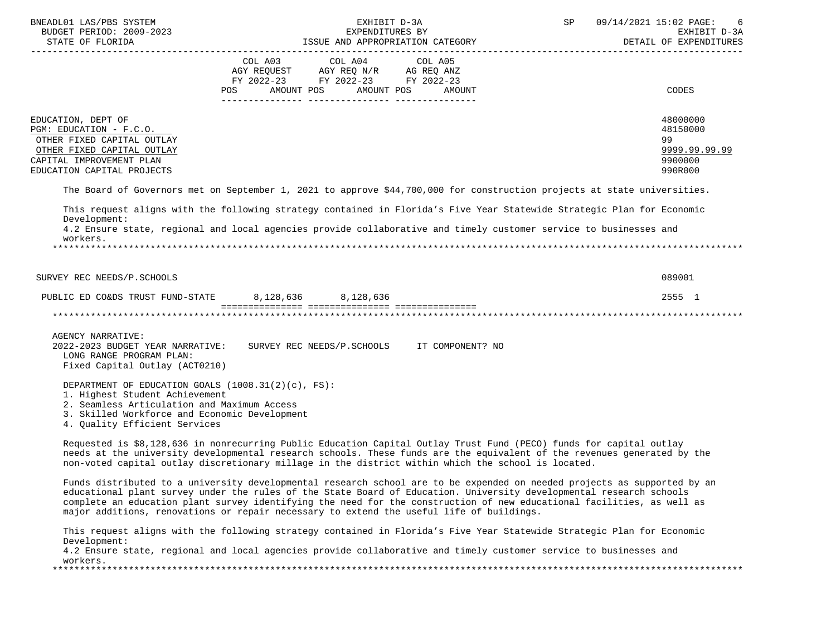| BNEADL01 LAS/PBS SYSTEM<br>EXHIBIT D-3A<br>EXPENDITURES BY<br>BUDGET PERIOD: 2009-2023<br>STATE OF FLORIDA<br>ISSUE AND APPROPRIATION CATEGORY                                                                           |                                                                                                                                                                                                                                                                                                                                                                                                                                                                       |                   | SP | 09/14/2021 15:02 PAGE:<br>6<br>EXHIBIT D-3A<br>DETAIL OF EXPENDITURES |
|--------------------------------------------------------------------------------------------------------------------------------------------------------------------------------------------------------------------------|-----------------------------------------------------------------------------------------------------------------------------------------------------------------------------------------------------------------------------------------------------------------------------------------------------------------------------------------------------------------------------------------------------------------------------------------------------------------------|-------------------|----|-----------------------------------------------------------------------|
|                                                                                                                                                                                                                          | COL A03 COL A04<br>AGY REQUEST AGY REQ N/R AG REQ ANZ<br>FY 2022-23 FY 2022-23 FY 2022-23<br>AMOUNT POS<br>AMOUNT POS<br>POS                                                                                                                                                                                                                                                                                                                                          | COL A05<br>AMOUNT |    | CODES                                                                 |
| EDUCATION, DEPT OF<br>PGM: EDUCATION - F.C.O.<br>OTHER FIXED CAPITAL OUTLAY<br>OTHER FIXED CAPITAL OUTLAY<br>CAPITAL IMPROVEMENT PLAN<br>EDUCATION CAPITAL PROJECTS                                                      |                                                                                                                                                                                                                                                                                                                                                                                                                                                                       |                   |    | 48000000<br>48150000<br>99<br>9999.99.99.99<br>9900000<br>990R000     |
|                                                                                                                                                                                                                          | The Board of Governors met on September 1, 2021 to approve \$44,700,000 for construction projects at state universities.                                                                                                                                                                                                                                                                                                                                              |                   |    |                                                                       |
| Development:                                                                                                                                                                                                             | This request aligns with the following strategy contained in Florida's Five Year Statewide Strategic Plan for Economic                                                                                                                                                                                                                                                                                                                                                |                   |    |                                                                       |
| workers.                                                                                                                                                                                                                 | 4.2 Ensure state, regional and local agencies provide collaborative and timely customer service to businesses and                                                                                                                                                                                                                                                                                                                                                     |                   |    |                                                                       |
|                                                                                                                                                                                                                          |                                                                                                                                                                                                                                                                                                                                                                                                                                                                       |                   |    |                                                                       |
| SURVEY REC NEEDS/P.SCHOOLS                                                                                                                                                                                               |                                                                                                                                                                                                                                                                                                                                                                                                                                                                       |                   |    | 089001                                                                |
| PUBLIC ED CO&DS TRUST FUND-STATE 8, 128, 636 8, 128, 636                                                                                                                                                                 |                                                                                                                                                                                                                                                                                                                                                                                                                                                                       |                   |    | 2555 1                                                                |
|                                                                                                                                                                                                                          |                                                                                                                                                                                                                                                                                                                                                                                                                                                                       |                   |    |                                                                       |
| <b>AGENCY NARRATIVE:</b><br>2022-2023 BUDGET YEAR NARRATIVE:<br>LONG RANGE PROGRAM PLAN:<br>Fixed Capital Outlay (ACT0210)                                                                                               | SURVEY REC NEEDS/P.SCHOOLS                                                                                                                                                                                                                                                                                                                                                                                                                                            | IT COMPONENT? NO  |    |                                                                       |
| DEPARTMENT OF EDUCATION GOALS $(1008.31(2)(c), FS)$ :<br>1. Highest Student Achievement<br>2. Seamless Articulation and Maximum Access<br>3. Skilled Workforce and Economic Development<br>4. Quality Efficient Services |                                                                                                                                                                                                                                                                                                                                                                                                                                                                       |                   |    |                                                                       |
|                                                                                                                                                                                                                          | Requested is \$8,128,636 in nonrecurring Public Education Capital Outlay Trust Fund (PECO) funds for capital outlay<br>needs at the university developmental research schools. These funds are the equivalent of the revenues generated by the<br>non-voted capital outlay discretionary millage in the district within which the school is located.                                                                                                                  |                   |    |                                                                       |
|                                                                                                                                                                                                                          | Funds distributed to a university developmental research school are to be expended on needed projects as supported by an<br>educational plant survey under the rules of the State Board of Education. University developmental research schools<br>complete an education plant survey identifying the need for the construction of new educational facilities, as well as<br>major additions, renovations or repair necessary to extend the useful life of buildings. |                   |    |                                                                       |
| Development:<br>workers.                                                                                                                                                                                                 | This request aligns with the following strategy contained in Florida's Five Year Statewide Strategic Plan for Economic<br>4.2 Ensure state, regional and local agencies provide collaborative and timely customer service to businesses and                                                                                                                                                                                                                           |                   |    |                                                                       |
|                                                                                                                                                                                                                          |                                                                                                                                                                                                                                                                                                                                                                                                                                                                       |                   |    |                                                                       |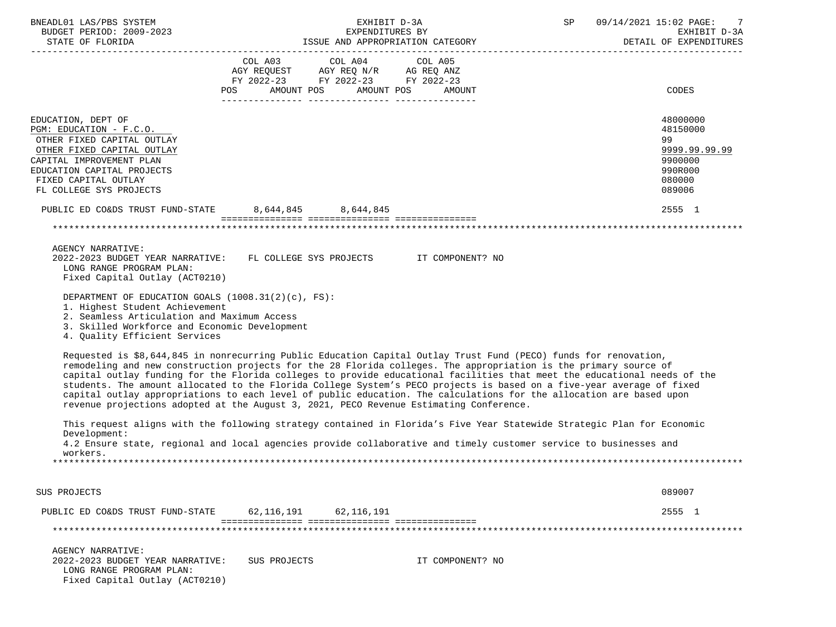| BNEADL01 LAS/PBS SYSTEM<br>BUDGET PERIOD: 2009-2023                                                                                                                                                                                                                                                         | EXHIBIT D-3A<br>EXPENDITURES BY                                                                                                                                                                                                                                                                                                                                                                                                                                                                                                                                                        |                  | SP | 09/14/2021 15:02 PAGE:<br>7<br>EXHIBIT D-3A<br>DETAIL OF EXPENDITURES                 |
|-------------------------------------------------------------------------------------------------------------------------------------------------------------------------------------------------------------------------------------------------------------------------------------------------------------|----------------------------------------------------------------------------------------------------------------------------------------------------------------------------------------------------------------------------------------------------------------------------------------------------------------------------------------------------------------------------------------------------------------------------------------------------------------------------------------------------------------------------------------------------------------------------------------|------------------|----|---------------------------------------------------------------------------------------|
|                                                                                                                                                                                                                                                                                                             | COL A03 COL A04 COL A05<br>$\begin{tabular}{lllllll} \bf AGY & \bf REQUEST & \bf AGY & \bf REQ & \tt N/R & \tt AG & \tt REQ & \tt ANZ \\ \bf FY & \tt 2022-23 & \tt FY & \tt 2022-23 & \tt FY & \tt 2022-23 \\ \end{tabular}$<br>POS AMOUNT POS AMOUNT POS                                                                                                                                                                                                                                                                                                                             | AMOUNT           |    | CODES                                                                                 |
| EDUCATION, DEPT OF<br>PGM: EDUCATION - F.C.O.<br>OTHER FIXED CAPITAL OUTLAY<br>OTHER FIXED CAPITAL OUTLAY<br>CAPITAL IMPROVEMENT PLAN<br>EDUCATION CAPITAL PROJECTS<br>FIXED CAPITAL OUTLAY<br>FL COLLEGE SYS PROJECTS                                                                                      |                                                                                                                                                                                                                                                                                                                                                                                                                                                                                                                                                                                        |                  |    | 48000000<br>48150000<br>99<br>9999.99.99.99<br>9900000<br>990R000<br>080000<br>089006 |
| PUBLIC ED CO&DS TRUST FUND-STATE 8,644,845 8,644,845                                                                                                                                                                                                                                                        |                                                                                                                                                                                                                                                                                                                                                                                                                                                                                                                                                                                        |                  |    | 2555 1                                                                                |
|                                                                                                                                                                                                                                                                                                             |                                                                                                                                                                                                                                                                                                                                                                                                                                                                                                                                                                                        |                  |    |                                                                                       |
| AGENCY NARRATIVE:<br>LONG RANGE PROGRAM PLAN:<br>Fixed Capital Outlay (ACT0210)<br>DEPARTMENT OF EDUCATION GOALS $(1008.31(2)(c), FS)$ :<br>1. Highest Student Achievement<br>2. Seamless Articulation and Maximum Access<br>3. Skilled Workforce and Economic Development<br>4. Quality Efficient Services | 2022-2023 BUDGET YEAR NARRATIVE: FL COLLEGE SYS PROJECTS IT COMPONENT? NO<br>Requested is \$8,644,845 in nonrecurring Public Education Capital Outlay Trust Fund (PECO) funds for renovation,                                                                                                                                                                                                                                                                                                                                                                                          |                  |    |                                                                                       |
|                                                                                                                                                                                                                                                                                                             | remodeling and new construction projects for the 28 Florida colleges. The appropriation is the primary source of<br>capital outlay funding for the Florida colleges to provide educational facilities that meet the educational needs of the<br>students. The amount allocated to the Florida College System's PECO projects is based on a five-year average of fixed<br>capital outlay appropriations to each level of public education. The calculations for the allocation are based upon<br>revenue projections adopted at the August 3, 2021, PECO Revenue Estimating Conference. |                  |    |                                                                                       |
| Development:                                                                                                                                                                                                                                                                                                | This request aligns with the following strategy contained in Florida's Five Year Statewide Strategic Plan for Economic<br>4.2 Ensure state, regional and local agencies provide collaborative and timely customer service to businesses and                                                                                                                                                                                                                                                                                                                                            |                  |    |                                                                                       |
| workers.                                                                                                                                                                                                                                                                                                    |                                                                                                                                                                                                                                                                                                                                                                                                                                                                                                                                                                                        |                  |    |                                                                                       |
| SUS PROJECTS                                                                                                                                                                                                                                                                                                |                                                                                                                                                                                                                                                                                                                                                                                                                                                                                                                                                                                        |                  |    | 089007                                                                                |
| PUBLIC ED CO&DS TRUST FUND-STATE                                                                                                                                                                                                                                                                            | 62,116,191<br>62,116,191                                                                                                                                                                                                                                                                                                                                                                                                                                                                                                                                                               |                  |    | 2555 1                                                                                |
|                                                                                                                                                                                                                                                                                                             |                                                                                                                                                                                                                                                                                                                                                                                                                                                                                                                                                                                        |                  |    |                                                                                       |
| <b>AGENCY NARRATIVE:</b><br>2022-2023 BUDGET YEAR NARRATIVE:<br>LONG RANGE PROGRAM PLAN:<br>Fixed Capital Outlay (ACT0210)                                                                                                                                                                                  | SUS PROJECTS                                                                                                                                                                                                                                                                                                                                                                                                                                                                                                                                                                           | IT COMPONENT? NO |    |                                                                                       |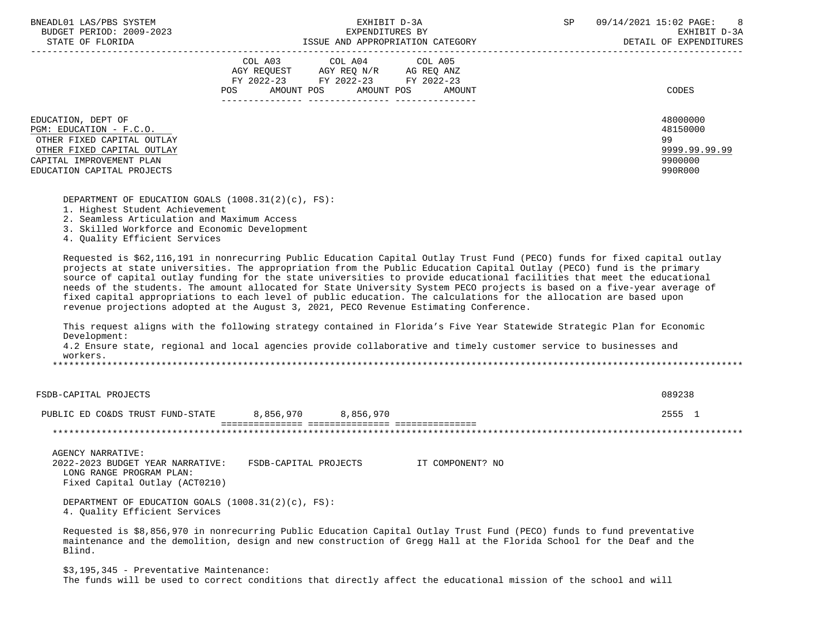| BNEADL01 LAS/PBS SYSTEM |                  |                          |
|-------------------------|------------------|--------------------------|
|                         |                  | BUDGET PERIOD: 2009-2023 |
|                         | גרד סתות החמידים |                          |

|                                                                                                                                                                     | COL A03<br>COL A04<br>COL A05<br>AG REQ ANZ<br>AGY REOUEST<br>AGY REQ N/R<br>FY 2022-23 FY 2022-23<br>FY 2022-23<br>AMOUNT POS<br>AMOUNT<br>POS<br>AMOUNT POS | CODES                                                             |
|---------------------------------------------------------------------------------------------------------------------------------------------------------------------|---------------------------------------------------------------------------------------------------------------------------------------------------------------|-------------------------------------------------------------------|
| EDUCATION, DEPT OF<br>PGM: EDUCATION - F.C.O.<br>OTHER FIXED CAPITAL OUTLAY<br>OTHER FIXED CAPITAL OUTLAY<br>CAPITAL IMPROVEMENT PLAN<br>EDUCATION CAPITAL PROJECTS |                                                                                                                                                               | 48000000<br>48150000<br>99<br>9999.99.99.99<br>9900000<br>990R000 |

DEPARTMENT OF EDUCATION GOALS (1008.31(2)(c), FS):

- 1. Highest Student Achievement
- 2. Seamless Articulation and Maximum Access
- 3. Skilled Workforce and Economic Development
- 4. Quality Efficient Services

 Requested is \$62,116,191 in nonrecurring Public Education Capital Outlay Trust Fund (PECO) funds for fixed capital outlay projects at state universities. The appropriation from the Public Education Capital Outlay (PECO) fund is the primary source of capital outlay funding for the state universities to provide educational facilities that meet the educational needs of the students. The amount allocated for State University System PECO projects is based on a five-year average of fixed capital appropriations to each level of public education. The calculations for the allocation are based upon revenue projections adopted at the August 3, 2021, PECO Revenue Estimating Conference.

 This request aligns with the following strategy contained in Florida's Five Year Statewide Strategic Plan for Economic Development:

 4.2 Ensure state, regional and local agencies provide collaborative and timely customer service to businesses and workers.

\*\*\*\*\*\*\*\*\*\*\*\*\*\*\*\*\*\*\*\*\*\*\*\*\*\*\*\*\*\*\*\*\*\*\*\*\*\*\*\*\*\*\*\*\*\*\*\*\*\*\*\*\*\*\*\*\*\*\*\*\*\*\*\*\*\*\*\*\*\*\*\*\*\*\*\*\*\*\*\*\*\*\*\*\*\*\*\*\*\*\*\*\*\*\*\*\*\*\*\*\*\*\*\*\*\*\*\*\*\*\*\*\*\*\*\*\*\*\*\*\*\*\*\*\*\*\*

| FSDB-CAPITAL PROJECTS                                                                                               |                       |                                             |                  | 089238 |
|---------------------------------------------------------------------------------------------------------------------|-----------------------|---------------------------------------------|------------------|--------|
| PUBLIC ED CO&DS TRUST FUND-STATE                                                                                    | 8,856,970             | 8,856,970<br>issas assessassassassa assessa |                  | 2555 1 |
|                                                                                                                     |                       |                                             |                  |        |
| AGENCY NARRATIVE:<br>2022-2023 BUDGET YEAR NARRATIVE:<br>LONG RANGE PROGRAM PLAN:<br>Fixed Capital Outlay (ACT0210) | FSDB-CAPITAL PROJECTS |                                             | IT COMPONENT? NO |        |
|                                                                                                                     |                       |                                             |                  |        |

 DEPARTMENT OF EDUCATION GOALS (1008.31(2)(c), FS): 4. Quality Efficient Services

 Requested is \$8,856,970 in nonrecurring Public Education Capital Outlay Trust Fund (PECO) funds to fund preventative maintenance and the demolition, design and new construction of Gregg Hall at the Florida School for the Deaf and the Blind.

 \$3,195,345 - Preventative Maintenance: The funds will be used to correct conditions that directly affect the educational mission of the school and will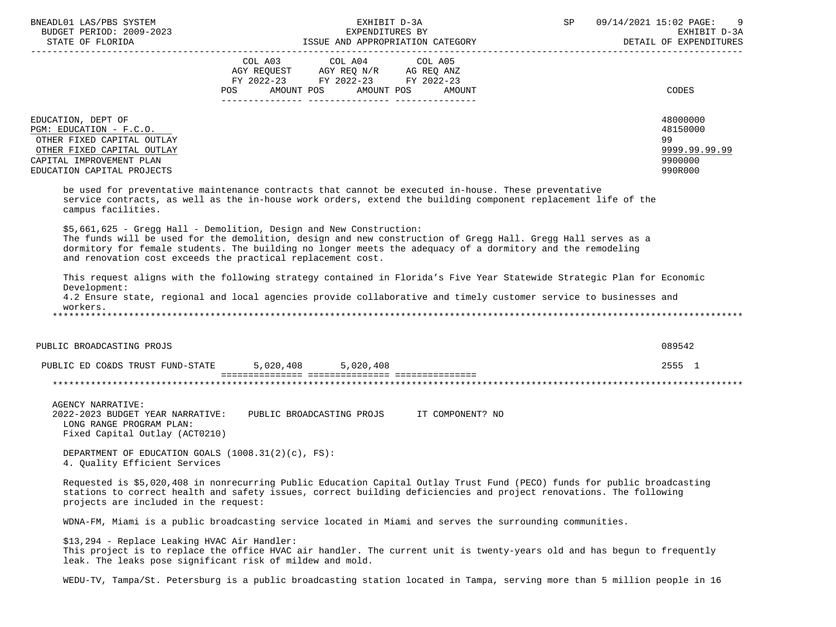| BNEADL01 LAS/PBS SYSTEM<br>EXPENDITURES BI<br>BUDGET PERIOD: 2009-2023<br>CENTER OF FLORIDA                                                                                                                                                                                                                                                                      | EXHIBIT D-3A                                                                                                                          | SP | 09/14/2021 15:02 PAGE:<br>9<br>EXHIBIT D-3A<br>DETAIL OF EXPENDITURES |
|------------------------------------------------------------------------------------------------------------------------------------------------------------------------------------------------------------------------------------------------------------------------------------------------------------------------------------------------------------------|---------------------------------------------------------------------------------------------------------------------------------------|----|-----------------------------------------------------------------------|
|                                                                                                                                                                                                                                                                                                                                                                  | COL A03 COL A04 COL A05<br>AGY REQUEST AGY REQ N/R AG REQ ANZ<br>FY 2022-23 FY 2022-23 FY 2022-23<br>POS AMOUNT POS AMOUNT POS AMOUNT |    | <b>CODES</b>                                                          |
| EDUCATION, DEPT OF<br>PGM: EDUCATION - F.C.O.<br>OTHER FIXED CAPITAL OUTLAY<br>OTHER FIXED CAPITAL OUTLAY<br>CAPITAL IMPROVEMENT PLAN<br>EDUCATION CAPITAL PROJECTS                                                                                                                                                                                              |                                                                                                                                       |    | 48000000<br>48150000<br>99<br>9999.99.99.99<br>9900000<br>990R000     |
| be used for preventative maintenance contracts that cannot be executed in-house. These preventative<br>service contracts, as well as the in-house work orders, extend the building component replacement life of the<br>campus facilities.                                                                                                                       |                                                                                                                                       |    |                                                                       |
| \$5,661,625 - Gregg Hall - Demolition, Design and New Construction:<br>The funds will be used for the demolition, design and new construction of Gregg Hall. Gregg Hall serves as a<br>dormitory for female students. The building no longer meets the adequacy of a dormitory and the remodeling<br>and renovation cost exceeds the practical replacement cost. |                                                                                                                                       |    |                                                                       |
| This request aligns with the following strategy contained in Florida's Five Year Statewide Strategic Plan for Economic<br>Development:<br>4.2 Ensure state, regional and local agencies provide collaborative and timely customer service to businesses and<br>workers.                                                                                          |                                                                                                                                       |    |                                                                       |
| PUBLIC BROADCASTING PROJS                                                                                                                                                                                                                                                                                                                                        |                                                                                                                                       |    | 089542                                                                |
| PUBLIC ED CO&DS TRUST FUND-STATE 5,020,408 5,020,408                                                                                                                                                                                                                                                                                                             |                                                                                                                                       |    | 2555 1                                                                |
|                                                                                                                                                                                                                                                                                                                                                                  |                                                                                                                                       |    |                                                                       |
| AGENCY NARRATIVE:<br>2022-2023 BUDGET YEAR NARRATIVE: PUBLIC BROADCASTING PROJS IT COMPONENT? NO<br>LONG RANGE PROGRAM PLAN:<br>Fixed Capital Outlay (ACT0210)                                                                                                                                                                                                   |                                                                                                                                       |    |                                                                       |
| DEPARTMENT OF EDUCATION GOALS (1008.31(2)(c), FS):<br>4. Quality Efficient Services                                                                                                                                                                                                                                                                              |                                                                                                                                       |    |                                                                       |
| Requested is \$5,020,408 in nonrecurring Public Education Capital Outlay Trust Fund (PECO) funds for public broadcasting<br>stations to correct health and safety issues, correct building deficiencies and project renovations. The following<br>projects are included in the request:                                                                          |                                                                                                                                       |    |                                                                       |

WDNA-FM, Miami is a public broadcasting service located in Miami and serves the surrounding communities.

 \$13,294 - Replace Leaking HVAC Air Handler: This project is to replace the office HVAC air handler. The current unit is twenty-years old and has begun to frequently leak. The leaks pose significant risk of mildew and mold.

WEDU-TV, Tampa/St. Petersburg is a public broadcasting station located in Tampa, serving more than 5 million people in 16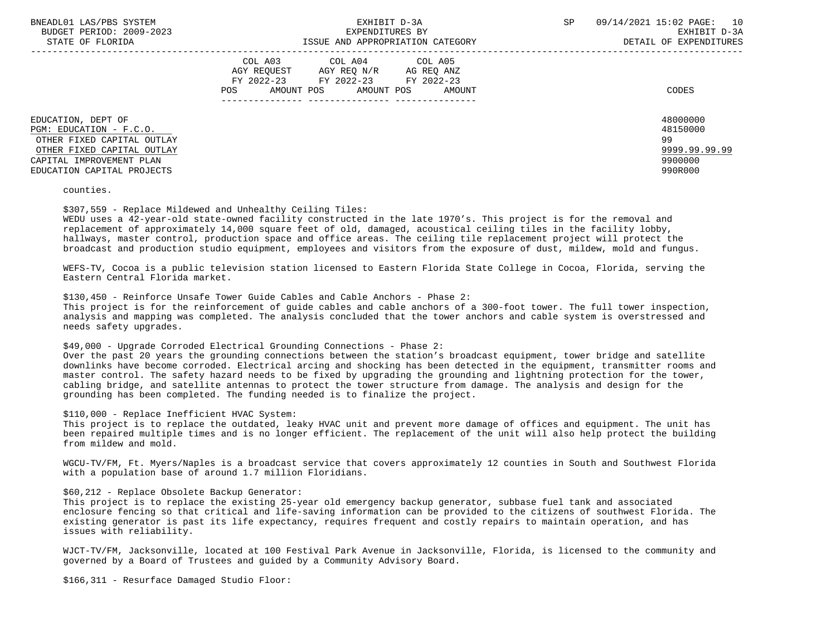| BNEADL01 LAS/PBS SYSTEM<br>BUDGET PERIOD: 2009-2023<br>STATE OF FLORIDA                                                                                             | EXHIBIT D-3A<br>EXPENDITURES BY<br>ISSUE AND APPROPRIATION CATEGORY                                                                                                    | SP<br>09/14/2021 15:02 PAGE: 10<br>EXHIBIT D-3A<br>DETAIL OF EXPENDITURES |
|---------------------------------------------------------------------------------------------------------------------------------------------------------------------|------------------------------------------------------------------------------------------------------------------------------------------------------------------------|---------------------------------------------------------------------------|
|                                                                                                                                                                     | COL A04 COL A05<br>COL A03<br>AGY REOUEST AGY REO N/R AG REO ANZ<br>FY 2022-23 FY 2022-23 FY 2022-23<br>AMOUNT POS AMOUNT POS AMOUNT<br>POS FOR THE POST OF THE STREET | CODES                                                                     |
| EDUCATION, DEPT OF<br>PGM: EDUCATION - F.C.O.<br>OTHER FIXED CAPITAL OUTLAY<br>OTHER FIXED CAPITAL OUTLAY<br>CAPITAL IMPROVEMENT PLAN<br>EDUCATION CAPITAL PROJECTS |                                                                                                                                                                        | 48000000<br>48150000<br>99<br>9999.99.99.99<br>9900000<br>990R000         |

counties.

\$307,559 - Replace Mildewed and Unhealthy Ceiling Tiles:

 WEDU uses a 42-year-old state-owned facility constructed in the late 1970's. This project is for the removal and replacement of approximately 14,000 square feet of old, damaged, acoustical ceiling tiles in the facility lobby, hallways, master control, production space and office areas. The ceiling tile replacement project will protect the broadcast and production studio equipment, employees and visitors from the exposure of dust, mildew, mold and fungus.

 WEFS-TV, Cocoa is a public television station licensed to Eastern Florida State College in Cocoa, Florida, serving the Eastern Central Florida market.

\$130,450 - Reinforce Unsafe Tower Guide Cables and Cable Anchors - Phase 2:

 This project is for the reinforcement of guide cables and cable anchors of a 300-foot tower. The full tower inspection, analysis and mapping was completed. The analysis concluded that the tower anchors and cable system is overstressed and needs safety upgrades.

\$49,000 - Upgrade Corroded Electrical Grounding Connections - Phase 2:

 Over the past 20 years the grounding connections between the station's broadcast equipment, tower bridge and satellite downlinks have become corroded. Electrical arcing and shocking has been detected in the equipment, transmitter rooms and master control. The safety hazard needs to be fixed by upgrading the grounding and lightning protection for the tower, cabling bridge, and satellite antennas to protect the tower structure from damage. The analysis and design for the grounding has been completed. The funding needed is to finalize the project.

\$110,000 - Replace Inefficient HVAC System:

 This project is to replace the outdated, leaky HVAC unit and prevent more damage of offices and equipment. The unit has been repaired multiple times and is no longer efficient. The replacement of the unit will also help protect the building from mildew and mold.

 WGCU-TV/FM, Ft. Myers/Naples is a broadcast service that covers approximately 12 counties in South and Southwest Florida with a population base of around 1.7 million Floridians.

## \$60,212 - Replace Obsolete Backup Generator:

 This project is to replace the existing 25-year old emergency backup generator, subbase fuel tank and associated enclosure fencing so that critical and life-saving information can be provided to the citizens of southwest Florida. The existing generator is past its life expectancy, requires frequent and costly repairs to maintain operation, and has issues with reliability.

 WJCT-TV/FM, Jacksonville, located at 100 Festival Park Avenue in Jacksonville, Florida, is licensed to the community and governed by a Board of Trustees and guided by a Community Advisory Board.

\$166,311 - Resurface Damaged Studio Floor: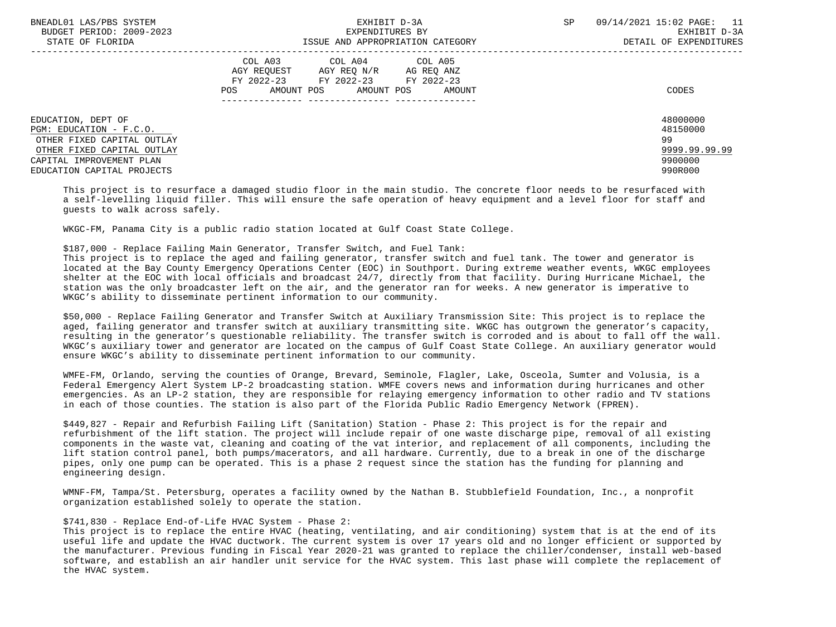| BNEADL01 LAS/PBS SYSTEM<br>BUDGET PERIOD: 2009-2023<br>STATE OF FLORIDA                                   | EXHIBIT D-3A<br>EXPENDITURES BY<br>ISSUE AND APPROPRIATION CATEGORY                                                                               | 09/14/2021 15:02 PAGE: 11<br>SP<br>EXHIBIT D-3A<br>DETAIL OF EXPENDITURES |
|-----------------------------------------------------------------------------------------------------------|---------------------------------------------------------------------------------------------------------------------------------------------------|---------------------------------------------------------------------------|
|                                                                                                           | COL A03<br>COL A04 COL A05<br>AGY REOUEST AGY REO N/R AG REO ANZ<br>FY 2022-23 FY 2022-23<br>FY 2022-23<br>AMOUNT POS AMOUNT POS<br>POS<br>AMOUNT | CODES                                                                     |
| EDUCATION, DEPT OF<br>PGM: EDUCATION - F.C.O.<br>OTHER FIXED CAPITAL OUTLAY<br>OTHER FIXED CAPITAL OUTLAY |                                                                                                                                                   | 48000000<br>48150000<br>99<br>9999.99.99.99                               |
| CAPITAL IMPROVEMENT PLAN<br>EDUCATION CAPITAL PROJECTS                                                    |                                                                                                                                                   | 9900000<br>990R000                                                        |

 This project is to resurface a damaged studio floor in the main studio. The concrete floor needs to be resurfaced with a self-levelling liquid filler. This will ensure the safe operation of heavy equipment and a level floor for staff and guests to walk across safely.

WKGC-FM, Panama City is a public radio station located at Gulf Coast State College.

\$187,000 - Replace Failing Main Generator, Transfer Switch, and Fuel Tank:

 This project is to replace the aged and failing generator, transfer switch and fuel tank. The tower and generator is located at the Bay County Emergency Operations Center (EOC) in Southport. During extreme weather events, WKGC employees shelter at the EOC with local officials and broadcast 24/7, directly from that facility. During Hurricane Michael, the station was the only broadcaster left on the air, and the generator ran for weeks. A new generator is imperative to WKGC's ability to disseminate pertinent information to our community.

 \$50,000 - Replace Failing Generator and Transfer Switch at Auxiliary Transmission Site: This project is to replace the aged, failing generator and transfer switch at auxiliary transmitting site. WKGC has outgrown the generator's capacity, resulting in the generator's questionable reliability. The transfer switch is corroded and is about to fall off the wall. WKGC's auxiliary tower and generator are located on the campus of Gulf Coast State College. An auxiliary generator would ensure WKGC's ability to disseminate pertinent information to our community.

 WMFE-FM, Orlando, serving the counties of Orange, Brevard, Seminole, Flagler, Lake, Osceola, Sumter and Volusia, is a Federal Emergency Alert System LP-2 broadcasting station. WMFE covers news and information during hurricanes and other emergencies. As an LP-2 station, they are responsible for relaying emergency information to other radio and TV stations in each of those counties. The station is also part of the Florida Public Radio Emergency Network (FPREN).

 \$449,827 - Repair and Refurbish Failing Lift (Sanitation) Station - Phase 2: This project is for the repair and refurbishment of the lift station. The project will include repair of one waste discharge pipe, removal of all existing components in the waste vat, cleaning and coating of the vat interior, and replacement of all components, including the lift station control panel, both pumps/macerators, and all hardware. Currently, due to a break in one of the discharge pipes, only one pump can be operated. This is a phase 2 request since the station has the funding for planning and engineering design.

 WMNF-FM, Tampa/St. Petersburg, operates a facility owned by the Nathan B. Stubblefield Foundation, Inc., a nonprofit organization established solely to operate the station.

## \$741,830 - Replace End-of-Life HVAC System - Phase 2:

 This project is to replace the entire HVAC (heating, ventilating, and air conditioning) system that is at the end of its useful life and update the HVAC ductwork. The current system is over 17 years old and no longer efficient or supported by the manufacturer. Previous funding in Fiscal Year 2020-21 was granted to replace the chiller/condenser, install web-based software, and establish an air handler unit service for the HVAC system. This last phase will complete the replacement of the HVAC system.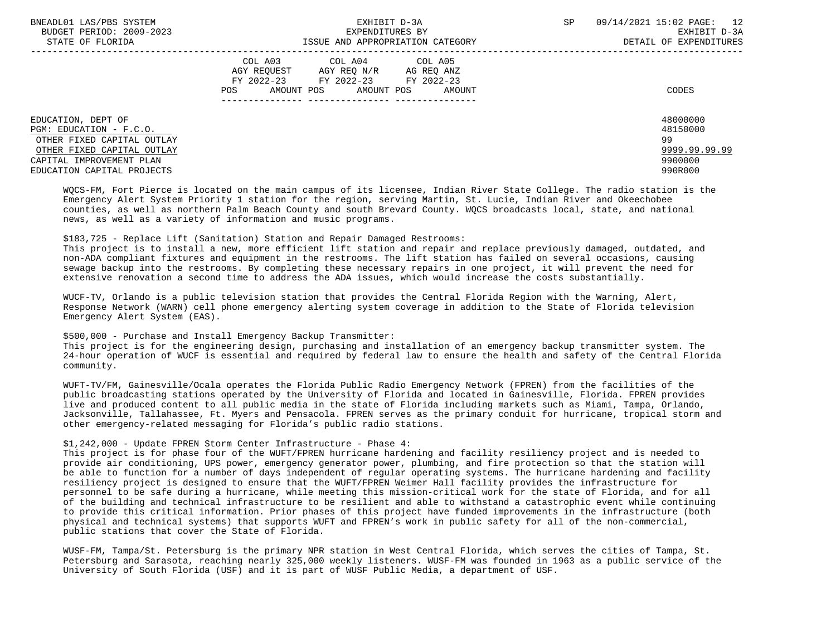| BNEADL01 LAS/PBS SYSTEM<br>BUDGET PERIOD: 2009-2023<br>STATE OF FLORIDA | EXHIBIT D-3A<br>EXPENDITURES BY<br>ISSUE AND APPROPRIATION CATEGORY                                                                               | <b>SP</b> | 09/14/2021 15:02 PAGE: 12<br>EXHIBIT D-3A<br>DETAIL OF EXPENDITURES |
|-------------------------------------------------------------------------|---------------------------------------------------------------------------------------------------------------------------------------------------|-----------|---------------------------------------------------------------------|
|                                                                         | COL A03 COL A04 COL A05<br>AGY REOUEST<br>AGY REO N/R<br>AG REQ ANZ<br>FY 2022-23 FY 2022-23 FY 2022-23<br>AMOUNT POS AMOUNT POS<br>AMOUNT<br>POS |           | CODES                                                               |
| EDUCATION, DEPT OF                                                      |                                                                                                                                                   |           | 48000000                                                            |
| PGM: EDUCATION - F.C.O.<br>OTHER FIXED CAPITAL OUTLAY                   |                                                                                                                                                   |           | 48150000<br>99                                                      |
| OTHER FIXED CAPITAL OUTLAY                                              |                                                                                                                                                   |           | 9999.99.99.99                                                       |
|                                                                         |                                                                                                                                                   |           |                                                                     |
| CAPITAL IMPROVEMENT PLAN                                                |                                                                                                                                                   |           | 9900000                                                             |
| EDUCATION CAPITAL PROJECTS                                              |                                                                                                                                                   |           | 990R000                                                             |

 WQCS-FM, Fort Pierce is located on the main campus of its licensee, Indian River State College. The radio station is the Emergency Alert System Priority 1 station for the region, serving Martin, St. Lucie, Indian River and Okeechobee counties, as well as northern Palm Beach County and south Brevard County. WQCS broadcasts local, state, and national news, as well as a variety of information and music programs.

\$183,725 - Replace Lift (Sanitation) Station and Repair Damaged Restrooms:

 This project is to install a new, more efficient lift station and repair and replace previously damaged, outdated, and non-ADA compliant fixtures and equipment in the restrooms. The lift station has failed on several occasions, causing sewage backup into the restrooms. By completing these necessary repairs in one project, it will prevent the need for extensive renovation a second time to address the ADA issues, which would increase the costs substantially.

 WUCF-TV, Orlando is a public television station that provides the Central Florida Region with the Warning, Alert, Response Network (WARN) cell phone emergency alerting system coverage in addition to the State of Florida television Emergency Alert System (EAS).

## \$500,000 - Purchase and Install Emergency Backup Transmitter:

 This project is for the engineering design, purchasing and installation of an emergency backup transmitter system. The 24-hour operation of WUCF is essential and required by federal law to ensure the health and safety of the Central Florida community.

 WUFT-TV/FM, Gainesville/Ocala operates the Florida Public Radio Emergency Network (FPREN) from the facilities of the public broadcasting stations operated by the University of Florida and located in Gainesville, Florida. FPREN provides live and produced content to all public media in the state of Florida including markets such as Miami, Tampa, Orlando, Jacksonville, Tallahassee, Ft. Myers and Pensacola. FPREN serves as the primary conduit for hurricane, tropical storm and other emergency-related messaging for Florida's public radio stations.

## \$1,242,000 - Update FPREN Storm Center Infrastructure - Phase 4:

 This project is for phase four of the WUFT/FPREN hurricane hardening and facility resiliency project and is needed to provide air conditioning, UPS power, emergency generator power, plumbing, and fire protection so that the station will be able to function for a number of days independent of regular operating systems. The hurricane hardening and facility resiliency project is designed to ensure that the WUFT/FPREN Weimer Hall facility provides the infrastructure for personnel to be safe during a hurricane, while meeting this mission-critical work for the state of Florida, and for all of the building and technical infrastructure to be resilient and able to withstand a catastrophic event while continuing to provide this critical information. Prior phases of this project have funded improvements in the infrastructure (both physical and technical systems) that supports WUFT and FPREN's work in public safety for all of the non-commercial, public stations that cover the State of Florida.

 WUSF-FM, Tampa/St. Petersburg is the primary NPR station in West Central Florida, which serves the cities of Tampa, St. Petersburg and Sarasota, reaching nearly 325,000 weekly listeners. WUSF-FM was founded in 1963 as a public service of the University of South Florida (USF) and it is part of WUSF Public Media, a department of USF.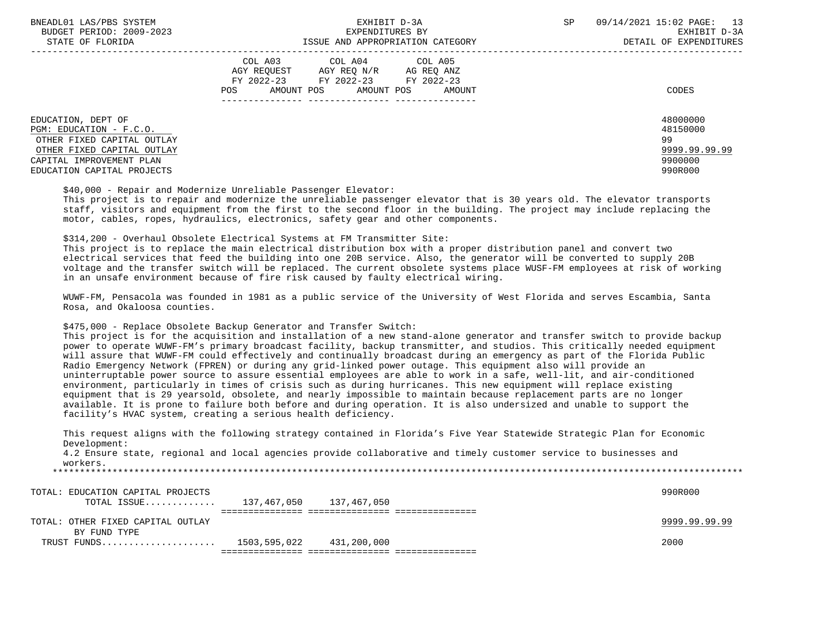| BNEADL01 LAS/PBS SYSTEM<br>BUDGET PERIOD: 2009-2023<br>STATE OF FLORIDA                                                                                             | EXHIBIT D-3A<br>EXPENDITURES BY<br>ISSUE AND APPROPRIATION CATEGORY                                                                                        | 09/14/2021 15:02 PAGE: 13<br><b>SP</b><br>EXHIBIT D-3A<br>DETAIL OF EXPENDITURES |
|---------------------------------------------------------------------------------------------------------------------------------------------------------------------|------------------------------------------------------------------------------------------------------------------------------------------------------------|----------------------------------------------------------------------------------|
|                                                                                                                                                                     | COL A03<br>COL A05<br>COL A04<br>AGY REO N/R AG REO ANZ<br>AGY REOUEST<br>FY 2022-23 FY 2022-23<br>FY 2022-23<br>AMOUNT POS<br>POS<br>AMOUNT POS<br>AMOUNT | CODES                                                                            |
| EDUCATION, DEPT OF<br>PGM: EDUCATION - F.C.O.<br>OTHER FIXED CAPITAL OUTLAY<br>OTHER FIXED CAPITAL OUTLAY<br>CAPITAL IMPROVEMENT PLAN<br>EDUCATION CAPITAL PROJECTS |                                                                                                                                                            | 48000000<br>48150000<br>99<br>9999.99.99.99<br>9900000<br>990R000                |

\$40,000 - Repair and Modernize Unreliable Passenger Elevator:

 This project is to repair and modernize the unreliable passenger elevator that is 30 years old. The elevator transports staff, visitors and equipment from the first to the second floor in the building. The project may include replacing the motor, cables, ropes, hydraulics, electronics, safety gear and other components.

\$314,200 - Overhaul Obsolete Electrical Systems at FM Transmitter Site:

 This project is to replace the main electrical distribution box with a proper distribution panel and convert two electrical services that feed the building into one 20B service. Also, the generator will be converted to supply 20B voltage and the transfer switch will be replaced. The current obsolete systems place WUSF-FM employees at risk of working in an unsafe environment because of fire risk caused by faulty electrical wiring.

 WUWF-FM, Pensacola was founded in 1981 as a public service of the University of West Florida and serves Escambia, Santa Rosa, and Okaloosa counties.

\$475,000 - Replace Obsolete Backup Generator and Transfer Switch:

 This project is for the acquisition and installation of a new stand-alone generator and transfer switch to provide backup power to operate WUWF-FM's primary broadcast facility, backup transmitter, and studios. This critically needed equipment will assure that WUWF-FM could effectively and continually broadcast during an emergency as part of the Florida Public Radio Emergency Network (FPREN) or during any grid-linked power outage. This equipment also will provide an uninterruptable power source to assure essential employees are able to work in a safe, well-lit, and air-conditioned environment, particularly in times of crisis such as during hurricanes. This new equipment will replace existing equipment that is 29 yearsold, obsolete, and nearly impossible to maintain because replacement parts are no longer available. It is prone to failure both before and during operation. It is also undersized and unable to support the facility's HVAC system, creating a serious health deficiency.

 This request aligns with the following strategy contained in Florida's Five Year Statewide Strategic Plan for Economic Development:

 4.2 Ensure state, regional and local agencies provide collaborative and timely customer service to businesses and workers.

\*\*\*\*\*\*\*\*\*\*\*\*\*\*\*\*\*\*\*\*\*\*\*\*\*\*\*\*\*\*\*\*\*\*\*\*\*\*\*\*\*\*\*\*\*\*\*\*\*\*\*\*\*\*\*\*\*\*\*\*\*\*\*\*\*\*\*\*\*\*\*\*\*\*\*\*\*\*\*\*\*\*\*\*\*\*\*\*\*\*\*\*\*\*\*\*\*\*\*\*\*\*\*\*\*\*\*\*\*\*\*\*\*\*\*\*\*\*\*\*\*\*\*\*\*\*\*

| TOTAL: EDUCATION CAPITAL PROJECTS   |                          | 990R000       |
|-------------------------------------|--------------------------|---------------|
| TOTAL ISSUE 137,467,050 137,467,050 |                          |               |
|                                     |                          |               |
| TOTAL: OTHER FIXED CAPITAL OUTLAY   |                          | 9999.99.99.99 |
| BY FUND TYPE                        |                          |               |
| TRUST FUNDS                         | 1503,595,022 431,200,000 | 2000          |
|                                     |                          |               |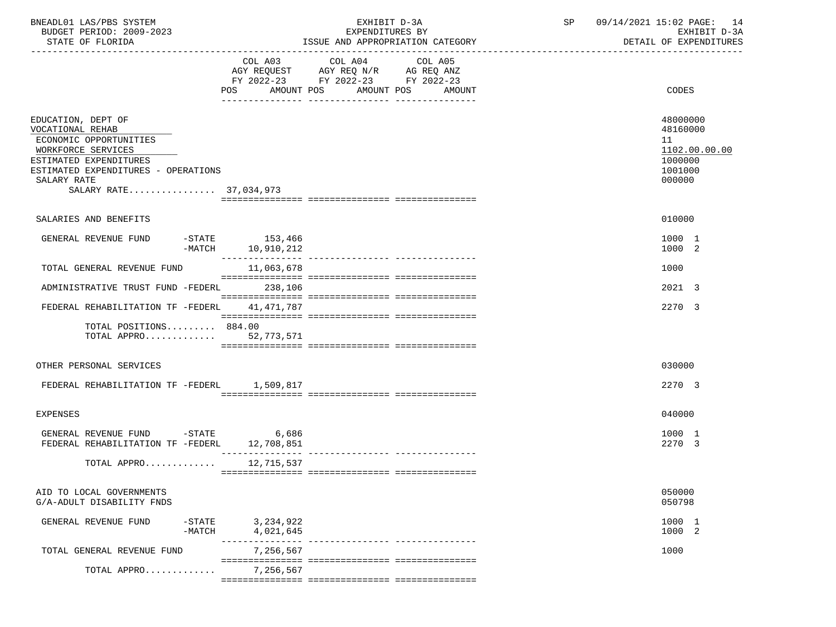| BNEADL01 LAS/PBS SYSTEM<br>BUDGET PERIOD: 2009-2023                                                                                                                                              |                                       | EXHIBIT D-3A<br>EXPENDITURES BY                                                                                                  | 09/14/2021 15:02 PAGE: 14<br>SP<br>EXHIBIT D-3A                             |
|--------------------------------------------------------------------------------------------------------------------------------------------------------------------------------------------------|---------------------------------------|----------------------------------------------------------------------------------------------------------------------------------|-----------------------------------------------------------------------------|
| STATE OF FLORIDA                                                                                                                                                                                 |                                       | ISSUE AND APPROPRIATION CATEGORY                                                                                                 | DETAIL OF EXPENDITURES                                                      |
|                                                                                                                                                                                                  | COL A03                               | COL A04<br>COL A05<br>AGY REQUEST AGY REQ N/R AG REQ ANZ<br>FY 2022-23 FY 2022-23 FY 2022-23<br>POS AMOUNT POS AMOUNT POS AMOUNT | CODES                                                                       |
|                                                                                                                                                                                                  |                                       |                                                                                                                                  |                                                                             |
| EDUCATION, DEPT OF<br>VOCATIONAL REHAB<br>ECONOMIC OPPORTUNITIES<br>WORKFORCE SERVICES<br>ESTIMATED EXPENDITURES<br>ESTIMATED EXPENDITURES - OPERATIONS<br>SALARY RATE<br>SALARY RATE 37,034,973 |                                       |                                                                                                                                  | 48000000<br>48160000<br>11<br>1102.00.00.00<br>1000000<br>1001000<br>000000 |
| SALARIES AND BENEFITS                                                                                                                                                                            |                                       |                                                                                                                                  | 010000                                                                      |
| GENERAL REVENUE FUND                                                                                                                                                                             | $-STATE$ 153,466<br>-MATCH 10,910,212 |                                                                                                                                  | 1000 1<br>1000 2                                                            |
| TOTAL GENERAL REVENUE FUND                                                                                                                                                                       | 11,063,678                            |                                                                                                                                  | 1000                                                                        |
| ADMINISTRATIVE TRUST FUND -FEDERL 238,106                                                                                                                                                        |                                       |                                                                                                                                  | 2021 3                                                                      |
| FEDERAL REHABILITATION TF -FEDERL 41,471,787                                                                                                                                                     |                                       |                                                                                                                                  | 2270 3                                                                      |
| TOTAL POSITIONS 884.00<br>TOTAL APPRO 52,773,571                                                                                                                                                 |                                       |                                                                                                                                  |                                                                             |
| OTHER PERSONAL SERVICES                                                                                                                                                                          |                                       |                                                                                                                                  | 030000                                                                      |
| FEDERAL REHABILITATION TF -FEDERL 1,509,817                                                                                                                                                      |                                       |                                                                                                                                  | 2270 3                                                                      |
| <b>EXPENSES</b>                                                                                                                                                                                  |                                       |                                                                                                                                  | 040000                                                                      |
| GENERAL REVENUE FUND -STATE<br>FEDERAL REHABILITATION TF -FEDERL 12,708,851                                                                                                                      | 6,686                                 |                                                                                                                                  | 1000 1<br>2270 3                                                            |
| TOTAL APPRO 12,715,537                                                                                                                                                                           |                                       |                                                                                                                                  |                                                                             |
| AID TO LOCAL GOVERNMENTS<br>G/A-ADULT DISABILITY FNDS                                                                                                                                            |                                       |                                                                                                                                  | 050000<br>050798                                                            |
| GENERAL REVENUE FUND<br>$-$ STATE<br>$-MATCH$                                                                                                                                                    | 3,234,922<br>4,021,645                |                                                                                                                                  | 1000 1<br>1000 2                                                            |
| TOTAL GENERAL REVENUE FUND                                                                                                                                                                       | -------<br>7,256,567                  |                                                                                                                                  | 1000                                                                        |
| TOTAL APPRO                                                                                                                                                                                      | 7,256,567                             |                                                                                                                                  |                                                                             |
|                                                                                                                                                                                                  |                                       |                                                                                                                                  |                                                                             |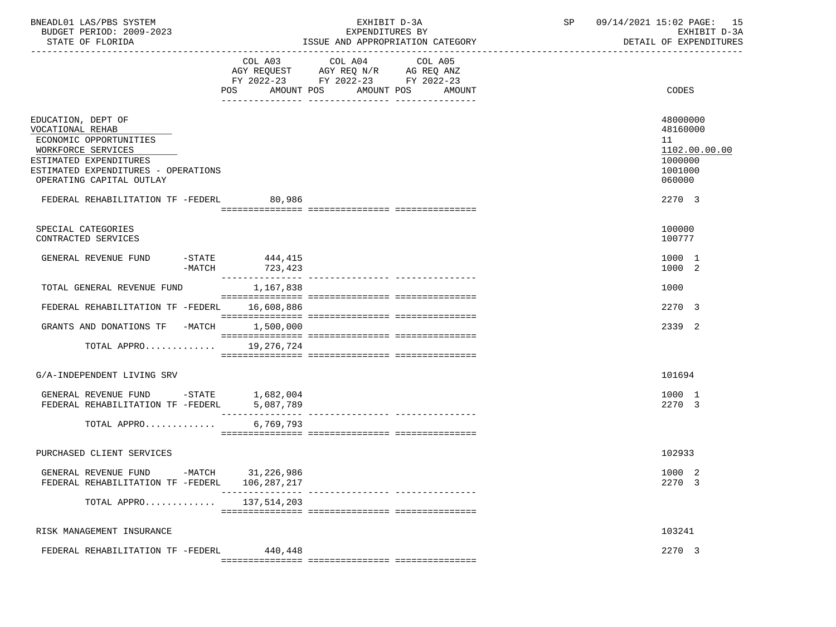| BNEADL01 LAS/PBS SYSTEM<br>BUDGET PERIOD: 2009-2023<br>STATE OF FLORIDA                                                                                                             |                                                                                                                                                                                                                                                                                                                                                                                                                                                                                        | EXHIBIT D-3A<br>EXPENDITURES BY<br>ISSUE AND APPROPRIATION CATEGORY                                                                      | SP | 09/14/2021 15:02 PAGE: 15<br>EXHIBIT D-3A<br>DETAIL OF EXPENDITURES         |
|-------------------------------------------------------------------------------------------------------------------------------------------------------------------------------------|----------------------------------------------------------------------------------------------------------------------------------------------------------------------------------------------------------------------------------------------------------------------------------------------------------------------------------------------------------------------------------------------------------------------------------------------------------------------------------------|------------------------------------------------------------------------------------------------------------------------------------------|----|-----------------------------------------------------------------------------|
|                                                                                                                                                                                     |                                                                                                                                                                                                                                                                                                                                                                                                                                                                                        | COL A03 COL A04<br>COL A05<br>AGY REQUEST AGY REQ N/R AG REQ ANZ<br>FY 2022-23 FY 2022-23 FY 2022-23<br>POS AMOUNT POS AMOUNT POS AMOUNT |    | CODES                                                                       |
| EDUCATION, DEPT OF<br>VOCATIONAL REHAB<br>ECONOMIC OPPORTUNITIES<br>WORKFORCE SERVICES<br>ESTIMATED EXPENDITURES<br>ESTIMATED EXPENDITURES - OPERATIONS<br>OPERATING CAPITAL OUTLAY |                                                                                                                                                                                                                                                                                                                                                                                                                                                                                        |                                                                                                                                          |    | 48000000<br>48160000<br>11<br>1102.00.00.00<br>1000000<br>1001000<br>060000 |
| FEDERAL REHABILITATION TF -FEDERL 80,986                                                                                                                                            |                                                                                                                                                                                                                                                                                                                                                                                                                                                                                        |                                                                                                                                          |    | 2270 3                                                                      |
| SPECIAL CATEGORIES<br>CONTRACTED SERVICES                                                                                                                                           |                                                                                                                                                                                                                                                                                                                                                                                                                                                                                        |                                                                                                                                          |    | 100000<br>100777                                                            |
| GENERAL REVENUE FUND                                                                                                                                                                | $-$ STATE 444, 415<br>-MATCH 723,423                                                                                                                                                                                                                                                                                                                                                                                                                                                   |                                                                                                                                          |    | 1000 1<br>1000 2                                                            |
| TOTAL GENERAL REVENUE FUND                                                                                                                                                          | 1,167,838                                                                                                                                                                                                                                                                                                                                                                                                                                                                              |                                                                                                                                          |    | 1000                                                                        |
| FEDERAL REHABILITATION TF -FEDERL 16,608,886                                                                                                                                        |                                                                                                                                                                                                                                                                                                                                                                                                                                                                                        |                                                                                                                                          |    | 2270 3                                                                      |
| GRANTS AND DONATIONS TF -MATCH 1,500,000                                                                                                                                            |                                                                                                                                                                                                                                                                                                                                                                                                                                                                                        |                                                                                                                                          |    | 2339 2                                                                      |
| TOTAL APPRO 19,276,724                                                                                                                                                              |                                                                                                                                                                                                                                                                                                                                                                                                                                                                                        |                                                                                                                                          |    |                                                                             |
| G/A-INDEPENDENT LIVING SRV                                                                                                                                                          |                                                                                                                                                                                                                                                                                                                                                                                                                                                                                        |                                                                                                                                          |    | 101694                                                                      |
| GENERAL REVENUE FUND $-$ STATE 1,682,004<br>FEDERAL REHABILITATION TF $-$ FEDERL 5,087,789                                                                                          | $\begin{array}{cccccccccc} \multicolumn{2}{c}{} & \multicolumn{2}{c}{} & \multicolumn{2}{c}{} & \multicolumn{2}{c}{} & \multicolumn{2}{c}{} & \multicolumn{2}{c}{} & \multicolumn{2}{c}{} & \multicolumn{2}{c}{} & \multicolumn{2}{c}{} & \multicolumn{2}{c}{} & \multicolumn{2}{c}{} & \multicolumn{2}{c}{} & \multicolumn{2}{c}{} & \multicolumn{2}{c}{} & \multicolumn{2}{c}{} & \multicolumn{2}{c}{} & \multicolumn{2}{c}{} & \multicolumn{2}{c}{} & \multicolumn{2}{c}{} & \mult$ |                                                                                                                                          |    | 1000 1<br>2270 3                                                            |
| TOTAL APPRO                                                                                                                                                                         | 6,769,793                                                                                                                                                                                                                                                                                                                                                                                                                                                                              |                                                                                                                                          |    |                                                                             |
| PURCHASED CLIENT SERVICES                                                                                                                                                           |                                                                                                                                                                                                                                                                                                                                                                                                                                                                                        |                                                                                                                                          |    | 102933                                                                      |
| GENERAL REVENUE FUND -MATCH 31,226,986<br>FEDERAL REHABILITATION TF -FEDERL                                                                                                         | 106,287,217                                                                                                                                                                                                                                                                                                                                                                                                                                                                            |                                                                                                                                          |    | 1000 2<br>2270 3                                                            |
| TOTAL APPRO                                                                                                                                                                         | 137,514,203                                                                                                                                                                                                                                                                                                                                                                                                                                                                            |                                                                                                                                          |    |                                                                             |
| RISK MANAGEMENT INSURANCE                                                                                                                                                           |                                                                                                                                                                                                                                                                                                                                                                                                                                                                                        |                                                                                                                                          |    | 103241                                                                      |
| FEDERAL REHABILITATION TF -FEDERL                                                                                                                                                   | 440,448                                                                                                                                                                                                                                                                                                                                                                                                                                                                                |                                                                                                                                          |    | 2270 3                                                                      |
|                                                                                                                                                                                     |                                                                                                                                                                                                                                                                                                                                                                                                                                                                                        |                                                                                                                                          |    |                                                                             |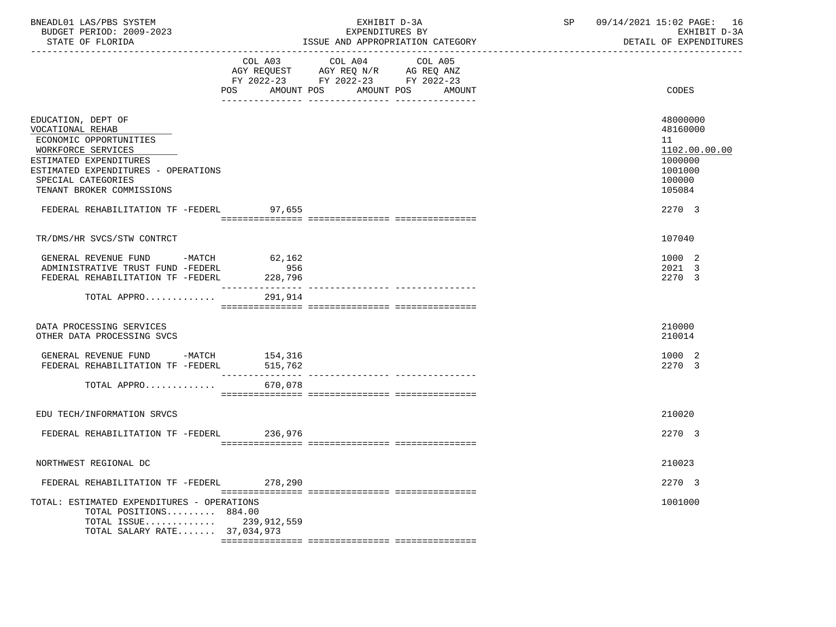| BNEADL01 LAS/PBS SYSTEM<br>BUDGET PERIOD: 2009-2023<br>STATE OF FLORIDA                                                                                                                                    |                                   | EXHIBIT D-3A<br>EXPENDITURES BY<br>ISSUE AND APPROPRIATION CATEGORY                                                                                                              | SP 09/14/2021 15:02 PAGE: 16<br>EXHIBIT D-3A<br>DETAIL OF EXPENDITURES<br>_______________________________ |
|------------------------------------------------------------------------------------------------------------------------------------------------------------------------------------------------------------|-----------------------------------|----------------------------------------------------------------------------------------------------------------------------------------------------------------------------------|-----------------------------------------------------------------------------------------------------------|
|                                                                                                                                                                                                            |                                   | COL A03 COL A04<br>COL A05<br>AGY REQUEST AGY REQ N/R AG REQ ANZ<br>FY 2022-23 FY 2022-23 FY 2022-23<br>POS AMOUNT POS AMOUNT POS AMOUNT<br>--- --------------- ---------------- | CODES                                                                                                     |
| EDUCATION, DEPT OF<br>VOCATIONAL REHAB<br>ECONOMIC OPPORTUNITIES<br>WORKFORCE SERVICES<br>ESTIMATED EXPENDITURES<br>ESTIMATED EXPENDITURES - OPERATIONS<br>SPECIAL CATEGORIES<br>TENANT BROKER COMMISSIONS |                                   |                                                                                                                                                                                  | 48000000<br>48160000<br>11<br>1102.00.00.00<br>1000000<br>1001000<br>100000<br>105084                     |
| FEDERAL REHABILITATION TF -FEDERL 97,655                                                                                                                                                                   |                                   |                                                                                                                                                                                  | 2270 3                                                                                                    |
| TR/DMS/HR SVCS/STW CONTRCT                                                                                                                                                                                 |                                   |                                                                                                                                                                                  | 107040                                                                                                    |
| GENERAL REVENUE FUND -MATCH 62,162<br>ADMINISTRATIVE TRUST FUND -FEDERL<br>FEDERAL REHABILITATION TF -FEDERL                                                                                               | 956<br>228,796<br>_______________ |                                                                                                                                                                                  | 1000 2<br>2021 3<br>2270 3                                                                                |
| TOTAL APPRO                                                                                                                                                                                                | 291,914                           |                                                                                                                                                                                  |                                                                                                           |
| DATA PROCESSING SERVICES<br>OTHER DATA PROCESSING SVCS                                                                                                                                                     |                                   |                                                                                                                                                                                  | 210000<br>210014                                                                                          |
| GENERAL REVENUE FUND -MATCH 154,316<br>FEDERAL REHABILITATION TF -FEDERL                                                                                                                                   | 515,762                           |                                                                                                                                                                                  | 1000 2<br>2270 3                                                                                          |
| TOTAL APPRO                                                                                                                                                                                                | 670,078                           |                                                                                                                                                                                  |                                                                                                           |
| EDU TECH/INFORMATION SRVCS                                                                                                                                                                                 |                                   |                                                                                                                                                                                  | 210020                                                                                                    |
| FEDERAL REHABILITATION TF -FEDERL 236,976                                                                                                                                                                  |                                   |                                                                                                                                                                                  | 2270 3                                                                                                    |
| NORTHWEST REGIONAL DC                                                                                                                                                                                      |                                   |                                                                                                                                                                                  | 210023                                                                                                    |
| FEDERAL REHABILITATION TF -FEDERL                                                                                                                                                                          | 278,290                           |                                                                                                                                                                                  | 2270 3                                                                                                    |
| TOTAL: ESTIMATED EXPENDITURES - OPERATIONS<br>TOTAL POSITIONS 884.00<br>TOTAL ISSUE<br>TOTAL SALARY RATE 37,034,973                                                                                        | 239,912,559                       |                                                                                                                                                                                  | 1001000                                                                                                   |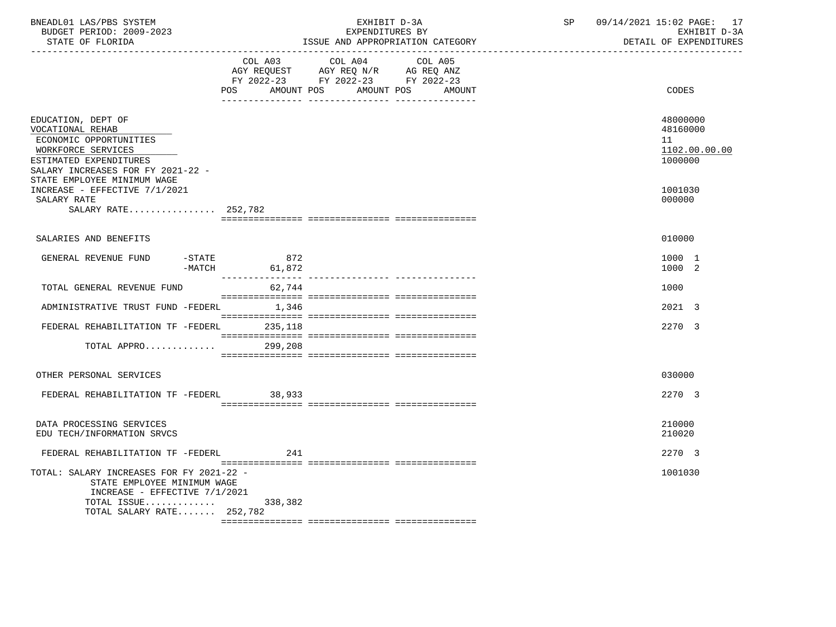| BNEADL01 LAS/PBS SYSTEM<br>BUDGET PERIOD: 2009-2023<br>STATE OF FLORIDA                                                                                                              |                          | EXHIBIT D-3A<br>EXPENDITURES BY<br>ISSUE AND APPROPRIATION CATEGORY                                                          | SP | 09/14/2021 15:02 PAGE: 17<br>EXHIBIT D-3A<br>DETAIL OF EXPENDITURES |
|--------------------------------------------------------------------------------------------------------------------------------------------------------------------------------------|--------------------------|------------------------------------------------------------------------------------------------------------------------------|----|---------------------------------------------------------------------|
|                                                                                                                                                                                      | <b>POS</b><br>AMOUNT POS | COL A03 COL A04<br>COL A05<br>AGY REQUEST AGY REQ N/R AG REQ ANZ<br>FY 2022-23 FY 2022-23 FY 2022-23<br>AMOUNT POS<br>AMOUNT |    | CODES                                                               |
| EDUCATION, DEPT OF<br>VOCATIONAL REHAB<br>ECONOMIC OPPORTUNITIES<br>WORKFORCE SERVICES<br>ESTIMATED EXPENDITURES<br>SALARY INCREASES FOR FY 2021-22 -<br>STATE EMPLOYEE MINIMUM WAGE |                          |                                                                                                                              |    | 48000000<br>48160000<br>11<br>1102.00.00.00<br>1000000              |
| INCREASE - EFFECTIVE 7/1/2021<br>SALARY RATE<br>SALARY RATE 252,782                                                                                                                  |                          |                                                                                                                              |    | 1001030<br>000000                                                   |
| SALARIES AND BENEFITS                                                                                                                                                                |                          |                                                                                                                              |    | 010000                                                              |
| $-$ STATE<br>GENERAL REVENUE FUND                                                                                                                                                    | 872<br>$-MATCH$ 61,872   |                                                                                                                              |    | 1000 1<br>1000 2                                                    |
| TOTAL GENERAL REVENUE FUND                                                                                                                                                           | 62,744                   |                                                                                                                              |    | 1000                                                                |
| ADMINISTRATIVE TRUST FUND -FEDERL 1,346                                                                                                                                              |                          |                                                                                                                              |    | 2021 3                                                              |
| FEDERAL REHABILITATION TF -FEDERL 235,118                                                                                                                                            |                          |                                                                                                                              |    | 2270 3                                                              |
| TOTAL APPRO                                                                                                                                                                          | 299,208                  |                                                                                                                              |    |                                                                     |
| OTHER PERSONAL SERVICES                                                                                                                                                              |                          |                                                                                                                              |    | 030000                                                              |
| FEDERAL REHABILITATION TF -FEDERL 38,933                                                                                                                                             |                          |                                                                                                                              |    | 2270 3                                                              |
| DATA PROCESSING SERVICES<br>EDU TECH/INFORMATION SRVCS                                                                                                                               |                          |                                                                                                                              |    | 210000<br>210020                                                    |
| FEDERAL REHABILITATION TF -FEDERL                                                                                                                                                    | 241                      |                                                                                                                              |    | 2270 3                                                              |
| TOTAL: SALARY INCREASES FOR FY 2021-22 -<br>STATE EMPLOYEE MINIMUM WAGE<br>INCREASE - EFFECTIVE 7/1/2021<br>TOTAL ISSUE<br>TOTAL SALARY RATE 252,782                                 | 338,382                  |                                                                                                                              |    | 1001030                                                             |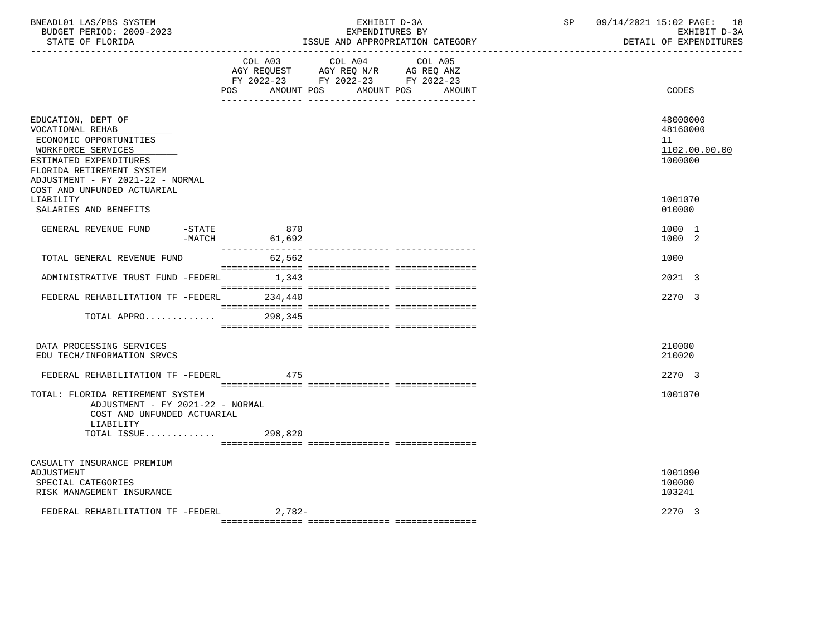| BNEADL01 LAS/PBS SYSTEM<br>BUDGET PERIOD: 2009-2023<br>STATE OF FLORIDA                                                                                                           |                        | EXHIBIT D-3A<br>EXPENDITURES BY<br>ISSUE AND APPROPRIATION CATEGORY                                                                   | SP | 09/14/2021 15:02 PAGE: 18<br>EXHIBIT D-3A<br>DETAIL OF EXPENDITURES |
|-----------------------------------------------------------------------------------------------------------------------------------------------------------------------------------|------------------------|---------------------------------------------------------------------------------------------------------------------------------------|----|---------------------------------------------------------------------|
|                                                                                                                                                                                   |                        | COL A03 COL A04 COL A05<br>AGY REQUEST AGY REQ N/R AG REQ ANZ<br>FY 2022-23 FY 2022-23 FY 2022-23<br>POS AMOUNT POS AMOUNT POS AMOUNT |    | CODES                                                               |
| EDUCATION, DEPT OF<br>VOCATIONAL REHAB<br>ECONOMIC OPPORTUNITIES<br>WORKFORCE SERVICES<br>ESTIMATED EXPENDITURES<br>FLORIDA RETIREMENT SYSTEM<br>ADJUSTMENT - FY 2021-22 - NORMAL |                        |                                                                                                                                       |    | 48000000<br>48160000<br>11<br>1102.00.00.00<br>1000000              |
| COST AND UNFUNDED ACTUARIAL<br>LIABILITY<br>SALARIES AND BENEFITS                                                                                                                 |                        |                                                                                                                                       |    | 1001070<br>010000                                                   |
| GENERAL REVENUE FUND<br>$-$ STATE                                                                                                                                                 | 870<br>$-MATCH$ 61,692 |                                                                                                                                       |    | 1000 1<br>1000 2                                                    |
| TOTAL GENERAL REVENUE FUND                                                                                                                                                        | 62,562                 |                                                                                                                                       |    | 1000                                                                |
| ADMINISTRATIVE TRUST FUND -FEDERL 1,343                                                                                                                                           |                        |                                                                                                                                       |    | 2021 3                                                              |
| FEDERAL REHABILITATION TF -FEDERL                                                                                                                                                 | 234,440                |                                                                                                                                       |    | 2270 3                                                              |
| TOTAL APPRO                                                                                                                                                                       | 298,345                |                                                                                                                                       |    |                                                                     |
| DATA PROCESSING SERVICES<br>EDU TECH/INFORMATION SRVCS                                                                                                                            |                        |                                                                                                                                       |    | 210000<br>210020                                                    |
| FEDERAL REHABILITATION TF -FEDERL                                                                                                                                                 | 475                    |                                                                                                                                       |    | 2270 3                                                              |
| TOTAL: FLORIDA RETIREMENT SYSTEM<br>ADJUSTMENT - FY 2021-22 - NORMAL<br>COST AND UNFUNDED ACTUARIAL<br>LIABILITY                                                                  |                        |                                                                                                                                       |    | 1001070                                                             |
| TOTAL ISSUE                                                                                                                                                                       | 298,820                |                                                                                                                                       |    |                                                                     |
| CASUALTY INSURANCE PREMIUM<br>ADJUSTMENT<br>SPECIAL CATEGORIES<br>RISK MANAGEMENT INSURANCE                                                                                       |                        |                                                                                                                                       |    | 1001090<br>100000<br>103241                                         |
| FEDERAL REHABILITATION TF -FEDERL                                                                                                                                                 | $2,782-$               |                                                                                                                                       |    | 2270 3                                                              |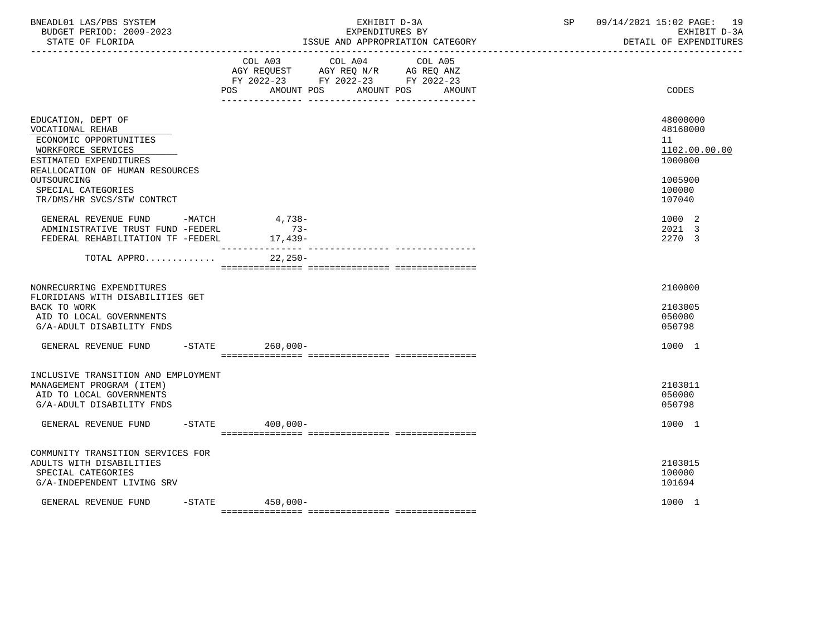| BNEADL01 LAS/PBS SYSTEM<br>BUDGET PERIOD: 2009-2023<br>STATE OF FLORIDA<br>------------------                                                                                                                          |           | EXHIBIT D-3A<br>EXPENDITURES BY<br>ISSUE AND APPROPRIATION CATEGORY |                                                                                           |         | SP | 09/14/2021 15:02 PAGE: 19<br>EXHIBIT D-3A<br>DETAIL OF EXPENDITURES                   |
|------------------------------------------------------------------------------------------------------------------------------------------------------------------------------------------------------------------------|-----------|---------------------------------------------------------------------|-------------------------------------------------------------------------------------------|---------|----|---------------------------------------------------------------------------------------|
|                                                                                                                                                                                                                        |           | POS AMOUNT POS AMOUNT POS AMOUNT                                    | COL A03 COL A04<br>AGY REQUEST AGY REQ N/R AG REQ ANZ<br>FY 2022-23 FY 2022-23 FY 2022-23 | COL A05 |    | CODES                                                                                 |
| EDUCATION, DEPT OF<br>VOCATIONAL REHAB<br>ECONOMIC OPPORTUNITIES<br>WORKFORCE SERVICES<br>ESTIMATED EXPENDITURES<br>REALLOCATION OF HUMAN RESOURCES<br>OUTSOURCING<br>SPECIAL CATEGORIES<br>TR/DMS/HR SVCS/STW CONTRCT |           |                                                                     |                                                                                           |         |    | 48000000<br>48160000<br>11<br>1102.00.00.00<br>1000000<br>1005900<br>100000<br>107040 |
| GENERAL REVENUE FUND -MATCH<br>ADMINISTRATIVE TRUST FUND -FEDERL<br>FEDERAL REHABILITATION TF -FEDERL                                                                                                                  |           | 4,738-<br>$73-$<br>17,439-                                          |                                                                                           |         |    | 1000 2<br>2021 3<br>2270 3                                                            |
| TOTAL APPRO                                                                                                                                                                                                            |           | $22,250-$                                                           |                                                                                           |         |    |                                                                                       |
| NONRECURRING EXPENDITURES<br>FLORIDIANS WITH DISABILITIES GET<br>BACK TO WORK<br>AID TO LOCAL GOVERNMENTS<br>G/A-ADULT DISABILITY FNDS                                                                                 |           |                                                                     |                                                                                           |         |    | 2100000<br>2103005<br>050000<br>050798                                                |
| GENERAL REVENUE FUND                                                                                                                                                                                                   |           | -STATE 260,000-                                                     |                                                                                           |         |    | 1000 1                                                                                |
| INCLUSIVE TRANSITION AND EMPLOYMENT<br>MANAGEMENT PROGRAM (ITEM)<br>AID TO LOCAL GOVERNMENTS<br>G/A-ADULT DISABILITY FNDS                                                                                              |           |                                                                     |                                                                                           |         |    | 2103011<br>050000<br>050798                                                           |
| GENERAL REVENUE FUND                                                                                                                                                                                                   | $-$ STATE | 400,000-                                                            |                                                                                           |         |    | 1000 1                                                                                |
| COMMUNITY TRANSITION SERVICES FOR<br>ADULTS WITH DISABILITIES<br>SPECIAL CATEGORIES<br>G/A-INDEPENDENT LIVING SRV                                                                                                      |           |                                                                     |                                                                                           |         |    | 2103015<br>100000<br>101694                                                           |
| GENERAL REVENUE FUND                                                                                                                                                                                                   |           | $-STATE$ 450,000-                                                   |                                                                                           |         |    | 1000 1                                                                                |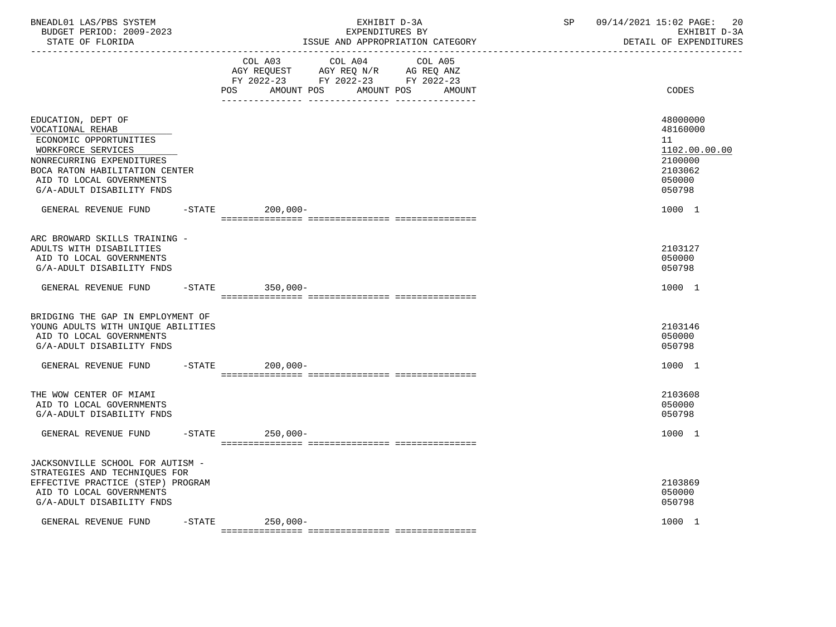| BNEADL01 LAS/PBS SYSTEM<br>BUDGET PERIOD: 2009-2023<br>STATE OF FLORIDA                                                                                                                                        |           | EXHIBIT D-3A<br>EXPENDITURES BY<br>ISSUE AND APPROPRIATION CATEGORY                      |                                  |                   | SP | 09/14/2021 15:02 PAGE:<br>20<br>EXHIBIT D-3A<br>DETAIL OF EXPENDITURES                |
|----------------------------------------------------------------------------------------------------------------------------------------------------------------------------------------------------------------|-----------|------------------------------------------------------------------------------------------|----------------------------------|-------------------|----|---------------------------------------------------------------------------------------|
|                                                                                                                                                                                                                |           | COL A03<br>AGY REQUEST AGY REQ N/R AG REQ ANZ<br>FY 2022-23 FY 2022-23 FY 2022-23<br>POS | COL A04<br>AMOUNT POS AMOUNT POS | COL A05<br>AMOUNT |    | CODES                                                                                 |
| EDUCATION, DEPT OF<br>VOCATIONAL REHAB<br>ECONOMIC OPPORTUNITIES<br>WORKFORCE SERVICES<br>NONRECURRING EXPENDITURES<br>BOCA RATON HABILITATION CENTER<br>AID TO LOCAL GOVERNMENTS<br>G/A-ADULT DISABILITY FNDS |           |                                                                                          |                                  |                   |    | 48000000<br>48160000<br>11<br>1102.00.00.00<br>2100000<br>2103062<br>050000<br>050798 |
| GENERAL REVENUE FUND                                                                                                                                                                                           |           | $-$ STATE<br>$200,000-$                                                                  |                                  |                   |    | 1000 1                                                                                |
| ARC BROWARD SKILLS TRAINING -<br>ADULTS WITH DISABILITIES<br>AID TO LOCAL GOVERNMENTS<br>G/A-ADULT DISABILITY FNDS                                                                                             |           |                                                                                          |                                  |                   |    | 2103127<br>050000<br>050798                                                           |
| GENERAL REVENUE FUND                                                                                                                                                                                           |           | -STATE 350,000-                                                                          |                                  |                   |    | 1000 1                                                                                |
| BRIDGING THE GAP IN EMPLOYMENT OF<br>YOUNG ADULTS WITH UNIQUE ABILITIES<br>AID TO LOCAL GOVERNMENTS<br>G/A-ADULT DISABILITY FNDS                                                                               |           |                                                                                          |                                  |                   |    | 2103146<br>050000<br>050798                                                           |
| GENERAL REVENUE FUND                                                                                                                                                                                           |           | $-$ STATE<br>$200,000 -$                                                                 |                                  |                   |    | 1000 1                                                                                |
| THE WOW CENTER OF MIAMI<br>AID TO LOCAL GOVERNMENTS<br>G/A-ADULT DISABILITY FNDS                                                                                                                               |           |                                                                                          |                                  |                   |    | 2103608<br>050000<br>050798                                                           |
| GENERAL REVENUE FUND                                                                                                                                                                                           |           | -STATE 250,000-                                                                          |                                  |                   |    | 1000 1                                                                                |
| JACKSONVILLE SCHOOL FOR AUTISM -<br>STRATEGIES AND TECHNIQUES FOR<br>EFFECTIVE PRACTICE (STEP) PROGRAM<br>AID TO LOCAL GOVERNMENTS<br>G/A-ADULT DISABILITY FNDS                                                |           |                                                                                          |                                  |                   |    | 2103869<br>050000<br>050798                                                           |
| GENERAL REVENUE FUND                                                                                                                                                                                           | $-$ STATE | 250,000-                                                                                 |                                  |                   |    | 1000 1                                                                                |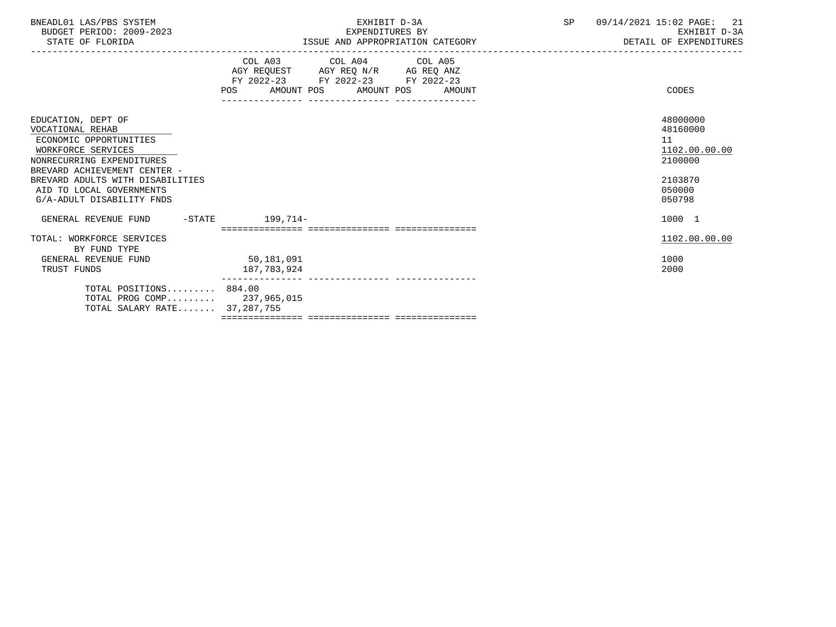| BNEADL01 LAS/PBS SYSTEM<br>BUDGET PERIOD: 2009-2023<br>STATE OF FLORIDA                                                                                                                                                                          | EXHIBIT D-3A<br>EXPENDITURES BY<br>ISSUE AND APPROPRIATION CATEGORY                                                                                                                                                               |        | SP | 09/14/2021 15:02 PAGE:<br>-21<br>EXHIBIT D-3A<br>DETAIL OF EXPENDITURES<br>---------------------------- |
|--------------------------------------------------------------------------------------------------------------------------------------------------------------------------------------------------------------------------------------------------|-----------------------------------------------------------------------------------------------------------------------------------------------------------------------------------------------------------------------------------|--------|----|---------------------------------------------------------------------------------------------------------|
|                                                                                                                                                                                                                                                  | COL A03 COL A04 COL A05<br>$\begin{tabular}{lllllll} AGY & \texttt{REQUEST} & \texttt{AGY REQ} & \texttt{N/R} & \texttt{AG REQ} & \texttt{ANZ} \end{tabular}$<br>FY 2022-23 FY 2022-23 FY 2022-23<br>POS<br>AMOUNT POS AMOUNT POS | AMOUNT |    | CODES                                                                                                   |
| EDUCATION, DEPT OF<br>VOCATIONAL REHAB<br>ECONOMIC OPPORTUNITIES<br>WORKFORCE SERVICES<br>NONRECURRING EXPENDITURES<br>BREVARD ACHIEVEMENT CENTER -<br>BREVARD ADULTS WITH DISABILITIES<br>AID TO LOCAL GOVERNMENTS<br>G/A-ADULT DISABILITY FNDS |                                                                                                                                                                                                                                   |        |    | 48000000<br>48160000<br>11<br>1102.00.00.00<br>2100000<br>2103870<br>050000<br>050798                   |
| GENERAL REVENUE FUND -STATE                                                                                                                                                                                                                      | $199,714-$                                                                                                                                                                                                                        |        |    | 1000 1                                                                                                  |
| TOTAL: WORKFORCE SERVICES<br>BY FUND TYPE                                                                                                                                                                                                        |                                                                                                                                                                                                                                   |        |    | 1102.00.00.00                                                                                           |
| GENERAL REVENUE FUND<br>TRUST FUNDS                                                                                                                                                                                                              | 50,181,091<br>187,783,924                                                                                                                                                                                                         |        |    | 1000<br>2000                                                                                            |
| TOTAL POSITIONS 884.00<br>TOTAL PROG COMP 237,965,015<br>TOTAL SALARY RATE 37,287,755                                                                                                                                                            |                                                                                                                                                                                                                                   |        |    |                                                                                                         |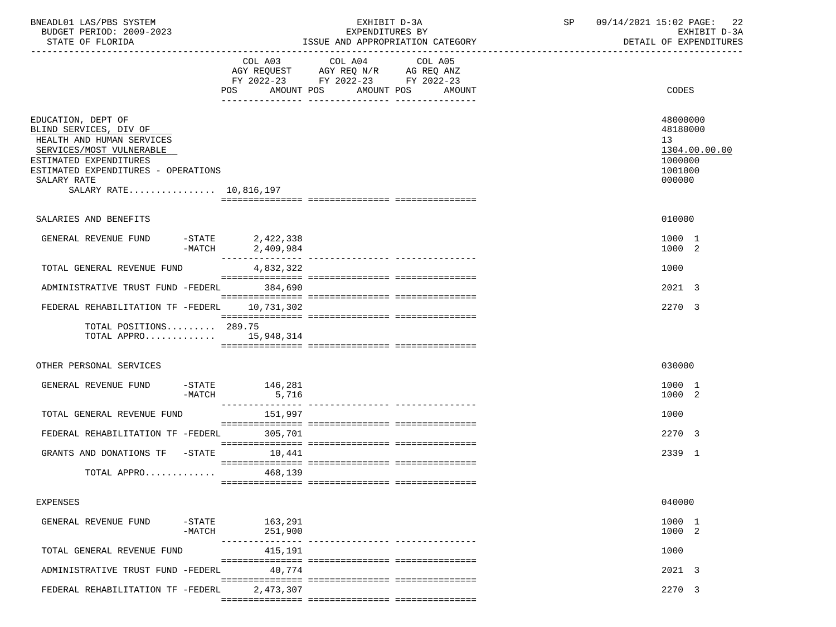| BNEADL01 LAS/PBS SYSTEM<br>BUDGET PERIOD: 2009-2023<br>STATE OF FLORIDA                                                                                                                                         |                                                  | EXHIBIT D-3A<br>EXPENDITURES BY<br>ISSUE AND APPROPRIATION CATEGORY | SP | 09/14/2021 15:02 PAGE:<br>-22<br>EXHIBIT D-3A<br>DETAIL OF EXPENDITURES     |
|-----------------------------------------------------------------------------------------------------------------------------------------------------------------------------------------------------------------|--------------------------------------------------|---------------------------------------------------------------------|----|-----------------------------------------------------------------------------|
|                                                                                                                                                                                                                 | POS AMOUNT POS AMOUNT POS AMOUNT                 | COL A03 COL A04 COL A05                                             |    | CODES                                                                       |
| EDUCATION, DEPT OF<br>BLIND SERVICES, DIV OF<br>HEALTH AND HUMAN SERVICES<br>SERVICES/MOST VULNERABLE<br>ESTIMATED EXPENDITURES<br>ESTIMATED EXPENDITURES - OPERATIONS<br>SALARY RATE<br>SALARY RATE 10,816,197 |                                                  |                                                                     |    | 48000000<br>48180000<br>13<br>1304.00.00.00<br>1000000<br>1001000<br>000000 |
| SALARIES AND BENEFITS                                                                                                                                                                                           |                                                  |                                                                     |    | 010000                                                                      |
| GENERAL REVENUE FUND                                                                                                                                                                                            | $-STATE$ 2,422,338<br>$-MATCH$ 2,409,984         |                                                                     |    | 1000 1<br>1000 2                                                            |
| TOTAL GENERAL REVENUE FUND                                                                                                                                                                                      | ____________<br>4,832,322                        |                                                                     |    | 1000                                                                        |
| ADMINISTRATIVE TRUST FUND -FEDERL 384,690                                                                                                                                                                       |                                                  |                                                                     |    | 2021 3                                                                      |
| FEDERAL REHABILITATION TF -FEDERL 10,731,302                                                                                                                                                                    |                                                  |                                                                     |    | 2270 3                                                                      |
| TOTAL POSITIONS 289.75<br>TOTAL APPRO $15,948,314$                                                                                                                                                              |                                                  |                                                                     |    |                                                                             |
| OTHER PERSONAL SERVICES                                                                                                                                                                                         |                                                  |                                                                     |    | 030000                                                                      |
| GENERAL REVENUE FUND<br>-MATCH                                                                                                                                                                                  | $-$ STATE $146,281$<br>5,716<br>________________ |                                                                     |    | 1000 1<br>1000 2                                                            |
| TOTAL GENERAL REVENUE FUND                                                                                                                                                                                      | 151,997                                          |                                                                     |    | 1000                                                                        |
| FEDERAL REHABILITATION TF -FEDERL                                                                                                                                                                               | 305,701                                          |                                                                     |    | 2270 3                                                                      |
| GRANTS AND DONATIONS TF -STATE 10,441                                                                                                                                                                           |                                                  |                                                                     |    | 2339 1                                                                      |
| TOTAL APPRO                                                                                                                                                                                                     | 468,139                                          |                                                                     |    |                                                                             |
| <b>EXPENSES</b>                                                                                                                                                                                                 |                                                  |                                                                     |    | 040000                                                                      |
| $-$ STATE<br>GENERAL REVENUE FUND<br>$-MATCH$                                                                                                                                                                   | 163,291<br>251,900                               |                                                                     |    | 1000 1<br>1000 2                                                            |
| TOTAL GENERAL REVENUE FUND                                                                                                                                                                                      | 415,191                                          |                                                                     |    | 1000                                                                        |
| ADMINISTRATIVE TRUST FUND -FEDERL                                                                                                                                                                               | 40,774                                           |                                                                     |    | 2021 3                                                                      |
| FEDERAL REHABILITATION TF -FEDERL                                                                                                                                                                               | 2,473,307                                        |                                                                     |    | 2270 3                                                                      |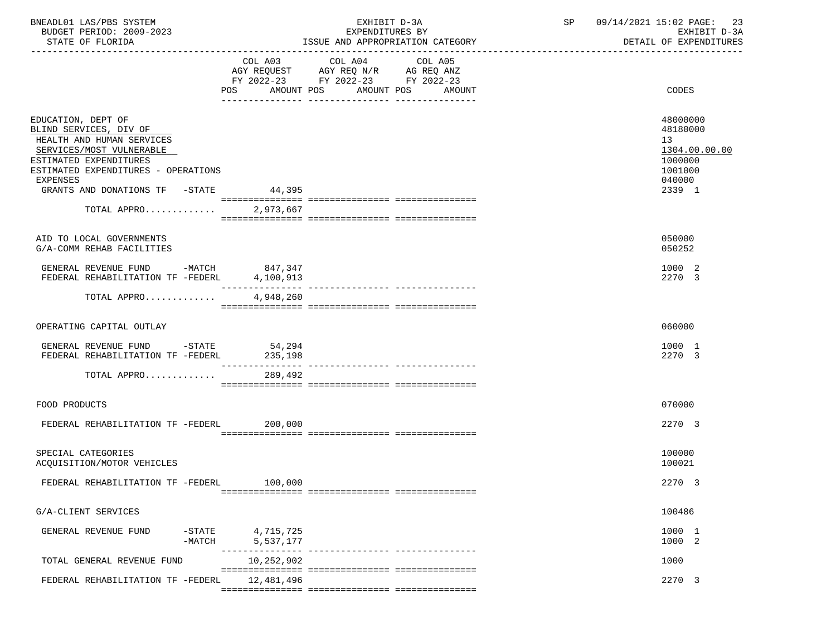| BNEADL01 LAS/PBS SYSTEM<br>BUDGET PERIOD: 2009-2023<br>STATE OF FLORIDA                                                                                                                                                                    |                             | EXHIBIT D-3A<br>EXPENDITURES BY<br>ISSUE AND APPROPRIATION CATEGORY                                                                         | 09/14/2021 15:02 PAGE: 23<br>SP<br>DETAIL OF EXPENDITURES                             | EXHIBIT D-3A |  |
|--------------------------------------------------------------------------------------------------------------------------------------------------------------------------------------------------------------------------------------------|-----------------------------|---------------------------------------------------------------------------------------------------------------------------------------------|---------------------------------------------------------------------------------------|--------------|--|
|                                                                                                                                                                                                                                            |                             | COL A03 COL A04<br>COL A05<br>AGY REQUEST AGY REQ N/R AG REQ ANZ<br>FY 2022-23 FY 2022-23 FY 2022-23<br>POS AMOUNT POS AMOUNT POS<br>AMOUNT | <b>CODES</b>                                                                          |              |  |
| EDUCATION, DEPT OF<br>BLIND SERVICES, DIV OF<br>HEALTH AND HUMAN SERVICES<br>SERVICES/MOST VULNERABLE<br>ESTIMATED EXPENDITURES<br>ESTIMATED EXPENDITURES - OPERATIONS<br>EXPENSES<br>GRANTS AND DONATIONS TF -STATE 44,395<br>TOTAL APPRO | 2,973,667                   |                                                                                                                                             | 48000000<br>48180000<br>13<br>1304.00.00.00<br>1000000<br>1001000<br>040000<br>2339 1 |              |  |
| AID TO LOCAL GOVERNMENTS<br>G/A-COMM REHAB FACILITIES                                                                                                                                                                                      |                             |                                                                                                                                             | 050000<br>050252                                                                      |              |  |
| GENERAL REVENUE FUND -MATCH 847,347<br>FEDERAL REHABILITATION TF -FEDERL                                                                                                                                                                   | 4,100,913                   |                                                                                                                                             | 1000 2<br>2270 3                                                                      |              |  |
| TOTAL APPRO                                                                                                                                                                                                                                | 4,948,260                   |                                                                                                                                             |                                                                                       |              |  |
| OPERATING CAPITAL OUTLAY                                                                                                                                                                                                                   |                             |                                                                                                                                             | 060000                                                                                |              |  |
| GENERAL REVENUE FUND -STATE 54,294<br>FEDERAL REHABILITATION TF -FEDERL 235,198<br>TOTAL APPRO                                                                                                                                             | ________________<br>289,492 | --------------- ---------------                                                                                                             | 1000 1<br>2270 3                                                                      |              |  |
| FOOD PRODUCTS                                                                                                                                                                                                                              |                             |                                                                                                                                             | 070000                                                                                |              |  |
| FEDERAL REHABILITATION TF -FEDERL 200,000                                                                                                                                                                                                  |                             |                                                                                                                                             | 2270 3                                                                                |              |  |
| SPECIAL CATEGORIES<br>ACQUISITION/MOTOR VEHICLES                                                                                                                                                                                           |                             |                                                                                                                                             | 100000<br>100021                                                                      |              |  |
| FEDERAL REHABILITATION TF -FEDERL                                                                                                                                                                                                          | 100,000                     |                                                                                                                                             | 2270 3                                                                                |              |  |
| G/A-CLIENT SERVICES                                                                                                                                                                                                                        |                             |                                                                                                                                             | 100486                                                                                |              |  |
| $-$ STATE<br>GENERAL REVENUE FUND<br>$-MATCH$                                                                                                                                                                                              | 4,715,725<br>5,537,177      |                                                                                                                                             | 1000 1<br>1000 2                                                                      |              |  |
| TOTAL GENERAL REVENUE FUND                                                                                                                                                                                                                 | 10,252,902                  | ---------------- ---------------                                                                                                            | 1000                                                                                  |              |  |
| FEDERAL REHABILITATION TF -FEDERL                                                                                                                                                                                                          | 12,481,496                  |                                                                                                                                             | 2270 3                                                                                |              |  |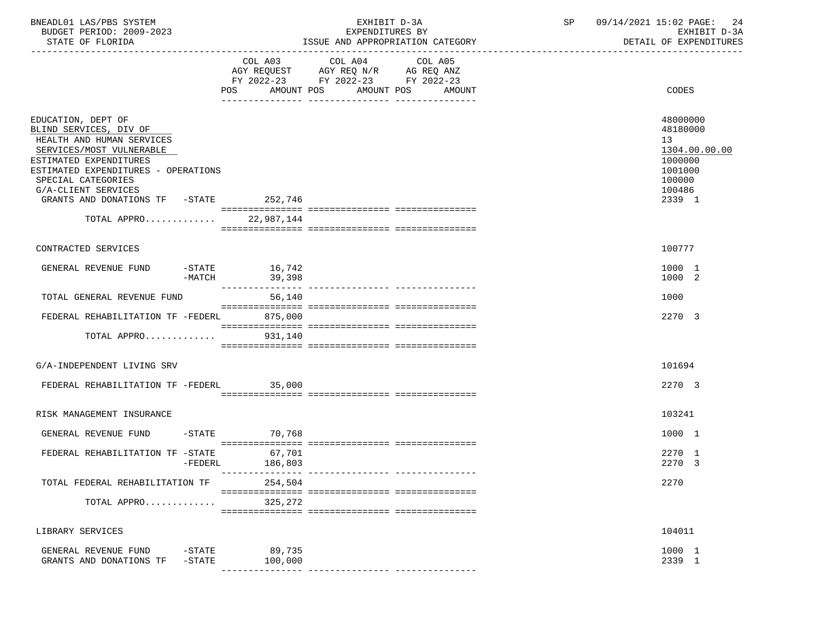| BNEADL01 LAS/PBS SYSTEM<br>BUDGET PERIOD: 2009-2023<br>STATE OF FLORIDA                                                                                                                                                                                       |                           | EXHIBIT D-3A<br>EXPENDITURES BY<br>ISSUE AND APPROPRIATION CATEGORY                                                                         | 09/14/2021 15:02 PAGE:<br>SP<br>-24<br>EXHIBIT D-3A<br>DETAIL OF EXPENDITURES                   |
|---------------------------------------------------------------------------------------------------------------------------------------------------------------------------------------------------------------------------------------------------------------|---------------------------|---------------------------------------------------------------------------------------------------------------------------------------------|-------------------------------------------------------------------------------------------------|
|                                                                                                                                                                                                                                                               |                           | COL A03 COL A04<br>COL A05<br>AGY REQUEST AGY REQ N/R AG REQ ANZ<br>FY 2022-23 FY 2022-23 FY 2022-23<br>POS AMOUNT POS AMOUNT POS<br>AMOUNT | CODES                                                                                           |
| EDUCATION, DEPT OF<br>BLIND SERVICES, DIV OF<br>HEALTH AND HUMAN SERVICES<br>SERVICES/MOST VULNERABLE<br>ESTIMATED EXPENDITURES<br>ESTIMATED EXPENDITURES - OPERATIONS<br>SPECIAL CATEGORIES<br>G/A-CLIENT SERVICES<br>GRANTS AND DONATIONS TF -STATE 252,746 |                           |                                                                                                                                             | 48000000<br>48180000<br>13<br>1304.00.00.00<br>1000000<br>1001000<br>100000<br>100486<br>2339 1 |
| TOTAL APPRO 22,987,144                                                                                                                                                                                                                                        |                           |                                                                                                                                             |                                                                                                 |
| CONTRACTED SERVICES                                                                                                                                                                                                                                           |                           |                                                                                                                                             | 100777                                                                                          |
| GENERAL REVENUE FUND<br>$-MATCH$                                                                                                                                                                                                                              | $-STATE$ 16,742<br>39,398 |                                                                                                                                             | 1000 1<br>1000 2                                                                                |
| TOTAL GENERAL REVENUE FUND                                                                                                                                                                                                                                    | 56,140                    |                                                                                                                                             | 1000                                                                                            |
| FEDERAL REHABILITATION TF -FEDERL 875,000<br>TOTAL APPRO                                                                                                                                                                                                      | 931,140                   |                                                                                                                                             | 2270 3                                                                                          |
|                                                                                                                                                                                                                                                               |                           |                                                                                                                                             |                                                                                                 |
| G/A-INDEPENDENT LIVING SRV                                                                                                                                                                                                                                    |                           |                                                                                                                                             | 101694                                                                                          |
| FEDERAL REHABILITATION TF -FEDERL 35,000                                                                                                                                                                                                                      |                           |                                                                                                                                             | 2270 3                                                                                          |
| RISK MANAGEMENT INSURANCE                                                                                                                                                                                                                                     |                           |                                                                                                                                             | 103241                                                                                          |
| GENERAL REVENUE FUND                                                                                                                                                                                                                                          | $-STATE$ 70,768           |                                                                                                                                             | 1000 1                                                                                          |
| FEDERAL REHABILITATION TF -STATE<br>-FEDERL                                                                                                                                                                                                                   | 67,701<br>186,803         |                                                                                                                                             | 2270 1<br>2270 3                                                                                |
| TOTAL FEDERAL REHABILITATION TF                                                                                                                                                                                                                               | 254,504                   |                                                                                                                                             | 2270                                                                                            |
| TOTAL APPRO                                                                                                                                                                                                                                                   | 325,272                   |                                                                                                                                             |                                                                                                 |
| LIBRARY SERVICES                                                                                                                                                                                                                                              |                           |                                                                                                                                             | 104011                                                                                          |
| GENERAL REVENUE FUND<br>-STATE<br>$-$ STATE<br>GRANTS AND DONATIONS TF                                                                                                                                                                                        | 89,735<br>100,000         |                                                                                                                                             | 1000 1<br>2339 1                                                                                |
|                                                                                                                                                                                                                                                               |                           |                                                                                                                                             |                                                                                                 |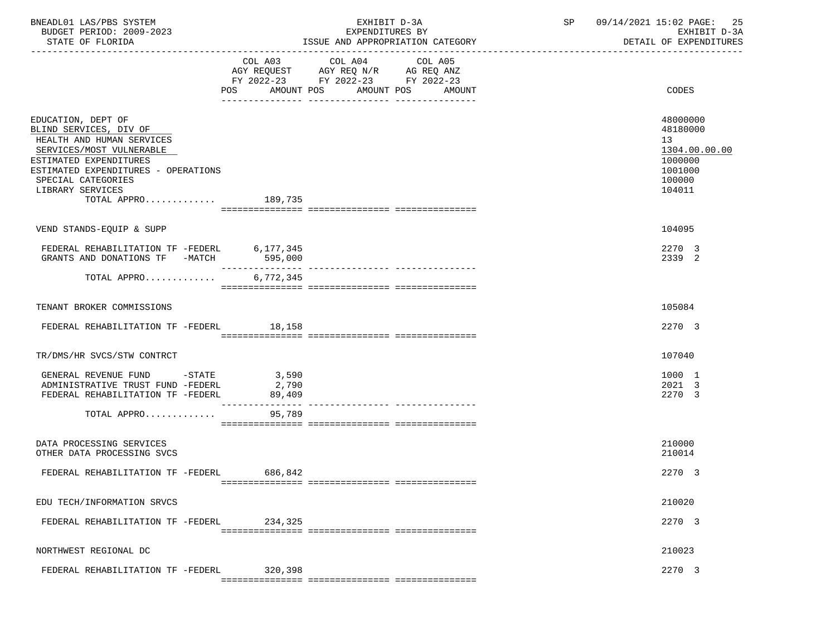| BNEADL01 LAS/PBS SYSTEM<br>BUDGET PERIOD: 2009-2023                                                                                                                                                                                     |                          | EXHIBIT D-3A<br>EXPENDITURES BY                                                                   | 09/14/2021 15:02 PAGE: 25<br>SP<br>EXHIBIT D-3A                                       |
|-----------------------------------------------------------------------------------------------------------------------------------------------------------------------------------------------------------------------------------------|--------------------------|---------------------------------------------------------------------------------------------------|---------------------------------------------------------------------------------------|
| STATE OF FLORIDA                                                                                                                                                                                                                        |                          | ISSUE AND APPROPRIATION CATEGORY                                                                  | DETAIL OF EXPENDITURES                                                                |
|                                                                                                                                                                                                                                         |                          | COL A03 COL A04 COL A05<br>AGY REQUEST AGY REQ N/R AG REQ ANZ<br>FY 2022-23 FY 2022-23 FY 2022-23 |                                                                                       |
|                                                                                                                                                                                                                                         |                          | POS AMOUNT POS AMOUNT POS<br>AMOUNT                                                               | CODES                                                                                 |
| EDUCATION, DEPT OF<br>BLIND SERVICES, DIV OF<br>HEALTH AND HUMAN SERVICES<br>SERVICES/MOST VULNERABLE<br>ESTIMATED EXPENDITURES<br>ESTIMATED EXPENDITURES - OPERATIONS<br>SPECIAL CATEGORIES<br>LIBRARY SERVICES<br>TOTAL APPRO 189,735 |                          |                                                                                                   | 48000000<br>48180000<br>13<br>1304.00.00.00<br>1000000<br>1001000<br>100000<br>104011 |
|                                                                                                                                                                                                                                         |                          |                                                                                                   |                                                                                       |
| VEND STANDS-EQUIP & SUPP                                                                                                                                                                                                                |                          |                                                                                                   | 104095                                                                                |
| FEDERAL REHABILITATION TF -FEDERL 6,177,345<br>GRANTS AND DONATIONS TF -MATCH 595,000                                                                                                                                                   | ________________         |                                                                                                   | 2270 3<br>2339 2                                                                      |
| TOTAL APPRO                                                                                                                                                                                                                             | 6,772,345                |                                                                                                   |                                                                                       |
| TENANT BROKER COMMISSIONS                                                                                                                                                                                                               |                          |                                                                                                   | 105084                                                                                |
| FEDERAL REHABILITATION TF -FEDERL 18,158                                                                                                                                                                                                |                          |                                                                                                   | 2270 3                                                                                |
| TR/DMS/HR SVCS/STW CONTRCT                                                                                                                                                                                                              |                          |                                                                                                   | 107040                                                                                |
| GENERAL REVENUE FUND -STATE<br>ADMINISTRATIVE TRUST FUND -FEDERL<br>FEDERAL REHABILITATION TF -FEDERL                                                                                                                                   | 3,590<br>2,790<br>89,409 |                                                                                                   | 1000 1<br>2021 3<br>2270 3                                                            |
| TOTAL APPRO                                                                                                                                                                                                                             | 95,789                   |                                                                                                   |                                                                                       |
| DATA PROCESSING SERVICES<br>OTHER DATA PROCESSING SVCS                                                                                                                                                                                  |                          |                                                                                                   | 210000<br>210014                                                                      |
| FEDERAL REHABILITATION TF -FEDERL                                                                                                                                                                                                       | 686,842                  |                                                                                                   | 2270 3                                                                                |
| EDU TECH/INFORMATION SRVCS                                                                                                                                                                                                              |                          |                                                                                                   | 210020                                                                                |
| FEDERAL REHABILITATION TF -FEDERL                                                                                                                                                                                                       | 234,325                  |                                                                                                   | 2270 3                                                                                |
| NORTHWEST REGIONAL DC                                                                                                                                                                                                                   |                          |                                                                                                   | 210023                                                                                |
| FEDERAL REHABILITATION TF -FEDERL                                                                                                                                                                                                       | 320,398                  |                                                                                                   | 2270 3                                                                                |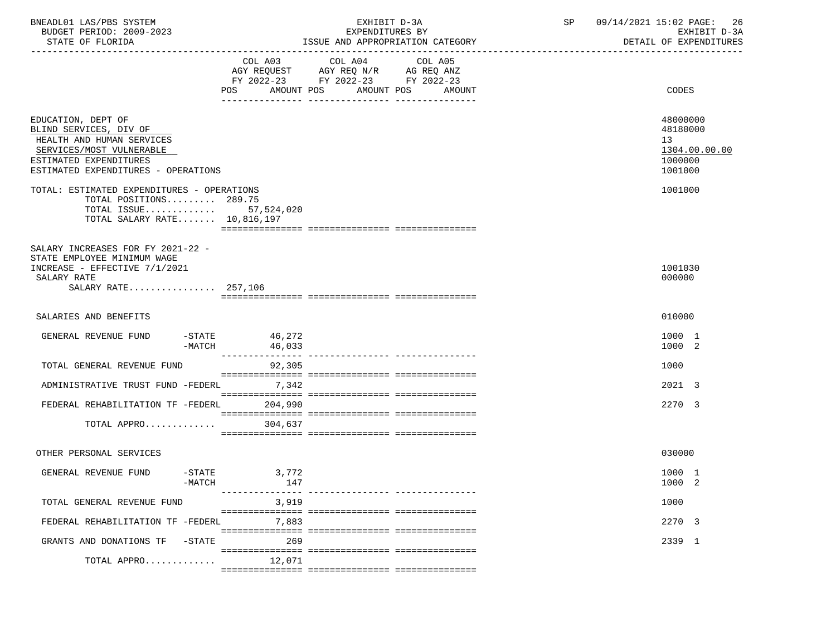| BNEADL01 LAS/PBS SYSTEM<br>BUDGET PERIOD: 2009-2023<br>STATE OF FLORIDA                                                                                                |                                | EXHIBIT D-3A<br>EXPENDITURES BY<br>ISSUE AND APPROPRIATION CATEGORY                                                                      | SP 09/14/2021 15:02 PAGE: 26<br>EXHIBIT D-3A<br>DETAIL OF EXPENDITURES |                                                                   |  |
|------------------------------------------------------------------------------------------------------------------------------------------------------------------------|--------------------------------|------------------------------------------------------------------------------------------------------------------------------------------|------------------------------------------------------------------------|-------------------------------------------------------------------|--|
|                                                                                                                                                                        |                                | COL A03 COL A04<br>COL A05<br>AGY REQUEST AGY REQ N/R AG REQ ANZ<br>FY 2022-23 FY 2022-23 FY 2022-23<br>POS AMOUNT POS AMOUNT POS AMOUNT |                                                                        | <b>CODES</b>                                                      |  |
| EDUCATION, DEPT OF<br>BLIND SERVICES, DIV OF<br>HEALTH AND HUMAN SERVICES<br>SERVICES/MOST VULNERABLE<br>ESTIMATED EXPENDITURES<br>ESTIMATED EXPENDITURES - OPERATIONS |                                |                                                                                                                                          |                                                                        | 48000000<br>48180000<br>13<br>1304.00.00.00<br>1000000<br>1001000 |  |
| TOTAL: ESTIMATED EXPENDITURES - OPERATIONS<br>TOTAL POSITIONS 289.75<br>TOTAL ISSUE 57,524,020<br>TOTAL SALARY RATE 10,816,197                                         |                                |                                                                                                                                          |                                                                        | 1001000                                                           |  |
| SALARY INCREASES FOR FY 2021-22 -<br>STATE EMPLOYEE MINIMUM WAGE<br>INCREASE - EFFECTIVE 7/1/2021<br>SALARY RATE<br>SALARY RATE 257,106                                |                                |                                                                                                                                          |                                                                        | 1001030<br>000000                                                 |  |
| SALARIES AND BENEFITS                                                                                                                                                  |                                |                                                                                                                                          |                                                                        | 010000                                                            |  |
| GENERAL REVENUE FUND<br>$-MATCH$                                                                                                                                       | $-STATE$ 46, 272<br>46,033     |                                                                                                                                          |                                                                        | 1000 1<br>1000 2                                                  |  |
| TOTAL GENERAL REVENUE FUND                                                                                                                                             | 92,305                         |                                                                                                                                          |                                                                        | 1000                                                              |  |
| ADMINISTRATIVE TRUST FUND -FEDERL                                                                                                                                      | 7,342                          |                                                                                                                                          |                                                                        | 2021 3                                                            |  |
| FEDERAL REHABILITATION TF -FEDERL 204,990                                                                                                                              |                                |                                                                                                                                          |                                                                        | 2270 3                                                            |  |
| TOTAL APPRO                                                                                                                                                            | 304,637                        |                                                                                                                                          |                                                                        |                                                                   |  |
| OTHER PERSONAL SERVICES                                                                                                                                                |                                |                                                                                                                                          |                                                                        | 030000                                                            |  |
| GENERAL REVENUE FUND<br>$-$ STATE<br>$-MATCH$                                                                                                                          | 3,772<br>147<br>-------------- |                                                                                                                                          |                                                                        | 1000 1<br>1000 2                                                  |  |
| TOTAL GENERAL REVENUE FUND                                                                                                                                             | 3,919                          |                                                                                                                                          |                                                                        | 1000                                                              |  |
| FEDERAL REHABILITATION TF -FEDERL                                                                                                                                      | 7,883                          |                                                                                                                                          |                                                                        | 2270 3                                                            |  |
| -STATE<br>GRANTS AND DONATIONS TF                                                                                                                                      | 269                            |                                                                                                                                          |                                                                        | 2339 1                                                            |  |
| TOTAL APPRO                                                                                                                                                            | 12,071                         |                                                                                                                                          |                                                                        |                                                                   |  |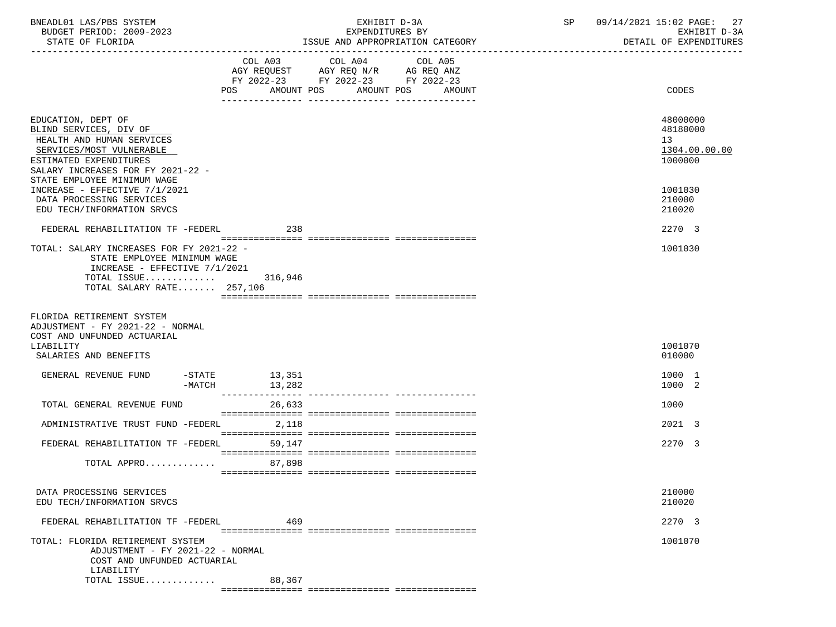| BNEADL01 LAS/PBS SYSTEM<br>BUDGET PERIOD: 2009-2023                                                                                                                                                                                  |                                                                                                                        | EXHIBIT D-3A<br>EXPENDITURES BY  | 09/14/2021 15:02 PAGE: 27<br>SP<br>EXHIBIT D-3A                   |
|--------------------------------------------------------------------------------------------------------------------------------------------------------------------------------------------------------------------------------------|------------------------------------------------------------------------------------------------------------------------|----------------------------------|-------------------------------------------------------------------|
| STATE OF FLORIDA                                                                                                                                                                                                                     |                                                                                                                        | ISSUE AND APPROPRIATION CATEGORY | DETAIL OF EXPENDITURES                                            |
|                                                                                                                                                                                                                                      | COL A03 COL A04<br>AGY REQUEST AGY REQ N/R AG REQ ANZ<br>FY 2022-23 FY 2022-23 FY 2022-23<br>POS AMOUNT POS AMOUNT POS | COL A05<br>AMOUNT                | CODES                                                             |
| EDUCATION, DEPT OF<br>BLIND SERVICES, DIV OF<br>HEALTH AND HUMAN SERVICES<br>SERVICES/MOST VULNERABLE<br>ESTIMATED EXPENDITURES<br>SALARY INCREASES FOR FY 2021-22 -<br>STATE EMPLOYEE MINIMUM WAGE<br>INCREASE - EFFECTIVE 7/1/2021 |                                                                                                                        |                                  | 48000000<br>48180000<br>13<br>1304.00.00.00<br>1000000<br>1001030 |
| DATA PROCESSING SERVICES<br>EDU TECH/INFORMATION SRVCS                                                                                                                                                                               |                                                                                                                        |                                  | 210000<br>210020                                                  |
| FEDERAL REHABILITATION TF -FEDERL 238                                                                                                                                                                                                |                                                                                                                        |                                  | 2270 3                                                            |
| TOTAL: SALARY INCREASES FOR FY 2021-22 -<br>STATE EMPLOYEE MINIMUM WAGE<br>INCREASE - EFFECTIVE $7/1/2021$<br>TOTAL ISSUE $316,946$<br>TOTAL SALARY RATE 257,106                                                                     |                                                                                                                        |                                  | 1001030                                                           |
| FLORIDA RETIREMENT SYSTEM<br>ADJUSTMENT - FY 2021-22 - NORMAL<br>COST AND UNFUNDED ACTUARIAL<br>LIABILITY<br>SALARIES AND BENEFITS                                                                                                   |                                                                                                                        |                                  | 1001070<br>010000                                                 |
| GENERAL REVENUE FUND<br>-MATCH                                                                                                                                                                                                       | -STATE 13,351<br>13,282                                                                                                |                                  | 1000 1<br>1000 2                                                  |
| TOTAL GENERAL REVENUE FUND                                                                                                                                                                                                           | 26,633                                                                                                                 |                                  | 1000                                                              |
| ADMINISTRATIVE TRUST FUND -FEDERL 2,118                                                                                                                                                                                              |                                                                                                                        |                                  | 2021 3                                                            |
| FEDERAL REHABILITATION TF -FEDERL                                                                                                                                                                                                    | 59,147                                                                                                                 |                                  | 2270 3                                                            |
| TOTAL APPRO 87,898                                                                                                                                                                                                                   |                                                                                                                        |                                  |                                                                   |
| DATA PROCESSING SERVICES<br>EDU TECH/INFORMATION SRVCS                                                                                                                                                                               |                                                                                                                        |                                  | 210000<br>210020                                                  |
| FEDERAL REHABILITATION TF -FEDERL                                                                                                                                                                                                    | 469                                                                                                                    |                                  | 2270 3                                                            |
| TOTAL: FLORIDA RETIREMENT SYSTEM<br>ADJUSTMENT - FY 2021-22 - NORMAL<br>COST AND UNFUNDED ACTUARIAL<br>LIABILITY                                                                                                                     |                                                                                                                        |                                  | 1001070                                                           |
| TOTAL ISSUE                                                                                                                                                                                                                          | 88,367                                                                                                                 |                                  |                                                                   |
|                                                                                                                                                                                                                                      |                                                                                                                        |                                  |                                                                   |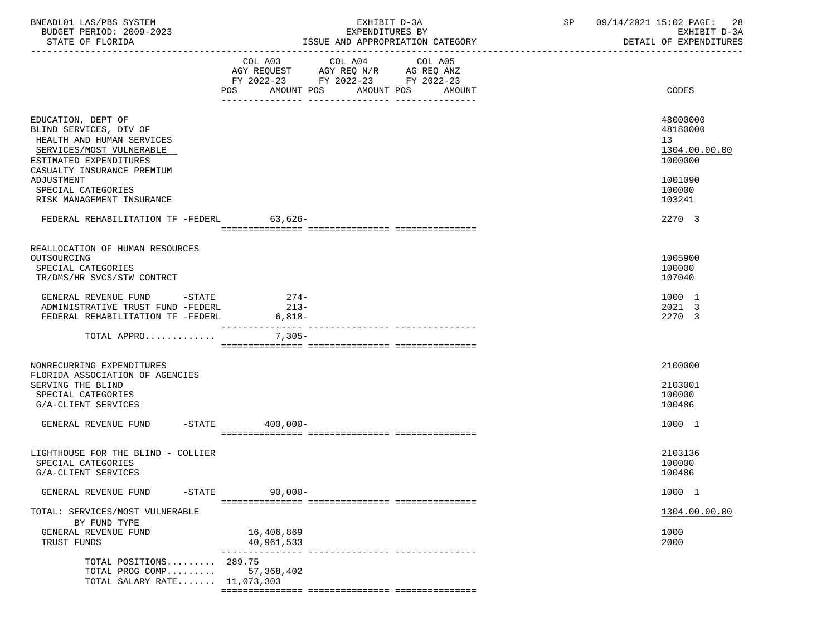| BNEADL01 LAS/PBS SYSTEM<br>BUDGET PERIOD: 2009-2023                                                                                                                                                                            | EXHIBIT D-3A<br>EXPENDITURES BY                                                                                                          | 09/14/2021 15:02 PAGE: 28<br>SP<br>EXHIBIT D-3A                                       |
|--------------------------------------------------------------------------------------------------------------------------------------------------------------------------------------------------------------------------------|------------------------------------------------------------------------------------------------------------------------------------------|---------------------------------------------------------------------------------------|
| STATE OF FLORIDA                                                                                                                                                                                                               | ISSUE AND APPROPRIATION CATEGORY                                                                                                         | DETAIL OF EXPENDITURES                                                                |
|                                                                                                                                                                                                                                | COL A03 COL A04<br>COL A05<br>AGY REQUEST AGY REQ N/R AG REQ ANZ<br>FY 2022-23 FY 2022-23 FY 2022-23<br>POS AMOUNT POS AMOUNT POS AMOUNT | CODES                                                                                 |
| EDUCATION, DEPT OF<br>BLIND SERVICES, DIV OF<br>HEALTH AND HUMAN SERVICES<br>SERVICES/MOST VULNERABLE<br>ESTIMATED EXPENDITURES<br>CASUALTY INSURANCE PREMIUM<br>ADJUSTMENT<br>SPECIAL CATEGORIES<br>RISK MANAGEMENT INSURANCE |                                                                                                                                          | 48000000<br>48180000<br>13<br>1304.00.00.00<br>1000000<br>1001090<br>100000<br>103241 |
| FEDERAL REHABILITATION TF -FEDERL 63,626-                                                                                                                                                                                      |                                                                                                                                          | 2270 3                                                                                |
| REALLOCATION OF HUMAN RESOURCES<br>OUTSOURCING<br>SPECIAL CATEGORIES<br>TR/DMS/HR SVCS/STW CONTRCT<br>GENERAL REVENUE FUND -STATE<br>ADMINISTRATIVE TRUST FUND -FEDERL<br>FEDERAL REHABILITATION TF -FEDERL                    | $274-$<br>$213-$<br>$6,818-$                                                                                                             | 1005900<br>100000<br>107040<br>1000 1<br>2021 3<br>2270 3                             |
| TOTAL APPRO                                                                                                                                                                                                                    | 7,305-                                                                                                                                   |                                                                                       |
| NONRECURRING EXPENDITURES<br>FLORIDA ASSOCIATION OF AGENCIES<br>SERVING THE BLIND<br>SPECIAL CATEGORIES<br>G/A-CLIENT SERVICES<br>GENERAL REVENUE FUND -STATE 400.000-                                                         |                                                                                                                                          | 2100000<br>2103001<br>100000<br>100486<br>1000 1                                      |
|                                                                                                                                                                                                                                |                                                                                                                                          |                                                                                       |
| LIGHTHOUSE FOR THE BLIND - COLLIER<br>SPECIAL CATEGORIES<br>G/A-CLIENT SERVICES                                                                                                                                                |                                                                                                                                          | 2103136<br>100000<br>100486                                                           |
| GENERAL REVENUE FUND<br>$-$ STATE                                                                                                                                                                                              | $90,000 -$                                                                                                                               | 1000 1                                                                                |
| TOTAL: SERVICES/MOST VULNERABLE<br>BY FUND TYPE<br>GENERAL REVENUE FUND<br>TRUST FUNDS                                                                                                                                         | 16,406,869<br>40,961,533<br>---------------- ----------------                                                                            | 1304.00.00.00<br>1000<br>2000                                                         |
| TOTAL POSITIONS 289.75<br>TOTAL PROG COMP<br>TOTAL SALARY RATE 11,073,303                                                                                                                                                      | 57,368,402                                                                                                                               |                                                                                       |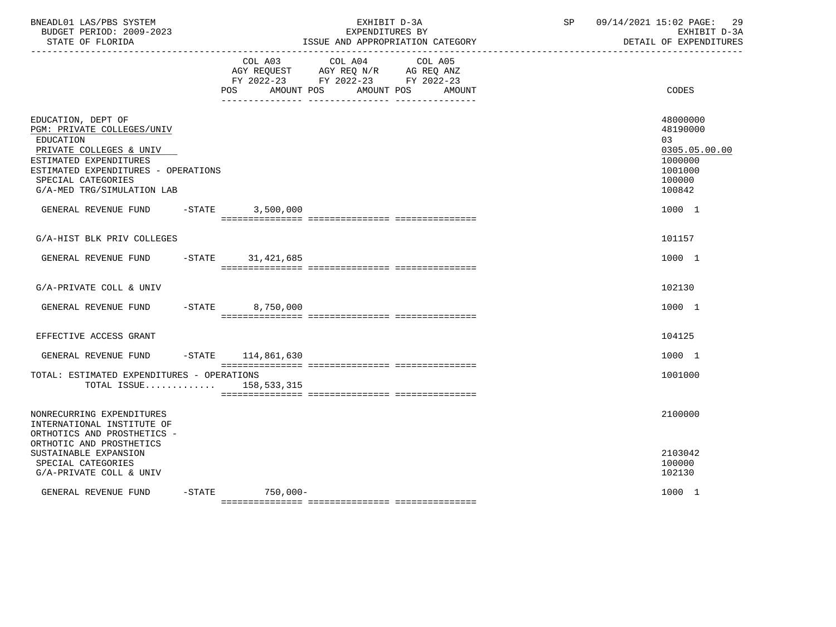| BUDGET PERIOD: 2009-2023<br>STATE OF FLORIDA<br>-------------------                                                                                                                                           |           |                      | EXHIBIT D-3A<br>EXPENDITURES BY<br>ISSUE AND APPROPRIATION CATEGORY                                                          | SP | 09/14/2021 15:02 PAGE:<br>-29<br>EXHIBIT D-3A<br>DETAIL OF EXPENDITURES               |
|---------------------------------------------------------------------------------------------------------------------------------------------------------------------------------------------------------------|-----------|----------------------|------------------------------------------------------------------------------------------------------------------------------|----|---------------------------------------------------------------------------------------|
|                                                                                                                                                                                                               |           | POS<br>AMOUNT POS    | COL A03 COL A04<br>COL A05<br>AGY REQUEST AGY REQ N/R AG REQ ANZ<br>FY 2022-23 FY 2022-23 FY 2022-23<br>AMOUNT POS<br>AMOUNT |    | CODES                                                                                 |
| EDUCATION, DEPT OF<br>PGM: PRIVATE COLLEGES/UNIV<br>EDUCATION<br>PRIVATE COLLEGES & UNIV<br>ESTIMATED EXPENDITURES<br>ESTIMATED EXPENDITURES - OPERATIONS<br>SPECIAL CATEGORIES<br>G/A-MED TRG/SIMULATION LAB |           |                      |                                                                                                                              |    | 48000000<br>48190000<br>03<br>0305.05.00.00<br>1000000<br>1001000<br>100000<br>100842 |
| GENERAL REVENUE FUND                                                                                                                                                                                          | $-STATE$  | 3,500,000            |                                                                                                                              |    | 1000 1                                                                                |
| G/A-HIST BLK PRIV COLLEGES                                                                                                                                                                                    |           |                      |                                                                                                                              |    | 101157                                                                                |
| GENERAL REVENUE FUND -STATE 31,421,685                                                                                                                                                                        |           |                      |                                                                                                                              |    | 1000 1                                                                                |
| G/A-PRIVATE COLL & UNIV                                                                                                                                                                                       |           |                      |                                                                                                                              |    | 102130                                                                                |
| GENERAL REVENUE FUND -STATE 8,750,000                                                                                                                                                                         |           |                      |                                                                                                                              |    | 1000 1                                                                                |
| EFFECTIVE ACCESS GRANT                                                                                                                                                                                        |           |                      |                                                                                                                              |    | 104125                                                                                |
| GENERAL REVENUE FUND                                                                                                                                                                                          |           | $-STATE$ 114,861,630 |                                                                                                                              |    | 1000 1                                                                                |
| TOTAL: ESTIMATED EXPENDITURES - OPERATIONS<br>TOTAL ISSUE $158,533,315$                                                                                                                                       |           |                      |                                                                                                                              |    | 1001000                                                                               |
| NONRECURRING EXPENDITURES<br>INTERNATIONAL INSTITUTE OF<br>ORTHOTICS AND PROSTHETICS -<br>ORTHOTIC AND PROSTHETICS                                                                                            |           |                      |                                                                                                                              |    | 2100000                                                                               |
| SUSTAINABLE EXPANSION<br>SPECIAL CATEGORIES<br>G/A-PRIVATE COLL & UNIV                                                                                                                                        |           |                      |                                                                                                                              |    | 2103042<br>100000<br>102130                                                           |
| GENERAL REVENUE FUND                                                                                                                                                                                          | $-$ STATE | 750,000-             |                                                                                                                              |    | 1000 1                                                                                |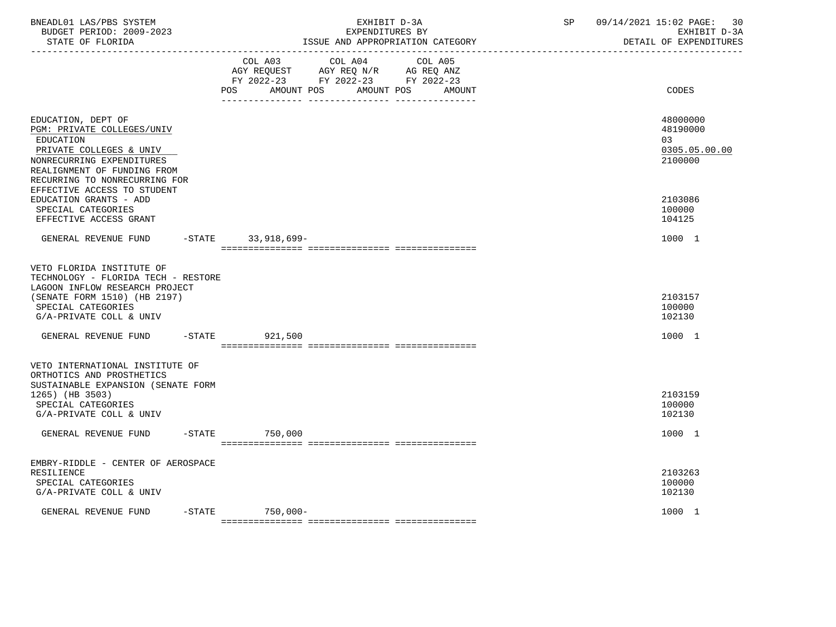| BNEADL01 LAS/PBS SYSTEM<br>BUDGET PERIOD: 2009-2023<br>STATE OF FLORIDA<br>. _ _ _ _ _ _ _ _ _ _ _ _ _ _ _ _ _                                                                        |           | EXHIBIT D-3A<br>EXPENDITURES BY<br>ISSUE AND APPROPRIATION CATEGORY |                                                                                           |                                 | 09/14/2021 15:02 PAGE:<br>SP<br>DETAIL OF EXPENDITURES |                                                         |  |
|---------------------------------------------------------------------------------------------------------------------------------------------------------------------------------------|-----------|---------------------------------------------------------------------|-------------------------------------------------------------------------------------------|---------------------------------|--------------------------------------------------------|---------------------------------------------------------|--|
|                                                                                                                                                                                       |           | POS<br>AMOUNT POS                                                   | COL A03 COL A04<br>AGY REQUEST AGY REQ N/R AG REQ ANZ<br>FY 2022-23 FY 2022-23 FY 2022-23 | COL A05<br>AMOUNT POS<br>AMOUNT |                                                        | CODES                                                   |  |
| EDUCATION, DEPT OF<br>PGM: PRIVATE COLLEGES/UNIV<br>EDUCATION<br>PRIVATE COLLEGES & UNIV<br>NONRECURRING EXPENDITURES<br>REALIGNMENT OF FUNDING FROM<br>RECURRING TO NONRECURRING FOR |           |                                                                     |                                                                                           |                                 |                                                        | 48000000<br>48190000<br>0.3<br>0305.05.00.00<br>2100000 |  |
| EFFECTIVE ACCESS TO STUDENT<br>EDUCATION GRANTS - ADD<br>SPECIAL CATEGORIES<br>EFFECTIVE ACCESS GRANT                                                                                 |           |                                                                     |                                                                                           |                                 |                                                        | 2103086<br>100000<br>104125                             |  |
| GENERAL REVENUE FUND -STATE 33,918,699-                                                                                                                                               |           |                                                                     |                                                                                           |                                 |                                                        | 1000 1                                                  |  |
| VETO FLORIDA INSTITUTE OF<br>TECHNOLOGY - FLORIDA TECH - RESTORE<br>LAGOON INFLOW RESEARCH PROJECT<br>(SENATE FORM 1510) (HB 2197)<br>SPECIAL CATEGORIES<br>G/A-PRIVATE COLL & UNIV   |           |                                                                     |                                                                                           |                                 |                                                        | 2103157<br>100000<br>102130                             |  |
| GENERAL REVENUE FUND                                                                                                                                                                  | $-$ STATE | 921,500                                                             |                                                                                           |                                 |                                                        | 1000 1                                                  |  |
| VETO INTERNATIONAL INSTITUTE OF<br>ORTHOTICS AND PROSTHETICS<br>SUSTAINABLE EXPANSION (SENATE FORM<br>1265) (HB 3503)<br>SPECIAL CATEGORIES<br>G/A-PRIVATE COLL & UNIV                |           |                                                                     |                                                                                           |                                 |                                                        | 2103159<br>100000<br>102130                             |  |
| GENERAL REVENUE FUND                                                                                                                                                                  |           | -STATE 750,000                                                      |                                                                                           |                                 |                                                        | 1000 1                                                  |  |
| EMBRY-RIDDLE - CENTER OF AEROSPACE<br>RESILIENCE<br>SPECIAL CATEGORIES<br>G/A-PRIVATE COLL & UNIV                                                                                     |           |                                                                     |                                                                                           |                                 |                                                        | 2103263<br>100000<br>102130                             |  |
| GENERAL REVENUE FUND                                                                                                                                                                  | $-$ STATE | 750,000-                                                            |                                                                                           |                                 |                                                        | 1000 1                                                  |  |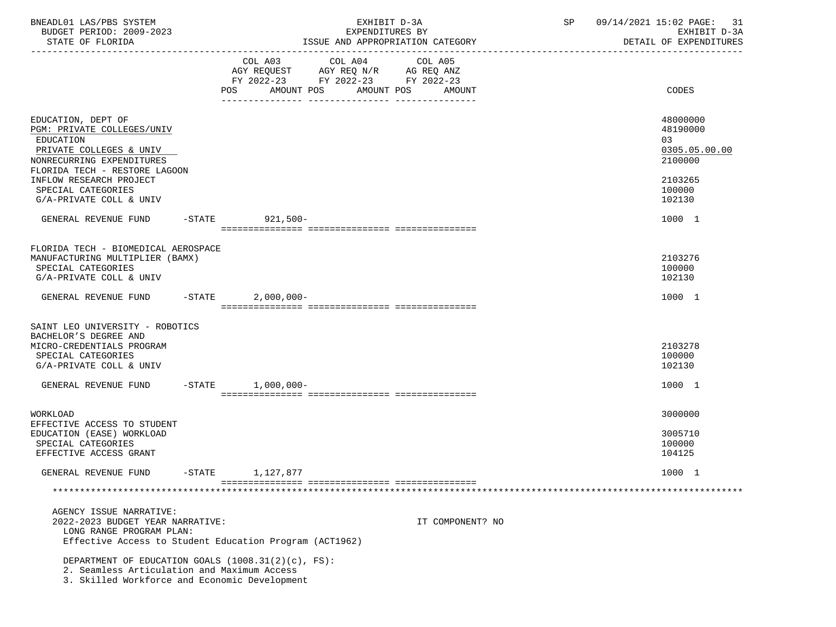| BNEADL01 LAS/PBS SYSTEM<br>BUDGET PERIOD: 2009-2023<br>STATE OF FLORIDA                                                                                                           |           |                                                                                                                | EXHIBIT D-3A<br>EXPENDITURES BY<br>ISSUE AND APPROPRIATION CATEGORY |                   | SP | 09/14/2021 15:02 PAGE:<br>31<br>EXHIBIT D-3A<br>DETAIL OF EXPENDITURES |
|-----------------------------------------------------------------------------------------------------------------------------------------------------------------------------------|-----------|----------------------------------------------------------------------------------------------------------------|---------------------------------------------------------------------|-------------------|----|------------------------------------------------------------------------|
|                                                                                                                                                                                   |           | COL A03 COL A04<br>AGY REQUEST AGY REQ N/R AG REQ ANZ<br>FY 2022-23 FY 2022-23 FY 2022-23<br>AMOUNT POS<br>POS | AMOUNT POS                                                          | COL A05<br>AMOUNT |    | CODES                                                                  |
| EDUCATION, DEPT OF<br>PGM: PRIVATE COLLEGES/UNIV<br>EDUCATION<br>PRIVATE COLLEGES & UNIV<br>NONRECURRING EXPENDITURES<br>FLORIDA TECH - RESTORE LAGOON<br>INFLOW RESEARCH PROJECT |           |                                                                                                                |                                                                     |                   |    | 48000000<br>48190000<br>03<br>0305.05.00.00<br>2100000<br>2103265      |
| SPECIAL CATEGORIES<br>G/A-PRIVATE COLL & UNIV                                                                                                                                     |           |                                                                                                                |                                                                     |                   |    | 100000<br>102130                                                       |
| GENERAL REVENUE FUND                                                                                                                                                              |           | -STATE 921,500-                                                                                                |                                                                     |                   |    | 1000 1                                                                 |
| FLORIDA TECH - BIOMEDICAL AEROSPACE<br>MANUFACTURING MULTIPLIER (BAMX)<br>SPECIAL CATEGORIES<br>G/A-PRIVATE COLL & UNIV                                                           |           |                                                                                                                |                                                                     |                   |    | 2103276<br>100000<br>102130                                            |
| GENERAL REVENUE FUND                                                                                                                                                              | $-STATE$  | $2,000,000-$                                                                                                   |                                                                     |                   |    | 1000 1                                                                 |
| SAINT LEO UNIVERSITY - ROBOTICS<br>BACHELOR'S DEGREE AND<br>MICRO-CREDENTIALS PROGRAM<br>SPECIAL CATEGORIES<br>G/A-PRIVATE COLL & UNIV                                            |           |                                                                                                                |                                                                     |                   |    | 2103278<br>100000<br>102130                                            |
| GENERAL REVENUE FUND                                                                                                                                                              | $-STATE$  | $1,000,000-$                                                                                                   |                                                                     |                   |    | 1000 1                                                                 |
| WORKLOAD<br>EFFECTIVE ACCESS TO STUDENT<br>EDUCATION (EASE) WORKLOAD<br>SPECIAL CATEGORIES<br>EFFECTIVE ACCESS GRANT                                                              |           |                                                                                                                |                                                                     |                   |    | 3000000<br>3005710<br>100000<br>104125                                 |
| GENERAL REVENUE FUND                                                                                                                                                              | $-$ STATE | 1,127,877                                                                                                      |                                                                     |                   |    | 1000 1                                                                 |
|                                                                                                                                                                                   |           |                                                                                                                |                                                                     |                   |    |                                                                        |
| AGENCY ISSUE NARRATIVE:<br>2022-2023 BUDGET YEAR NARRATIVE:<br>LONG RANGE PROGRAM PLAN:<br>Effective Access to Student Education Program (ACT1962)                                |           |                                                                                                                |                                                                     | IT COMPONENT? NO  |    |                                                                        |
| DEPARTMENT OF EDUCATION GOALS $(1008.31(2)(c), FS)$ :<br>2. Seamless Articulation and Maximum Access<br>3. Skilled Workforce and Economic Development                             |           |                                                                                                                |                                                                     |                   |    |                                                                        |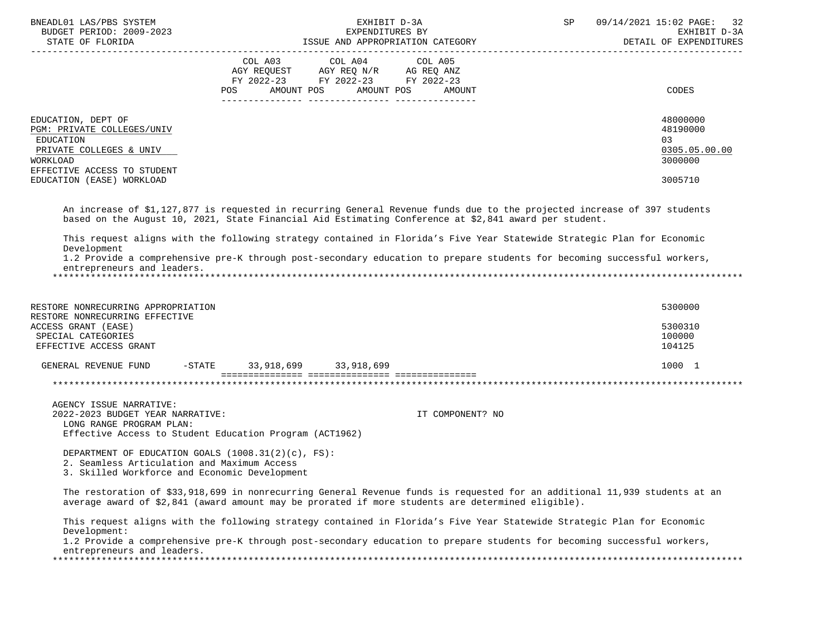| BNEADL01 LAS/PBS SYSTEM<br>BUDGET PERIOD: 2009-2023<br>STATE OF FLORIDA                                                                                          | EXHIBIT D-3A<br>EXPENDITURES BY<br>ISSUE AND APPROPRIATION CATEGORY                                                                               | 09/14/2021 15:02 PAGE: 32<br>SP<br>EXHIBIT D-3A<br>DETAIL OF EXPENDITURES         |
|------------------------------------------------------------------------------------------------------------------------------------------------------------------|---------------------------------------------------------------------------------------------------------------------------------------------------|-----------------------------------------------------------------------------------|
| EDUCATION, DEPT OF<br>PGM: PRIVATE COLLEGES/UNIV<br>EDUCATION<br>PRIVATE COLLEGES & UNIV<br>WORKLOAD<br>EFFECTIVE ACCESS TO STUDENT<br>EDUCATION (EASE) WORKLOAD | COL A03 COL A04 COL A05<br>AGY REQUEST AGY REQ N/R AG REQ ANZ<br>FY 2022-23 FY 2022-23<br>FY 2022-23<br>AMOUNT POS<br>AMOUNT POS<br>POS<br>AMOUNT | <b>CODES</b><br>48000000<br>48190000<br>03<br>0305.05.00.00<br>3000000<br>3005710 |
|                                                                                                                                                                  |                                                                                                                                                   |                                                                                   |

 An increase of \$1,127,877 is requested in recurring General Revenue funds due to the projected increase of 397 students based on the August 10, 2021, State Financial Aid Estimating Conference at \$2,841 award per student.

 This request aligns with the following strategy contained in Florida's Five Year Statewide Strategic Plan for Economic Development

 1.2 Provide a comprehensive pre-K through post-secondary education to prepare students for becoming successful workers, entrepreneurs and leaders.

\*\*\*\*\*\*\*\*\*\*\*\*\*\*\*\*\*\*\*\*\*\*\*\*\*\*\*\*\*\*\*\*\*\*\*\*\*\*\*\*\*\*\*\*\*\*\*\*\*\*\*\*\*\*\*\*\*\*\*\*\*\*\*\*\*\*\*\*\*\*\*\*\*\*\*\*\*\*\*\*\*\*\*\*\*\*\*\*\*\*\*\*\*\*\*\*\*\*\*\*\*\*\*\*\*\*\*\*\*\*\*\*\*\*\*\*\*\*\*\*\*\*\*\*\*\*\*

| RESTORE NONRECURRING APPROPRIATION<br>RESTORE NONRECURRING EFFECTIVE |           |            |            | 5300000                     |
|----------------------------------------------------------------------|-----------|------------|------------|-----------------------------|
| ACCESS GRANT (EASE)<br>SPECIAL CATEGORIES<br>EFFECTIVE ACCESS GRANT  |           |            |            | 5300310<br>100000<br>104125 |
| GENERAL REVENUE FUND                                                 | $-$ STATE | 33,918,699 | 33,918,699 | 1000 1                      |
|                                                                      |           |            |            |                             |

 AGENCY ISSUE NARRATIVE: 2022-2023 BUDGET YEAR NARRATIVE: IT COMPONENT? NO LONG RANGE PROGRAM PLAN: Effective Access to Student Education Program (ACT1962)

 DEPARTMENT OF EDUCATION GOALS (1008.31(2)(c), FS): 2. Seamless Articulation and Maximum Access 3. Skilled Workforce and Economic Development

 The restoration of \$33,918,699 in nonrecurring General Revenue funds is requested for an additional 11,939 students at an average award of \$2,841 (award amount may be prorated if more students are determined eligible).

 This request aligns with the following strategy contained in Florida's Five Year Statewide Strategic Plan for Economic Development:

 1.2 Provide a comprehensive pre-K through post-secondary education to prepare students for becoming successful workers, entrepreneurs and leaders. \*\*\*\*\*\*\*\*\*\*\*\*\*\*\*\*\*\*\*\*\*\*\*\*\*\*\*\*\*\*\*\*\*\*\*\*\*\*\*\*\*\*\*\*\*\*\*\*\*\*\*\*\*\*\*\*\*\*\*\*\*\*\*\*\*\*\*\*\*\*\*\*\*\*\*\*\*\*\*\*\*\*\*\*\*\*\*\*\*\*\*\*\*\*\*\*\*\*\*\*\*\*\*\*\*\*\*\*\*\*\*\*\*\*\*\*\*\*\*\*\*\*\*\*\*\*\*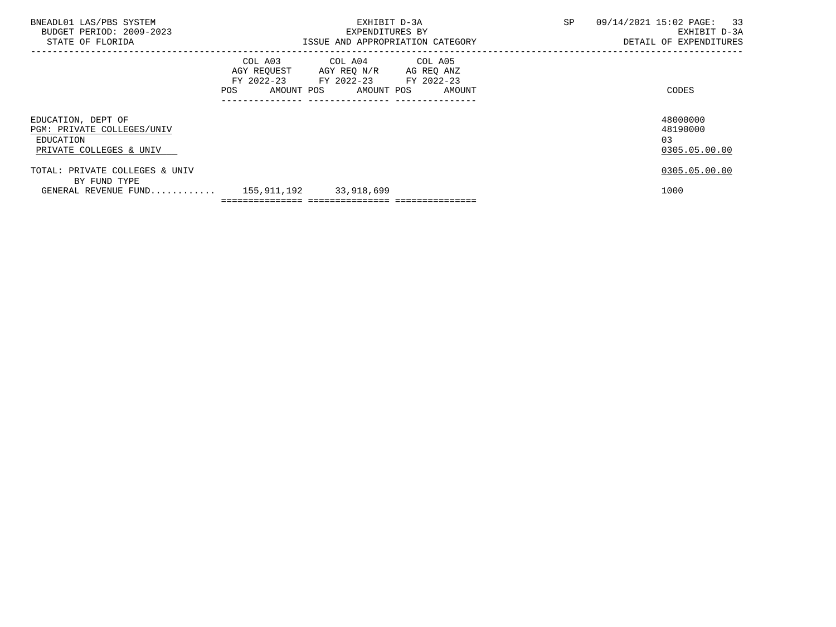| BNEADL01 LAS/PBS SYSTEM<br>BUDGET PERIOD: 2009-2023<br>STATE OF FLORIDA                       | EXHIBIT D-3A<br>EXPENDITURES BY<br>ISSUE AND APPROPRIATION CATEGORY |                                                                                                                                   |  | SP | 09/14/2021 15:02 PAGE: 33<br>EXHIBIT D-3A<br>DETAIL OF EXPENDITURES |  |
|-----------------------------------------------------------------------------------------------|---------------------------------------------------------------------|-----------------------------------------------------------------------------------------------------------------------------------|--|----|---------------------------------------------------------------------|--|
|                                                                                               |                                                                     | COL A03 COL A04 COL A05<br>AGY REQUEST AGY REQ N/R AG REQ ANZ<br>FY 2022-23 FY 2022-23 FY 2022-23<br>AMOUNT POS AMOUNT POS AMOUNT |  |    | CODES                                                               |  |
| EDUCATION, DEPT OF<br>PGM: PRIVATE COLLEGES/UNIV<br>EDUCATION<br>PRIVATE COLLEGES & UNIV      |                                                                     |                                                                                                                                   |  |    | 48000000<br>48190000<br>03<br>0305.05.00.00                         |  |
| TOTAL: PRIVATE COLLEGES & UNIV<br>BY FUND TYPE<br>GENERAL REVENUE FUND 155,911,192 33,918,699 |                                                                     |                                                                                                                                   |  |    | 0305.05.00.00<br>1000                                               |  |
|                                                                                               |                                                                     |                                                                                                                                   |  |    |                                                                     |  |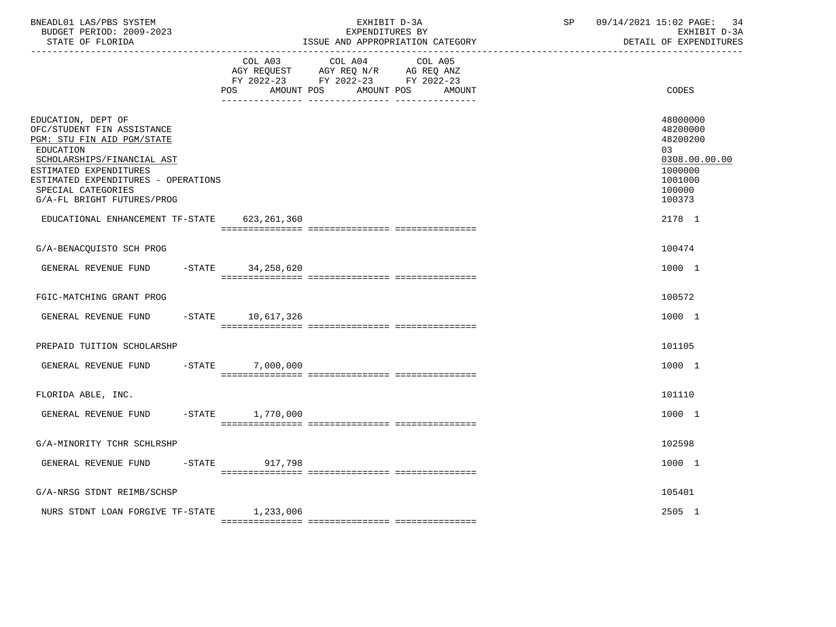| BNEADL01 LAS/PBS SYSTEM<br>BUDGET PERIOD: 2009-2023<br>STATE OF FLORIDA                                                                                                                                                                        |                              | EXHIBIT D-3A<br>EXPENDITURES BY<br>ISSUE AND APPROPRIATION CATEGORY                                                  | SP | 09/14/2021 15:02 PAGE: 34<br>EXHIBIT D-3A<br>DETAIL OF EXPENDITURES                               |
|------------------------------------------------------------------------------------------------------------------------------------------------------------------------------------------------------------------------------------------------|------------------------------|----------------------------------------------------------------------------------------------------------------------|----|---------------------------------------------------------------------------------------------------|
|                                                                                                                                                                                                                                                | COL A03<br>AMOUNT POS<br>POS | COL A04<br>COL A05<br>AGY REQUEST AGY REQ N/R AG REQ ANZ<br>FY 2022-23 FY 2022-23 FY 2022-23<br>AMOUNT POS<br>AMOUNT |    | <b>CODES</b>                                                                                      |
| EDUCATION, DEPT OF<br>OFC/STUDENT FIN ASSISTANCE<br>PGM: STU FIN AID PGM/STATE<br>EDUCATION<br>SCHOLARSHIPS/FINANCIAL AST<br>ESTIMATED EXPENDITURES<br>ESTIMATED EXPENDITURES - OPERATIONS<br>SPECIAL CATEGORIES<br>G/A-FL BRIGHT FUTURES/PROG |                              |                                                                                                                      |    | 48000000<br>48200000<br>48200200<br>03<br>0308.00.00.00<br>1000000<br>1001000<br>100000<br>100373 |
| EDUCATIONAL ENHANCEMENT TF-STATE                                                                                                                                                                                                               | 623,261,360                  |                                                                                                                      |    | 2178 1                                                                                            |
| G/A-BENACQUISTO SCH PROG                                                                                                                                                                                                                       |                              |                                                                                                                      |    | 100474                                                                                            |
| GENERAL REVENUE FUND                                                                                                                                                                                                                           | -STATE 34,258,620            |                                                                                                                      |    | 1000 1                                                                                            |
| FGIC-MATCHING GRANT PROG                                                                                                                                                                                                                       |                              |                                                                                                                      |    | 100572                                                                                            |
| GENERAL REVENUE FUND                                                                                                                                                                                                                           | -STATE 10,617,326            |                                                                                                                      |    | 1000 1                                                                                            |
| PREPAID TUITION SCHOLARSHP                                                                                                                                                                                                                     |                              |                                                                                                                      |    | 101105                                                                                            |
| GENERAL REVENUE FUND<br>$-$ STATE                                                                                                                                                                                                              | 7,000,000                    |                                                                                                                      |    | 1000 1                                                                                            |
| FLORIDA ABLE, INC.                                                                                                                                                                                                                             |                              |                                                                                                                      |    | 101110                                                                                            |
| GENERAL REVENUE FUND                                                                                                                                                                                                                           | $-STATE$ 1,770,000           |                                                                                                                      |    | 1000 1                                                                                            |
| G/A-MINORITY TCHR SCHLRSHP                                                                                                                                                                                                                     |                              |                                                                                                                      |    | 102598                                                                                            |
| GENERAL REVENUE FUND                                                                                                                                                                                                                           | $-STATE$<br>917,798          |                                                                                                                      |    | 1000 1                                                                                            |
| G/A-NRSG STDNT REIMB/SCHSP                                                                                                                                                                                                                     |                              |                                                                                                                      |    | 105401                                                                                            |
| NURS STDNT LOAN FORGIVE TF-STATE 1,233,006                                                                                                                                                                                                     |                              |                                                                                                                      |    | 2505 1                                                                                            |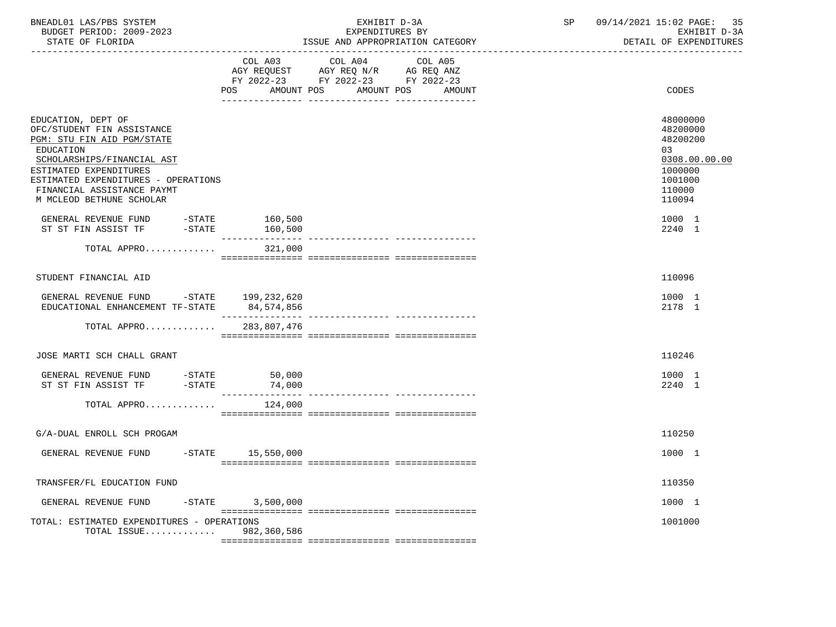| BNEADL01 LAS/PBS SYSTEM  | EXHIBIT D-3A                     | 09/14/2021 15:02 PAGE: 35 |
|--------------------------|----------------------------------|---------------------------|
| BUDGET PERIOD: 2009-2023 | EXPENDITURES BY                  | EXHIBIT D-3A              |
| STATE OF FLORIDA         | ISSUE AND APPROPRIATION CATEGORY | DETAIL OF EXPENDITURES    |

|                                                                                                                                                                                                                                                      | COL A03                                                                                                                      | COL A04<br>COL A05<br>AGY REQUEST AGY REQ N/R AG REQ ANZ |                                                                                                   |
|------------------------------------------------------------------------------------------------------------------------------------------------------------------------------------------------------------------------------------------------------|------------------------------------------------------------------------------------------------------------------------------|----------------------------------------------------------|---------------------------------------------------------------------------------------------------|
|                                                                                                                                                                                                                                                      | AMOUNT POS<br>POS FOR THE POST OF THE STATE STATE STATE STATE STATE STATE STATE STATE STATE STATE STATE STATE STATE STATE ST | FY 2022-23 FY 2022-23 FY 2022-23<br>AMOUNT POS<br>AMOUNT | CODES                                                                                             |
| EDUCATION, DEPT OF<br>OFC/STUDENT FIN ASSISTANCE<br>PGM: STU FIN AID PGM/STATE<br>EDUCATION<br>SCHOLARSHIPS/FINANCIAL AST<br>ESTIMATED EXPENDITURES<br>ESTIMATED EXPENDITURES - OPERATIONS<br>FINANCIAL ASSISTANCE PAYMT<br>M MCLEOD BETHUNE SCHOLAR |                                                                                                                              |                                                          | 48000000<br>48200000<br>48200200<br>03<br>0308.00.00.00<br>1000000<br>1001000<br>110000<br>110094 |
| GENERAL REVENUE FUND -STATE<br>ST ST FIN ASSIST TF -STATE                                                                                                                                                                                            | 160,500<br>160,500                                                                                                           |                                                          | 1000 1<br>2240 1                                                                                  |
| TOTAL APPRO                                                                                                                                                                                                                                          | 321,000                                                                                                                      |                                                          |                                                                                                   |
| STUDENT FINANCIAL AID                                                                                                                                                                                                                                |                                                                                                                              |                                                          | 110096                                                                                            |
| GENERAL REVENUE FUND -STATE 199,232,620<br>EDUCATIONAL ENHANCEMENT TF-STATE                                                                                                                                                                          | 84,574,856                                                                                                                   |                                                          | 1000 1<br>2178 1                                                                                  |
| TOTAL APPRO                                                                                                                                                                                                                                          | 283,807,476                                                                                                                  |                                                          |                                                                                                   |
| JOSE MARTI SCH CHALL GRANT                                                                                                                                                                                                                           |                                                                                                                              |                                                          | 110246                                                                                            |
| GENERAL REVENUE FUND $-$ STATE 50,000<br>ST ST FIN ASSIST TF $-$ STATE 74,000                                                                                                                                                                        |                                                                                                                              |                                                          | 1000 1<br>2240 1                                                                                  |
| TOTAL APPRO                                                                                                                                                                                                                                          | 124,000                                                                                                                      |                                                          |                                                                                                   |
| G/A-DUAL ENROLL SCH PROGAM                                                                                                                                                                                                                           |                                                                                                                              |                                                          | 110250                                                                                            |
| GENERAL REVENUE FUND -STATE 15,550,000                                                                                                                                                                                                               |                                                                                                                              |                                                          | 1000 1                                                                                            |
| TRANSFER/FL EDUCATION FUND                                                                                                                                                                                                                           |                                                                                                                              |                                                          | 110350                                                                                            |
| GENERAL REVENUE FUND                                                                                                                                                                                                                                 | $-STATE$ 3,500,000                                                                                                           |                                                          | 1000 1                                                                                            |
| TOTAL: ESTIMATED EXPENDITURES - OPERATIONS<br>TOTAL ISSUE                                                                                                                                                                                            | 982,360,586                                                                                                                  |                                                          | 1001000                                                                                           |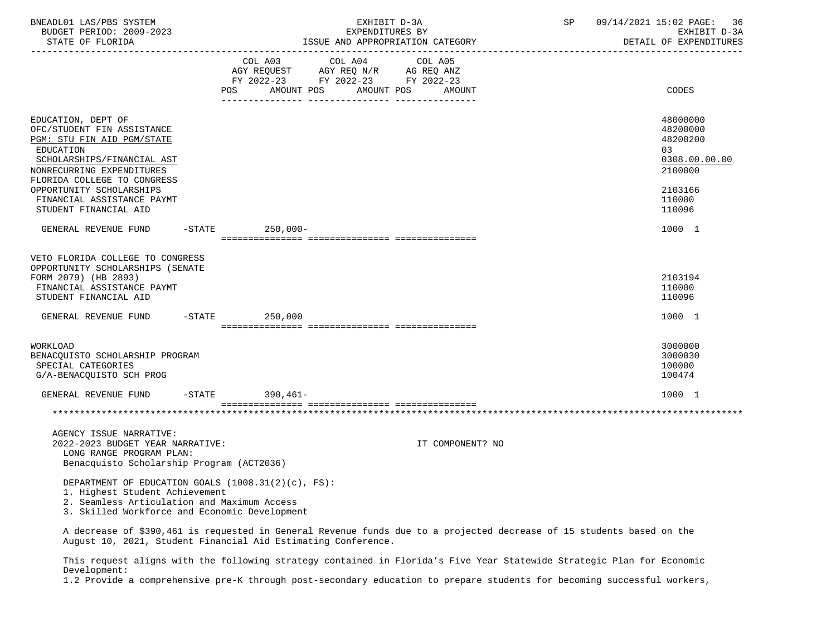| BNEADL01 LAS/PBS SYSTEM<br>BUDGET PERIOD: 2009-2023<br>STATE OF FLORIDA                                                                                                                                                                         |     | EXHIBIT D-3A<br>EXPENDITURES BY                                                                                                                                                                                                                                                                                                                                                                                                                                                    | ISSUE AND APPROPRIATION CATEGORY | SP | 09/14/2021 15:02 PAGE:<br>36<br>EXHIBIT D-3A<br>DETAIL OF EXPENDITURES                  |
|-------------------------------------------------------------------------------------------------------------------------------------------------------------------------------------------------------------------------------------------------|-----|------------------------------------------------------------------------------------------------------------------------------------------------------------------------------------------------------------------------------------------------------------------------------------------------------------------------------------------------------------------------------------------------------------------------------------------------------------------------------------|----------------------------------|----|-----------------------------------------------------------------------------------------|
|                                                                                                                                                                                                                                                 | POS | $\begin{tabular}{lllllllllllll} &\multicolumn{4}{c}{\text{COL A03}} &\multicolumn{4}{c}{\text{COL A04}} &\multicolumn{4}{c}{\text{COL A05}} \\ \multicolumn{4}{c}{\text{AGY REQUEST}} &\multicolumn{4}{c}{\text{AGY REQ NN}} &\multicolumn{4}{c}{\text{AG REQ ANZ}} \\ \multicolumn{4}{c}{\text{FGY REQ ANZ}} &\multicolumn{4}{c}{\text{AG REQ ANZ}} &\multicolumn{4}{c}{\text{FGY A022--23}} &\multicolumn{4}{c}{\text{FY 2022--23}} &\multicolumn{4}{c$<br>AMOUNT POS AMOUNT POS | AMOUNT                           |    | CODES                                                                                   |
| EDUCATION, DEPT OF<br>OFC/STUDENT FIN ASSISTANCE<br>PGM: STU FIN AID PGM/STATE<br>EDUCATION<br>SCHOLARSHIPS/FINANCIAL AST<br>NONRECURRING EXPENDITURES<br>FLORIDA COLLEGE TO CONGRESS<br>OPPORTUNITY SCHOLARSHIPS<br>FINANCIAL ASSISTANCE PAYMT |     |                                                                                                                                                                                                                                                                                                                                                                                                                                                                                    |                                  |    | 48000000<br>48200000<br>48200200<br>03<br>0308.00.00.00<br>2100000<br>2103166<br>110000 |
| STUDENT FINANCIAL AID                                                                                                                                                                                                                           |     |                                                                                                                                                                                                                                                                                                                                                                                                                                                                                    |                                  |    | 110096                                                                                  |
| GENERAL REVENUE FUND -STATE 250,000-                                                                                                                                                                                                            |     |                                                                                                                                                                                                                                                                                                                                                                                                                                                                                    |                                  |    | 1000 1                                                                                  |
| VETO FLORIDA COLLEGE TO CONGRESS<br>OPPORTUNITY SCHOLARSHIPS (SENATE<br>FORM 2079) (HB 2893)<br>FINANCIAL ASSISTANCE PAYMT<br>STUDENT FINANCIAL AID<br>GENERAL REVENUE FUND -STATE 250,000                                                      |     |                                                                                                                                                                                                                                                                                                                                                                                                                                                                                    |                                  |    | 2103194<br>110000<br>110096<br>1000 1                                                   |
| WORKLOAD<br>BENACQUISTO SCHOLARSHIP PROGRAM<br>SPECIAL CATEGORIES<br>G/A-BENACQUISTO SCH PROG                                                                                                                                                   |     |                                                                                                                                                                                                                                                                                                                                                                                                                                                                                    |                                  |    | 3000000<br>3000030<br>100000<br>100474                                                  |
| GENERAL REVENUE FUND -STATE 390,461-                                                                                                                                                                                                            |     |                                                                                                                                                                                                                                                                                                                                                                                                                                                                                    |                                  |    | 1000 1                                                                                  |
|                                                                                                                                                                                                                                                 |     |                                                                                                                                                                                                                                                                                                                                                                                                                                                                                    |                                  |    |                                                                                         |
| AGENCY ISSUE NARRATIVE:<br>2022-2023 BUDGET YEAR NARRATIVE:<br>LONG RANGE PROGRAM PLAN:<br>Benacquisto Scholarship Program (ACT2036)                                                                                                            |     |                                                                                                                                                                                                                                                                                                                                                                                                                                                                                    | IT COMPONENT? NO                 |    |                                                                                         |
| DEPARTMENT OF EDUCATION GOALS (1008.31(2)(c), FS):<br>1. Highest Student Achievement<br>2. Seamless Articulation and Maximum Access<br>3. Skilled Workforce and Economic Development                                                            |     |                                                                                                                                                                                                                                                                                                                                                                                                                                                                                    |                                  |    |                                                                                         |
| A decrease of \$390,461 is requested in General Revenue funds due to a projected decrease of 15 students based on the                                                                                                                           |     |                                                                                                                                                                                                                                                                                                                                                                                                                                                                                    |                                  |    |                                                                                         |

August 10, 2021, Student Financial Aid Estimating Conference.

 This request aligns with the following strategy contained in Florida's Five Year Statewide Strategic Plan for Economic Development:

1.2 Provide a comprehensive pre-K through post-secondary education to prepare students for becoming successful workers,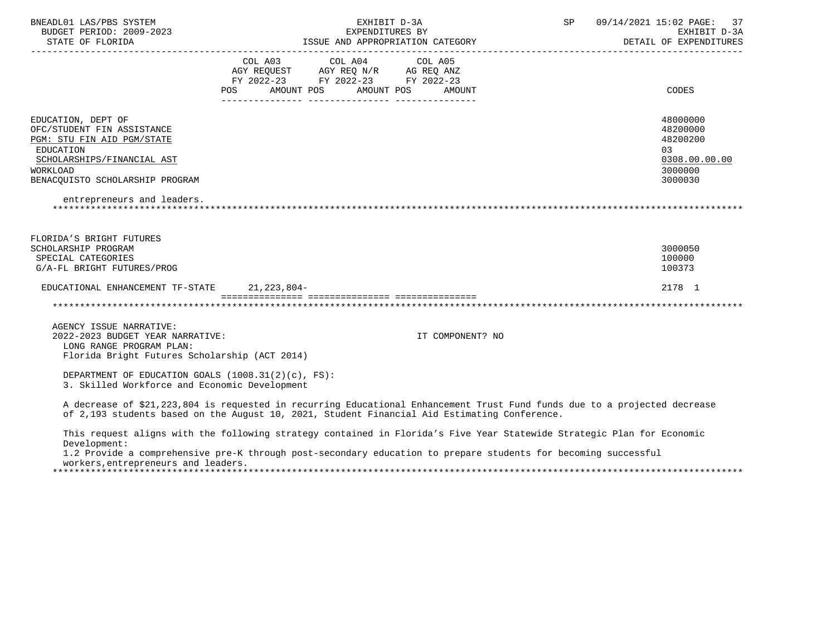| BNEADL01 LAS/PBS SYSTEM<br>BUDGET PERIOD: 2009-2023                                                                                                                                                                       |                                                               | EXPENDITURES BY | EXHIBIT D-3A     | SP | 09/14/2021 15:02 PAGE: 37<br>EXHIBIT D-3A<br>DETAIL OF EXPENDITURES |
|---------------------------------------------------------------------------------------------------------------------------------------------------------------------------------------------------------------------------|---------------------------------------------------------------|-----------------|------------------|----|---------------------------------------------------------------------|
|                                                                                                                                                                                                                           |                                                               |                 |                  |    |                                                                     |
|                                                                                                                                                                                                                           | COL A03 COL A04 COL A05<br>AGY REQUEST AGY REQ N/R AG REQ ANZ |                 |                  |    |                                                                     |
|                                                                                                                                                                                                                           | FY 2022-23 FY 2022-23 FY 2022-23                              |                 |                  |    |                                                                     |
|                                                                                                                                                                                                                           | POS AMOUNT POS AMOUNT POS AMOUNT                              |                 |                  |    | <b>CODES</b>                                                        |
| EDUCATION, DEPT OF                                                                                                                                                                                                        |                                                               |                 |                  |    | 48000000                                                            |
| OFC/STUDENT FIN ASSISTANCE                                                                                                                                                                                                |                                                               |                 |                  |    | 48200000                                                            |
| PGM: STU FIN AID PGM/STATE                                                                                                                                                                                                |                                                               |                 |                  |    | 48200200                                                            |
| EDUCATION                                                                                                                                                                                                                 |                                                               |                 |                  |    | 03                                                                  |
| SCHOLARSHIPS/FINANCIAL AST                                                                                                                                                                                                |                                                               |                 |                  |    | 0308.00.00.00                                                       |
| WORKLOAD                                                                                                                                                                                                                  |                                                               |                 |                  |    | 3000000                                                             |
| BENACOUISTO SCHOLARSHIP PROGRAM                                                                                                                                                                                           |                                                               |                 |                  |    | 3000030                                                             |
| entrepreneurs and leaders.                                                                                                                                                                                                |                                                               |                 |                  |    |                                                                     |
| FLORIDA'S BRIGHT FUTURES                                                                                                                                                                                                  |                                                               |                 |                  |    |                                                                     |
| SCHOLARSHIP PROGRAM                                                                                                                                                                                                       |                                                               |                 |                  |    | 3000050                                                             |
| SPECIAL CATEGORIES                                                                                                                                                                                                        |                                                               |                 |                  |    | 100000                                                              |
| G/A-FL BRIGHT FUTURES/PROG                                                                                                                                                                                                |                                                               |                 |                  |    | 100373                                                              |
| EDUCATIONAL ENHANCEMENT TF-STATE 21, 223, 804-                                                                                                                                                                            |                                                               |                 |                  |    | 2178 1                                                              |
|                                                                                                                                                                                                                           |                                                               |                 |                  |    |                                                                     |
| AGENCY ISSUE NARRATIVE:                                                                                                                                                                                                   |                                                               |                 |                  |    |                                                                     |
| 2022-2023 BUDGET YEAR NARRATIVE:                                                                                                                                                                                          |                                                               |                 | IT COMPONENT? NO |    |                                                                     |
| LONG RANGE PROGRAM PLAN:                                                                                                                                                                                                  |                                                               |                 |                  |    |                                                                     |
| Florida Bright Futures Scholarship (ACT 2014)                                                                                                                                                                             |                                                               |                 |                  |    |                                                                     |
| DEPARTMENT OF EDUCATION GOALS $(1008.31(2)(c), FS)$ :<br>3. Skilled Workforce and Economic Development                                                                                                                    |                                                               |                 |                  |    |                                                                     |
| A decrease of \$21,223,804 is requested in recurring Educational Enhancement Trust Fund funds due to a projected decrease<br>of 2,193 students based on the August 10, 2021, Student Financial Aid Estimating Conference. |                                                               |                 |                  |    |                                                                     |
| This request aligns with the following strategy contained in Florida's Five Year Statewide Strategic Plan for Economic<br>Development:                                                                                    |                                                               |                 |                  |    |                                                                     |
| 1.2 Provide a comprehensive pre-K through post-secondary education to prepare students for becoming successful<br>workers, entrepreneurs and leaders.                                                                     |                                                               |                 |                  |    |                                                                     |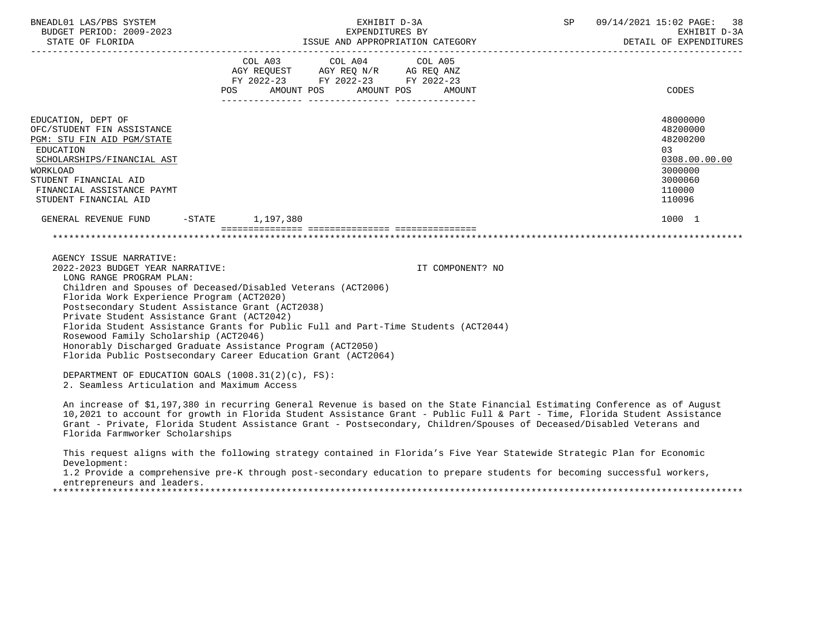| BNEADL01 LAS/PBS SYSTEM<br>BUDGET PERIOD: 2009-2023                                                                                                                                                                                                                             | EXHIBIT D-3A<br>EXPENDITURES BY                                                                                                                                                                                                                                                                                                                                                  | SP               | 09/14/2021 15:02 PAGE: 38<br>EXHIBIT D-3A<br>DETAIL OF EXPENDITURES                               |
|---------------------------------------------------------------------------------------------------------------------------------------------------------------------------------------------------------------------------------------------------------------------------------|----------------------------------------------------------------------------------------------------------------------------------------------------------------------------------------------------------------------------------------------------------------------------------------------------------------------------------------------------------------------------------|------------------|---------------------------------------------------------------------------------------------------|
|                                                                                                                                                                                                                                                                                 | FY 2022-23 FY 2022-23 FY 2022-23<br>AMOUNT POS AMOUNT POS<br>POS                                                                                                                                                                                                                                                                                                                 | AMOUNT           | CODES                                                                                             |
| EDUCATION, DEPT OF<br>OFC/STUDENT FIN ASSISTANCE<br>PGM: STU FIN AID PGM/STATE<br>EDUCATION<br>SCHOLARSHIPS/FINANCIAL AST<br>WORKLOAD<br>STUDENT FINANCIAL AID<br>FINANCIAL ASSISTANCE PAYMT<br>STUDENT FINANCIAL AID                                                           |                                                                                                                                                                                                                                                                                                                                                                                  |                  | 48000000<br>48200000<br>48200200<br>03<br>0308.00.00.00<br>3000000<br>3000060<br>110000<br>110096 |
| GENERAL REVENUE FUND                                                                                                                                                                                                                                                            | -STATE 1,197,380                                                                                                                                                                                                                                                                                                                                                                 |                  | 1000 1                                                                                            |
|                                                                                                                                                                                                                                                                                 |                                                                                                                                                                                                                                                                                                                                                                                  |                  |                                                                                                   |
| AGENCY ISSUE NARRATIVE:<br>2022-2023 BUDGET YEAR NARRATIVE:<br>LONG RANGE PROGRAM PLAN:<br>Florida Work Experience Program (ACT2020)<br>Postsecondary Student Assistance Grant (ACT2038)<br>Private Student Assistance Grant (ACT2042)<br>Rosewood Family Scholarship (ACT2046) | Children and Spouses of Deceased/Disabled Veterans (ACT2006)<br>Florida Student Assistance Grants for Public Full and Part-Time Students (ACT2044)<br>Honorably Discharged Graduate Assistance Program (ACT2050)<br>Florida Public Postsecondary Career Education Grant (ACT2064)                                                                                                | IT COMPONENT? NO |                                                                                                   |
| DEPARTMENT OF EDUCATION GOALS (1008.31(2)(c), FS):<br>2. Seamless Articulation and Maximum Access                                                                                                                                                                               |                                                                                                                                                                                                                                                                                                                                                                                  |                  |                                                                                                   |
| Florida Farmworker Scholarships                                                                                                                                                                                                                                                 | An increase of \$1,197,380 in recurring General Revenue is based on the State Financial Estimating Conference as of August<br>10,2021 to account for growth in Florida Student Assistance Grant - Public Full & Part - Time, Florida Student Assistance<br>Grant - Private, Florida Student Assistance Grant - Postsecondary, Children/Spouses of Deceased/Disabled Veterans and |                  |                                                                                                   |
| Development:                                                                                                                                                                                                                                                                    | This request aligns with the following strategy contained in Florida's Five Year Statewide Strategic Plan for Economic                                                                                                                                                                                                                                                           |                  |                                                                                                   |

 1.2 Provide a comprehensive pre-K through post-secondary education to prepare students for becoming successful workers, entrepreneurs and leaders.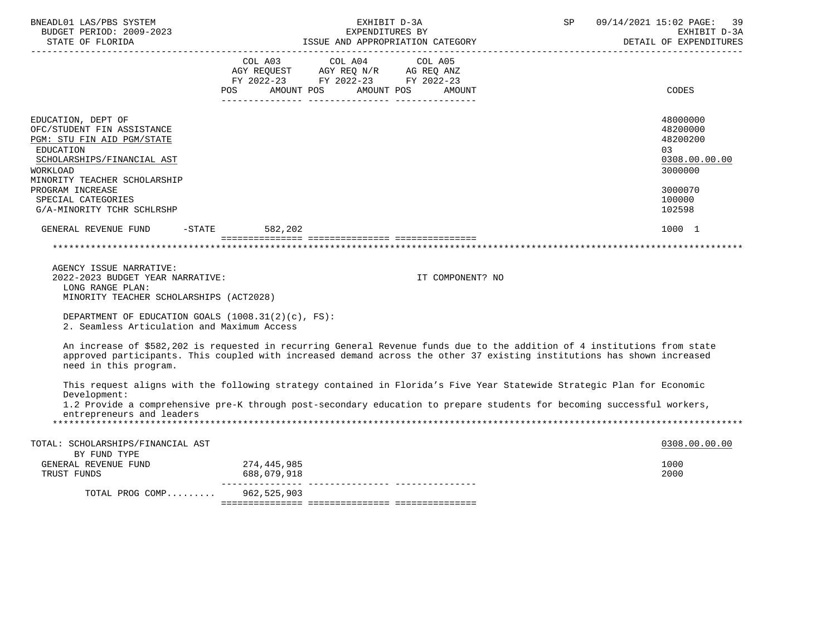| BNEADL01 LAS/PBS SYSTEM<br>BUDGET PERIOD: 2009-2023<br>STATE OF FLORIDA                                                                                                      | EXHIBIT D-3A<br>EXPENDITURES BY<br>ISSUE AND APPROPRIATION CATEGORY                                                                                                                                                                                  | 09/14/2021 15:02 PAGE: 39<br>SP<br>EXHIBIT D-3A<br>DETAIL OF EXPENDITURES |
|------------------------------------------------------------------------------------------------------------------------------------------------------------------------------|------------------------------------------------------------------------------------------------------------------------------------------------------------------------------------------------------------------------------------------------------|---------------------------------------------------------------------------|
|                                                                                                                                                                              | COL A03<br>COL A04<br>COL A05<br>AGY REQUEST AGY REQ N/R AG REQ ANZ<br>FY 2022-23 FY 2022-23 FY 2022-23<br>POS AMOUNT POS AMOUNT POS<br>AMOUNT                                                                                                       | <b>CODES</b>                                                              |
| EDUCATION, DEPT OF<br>OFC/STUDENT FIN ASSISTANCE<br>PGM: STU FIN AID PGM/STATE<br><b>EDUCATION</b><br>SCHOLARSHIPS/FINANCIAL AST<br>WORKLOAD<br>MINORITY TEACHER SCHOLARSHIP |                                                                                                                                                                                                                                                      | 48000000<br>48200000<br>48200200<br>03<br>0308.00.00.00<br>3000000        |
| PROGRAM INCREASE<br>SPECIAL CATEGORIES<br>G/A-MINORITY TCHR SCHLRSHP                                                                                                         |                                                                                                                                                                                                                                                      | 3000070<br>100000<br>102598                                               |
| GENERAL REVENUE FUND                                                                                                                                                         | $-STATE$ 582, 202                                                                                                                                                                                                                                    | 1000 1                                                                    |
|                                                                                                                                                                              |                                                                                                                                                                                                                                                      |                                                                           |
| AGENCY ISSUE NARRATIVE:<br>2022-2023 BUDGET YEAR NARRATIVE:<br>LONG RANGE PLAN:<br>MINORITY TEACHER SCHOLARSHIPS (ACT2028)                                                   | IT COMPONENT? NO                                                                                                                                                                                                                                     |                                                                           |
| DEPARTMENT OF EDUCATION GOALS $(1008.31(2)(c), FS)$ :<br>2. Seamless Articulation and Maximum Access                                                                         |                                                                                                                                                                                                                                                      |                                                                           |
| need in this program.                                                                                                                                                        | An increase of \$582,202 is requested in recurring General Revenue funds due to the addition of 4 institutions from state<br>approved participants. This coupled with increased demand across the other 37 existing institutions has shown increased |                                                                           |
| Development:                                                                                                                                                                 | This request aligns with the following strategy contained in Florida's Five Year Statewide Strategic Plan for Economic                                                                                                                               |                                                                           |
| entrepreneurs and leaders                                                                                                                                                    | 1.2 Provide a comprehensive pre-K through post-secondary education to prepare students for becoming successful workers,                                                                                                                              |                                                                           |
| TOTAL: SCHOLARSHIPS/FINANCIAL AST                                                                                                                                            |                                                                                                                                                                                                                                                      | 0308.00.00.00                                                             |
| BY FUND TYPE<br>GENERAL REVENUE FUND<br>TRUST FUNDS                                                                                                                          | 274,445,985<br>688,079,918                                                                                                                                                                                                                           | 1000<br>2000                                                              |
| TOTAL PROG COMP 962,525,903                                                                                                                                                  |                                                                                                                                                                                                                                                      |                                                                           |
|                                                                                                                                                                              |                                                                                                                                                                                                                                                      |                                                                           |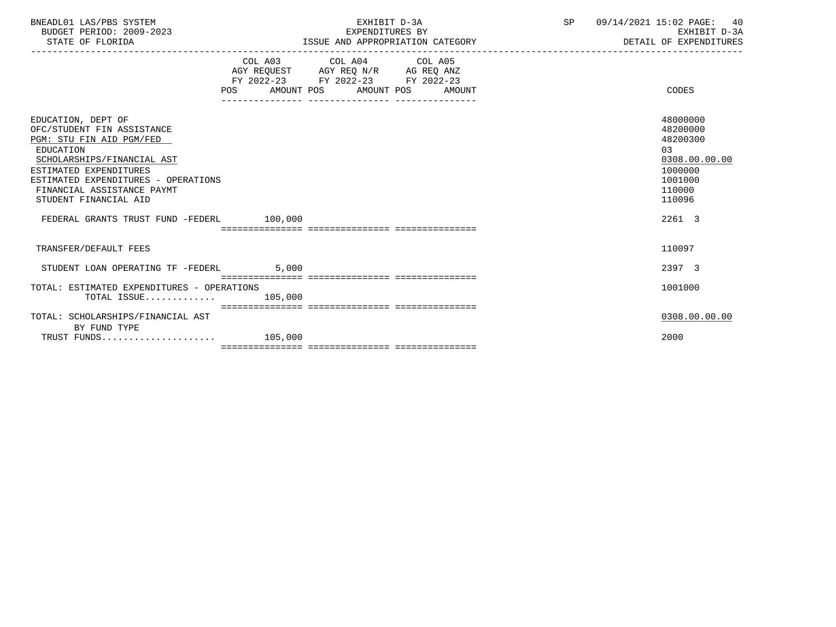| BNEADL01 LAS/PBS SYSTEM  | EXHIBIT D-3A                     | 09/14/2021 15:02 PAGE: 40 |
|--------------------------|----------------------------------|---------------------------|
| BUDGET PERIOD: 2009-2023 | EXPENDITURES BY                  | EXHIBIT D-3A              |
| STATE OF FLORIDA         | ISSUE AND APPROPRIATION CATEGORY | DETAIL OF EXPENDITURES    |

|                                                                                                                                                                                                                                                 |                         | COL A03 COL A04 COL A05<br>AGY REQUEST AGY REQ N/R AG REQ ANZ<br>FY 2022-23 FY 2022-23 FY 2022-23<br>POS AMOUNT POS AMOUNT POS AMOUNT | CODES                                                                                             |
|-------------------------------------------------------------------------------------------------------------------------------------------------------------------------------------------------------------------------------------------------|-------------------------|---------------------------------------------------------------------------------------------------------------------------------------|---------------------------------------------------------------------------------------------------|
| EDUCATION, DEPT OF<br>OFC/STUDENT FIN ASSISTANCE<br>PGM: STU FIN AID PGM/FED<br>EDUCATION<br>SCHOLARSHIPS/FINANCIAL AST<br>ESTIMATED EXPENDITURES<br>ESTIMATED EXPENDITURES - OPERATIONS<br>FINANCIAL ASSISTANCE PAYMT<br>STUDENT FINANCIAL AID |                         |                                                                                                                                       | 48000000<br>48200000<br>48200300<br>03<br>0308.00.00.00<br>1000000<br>1001000<br>110000<br>110096 |
| FEDERAL GRANTS TRUST FUND -FEDERL 100,000                                                                                                                                                                                                       |                         | _____________________________________                                                                                                 | 2261 3                                                                                            |
| TRANSFER/DEFAULT FEES                                                                                                                                                                                                                           |                         |                                                                                                                                       | 110097                                                                                            |
| STUDENT LOAN OPERATING TF -FEDERL                                                                                                                                                                                                               | 5,000                   |                                                                                                                                       | 2397 3                                                                                            |
| TOTAL: ESTIMATED EXPENDITURES - OPERATIONS<br>$\texttt{TOTAL}$ ISSUE 105,000                                                                                                                                                                    |                         | ____________________________________                                                                                                  | 1001000                                                                                           |
| TOTAL: SCHOLARSHIPS/FINANCIAL AST                                                                                                                                                                                                               | eccessessesses essesse; |                                                                                                                                       | 0308.00.00.00                                                                                     |
| BY FUND TYPE<br>TRUST FUNDS                                                                                                                                                                                                                     | 105,000                 |                                                                                                                                       | 2000                                                                                              |
|                                                                                                                                                                                                                                                 |                         |                                                                                                                                       |                                                                                                   |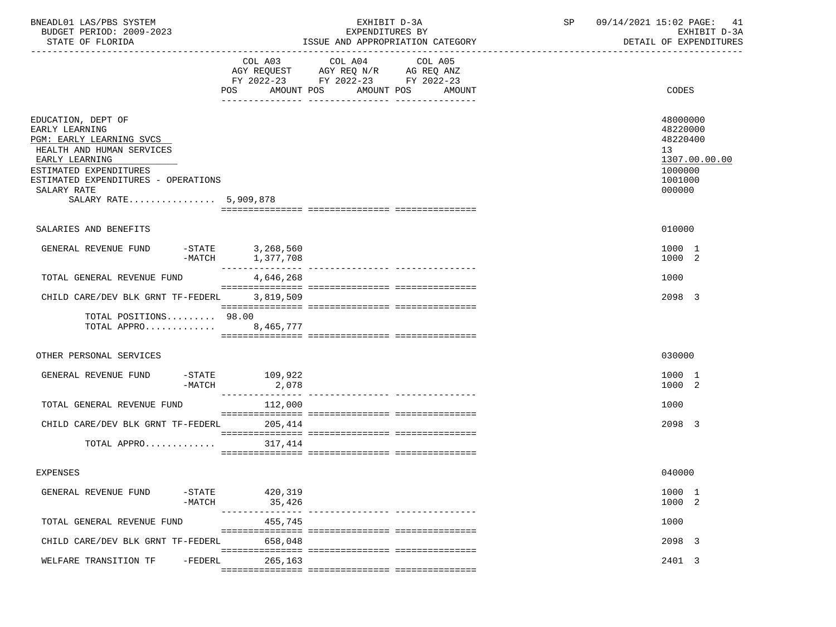| BNEADL01 LAS/PBS SYSTEM<br>BUDGET PERIOD: 2009-2023<br>STATE OF FLORIDA                                                                                                                                                  |                                      | EXHIBIT D-3A<br>EXPENDITURES BY                                                                                               | ISSUE AND APPROPRIATION CATEGORY | SP | 09/14/2021 15:02 PAGE: 41<br>EXHIBIT D-3A<br>DETAIL OF EXPENDITURES                     |
|--------------------------------------------------------------------------------------------------------------------------------------------------------------------------------------------------------------------------|--------------------------------------|-------------------------------------------------------------------------------------------------------------------------------|----------------------------------|----|-----------------------------------------------------------------------------------------|
|                                                                                                                                                                                                                          |                                      | COL A03 COL A04<br>AGY REQUEST AGY REQ N/R AG REQ ANZ<br>FY 2022-23 FY 2022-23 FY 2022-23<br>POS AMOUNT POS AMOUNT POS AMOUNT | COL A05                          |    | <b>CODES</b>                                                                            |
| EDUCATION, DEPT OF<br>EARLY LEARNING<br>PGM: EARLY LEARNING SVCS<br>HEALTH AND HUMAN SERVICES<br>EARLY LEARNING<br>ESTIMATED EXPENDITURES<br>ESTIMATED EXPENDITURES - OPERATIONS<br>SALARY RATE<br>SALARY RATE 5,909,878 |                                      |                                                                                                                               |                                  |    | 48000000<br>48220000<br>48220400<br>13<br>1307.00.00.00<br>1000000<br>1001000<br>000000 |
| SALARIES AND BENEFITS                                                                                                                                                                                                    |                                      |                                                                                                                               |                                  |    | 010000                                                                                  |
| GENERAL REVENUE FUND                                                                                                                                                                                                     | -STATE 3,268,560<br>-MATCH 1,377,708 |                                                                                                                               |                                  |    | 1000 1<br>1000 2                                                                        |
| TOTAL GENERAL REVENUE FUND                                                                                                                                                                                               | 4,646,268                            |                                                                                                                               |                                  |    | 1000                                                                                    |
| CHILD CARE/DEV BLK GRNT TF-FEDERL 3,819,509                                                                                                                                                                              |                                      |                                                                                                                               |                                  |    | 2098 3                                                                                  |
| TOTAL POSITIONS 98.00<br>TOTAL APPRO 8,465,777                                                                                                                                                                           |                                      |                                                                                                                               |                                  |    |                                                                                         |
| OTHER PERSONAL SERVICES                                                                                                                                                                                                  |                                      |                                                                                                                               |                                  |    | 030000                                                                                  |
| GENERAL REVENUE FUND<br>-MATCH                                                                                                                                                                                           | -STATE 109,922<br>2,078              |                                                                                                                               |                                  |    | 1000 1<br>1000 2                                                                        |
| TOTAL GENERAL REVENUE FUND                                                                                                                                                                                               | 112,000                              |                                                                                                                               |                                  |    | 1000                                                                                    |
| CHILD CARE/DEV BLK GRNT TF-FEDERL 205,414                                                                                                                                                                                |                                      |                                                                                                                               |                                  |    | 2098 3                                                                                  |
| TOTAL APPRO                                                                                                                                                                                                              | 317,414                              |                                                                                                                               |                                  |    |                                                                                         |
| <b>EXPENSES</b>                                                                                                                                                                                                          |                                      |                                                                                                                               |                                  |    | 040000                                                                                  |
| GENERAL REVENUE FUND<br>$-$ STATE<br>$-MATCH$                                                                                                                                                                            | 420,319<br>35,426                    |                                                                                                                               |                                  |    | 1000 1<br>1000 2                                                                        |
| TOTAL GENERAL REVENUE FUND                                                                                                                                                                                               | $- - - -$<br>------------<br>455,745 |                                                                                                                               |                                  |    | 1000                                                                                    |
| CHILD CARE/DEV BLK GRNT TF-FEDERL                                                                                                                                                                                        | 658,048                              |                                                                                                                               |                                  |    | 2098 3                                                                                  |
| $-FEDERL$<br>WELFARE TRANSITION TF                                                                                                                                                                                       | 265,163                              |                                                                                                                               |                                  |    | 2401 3                                                                                  |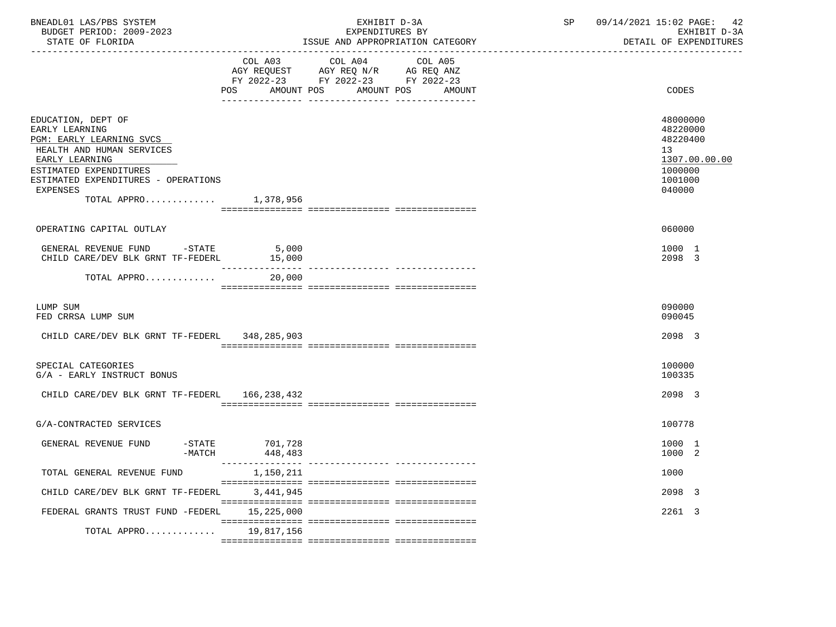| BNEADL01 LAS/PBS SYSTEM<br>BUDGET PERIOD: 2009-2023<br>STATE OF FLORIDA                                                                                                                                                        |                                    | EXHIBIT D-3A<br>EXPENDITURES BY<br>ISSUE AND APPROPRIATION CATEGORY                                               | $\operatorname{SP}$ | 09/14/2021 15:02 PAGE:<br>42<br>EXHIBIT D-3A<br>DETAIL OF EXPENDITURES                  |
|--------------------------------------------------------------------------------------------------------------------------------------------------------------------------------------------------------------------------------|------------------------------------|-------------------------------------------------------------------------------------------------------------------|---------------------|-----------------------------------------------------------------------------------------|
|                                                                                                                                                                                                                                | COL A03<br>AMOUNT POS<br>POS       | COL A04<br>COL A05<br>AGY REQUEST AGY REQ N/R AG REQ ANZ<br>FY 2022-23 FY 2022-23 FY 2022-23<br>AMOUNT POS AMOUNT |                     | <b>CODES</b>                                                                            |
| EDUCATION, DEPT OF<br>EARLY LEARNING<br>PGM: EARLY LEARNING SVCS<br>HEALTH AND HUMAN SERVICES<br>EARLY LEARNING<br>ESTIMATED EXPENDITURES<br>ESTIMATED EXPENDITURES - OPERATIONS<br><b>EXPENSES</b><br>TOTAL APPRO $1,378,956$ |                                    |                                                                                                                   |                     | 48000000<br>48220000<br>48220400<br>13<br>1307.00.00.00<br>1000000<br>1001000<br>040000 |
| OPERATING CAPITAL OUTLAY                                                                                                                                                                                                       |                                    |                                                                                                                   |                     | 060000                                                                                  |
| GENERAL REVENUE FUND -STATE<br>CHILD CARE/DEV BLK GRNT TF-FEDERL                                                                                                                                                               | 5,000<br>15,000<br>_______________ |                                                                                                                   |                     | 1000 1<br>2098 3                                                                        |
| TOTAL APPRO                                                                                                                                                                                                                    | 20,000                             | --------------- ---------------                                                                                   |                     |                                                                                         |
| LUMP SUM<br>FED CRRSA LUMP SUM                                                                                                                                                                                                 |                                    |                                                                                                                   |                     | 090000<br>090045                                                                        |
| CHILD CARE/DEV BLK GRNT TF-FEDERL 348,285,903                                                                                                                                                                                  |                                    |                                                                                                                   |                     | 2098 3                                                                                  |
| SPECIAL CATEGORIES<br>G/A - EARLY INSTRUCT BONUS                                                                                                                                                                               |                                    |                                                                                                                   |                     | 100000<br>100335                                                                        |
| CHILD CARE/DEV BLK GRNT TF-FEDERL                                                                                                                                                                                              | 166,238,432                        |                                                                                                                   |                     | 2098 3                                                                                  |
| G/A-CONTRACTED SERVICES                                                                                                                                                                                                        |                                    |                                                                                                                   |                     | 100778                                                                                  |
| GENERAL REVENUE FUND<br>-MATCH                                                                                                                                                                                                 | $-$ STATE 701,728<br>448,483       |                                                                                                                   |                     | 1000 1<br>1000 2                                                                        |
| TOTAL GENERAL REVENUE FUND                                                                                                                                                                                                     | 1,150,211                          |                                                                                                                   |                     | 1000                                                                                    |
| CHILD CARE/DEV BLK GRNT TF-FEDERL                                                                                                                                                                                              | 3,441,945                          |                                                                                                                   |                     | 2098 3                                                                                  |
| FEDERAL GRANTS TRUST FUND -FEDERL                                                                                                                                                                                              | 15,225,000                         |                                                                                                                   |                     | 2261 3                                                                                  |
| TOTAL APPRO 19,817,156                                                                                                                                                                                                         |                                    |                                                                                                                   |                     |                                                                                         |
|                                                                                                                                                                                                                                |                                    |                                                                                                                   |                     |                                                                                         |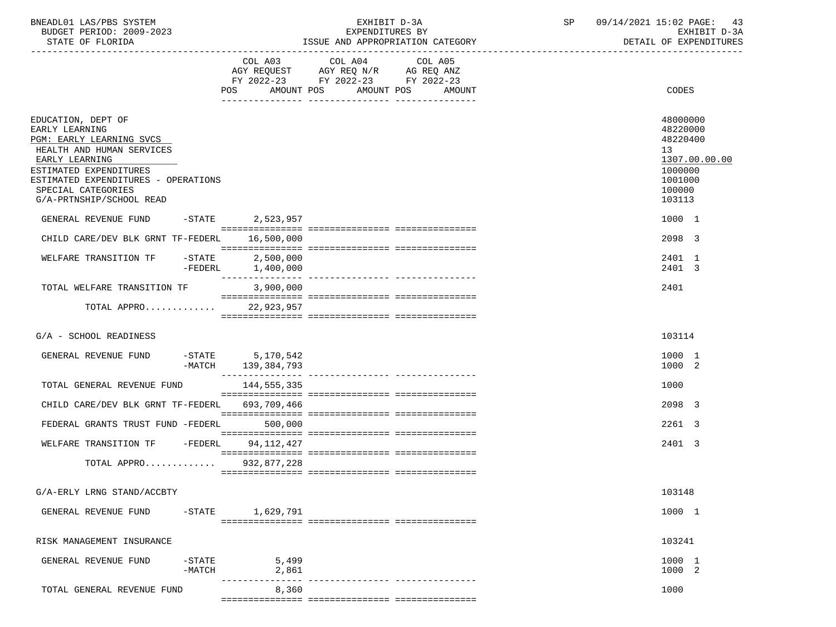| BNEADL01 LAS/PBS SYSTEM |                  |                          |  | EXHIBIT D-3A                     |  |
|-------------------------|------------------|--------------------------|--|----------------------------------|--|
|                         |                  | BUDGET PERIOD: 2009-2023 |  | EXPENDITURES BY                  |  |
|                         | STATE OF FLORIDA |                          |  | ISSUE AND APPROPRIATION CATEGORY |  |

BUDGET PERIOD: 2009-2023 EXPENDITURES BY EXHIBIT D-3A

|                                                                                                                                                                                                                                    |                                           | COL A03 COL A04 COL A05<br>AGY REQUEST AGY REQ N/R AG REQ ANZ<br>FY 2022-23 FY 2022-23 FY 2022-23 |                                                                                                   |
|------------------------------------------------------------------------------------------------------------------------------------------------------------------------------------------------------------------------------------|-------------------------------------------|---------------------------------------------------------------------------------------------------|---------------------------------------------------------------------------------------------------|
|                                                                                                                                                                                                                                    |                                           | POS AMOUNT POS AMOUNT POS<br>AMOUNT<br>__ ________________ ________________                       | CODES                                                                                             |
| EDUCATION, DEPT OF<br>EARLY LEARNING<br>PGM: EARLY LEARNING SVCS<br>HEALTH AND HUMAN SERVICES<br>EARLY LEARNING<br>ESTIMATED EXPENDITURES<br>ESTIMATED EXPENDITURES - OPERATIONS<br>SPECIAL CATEGORIES<br>G/A-PRTNSHIP/SCHOOL READ |                                           |                                                                                                   | 48000000<br>48220000<br>48220400<br>13<br>1307.00.00.00<br>1000000<br>1001000<br>100000<br>103113 |
| GENERAL REVENUE FUND                                                                                                                                                                                                               | -STATE 2,523,957                          |                                                                                                   | 1000 1                                                                                            |
| CHILD CARE/DEV BLK GRNT TF-FEDERL                                                                                                                                                                                                  | 16,500,000                                |                                                                                                   | 2098 3                                                                                            |
| $-STATE$<br>WELFARE TRANSITION TF<br>-FEDERL                                                                                                                                                                                       | 2,500,000<br>1,400,000<br>--------------- | ---------------- ----------------                                                                 | 2401 1<br>2401 3                                                                                  |
| TOTAL WELFARE TRANSITION TF                                                                                                                                                                                                        | 3,900,000                                 |                                                                                                   | 2401                                                                                              |
| TOTAL APPRO                                                                                                                                                                                                                        | 22,923,957                                |                                                                                                   |                                                                                                   |
| G/A - SCHOOL READINESS                                                                                                                                                                                                             |                                           |                                                                                                   | 103114                                                                                            |
| GENERAL REVENUE FUND<br>-MATCH                                                                                                                                                                                                     | -STATE 5,170,542<br>139,384,793           |                                                                                                   | 1000 1<br>1000 2                                                                                  |
| TOTAL GENERAL REVENUE FUND                                                                                                                                                                                                         | 144,555,335                               |                                                                                                   | 1000                                                                                              |
| CHILD CARE/DEV BLK GRNT TF-FEDERL                                                                                                                                                                                                  | 693,709,466                               |                                                                                                   | 2098 3                                                                                            |
| FEDERAL GRANTS TRUST FUND -FEDERL                                                                                                                                                                                                  | 500,000                                   |                                                                                                   | 2261 3                                                                                            |
| WELFARE TRANSITION TF -FEDERL                                                                                                                                                                                                      | 94,112,427                                |                                                                                                   | 2401 3                                                                                            |
| TOTAL APPRO                                                                                                                                                                                                                        | 932,877,228                               |                                                                                                   |                                                                                                   |
| G/A-ERLY LRNG STAND/ACCBTY                                                                                                                                                                                                         |                                           |                                                                                                   | 103148                                                                                            |
| GENERAL REVENUE FUND<br>$-$ STATE                                                                                                                                                                                                  | 1,629,791                                 |                                                                                                   | 1000 1                                                                                            |
| RISK MANAGEMENT INSURANCE                                                                                                                                                                                                          |                                           |                                                                                                   | 103241                                                                                            |
| GENERAL REVENUE FUND<br>$-$ STATE<br>$-MATCH$                                                                                                                                                                                      | 5,499<br>2,861                            |                                                                                                   | 1000 1<br>1000 2                                                                                  |
| TOTAL GENERAL REVENUE FUND                                                                                                                                                                                                         | 8,360                                     |                                                                                                   | 1000                                                                                              |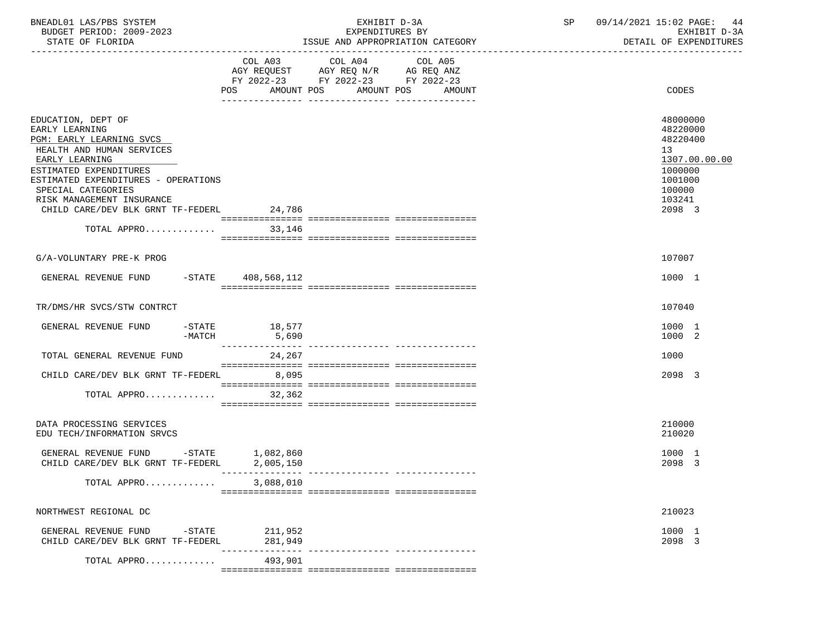| BNEADL01 LAS/PBS SYSTEM<br>BUDGET PERIOD: 2009-2023<br>STATE OF FLORIDA                                                                                                                                                                                                         | EXHIBIT D-3A<br>EXPENDITURES BY<br>ISSUE AND APPROPRIATION CATEGORY                                                                            | SP 09/14/2021 15:02 PAGE: 44<br>EXHIBIT D-3A<br>DETAIL OF EXPENDITURES                                      |
|---------------------------------------------------------------------------------------------------------------------------------------------------------------------------------------------------------------------------------------------------------------------------------|------------------------------------------------------------------------------------------------------------------------------------------------|-------------------------------------------------------------------------------------------------------------|
|                                                                                                                                                                                                                                                                                 | COL A03 COL A04 COL A05<br>AGY REQUEST AGY REQ N/R AG REQ ANZ<br>FY 2022-23 FY 2022-23 FY 2022-23<br>AMOUNT POS<br>AMOUNT POS<br>POS<br>AMOUNT | CODES                                                                                                       |
| EDUCATION, DEPT OF<br>EARLY LEARNING<br>PGM: EARLY LEARNING SVCS<br>HEALTH AND HUMAN SERVICES<br>EARLY LEARNING<br>ESTIMATED EXPENDITURES<br>ESTIMATED EXPENDITURES - OPERATIONS<br>SPECIAL CATEGORIES<br>RISK MANAGEMENT INSURANCE<br>CHILD CARE/DEV BLK GRNT TF-FEDERL 24,786 |                                                                                                                                                | 48000000<br>48220000<br>48220400<br>13<br>1307.00.00.00<br>1000000<br>1001000<br>100000<br>103241<br>2098 3 |
| TOTAL APPRO                                                                                                                                                                                                                                                                     | 33,146                                                                                                                                         |                                                                                                             |
| G/A-VOLUNTARY PRE-K PROG                                                                                                                                                                                                                                                        |                                                                                                                                                | 107007                                                                                                      |
| GENERAL REVENUE FUND -STATE 408,568,112                                                                                                                                                                                                                                         |                                                                                                                                                | 1000 1                                                                                                      |
| TR/DMS/HR SVCS/STW CONTRCT                                                                                                                                                                                                                                                      |                                                                                                                                                | 107040                                                                                                      |
| GENERAL REVENUE FUND<br>$-MATCH$                                                                                                                                                                                                                                                | $-STATE$ 18,577<br>5,690                                                                                                                       | 1000 1<br>1000 2                                                                                            |
| TOTAL GENERAL REVENUE FUND                                                                                                                                                                                                                                                      | 24, 267                                                                                                                                        | 1000                                                                                                        |
| CHILD CARE/DEV BLK GRNT TF-FEDERL 8,095                                                                                                                                                                                                                                         |                                                                                                                                                | 2098 3                                                                                                      |
| TOTAL APPRO                                                                                                                                                                                                                                                                     | 32,362                                                                                                                                         |                                                                                                             |
| DATA PROCESSING SERVICES<br>EDU TECH/INFORMATION SRVCS                                                                                                                                                                                                                          |                                                                                                                                                | 210000<br>210020                                                                                            |
| GENERAL REVENUE FUND -STATE 1,082,860<br>CHILD CARE/DEV BLK GRNT TF-FEDERL                                                                                                                                                                                                      | 2,005,150                                                                                                                                      | 1000 1<br>2098 3                                                                                            |
| TOTAL APPRO                                                                                                                                                                                                                                                                     | 3,088,010                                                                                                                                      |                                                                                                             |
| NORTHWEST REGIONAL DC                                                                                                                                                                                                                                                           |                                                                                                                                                | 210023                                                                                                      |
| GENERAL REVENUE FUND<br>$-$ STATE<br>CHILD CARE/DEV BLK GRNT TF-FEDERL                                                                                                                                                                                                          | 211,952<br>281,949                                                                                                                             | 1000 1<br>2098 3                                                                                            |
| TOTAL APPRO                                                                                                                                                                                                                                                                     | -------------- ----------------<br>493,901                                                                                                     |                                                                                                             |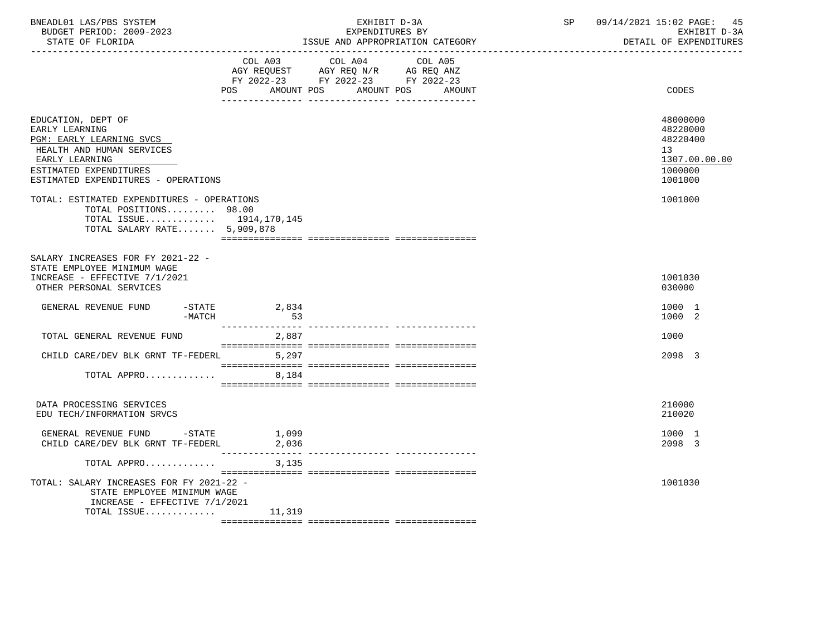| BNEADL01 LAS/PBS SYSTEM<br>BUDGET PERIOD: 2009-2023<br>STATE OF FLORIDA                                                                                                          |                                                                                                                | EXHIBIT D-3A<br>EXPENDITURES BY                                                                                            | ISSUE AND APPROPRIATION CATEGORY | SP | 09/14/2021 15:02 PAGE:<br>45<br>EXHIBIT D-3A<br>DETAIL OF EXPENDITURES        |
|----------------------------------------------------------------------------------------------------------------------------------------------------------------------------------|----------------------------------------------------------------------------------------------------------------|----------------------------------------------------------------------------------------------------------------------------|----------------------------------|----|-------------------------------------------------------------------------------|
|                                                                                                                                                                                  | POS FOR THE POST OF THE STATE STATE STATE STATE STATE STATE STATE STATE STATE STATE STATE STATE STATE STATE ST | COL A03 COL A04 COL A05<br>AGY REQUEST AGY REQ N/R AG REQ ANZ<br>FY 2022-23 FY 2022-23 FY 2022-23<br>AMOUNT POS AMOUNT POS | AMOUNT                           |    | CODES                                                                         |
| EDUCATION, DEPT OF<br>EARLY LEARNING<br>PGM: EARLY LEARNING SVCS<br>HEALTH AND HUMAN SERVICES<br>EARLY LEARNING<br>ESTIMATED EXPENDITURES<br>ESTIMATED EXPENDITURES - OPERATIONS |                                                                                                                |                                                                                                                            |                                  |    | 48000000<br>48220000<br>48220400<br>13<br>1307.00.00.00<br>1000000<br>1001000 |
| TOTAL: ESTIMATED EXPENDITURES - OPERATIONS<br>TOTAL POSITIONS 98.00<br>TOTAL ISSUE 1914,170,145<br>TOTAL SALARY RATE 5,909,878                                                   |                                                                                                                |                                                                                                                            |                                  |    | 1001000                                                                       |
| SALARY INCREASES FOR FY 2021-22 -<br>STATE EMPLOYEE MINIMUM WAGE<br>INCREASE - EFFECTIVE 7/1/2021<br>OTHER PERSONAL SERVICES                                                     |                                                                                                                |                                                                                                                            |                                  |    | 1001030<br>030000                                                             |
| GENERAL REVENUE FUND -STATE 2,834<br>-MATCH                                                                                                                                      | 53                                                                                                             |                                                                                                                            |                                  |    | 1000 1<br>1000 2                                                              |
| TOTAL GENERAL REVENUE FUND                                                                                                                                                       | ________________<br>2,887                                                                                      |                                                                                                                            |                                  |    | 1000                                                                          |
| CHILD CARE/DEV BLK GRNT TF-FEDERL 5,297                                                                                                                                          |                                                                                                                |                                                                                                                            |                                  |    | 2098 3                                                                        |
| TOTAL APPRO                                                                                                                                                                      | 8,184                                                                                                          |                                                                                                                            |                                  |    |                                                                               |
| DATA PROCESSING SERVICES<br>EDU TECH/INFORMATION SRVCS                                                                                                                           |                                                                                                                |                                                                                                                            |                                  |    | 210000<br>210020                                                              |
| GENERAL REVENUE FUND -STATE<br>CHILD CARE/DEV BLK GRNT TF-FEDERL                                                                                                                 | 1,099<br>2,036                                                                                                 |                                                                                                                            |                                  |    | 1000 1<br>2098 3                                                              |
| TOTAL APPRO                                                                                                                                                                      | 3,135                                                                                                          |                                                                                                                            |                                  |    |                                                                               |
| TOTAL: SALARY INCREASES FOR FY 2021-22 -<br>STATE EMPLOYEE MINIMUM WAGE<br>INCREASE - EFFECTIVE 7/1/2021                                                                         |                                                                                                                |                                                                                                                            |                                  |    | 1001030                                                                       |
| TOTAL ISSUE $11,319$                                                                                                                                                             |                                                                                                                |                                                                                                                            |                                  |    |                                                                               |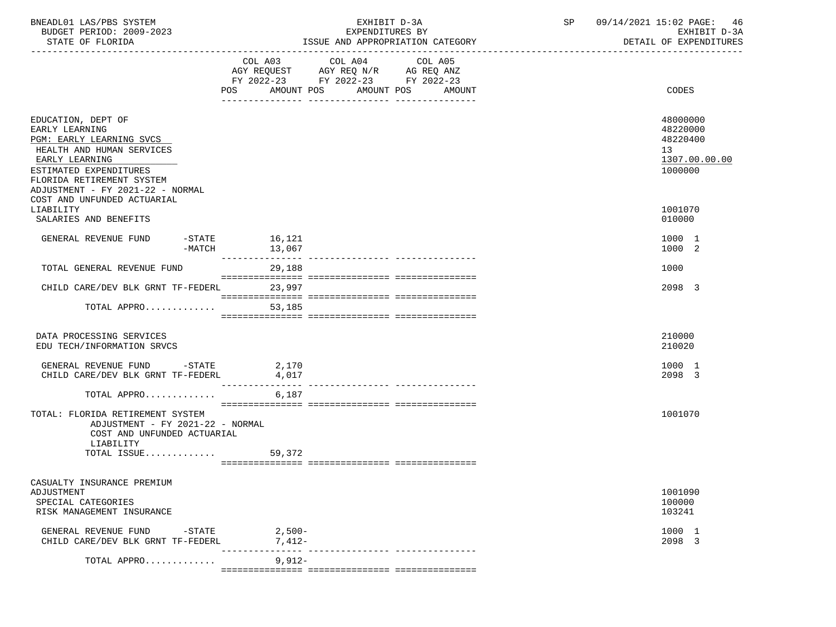| BNEADL01 LAS/PBS SYSTEM<br>BUDGET PERIOD: 2009-2023<br>STATE OF FLORIDA                                                                                                                                    |                                                                                                                                                                                                                                                                                                                                                                                                                                                                           | EXHIBIT D-3A<br>EXPENDITURES BY                                                                         | ISSUE AND APPROPRIATION CATEGORY | SP | 09/14/2021 15:02 PAGE: 46<br>EXHIBIT D-3A<br>DETAIL OF EXPENDITURES             |
|------------------------------------------------------------------------------------------------------------------------------------------------------------------------------------------------------------|---------------------------------------------------------------------------------------------------------------------------------------------------------------------------------------------------------------------------------------------------------------------------------------------------------------------------------------------------------------------------------------------------------------------------------------------------------------------------|---------------------------------------------------------------------------------------------------------|----------------------------------|----|---------------------------------------------------------------------------------|
|                                                                                                                                                                                                            | AMOUNT POS<br>POS                                                                                                                                                                                                                                                                                                                                                                                                                                                         | COL A03 COL A04<br>AGY REQUEST AGY REQ N/R AG REQ ANZ<br>FY 2022-23 FY 2022-23 FY 2022-23<br>AMOUNT POS | COL A05<br>AMOUNT                |    | CODES                                                                           |
| EDUCATION, DEPT OF<br>EARLY LEARNING<br>PGM: EARLY LEARNING SVCS<br>HEALTH AND HUMAN SERVICES<br>EARLY LEARNING<br>ESTIMATED EXPENDITURES<br>FLORIDA RETIREMENT SYSTEM<br>ADJUSTMENT - FY 2021-22 - NORMAL |                                                                                                                                                                                                                                                                                                                                                                                                                                                                           |                                                                                                         |                                  |    | 48000000<br>48220000<br>48220400<br>13 <sup>°</sup><br>1307.00.00.00<br>1000000 |
| COST AND UNFUNDED ACTUARIAL<br>LIABILITY<br>SALARIES AND BENEFITS                                                                                                                                          |                                                                                                                                                                                                                                                                                                                                                                                                                                                                           |                                                                                                         |                                  |    | 1001070<br>010000                                                               |
| GENERAL REVENUE FUND<br>-STATE<br>$-MATCH$                                                                                                                                                                 | 16,121<br>13,067                                                                                                                                                                                                                                                                                                                                                                                                                                                          |                                                                                                         |                                  |    | 1000 1<br>1000 2                                                                |
| TOTAL GENERAL REVENUE FUND                                                                                                                                                                                 | 29,188                                                                                                                                                                                                                                                                                                                                                                                                                                                                    |                                                                                                         |                                  |    | 1000                                                                            |
| CHILD CARE/DEV BLK GRNT TF-FEDERL                                                                                                                                                                          | 23,997                                                                                                                                                                                                                                                                                                                                                                                                                                                                    |                                                                                                         |                                  |    | 2098 3                                                                          |
| TOTAL APPRO                                                                                                                                                                                                | $\begin{minipage}{0.03\textwidth} \begin{tabular}{l} \textbf{0.04\textwidth} \textbf{0.04\textwidth} \textbf{0.04\textwidth} \textbf{0.04\textwidth} \textbf{0.04\textwidth} \textbf{0.04\textwidth} \textbf{0.04\textwidth} \textbf{0.04\textwidth} \textbf{0.04\textwidth} \textbf{0.04\textwidth} \textbf{0.04\textwidth} \textbf{0.04\textwidth} \textbf{0.04\textwidth} \textbf{0.04\textwidth} \textbf{0.04\textwidth} \textbf{0.04\textwidth} \textbf{0$<br>53,185 |                                                                                                         |                                  |    |                                                                                 |
| DATA PROCESSING SERVICES<br>EDU TECH/INFORMATION SRVCS                                                                                                                                                     |                                                                                                                                                                                                                                                                                                                                                                                                                                                                           |                                                                                                         |                                  |    | 210000<br>210020                                                                |
| GENERAL REVENUE FUND -STATE 2,170<br>CHILD CARE/DEV BLK GRNT TF-FEDERL                                                                                                                                     | 4,017<br>________________                                                                                                                                                                                                                                                                                                                                                                                                                                                 |                                                                                                         |                                  |    | 1000 1<br>2098 3                                                                |
| TOTAL APPRO                                                                                                                                                                                                | 6,187                                                                                                                                                                                                                                                                                                                                                                                                                                                                     |                                                                                                         |                                  |    |                                                                                 |
| TOTAL: FLORIDA RETIREMENT SYSTEM<br>ADJUSTMENT - FY 2021-22 - NORMAL<br>COST AND UNFUNDED ACTUARIAL<br>LIABILITY                                                                                           |                                                                                                                                                                                                                                                                                                                                                                                                                                                                           |                                                                                                         |                                  |    | 1001070                                                                         |
| TOTAL ISSUE $59,372$                                                                                                                                                                                       |                                                                                                                                                                                                                                                                                                                                                                                                                                                                           |                                                                                                         |                                  |    |                                                                                 |
| CASUALTY INSURANCE PREMIUM<br>ADJUSTMENT<br>SPECIAL CATEGORIES<br>RISK MANAGEMENT INSURANCE                                                                                                                |                                                                                                                                                                                                                                                                                                                                                                                                                                                                           |                                                                                                         |                                  |    | 1001090<br>100000<br>103241                                                     |
| GENERAL REVENUE FUND -STATE 2,500-<br>CHILD CARE/DEV BLK GRNT TF-FEDERL                                                                                                                                    | 7,412-                                                                                                                                                                                                                                                                                                                                                                                                                                                                    |                                                                                                         |                                  |    | 1000 1<br>2098 3                                                                |
| TOTAL APPRO                                                                                                                                                                                                | ---------------<br>$9,912-$                                                                                                                                                                                                                                                                                                                                                                                                                                               |                                                                                                         |                                  |    |                                                                                 |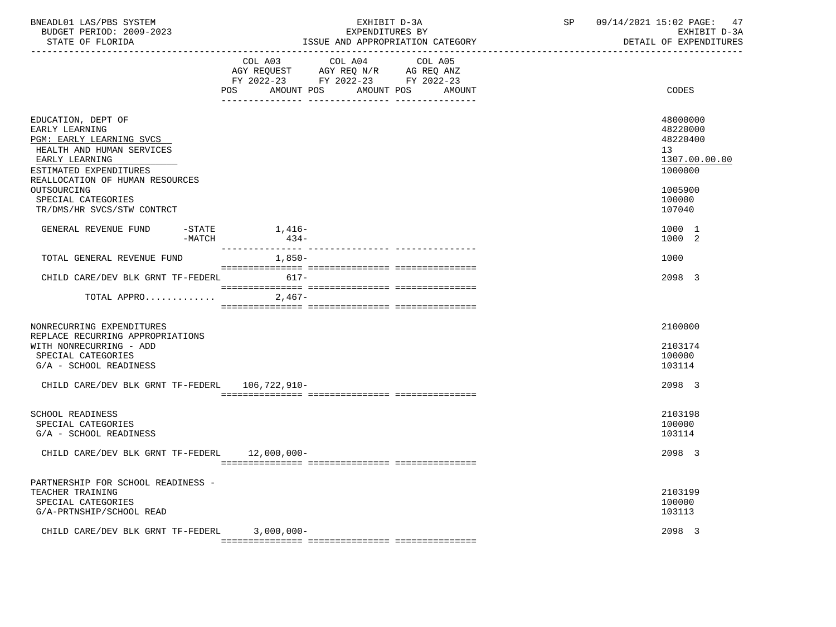| BNEADL01 LAS/PBS SYSTEM<br>BUDGET PERIOD: 2009-2023<br>STATE OF FLORIDA                                                                                                                                                                         |                  | EXHIBIT D-3A<br>EXPENDITURES BY<br>ISSUE AND APPROPRIATION CATEGORY                                                                   | SP | 09/14/2021 15:02 PAGE:<br>47<br>EXHIBIT D-3A<br>DETAIL OF EXPENDITURES                            |
|-------------------------------------------------------------------------------------------------------------------------------------------------------------------------------------------------------------------------------------------------|------------------|---------------------------------------------------------------------------------------------------------------------------------------|----|---------------------------------------------------------------------------------------------------|
|                                                                                                                                                                                                                                                 |                  | COL A03 COL A04 COL A05<br>AGY REQUEST AGY REQ N/R AG REQ ANZ<br>FY 2022-23 FY 2022-23 FY 2022-23<br>POS AMOUNT POS AMOUNT POS AMOUNT |    | CODES                                                                                             |
| EDUCATION, DEPT OF<br>EARLY LEARNING<br>PGM: EARLY LEARNING SVCS<br>HEALTH AND HUMAN SERVICES<br>EARLY LEARNING<br>ESTIMATED EXPENDITURES<br>REALLOCATION OF HUMAN RESOURCES<br>OUTSOURCING<br>SPECIAL CATEGORIES<br>TR/DMS/HR SVCS/STW CONTRCT |                  |                                                                                                                                       |    | 48000000<br>48220000<br>48220400<br>13<br>1307.00.00.00<br>1000000<br>1005900<br>100000<br>107040 |
| GENERAL REVENUE FUND<br>$-$ STATE<br>$-MATCH$                                                                                                                                                                                                   | 1,416–<br>$434-$ |                                                                                                                                       |    | 1000 1<br>1000 2                                                                                  |
| TOTAL GENERAL REVENUE FUND                                                                                                                                                                                                                      | $1,850-$         |                                                                                                                                       |    | 1000                                                                                              |
| CHILD CARE/DEV BLK GRNT TF-FEDERL 617-                                                                                                                                                                                                          |                  |                                                                                                                                       |    | 2098 3                                                                                            |
| TOTAL APPRO $\ldots \ldots \ldots$ . 2,467-                                                                                                                                                                                                     |                  |                                                                                                                                       |    |                                                                                                   |
| NONRECURRING EXPENDITURES<br>REPLACE RECURRING APPROPRIATIONS<br>WITH NONRECURRING - ADD<br>SPECIAL CATEGORIES<br>G/A - SCHOOL READINESS                                                                                                        |                  |                                                                                                                                       |    | 2100000<br>2103174<br>100000<br>103114                                                            |
| CHILD CARE/DEV BLK GRNT TF-FEDERL 106,722,910-                                                                                                                                                                                                  |                  |                                                                                                                                       |    | 2098 3                                                                                            |
| <b>SCHOOL READINESS</b><br>SPECIAL CATEGORIES<br>G/A - SCHOOL READINESS<br>CHILD CARE/DEV BLK GRNT TF-FEDERL 12,000,000-                                                                                                                        |                  |                                                                                                                                       |    | 2103198<br>100000<br>103114<br>2098 3                                                             |
| PARTNERSHIP FOR SCHOOL READINESS -<br>TEACHER TRAINING<br>SPECIAL CATEGORIES<br>G/A-PRTNSHIP/SCHOOL READ<br>CHILD CARE/DEV BLK GRNT TF-FEDERL 3,000,000-                                                                                        |                  |                                                                                                                                       |    | 2103199<br>100000<br>103113<br>2098 3                                                             |
|                                                                                                                                                                                                                                                 |                  |                                                                                                                                       |    |                                                                                                   |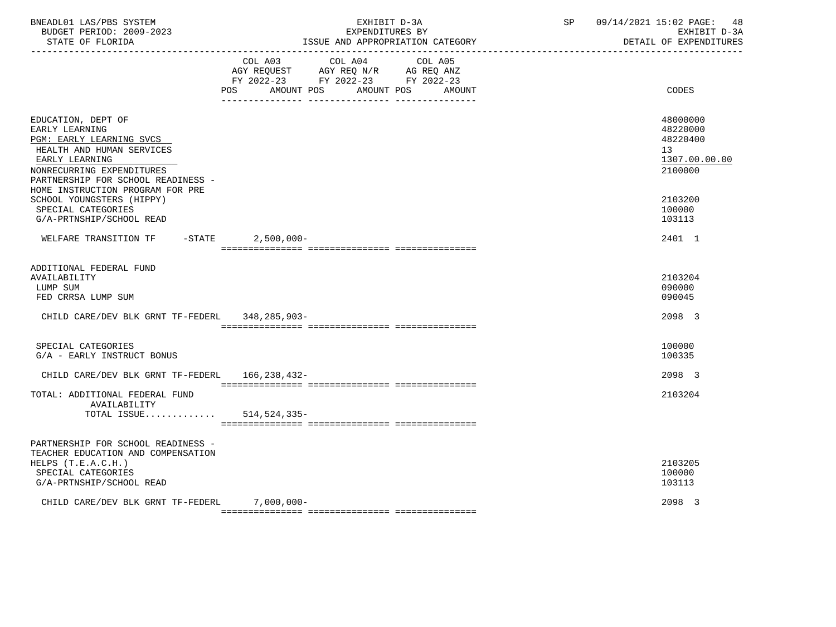| BNEADL01 LAS/PBS SYSTEM<br>BUDGET PERIOD: 2009-2023<br>STATE OF FLORIDA                                                                                                            | EXHIBIT D-3A<br>EXPENDITURES BY<br>ISSUE AND APPROPRIATION CATEGORY                                                                   | SP<br>09/14/2021 15:02 PAGE: 48<br>EXHIBIT D-3A<br>DETAIL OF EXPENDITURES |
|------------------------------------------------------------------------------------------------------------------------------------------------------------------------------------|---------------------------------------------------------------------------------------------------------------------------------------|---------------------------------------------------------------------------|
|                                                                                                                                                                                    | COL A03 COL A04 COL A05<br>AGY REQUEST AGY REQ N/R AG REQ ANZ<br>FY 2022-23 FY 2022-23 FY 2022-23<br>POS AMOUNT POS AMOUNT POS AMOUNT | CODES                                                                     |
| EDUCATION, DEPT OF<br>EARLY LEARNING<br>PGM: EARLY LEARNING SVCS<br>HEALTH AND HUMAN SERVICES<br>EARLY LEARNING<br>NONRECURRING EXPENDITURES<br>PARTNERSHIP FOR SCHOOL READINESS - |                                                                                                                                       | 48000000<br>48220000<br>48220400<br>13<br>1307.00.00.00<br>2100000        |
| HOME INSTRUCTION PROGRAM FOR PRE<br>SCHOOL YOUNGSTERS (HIPPY)<br>SPECIAL CATEGORIES<br>G/A-PRTNSHIP/SCHOOL READ                                                                    |                                                                                                                                       | 2103200<br>100000<br>103113                                               |
| WELFARE TRANSITION TF -STATE 2,500,000-                                                                                                                                            |                                                                                                                                       | 2401 1                                                                    |
| ADDITIONAL FEDERAL FUND<br>AVAILABILITY<br>LUMP SUM<br>FED CRRSA LUMP SUM<br>CHILD CARE/DEV BLK GRNT TF-FEDERL                                                                     | 348,285,903-                                                                                                                          | 2103204<br>090000<br>090045<br>2098 3                                     |
| SPECIAL CATEGORIES<br>G/A - EARLY INSTRUCT BONUS                                                                                                                                   |                                                                                                                                       | 100000<br>100335                                                          |
| CHILD CARE/DEV BLK GRNT TF-FEDERL 166,238,432-                                                                                                                                     |                                                                                                                                       | 2098 3                                                                    |
| TOTAL: ADDITIONAL FEDERAL FUND<br>AVAILABILITY<br>TOTAL ISSUE                                                                                                                      | 514,524,335-                                                                                                                          | 2103204                                                                   |
| PARTNERSHIP FOR SCHOOL READINESS -<br>TEACHER EDUCATION AND COMPENSATION<br>HELPS (T.E.A.C.H.)<br>SPECIAL CATEGORIES<br>G/A-PRTNSHIP/SCHOOL READ                                   |                                                                                                                                       | 2103205<br>100000<br>103113                                               |
| CHILD CARE/DEV BLK GRNT TF-FEDERL 7,000,000-                                                                                                                                       |                                                                                                                                       | 2098 3                                                                    |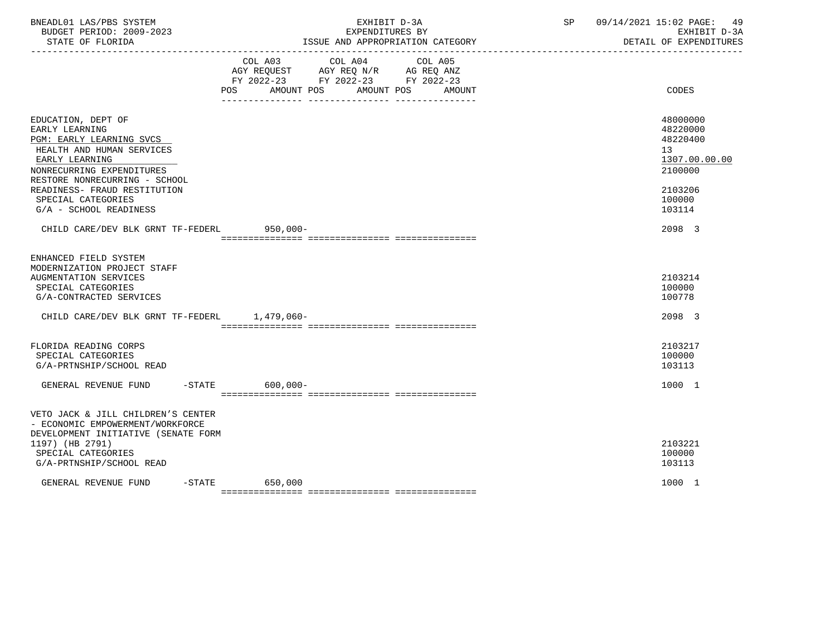| BNEADL01 LAS/PBS SYSTEM<br>BUDGET PERIOD: 2009-2023<br>STATE OF FLORIDA                                                                                                            | EXHIBIT D-3A<br>EXPENDITURES BY<br>ISSUE AND APPROPRIATION CATEGORY |                                                                                                   |                              | 09/14/2021 15:02 PAGE:<br>SP and the set of the set of the set of the set of the set of the set of the set of the set of the set of the set of the set of the set of the set of the set of the set of the set of the set of the set of the set of the se<br>EXHIBIT D-3A<br>DETAIL OF EXPENDITURES |                                                                    |
|------------------------------------------------------------------------------------------------------------------------------------------------------------------------------------|---------------------------------------------------------------------|---------------------------------------------------------------------------------------------------|------------------------------|----------------------------------------------------------------------------------------------------------------------------------------------------------------------------------------------------------------------------------------------------------------------------------------------------|--------------------------------------------------------------------|
|                                                                                                                                                                                    | POS                                                                 | COL A03 COL A04 COL A05<br>AGY REQUEST AGY REQ N/R AG REQ ANZ<br>FY 2022-23 FY 2022-23 FY 2022-23 | AMOUNT POS AMOUNT POS AMOUNT |                                                                                                                                                                                                                                                                                                    | CODES                                                              |
|                                                                                                                                                                                    |                                                                     |                                                                                                   |                              |                                                                                                                                                                                                                                                                                                    |                                                                    |
| EDUCATION, DEPT OF<br>EARLY LEARNING<br>PGM: EARLY LEARNING SVCS<br>HEALTH AND HUMAN SERVICES<br>EARLY LEARNING<br>NONRECURRING EXPENDITURES                                       |                                                                     |                                                                                                   |                              |                                                                                                                                                                                                                                                                                                    | 48000000<br>48220000<br>48220400<br>13<br>1307.00.00.00<br>2100000 |
| RESTORE NONRECURRING - SCHOOL<br>READINESS- FRAUD RESTITUTION<br>SPECIAL CATEGORIES<br>G/A - SCHOOL READINESS                                                                      |                                                                     |                                                                                                   |                              |                                                                                                                                                                                                                                                                                                    | 2103206<br>100000<br>103114                                        |
| CHILD CARE/DEV BLK GRNT TF-FEDERL 950,000-                                                                                                                                         |                                                                     |                                                                                                   |                              |                                                                                                                                                                                                                                                                                                    | 2098 3                                                             |
| ENHANCED FIELD SYSTEM<br>MODERNIZATION PROJECT STAFF<br>AUGMENTATION SERVICES<br>SPECIAL CATEGORIES<br>G/A-CONTRACTED SERVICES<br>CHILD CARE/DEV BLK GRNT TF-FEDERL 1.479.060-     |                                                                     |                                                                                                   |                              |                                                                                                                                                                                                                                                                                                    | 2103214<br>100000<br>100778<br>2098 3                              |
|                                                                                                                                                                                    |                                                                     |                                                                                                   |                              |                                                                                                                                                                                                                                                                                                    |                                                                    |
| FLORIDA READING CORPS<br>SPECIAL CATEGORIES<br>G/A-PRTNSHIP/SCHOOL READ                                                                                                            |                                                                     |                                                                                                   |                              |                                                                                                                                                                                                                                                                                                    | 2103217<br>100000<br>103113                                        |
| GENERAL REVENUE FUND                                                                                                                                                               | $-STATE$ 600,000-                                                   |                                                                                                   |                              |                                                                                                                                                                                                                                                                                                    | 1000 1                                                             |
| VETO JACK & JILL CHILDREN'S CENTER<br>- ECONOMIC EMPOWERMENT/WORKFORCE<br>DEVELOPMENT INITIATIVE (SENATE FORM<br>1197) (HB 2791)<br>SPECIAL CATEGORIES<br>G/A-PRTNSHIP/SCHOOL READ |                                                                     |                                                                                                   |                              |                                                                                                                                                                                                                                                                                                    | 2103221<br>100000<br>103113                                        |
| GENERAL REVENUE FUND                                                                                                                                                               | $-$ STATE<br>650,000                                                |                                                                                                   |                              |                                                                                                                                                                                                                                                                                                    | 1000 1                                                             |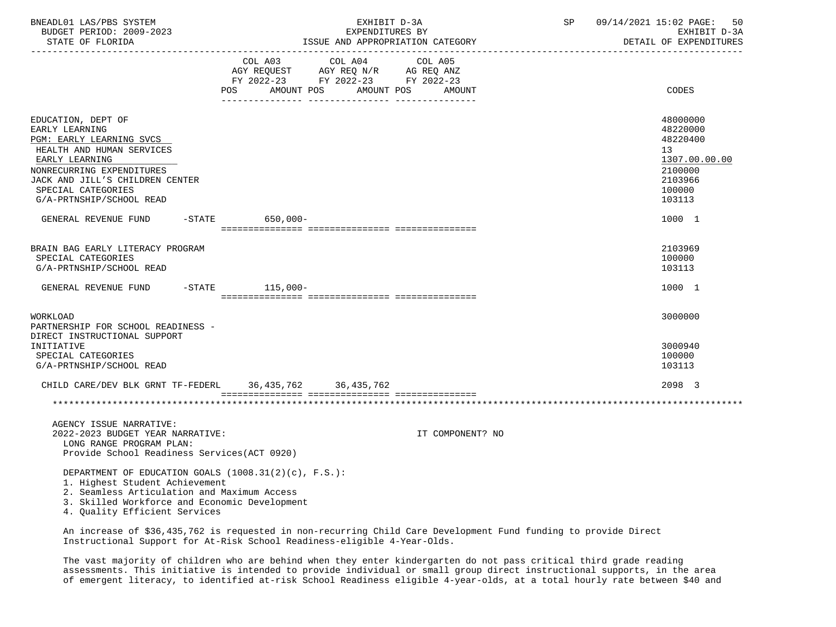| BNEADL01 LAS/PBS SYSTEM<br>BUDGET PERIOD: 2009-2023<br>STATE OF FLORIDA<br>-------------------                                                                                                        | EXHIBIT D-3A<br>EXPENDITURES BY<br>ISSUE AND APPROPRIATION CATEGORY                                                                                                                                                                                                                                                                                          | 09/14/2021 15:02 PAGE:<br>SP<br>50<br>EXHIBIT D-3A<br>DETAIL OF EXPENDITURES            |
|-------------------------------------------------------------------------------------------------------------------------------------------------------------------------------------------------------|--------------------------------------------------------------------------------------------------------------------------------------------------------------------------------------------------------------------------------------------------------------------------------------------------------------------------------------------------------------|-----------------------------------------------------------------------------------------|
|                                                                                                                                                                                                       | $\begin{tabular}{lllllllll} COL & A03 & \multicolumn{3}{c }{COL} & A04 & \multicolumn{3}{c }{COL} & A05 \\ AGY & REQUEST & \multicolumn{3}{c }{AGY} & REQ & N/R & \multicolumn{3}{c }{AG} & REQ & ANZ \\ FY & 2022-23 & \multicolumn{3}{c }{FY} & 2022-23 & \multicolumn{3}{c }{FY} & 2022-23 \\ \end{tabular}$<br>AMOUNT POS<br>POS<br>AMOUNT POS<br>AMOUNT | CODES                                                                                   |
|                                                                                                                                                                                                       |                                                                                                                                                                                                                                                                                                                                                              |                                                                                         |
| EDUCATION, DEPT OF<br>EARLY LEARNING<br>PGM: EARLY LEARNING SVCS<br>HEALTH AND HUMAN SERVICES<br>EARLY LEARNING<br>NONRECURRING EXPENDITURES<br>JACK AND JILL'S CHILDREN CENTER<br>SPECIAL CATEGORIES |                                                                                                                                                                                                                                                                                                                                                              | 48000000<br>48220000<br>48220400<br>13<br>1307.00.00.00<br>2100000<br>2103966<br>100000 |
| G/A-PRTNSHIP/SCHOOL READ                                                                                                                                                                              |                                                                                                                                                                                                                                                                                                                                                              | 103113                                                                                  |
| GENERAL REVENUE FUND                                                                                                                                                                                  | -STATE 650,000-                                                                                                                                                                                                                                                                                                                                              | 1000 1                                                                                  |
| BRAIN BAG EARLY LITERACY PROGRAM<br>SPECIAL CATEGORIES<br>G/A-PRTNSHIP/SCHOOL READ                                                                                                                    |                                                                                                                                                                                                                                                                                                                                                              | 2103969<br>100000<br>103113                                                             |
| GENERAL REVENUE FUND -STATE 115,000-                                                                                                                                                                  |                                                                                                                                                                                                                                                                                                                                                              | 1000 1                                                                                  |
| WORKLOAD<br>PARTNERSHIP FOR SCHOOL READINESS -<br>DIRECT INSTRUCTIONAL SUPPORT<br>INITIATIVE                                                                                                          |                                                                                                                                                                                                                                                                                                                                                              | 3000000<br>3000940                                                                      |
| SPECIAL CATEGORIES<br>G/A-PRTNSHIP/SCHOOL READ                                                                                                                                                        |                                                                                                                                                                                                                                                                                                                                                              | 100000<br>103113                                                                        |
|                                                                                                                                                                                                       | CHILD CARE/DEV BLK GRNT TF-FEDERL 36, 435, 762 36, 435, 762                                                                                                                                                                                                                                                                                                  | 2098 3                                                                                  |
|                                                                                                                                                                                                       |                                                                                                                                                                                                                                                                                                                                                              |                                                                                         |
| AGENCY ISSUE NARRATIVE:<br>2022-2023 BUDGET YEAR NARRATIVE:<br>LONG RANGE PROGRAM PLAN:<br>Provide School Readiness Services (ACT 0920)                                                               | IT COMPONENT? NO                                                                                                                                                                                                                                                                                                                                             |                                                                                         |
| 1. Highest Student Achievement<br>2. Seamless Articulation and Maximum Access<br>3. Skilled Workforce and Economic Development<br>4. Quality Efficient Services                                       | DEPARTMENT OF EDUCATION GOALS $(1008.31(2)(c), F.S.):$                                                                                                                                                                                                                                                                                                       |                                                                                         |
|                                                                                                                                                                                                       | An increase of \$36,435,762 is requested in non-recurring Child Care Development Fund funding to provide Direct                                                                                                                                                                                                                                              |                                                                                         |

Instructional Support for At-Risk School Readiness-eligible 4-Year-Olds.

 The vast majority of children who are behind when they enter kindergarten do not pass critical third grade reading assessments. This initiative is intended to provide individual or small group direct instructional supports, in the area of emergent literacy, to identified at-risk School Readiness eligible 4-year-olds, at a total hourly rate between \$40 and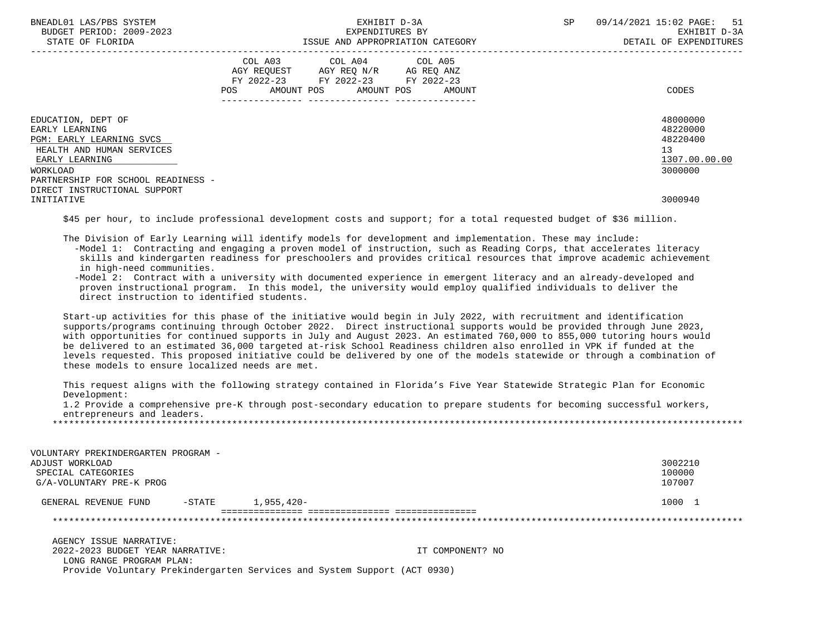| BNEADL01 LAS/PBS SYSTEM<br>BUDGET PERIOD: 2009-2023<br>STATE OF FLORIDA                                                                                           |     | EXPENDITURES BY                                                                                                            | EXHIBIT D-3A<br>ISSUE AND APPROPRIATION CATEGORY | SP | 09/14/2021 15:02 PAGE:<br>51<br>EXHIBIT D-3A<br>DETAIL OF EXPENDITURES |
|-------------------------------------------------------------------------------------------------------------------------------------------------------------------|-----|----------------------------------------------------------------------------------------------------------------------------|--------------------------------------------------|----|------------------------------------------------------------------------|
|                                                                                                                                                                   | POS | COL A03 COL A04 COL A05<br>AGY REQUEST AGY REQ N/R AG REQ ANZ<br>FY 2022-23 FY 2022-23 FY 2022-23<br>AMOUNT POS AMOUNT POS | AMOUNT                                           |    | CODES                                                                  |
| EDUCATION, DEPT OF<br>EARLY LEARNING<br>PGM: EARLY LEARNING SVCS<br>HEALTH AND HUMAN SERVICES<br>EARLY LEARNING<br>WORKLOAD<br>PARTNERSHIP FOR SCHOOL READINESS - |     |                                                                                                                            |                                                  |    | 48000000<br>48220000<br>48220400<br>13<br>1307.00.00.00<br>3000000     |
| DIRECT INSTRUCTIONAL SUPPORT<br>INITIATIVE                                                                                                                        |     |                                                                                                                            |                                                  |    | 3000940                                                                |

\$45 per hour, to include professional development costs and support; for a total requested budget of \$36 million.

The Division of Early Learning will identify models for development and implementation. These may include:

 -Model 1: Contracting and engaging a proven model of instruction, such as Reading Corps, that accelerates literacy skills and kindergarten readiness for preschoolers and provides critical resources that improve academic achievement in high-need communities.

 -Model 2: Contract with a university with documented experience in emergent literacy and an already-developed and proven instructional program. In this model, the university would employ qualified individuals to deliver the direct instruction to identified students.

 Start-up activities for this phase of the initiative would begin in July 2022, with recruitment and identification supports/programs continuing through October 2022. Direct instructional supports would be provided through June 2023, with opportunities for continued supports in July and August 2023. An estimated 760,000 to 855,000 tutoring hours would be delivered to an estimated 36,000 targeted at-risk School Readiness children also enrolled in VPK if funded at the levels requested. This proposed initiative could be delivered by one of the models statewide or through a combination of these models to ensure localized needs are met.

 This request aligns with the following strategy contained in Florida's Five Year Statewide Strategic Plan for Economic Development:

 1.2 Provide a comprehensive pre-K through post-secondary education to prepare students for becoming successful workers, entrepreneurs and leaders.

| VOLUNTARY PREKINDERGARTEN PROGRAM -<br>ADJUST WORKLOAD<br>SPECIAL CATEGORIES<br>G/A-VOLUNTARY PRE-K PROG |           |                                                                          |                  | 3002210<br>100000<br>107007 |
|----------------------------------------------------------------------------------------------------------|-----------|--------------------------------------------------------------------------|------------------|-----------------------------|
|                                                                                                          |           |                                                                          |                  |                             |
| GENERAL REVENUE FUND                                                                                     | $-$ STATE | 1,955,420-                                                               |                  | 1000 1                      |
|                                                                                                          |           |                                                                          |                  |                             |
|                                                                                                          |           |                                                                          |                  |                             |
| AGENCY ISSUE NARRATIVE:                                                                                  |           |                                                                          |                  |                             |
| 2022-2023 BUDGET YEAR NARRATIVE:                                                                         |           |                                                                          | IT COMPONENT? NO |                             |
| LONG RANGE PROGRAM PLAN:                                                                                 |           |                                                                          |                  |                             |
|                                                                                                          |           | Provide Voluntary Prekindergarten Services and System Support (ACT 0930) |                  |                             |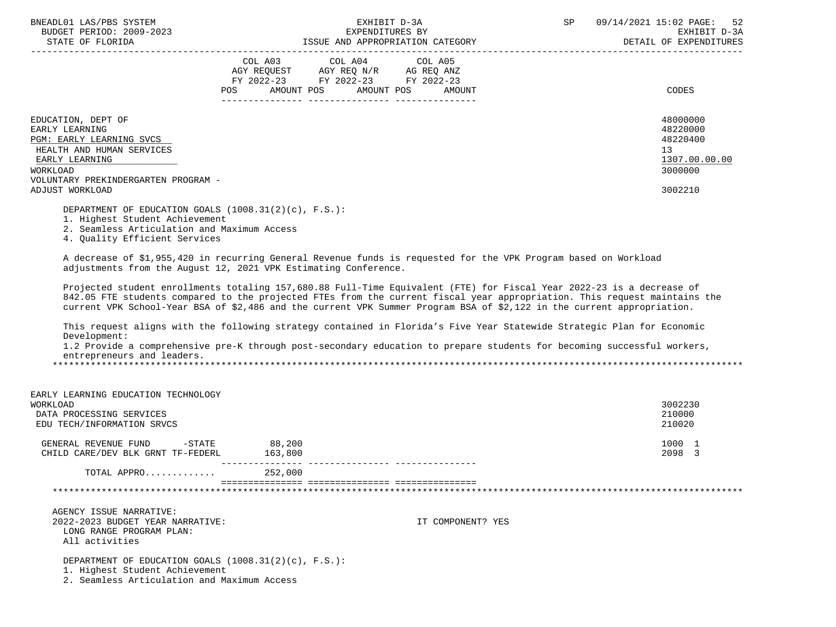| BNEADL01 LAS/PBS SYSTEM |                  |                          |
|-------------------------|------------------|--------------------------|
|                         |                  | BUDGET PERIOD: 2009-2023 |
|                         | STATE OF FLORIDA |                          |

|                                                                                                                                                                                       | COL A03<br>COL A04<br>COL A05<br>AGY REQUEST<br>AGY REQ N/R<br>AG REQ ANZ<br>FY 2022-23<br>FY 2022-23<br>FY 2022-23<br><b>POS</b><br>AMOUNT POS<br>AMOUNT POS | CODES<br>AMOUNT                                                               |
|---------------------------------------------------------------------------------------------------------------------------------------------------------------------------------------|---------------------------------------------------------------------------------------------------------------------------------------------------------------|-------------------------------------------------------------------------------|
| EDUCATION, DEPT OF<br>EARLY LEARNING<br>PGM: EARLY LEARNING SVCS<br>HEALTH AND HUMAN SERVICES<br>EARLY LEARNING<br>WORKLOAD<br>VOLUNTARY PREKINDERGARTEN PROGRAM -<br>ADJUST WORKLOAD |                                                                                                                                                               | 48000000<br>48220000<br>48220400<br>13<br>1307.00.00.00<br>3000000<br>3002210 |

DEPARTMENT OF EDUCATION GOALS (1008.31(2)(c), F.S.):

1. Highest Student Achievement

2. Seamless Articulation and Maximum Access

4. Quality Efficient Services

 A decrease of \$1,955,420 in recurring General Revenue funds is requested for the VPK Program based on Workload adjustments from the August 12, 2021 VPK Estimating Conference.

 Projected student enrollments totaling 157,680.88 Full-Time Equivalent (FTE) for Fiscal Year 2022-23 is a decrease of 842.05 FTE students compared to the projected FTEs from the current fiscal year appropriation. This request maintains the current VPK School-Year BSA of \$2,486 and the current VPK Summer Program BSA of \$2,122 in the current appropriation.

 This request aligns with the following strategy contained in Florida's Five Year Statewide Strategic Plan for Economic Development:

 1.2 Provide a comprehensive pre-K through post-secondary education to prepare students for becoming successful workers, entrepreneurs and leaders.

\*\*\*\*\*\*\*\*\*\*\*\*\*\*\*\*\*\*\*\*\*\*\*\*\*\*\*\*\*\*\*\*\*\*\*\*\*\*\*\*\*\*\*\*\*\*\*\*\*\*\*\*\*\*\*\*\*\*\*\*\*\*\*\*\*\*\*\*\*\*\*\*\*\*\*\*\*\*\*\*\*\*\*\*\*\*\*\*\*\*\*\*\*\*\*\*\*\*\*\*\*\*\*\*\*\*\*\*\*\*\*\*\*\*\*\*\*\*\*\*\*\*\*\*\*\*\*

| EARLY LEARNING EDUCATION TECHNOLOGY<br>WORKLOAD<br>DATA PROCESSING SERVICES<br>EDU TECH/INFORMATION SRVCS                                                                             |         |                   | 3002230<br>210000<br>210020 |
|---------------------------------------------------------------------------------------------------------------------------------------------------------------------------------------|---------|-------------------|-----------------------------|
| GENERAL REVENUE FUND<br>$-$ STATE                                                                                                                                                     | 88,200  |                   | 1000 1                      |
| CHILD CARE/DEV BLK GRNT TF-FEDERL                                                                                                                                                     | 163,800 |                   | 2098 3                      |
| TOTAL APPRO                                                                                                                                                                           | 252,000 |                   |                             |
|                                                                                                                                                                                       |         |                   |                             |
| AGENCY ISSUE NARRATIVE:<br>2022-2023 BUDGET YEAR NARRATIVE:                                                                                                                           |         | IT COMPONENT? YES |                             |
| LONG RANGE PROGRAM PLAN:<br>All activities                                                                                                                                            |         |                   |                             |
| DEPARTMENT OF EDUCATION GOALS $(1008.31(2)(c)$ , F.S.):<br>$1$ $\text{II}\cdot\text{ab}$ of $\text{C}$ $\text{L}$ $\text{ab}$ $\text{L}$ $\text{ab}$ $\text{c}$ $\text{L}$ $\text{L}$ |         |                   |                             |

1. Highest Student Achievement

2. Seamless Articulation and Maximum Access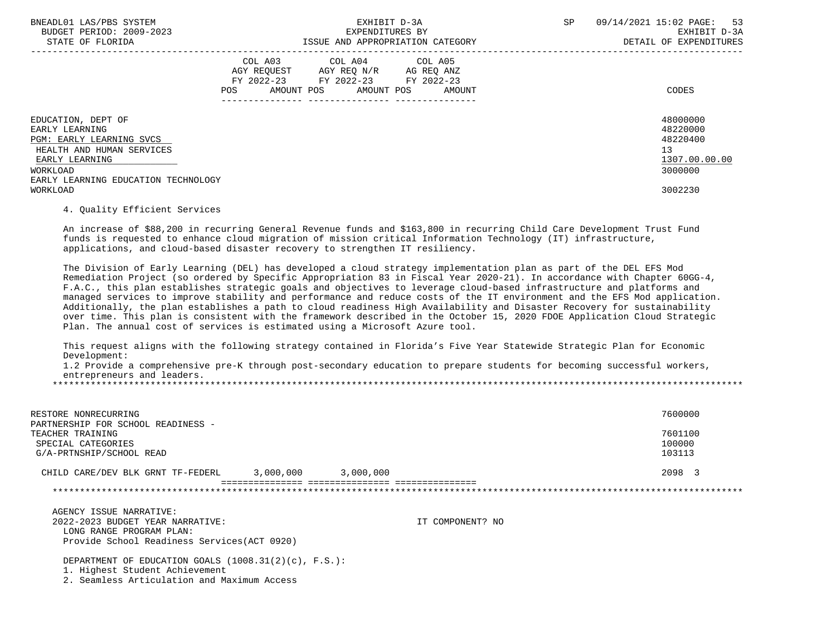| BNEADL01 LAS/PBS SYSTEM<br>BUDGET PERIOD: 2009-2023<br>STATE OF FLORIDA                                                                                            |                                                                                                                | EXPENDITURES BY                                                                                                                   | EXHIBIT D-3A<br>ISSUE AND APPROPRIATION CATEGORY | SP | 09/14/2021 15:02 PAGE: 53<br>EXHIBIT D-3A<br>DETAIL OF EXPENDITURES |
|--------------------------------------------------------------------------------------------------------------------------------------------------------------------|----------------------------------------------------------------------------------------------------------------|-----------------------------------------------------------------------------------------------------------------------------------|--------------------------------------------------|----|---------------------------------------------------------------------|
|                                                                                                                                                                    | POS FOR THE POST OF THE POST OF THE POST OF THE POST OF THE POST OF THE POST OF THE POST OF THE POST OF THE PO | COL A03 COL A04 COL A05<br>AGY REQUEST AGY REQ N/R AG REQ ANZ<br>FY 2022-23 FY 2022-23 FY 2022-23<br>AMOUNT POS AMOUNT POS AMOUNT |                                                  |    | CODES                                                               |
| EDUCATION, DEPT OF<br>EARLY LEARNING<br>PGM: EARLY LEARNING SVCS<br>HEALTH AND HUMAN SERVICES<br>EARLY LEARNING<br>WORKLOAD<br>EARLY LEARNING EDUCATION TECHNOLOGY |                                                                                                                |                                                                                                                                   |                                                  |    | 48000000<br>48220000<br>48220400<br>13<br>1307.00.00.00<br>3000000  |
| WORKLOAD                                                                                                                                                           |                                                                                                                |                                                                                                                                   |                                                  |    | 3002230                                                             |

## 4. Quality Efficient Services

 An increase of \$88,200 in recurring General Revenue funds and \$163,800 in recurring Child Care Development Trust Fund funds is requested to enhance cloud migration of mission critical Information Technology (IT) infrastructure, applications, and cloud-based disaster recovery to strengthen IT resiliency.

 The Division of Early Learning (DEL) has developed a cloud strategy implementation plan as part of the DEL EFS Mod Remediation Project (so ordered by Specific Appropriation 83 in Fiscal Year 2020-21). In accordance with Chapter 60GG-4, F.A.C., this plan establishes strategic goals and objectives to leverage cloud-based infrastructure and platforms and managed services to improve stability and performance and reduce costs of the IT environment and the EFS Mod application. Additionally, the plan establishes a path to cloud readiness High Availability and Disaster Recovery for sustainability over time. This plan is consistent with the framework described in the October 15, 2020 FDOE Application Cloud Strategic Plan. The annual cost of services is estimated using a Microsoft Azure tool.

 This request aligns with the following strategy contained in Florida's Five Year Statewide Strategic Plan for Economic Development:

 1.2 Provide a comprehensive pre-K through post-secondary education to prepare students for becoming successful workers, entrepreneurs and leaders.

\*\*\*\*\*\*\*\*\*\*\*\*\*\*\*\*\*\*\*\*\*\*\*\*\*\*\*\*\*\*\*\*\*\*\*\*\*\*\*\*\*\*\*\*\*\*\*\*\*\*\*\*\*\*\*\*\*\*\*\*\*\*\*\*\*\*\*\*\*\*\*\*\*\*\*\*\*\*\*\*\*\*\*\*\*\*\*\*\*\*\*\*\*\*\*\*\*\*\*\*\*\*\*\*\*\*\*\*\*\*\*\*\*\*\*\*\*\*\*\*\*\*\*\*\*\*\*

| RESTORE NONRECURRING                                   |                                 |           | 7600000          |
|--------------------------------------------------------|---------------------------------|-----------|------------------|
| PARTNERSHIP FOR SCHOOL READINESS -<br>TEACHER TRAINING |                                 |           | 7601100          |
| SPECIAL CATEGORIES<br>G/A-PRTNSHIP/SCHOOL READ         |                                 |           | 100000<br>103113 |
| CHILD CARE/DEV BLK GRNT TF-FEDERL                      | 3,000,000                       | 3,000,000 | 2098 3           |
|                                                        | =============================== |           |                  |

 AGENCY ISSUE NARRATIVE: 2022-2023 BUDGET YEAR NARRATIVE: IT COMPONENT? NO LONG RANGE PROGRAM PLAN: Provide School Readiness Services(ACT 0920)

DEPARTMENT OF EDUCATION GOALS (1008.31(2)(c), F.S.):

1. Highest Student Achievement

2. Seamless Articulation and Maximum Access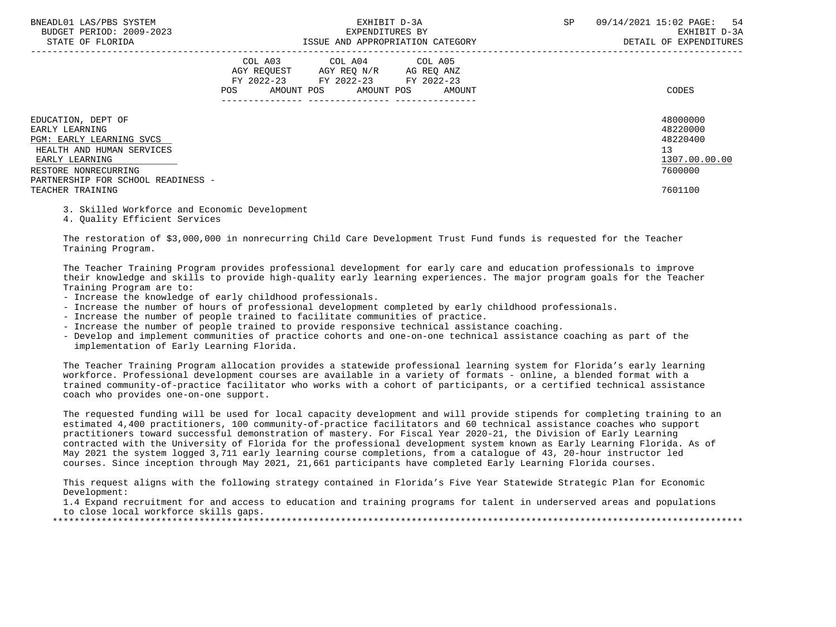| BNEADL01 LAS/PBS SYSTEM |                  |                          |
|-------------------------|------------------|--------------------------|
|                         |                  | BUDGET PERIOD: 2009-2023 |
|                         | STATE OF FLORIDA |                          |

|                                                                                                                                                                                                   | COL A03<br>AGY REOUEST<br>FY 2022-23<br>AMOUNT POS<br>POS | COL A04<br>AGY REQ N/R<br>FY 2022-23<br>AMOUNT POS | COL A05<br>AG REQ ANZ<br>FY 2022-23<br>AMOUNT | CODES                                                                         |
|---------------------------------------------------------------------------------------------------------------------------------------------------------------------------------------------------|-----------------------------------------------------------|----------------------------------------------------|-----------------------------------------------|-------------------------------------------------------------------------------|
| EDUCATION, DEPT OF<br>EARLY LEARNING<br>PGM: EARLY LEARNING SVCS<br>HEALTH AND HUMAN SERVICES<br>EARLY LEARNING<br>RESTORE NONRECURRING<br>PARTNERSHIP FOR SCHOOL READINESS -<br>TEACHER TRAINING |                                                           |                                                    |                                               | 48000000<br>48220000<br>48220400<br>13<br>1307.00.00.00<br>7600000<br>7601100 |

3. Skilled Workforce and Economic Development

4. Quality Efficient Services

 The restoration of \$3,000,000 in nonrecurring Child Care Development Trust Fund funds is requested for the Teacher Training Program.

 The Teacher Training Program provides professional development for early care and education professionals to improve their knowledge and skills to provide high-quality early learning experiences. The major program goals for the Teacher Training Program are to:

- Increase the knowledge of early childhood professionals.
- Increase the number of hours of professional development completed by early childhood professionals.
- Increase the number of people trained to facilitate communities of practice.
- Increase the number of people trained to provide responsive technical assistance coaching.
- Develop and implement communities of practice cohorts and one-on-one technical assistance coaching as part of the implementation of Early Learning Florida.

 The Teacher Training Program allocation provides a statewide professional learning system for Florida's early learning workforce. Professional development courses are available in a variety of formats - online, a blended format with a trained community-of-practice facilitator who works with a cohort of participants, or a certified technical assistance coach who provides one-on-one support.

 The requested funding will be used for local capacity development and will provide stipends for completing training to an estimated 4,400 practitioners, 100 community-of-practice facilitators and 60 technical assistance coaches who support practitioners toward successful demonstration of mastery. For Fiscal Year 2020-21, the Division of Early Learning contracted with the University of Florida for the professional development system known as Early Learning Florida. As of May 2021 the system logged 3,711 early learning course completions, from a catalogue of 43, 20-hour instructor led courses. Since inception through May 2021, 21,661 participants have completed Early Learning Florida courses.

 This request aligns with the following strategy contained in Florida's Five Year Statewide Strategic Plan for Economic Development:

 1.4 Expand recruitment for and access to education and training programs for talent in underserved areas and populations to close local workforce skills gaps.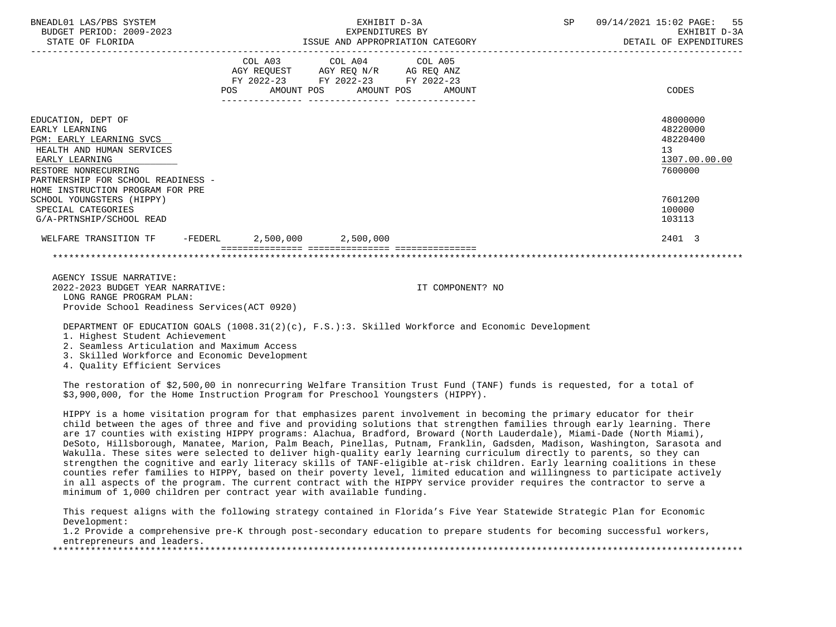| BNEADL01 LAS/PBS SYSTEM<br>BUDGET PERIOD: 2009-2023<br>STATE OF FLORIDA                                                                                                                                           | EXHIBIT D-3A<br>EXPENDITURES BY<br>ISSUE AND APPROPRIATION CATEGORY |  | SP <sub>2</sub>                                                                                                                   | 09/14/2021 15:02 PAGE: 55<br>EXHIBIT D-3A<br>DETAIL OF EXPENDITURES |  |  |                                                                    |
|-------------------------------------------------------------------------------------------------------------------------------------------------------------------------------------------------------------------|---------------------------------------------------------------------|--|-----------------------------------------------------------------------------------------------------------------------------------|---------------------------------------------------------------------|--|--|--------------------------------------------------------------------|
|                                                                                                                                                                                                                   | POS                                                                 |  | COL A03 COL A04 COL A05<br>AGY REQUEST AGY REQ N/R AG REQ ANZ<br>FY 2022-23 FY 2022-23 FY 2022-23<br>AMOUNT POS AMOUNT POS AMOUNT |                                                                     |  |  | CODES                                                              |
| EDUCATION, DEPT OF<br>EARLY LEARNING<br>PGM: EARLY LEARNING SVCS<br>HEALTH AND HUMAN SERVICES<br>EARLY LEARNING<br>RESTORE NONRECURRING<br>PARTNERSHIP FOR SCHOOL READINESS -<br>HOME INSTRUCTION PROGRAM FOR PRE |                                                                     |  |                                                                                                                                   |                                                                     |  |  | 48000000<br>48220000<br>48220400<br>13<br>1307.00.00.00<br>7600000 |
| SCHOOL YOUNGSTERS (HIPPY)<br>SPECIAL CATEGORIES<br>G/A-PRTNSHIP/SCHOOL READ                                                                                                                                       |                                                                     |  |                                                                                                                                   |                                                                     |  |  | 7601200<br>100000<br>103113                                        |
| WELFARE TRANSITION TF                                                                                                                                                                                             |                                                                     |  | -FEDERL 2,500,000 2,500,000                                                                                                       | _================                                                   |  |  | 2401 3                                                             |
|                                                                                                                                                                                                                   |                                                                     |  |                                                                                                                                   |                                                                     |  |  |                                                                    |

 AGENCY ISSUE NARRATIVE: 2022-2023 BUDGET YEAR NARRATIVE: IT COMPONENT? NO LONG RANGE PROGRAM PLAN: Provide School Readiness Services(ACT 0920)

DEPARTMENT OF EDUCATION GOALS (1008.31(2)(c), F.S.):3. Skilled Workforce and Economic Development

1. Highest Student Achievement

2. Seamless Articulation and Maximum Access

3. Skilled Workforce and Economic Development

4. Quality Efficient Services

 The restoration of \$2,500,00 in nonrecurring Welfare Transition Trust Fund (TANF) funds is requested, for a total of \$3,900,000, for the Home Instruction Program for Preschool Youngsters (HIPPY).

 HIPPY is a home visitation program for that emphasizes parent involvement in becoming the primary educator for their child between the ages of three and five and providing solutions that strengthen families through early learning. There are 17 counties with existing HIPPY programs: Alachua, Bradford, Broward (North Lauderdale), Miami-Dade (North Miami), DeSoto, Hillsborough, Manatee, Marion, Palm Beach, Pinellas, Putnam, Franklin, Gadsden, Madison, Washington, Sarasota and Wakulla. These sites were selected to deliver high-quality early learning curriculum directly to parents, so they can strengthen the cognitive and early literacy skills of TANF-eligible at-risk children. Early learning coalitions in these counties refer families to HIPPY, based on their poverty level, limited education and willingness to participate actively in all aspects of the program. The current contract with the HIPPY service provider requires the contractor to serve a minimum of 1,000 children per contract year with available funding.

 This request aligns with the following strategy contained in Florida's Five Year Statewide Strategic Plan for Economic Development:

 1.2 Provide a comprehensive pre-K through post-secondary education to prepare students for becoming successful workers, entrepreneurs and leaders.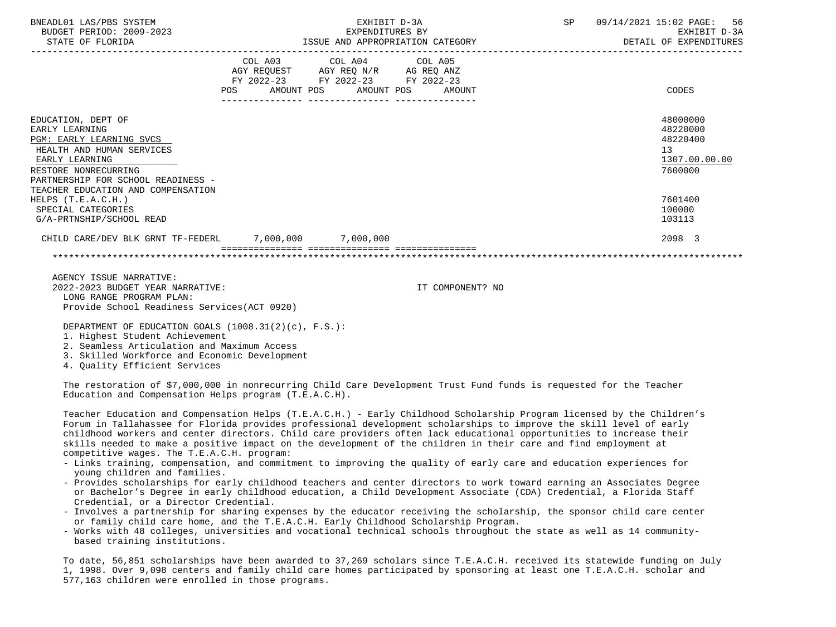| BNEADL01 LAS/PBS SYSTEM<br>BUDGET PERIOD: 2009-2023<br>STATE OF FLORIDA                                                                                                       | EXHIBIT D-3A                                                                                                                          | EXPENDITURES BY<br>ISSUE AND APPROPRIATION CATEGORY | SP | 09/14/2021 15:02 PAGE: 56<br>EXHIBIT D-3A<br>DETAIL OF EXPENDITURES |
|-------------------------------------------------------------------------------------------------------------------------------------------------------------------------------|---------------------------------------------------------------------------------------------------------------------------------------|-----------------------------------------------------|----|---------------------------------------------------------------------|
|                                                                                                                                                                               | COL A03 COL A04 COL A05<br>AGY REQUEST AGY REQ N/R AG REQ ANZ<br>FY 2022-23 FY 2022-23 FY 2022-23<br>POS AMOUNT POS AMOUNT POS AMOUNT |                                                     |    | CODES                                                               |
| EDUCATION, DEPT OF<br>EARLY LEARNING<br>PGM: EARLY LEARNING SVCS<br>HEALTH AND HUMAN SERVICES<br>EARLY LEARNING<br>RESTORE NONRECURRING<br>PARTNERSHIP FOR SCHOOL READINESS - |                                                                                                                                       |                                                     |    | 48000000<br>48220000<br>48220400<br>13<br>1307.00.00.00<br>7600000  |
| TEACHER EDUCATION AND COMPENSATION<br>HELPS $(T.E.A.C.H.)$<br>SPECIAL CATEGORIES<br>G/A-PRTNSHIP/SCHOOL READ                                                                  |                                                                                                                                       |                                                     |    | 7601400<br>100000<br>103113                                         |
| CHILD CARE/DEV BLK GRNT TF-FEDERL 7,000,000 7,000,000                                                                                                                         |                                                                                                                                       |                                                     |    | 2098 3                                                              |
|                                                                                                                                                                               |                                                                                                                                       |                                                     |    |                                                                     |
| AGENCY ISSUE NARRATIVE:                                                                                                                                                       |                                                                                                                                       |                                                     |    |                                                                     |

 2022-2023 BUDGET YEAR NARRATIVE: IT COMPONENT? NO LONG RANGE PROGRAM PLAN: Provide School Readiness Services(ACT 0920)

DEPARTMENT OF EDUCATION GOALS (1008.31(2)(c), F.S.):

1. Highest Student Achievement

2. Seamless Articulation and Maximum Access

3. Skilled Workforce and Economic Development

4. Quality Efficient Services

 The restoration of \$7,000,000 in nonrecurring Child Care Development Trust Fund funds is requested for the Teacher Education and Compensation Helps program (T.E.A.C.H).

 Teacher Education and Compensation Helps (T.E.A.C.H.) - Early Childhood Scholarship Program licensed by the Children's Forum in Tallahassee for Florida provides professional development scholarships to improve the skill level of early childhood workers and center directors. Child care providers often lack educational opportunities to increase their skills needed to make a positive impact on the development of the children in their care and find employment at competitive wages. The T.E.A.C.H. program:

- Links training, compensation, and commitment to improving the quality of early care and education experiences for young children and families.
- Provides scholarships for early childhood teachers and center directors to work toward earning an Associates Degree or Bachelor's Degree in early childhood education, a Child Development Associate (CDA) Credential, a Florida Staff Credential, or a Director Credential.
- Involves a partnership for sharing expenses by the educator receiving the scholarship, the sponsor child care center or family child care home, and the T.E.A.C.H. Early Childhood Scholarship Program.
- Works with 48 colleges, universities and vocational technical schools throughout the state as well as 14 community based training institutions.

 To date, 56,851 scholarships have been awarded to 37,269 scholars since T.E.A.C.H. received its statewide funding on July 1, 1998. Over 9,098 centers and family child care homes participated by sponsoring at least one T.E.A.C.H. scholar and 577,163 children were enrolled in those programs.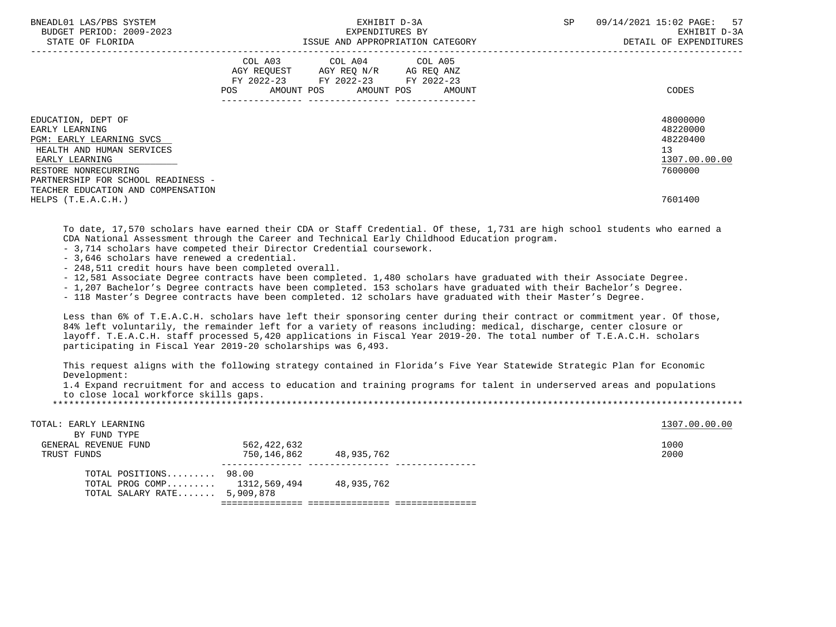| BNEADL01 LAS/PBS SYSTEM<br>BUDGET PERIOD: 2009-2023<br>STATE OF FLORIDA |     | SP<br>EXHIBIT D-3A<br>EXPENDITURES BY<br>ISSUE AND APPROPRIATION CATEGORY                                                         |  |  | 09/14/2021 15:02 PAGE: 57<br>EXHIBIT D-3A<br>DETAIL OF EXPENDITURES |  |
|-------------------------------------------------------------------------|-----|-----------------------------------------------------------------------------------------------------------------------------------|--|--|---------------------------------------------------------------------|--|
|                                                                         | POS | COL A03 COL A04 COL A05<br>AGY REQUEST AGY REQ N/R AG REQ ANZ<br>FY 2022-23 FY 2022-23 FY 2022-23<br>AMOUNT POS AMOUNT POS AMOUNT |  |  | CODES                                                               |  |
| EDUCATION, DEPT OF<br>EARLY LEARNING                                    |     |                                                                                                                                   |  |  | 48000000<br>48220000                                                |  |
| PGM: EARLY LEARNING SVCS<br>HEALTH AND HUMAN SERVICES                   |     |                                                                                                                                   |  |  | 48220400<br>13                                                      |  |
| EARLY LEARNING                                                          |     |                                                                                                                                   |  |  | 1307.00.00.00                                                       |  |
| RESTORE NONRECURRING                                                    |     |                                                                                                                                   |  |  | 7600000                                                             |  |
| PARTNERSHIP FOR SCHOOL READINESS -                                      |     |                                                                                                                                   |  |  |                                                                     |  |
| TEACHER EDUCATION AND COMPENSATION                                      |     |                                                                                                                                   |  |  | 7601400                                                             |  |
| HELPS $(T.E.A.C.H.)$                                                    |     |                                                                                                                                   |  |  |                                                                     |  |

 To date, 17,570 scholars have earned their CDA or Staff Credential. Of these, 1,731 are high school students who earned a CDA National Assessment through the Career and Technical Early Childhood Education program.

- 3,714 scholars have competed their Director Credential coursework.

- 3,646 scholars have renewed a credential.

- 248,511 credit hours have been completed overall.

- 12,581 Associate Degree contracts have been completed. 1,480 scholars have graduated with their Associate Degree.

- 1,207 Bachelor's Degree contracts have been completed. 153 scholars have graduated with their Bachelor's Degree.

- 118 Master's Degree contracts have been completed. 12 scholars have graduated with their Master's Degree.

 Less than 6% of T.E.A.C.H. scholars have left their sponsoring center during their contract or commitment year. Of those, 84% left voluntarily, the remainder left for a variety of reasons including: medical, discharge, center closure or layoff. T.E.A.C.H. staff processed 5,420 applications in Fiscal Year 2019-20. The total number of T.E.A.C.H. scholars participating in Fiscal Year 2019-20 scholarships was 6,493.

 This request aligns with the following strategy contained in Florida's Five Year Statewide Strategic Plan for Economic Development:

 1.4 Expand recruitment for and access to education and training programs for talent in underserved areas and populations to close local workforce skills gaps.

| TOTAL: EARLY LEARNING         |             |            | 1307.00.00.00 |
|-------------------------------|-------------|------------|---------------|
| BY FUND TYPE                  |             |            |               |
| GENERAL REVENUE FUND          | 562,422,632 |            | 1000          |
| TRUST FUNDS                   | 750,146,862 | 48,935,762 | 2000          |
|                               |             |            |               |
| TOTAL POSITIONS $98.00$       |             |            |               |
| TOTAL PROG COMP 1312,569,494  |             | 48,935,762 |               |
| TOTAL SALARY RATE $5,909,878$ |             |            |               |
|                               |             |            |               |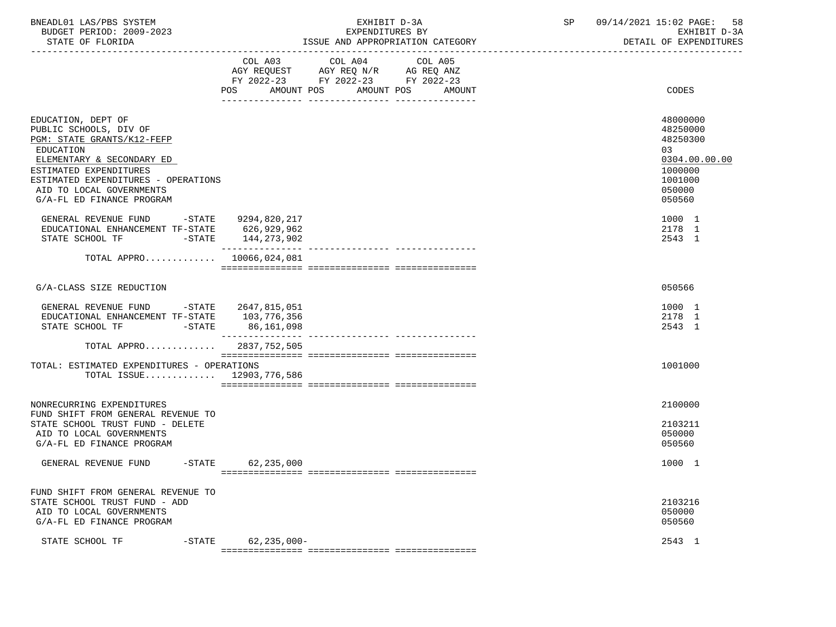| BNEADL01 LAS/PBS SYSTEM  | EXHIBIT                          | 09/14/2021 15:02 PAGE:<br>58 |
|--------------------------|----------------------------------|------------------------------|
| BUDGET PERIOD: 2009-2023 | EXPENDITURES BY                  | EXHIBIT D-3A                 |
|                          | TOOUT AND ADDDODDIATION OATDOODY | pomati on puppuptouppo       |

-----------------------------------------------------------------------------------------------------------------------------------

STATE OF FLORIDA **ISSUE AND APPROPRIATION CATEGORY ISSUE AND APPROPRIATION** CATEGORY

|                                                                                                                                                                                                                                                | COL A03<br>AGY REQUEST<br>FY 2022-23 FY 2022-23 FY 2022-23 | COL A04<br>AGY REQ N/R |            | COL A05<br>AG REQ ANZ |                                                                                                   |
|------------------------------------------------------------------------------------------------------------------------------------------------------------------------------------------------------------------------------------------------|------------------------------------------------------------|------------------------|------------|-----------------------|---------------------------------------------------------------------------------------------------|
|                                                                                                                                                                                                                                                | AMOUNT POS<br>POS                                          |                        | AMOUNT POS | AMOUNT                | CODES                                                                                             |
| EDUCATION, DEPT OF<br>PUBLIC SCHOOLS, DIV OF<br>PGM: STATE GRANTS/K12-FEFP<br>EDUCATION<br>ELEMENTARY & SECONDARY ED<br>ESTIMATED EXPENDITURES<br>ESTIMATED EXPENDITURES - OPERATIONS<br>AID TO LOCAL GOVERNMENTS<br>G/A-FL ED FINANCE PROGRAM |                                                            |                        |            |                       | 48000000<br>48250000<br>48250300<br>03<br>0304.00.00.00<br>1000000<br>1001000<br>050000<br>050560 |
| GENERAL REVENUE FUND<br>EDUCATIONAL ENHANCEMENT TF-STATE<br>STATE SCHOOL TF<br>$-$ STATE                                                                                                                                                       | -STATE 9294,820,217<br>626,929,962<br>144,273,902          |                        |            |                       | 1000 1<br>2178 1<br>2543 1                                                                        |
| TOTAL APPRO $10066,024,081$                                                                                                                                                                                                                    |                                                            |                        |            |                       |                                                                                                   |
| G/A-CLASS SIZE REDUCTION                                                                                                                                                                                                                       |                                                            |                        |            |                       | 050566                                                                                            |
| GENERAL REVENUE FUND<br>EDUCATIONAL ENHANCEMENT TF-STATE<br>STATE SCHOOL TF<br>$-$ STATE                                                                                                                                                       | -STATE 2647,815,051<br>103,776,356<br>86,161,098           |                        |            |                       | 1000 1<br>2178 1<br>2543 1                                                                        |
| TOTAL APPRO                                                                                                                                                                                                                                    | 2837,752,505                                               |                        |            |                       |                                                                                                   |
| TOTAL: ESTIMATED EXPENDITURES - OPERATIONS<br>TOTAL ISSUE $12903,776,586$                                                                                                                                                                      |                                                            |                        |            |                       | 1001000                                                                                           |
| NONRECURRING EXPENDITURES<br>FUND SHIFT FROM GENERAL REVENUE TO<br>STATE SCHOOL TRUST FUND - DELETE<br>AID TO LOCAL GOVERNMENTS<br>G/A-FL ED FINANCE PROGRAM                                                                                   |                                                            |                        |            |                       | 2100000<br>2103211<br>050000<br>050560                                                            |
| $-$ STATE<br>GENERAL REVENUE FUND                                                                                                                                                                                                              | 62,235,000                                                 |                        |            |                       | 1000 1                                                                                            |
| FUND SHIFT FROM GENERAL REVENUE TO<br>STATE SCHOOL TRUST FUND - ADD<br>AID TO LOCAL GOVERNMENTS<br>G/A-FL ED FINANCE PROGRAM                                                                                                                   |                                                            |                        |            |                       | 2103216<br>050000<br>050560                                                                       |
| STATE SCHOOL TF<br>$-$ STATE                                                                                                                                                                                                                   | 62,235,000-                                                |                        |            |                       | 2543 1                                                                                            |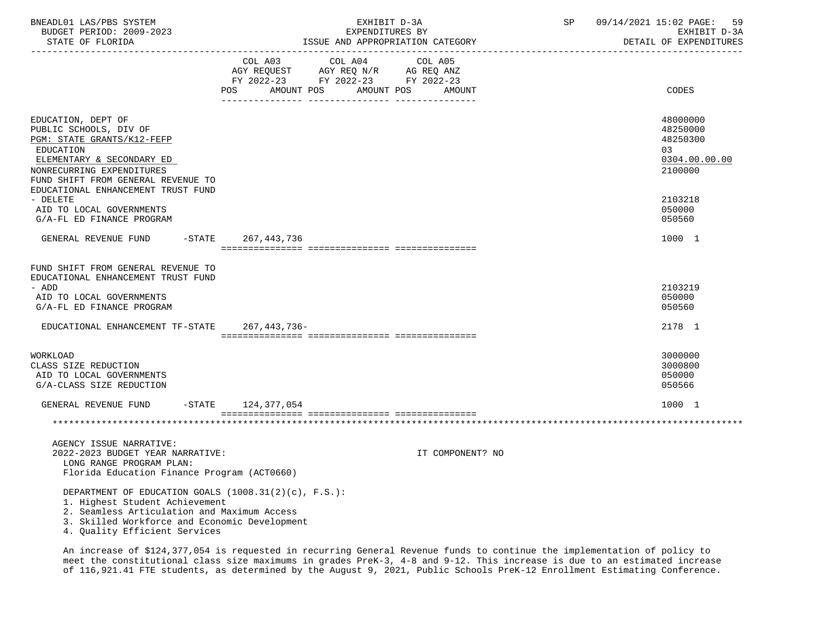| BNEADL01 LAS/PBS SYSTEM<br>BUDGET PERIOD: 2009-2023<br>STATE OF FLORIDA                                                                                                                                                   |                                     | EXHIBIT D-3A<br>EXPENDITURES BY                                                                 | ISSUE AND APPROPRIATION CATEGORY | SP | 09/14/2021 15:02 PAGE: 59<br>EXHIBIT D-3A<br>DETAIL OF EXPENDITURES |
|---------------------------------------------------------------------------------------------------------------------------------------------------------------------------------------------------------------------------|-------------------------------------|-------------------------------------------------------------------------------------------------|----------------------------------|----|---------------------------------------------------------------------|
|                                                                                                                                                                                                                           | COL A03<br>AMOUNT POS<br><b>POS</b> | COL A04<br>AGY REQUEST AGY REQ N/R AG REQ ANZ<br>FY 2022-23 FY 2022-23 FY 2022-23<br>AMOUNT POS | COL A05<br>AMOUNT                |    | CODES                                                               |
| EDUCATION, DEPT OF<br>PUBLIC SCHOOLS, DIV OF<br>PGM: STATE GRANTS/K12-FEFP<br>EDUCATION<br>ELEMENTARY & SECONDARY ED<br>NONRECURRING EXPENDITURES<br>FUND SHIFT FROM GENERAL REVENUE TO                                   |                                     |                                                                                                 |                                  |    | 48000000<br>48250000<br>48250300<br>03<br>0304.00.00.00<br>2100000  |
| EDUCATIONAL ENHANCEMENT TRUST FUND<br>- DELETE<br>AID TO LOCAL GOVERNMENTS<br>G/A-FL ED FINANCE PROGRAM                                                                                                                   |                                     |                                                                                                 |                                  |    | 2103218<br>050000<br>050560                                         |
| $-$ STATE<br>GENERAL REVENUE FUND                                                                                                                                                                                         | 267,443,736                         |                                                                                                 |                                  |    | 1000 1                                                              |
| FUND SHIFT FROM GENERAL REVENUE TO<br>EDUCATIONAL ENHANCEMENT TRUST FUND<br>- ADD<br>AID TO LOCAL GOVERNMENTS<br>G/A-FL ED FINANCE PROGRAM<br>EDUCATIONAL ENHANCEMENT TF-STATE 267,443,736-                               |                                     |                                                                                                 |                                  |    | 2103219<br>050000<br>050560<br>2178 1                               |
| WORKLOAD<br>CLASS SIZE REDUCTION<br>AID TO LOCAL GOVERNMENTS<br>G/A-CLASS SIZE REDUCTION                                                                                                                                  |                                     |                                                                                                 |                                  |    | 3000000<br>3000800<br>050000<br>050566                              |
| GENERAL REVENUE FUND                                                                                                                                                                                                      | $-STATE$ 124,377,054                |                                                                                                 |                                  |    | 1000 1                                                              |
|                                                                                                                                                                                                                           |                                     |                                                                                                 |                                  |    |                                                                     |
| AGENCY ISSUE NARRATIVE:<br>2022-2023 BUDGET YEAR NARRATIVE:<br>LONG RANGE PROGRAM PLAN:<br>Florida Education Finance Program (ACT0660)                                                                                    |                                     |                                                                                                 | IT COMPONENT? NO                 |    |                                                                     |
| DEPARTMENT OF EDUCATION GOALS $(1008.31(2)(c), F.S.):$<br>1. Highest Student Achievement<br>2. Seamless Articulation and Maximum Access<br>3. Skilled Workforce and Economic Development<br>4. Quality Efficient Services |                                     |                                                                                                 |                                  |    |                                                                     |

 An increase of \$124,377,054 is requested in recurring General Revenue funds to continue the implementation of policy to meet the constitutional class size maximums in grades PreK-3, 4-8 and 9-12. This increase is due to an estimated increase of 116,921.41 FTE students, as determined by the August 9, 2021, Public Schools PreK-12 Enrollment Estimating Conference.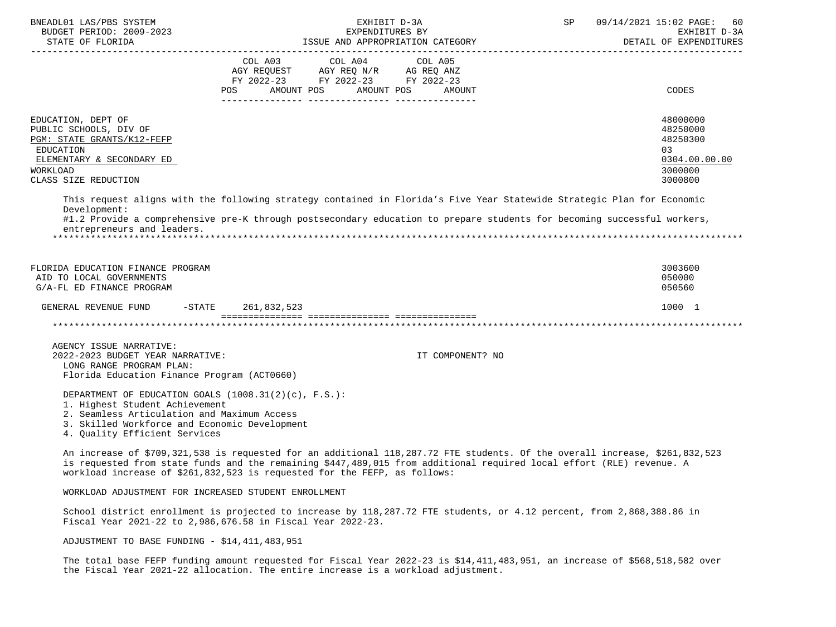| BNEADL01 LAS/PBS SYSTEM<br>BUDGET PERIOD: 2009-2023                                                                                                                                                                       | EXHIBIT D-3A<br>EXPENDITURES BY                                                                                                                                                                                                                                                                                                  | SP               | 09/14/2021 15:02 PAGE:<br>60<br>EXHIBIT D-3A<br>DETAIL OF EXPENDITURES        |
|---------------------------------------------------------------------------------------------------------------------------------------------------------------------------------------------------------------------------|----------------------------------------------------------------------------------------------------------------------------------------------------------------------------------------------------------------------------------------------------------------------------------------------------------------------------------|------------------|-------------------------------------------------------------------------------|
|                                                                                                                                                                                                                           | COL A03 COL A04<br>AGY REQUEST AGY REQ N/R AG REQ ANZ<br>FY 2022-23 FY 2022-23 FY 2022-23<br>POS AMOUNT POS AMOUNT POS AMOUNT                                                                                                                                                                                                    | COL A05          | <b>CODES</b>                                                                  |
| EDUCATION, DEPT OF<br>PUBLIC SCHOOLS, DIV OF<br>PGM: STATE GRANTS/K12-FEFP<br><b>EDUCATION</b><br>ELEMENTARY & SECONDARY ED<br>WORKLOAD<br>CLASS SIZE REDUCTION                                                           |                                                                                                                                                                                                                                                                                                                                  |                  | 48000000<br>48250000<br>48250300<br>03<br>0304.00.00.00<br>3000000<br>3000800 |
| Development:<br>entrepreneurs and leaders.                                                                                                                                                                                | This request aligns with the following strategy contained in Florida's Five Year Statewide Strategic Plan for Economic<br>#1.2 Provide a comprehensive pre-K through postsecondary education to prepare students for becoming successful workers,                                                                                |                  |                                                                               |
| FLORIDA EDUCATION FINANCE PROGRAM<br>AID TO LOCAL GOVERNMENTS<br>G/A-FL ED FINANCE PROGRAM                                                                                                                                |                                                                                                                                                                                                                                                                                                                                  |                  | 3003600<br>050000<br>050560                                                   |
| GENERAL REVENUE FUND<br>$-$ STATE                                                                                                                                                                                         | 261,832,523                                                                                                                                                                                                                                                                                                                      |                  | 1000 1                                                                        |
|                                                                                                                                                                                                                           |                                                                                                                                                                                                                                                                                                                                  |                  |                                                                               |
| AGENCY ISSUE NARRATIVE:<br>2022-2023 BUDGET YEAR NARRATIVE:<br>LONG RANGE PROGRAM PLAN:<br>Florida Education Finance Program (ACT0660)                                                                                    |                                                                                                                                                                                                                                                                                                                                  | IT COMPONENT? NO |                                                                               |
| DEPARTMENT OF EDUCATION GOALS $(1008.31(2)(c), F.S.):$<br>1. Highest Student Achievement<br>2. Seamless Articulation and Maximum Access<br>3. Skilled Workforce and Economic Development<br>4. Quality Efficient Services |                                                                                                                                                                                                                                                                                                                                  |                  |                                                                               |
|                                                                                                                                                                                                                           | An increase of \$709,321,538 is requested for an additional 118,287.72 FTE students. Of the overall increase, \$261,832,523<br>is requested from state funds and the remaining \$447,489,015 from additional required local effort (RLE) revenue. A<br>workload increase of \$261,832,523 is requested for the FEFP, as follows: |                  |                                                                               |
| WORKLOAD ADJUSTMENT FOR INCREASED STUDENT ENROLLMENT                                                                                                                                                                      |                                                                                                                                                                                                                                                                                                                                  |                  |                                                                               |

 School district enrollment is projected to increase by 118,287.72 FTE students, or 4.12 percent, from 2,868,388.86 in Fiscal Year 2021-22 to 2,986,676.58 in Fiscal Year 2022-23.

ADJUSTMENT TO BASE FUNDING - \$14,411,483,951

 The total base FEFP funding amount requested for Fiscal Year 2022-23 is \$14,411,483,951, an increase of \$568,518,582 over the Fiscal Year 2021-22 allocation. The entire increase is a workload adjustment.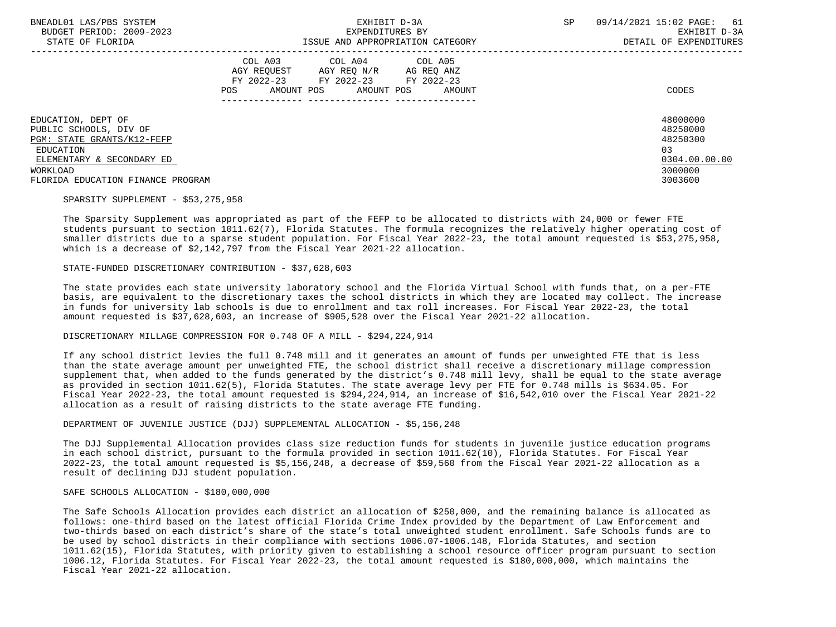| BNEADL01 LAS/PBS SYSTEM<br>BUDGET PERIOD: 2009-2023<br>STATE OF FLORIDA                                                                                               | EXHIBIT D-3A<br>EXPENDITURES BY<br>ISSUE AND APPROPRIATION CATEGORY                                                                                      | <b>SP</b><br>09/14/2021 15:02 PAGE:<br>61<br>EXHIBIT D-3A<br>DETAIL OF EXPENDITURES |
|-----------------------------------------------------------------------------------------------------------------------------------------------------------------------|----------------------------------------------------------------------------------------------------------------------------------------------------------|-------------------------------------------------------------------------------------|
|                                                                                                                                                                       | COL A03 COL A04 COL A05<br>AGY REOUEST AGY REO N/R<br>AG REO ANZ<br>FY 2022-23 FY 2022-23 FY 2022-23<br><b>POS</b><br>AMOUNT POS<br>AMOUNT POS<br>AMOUNT | CODES                                                                               |
| EDUCATION, DEPT OF<br>PUBLIC SCHOOLS, DIV OF<br>PGM: STATE GRANTS/K12-FEFP<br>EDUCATION<br>ELEMENTARY & SECONDARY ED<br>WORKLOAD<br>FLORIDA EDUCATION FINANCE PROGRAM |                                                                                                                                                          | 48000000<br>48250000<br>48250300<br>03<br>0304.00.00.00<br>3000000<br>3003600       |

## SPARSITY SUPPLEMENT - \$53,275,958

 The Sparsity Supplement was appropriated as part of the FEFP to be allocated to districts with 24,000 or fewer FTE students pursuant to section 1011.62(7), Florida Statutes. The formula recognizes the relatively higher operating cost of smaller districts due to a sparse student population. For Fiscal Year 2022-23, the total amount requested is \$53,275,958, which is a decrease of \$2,142,797 from the Fiscal Year 2021-22 allocation.

### STATE-FUNDED DISCRETIONARY CONTRIBUTION - \$37,628,603

 The state provides each state university laboratory school and the Florida Virtual School with funds that, on a per-FTE basis, are equivalent to the discretionary taxes the school districts in which they are located may collect. The increase in funds for university lab schools is due to enrollment and tax roll increases. For Fiscal Year 2022-23, the total amount requested is \$37,628,603, an increase of \$905,528 over the Fiscal Year 2021-22 allocation.

#### DISCRETIONARY MILLAGE COMPRESSION FOR 0.748 OF A MILL - \$294,224,914

 If any school district levies the full 0.748 mill and it generates an amount of funds per unweighted FTE that is less than the state average amount per unweighted FTE, the school district shall receive a discretionary millage compression supplement that, when added to the funds generated by the district's 0.748 mill levy, shall be equal to the state average as provided in section 1011.62(5), Florida Statutes. The state average levy per FTE for 0.748 mills is \$634.05. For Fiscal Year 2022-23, the total amount requested is \$294,224,914, an increase of \$16,542,010 over the Fiscal Year 2021-22 allocation as a result of raising districts to the state average FTE funding.

DEPARTMENT OF JUVENILE JUSTICE (DJJ) SUPPLEMENTAL ALLOCATION - \$5,156,248

 The DJJ Supplemental Allocation provides class size reduction funds for students in juvenile justice education programs in each school district, pursuant to the formula provided in section 1011.62(10), Florida Statutes. For Fiscal Year 2022-23, the total amount requested is \$5,156,248, a decrease of \$59,560 from the Fiscal Year 2021-22 allocation as a result of declining DJJ student population.

#### SAFE SCHOOLS ALLOCATION - \$180,000,000

 The Safe Schools Allocation provides each district an allocation of \$250,000, and the remaining balance is allocated as follows: one-third based on the latest official Florida Crime Index provided by the Department of Law Enforcement and two-thirds based on each district's share of the state's total unweighted student enrollment. Safe Schools funds are to be used by school districts in their compliance with sections 1006.07-1006.148, Florida Statutes, and section 1011.62(15), Florida Statutes, with priority given to establishing a school resource officer program pursuant to section 1006.12, Florida Statutes. For Fiscal Year 2022-23, the total amount requested is \$180,000,000, which maintains the Fiscal Year 2021-22 allocation.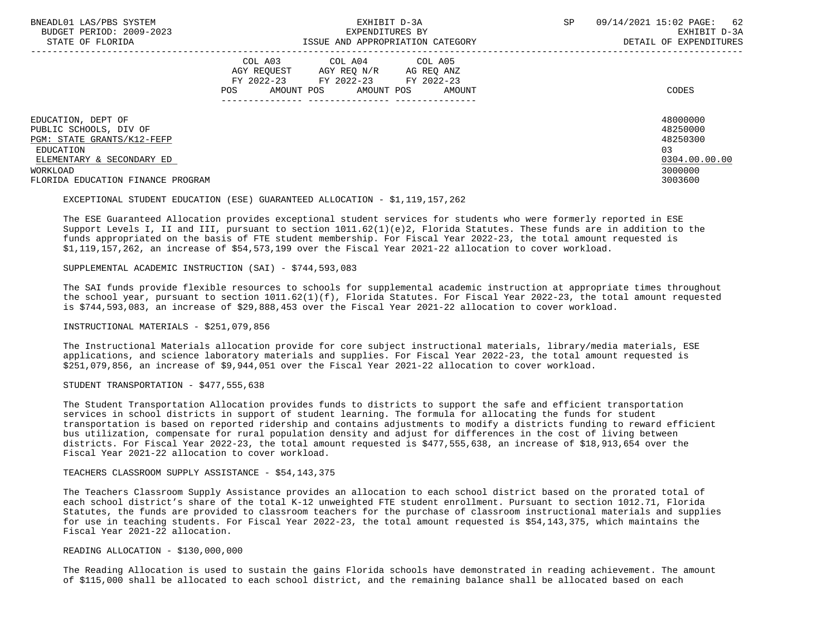| BNEADL01 LAS/PBS SYSTEM<br>BUDGET PERIOD: 2009-2023<br>STATE OF FLORIDA                                                                 | EXHIBIT D-3A<br>EXPENDITURES BY<br>ISSUE AND APPROPRIATION CATEGORY                                                                               | SP<br>09/14/2021 15:02 PAGE: 62<br>EXHIBIT D-3A<br>DETAIL OF EXPENDITURES      |
|-----------------------------------------------------------------------------------------------------------------------------------------|---------------------------------------------------------------------------------------------------------------------------------------------------|--------------------------------------------------------------------------------|
|                                                                                                                                         | COL A03 COL A04 COL A05<br>AGY REOUEST<br>AGY REO N/R<br>AG REO ANZ<br>FY 2022-23 FY 2022-23 FY 2022-23<br>AMOUNT POS AMOUNT POS<br>POS<br>AMOUNT | CODES                                                                          |
| EDUCATION, DEPT OF<br>PUBLIC SCHOOLS, DIV OF<br><b>PGM: STATE GRANTS/K12-FEFP</b><br>EDUCATION<br>ELEMENTARY & SECONDARY ED<br>WORKLOAD |                                                                                                                                                   | 48000000<br>48250000<br>48250300<br>0 <sub>3</sub><br>0304.00.00.00<br>3000000 |
| FLORIDA EDUCATION FINANCE PROGRAM                                                                                                       |                                                                                                                                                   | 3003600                                                                        |

EXCEPTIONAL STUDENT EDUCATION (ESE) GUARANTEED ALLOCATION - \$1,119,157,262

 The ESE Guaranteed Allocation provides exceptional student services for students who were formerly reported in ESE Support Levels I, II and III, pursuant to section 1011.62(1)(e)2, Florida Statutes. These funds are in addition to the funds appropriated on the basis of FTE student membership. For Fiscal Year 2022-23, the total amount requested is \$1,119,157,262, an increase of \$54,573,199 over the Fiscal Year 2021-22 allocation to cover workload.

SUPPLEMENTAL ACADEMIC INSTRUCTION (SAI) - \$744,593,083

 The SAI funds provide flexible resources to schools for supplemental academic instruction at appropriate times throughout the school year, pursuant to section 1011.62(1)(f), Florida Statutes. For Fiscal Year 2022-23, the total amount requested is \$744,593,083, an increase of \$29,888,453 over the Fiscal Year 2021-22 allocation to cover workload.

INSTRUCTIONAL MATERIALS - \$251,079,856

 The Instructional Materials allocation provide for core subject instructional materials, library/media materials, ESE applications, and science laboratory materials and supplies. For Fiscal Year 2022-23, the total amount requested is \$251,079,856, an increase of \$9,944,051 over the Fiscal Year 2021-22 allocation to cover workload.

STUDENT TRANSPORTATION - \$477,555,638

 The Student Transportation Allocation provides funds to districts to support the safe and efficient transportation services in school districts in support of student learning. The formula for allocating the funds for student transportation is based on reported ridership and contains adjustments to modify a districts funding to reward efficient bus utilization, compensate for rural population density and adjust for differences in the cost of living between districts. For Fiscal Year 2022-23, the total amount requested is \$477,555,638, an increase of \$18,913,654 over the Fiscal Year 2021-22 allocation to cover workload.

TEACHERS CLASSROOM SUPPLY ASSISTANCE - \$54,143,375

 The Teachers Classroom Supply Assistance provides an allocation to each school district based on the prorated total of each school district's share of the total K-12 unweighted FTE student enrollment. Pursuant to section 1012.71, Florida Statutes, the funds are provided to classroom teachers for the purchase of classroom instructional materials and supplies for use in teaching students. For Fiscal Year 2022-23, the total amount requested is \$54,143,375, which maintains the Fiscal Year 2021-22 allocation.

READING ALLOCATION - \$130,000,000

 The Reading Allocation is used to sustain the gains Florida schools have demonstrated in reading achievement. The amount of \$115,000 shall be allocated to each school district, and the remaining balance shall be allocated based on each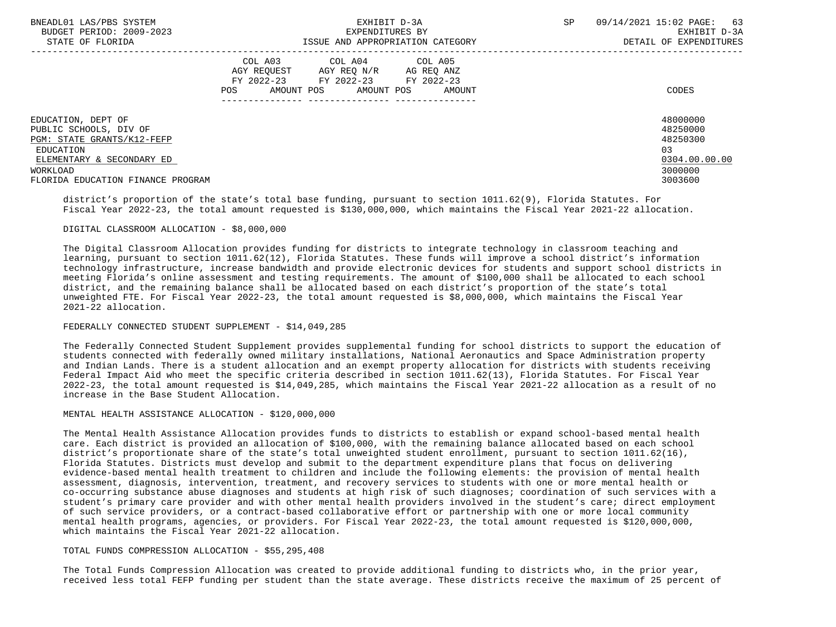| BNEADL01 LAS/PBS SYSTEM<br>BUDGET PERIOD: 2009-2023 | EXHIBIT D-3A<br>EXPENDITURES BY                                               | 09/14/2021 15:02 PAGE: 63<br>SP<br>EXHIBIT D-3A |  |
|-----------------------------------------------------|-------------------------------------------------------------------------------|-------------------------------------------------|--|
| STATE OF FLORIDA                                    | ISSUE AND APPROPRIATION CATEGORY                                              | DETAIL OF EXPENDITURES                          |  |
|                                                     | COL A03 COL A04 COL A05                                                       |                                                 |  |
|                                                     | AGY REOUEST<br>AGY REO N/R<br>AG REQ ANZ                                      |                                                 |  |
|                                                     | FY 2022-23 FY 2022-23<br>FY 2022-23<br>AMOUNT POS AMOUNT POS<br>POS<br>AMOUNT | CODES                                           |  |
|                                                     |                                                                               |                                                 |  |
| EDUCATION, DEPT OF                                  |                                                                               | 48000000                                        |  |
| PUBLIC SCHOOLS, DIV OF                              |                                                                               | 48250000                                        |  |
| PGM: STATE GRANTS/K12-FEFP                          |                                                                               | 48250300                                        |  |
| EDUCATION                                           |                                                                               | 03                                              |  |
| ELEMENTARY & SECONDARY ED                           |                                                                               | 0304.00.00.00                                   |  |
| WORKLOAD                                            |                                                                               | 3000000                                         |  |
| FLORIDA EDUCATION FINANCE PROGRAM                   |                                                                               | 3003600                                         |  |

 district's proportion of the state's total base funding, pursuant to section 1011.62(9), Florida Statutes. For Fiscal Year 2022-23, the total amount requested is \$130,000,000, which maintains the Fiscal Year 2021-22 allocation.

### DIGITAL CLASSROOM ALLOCATION - \$8,000,000

 The Digital Classroom Allocation provides funding for districts to integrate technology in classroom teaching and learning, pursuant to section 1011.62(12), Florida Statutes. These funds will improve a school district's information technology infrastructure, increase bandwidth and provide electronic devices for students and support school districts in meeting Florida's online assessment and testing requirements. The amount of \$100,000 shall be allocated to each school district, and the remaining balance shall be allocated based on each district's proportion of the state's total unweighted FTE. For Fiscal Year 2022-23, the total amount requested is \$8,000,000, which maintains the Fiscal Year 2021-22 allocation.

# FEDERALLY CONNECTED STUDENT SUPPLEMENT - \$14,049,285

 The Federally Connected Student Supplement provides supplemental funding for school districts to support the education of students connected with federally owned military installations, National Aeronautics and Space Administration property and Indian Lands. There is a student allocation and an exempt property allocation for districts with students receiving Federal Impact Aid who meet the specific criteria described in section 1011.62(13), Florida Statutes. For Fiscal Year 2022-23, the total amount requested is \$14,049,285, which maintains the Fiscal Year 2021-22 allocation as a result of no increase in the Base Student Allocation.

# MENTAL HEALTH ASSISTANCE ALLOCATION - \$120,000,000

 The Mental Health Assistance Allocation provides funds to districts to establish or expand school-based mental health care. Each district is provided an allocation of \$100,000, with the remaining balance allocated based on each school district's proportionate share of the state's total unweighted student enrollment, pursuant to section 1011.62(16), Florida Statutes. Districts must develop and submit to the department expenditure plans that focus on delivering evidence-based mental health treatment to children and include the following elements: the provision of mental health assessment, diagnosis, intervention, treatment, and recovery services to students with one or more mental health or co-occurring substance abuse diagnoses and students at high risk of such diagnoses; coordination of such services with a student's primary care provider and with other mental health providers involved in the student's care; direct employment of such service providers, or a contract-based collaborative effort or partnership with one or more local community mental health programs, agencies, or providers. For Fiscal Year 2022-23, the total amount requested is \$120,000,000, which maintains the Fiscal Year 2021-22 allocation.

# TOTAL FUNDS COMPRESSION ALLOCATION - \$55,295,408

 The Total Funds Compression Allocation was created to provide additional funding to districts who, in the prior year, received less total FEFP funding per student than the state average. These districts receive the maximum of 25 percent of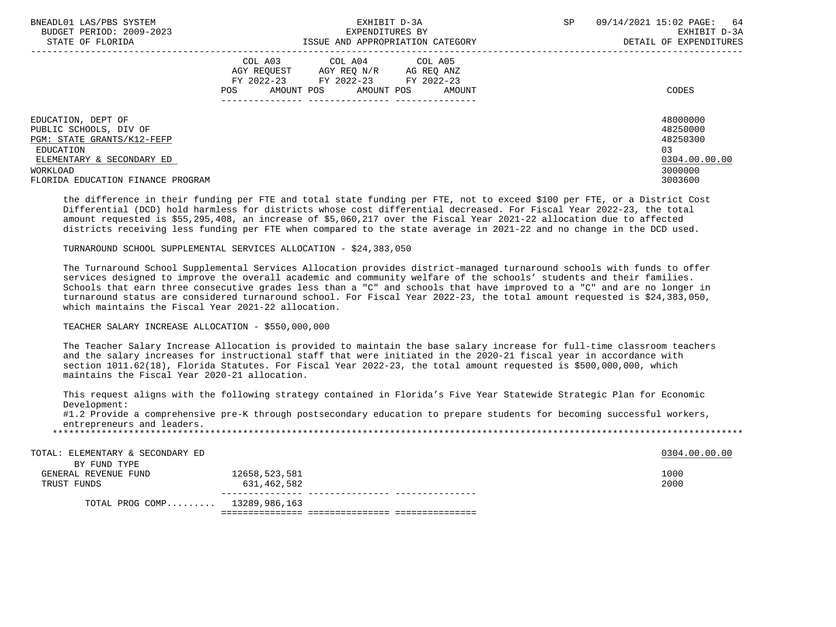| BNEADL01 LAS/PBS SYSTEM           | EXHIBIT D-3A                              | <b>SP</b><br>09/14/2021 15:02 PAGE: 64 |
|-----------------------------------|-------------------------------------------|----------------------------------------|
| BUDGET PERIOD: 2009-2023          | EXPENDITURES BY                           | EXHIBIT D-3A                           |
| STATE OF FLORIDA                  | ISSUE AND APPROPRIATION CATEGORY          | DETAIL OF EXPENDITURES                 |
|                                   | COL A03 COL A04 COL A05                   |                                        |
|                                   | AGY REOUEST<br>AGY REQ N/R AG REQ ANZ     |                                        |
|                                   | FY 2022-23 FY 2022-23<br>FY 2022-23       |                                        |
|                                   | AMOUNT POS<br>POS<br>AMOUNT POS<br>AMOUNT | CODES                                  |
|                                   |                                           |                                        |
| EDUCATION, DEPT OF                |                                           | 48000000                               |
| PUBLIC SCHOOLS, DIV OF            |                                           | 48250000                               |
| <b>PGM: STATE GRANTS/K12-FEFP</b> |                                           | 48250300                               |
| EDUCATION                         |                                           | 0 <sub>3</sub>                         |
| ELEMENTARY & SECONDARY ED         |                                           | 0304.00.00.00                          |
| WORKLOAD                          |                                           | 3000000                                |
| FLORIDA EDUCATION FINANCE PROGRAM |                                           | 3003600                                |
|                                   |                                           |                                        |

 the difference in their funding per FTE and total state funding per FTE, not to exceed \$100 per FTE, or a District Cost Differential (DCD) hold harmless for districts whose cost differential decreased. For Fiscal Year 2022-23, the total amount requested is \$55,295,408, an increase of \$5,060,217 over the Fiscal Year 2021-22 allocation due to affected districts receiving less funding per FTE when compared to the state average in 2021-22 and no change in the DCD used.

TURNAROUND SCHOOL SUPPLEMENTAL SERVICES ALLOCATION - \$24,383,050

 The Turnaround School Supplemental Services Allocation provides district-managed turnaround schools with funds to offer services designed to improve the overall academic and community welfare of the schools' students and their families. Schools that earn three consecutive grades less than a "C" and schools that have improved to a "C" and are no longer in turnaround status are considered turnaround school. For Fiscal Year 2022-23, the total amount requested is \$24,383,050, which maintains the Fiscal Year 2021-22 allocation.

### TEACHER SALARY INCREASE ALLOCATION - \$550,000,000

 The Teacher Salary Increase Allocation is provided to maintain the base salary increase for full-time classroom teachers and the salary increases for instructional staff that were initiated in the 2020-21 fiscal year in accordance with section 1011.62(18), Florida Statutes. For Fiscal Year 2022-23, the total amount requested is \$500,000,000, which maintains the Fiscal Year 2020-21 allocation.

 This request aligns with the following strategy contained in Florida's Five Year Statewide Strategic Plan for Economic Development:

 #1.2 Provide a comprehensive pre-K through postsecondary education to prepare students for becoming successful workers, entrepreneurs and leaders.

| TOTAL: ELEMENTARY & SECONDARY ED |               | 0304.00.00.00 |  |
|----------------------------------|---------------|---------------|--|
| BY FUND TYPE                     |               |               |  |
| GENERAL REVENUE FUND             | 12658,523,581 | 1000          |  |
| TRUST FUNDS                      | 631,462,582   | 2000          |  |
| TOTAL PROG COMP 13289,986,163    |               |               |  |
|                                  |               |               |  |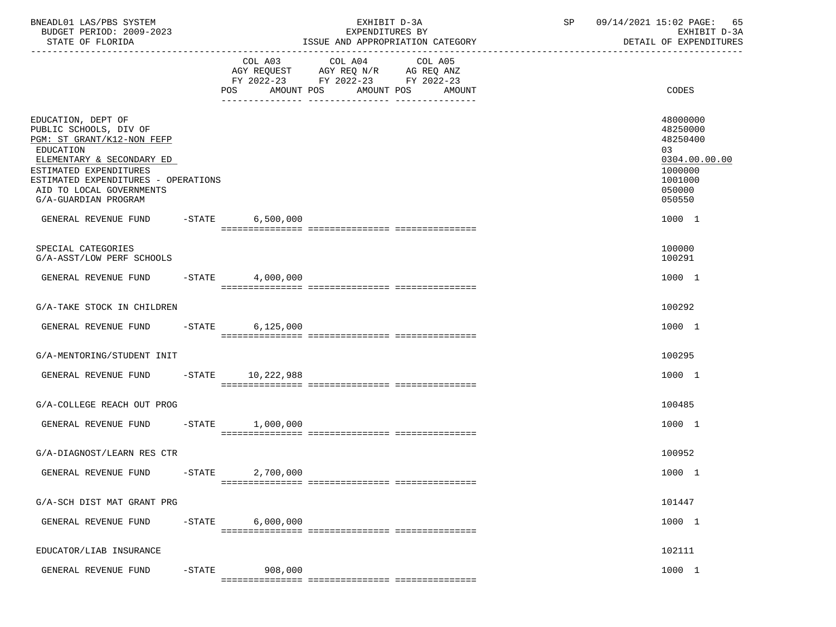| BNEADL01 LAS/PBS SYSTEM<br>BUDGET PERIOD: 2009-2023<br>STATE OF FLORIDA                                                                                                                                                                                                  | EXHIBIT D-3A<br>EXPENDITURES BY<br>ISSUE AND APPROPRIATION CATEGORY |                              |                                                                                | SP | 09/14/2021 15:02 PAGE:<br>65<br>EXHIBIT D-3A<br>DETAIL OF EXPENDITURES                                      |
|--------------------------------------------------------------------------------------------------------------------------------------------------------------------------------------------------------------------------------------------------------------------------|---------------------------------------------------------------------|------------------------------|--------------------------------------------------------------------------------|----|-------------------------------------------------------------------------------------------------------------|
|                                                                                                                                                                                                                                                                          |                                                                     | COL A03<br>AMOUNT POS<br>POS | COL A04<br>COL A05<br>FY 2022-23 FY 2022-23 FY 2022-23<br>AMOUNT POS<br>AMOUNT |    | <b>CODES</b>                                                                                                |
| EDUCATION, DEPT OF<br>PUBLIC SCHOOLS, DIV OF<br>PGM: ST GRANT/K12-NON FEFP<br>EDUCATION<br>ELEMENTARY & SECONDARY ED<br>ESTIMATED EXPENDITURES<br>ESTIMATED EXPENDITURES - OPERATIONS<br>AID TO LOCAL GOVERNMENTS<br>G/A-GUARDIAN PROGRAM<br>GENERAL REVENUE FUND -STATE |                                                                     | 6,500,000                    |                                                                                |    | 48000000<br>48250000<br>48250400<br>03<br>0304.00.00.00<br>1000000<br>1001000<br>050000<br>050550<br>1000 1 |
|                                                                                                                                                                                                                                                                          |                                                                     |                              |                                                                                |    |                                                                                                             |
| SPECIAL CATEGORIES<br>G/A-ASST/LOW PERF SCHOOLS                                                                                                                                                                                                                          |                                                                     |                              |                                                                                |    | 100000<br>100291                                                                                            |
| GENERAL REVENUE FUND                                                                                                                                                                                                                                                     | $-$ STATE                                                           | 4,000,000                    |                                                                                |    | 1000 1                                                                                                      |
| G/A-TAKE STOCK IN CHILDREN                                                                                                                                                                                                                                               |                                                                     |                              |                                                                                |    | 100292                                                                                                      |
| GENERAL REVENUE FUND                                                                                                                                                                                                                                                     | $-$ STATE                                                           | 6, 125, 000                  |                                                                                |    | 1000 1                                                                                                      |
| G/A-MENTORING/STUDENT INIT                                                                                                                                                                                                                                               |                                                                     |                              |                                                                                |    | 100295                                                                                                      |
| GENERAL REVENUE FUND                                                                                                                                                                                                                                                     |                                                                     | -STATE 10,222,988            |                                                                                |    | 1000 1                                                                                                      |
| G/A-COLLEGE REACH OUT PROG                                                                                                                                                                                                                                               |                                                                     |                              |                                                                                |    | 100485                                                                                                      |
| GENERAL REVENUE FUND                                                                                                                                                                                                                                                     | $-STATE$                                                            | 1,000,000                    |                                                                                |    | 1000 1                                                                                                      |
| G/A-DIAGNOST/LEARN RES CTR                                                                                                                                                                                                                                               |                                                                     |                              |                                                                                |    | 100952                                                                                                      |
| GENERAL REVENUE FUND                                                                                                                                                                                                                                                     | $-$ STATE                                                           | 2,700,000                    |                                                                                |    | 1000 1                                                                                                      |
| G/A-SCH DIST MAT GRANT PRG                                                                                                                                                                                                                                               |                                                                     |                              |                                                                                |    | 101447                                                                                                      |
| GENERAL REVENUE FUND                                                                                                                                                                                                                                                     | $-$ STATE                                                           | 6,000,000                    |                                                                                |    | 1000 1                                                                                                      |
| EDUCATOR/LIAB INSURANCE                                                                                                                                                                                                                                                  |                                                                     |                              |                                                                                |    | 102111                                                                                                      |
| GENERAL REVENUE FUND                                                                                                                                                                                                                                                     | $-$ STATE                                                           | 908,000                      |                                                                                |    | 1000 1                                                                                                      |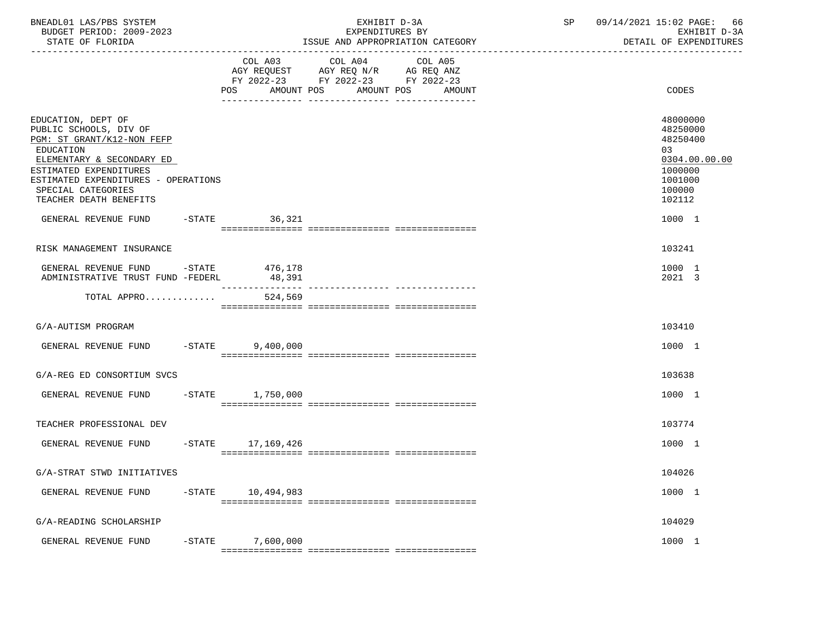| BNEADL01 LAS/PBS SYSTEM<br>BUDGET PERIOD: 2009-2023<br>STATE OF FLORIDA                                                                                                                                                                                                     |           |                    | EXHIBIT D-3A<br>EXPENDITURES BY<br>ISSUE AND APPROPRIATION CATEGORY                                                                   | SP 09/14/2021 15:02 PAGE: 66<br>EXHIBIT D-3A<br>DETAIL OF EXPENDITURES                                                   |
|-----------------------------------------------------------------------------------------------------------------------------------------------------------------------------------------------------------------------------------------------------------------------------|-----------|--------------------|---------------------------------------------------------------------------------------------------------------------------------------|--------------------------------------------------------------------------------------------------------------------------|
|                                                                                                                                                                                                                                                                             |           |                    | COL A03 COL A04 COL A05<br>AGY REQUEST AGY REQ N/R AG REQ ANZ<br>FY 2022-23 FY 2022-23 FY 2022-23<br>POS AMOUNT POS AMOUNT POS AMOUNT | CODES                                                                                                                    |
| EDUCATION, DEPT OF<br>PUBLIC SCHOOLS, DIV OF<br>PGM: ST GRANT/K12-NON FEFP<br>EDUCATION<br>ELEMENTARY & SECONDARY ED<br>ESTIMATED EXPENDITURES<br>ESTIMATED EXPENDITURES - OPERATIONS<br>SPECIAL CATEGORIES<br>TEACHER DEATH BENEFITS<br>GENERAL REVENUE FUND -STATE 36,321 |           |                    |                                                                                                                                       | 48000000<br>48250000<br>48250400<br>03 <sup>2</sup><br>0304.00.00.00<br>1000000<br>1001000<br>100000<br>102112<br>1000 1 |
|                                                                                                                                                                                                                                                                             |           |                    |                                                                                                                                       | 103241                                                                                                                   |
| RISK MANAGEMENT INSURANCE                                                                                                                                                                                                                                                   |           |                    |                                                                                                                                       |                                                                                                                          |
| GENERAL REVENUE FUND -STATE 476,178<br>ADMINISTRATIVE TRUST FUND -FEDERL                                                                                                                                                                                                    |           | 48,391             |                                                                                                                                       | 1000 1<br>2021 3                                                                                                         |
| TOTAL APPRO $524,569$                                                                                                                                                                                                                                                       |           |                    |                                                                                                                                       |                                                                                                                          |
| G/A-AUTISM PROGRAM                                                                                                                                                                                                                                                          |           |                    |                                                                                                                                       | 103410                                                                                                                   |
| GENERAL REVENUE FUND -STATE 9,400,000                                                                                                                                                                                                                                       |           |                    |                                                                                                                                       | 1000 1                                                                                                                   |
| G/A-REG ED CONSORTIUM SVCS                                                                                                                                                                                                                                                  |           |                    |                                                                                                                                       | 103638                                                                                                                   |
| GENERAL REVENUE FUND                                                                                                                                                                                                                                                        |           | $-STATE$ 1,750,000 |                                                                                                                                       | 1000 1                                                                                                                   |
| TEACHER PROFESSIONAL DEV                                                                                                                                                                                                                                                    |           |                    |                                                                                                                                       | 103774                                                                                                                   |
| GENERAL REVENUE FUND -STATE 17,169,426                                                                                                                                                                                                                                      |           |                    |                                                                                                                                       | 1000 1                                                                                                                   |
| G/A-STRAT STWD INITIATIVES                                                                                                                                                                                                                                                  |           |                    |                                                                                                                                       | 104026                                                                                                                   |
| GENERAL REVENUE FUND                                                                                                                                                                                                                                                        | $-$ STATE | 10,494,983         |                                                                                                                                       | 1000 1                                                                                                                   |
| G/A-READING SCHOLARSHIP                                                                                                                                                                                                                                                     |           |                    |                                                                                                                                       | 104029                                                                                                                   |
| GENERAL REVENUE FUND                                                                                                                                                                                                                                                        | $-STATE$  | 7,600,000          |                                                                                                                                       | 1000 1                                                                                                                   |
|                                                                                                                                                                                                                                                                             |           |                    |                                                                                                                                       |                                                                                                                          |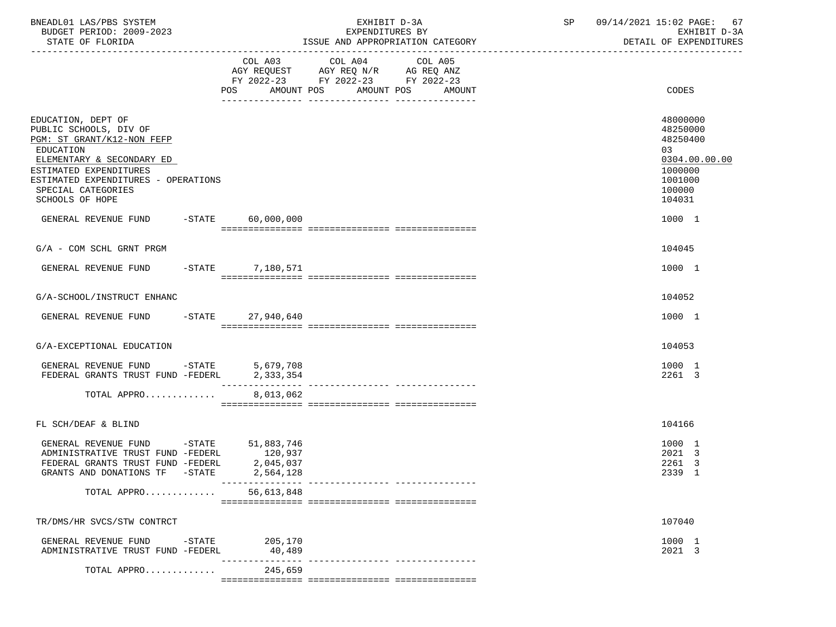| BNEADL01 LAS/PBS SYSTEM<br>BUDGET PERIOD: 2009-2023<br>STATE OF FLORIDA                                                                                                                                                        | EXHIBIT D-3A<br>EXPENDITURES BY<br>ISSUE AND APPROPRIATION CATEGORY |                                                                                                                 |        | SP 09/14/2021 15:02 PAGE: 67<br>EXHIBIT D-3A<br>DETAIL OF EXPENDITURES                            |
|--------------------------------------------------------------------------------------------------------------------------------------------------------------------------------------------------------------------------------|---------------------------------------------------------------------|-----------------------------------------------------------------------------------------------------------------|--------|---------------------------------------------------------------------------------------------------|
|                                                                                                                                                                                                                                | AMOUNT POS<br>POS                                                   | COL A03 COL A04 COL A05<br>AGY REQUEST AGY REQ N/R AG REQ ANZ<br>FY 2022-23 FY 2022-23 FY 2022-23<br>AMOUNT POS | AMOUNT | CODES                                                                                             |
| EDUCATION, DEPT OF<br>PUBLIC SCHOOLS, DIV OF<br>PGM: ST GRANT/K12-NON FEFP<br>EDUCATION<br>ELEMENTARY & SECONDARY ED<br>ESTIMATED EXPENDITURES<br>ESTIMATED EXPENDITURES - OPERATIONS<br>SPECIAL CATEGORIES<br>SCHOOLS OF HOPE |                                                                     |                                                                                                                 |        | 48000000<br>48250000<br>48250400<br>03<br>0304.00.00.00<br>1000000<br>1001000<br>100000<br>104031 |
| GENERAL REVENUE FUND -STATE 60,000,000                                                                                                                                                                                         |                                                                     |                                                                                                                 |        | 1000 1                                                                                            |
| $G/A$ - COM SCHL GRNT PRGM                                                                                                                                                                                                     |                                                                     |                                                                                                                 |        | 104045                                                                                            |
| GENERAL REVENUE FUND -STATE 7,180,571                                                                                                                                                                                          |                                                                     |                                                                                                                 |        | 1000 1                                                                                            |
| G/A-SCHOOL/INSTRUCT ENHANC                                                                                                                                                                                                     |                                                                     |                                                                                                                 |        | 104052                                                                                            |
| GENERAL REVENUE FUND -STATE 27,940,640                                                                                                                                                                                         |                                                                     |                                                                                                                 |        | 1000 1                                                                                            |
|                                                                                                                                                                                                                                |                                                                     |                                                                                                                 |        |                                                                                                   |
| G/A-EXCEPTIONAL EDUCATION                                                                                                                                                                                                      |                                                                     |                                                                                                                 |        | 104053                                                                                            |
| GENERAL REVENUE FUND -STATE $5,679,708$<br>FEDERAL GRANTS TRUST FUND -FEDERL $2,333,354$                                                                                                                                       | ___________                                                         | -------------- ----------------                                                                                 |        | 1000 1<br>2261 3                                                                                  |
| TOTAL APPRO                                                                                                                                                                                                                    | 8,013,062                                                           |                                                                                                                 |        |                                                                                                   |
|                                                                                                                                                                                                                                |                                                                     |                                                                                                                 |        |                                                                                                   |
| FL SCH/DEAF & BLIND                                                                                                                                                                                                            |                                                                     |                                                                                                                 |        | 104166                                                                                            |
| GENERAL REVENUE FUND -STATE 51,883,746<br>ADMINISTRATIVE TRUST FUND -FEDERL<br>FEDERAL GRANTS TRUST FUND -FEDERL<br>GRANTS AND DONATIONS TF -STATE                                                                             | 120,937<br>2,045,037<br>2,564,128                                   |                                                                                                                 |        | 1000 1<br>2021 3<br>2261 3<br>2339 1                                                              |
| TOTAL APPRO                                                                                                                                                                                                                    | 56,613,848                                                          |                                                                                                                 |        |                                                                                                   |
| TR/DMS/HR SVCS/STW CONTRCT                                                                                                                                                                                                     |                                                                     |                                                                                                                 |        | 107040                                                                                            |
| GENERAL REVENUE FUND<br>$-$ STATE<br>ADMINISTRATIVE TRUST FUND -FEDERL                                                                                                                                                         | 205,170<br>40,489                                                   |                                                                                                                 |        | 1000 1<br>2021 3                                                                                  |
| TOTAL APPRO                                                                                                                                                                                                                    | 245,659                                                             |                                                                                                                 |        |                                                                                                   |
|                                                                                                                                                                                                                                |                                                                     |                                                                                                                 |        |                                                                                                   |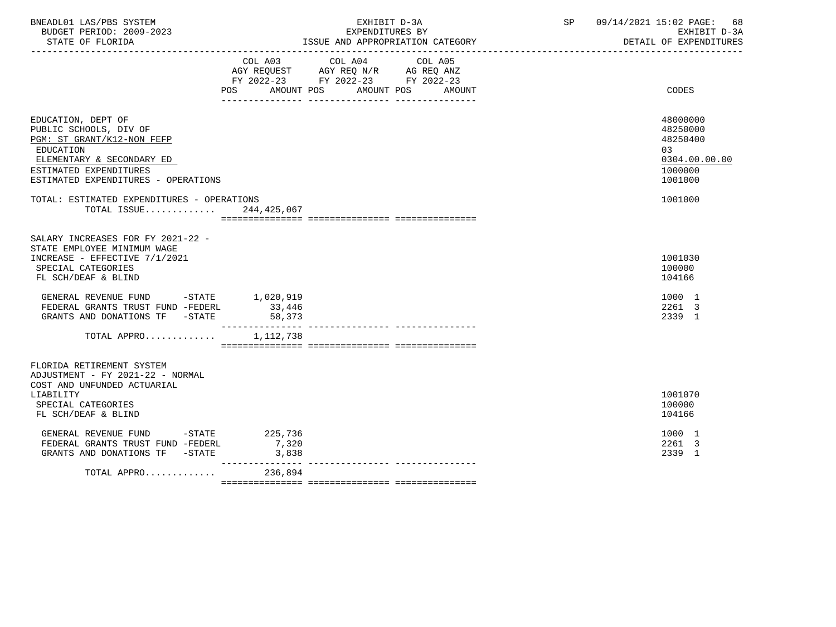| BNEADL01 LAS/PBS SYSTEM<br>BUDGET PERIOD: 2009-2023<br>STATE OF FLORIDA                                                                                                                                                                                                                                                               |                                         | EXHIBIT D-3A<br>EXPENDITURES BY<br>ISSUE AND APPROPRIATION CATEGORY                                       | SP 09/14/2021 15:02 PAGE: 68<br>EXHIBIT D-3A<br>DETAIL OF EXPENDITURES         |
|---------------------------------------------------------------------------------------------------------------------------------------------------------------------------------------------------------------------------------------------------------------------------------------------------------------------------------------|-----------------------------------------|-----------------------------------------------------------------------------------------------------------|--------------------------------------------------------------------------------|
|                                                                                                                                                                                                                                                                                                                                       | COL A03 COL A04<br>AMOUNT POS<br>POS DO | COL A05<br>AGY REQUEST AGY REQ N/R AG REQ ANZ<br>FY 2022-23 FY 2022-23 FY 2022-23<br>AMOUNT POS<br>AMOUNT | <b>CODES</b>                                                                   |
| EDUCATION, DEPT OF<br>PUBLIC SCHOOLS, DIV OF<br>PGM: ST GRANT/K12-NON FEFP<br>EDUCATION<br>ELEMENTARY & SECONDARY ED<br>ESTIMATED EXPENDITURES<br>ESTIMATED EXPENDITURES - OPERATIONS                                                                                                                                                 |                                         |                                                                                                           | 48000000<br>48250000<br>48250400<br>0.3<br>0304.00.00.00<br>1000000<br>1001000 |
| TOTAL: ESTIMATED EXPENDITURES - OPERATIONS<br>TOTAL ISSUE                                                                                                                                                                                                                                                                             | 244,425,067                             |                                                                                                           | 1001000                                                                        |
| SALARY INCREASES FOR FY 2021-22 -<br>STATE EMPLOYEE MINIMUM WAGE<br>INCREASE - EFFECTIVE 7/1/2021<br>SPECIAL CATEGORIES<br>FL SCH/DEAF & BLIND<br>GENERAL REVENUE FUND -STATE 1,020,919<br>FEDERAL GRANTS TRUST FUND -FEDERL 33,446<br>FEDERAL GRANTS TRUST FUND -FEDERL<br>GRANTS AND DONATIONS TF -STATE<br>TOTAL APPRO $1,112,738$ | 33,446<br>58,373<br>________________    |                                                                                                           | 1001030<br>100000<br>104166<br>1000 1<br>2261 3<br>2339 1                      |
| FLORIDA RETIREMENT SYSTEM<br>ADJUSTMENT - FY 2021-22 - NORMAL<br>COST AND UNFUNDED ACTUARIAL<br>LIABILITY<br>SPECIAL CATEGORIES<br>FL SCH/DEAF & BLIND<br>GENERAL REVENUE FUND -STATE 225,736                                                                                                                                         |                                         |                                                                                                           | 1001070<br>100000<br>104166<br>1000 1                                          |
| FEDERAL GRANTS TRUST FUND -FEDERL<br>GRANTS AND DONATIONS TF -STATE<br>TOTAL APPRO 236,894                                                                                                                                                                                                                                            | 7,320<br>3,838<br>______________        |                                                                                                           | 2261 3<br>2339 1                                                               |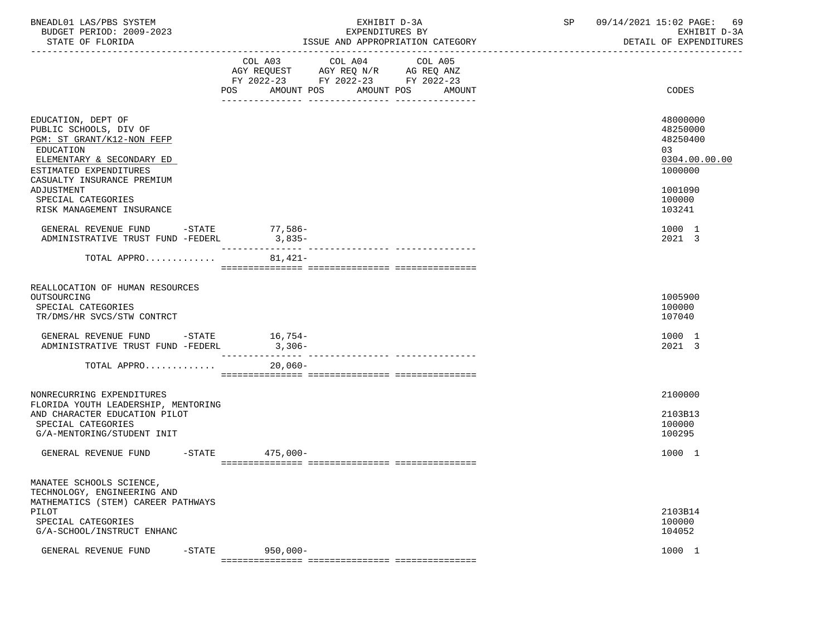| BNEADL01 LAS/PBS SYSTEM<br>BUDGET PERIOD: 2009-2023<br>STATE OF FLORIDA                                                                                                                                                                       |                   | EXHIBIT D-3A<br>EXPENDITURES BY<br>ISSUE AND APPROPRIATION CATEGORY                                                                      | SP | 09/14/2021 15:02 PAGE: 69<br>EXHIBIT D-3A<br>DETAIL OF EXPENDITURES                               |  |
|-----------------------------------------------------------------------------------------------------------------------------------------------------------------------------------------------------------------------------------------------|-------------------|------------------------------------------------------------------------------------------------------------------------------------------|----|---------------------------------------------------------------------------------------------------|--|
|                                                                                                                                                                                                                                               |                   | COL A03 COL A04 COL A05<br>AGY REQUEST AGY REQ N/R AG REQ ANZ<br>FY 2022-23 FY 2022-23 FY 2022-23<br>POS AMOUNT POS AMOUNT POS<br>AMOUNT |    | CODES                                                                                             |  |
| EDUCATION, DEPT OF<br>PUBLIC SCHOOLS, DIV OF<br>PGM: ST GRANT/K12-NON FEFP<br>EDUCATION<br>ELEMENTARY & SECONDARY ED<br>ESTIMATED EXPENDITURES<br>CASUALTY INSURANCE PREMIUM<br>ADJUSTMENT<br>SPECIAL CATEGORIES<br>RISK MANAGEMENT INSURANCE |                   |                                                                                                                                          |    | 48000000<br>48250000<br>48250400<br>03<br>0304.00.00.00<br>1000000<br>1001090<br>100000<br>103241 |  |
| GENERAL REVENUE FUND -STATE 77,586-<br>ADMINISTRATIVE TRUST FUND -FEDERL                                                                                                                                                                      | $3,835-$          |                                                                                                                                          |    | 1000 1<br>2021 3                                                                                  |  |
| TOTAL APPRO                                                                                                                                                                                                                                   | $81,421-$         |                                                                                                                                          |    |                                                                                                   |  |
| REALLOCATION OF HUMAN RESOURCES<br>OUTSOURCING<br>SPECIAL CATEGORIES<br>TR/DMS/HR SVCS/STW CONTRCT<br>GENERAL REVENUE FUND -STATE 16,754-<br>ADMINISTRATIVE TRUST FUND -FEDERL                                                                | $3,306-$          |                                                                                                                                          |    | 1005900<br>100000<br>107040<br>1000 1<br>2021 3                                                   |  |
| TOTAL APPRO                                                                                                                                                                                                                                   | 20,060-           |                                                                                                                                          |    |                                                                                                   |  |
| NONRECURRING EXPENDITURES<br>FLORIDA YOUTH LEADERSHIP, MENTORING<br>AND CHARACTER EDUCATION PILOT<br>SPECIAL CATEGORIES<br>G/A-MENTORING/STUDENT INIT                                                                                         |                   |                                                                                                                                          |    | 2100000<br>2103B13<br>100000<br>100295                                                            |  |
| GENERAL REVENUE FUND                                                                                                                                                                                                                          | $-STATE$ 475,000- |                                                                                                                                          |    | 1000 1                                                                                            |  |
| MANATEE SCHOOLS SCIENCE,<br>TECHNOLOGY, ENGINEERING AND<br>MATHEMATICS (STEM) CAREER PATHWAYS<br>PILOT<br>SPECIAL CATEGORIES<br>G/A-SCHOOL/INSTRUCT ENHANC<br>GENERAL REVENUE FUND<br>$-STATE$                                                | $950,000 -$       |                                                                                                                                          |    | 2103B14<br>100000<br>104052<br>1000 1                                                             |  |
|                                                                                                                                                                                                                                               |                   |                                                                                                                                          |    |                                                                                                   |  |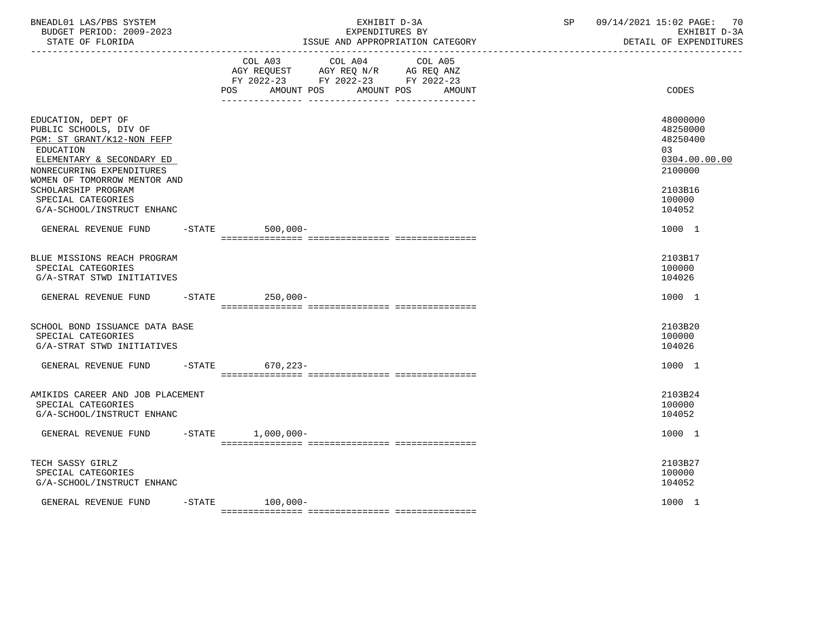| BNEADL01 LAS/PBS SYSTEM<br>BUDGET PERIOD: 2009-2023<br>STATE OF FLORIDA                                                                                                                                  |  |                                                                                                          | EXHIBIT D-3A<br>EXPENDITURES BY | ISSUE AND APPROPRIATION CATEGORY | SP | 09/14/2021 15:02 PAGE:<br>-70<br>EXHIBIT D-3A<br>DETAIL OF EXPENDITURES       |
|----------------------------------------------------------------------------------------------------------------------------------------------------------------------------------------------------------|--|----------------------------------------------------------------------------------------------------------|---------------------------------|----------------------------------|----|-------------------------------------------------------------------------------|
|                                                                                                                                                                                                          |  | COL A03 COL A04 COL A05<br>AGY REQUEST AGY REQ N/R AG REQ ANZ<br>FY 2022-23 FY 2022-23 FY 2022-23<br>POS |                                 | AMOUNT POS AMOUNT POS AMOUNT     |    | CODES                                                                         |
| EDUCATION, DEPT OF<br>PUBLIC SCHOOLS, DIV OF<br>PGM: ST GRANT/K12-NON FEFP<br>EDUCATION<br>ELEMENTARY & SECONDARY ED<br>NONRECURRING EXPENDITURES<br>WOMEN OF TOMORROW MENTOR AND<br>SCHOLARSHIP PROGRAM |  |                                                                                                          |                                 |                                  |    | 48000000<br>48250000<br>48250400<br>03<br>0304.00.00.00<br>2100000<br>2103B16 |
| SPECIAL CATEGORIES<br>G/A-SCHOOL/INSTRUCT ENHANC                                                                                                                                                         |  |                                                                                                          |                                 |                                  |    | 100000<br>104052                                                              |
| GENERAL REVENUE FUND                                                                                                                                                                                     |  | $-$ STATE<br>$500,000 -$                                                                                 |                                 |                                  |    | 1000 1                                                                        |
| BLUE MISSIONS REACH PROGRAM<br>SPECIAL CATEGORIES<br>G/A-STRAT STWD INITIATIVES                                                                                                                          |  |                                                                                                          |                                 |                                  |    | 2103B17<br>100000<br>104026                                                   |
| GENERAL REVENUE FUND                                                                                                                                                                                     |  | $250,000-$<br>$-$ STATE                                                                                  |                                 |                                  |    | 1000 1                                                                        |
| SCHOOL BOND ISSUANCE DATA BASE<br>SPECIAL CATEGORIES<br>G/A-STRAT STWD INITIATIVES                                                                                                                       |  |                                                                                                          |                                 |                                  |    | 2103B20<br>100000<br>104026                                                   |
| GENERAL REVENUE FUND                                                                                                                                                                                     |  | $-STATE$<br>670,223-                                                                                     |                                 |                                  |    | 1000 1                                                                        |
| AMIKIDS CAREER AND JOB PLACEMENT<br>SPECIAL CATEGORIES<br>G/A-SCHOOL/INSTRUCT ENHANC                                                                                                                     |  |                                                                                                          |                                 |                                  |    | 2103B24<br>100000<br>104052                                                   |
| GENERAL REVENUE FUND -STATE 1,000,000-                                                                                                                                                                   |  |                                                                                                          |                                 |                                  |    | 1000 1                                                                        |
| TECH SASSY GIRLZ<br>SPECIAL CATEGORIES<br>G/A-SCHOOL/INSTRUCT ENHANC                                                                                                                                     |  |                                                                                                          |                                 |                                  |    | 2103B27<br>100000<br>104052                                                   |
| GENERAL REVENUE FUND                                                                                                                                                                                     |  | $-$ STATE 100,000-                                                                                       |                                 |                                  |    | 1000 1                                                                        |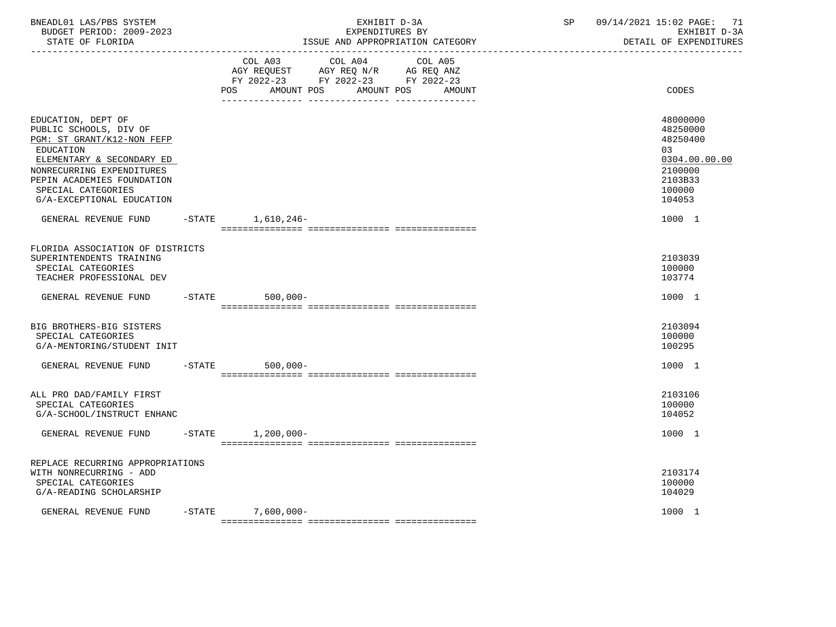| BNEADL01 LAS/PBS SYSTEM<br>BUDGET PERIOD: 2009-2023<br>STATE OF FLORIDA                                                                                                                                                                   | EXHIBIT D-3A<br>EXPENDITURES BY<br>ISSUE AND APPROPRIATION CATEGORY<br>----------------------------------- |                                                                                                        |         | SP                              | 09/14/2021 15:02 PAGE:<br>71<br>EXHIBIT D-3A<br>DETAIL OF EXPENDITURES |                                                                                                   |
|-------------------------------------------------------------------------------------------------------------------------------------------------------------------------------------------------------------------------------------------|------------------------------------------------------------------------------------------------------------|--------------------------------------------------------------------------------------------------------|---------|---------------------------------|------------------------------------------------------------------------|---------------------------------------------------------------------------------------------------|
|                                                                                                                                                                                                                                           |                                                                                                            | COL A03<br>AGY REQUEST AGY REQ N/R AG REQ ANZ<br>FY 2022-23 FY 2022-23 FY 2022-23<br>POS<br>AMOUNT POS | COL A04 | COL A05<br>AMOUNT POS<br>AMOUNT |                                                                        | CODES                                                                                             |
| EDUCATION, DEPT OF<br>PUBLIC SCHOOLS, DIV OF<br>PGM: ST GRANT/K12-NON FEFP<br><b>EDUCATION</b><br>ELEMENTARY & SECONDARY ED<br>NONRECURRING EXPENDITURES<br>PEPIN ACADEMIES FOUNDATION<br>SPECIAL CATEGORIES<br>G/A-EXCEPTIONAL EDUCATION |                                                                                                            |                                                                                                        |         |                                 |                                                                        | 48000000<br>48250000<br>48250400<br>03<br>0304.00.00.00<br>2100000<br>2103B33<br>100000<br>104053 |
| GENERAL REVENUE FUND                                                                                                                                                                                                                      |                                                                                                            | -STATE 1,610,246-                                                                                      |         |                                 |                                                                        | 1000 1                                                                                            |
| FLORIDA ASSOCIATION OF DISTRICTS<br>SUPERINTENDENTS TRAINING<br>SPECIAL CATEGORIES<br>TEACHER PROFESSIONAL DEV                                                                                                                            |                                                                                                            |                                                                                                        |         |                                 |                                                                        | 2103039<br>100000<br>103774                                                                       |
| GENERAL REVENUE FUND                                                                                                                                                                                                                      | $-$ STATE                                                                                                  | $500,000 -$                                                                                            |         |                                 |                                                                        | 1000 1                                                                                            |
| BIG BROTHERS-BIG SISTERS<br>SPECIAL CATEGORIES<br>G/A-MENTORING/STUDENT INIT                                                                                                                                                              |                                                                                                            |                                                                                                        |         |                                 |                                                                        | 2103094<br>100000<br>100295                                                                       |
| GENERAL REVENUE FUND                                                                                                                                                                                                                      | $-$ STATE                                                                                                  | $500,000 -$                                                                                            |         |                                 |                                                                        | 1000 1                                                                                            |
| ALL PRO DAD/FAMILY FIRST<br>SPECIAL CATEGORIES<br>G/A-SCHOOL/INSTRUCT ENHANC                                                                                                                                                              |                                                                                                            |                                                                                                        |         |                                 |                                                                        | 2103106<br>100000<br>104052                                                                       |
| GENERAL REVENUE FUND                                                                                                                                                                                                                      | $-$ STATE                                                                                                  | $1,200,000 -$                                                                                          |         |                                 |                                                                        | 1000 1                                                                                            |
| REPLACE RECURRING APPROPRIATIONS<br>WITH NONRECURRING - ADD<br>SPECIAL CATEGORIES<br>G/A-READING SCHOLARSHIP                                                                                                                              |                                                                                                            |                                                                                                        |         |                                 |                                                                        | 2103174<br>100000<br>104029                                                                       |
| GENERAL REVENUE FUND                                                                                                                                                                                                                      |                                                                                                            | $-STATE$ 7,600,000-                                                                                    |         |                                 |                                                                        | 1000 1                                                                                            |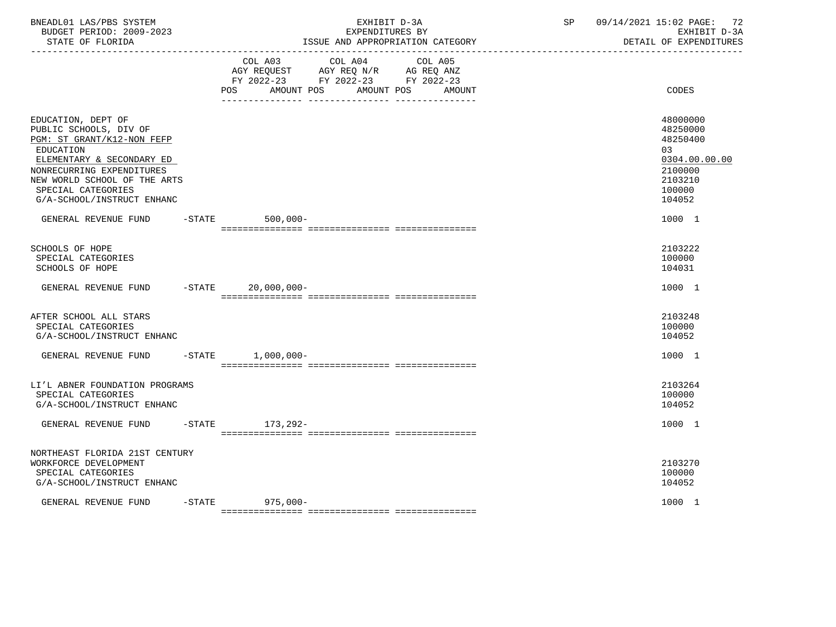| BNEADL01 LAS/PBS SYSTEM<br>BUDGET PERIOD: 2009-2023<br>STATE OF FLORIDA<br>__________________                                                                                                                                         | -----------------------------------                                                                               | EXHIBIT D-3A<br>EXPENDITURES BY<br>ISSUE AND APPROPRIATION CATEGORY | SP | 09/14/2021 15:02 PAGE: 72<br>EXHIBIT D-3A<br>DETAIL OF EXPENDITURES                                |
|---------------------------------------------------------------------------------------------------------------------------------------------------------------------------------------------------------------------------------------|-------------------------------------------------------------------------------------------------------------------|---------------------------------------------------------------------|----|----------------------------------------------------------------------------------------------------|
|                                                                                                                                                                                                                                       | COL A03<br>COL A04<br>AGY REQUEST AGY REQ N/R AG REQ ANZ<br>FY 2022-23 FY 2022-23 FY 2022-23<br>AMOUNT POS<br>POS | COL A05<br>AMOUNT POS AMOUNT                                        |    | CODES                                                                                              |
| EDUCATION, DEPT OF<br>PUBLIC SCHOOLS, DIV OF<br>PGM: ST GRANT/K12-NON FEFP<br>EDUCATION<br>ELEMENTARY & SECONDARY ED<br>NONRECURRING EXPENDITURES<br>NEW WORLD SCHOOL OF THE ARTS<br>SPECIAL CATEGORIES<br>G/A-SCHOOL/INSTRUCT ENHANC |                                                                                                                   |                                                                     |    | 48000000<br>48250000<br>48250400<br>0.3<br>0304.00.00.00<br>2100000<br>2103210<br>100000<br>104052 |
| GENERAL REVENUE FUND                                                                                                                                                                                                                  | $-$ STATE<br>$500,000 -$                                                                                          |                                                                     |    | 1000 1                                                                                             |
| <b>SCHOOLS OF HOPE</b><br>SPECIAL CATEGORIES<br>SCHOOLS OF HOPE                                                                                                                                                                       |                                                                                                                   |                                                                     |    | 2103222<br>100000<br>104031                                                                        |
| GENERAL REVENUE FUND -STATE 20,000,000-                                                                                                                                                                                               |                                                                                                                   |                                                                     |    | 1000 1                                                                                             |
| AFTER SCHOOL ALL STARS<br>SPECIAL CATEGORIES<br>G/A-SCHOOL/INSTRUCT ENHANC                                                                                                                                                            |                                                                                                                   |                                                                     |    | 2103248<br>100000<br>104052                                                                        |
| GENERAL REVENUE FUND                                                                                                                                                                                                                  | $-$ STATE $1,000,000-$                                                                                            |                                                                     |    | 1000 1                                                                                             |
| LI'L ABNER FOUNDATION PROGRAMS<br>SPECIAL CATEGORIES<br>G/A-SCHOOL/INSTRUCT ENHANC                                                                                                                                                    |                                                                                                                   |                                                                     |    | 2103264<br>100000<br>104052                                                                        |
| GENERAL REVENUE FUND                                                                                                                                                                                                                  | -STATE 173, 292-                                                                                                  |                                                                     |    | 1000 1                                                                                             |
| NORTHEAST FLORIDA 21ST CENTURY<br>WORKFORCE DEVELOPMENT<br>SPECIAL CATEGORIES<br>G/A-SCHOOL/INSTRUCT ENHANC                                                                                                                           |                                                                                                                   |                                                                     |    | 2103270<br>100000<br>104052                                                                        |
| GENERAL REVENUE FUND                                                                                                                                                                                                                  | -STATE 975,000-                                                                                                   |                                                                     |    | 1000 1                                                                                             |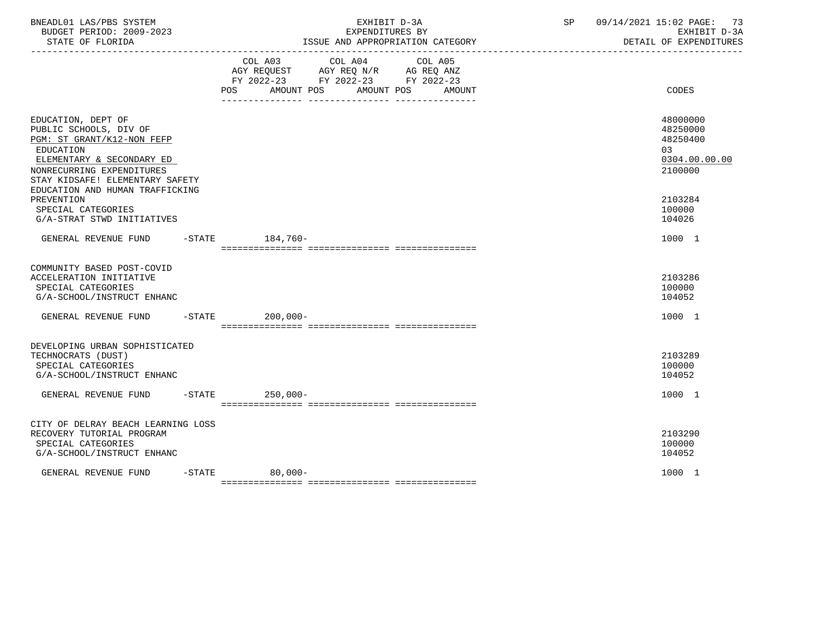| BNEADL01 LAS/PBS SYSTEM<br>BUDGET PERIOD: 2009-2023<br>STATE OF FLORIDA<br>-------------------                                                                                                                          |                                                                                                                                                                                                                                             | EXHIBIT D-3A<br>EXPENDITURES BY<br>ISSUE AND APPROPRIATION CATEGORY<br>---------------------------------- | 09/14/2021 15:02 PAGE: 73<br>SP<br>EXHIBIT D-3A<br>DETAIL OF EXPENDITURES |
|-------------------------------------------------------------------------------------------------------------------------------------------------------------------------------------------------------------------------|---------------------------------------------------------------------------------------------------------------------------------------------------------------------------------------------------------------------------------------------|-----------------------------------------------------------------------------------------------------------|---------------------------------------------------------------------------|
|                                                                                                                                                                                                                         | COL A03 COL A04<br>COL A05<br>$\begin{tabular}{lllllll} AGY & \texttt{REQUEST} & \texttt{AGY REQ} & \texttt{N/R} & \texttt{AG REQ} & \texttt{ANZ} \end{tabular}$<br>FY 2022-23 FY 2022-23 FY 2022-23<br>POS AMOUNT POS AMOUNT POS<br>AMOUNT | CODES                                                                                                     |                                                                           |
| EDUCATION, DEPT OF<br>PUBLIC SCHOOLS, DIV OF<br>PGM: ST GRANT/K12-NON FEFP<br>EDUCATION<br>ELEMENTARY & SECONDARY ED<br>NONRECURRING EXPENDITURES<br>STAY KIDSAFE! ELEMENTARY SAFETY<br>EDUCATION AND HUMAN TRAFFICKING |                                                                                                                                                                                                                                             |                                                                                                           | 48000000<br>48250000<br>48250400<br>03<br>0304.00.00.00<br>2100000        |
| PREVENTION<br>SPECIAL CATEGORIES<br>G/A-STRAT STWD INITIATIVES                                                                                                                                                          |                                                                                                                                                                                                                                             |                                                                                                           | 2103284<br>100000<br>104026                                               |
| GENERAL REVENUE FUND -STATE 184,760-                                                                                                                                                                                    |                                                                                                                                                                                                                                             |                                                                                                           | 1000 1                                                                    |
| COMMUNITY BASED POST-COVID<br>ACCELERATION INITIATIVE<br>SPECIAL CATEGORIES<br>G/A-SCHOOL/INSTRUCT ENHANC                                                                                                               |                                                                                                                                                                                                                                             |                                                                                                           | 2103286<br>100000<br>104052                                               |
| GENERAL REVENUE FUND -STATE 200.000-                                                                                                                                                                                    |                                                                                                                                                                                                                                             |                                                                                                           | 1000 1                                                                    |
| DEVELOPING URBAN SOPHISTICATED<br>TECHNOCRATS (DUST)<br>SPECIAL CATEGORIES<br>G/A-SCHOOL/INSTRUCT ENHANC                                                                                                                |                                                                                                                                                                                                                                             |                                                                                                           | 2103289<br>100000<br>104052                                               |
| GENERAL REVENUE FUND                                                                                                                                                                                                    |                                                                                                                                                                                                                                             | $250.000 -$<br>$-$ STATE                                                                                  | 1000 1                                                                    |
| CITY OF DELRAY BEACH LEARNING LOSS<br>RECOVERY TUTORIAL PROGRAM<br>SPECIAL CATEGORIES<br>G/A-SCHOOL/INSTRUCT ENHANC                                                                                                     |                                                                                                                                                                                                                                             |                                                                                                           | 2103290<br>100000<br>104052                                               |
| GENERAL REVENUE FUND                                                                                                                                                                                                    | $-STATE$                                                                                                                                                                                                                                    | $80,000-$                                                                                                 | 1000 1                                                                    |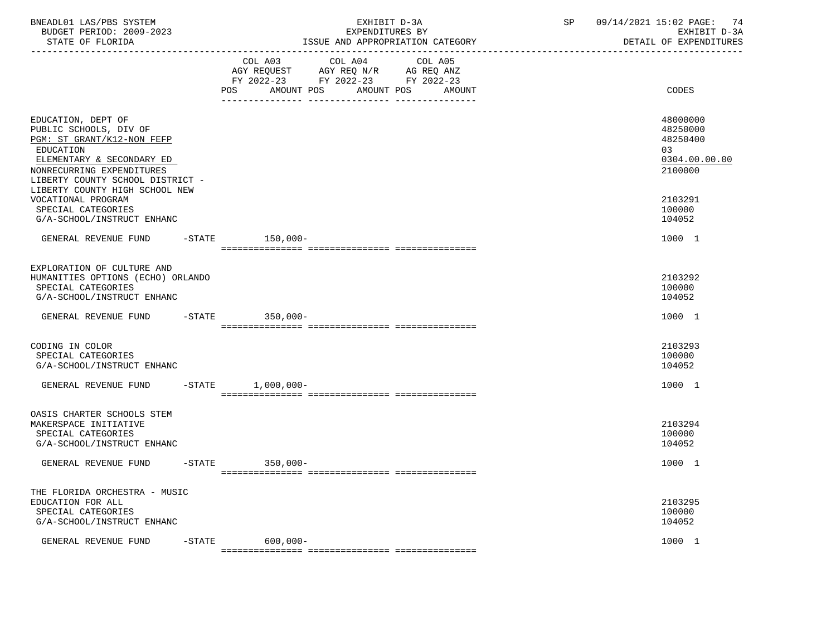| BNEADL01 LAS/PBS SYSTEM<br>BUDGET PERIOD: 2009-2023<br>STATE OF FLORIDA                                                                                                                                                 |           | EXHIBIT D-3A<br>EXPENDITURES BY<br>ISSUE AND APPROPRIATION CATEGORY                                                                               | SP and the set of the set of the set of the set of the set of the set of the set of the set of the set of the set of the set of the set of the set of the set of the set of the set of the set of the set of the set of the se | 09/14/2021 15:02 PAGE: 74<br>EXHIBIT D-3A<br>DETAIL OF EXPENDITURES |
|-------------------------------------------------------------------------------------------------------------------------------------------------------------------------------------------------------------------------|-----------|---------------------------------------------------------------------------------------------------------------------------------------------------|--------------------------------------------------------------------------------------------------------------------------------------------------------------------------------------------------------------------------------|---------------------------------------------------------------------|
|                                                                                                                                                                                                                         |           | COL A03 COL A04<br>COL A05<br>AGY REQUEST AGY REQ N/R AG REQ ANZ<br>FY 2022-23 FY 2022-23 FY 2022-23<br>AMOUNT POS<br>AMOUNT POS<br>POS<br>AMOUNT |                                                                                                                                                                                                                                | CODES                                                               |
| EDUCATION, DEPT OF<br>PUBLIC SCHOOLS, DIV OF<br>PGM: ST GRANT/K12-NON FEFP<br>EDUCATION<br>ELEMENTARY & SECONDARY ED<br>NONRECURRING EXPENDITURES<br>LIBERTY COUNTY SCHOOL DISTRICT -<br>LIBERTY COUNTY HIGH SCHOOL NEW |           |                                                                                                                                                   |                                                                                                                                                                                                                                | 48000000<br>48250000<br>48250400<br>03<br>0304.00.00.00<br>2100000  |
| VOCATIONAL PROGRAM<br>SPECIAL CATEGORIES<br>G/A-SCHOOL/INSTRUCT ENHANC                                                                                                                                                  |           |                                                                                                                                                   |                                                                                                                                                                                                                                | 2103291<br>100000<br>104052                                         |
| GENERAL REVENUE FUND -STATE 150,000-                                                                                                                                                                                    |           |                                                                                                                                                   |                                                                                                                                                                                                                                | 1000 1                                                              |
| EXPLORATION OF CULTURE AND<br>HUMANITIES OPTIONS (ECHO) ORLANDO<br>SPECIAL CATEGORIES<br>G/A-SCHOOL/INSTRUCT ENHANC                                                                                                     |           |                                                                                                                                                   |                                                                                                                                                                                                                                | 2103292<br>100000<br>104052                                         |
| GENERAL REVENUE FUND -STATE 350,000-                                                                                                                                                                                    |           |                                                                                                                                                   |                                                                                                                                                                                                                                | 1000 1                                                              |
| CODING IN COLOR<br>SPECIAL CATEGORIES<br>G/A-SCHOOL/INSTRUCT ENHANC                                                                                                                                                     |           |                                                                                                                                                   |                                                                                                                                                                                                                                | 2103293<br>100000<br>104052                                         |
| GENERAL REVENUE FUND                                                                                                                                                                                                    | $-$ STATE | $1,000,000-$                                                                                                                                      |                                                                                                                                                                                                                                | 1000 1                                                              |
| OASIS CHARTER SCHOOLS STEM<br>MAKERSPACE INITIATIVE<br>SPECIAL CATEGORIES<br>G/A-SCHOOL/INSTRUCT ENHANC                                                                                                                 |           |                                                                                                                                                   |                                                                                                                                                                                                                                | 2103294<br>100000<br>104052                                         |
| GENERAL REVENUE FUND -STATE 350,000-                                                                                                                                                                                    |           |                                                                                                                                                   |                                                                                                                                                                                                                                | 1000 1                                                              |
| THE FLORIDA ORCHESTRA - MUSIC<br>EDUCATION FOR ALL<br>SPECIAL CATEGORIES<br>G/A-SCHOOL/INSTRUCT ENHANC                                                                                                                  |           |                                                                                                                                                   |                                                                                                                                                                                                                                | 2103295<br>100000<br>104052                                         |
| GENERAL REVENUE FUND                                                                                                                                                                                                    | $-$ STATE | $600,000 -$                                                                                                                                       |                                                                                                                                                                                                                                | 1000 1                                                              |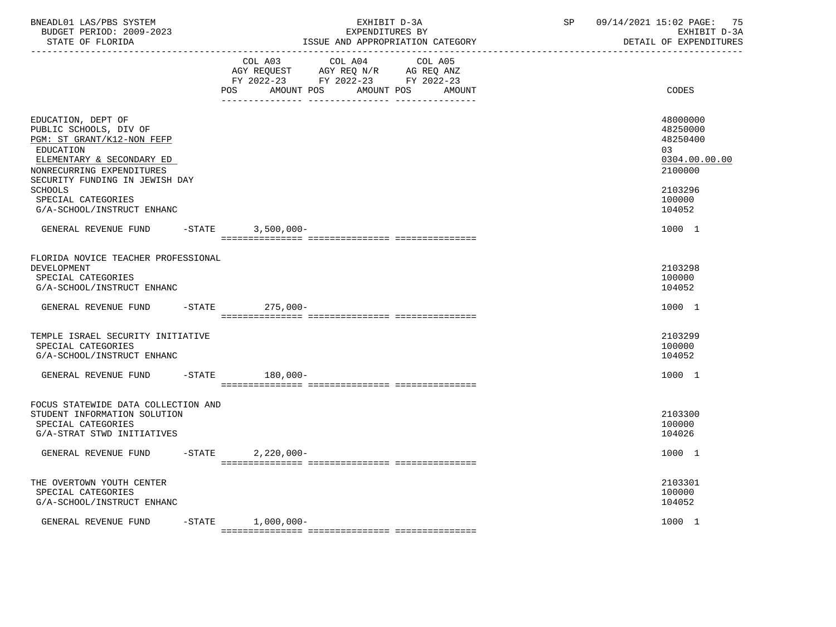| BNEADL01 LAS/PBS SYSTEM<br>BUDGET PERIOD: 2009-2023<br>STATE OF FLORIDA                                                                                                                                                                                   |           |                                                                                             | EXHIBIT D-3A<br>EXPENDITURES BY | ISSUE AND APPROPRIATION CATEGORY | SP | 09/14/2021 15:02 PAGE: 75<br>EXHIBIT D-3A<br>DETAIL OF EXPENDITURES                               |
|-----------------------------------------------------------------------------------------------------------------------------------------------------------------------------------------------------------------------------------------------------------|-----------|---------------------------------------------------------------------------------------------|---------------------------------|----------------------------------|----|---------------------------------------------------------------------------------------------------|
|                                                                                                                                                                                                                                                           |           | AGY REQUEST AGY REQ N/R AG REQ ANZ<br>FY 2022-23 FY 2022-23 FY 2022-23<br>AMOUNT POS<br>POS | COL A03 COL A04 COL A05         | AMOUNT POS<br>AMOUNT             |    | CODES                                                                                             |
| EDUCATION, DEPT OF<br>PUBLIC SCHOOLS, DIV OF<br>PGM: ST GRANT/K12-NON FEFP<br>EDUCATION<br>ELEMENTARY & SECONDARY ED<br>NONRECURRING EXPENDITURES<br>SECURITY FUNDING IN JEWISH DAY<br><b>SCHOOLS</b><br>SPECIAL CATEGORIES<br>G/A-SCHOOL/INSTRUCT ENHANC |           |                                                                                             |                                 |                                  |    | 48000000<br>48250000<br>48250400<br>03<br>0304.00.00.00<br>2100000<br>2103296<br>100000<br>104052 |
| GENERAL REVENUE FUND -STATE 3,500,000-                                                                                                                                                                                                                    |           |                                                                                             |                                 |                                  |    | 1000 1                                                                                            |
| FLORIDA NOVICE TEACHER PROFESSIONAL<br>DEVELOPMENT<br>SPECIAL CATEGORIES<br>G/A-SCHOOL/INSTRUCT ENHANC<br>GENERAL REVENUE FUND                                                                                                                            |           | $-$ STATE<br>$275,000-$                                                                     |                                 |                                  |    | 2103298<br>100000<br>104052<br>1000 1                                                             |
| TEMPLE ISRAEL SECURITY INITIATIVE<br>SPECIAL CATEGORIES<br>G/A-SCHOOL/INSTRUCT ENHANC                                                                                                                                                                     |           |                                                                                             |                                 |                                  |    | 2103299<br>100000<br>104052                                                                       |
| GENERAL REVENUE FUND                                                                                                                                                                                                                                      |           | $-$ STATE<br>180,000-                                                                       |                                 |                                  |    | 1000 1                                                                                            |
| FOCUS STATEWIDE DATA COLLECTION AND<br>STUDENT INFORMATION SOLUTION<br>SPECIAL CATEGORIES<br>G/A-STRAT STWD INITIATIVES                                                                                                                                   |           |                                                                                             |                                 |                                  |    | 2103300<br>100000<br>104026                                                                       |
| GENERAL REVENUE FUND                                                                                                                                                                                                                                      | $-$ STATE | $2,220,000-$                                                                                |                                 |                                  |    | 1000 1                                                                                            |
| THE OVERTOWN YOUTH CENTER<br>SPECIAL CATEGORIES<br>G/A-SCHOOL/INSTRUCT ENHANC                                                                                                                                                                             |           |                                                                                             |                                 |                                  |    | 2103301<br>100000<br>104052                                                                       |
| GENERAL REVENUE FUND                                                                                                                                                                                                                                      |           | $-$ STATE $1,000,000-$                                                                      |                                 |                                  |    | 1000 1                                                                                            |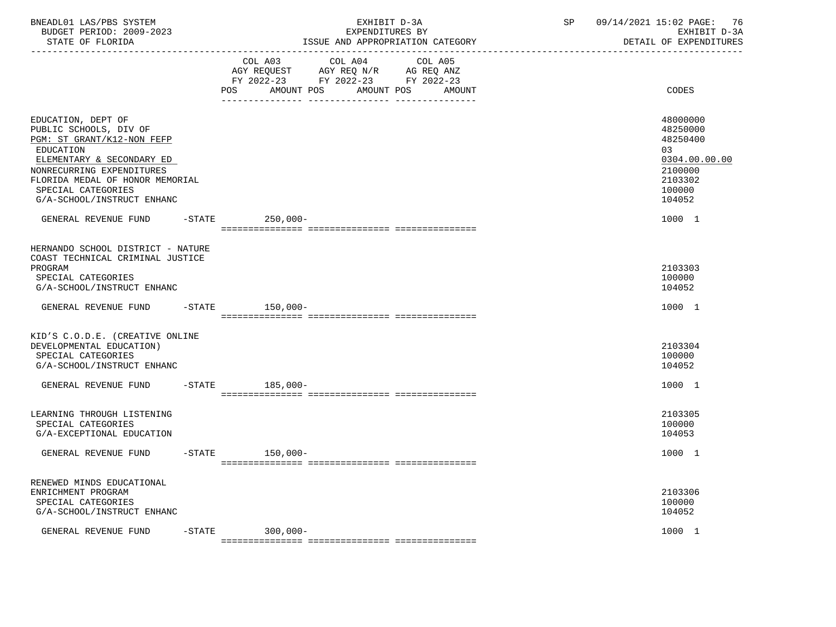| BNEADL01 LAS/PBS SYSTEM<br>BUDGET PERIOD: 2009-2023<br>STATE OF FLORIDA                                                                                                                                                                  |           |                                                                                          |            | EXHIBIT D-3A<br>EXPENDITURES BY |         | ISSUE AND APPROPRIATION CATEGORY | SP | 09/14/2021 15:02 PAGE:<br>76<br>EXHIBIT D-3A<br>DETAIL OF EXPENDITURES                            |
|------------------------------------------------------------------------------------------------------------------------------------------------------------------------------------------------------------------------------------------|-----------|------------------------------------------------------------------------------------------|------------|---------------------------------|---------|----------------------------------|----|---------------------------------------------------------------------------------------------------|
|                                                                                                                                                                                                                                          |           | COL A03<br>AGY REQUEST AGY REQ N/R AG REQ ANZ<br>FY 2022-23 FY 2022-23 FY 2022-23<br>POS | AMOUNT POS | COL A04<br>AMOUNT POS           | COL A05 | AMOUNT                           |    | CODES                                                                                             |
| EDUCATION, DEPT OF<br>PUBLIC SCHOOLS, DIV OF<br>PGM: ST GRANT/K12-NON FEFP<br>EDUCATION<br>ELEMENTARY & SECONDARY ED<br>NONRECURRING EXPENDITURES<br>FLORIDA MEDAL OF HONOR MEMORIAL<br>SPECIAL CATEGORIES<br>G/A-SCHOOL/INSTRUCT ENHANC |           |                                                                                          |            |                                 |         |                                  |    | 48000000<br>48250000<br>48250400<br>03<br>0304.00.00.00<br>2100000<br>2103302<br>100000<br>104052 |
| GENERAL REVENUE FUND -STATE                                                                                                                                                                                                              |           | $250,000-$                                                                               |            |                                 |         |                                  |    | 1000 1                                                                                            |
| HERNANDO SCHOOL DISTRICT - NATURE<br>COAST TECHNICAL CRIMINAL JUSTICE<br>PROGRAM<br>SPECIAL CATEGORIES<br>G/A-SCHOOL/INSTRUCT ENHANC                                                                                                     |           |                                                                                          |            |                                 |         |                                  |    | 2103303<br>100000<br>104052                                                                       |
| GENERAL REVENUE FUND                                                                                                                                                                                                                     |           | -STATE 150,000-                                                                          |            |                                 |         |                                  |    | 1000 1                                                                                            |
| KID'S C.O.D.E. (CREATIVE ONLINE<br>DEVELOPMENTAL EDUCATION)<br>SPECIAL CATEGORIES<br>G/A-SCHOOL/INSTRUCT ENHANC                                                                                                                          |           |                                                                                          |            |                                 |         |                                  |    | 2103304<br>100000<br>104052                                                                       |
| GENERAL REVENUE FUND                                                                                                                                                                                                                     |           | 185,000-<br>$-STATE$                                                                     |            |                                 |         |                                  |    | 1000 1                                                                                            |
| LEARNING THROUGH LISTENING<br>SPECIAL CATEGORIES<br>G/A-EXCEPTIONAL EDUCATION                                                                                                                                                            |           |                                                                                          |            |                                 |         |                                  |    | 2103305<br>100000<br>104053                                                                       |
| GENERAL REVENUE FUND                                                                                                                                                                                                                     | $-$ STATE | $150,000-$                                                                               |            |                                 |         |                                  |    | 1000 1                                                                                            |
| RENEWED MINDS EDUCATIONAL<br>ENRICHMENT PROGRAM<br>SPECIAL CATEGORIES<br>G/A-SCHOOL/INSTRUCT ENHANC                                                                                                                                      |           |                                                                                          |            |                                 |         |                                  |    | 2103306<br>100000<br>104052                                                                       |
| GENERAL REVENUE FUND                                                                                                                                                                                                                     | $-$ STATE | 300,000-                                                                                 |            |                                 |         |                                  |    | 1000 1                                                                                            |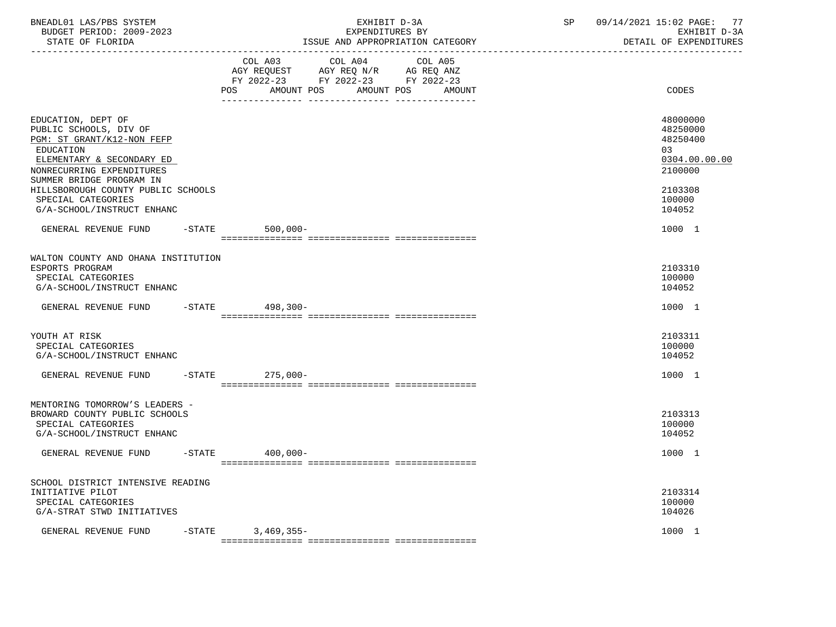| BNEADL01 LAS/PBS SYSTEM<br>BUDGET PERIOD: 2009-2023<br>STATE OF FLORIDA                                                                                                                                                                                                        |                |                                                                                                                   | EXPENDITURES BY<br>ISSUE AND APPROPRIATION CATEGORY | EXHIBIT D-3A | SP    | 09/14/2021 15:02 PAGE:<br>EXHIBIT D-3A<br>DETAIL OF EXPENDITURES                                   | 77 |
|--------------------------------------------------------------------------------------------------------------------------------------------------------------------------------------------------------------------------------------------------------------------------------|----------------|-------------------------------------------------------------------------------------------------------------------|-----------------------------------------------------|--------------|-------|----------------------------------------------------------------------------------------------------|----|
|                                                                                                                                                                                                                                                                                | COL A03<br>POS | COL A04<br>AGY REQUEST AGY REQ N/R AG REQ ANZ<br>FY 2022-23 FY 2022-23 FY 2022-23<br>AMOUNT POS AMOUNT POS AMOUNT | COL A05                                             |              | CODES |                                                                                                    |    |
| EDUCATION, DEPT OF<br>PUBLIC SCHOOLS, DIV OF<br>PGM: ST GRANT/K12-NON FEFP<br><b>EDUCATION</b><br>ELEMENTARY & SECONDARY ED<br>NONRECURRING EXPENDITURES<br>SUMMER BRIDGE PROGRAM IN<br>HILLSBOROUGH COUNTY PUBLIC SCHOOLS<br>SPECIAL CATEGORIES<br>G/A-SCHOOL/INSTRUCT ENHANC |                |                                                                                                                   |                                                     |              |       | 48000000<br>48250000<br>48250400<br>0.3<br>0304.00.00.00<br>2100000<br>2103308<br>100000<br>104052 |    |
| GENERAL REVENUE FUND                                                                                                                                                                                                                                                           | $-$ STATE      | $500,000 -$                                                                                                       |                                                     |              |       | 1000 1                                                                                             |    |
| WALTON COUNTY AND OHANA INSTITUTION<br>ESPORTS PROGRAM<br>SPECIAL CATEGORIES<br>G/A-SCHOOL/INSTRUCT ENHANC                                                                                                                                                                     |                |                                                                                                                   |                                                     |              |       | 2103310<br>100000<br>104052                                                                        |    |
| GENERAL REVENUE FUND                                                                                                                                                                                                                                                           |                | -STATE 498,300-                                                                                                   |                                                     |              |       | 1000 1                                                                                             |    |
| YOUTH AT RISK<br>SPECIAL CATEGORIES<br>G/A-SCHOOL/INSTRUCT ENHANC                                                                                                                                                                                                              |                |                                                                                                                   |                                                     |              |       | 2103311<br>100000<br>104052                                                                        |    |
| GENERAL REVENUE FUND                                                                                                                                                                                                                                                           |                | $-$ STATE<br>275,000-                                                                                             |                                                     |              |       | 1000 1                                                                                             |    |
| MENTORING TOMORROW'S LEADERS -<br>BROWARD COUNTY PUBLIC SCHOOLS<br>SPECIAL CATEGORIES<br>G/A-SCHOOL/INSTRUCT ENHANC                                                                                                                                                            |                |                                                                                                                   |                                                     |              |       | 2103313<br>100000<br>104052                                                                        |    |
| GENERAL REVENUE FUND                                                                                                                                                                                                                                                           | $-$ STATE      | $400.000 -$                                                                                                       |                                                     |              |       | 1000 1                                                                                             |    |
| SCHOOL DISTRICT INTENSIVE READING<br>INITIATIVE PILOT<br>SPECIAL CATEGORIES<br>G/A-STRAT STWD INITIATIVES                                                                                                                                                                      |                |                                                                                                                   |                                                     |              |       | 2103314<br>100000<br>104026                                                                        |    |
| GENERAL REVENUE FUND                                                                                                                                                                                                                                                           |                | $-STATE$ 3, 469, 355-                                                                                             |                                                     |              |       | 1000 1                                                                                             |    |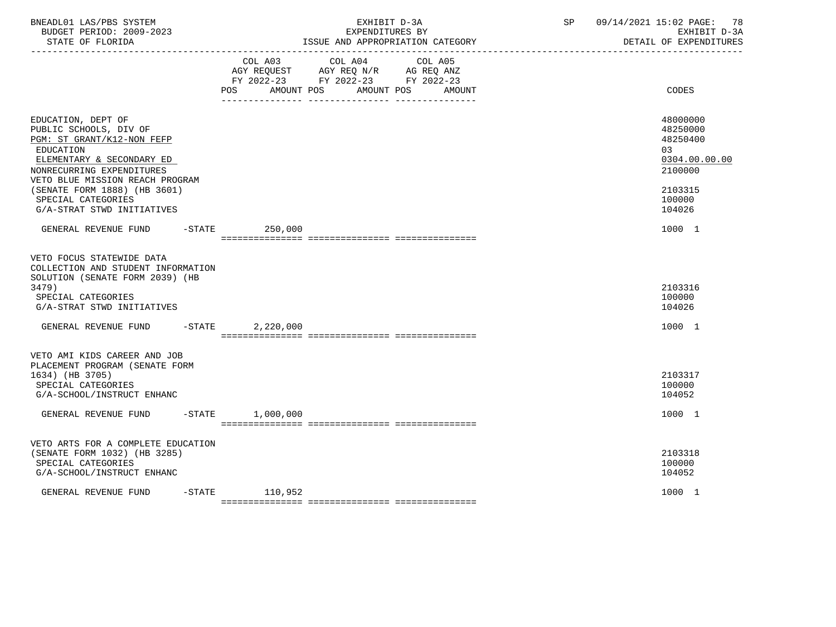| BNEADL01 LAS/PBS SYSTEM<br>BUDGET PERIOD: 2009-2023<br>STATE OF FLORIDA                                                                                                                                                                                                  |                        | EXHIBIT D-3A<br>EXPENDITURES BY<br>ISSUE AND APPROPRIATION CATEGORY                                                          | SP | 09/14/2021 15:02 PAGE:<br>78<br>EXHIBIT D-3A<br>DETAIL OF EXPENDITURES                            |
|--------------------------------------------------------------------------------------------------------------------------------------------------------------------------------------------------------------------------------------------------------------------------|------------------------|------------------------------------------------------------------------------------------------------------------------------|----|---------------------------------------------------------------------------------------------------|
|                                                                                                                                                                                                                                                                          | AMOUNT POS<br>POS      | COL A03 COL A04<br>COL A05<br>AGY REQUEST AGY REQ N/R AG REQ ANZ<br>FY 2022-23 FY 2022-23 FY 2022-23<br>AMOUNT POS<br>AMOUNT |    | CODES                                                                                             |
| EDUCATION, DEPT OF<br>PUBLIC SCHOOLS, DIV OF<br>PGM: ST GRANT/K12-NON FEFP<br>EDUCATION<br>ELEMENTARY & SECONDARY ED<br>NONRECURRING EXPENDITURES<br>VETO BLUE MISSION REACH PROGRAM<br>(SENATE FORM 1888) (HB 3601)<br>SPECIAL CATEGORIES<br>G/A-STRAT STWD INITIATIVES |                        |                                                                                                                              |    | 48000000<br>48250000<br>48250400<br>03<br>0304.00.00.00<br>2100000<br>2103315<br>100000<br>104026 |
| GENERAL REVENUE FUND                                                                                                                                                                                                                                                     | $-$ STATE<br>250,000   |                                                                                                                              |    | 1000 1                                                                                            |
| VETO FOCUS STATEWIDE DATA<br>COLLECTION AND STUDENT INFORMATION<br>SOLUTION (SENATE FORM 2039) (HB<br>3479)<br>SPECIAL CATEGORIES<br>G/A-STRAT STWD INITIATIVES                                                                                                          |                        |                                                                                                                              |    | 2103316<br>100000<br>104026                                                                       |
| GENERAL REVENUE FUND                                                                                                                                                                                                                                                     | $-$ STATE<br>2,220,000 |                                                                                                                              |    | 1000 1                                                                                            |
| VETO AMI KIDS CAREER AND JOB<br>PLACEMENT PROGRAM (SENATE FORM<br>1634) (HB 3705)<br>SPECIAL CATEGORIES<br>G/A-SCHOOL/INSTRUCT ENHANC<br>GENERAL REVENUE FUND                                                                                                            | $-STATE$ 1,000,000     |                                                                                                                              |    | 2103317<br>100000<br>104052<br>1000 1                                                             |
|                                                                                                                                                                                                                                                                          |                        |                                                                                                                              |    |                                                                                                   |
| VETO ARTS FOR A COMPLETE EDUCATION<br>(SENATE FORM 1032) (HB 3285)<br>SPECIAL CATEGORIES<br>G/A-SCHOOL/INSTRUCT ENHANC                                                                                                                                                   |                        |                                                                                                                              |    | 2103318<br>100000<br>104052                                                                       |
| $-$ STATE<br>GENERAL REVENUE FUND                                                                                                                                                                                                                                        | 110,952                |                                                                                                                              |    | 1000 1                                                                                            |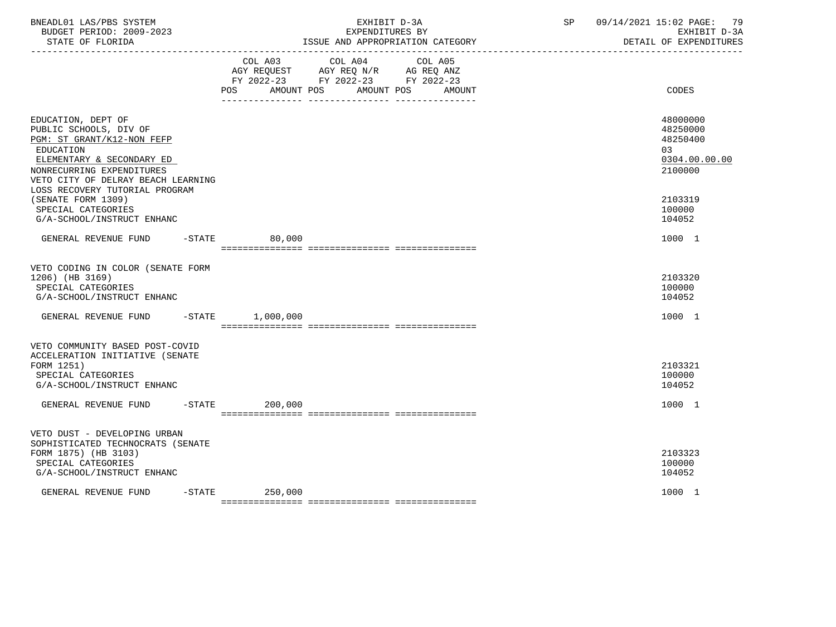| BNEADL01 LAS/PBS SYSTEM<br>BUDGET PERIOD: 2009-2023<br>STATE OF FLORIDA                                                                                                                                                   | EXPENDITURES BY<br>ISSUE AND APPROPRIATION CATEGORY                                                                              | EXHIBIT D-3A | SP | 09/14/2021 15:02 PAGE:<br>-79<br>EXHIBIT D-3A<br>DETAIL OF EXPENDITURES |
|---------------------------------------------------------------------------------------------------------------------------------------------------------------------------------------------------------------------------|----------------------------------------------------------------------------------------------------------------------------------|--------------|----|-------------------------------------------------------------------------|
|                                                                                                                                                                                                                           | COL A03 COL A04<br>AGY REQUEST AGY REQ N/R AG REQ ANZ<br>FY 2022-23 FY 2022-23 FY 2022-23<br>AMOUNT POS AMOUNT POS AMOUNT<br>POS | COL A05      |    | CODES                                                                   |
| EDUCATION, DEPT OF<br>PUBLIC SCHOOLS, DIV OF<br>PGM: ST GRANT/K12-NON FEFP<br>EDUCATION<br>ELEMENTARY & SECONDARY ED<br>NONRECURRING EXPENDITURES<br>VETO CITY OF DELRAY BEACH LEARNING<br>LOSS RECOVERY TUTORIAL PROGRAM |                                                                                                                                  |              |    | 48000000<br>48250000<br>48250400<br>03<br>0304.00.00.00<br>2100000      |
| (SENATE FORM 1309)<br>SPECIAL CATEGORIES<br>G/A-SCHOOL/INSTRUCT ENHANC                                                                                                                                                    |                                                                                                                                  |              |    | 2103319<br>100000<br>104052                                             |
| GENERAL REVENUE FUND                                                                                                                                                                                                      | $-$ STATE<br>80,000                                                                                                              |              |    | 1000 1                                                                  |
| VETO CODING IN COLOR (SENATE FORM<br>1206) (HB 3169)<br>SPECIAL CATEGORIES<br>G/A-SCHOOL/INSTRUCT ENHANC                                                                                                                  |                                                                                                                                  |              |    | 2103320<br>100000<br>104052                                             |
| GENERAL REVENUE FUND<br>$-$ STATE                                                                                                                                                                                         | 1,000,000                                                                                                                        |              |    | 1000 1                                                                  |
| VETO COMMUNITY BASED POST-COVID<br>ACCELERATION INITIATIVE (SENATE<br>FORM 1251)<br>SPECIAL CATEGORIES<br>G/A-SCHOOL/INSTRUCT ENHANC                                                                                      |                                                                                                                                  |              |    | 2103321<br>100000<br>104052                                             |
| GENERAL REVENUE FUND                                                                                                                                                                                                      | $-$ STATE<br>200,000                                                                                                             |              |    | 1000 1                                                                  |
| VETO DUST - DEVELOPING URBAN<br>SOPHISTICATED TECHNOCRATS (SENATE<br>FORM 1875) (HB 3103)<br>SPECIAL CATEGORIES<br>G/A-SCHOOL/INSTRUCT ENHANC                                                                             |                                                                                                                                  |              |    | 2103323<br>100000<br>104052                                             |
| $-$ STATE<br>GENERAL REVENUE FUND                                                                                                                                                                                         | 250,000                                                                                                                          |              |    | 1000 1                                                                  |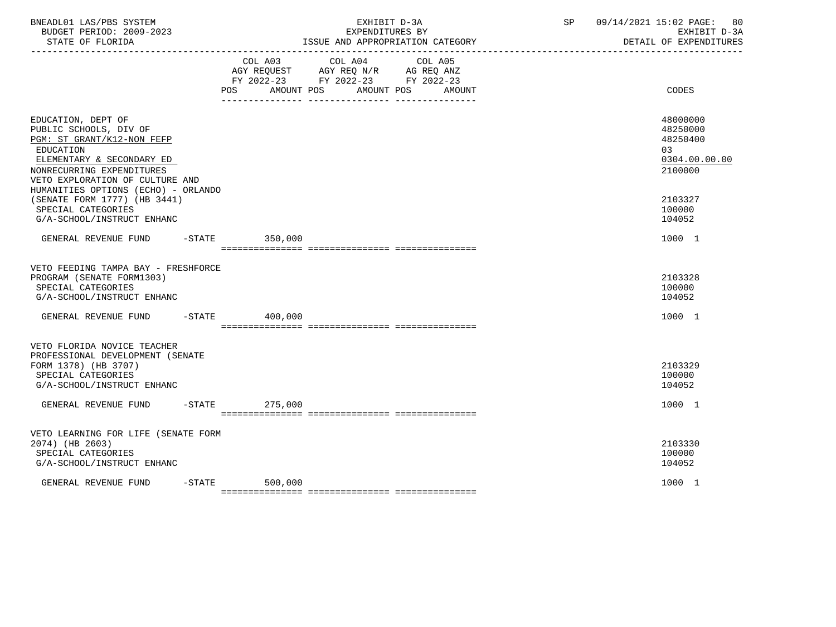| BNEADL01 LAS/PBS SYSTEM<br>BUDGET PERIOD: 2009-2023<br>STATE OF FLORIDA<br>_____________________                                                                                                                            |           |                  | EXHIBIT D-3A<br>EXPENDITURES BY<br>ISSUE AND APPROPRIATION CATEGORY                                                                   | SP and the set of the set of the set of the set of the set of the set of the set of the set of the set of the set of the set of the set of the set of the set of the set of the set of the set of the set of the set of the se | 09/14/2021 15:02 PAGE:<br>-80<br>EXHIBIT D-3A<br>DETAIL OF EXPENDITURES |
|-----------------------------------------------------------------------------------------------------------------------------------------------------------------------------------------------------------------------------|-----------|------------------|---------------------------------------------------------------------------------------------------------------------------------------|--------------------------------------------------------------------------------------------------------------------------------------------------------------------------------------------------------------------------------|-------------------------------------------------------------------------|
|                                                                                                                                                                                                                             |           |                  | COL A03 COL A04 COL A05<br>AGY REQUEST AGY REQ N/R AG REQ ANZ<br>FY 2022-23 FY 2022-23 FY 2022-23<br>POS AMOUNT POS AMOUNT POS AMOUNT |                                                                                                                                                                                                                                | CODES                                                                   |
| EDUCATION, DEPT OF<br>PUBLIC SCHOOLS, DIV OF<br>PGM: ST GRANT/K12-NON FEFP<br>EDUCATION<br>ELEMENTARY & SECONDARY ED<br>NONRECURRING EXPENDITURES<br>VETO EXPLORATION OF CULTURE AND<br>HUMANITIES OPTIONS (ECHO) - ORLANDO |           |                  |                                                                                                                                       |                                                                                                                                                                                                                                | 48000000<br>48250000<br>48250400<br>0.3<br>0304.00.00.00<br>2100000     |
| (SENATE FORM 1777) (HB 3441)<br>SPECIAL CATEGORIES<br>G/A-SCHOOL/INSTRUCT ENHANC                                                                                                                                            |           |                  |                                                                                                                                       |                                                                                                                                                                                                                                | 2103327<br>100000<br>104052                                             |
| GENERAL REVENUE FUND -STATE 350,000                                                                                                                                                                                         |           |                  |                                                                                                                                       |                                                                                                                                                                                                                                | 1000 1                                                                  |
| VETO FEEDING TAMPA BAY - FRESHFORCE<br>PROGRAM (SENATE FORM1303)<br>SPECIAL CATEGORIES<br>G/A-SCHOOL/INSTRUCT ENHANC                                                                                                        |           |                  |                                                                                                                                       |                                                                                                                                                                                                                                | 2103328<br>100000<br>104052                                             |
| GENERAL REVENUE FUND                                                                                                                                                                                                        |           | $-STATE$ 400,000 |                                                                                                                                       |                                                                                                                                                                                                                                | 1000 1                                                                  |
| VETO FLORIDA NOVICE TEACHER<br>PROFESSIONAL DEVELOPMENT (SENATE<br>FORM 1378) (HB 3707)<br>SPECIAL CATEGORIES<br>G/A-SCHOOL/INSTRUCT ENHANC<br>GENERAL REVENUE FUND -STATE                                                  |           | 275,000          |                                                                                                                                       |                                                                                                                                                                                                                                | 2103329<br>100000<br>104052<br>1000 1                                   |
| VETO LEARNING FOR LIFE (SENATE FORM<br>2074) (HB 2603)<br>SPECIAL CATEGORIES<br>G/A-SCHOOL/INSTRUCT ENHANC                                                                                                                  |           |                  |                                                                                                                                       |                                                                                                                                                                                                                                | 2103330<br>100000<br>104052                                             |
| GENERAL REVENUE FUND                                                                                                                                                                                                        | $-$ STATE | 500,000          |                                                                                                                                       |                                                                                                                                                                                                                                | 1000 1                                                                  |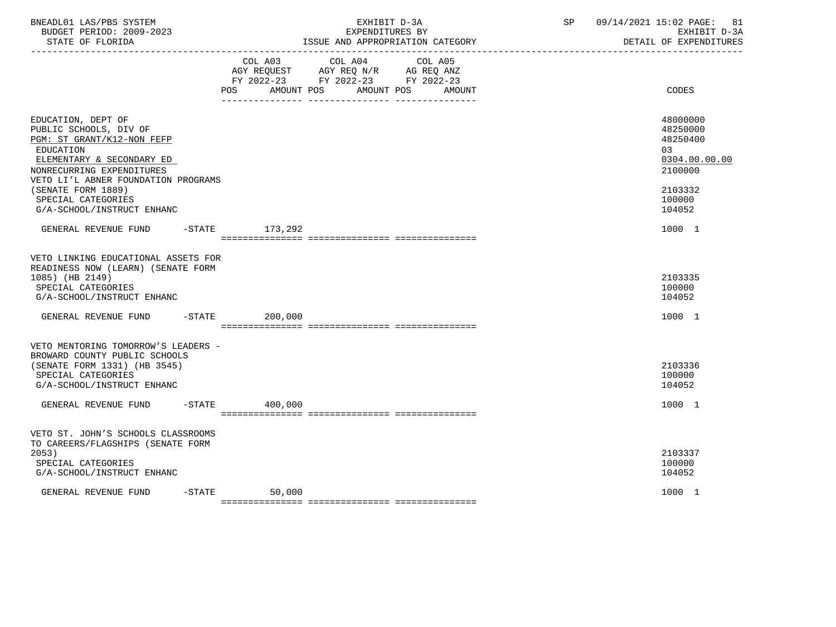| BNEADL01 LAS/PBS SYSTEM<br>BUDGET PERIOD: 2009-2023<br>STATE OF FLORIDA                                                                                                                                                              |                      | EXHIBIT D-3A<br>EXPENDITURES BY<br>ISSUE AND APPROPRIATION CATEGORY                                                                  | 09/14/2021 15:02 PAGE:<br>SP | 81<br>EXHIBIT D-3A<br>DETAIL OF EXPENDITURES                                            |
|--------------------------------------------------------------------------------------------------------------------------------------------------------------------------------------------------------------------------------------|----------------------|--------------------------------------------------------------------------------------------------------------------------------------|------------------------------|-----------------------------------------------------------------------------------------|
|                                                                                                                                                                                                                                      | POS                  | COL A03 COL A04<br>COL A05<br>AGY REQUEST AGY REQ N/R AG REQ ANZ<br>FY 2022-23 FY 2022-23 FY 2022-23<br>AMOUNT POS AMOUNT POS AMOUNT |                              | CODES                                                                                   |
| EDUCATION, DEPT OF<br>PUBLIC SCHOOLS, DIV OF<br>PGM: ST GRANT/K12-NON FEFP<br>EDUCATION<br>ELEMENTARY & SECONDARY ED<br>NONRECURRING EXPENDITURES<br>VETO LI'L ABNER FOUNDATION PROGRAMS<br>(SENATE FORM 1889)<br>SPECIAL CATEGORIES |                      |                                                                                                                                      |                              | 48000000<br>48250000<br>48250400<br>03<br>0304.00.00.00<br>2100000<br>2103332<br>100000 |
| G/A-SCHOOL/INSTRUCT ENHANC<br>GENERAL REVENUE FUND                                                                                                                                                                                   | -STATE 173,292       |                                                                                                                                      |                              | 104052<br>1000 1                                                                        |
|                                                                                                                                                                                                                                      |                      |                                                                                                                                      |                              |                                                                                         |
| VETO LINKING EDUCATIONAL ASSETS FOR<br>READINESS NOW (LEARN) (SENATE FORM<br>1085) (HB 2149)<br>SPECIAL CATEGORIES<br>G/A-SCHOOL/INSTRUCT ENHANC                                                                                     |                      |                                                                                                                                      |                              | 2103335<br>100000<br>104052                                                             |
| GENERAL REVENUE FUND                                                                                                                                                                                                                 | $-$ STATE<br>200,000 |                                                                                                                                      |                              | 1000 1                                                                                  |
| VETO MENTORING TOMORROW'S LEADERS -<br>BROWARD COUNTY PUBLIC SCHOOLS<br>(SENATE FORM 1331) (HB 3545)<br>SPECIAL CATEGORIES<br>G/A-SCHOOL/INSTRUCT ENHANC                                                                             |                      |                                                                                                                                      |                              | 2103336<br>100000<br>104052                                                             |
| GENERAL REVENUE FUND                                                                                                                                                                                                                 | $-STATE$ 400,000     |                                                                                                                                      |                              | 1000 1                                                                                  |
| VETO ST. JOHN'S SCHOOLS CLASSROOMS<br>TO CAREERS/FLAGSHIPS (SENATE FORM<br>2053)<br>SPECIAL CATEGORIES<br>G/A-SCHOOL/INSTRUCT ENHANC                                                                                                 |                      |                                                                                                                                      |                              | 2103337<br>100000<br>104052                                                             |
| GENERAL REVENUE FUND                                                                                                                                                                                                                 | $-$ STATE<br>50,000  |                                                                                                                                      |                              | 1000 1                                                                                  |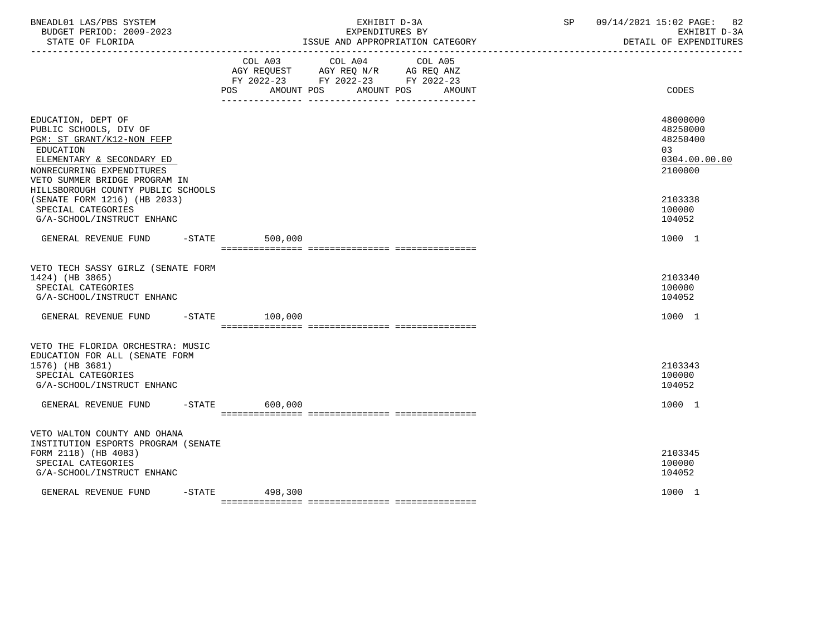| BNEADL01 LAS/PBS SYSTEM<br>BUDGET PERIOD: 2009-2023<br>STATE OF FLORIDA                                                                                                            |                           | EXHIBIT D-3A<br>EXPENDITURES BY<br>ISSUE AND APPROPRIATION CATEGORY                                                                          | SP. | 09/14/2021 15:02 PAGE: 82<br>EXHIBIT D-3A<br>DETAIL OF EXPENDITURES |
|------------------------------------------------------------------------------------------------------------------------------------------------------------------------------------|---------------------------|----------------------------------------------------------------------------------------------------------------------------------------------|-----|---------------------------------------------------------------------|
|                                                                                                                                                                                    | COL A03<br>POS AMOUNT POS | COL A04<br>COL A05<br>COL AU3 COL AU4 COL AU5<br>AGY REQUEST AGY REQ N/R AG REQ ANZ<br>FY 2022-23 FY 2022-23 FY 2022-23<br>AMOUNT POS AMOUNT |     | CODES                                                               |
| EDUCATION, DEPT OF<br>PUBLIC SCHOOLS, DIV OF<br>PGM: ST GRANT/K12-NON FEFP<br>EDUCATION<br>ELEMENTARY & SECONDARY ED<br>NONRECURRING EXPENDITURES<br>VETO SUMMER BRIDGE PROGRAM IN |                           |                                                                                                                                              |     | 48000000<br>48250000<br>48250400<br>03<br>0304.00.00.00<br>2100000  |
| HILLSBOROUGH COUNTY PUBLIC SCHOOLS<br>(SENATE FORM 1216) (HB 2033)<br>SPECIAL CATEGORIES<br>G/A-SCHOOL/INSTRUCT ENHANC                                                             |                           |                                                                                                                                              |     | 2103338<br>100000<br>104052                                         |
| GENERAL REVENUE FUND -STATE 500,000                                                                                                                                                |                           |                                                                                                                                              |     | 1000 1                                                              |
| VETO TECH SASSY GIRLZ (SENATE FORM<br>1424) (HB 3865)<br>SPECIAL CATEGORIES<br>G/A-SCHOOL/INSTRUCT ENHANC                                                                          |                           |                                                                                                                                              |     | 2103340<br>100000<br>104052                                         |
| GENERAL REVENUE FUND -STATE 100,000                                                                                                                                                |                           |                                                                                                                                              |     | 1000 1                                                              |
| VETO THE FLORIDA ORCHESTRA: MUSIC<br>EDUCATION FOR ALL (SENATE FORM<br>1576) (HB 3681)<br>SPECIAL CATEGORIES<br>G/A-SCHOOL/INSTRUCT ENHANC                                         |                           |                                                                                                                                              |     | 2103343<br>100000<br>104052                                         |
| GENERAL REVENUE FUND -STATE 600,000                                                                                                                                                |                           |                                                                                                                                              |     | 1000 1                                                              |
| VETO WALTON COUNTY AND OHANA<br>INSTITUTION ESPORTS PROGRAM (SENATE<br>FORM 2118) (HB 4083)<br>SPECIAL CATEGORIES<br>G/A-SCHOOL/INSTRUCT ENHANC                                    |                           |                                                                                                                                              |     | 2103345<br>100000<br>104052                                         |
| GENERAL REVENUE FUND                                                                                                                                                               | $-STATE$ 498,300          |                                                                                                                                              |     | 1000 1                                                              |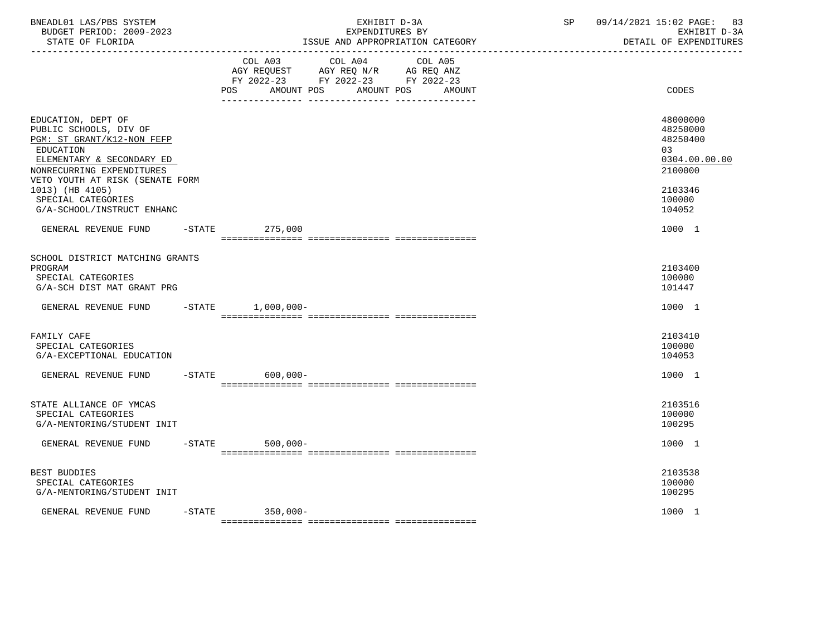| BNEADL01 LAS/PBS SYSTEM<br>BUDGET PERIOD: 2009-2023<br>STATE OF FLORIDA<br>-----------------                                                                                                                                                                |           |                                     | EXHIBIT D-3A<br>EXPENDITURES BY                                                   | ISSUE AND APPROPRIATION CATEGORY | SP | 09/14/2021 15:02 PAGE:<br>83<br>EXHIBIT D-3A<br>DETAIL OF EXPENDITURES                            |
|-------------------------------------------------------------------------------------------------------------------------------------------------------------------------------------------------------------------------------------------------------------|-----------|-------------------------------------|-----------------------------------------------------------------------------------|----------------------------------|----|---------------------------------------------------------------------------------------------------|
|                                                                                                                                                                                                                                                             |           | COL A03<br><b>POS</b><br>AMOUNT POS | COL A04<br>AGY REQUEST AGY REQ N/R AG REQ ANZ<br>FY 2022-23 FY 2022-23 FY 2022-23 | COL A05<br>AMOUNT POS<br>AMOUNT  |    | CODES                                                                                             |
| EDUCATION, DEPT OF<br>PUBLIC SCHOOLS, DIV OF<br>PGM: ST GRANT/K12-NON FEFP<br>EDUCATION<br>ELEMENTARY & SECONDARY ED<br>NONRECURRING EXPENDITURES<br>VETO YOUTH AT RISK (SENATE FORM<br>1013) (HB 4105)<br>SPECIAL CATEGORIES<br>G/A-SCHOOL/INSTRUCT ENHANC |           |                                     |                                                                                   |                                  |    | 48000000<br>48250000<br>48250400<br>03<br>0304.00.00.00<br>2100000<br>2103346<br>100000<br>104052 |
| GENERAL REVENUE FUND                                                                                                                                                                                                                                        |           | $-$ STATE<br>275,000                |                                                                                   |                                  |    | 1000 1                                                                                            |
| SCHOOL DISTRICT MATCHING GRANTS<br>PROGRAM<br>SPECIAL CATEGORIES<br>G/A-SCH DIST MAT GRANT PRG                                                                                                                                                              |           |                                     |                                                                                   |                                  |    | 2103400<br>100000<br>101447                                                                       |
| GENERAL REVENUE FUND                                                                                                                                                                                                                                        |           | $-STATE$ 1,000,000-                 |                                                                                   |                                  |    | 1000 1                                                                                            |
| FAMILY CAFE<br>SPECIAL CATEGORIES<br>G/A-EXCEPTIONAL EDUCATION                                                                                                                                                                                              |           |                                     |                                                                                   |                                  |    | 2103410<br>100000<br>104053                                                                       |
| GENERAL REVENUE FUND                                                                                                                                                                                                                                        | $-$ STATE | $600,000 -$                         |                                                                                   |                                  |    | 1000 1                                                                                            |
| STATE ALLIANCE OF YMCAS<br>SPECIAL CATEGORIES<br>G/A-MENTORING/STUDENT INIT                                                                                                                                                                                 |           |                                     |                                                                                   |                                  |    | 2103516<br>100000<br>100295                                                                       |
| GENERAL REVENUE FUND                                                                                                                                                                                                                                        |           | $-$ STATE<br>$500,000 -$            |                                                                                   |                                  |    | 1000 1                                                                                            |
| BEST BUDDIES<br>SPECIAL CATEGORIES<br>G/A-MENTORING/STUDENT INIT                                                                                                                                                                                            |           |                                     |                                                                                   |                                  |    | 2103538<br>100000<br>100295                                                                       |
| GENERAL REVENUE FUND                                                                                                                                                                                                                                        |           | -STATE 350,000-                     |                                                                                   |                                  |    | 1000 1                                                                                            |

=============== =============== ===============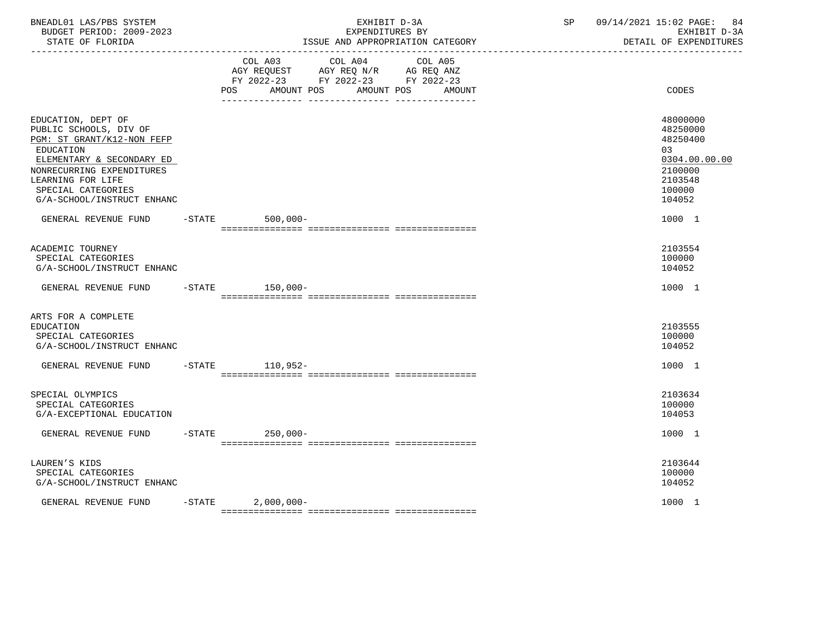| BNEADL01 LAS/PBS SYSTEM<br>BUDGET PERIOD: 2009-2023<br>STATE OF FLORIDA<br>-----------------                                                                                                                               |           |                           | EXHIBIT D-3A<br>EXPENDITURES BY<br>ISSUE AND APPROPRIATION CATEGORY<br>-----------------------------------                                                                                                                              | SP | 09/14/2021 15:02 PAGE:<br>84<br>EXHIBIT D-3A<br>DETAIL OF EXPENDITURES                             |
|----------------------------------------------------------------------------------------------------------------------------------------------------------------------------------------------------------------------------|-----------|---------------------------|-----------------------------------------------------------------------------------------------------------------------------------------------------------------------------------------------------------------------------------------|----|----------------------------------------------------------------------------------------------------|
|                                                                                                                                                                                                                            |           | COL A03<br>POS AMOUNT POS | COL A04<br>COL A05<br>$\begin{tabular}{lllllll} AGY & \texttt{REQUEST} & \texttt{AGY} & \texttt{REG} & \texttt{N/R} & \texttt{AG} & \texttt{REG} & \texttt{ANZ} \end{tabular}$<br>FY 2022-23 FY 2022-23 FY 2022-23<br>AMOUNT POS AMOUNT |    | CODES                                                                                              |
| EDUCATION, DEPT OF<br>PUBLIC SCHOOLS, DIV OF<br>PGM: ST GRANT/K12-NON FEFP<br>EDUCATION<br>ELEMENTARY & SECONDARY ED<br>NONRECURRING EXPENDITURES<br>LEARNING FOR LIFE<br>SPECIAL CATEGORIES<br>G/A-SCHOOL/INSTRUCT ENHANC |           |                           |                                                                                                                                                                                                                                         |    | 48000000<br>48250000<br>48250400<br>0.3<br>0304.00.00.00<br>2100000<br>2103548<br>100000<br>104052 |
| GENERAL REVENUE FUND                                                                                                                                                                                                       |           | -STATE 500,000-           |                                                                                                                                                                                                                                         |    | 1000 1                                                                                             |
| ACADEMIC TOURNEY<br>SPECIAL CATEGORIES<br>G/A-SCHOOL/INSTRUCT ENHANC                                                                                                                                                       |           |                           |                                                                                                                                                                                                                                         |    | 2103554<br>100000<br>104052                                                                        |
| GENERAL REVENUE FUND                                                                                                                                                                                                       |           | $-STATE$ 150,000-         |                                                                                                                                                                                                                                         |    | 1000 1                                                                                             |
| ARTS FOR A COMPLETE<br><b>EDUCATION</b><br>SPECIAL CATEGORIES<br>G/A-SCHOOL/INSTRUCT ENHANC                                                                                                                                |           |                           |                                                                                                                                                                                                                                         |    | 2103555<br>100000<br>104052                                                                        |
| GENERAL REVENUE FUND                                                                                                                                                                                                       |           | -STATE 110.952-           |                                                                                                                                                                                                                                         |    | 1000 1                                                                                             |
| SPECIAL OLYMPICS<br>SPECIAL CATEGORIES<br>G/A-EXCEPTIONAL EDUCATION                                                                                                                                                        |           |                           |                                                                                                                                                                                                                                         |    | 2103634<br>100000<br>104053                                                                        |
| GENERAL REVENUE FUND                                                                                                                                                                                                       |           | $-STATE$<br>$250,000-$    |                                                                                                                                                                                                                                         |    | 1000 1                                                                                             |
| LAUREN'S KIDS<br>SPECIAL CATEGORIES<br>G/A-SCHOOL/INSTRUCT ENHANC                                                                                                                                                          |           |                           |                                                                                                                                                                                                                                         |    | 2103644<br>100000<br>104052                                                                        |
| GENERAL REVENUE FUND                                                                                                                                                                                                       | $-$ STATE | $2,000,000-$              |                                                                                                                                                                                                                                         |    | 1000 1                                                                                             |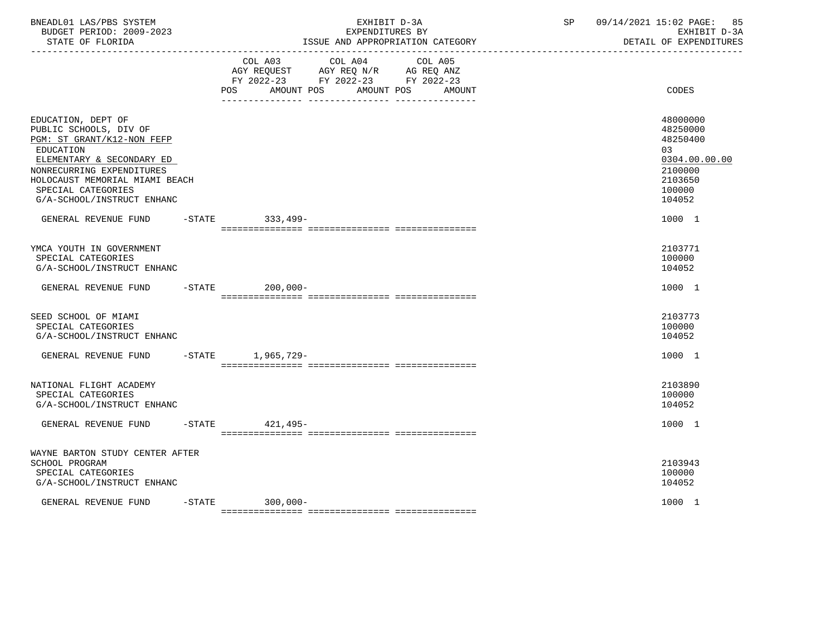| BNEADL01 LAS/PBS SYSTEM<br>BUDGET PERIOD: 2009-2023<br>STATE OF FLORIDA<br>----------------                                                                                                                                             |           | EXHIBIT D-3A<br>EXPENDITURES BY<br>ISSUE AND APPROPRIATION CATEGORY                                                                                      | SP | 09/14/2021 15:02 PAGE:<br>85<br>EXHIBIT D-3A<br>DETAIL OF EXPENDITURES                            |
|-----------------------------------------------------------------------------------------------------------------------------------------------------------------------------------------------------------------------------------------|-----------|----------------------------------------------------------------------------------------------------------------------------------------------------------|----|---------------------------------------------------------------------------------------------------|
|                                                                                                                                                                                                                                         |           | COL A03<br>COL A04<br>COL A05<br>AGY REQUEST<br>AGY REQ N/R AG REQ ANZ<br>FY 2022-23 FY 2022-23 FY 2022-23<br>POS.<br>AMOUNT POS<br>AMOUNT POS<br>AMOUNT |    | CODES                                                                                             |
| EDUCATION, DEPT OF<br>PUBLIC SCHOOLS, DIV OF<br>PGM: ST GRANT/K12-NON FEFP<br>EDUCATION<br>ELEMENTARY & SECONDARY ED<br>NONRECURRING EXPENDITURES<br>HOLOCAUST MEMORIAL MIAMI BEACH<br>SPECIAL CATEGORIES<br>G/A-SCHOOL/INSTRUCT ENHANC |           |                                                                                                                                                          |    | 48000000<br>48250000<br>48250400<br>03<br>0304.00.00.00<br>2100000<br>2103650<br>100000<br>104052 |
| GENERAL REVENUE FUND                                                                                                                                                                                                                    |           | $-$ STATE<br>333,499-                                                                                                                                    |    | 1000 1                                                                                            |
| YMCA YOUTH IN GOVERNMENT<br>SPECIAL CATEGORIES<br>G/A-SCHOOL/INSTRUCT ENHANC                                                                                                                                                            |           |                                                                                                                                                          |    | 2103771<br>100000<br>104052                                                                       |
| GENERAL REVENUE FUND                                                                                                                                                                                                                    |           | $-STATE$<br>$200,000 -$                                                                                                                                  |    | 1000 1                                                                                            |
| SEED SCHOOL OF MIAMI<br>SPECIAL CATEGORIES<br>G/A-SCHOOL/INSTRUCT ENHANC                                                                                                                                                                |           |                                                                                                                                                          |    | 2103773<br>100000<br>104052                                                                       |
| GENERAL REVENUE FUND                                                                                                                                                                                                                    |           | -STATE 1,965,729-                                                                                                                                        |    | 1000 1                                                                                            |
| NATIONAL FLIGHT ACADEMY<br>SPECIAL CATEGORIES<br>G/A-SCHOOL/INSTRUCT ENHANC                                                                                                                                                             |           |                                                                                                                                                          |    | 2103890<br>100000<br>104052                                                                       |
| GENERAL REVENUE FUND                                                                                                                                                                                                                    | $-$ STATE | 421,495-                                                                                                                                                 |    | 1000 1                                                                                            |
| WAYNE BARTON STUDY CENTER AFTER<br>SCHOOL PROGRAM<br>SPECIAL CATEGORIES<br>G/A-SCHOOL/INSTRUCT ENHANC                                                                                                                                   |           |                                                                                                                                                          |    | 2103943<br>100000<br>104052                                                                       |
| GENERAL REVENUE FUND                                                                                                                                                                                                                    | $-$ STATE | $300,000 -$                                                                                                                                              |    | 1000 1                                                                                            |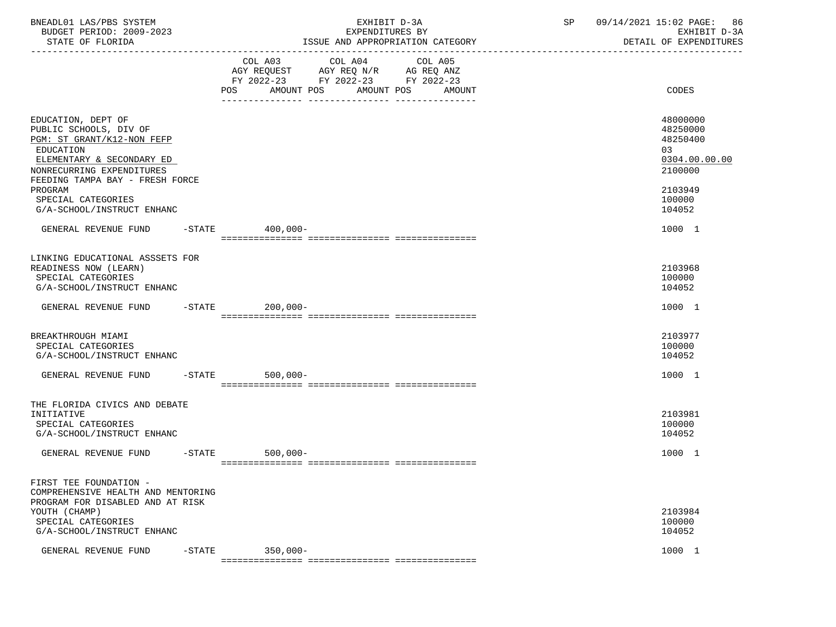| BNEADL01 LAS/PBS SYSTEM<br>BUDGET PERIOD: 2009-2023<br>STATE OF FLORIDA                                                                                                                     |           | EXHIBIT D-3A<br>EXPENDITURES BY<br>ISSUE AND APPROPRIATION CATEGORY                                                                                                                                                                                  | SP | 09/14/2021 15:02 PAGE: 86<br>EXHIBIT D-3A<br>DETAIL OF EXPENDITURES |
|---------------------------------------------------------------------------------------------------------------------------------------------------------------------------------------------|-----------|------------------------------------------------------------------------------------------------------------------------------------------------------------------------------------------------------------------------------------------------------|----|---------------------------------------------------------------------|
|                                                                                                                                                                                             |           | COL A03<br>COL A04<br>COL A05<br>$\begin{tabular}{lllllll} AGY & \texttt{REQUEST} & \texttt{AGY REQ} & \texttt{N/R} & \texttt{AG REQ} & \texttt{ANZ} \end{tabular}$<br>FY 2022-23 FY 2022-23 FY 2022-23<br>AMOUNT POS<br>AMOUNT POS<br>POS<br>AMOUNT |    | CODES                                                               |
|                                                                                                                                                                                             |           |                                                                                                                                                                                                                                                      |    |                                                                     |
| EDUCATION, DEPT OF<br>PUBLIC SCHOOLS, DIV OF<br>PGM: ST GRANT/K12-NON FEFP<br><b>EDUCATION</b><br>ELEMENTARY & SECONDARY ED<br>NONRECURRING EXPENDITURES<br>FEEDING TAMPA BAY - FRESH FORCE |           |                                                                                                                                                                                                                                                      |    | 48000000<br>48250000<br>48250400<br>03<br>0304.00.00.00<br>2100000  |
| PROGRAM<br>SPECIAL CATEGORIES<br>G/A-SCHOOL/INSTRUCT ENHANC                                                                                                                                 |           |                                                                                                                                                                                                                                                      |    | 2103949<br>100000<br>104052                                         |
| GENERAL REVENUE FUND -STATE 400,000-                                                                                                                                                        |           |                                                                                                                                                                                                                                                      |    | 1000 1                                                              |
| LINKING EDUCATIONAL ASSSETS FOR<br>READINESS NOW (LEARN)<br>SPECIAL CATEGORIES<br>G/A-SCHOOL/INSTRUCT ENHANC                                                                                |           |                                                                                                                                                                                                                                                      |    | 2103968<br>100000<br>104052                                         |
| GENERAL REVENUE FUND -STATE                                                                                                                                                                 |           | 200,000-                                                                                                                                                                                                                                             |    | 1000 1                                                              |
| BREAKTHROUGH MIAMI<br>SPECIAL CATEGORIES<br>G/A-SCHOOL/INSTRUCT ENHANC                                                                                                                      |           |                                                                                                                                                                                                                                                      |    | 2103977<br>100000<br>104052                                         |
| GENERAL REVENUE FUND                                                                                                                                                                        |           | $-$ STATE<br>$500,000 -$                                                                                                                                                                                                                             |    | 1000 1                                                              |
| THE FLORIDA CIVICS AND DEBATE<br>INITIATIVE<br>SPECIAL CATEGORIES<br>G/A-SCHOOL/INSTRUCT ENHANC                                                                                             |           |                                                                                                                                                                                                                                                      |    | 2103981<br>100000<br>104052                                         |
| GENERAL REVENUE FUND                                                                                                                                                                        | $-$ STATE | $500,000-$                                                                                                                                                                                                                                           |    | 1000 1                                                              |
| FIRST TEE FOUNDATION -<br>COMPREHENSIVE HEALTH AND MENTORING<br>PROGRAM FOR DISABLED AND AT RISK<br>YOUTH (CHAMP)                                                                           |           |                                                                                                                                                                                                                                                      |    | 2103984                                                             |
| SPECIAL CATEGORIES<br>G/A-SCHOOL/INSTRUCT ENHANC                                                                                                                                            |           |                                                                                                                                                                                                                                                      |    | 100000<br>104052                                                    |
| GENERAL REVENUE FUND                                                                                                                                                                        | $-STATE$  | $350,000 -$                                                                                                                                                                                                                                          |    | 1000 1                                                              |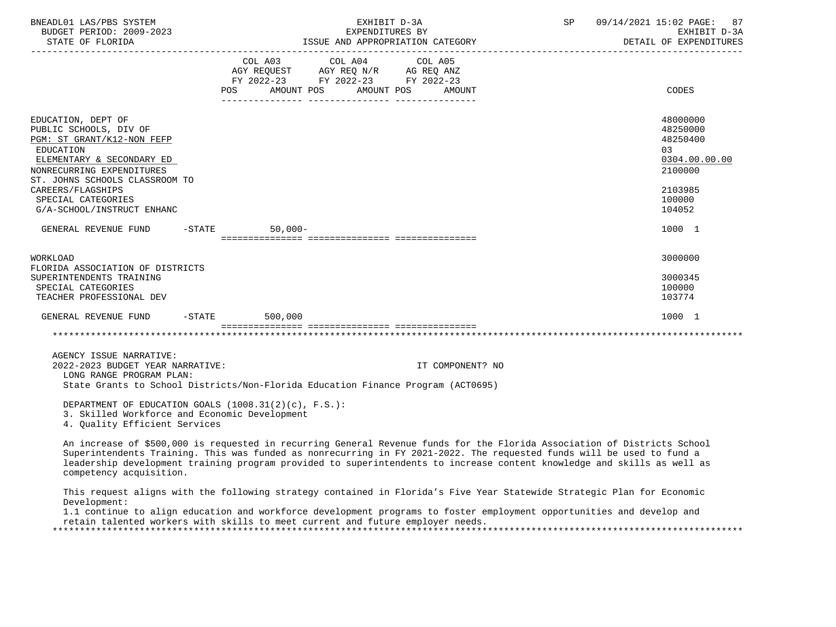| BNEADL01 LAS/PBS SYSTEM<br>BUDGET PERIOD: 2009-2023<br>STATE OF FLORIDA                                                                                                                                                                                      |  | EXHIBIT D-3A<br>EXPENDITURES BY<br>ISSUE AND APPROPRIATION CATEGORY                                 |                         |  |        |  | SP<br>09/14/2021 15:02 PAGE: 87<br>EXHIBIT D-3A<br>DETAIL OF EXPENDITURES                         |
|--------------------------------------------------------------------------------------------------------------------------------------------------------------------------------------------------------------------------------------------------------------|--|-----------------------------------------------------------------------------------------------------|-------------------------|--|--------|--|---------------------------------------------------------------------------------------------------|
|                                                                                                                                                                                                                                                              |  | AGY REQUEST AGY REQ N/R AG REQ ANZ<br>FY 2022-23 FY 2022-23 FY 2022-23<br>POS AMOUNT POS AMOUNT POS | COL A03 COL A04 COL A05 |  | AMOUNT |  | CODES                                                                                             |
| EDUCATION, DEPT OF<br>PUBLIC SCHOOLS, DIV OF<br>PGM: ST GRANT/K12-NON FEFP<br>EDUCATION<br>ELEMENTARY & SECONDARY ED<br>NONRECURRING EXPENDITURES<br>ST. JOHNS SCHOOLS CLASSROOM TO<br>CAREERS/FLAGSHIPS<br>SPECIAL CATEGORIES<br>G/A-SCHOOL/INSTRUCT ENHANC |  |                                                                                                     |                         |  |        |  | 48000000<br>48250000<br>48250400<br>03<br>0304.00.00.00<br>2100000<br>2103985<br>100000<br>104052 |
| GENERAL REVENUE FUND -STATE                                                                                                                                                                                                                                  |  | $50.000 -$                                                                                          |                         |  |        |  | 1000 1                                                                                            |
| <b>WORKLOAD</b><br>FLORIDA ASSOCIATION OF DISTRICTS<br>SUPERINTENDENTS TRAINING<br>SPECIAL CATEGORIES<br>TEACHER PROFESSIONAL DEV                                                                                                                            |  |                                                                                                     |                         |  |        |  | 3000000<br>3000345<br>100000<br>103774                                                            |
| GENERAL REVENUE FUND -STATE                                                                                                                                                                                                                                  |  | 500,000<br>================================                                                         |                         |  |        |  | 1000 1                                                                                            |
|                                                                                                                                                                                                                                                              |  |                                                                                                     |                         |  |        |  |                                                                                                   |
| AGENCY ISSUE NARRATIVE:                                                                                                                                                                                                                                      |  |                                                                                                     |                         |  |        |  |                                                                                                   |

 2022-2023 BUDGET YEAR NARRATIVE: IT COMPONENT? NO LONG RANGE PROGRAM PLAN: State Grants to School Districts/Non-Florida Education Finance Program (ACT0695)

 DEPARTMENT OF EDUCATION GOALS (1008.31(2)(c), F.S.): 3. Skilled Workforce and Economic Development 4. Quality Efficient Services

 An increase of \$500,000 is requested in recurring General Revenue funds for the Florida Association of Districts School Superintendents Training. This was funded as nonrecurring in FY 2021-2022. The requested funds will be used to fund a leadership development training program provided to superintendents to increase content knowledge and skills as well as competency acquisition.

 This request aligns with the following strategy contained in Florida's Five Year Statewide Strategic Plan for Economic Development:

 1.1 continue to align education and workforce development programs to foster employment opportunities and develop and retain talented workers with skills to meet current and future employer needs.

\*\*\*\*\*\*\*\*\*\*\*\*\*\*\*\*\*\*\*\*\*\*\*\*\*\*\*\*\*\*\*\*\*\*\*\*\*\*\*\*\*\*\*\*\*\*\*\*\*\*\*\*\*\*\*\*\*\*\*\*\*\*\*\*\*\*\*\*\*\*\*\*\*\*\*\*\*\*\*\*\*\*\*\*\*\*\*\*\*\*\*\*\*\*\*\*\*\*\*\*\*\*\*\*\*\*\*\*\*\*\*\*\*\*\*\*\*\*\*\*\*\*\*\*\*\*\*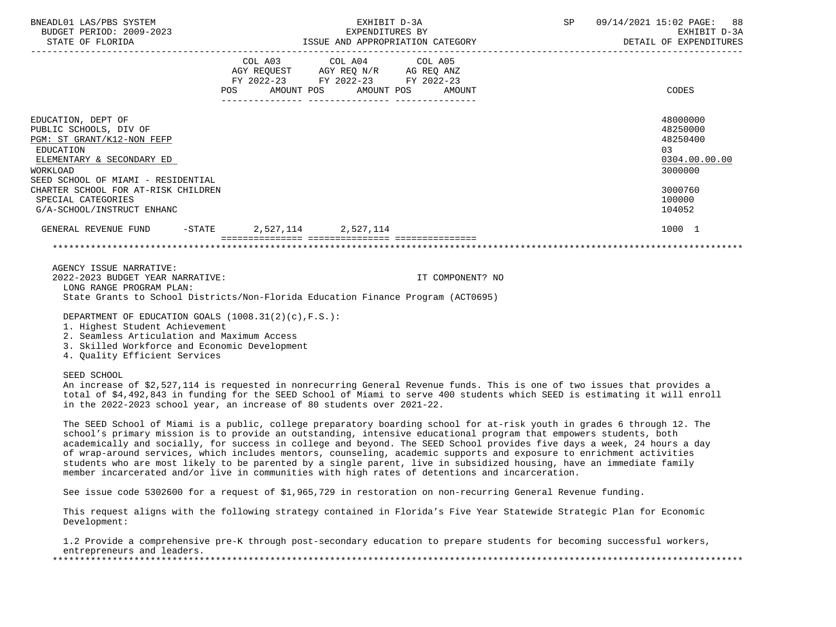| BNEADL01 LAS/PBS SYSTEM<br>BUDGET PERIOD: 2009-2023                                                                                                                                                                                                                                                                                                                                                                                                                                                                                                                                                                                                                                                                        |                                                                                                     | EXHIBIT D-3A<br>EXPENDITURES BY |                   | SP | 09/14/2021 15:02 PAGE:<br>88<br>EXHIBIT D-3A<br>DETAIL OF EXPENDITURES |
|----------------------------------------------------------------------------------------------------------------------------------------------------------------------------------------------------------------------------------------------------------------------------------------------------------------------------------------------------------------------------------------------------------------------------------------------------------------------------------------------------------------------------------------------------------------------------------------------------------------------------------------------------------------------------------------------------------------------------|-----------------------------------------------------------------------------------------------------|---------------------------------|-------------------|----|------------------------------------------------------------------------|
|                                                                                                                                                                                                                                                                                                                                                                                                                                                                                                                                                                                                                                                                                                                            | COL A03<br>AGY REQUEST AGY REQ N/R AG REQ ANZ<br>FY 2022-23 FY 2022-23 FY 2022-23<br>POS AMOUNT POS | COL A04<br>AMOUNT POS           | COL A05<br>AMOUNT |    | CODES                                                                  |
| EDUCATION, DEPT OF<br>PUBLIC SCHOOLS, DIV OF<br>PGM: ST GRANT/K12-NON FEFP<br><b>EDUCATION</b><br>ELEMENTARY & SECONDARY ED<br>WORKLOAD<br>SEED SCHOOL OF MIAMI - RESIDENTIAL                                                                                                                                                                                                                                                                                                                                                                                                                                                                                                                                              |                                                                                                     |                                 |                   |    | 48000000<br>48250000<br>48250400<br>03<br>0304.00.00.00<br>3000000     |
| CHARTER SCHOOL FOR AT-RISK CHILDREN<br>SPECIAL CATEGORIES<br>G/A-SCHOOL/INSTRUCT ENHANC                                                                                                                                                                                                                                                                                                                                                                                                                                                                                                                                                                                                                                    |                                                                                                     |                                 |                   |    | 3000760<br>100000<br>104052                                            |
| GENERAL REVENUE FUND                                                                                                                                                                                                                                                                                                                                                                                                                                                                                                                                                                                                                                                                                                       | $-$ STATE 2,527,114 2,527,114                                                                       |                                 |                   |    | 1000 1                                                                 |
|                                                                                                                                                                                                                                                                                                                                                                                                                                                                                                                                                                                                                                                                                                                            |                                                                                                     |                                 |                   |    |                                                                        |
| AGENCY ISSUE NARRATIVE:<br>2022-2023 BUDGET YEAR NARRATIVE:<br>LONG RANGE PROGRAM PLAN:<br>State Grants to School Districts/Non-Florida Education Finance Program (ACT0695)                                                                                                                                                                                                                                                                                                                                                                                                                                                                                                                                                |                                                                                                     |                                 | IT COMPONENT? NO  |    |                                                                        |
| DEPARTMENT OF EDUCATION GOALS (1008.31(2)(c), F.S.):<br>1. Highest Student Achievement<br>2. Seamless Articulation and Maximum Access<br>3. Skilled Workforce and Economic Development<br>4. Quality Efficient Services                                                                                                                                                                                                                                                                                                                                                                                                                                                                                                    |                                                                                                     |                                 |                   |    |                                                                        |
| SEED SCHOOL<br>An increase of \$2,527,114 is requested in nonrecurring General Revenue funds. This is one of two issues that provides a<br>total of \$4,492,843 in funding for the SEED School of Miami to serve 400 students which SEED is estimating it will enroll<br>in the 2022-2023 school year, an increase of 80 students over 2021-22.                                                                                                                                                                                                                                                                                                                                                                            |                                                                                                     |                                 |                   |    |                                                                        |
| The SEED School of Miami is a public, college preparatory boarding school for at-risk youth in grades 6 through 12. The<br>school's primary mission is to provide an outstanding, intensive educational program that empowers students, both<br>academically and socially, for success in college and beyond. The SEED School provides five days a week, 24 hours a day<br>of wrap-around services, which includes mentors, counseling, academic supports and exposure to enrichment activities<br>students who are most likely to be parented by a single parent, live in subsidized housing, have an immediate family<br>member incarcerated and/or live in communities with high rates of detentions and incarceration. |                                                                                                     |                                 |                   |    |                                                                        |
| See issue code 5302600 for a request of \$1,965,729 in restoration on non-recurring General Revenue funding.                                                                                                                                                                                                                                                                                                                                                                                                                                                                                                                                                                                                               |                                                                                                     |                                 |                   |    |                                                                        |
|                                                                                                                                                                                                                                                                                                                                                                                                                                                                                                                                                                                                                                                                                                                            |                                                                                                     |                                 |                   |    |                                                                        |

 This request aligns with the following strategy contained in Florida's Five Year Statewide Strategic Plan for Economic Development:

 1.2 Provide a comprehensive pre-K through post-secondary education to prepare students for becoming successful workers, entrepreneurs and leaders. \*\*\*\*\*\*\*\*\*\*\*\*\*\*\*\*\*\*\*\*\*\*\*\*\*\*\*\*\*\*\*\*\*\*\*\*\*\*\*\*\*\*\*\*\*\*\*\*\*\*\*\*\*\*\*\*\*\*\*\*\*\*\*\*\*\*\*\*\*\*\*\*\*\*\*\*\*\*\*\*\*\*\*\*\*\*\*\*\*\*\*\*\*\*\*\*\*\*\*\*\*\*\*\*\*\*\*\*\*\*\*\*\*\*\*\*\*\*\*\*\*\*\*\*\*\*\*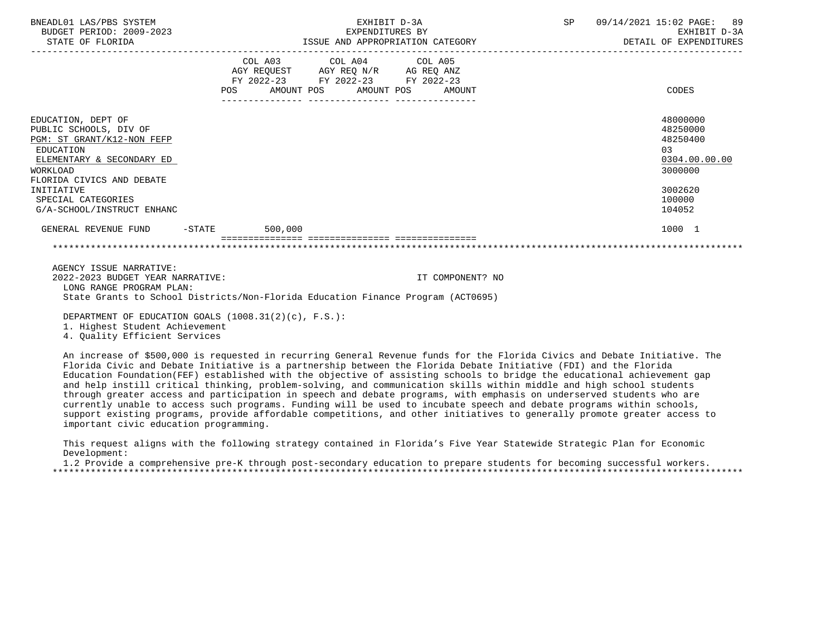| BNEADL01 LAS/PBS SYSTEM<br>BUDGET PERIOD: 2009-2023<br>STATE OF FLORIDA                 |                                  | EXHIBIT D-3A<br>EXPENDITURES BY                                                                                                                                        | EXPENDITURES BY<br>ISSUE AND APPROPRIATION CATEGORY | SP and the set of the set of the set of the set of the set of the set of the set of the set of the set of the set of the set of the set of the set of the set of the set of the set of the set of the set of the set of the se | 09/14/2021 15:02 PAGE: 89<br>DETAIL OF EXPENDITURES | EXHIBIT D-3A  |
|-----------------------------------------------------------------------------------------|----------------------------------|------------------------------------------------------------------------------------------------------------------------------------------------------------------------|-----------------------------------------------------|--------------------------------------------------------------------------------------------------------------------------------------------------------------------------------------------------------------------------------|-----------------------------------------------------|---------------|
|                                                                                         |                                  | COL A03 COL A04 COL A05                                                                                                                                                |                                                     |                                                                                                                                                                                                                                |                                                     |               |
|                                                                                         |                                  | $\begin{tabular}{lllllll} AGY & \texttt{REQUEST} & \texttt{AGY REQ} & \texttt{N/R} & \texttt{AG REQ} & \texttt{ANZ} \end{tabular}$<br>FY 2022-23 FY 2022-23 FY 2022-23 |                                                     |                                                                                                                                                                                                                                |                                                     |               |
|                                                                                         | POS AMOUNT POS AMOUNT POS AMOUNT |                                                                                                                                                                        |                                                     |                                                                                                                                                                                                                                | CODES                                               |               |
|                                                                                         |                                  |                                                                                                                                                                        |                                                     |                                                                                                                                                                                                                                | 48000000                                            |               |
| EDUCATION, DEPT OF<br>PUBLIC SCHOOLS, DIV OF                                            |                                  |                                                                                                                                                                        |                                                     |                                                                                                                                                                                                                                | 48250000                                            |               |
| PGM: ST GRANT/K12-NON FEFP                                                              |                                  |                                                                                                                                                                        |                                                     |                                                                                                                                                                                                                                | 48250400                                            |               |
| EDUCATION                                                                               |                                  |                                                                                                                                                                        |                                                     |                                                                                                                                                                                                                                | 03                                                  |               |
| ELEMENTARY & SECONDARY ED                                                               |                                  |                                                                                                                                                                        |                                                     |                                                                                                                                                                                                                                |                                                     | 0304.00.00.00 |
| WORKLOAD                                                                                |                                  |                                                                                                                                                                        |                                                     |                                                                                                                                                                                                                                | 3000000                                             |               |
| FLORIDA CIVICS AND DEBATE                                                               |                                  |                                                                                                                                                                        |                                                     |                                                                                                                                                                                                                                |                                                     |               |
| INITIATIVE<br>SPECIAL CATEGORIES                                                        |                                  |                                                                                                                                                                        |                                                     |                                                                                                                                                                                                                                | 3002620<br>100000                                   |               |
| G/A-SCHOOL/INSTRUCT ENHANC                                                              |                                  |                                                                                                                                                                        |                                                     |                                                                                                                                                                                                                                | 104052                                              |               |
| GENERAL REVENUE FUND -STATE 500,000                                                     |                                  |                                                                                                                                                                        |                                                     |                                                                                                                                                                                                                                | 1000 1                                              |               |
|                                                                                         |                                  |                                                                                                                                                                        |                                                     |                                                                                                                                                                                                                                |                                                     |               |
| AGENCY ISSUE NARRATIVE:<br>2022-2023 BUDGET YEAR NARRATIVE:<br>LONG RANGE PROGRAM PLAN: |                                  |                                                                                                                                                                        | IT COMPONENT? NO                                    |                                                                                                                                                                                                                                |                                                     |               |
| State Grants to School Districts/Non-Florida Education Finance Program (ACT0695)        |                                  |                                                                                                                                                                        |                                                     |                                                                                                                                                                                                                                |                                                     |               |

DEPARTMENT OF EDUCATION GOALS (1008.31(2)(c), F.S.):

1. Highest Student Achievement

4. Quality Efficient Services

 An increase of \$500,000 is requested in recurring General Revenue funds for the Florida Civics and Debate Initiative. The Florida Civic and Debate Initiative is a partnership between the Florida Debate Initiative (FDI) and the Florida Education Foundation(FEF) established with the objective of assisting schools to bridge the educational achievement gap and help instill critical thinking, problem-solving, and communication skills within middle and high school students through greater access and participation in speech and debate programs, with emphasis on underserved students who are currently unable to access such programs. Funding will be used to incubate speech and debate programs within schools, support existing programs, provide affordable competitions, and other initiatives to generally promote greater access to important civic education programming.

 This request aligns with the following strategy contained in Florida's Five Year Statewide Strategic Plan for Economic Development:

 1.2 Provide a comprehensive pre-K through post-secondary education to prepare students for becoming successful workers. \*\*\*\*\*\*\*\*\*\*\*\*\*\*\*\*\*\*\*\*\*\*\*\*\*\*\*\*\*\*\*\*\*\*\*\*\*\*\*\*\*\*\*\*\*\*\*\*\*\*\*\*\*\*\*\*\*\*\*\*\*\*\*\*\*\*\*\*\*\*\*\*\*\*\*\*\*\*\*\*\*\*\*\*\*\*\*\*\*\*\*\*\*\*\*\*\*\*\*\*\*\*\*\*\*\*\*\*\*\*\*\*\*\*\*\*\*\*\*\*\*\*\*\*\*\*\*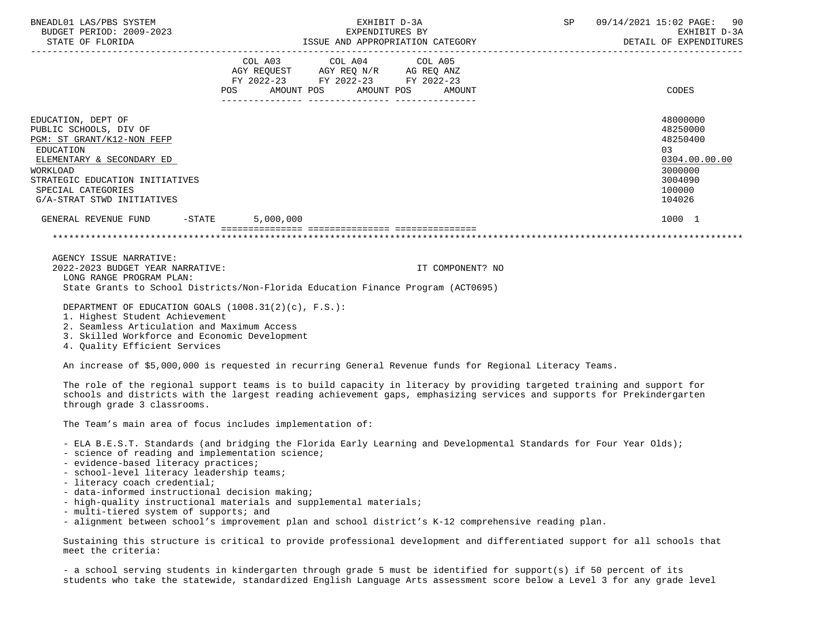| BNEADL01 LAS/PBS SYSTEM<br>STATE OF FLORIDA                                                                                                                                                                                                                                                                                                                                                                                                                                                                                                                           | EXHIBIT D-3A<br>BUDGET PERIOD: 2009-2023<br>EXPENDITURES BY<br>ISSUE AND APPROPRIATION CATEGORY<br>______________________________________ |                                                                                                                 |                                                                                                                                                                                                                                | SP                   | 09/14/2021 15:02 PAGE:<br>90<br>EXHIBIT D-3A<br>DETAIL OF EXPENDITURES                                                                                                                                                                 |                                                                                                                                                                                                                                                  |
|-----------------------------------------------------------------------------------------------------------------------------------------------------------------------------------------------------------------------------------------------------------------------------------------------------------------------------------------------------------------------------------------------------------------------------------------------------------------------------------------------------------------------------------------------------------------------|-------------------------------------------------------------------------------------------------------------------------------------------|-----------------------------------------------------------------------------------------------------------------|--------------------------------------------------------------------------------------------------------------------------------------------------------------------------------------------------------------------------------|----------------------|----------------------------------------------------------------------------------------------------------------------------------------------------------------------------------------------------------------------------------------|--------------------------------------------------------------------------------------------------------------------------------------------------------------------------------------------------------------------------------------------------|
|                                                                                                                                                                                                                                                                                                                                                                                                                                                                                                                                                                       |                                                                                                                                           | POS<br>AMOUNT POS                                                                                               | COL A03 COL A04 COL A05<br>AGY REQUEST AGY REQ N/R AG REQ ANZ<br>FY 2022-23 FY 2022-23 FY 2022-23                                                                                                                              | AMOUNT POS<br>AMOUNT |                                                                                                                                                                                                                                        | CODES                                                                                                                                                                                                                                            |
| EDUCATION, DEPT OF<br>PUBLIC SCHOOLS, DIV OF<br>PGM: ST GRANT/K12-NON FEFP<br><b>EDUCATION</b><br>ELEMENTARY & SECONDARY ED<br>WORKLOAD<br>STRATEGIC EDUCATION INITIATIVES<br>SPECIAL CATEGORIES<br>G/A-STRAT STWD INITIATIVES                                                                                                                                                                                                                                                                                                                                        |                                                                                                                                           |                                                                                                                 |                                                                                                                                                                                                                                |                      |                                                                                                                                                                                                                                        | 48000000<br>48250000<br>48250400<br>03<br>0304.00.00.00<br>3000000<br>3004090<br>100000<br>104026                                                                                                                                                |
| GENERAL REVENUE FUND                                                                                                                                                                                                                                                                                                                                                                                                                                                                                                                                                  | $-$ STATE                                                                                                                                 | 5,000,000                                                                                                       |                                                                                                                                                                                                                                |                      |                                                                                                                                                                                                                                        | 1000 1                                                                                                                                                                                                                                           |
| AGENCY ISSUE NARRATIVE:                                                                                                                                                                                                                                                                                                                                                                                                                                                                                                                                               |                                                                                                                                           |                                                                                                                 |                                                                                                                                                                                                                                |                      |                                                                                                                                                                                                                                        |                                                                                                                                                                                                                                                  |
| 2022-2023 BUDGET YEAR NARRATIVE:                                                                                                                                                                                                                                                                                                                                                                                                                                                                                                                                      |                                                                                                                                           |                                                                                                                 |                                                                                                                                                                                                                                | IT COMPONENT? NO     |                                                                                                                                                                                                                                        |                                                                                                                                                                                                                                                  |
| LONG RANGE PROGRAM PLAN:                                                                                                                                                                                                                                                                                                                                                                                                                                                                                                                                              |                                                                                                                                           |                                                                                                                 |                                                                                                                                                                                                                                |                      |                                                                                                                                                                                                                                        |                                                                                                                                                                                                                                                  |
| State Grants to School Districts/Non-Florida Education Finance Program (ACT0695)                                                                                                                                                                                                                                                                                                                                                                                                                                                                                      |                                                                                                                                           |                                                                                                                 |                                                                                                                                                                                                                                |                      |                                                                                                                                                                                                                                        |                                                                                                                                                                                                                                                  |
| DEPARTMENT OF EDUCATION GOALS (1008.31(2)(c), F.S.):<br>1. Highest Student Achievement<br>2. Seamless Articulation and Maximum Access<br>3. Skilled Workforce and Economic Development<br>4. Quality Efficient Services                                                                                                                                                                                                                                                                                                                                               |                                                                                                                                           |                                                                                                                 |                                                                                                                                                                                                                                |                      |                                                                                                                                                                                                                                        |                                                                                                                                                                                                                                                  |
| An increase of \$5,000,000 is requested in recurring General Revenue funds for Regional Literacy Teams.                                                                                                                                                                                                                                                                                                                                                                                                                                                               |                                                                                                                                           |                                                                                                                 |                                                                                                                                                                                                                                |                      |                                                                                                                                                                                                                                        |                                                                                                                                                                                                                                                  |
| through grade 3 classrooms.                                                                                                                                                                                                                                                                                                                                                                                                                                                                                                                                           |                                                                                                                                           |                                                                                                                 |                                                                                                                                                                                                                                |                      |                                                                                                                                                                                                                                        | The role of the regional support teams is to build capacity in literacy by providing targeted training and support for<br>schools and districts with the largest reading achievement gaps, emphasizing services and supports for Prekindergarten |
| The Team's main area of focus includes implementation of:                                                                                                                                                                                                                                                                                                                                                                                                                                                                                                             |                                                                                                                                           |                                                                                                                 |                                                                                                                                                                                                                                |                      |                                                                                                                                                                                                                                        |                                                                                                                                                                                                                                                  |
| - ELA B.E.S.T. Standards (and bridging the Florida Early Learning and Developmental Standards for Four Year Olds);<br>- science of reading and implementation science;<br>- evidence-based literacy practices;<br>- school-level literacy leadership teams;<br>- literacy coach credential;<br>- data-informed instructional decision making;<br>- high-quality instructional materials and supplemental materials;<br>- multi-tiered system of supports; and<br>- alignment between school's improvement plan and school district's K-12 comprehensive reading plan. |                                                                                                                                           |                                                                                                                 |                                                                                                                                                                                                                                |                      |                                                                                                                                                                                                                                        |                                                                                                                                                                                                                                                  |
|                                                                                                                                                                                                                                                                                                                                                                                                                                                                                                                                                                       |                                                                                                                                           | the contract of the contract of the contract of the contract of the contract of the contract of the contract of | the state of the state of the state of the state of the state of the state of the state of the state of the state of the state of the state of the state of the state of the state of the state of the state of the state of t |                      | $\mathcal{L}$ and $\mathcal{L}$ are the set of the set of the set of the set of the set of the set of the set of the set of the set of the set of the set of the set of the set of the set of the set of the set of the set of the set |                                                                                                                                                                                                                                                  |

 Sustaining this structure is critical to provide professional development and differentiated support for all schools that meet the criteria:

 - a school serving students in kindergarten through grade 5 must be identified for support(s) if 50 percent of its students who take the statewide, standardized English Language Arts assessment score below a Level 3 for any grade level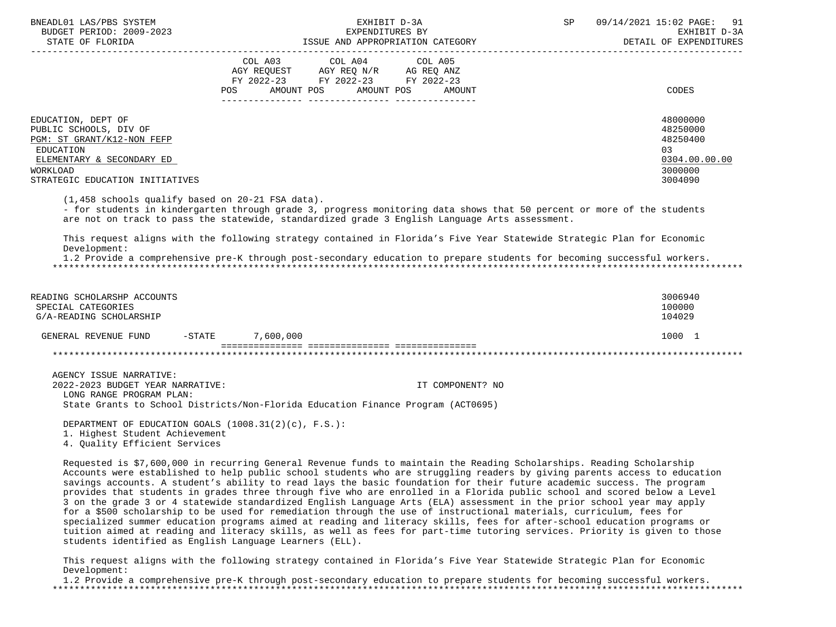| BNEADL01 LAS/PBS SYSTEM<br>BUDGET PERIOD: 2009-2023<br>STATE OF FLORIDA               | EXHIBIT D-3A<br>EXPENDITURES BY<br>ISSUE AND APPROPRIATION CATEGORY                                                                         | SP<br>09/14/2021 15:02 PAGE: 91<br>EXHIBIT D-3A<br>DETAIL OF EXPENDITURES |
|---------------------------------------------------------------------------------------|---------------------------------------------------------------------------------------------------------------------------------------------|---------------------------------------------------------------------------|
|                                                                                       | COL A03 COL A04 COL A05<br>AGY REOUEST AGY REO N/R AG REO ANZ<br>FY 2022-23 FY 2022-23 FY 2022-23<br>AMOUNT POS AMOUNT POS<br>POS<br>AMOUNT | CODES                                                                     |
| EDUCATION, DEPT OF<br>PUBLIC SCHOOLS, DIV OF<br>PGM: ST GRANT/K12-NON FEFP            |                                                                                                                                             | 48000000<br>48250000<br>48250400                                          |
| EDUCATION<br>ELEMENTARY & SECONDARY ED<br>WORKLOAD<br>STRATEGIC EDUCATION INITIATIVES |                                                                                                                                             | 03<br>0304.00.00.00<br>3000000<br>3004090                                 |

(1,458 schools qualify based on 20-21 FSA data).

 - for students in kindergarten through grade 3, progress monitoring data shows that 50 percent or more of the students are not on track to pass the statewide, standardized grade 3 English Language Arts assessment.

 This request aligns with the following strategy contained in Florida's Five Year Statewide Strategic Plan for Economic Development:

 1.2 Provide a comprehensive pre-K through post-secondary education to prepare students for becoming successful workers. \*\*\*\*\*\*\*\*\*\*\*\*\*\*\*\*\*\*\*\*\*\*\*\*\*\*\*\*\*\*\*\*\*\*\*\*\*\*\*\*\*\*\*\*\*\*\*\*\*\*\*\*\*\*\*\*\*\*\*\*\*\*\*\*\*\*\*\*\*\*\*\*\*\*\*\*\*\*\*\*\*\*\*\*\*\*\*\*\*\*\*\*\*\*\*\*\*\*\*\*\*\*\*\*\*\*\*\*\*\*\*\*\*\*\*\*\*\*\*\*\*\*\*\*\*\*\*

| READING SCHOLARSHP ACCOUNTS<br>SPECIAL CATEGORIES<br>G/A-READING SCHOLARSHIP |          |           | 3006940<br>100000<br>104029 |
|------------------------------------------------------------------------------|----------|-----------|-----------------------------|
| GENERAL REVENUE FUND                                                         | $-STATE$ | 7,600,000 | 1000                        |
|                                                                              |          |           |                             |

 AGENCY ISSUE NARRATIVE: 2022-2023 BUDGET YEAR NARRATIVE: IT COMPONENT? NO LONG RANGE PROGRAM PLAN: State Grants to School Districts/Non-Florida Education Finance Program (ACT0695)

 DEPARTMENT OF EDUCATION GOALS (1008.31(2)(c), F.S.): 1. Highest Student Achievement 4. Quality Efficient Services

 Requested is \$7,600,000 in recurring General Revenue funds to maintain the Reading Scholarships. Reading Scholarship Accounts were established to help public school students who are struggling readers by giving parents access to education savings accounts. A student's ability to read lays the basic foundation for their future academic success. The program provides that students in grades three through five who are enrolled in a Florida public school and scored below a Level 3 on the grade 3 or 4 statewide standardized English Language Arts (ELA) assessment in the prior school year may apply for a \$500 scholarship to be used for remediation through the use of instructional materials, curriculum, fees for specialized summer education programs aimed at reading and literacy skills, fees for after-school education programs or tuition aimed at reading and literacy skills, as well as fees for part-time tutoring services. Priority is given to those students identified as English Language Learners (ELL).

 This request aligns with the following strategy contained in Florida's Five Year Statewide Strategic Plan for Economic Development:

 1.2 Provide a comprehensive pre-K through post-secondary education to prepare students for becoming successful workers. \*\*\*\*\*\*\*\*\*\*\*\*\*\*\*\*\*\*\*\*\*\*\*\*\*\*\*\*\*\*\*\*\*\*\*\*\*\*\*\*\*\*\*\*\*\*\*\*\*\*\*\*\*\*\*\*\*\*\*\*\*\*\*\*\*\*\*\*\*\*\*\*\*\*\*\*\*\*\*\*\*\*\*\*\*\*\*\*\*\*\*\*\*\*\*\*\*\*\*\*\*\*\*\*\*\*\*\*\*\*\*\*\*\*\*\*\*\*\*\*\*\*\*\*\*\*\*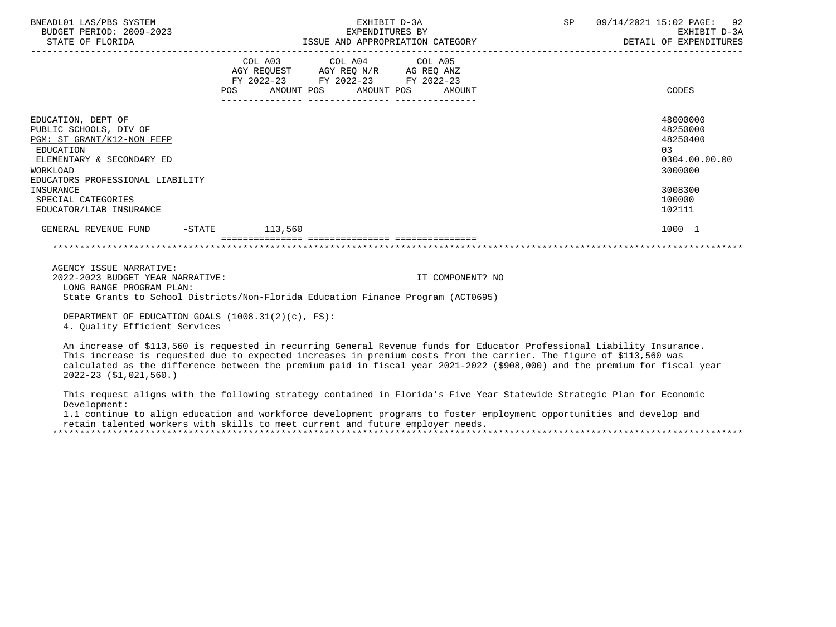| BNEADL01 LAS/PBS SYSTEM<br>BUDGET PERIOD: 2009-2023<br>STATE OF FLORIDA                                                                                                                                                                   | EXHIBIT D-3A<br>EXPENDITURES BY<br>ISSUE AND APPROPRIATION CATEGORY  |                                                               |                  | SP 09/14/2021 15:02 PAGE: 92 | EXHIBIT D-3A<br>DETAIL OF EXPENDITURES                                                            |
|-------------------------------------------------------------------------------------------------------------------------------------------------------------------------------------------------------------------------------------------|----------------------------------------------------------------------|---------------------------------------------------------------|------------------|------------------------------|---------------------------------------------------------------------------------------------------|
|                                                                                                                                                                                                                                           | FY 2022-23 FY 2022-23 FY 2022-23<br>POS AMOUNT POS AMOUNT POS AMOUNT | COL A03 COL A04 COL A05<br>AGY REQUEST AGY REQ N/R AG REQ ANZ |                  |                              | CODES                                                                                             |
| EDUCATION, DEPT OF<br>PUBLIC SCHOOLS, DIV OF<br>PGM: ST GRANT/K12-NON FEFP<br>EDUCATION<br>ELEMENTARY & SECONDARY ED<br><b>WORKLOAD</b><br>EDUCATORS PROFESSIONAL LIABILITY<br>INSURANCE<br>SPECIAL CATEGORIES<br>EDUCATOR/LIAB INSURANCE |                                                                      |                                                               |                  |                              | 48000000<br>48250000<br>48250400<br>03<br>0304.00.00.00<br>3000000<br>3008300<br>100000<br>102111 |
| GENERAL REVENUE FUND -STATE 113,560                                                                                                                                                                                                       |                                                                      |                                                               |                  |                              | 1000 1                                                                                            |
|                                                                                                                                                                                                                                           |                                                                      |                                                               |                  |                              |                                                                                                   |
| AGENCY ISSUE NARRATIVE:<br>2022-2023 BUDGET YEAR NARRATIVE:<br>LONG RANGE PROGRAM PLAN:<br>State Grants to School Districts/Non-Florida Education Finance Program (ACT0695)                                                               |                                                                      |                                                               | IT COMPONENT? NO |                              |                                                                                                   |
| DEPARTMENT OF EDUCATION GOALS $(1008.31(2)(c), FS)$ :<br>4. Ouality Efficient Services                                                                                                                                                    |                                                                      |                                                               |                  |                              |                                                                                                   |

 An increase of \$113,560 is requested in recurring General Revenue funds for Educator Professional Liability Insurance. This increase is requested due to expected increases in premium costs from the carrier. The figure of \$113,560 was calculated as the difference between the premium paid in fiscal year 2021-2022 (\$908,000) and the premium for fiscal year 2022-23 (\$1,021,560.)

 This request aligns with the following strategy contained in Florida's Five Year Statewide Strategic Plan for Economic Development:

 1.1 continue to align education and workforce development programs to foster employment opportunities and develop and retain talented workers with skills to meet current and future employer needs. \*\*\*\*\*\*\*\*\*\*\*\*\*\*\*\*\*\*\*\*\*\*\*\*\*\*\*\*\*\*\*\*\*\*\*\*\*\*\*\*\*\*\*\*\*\*\*\*\*\*\*\*\*\*\*\*\*\*\*\*\*\*\*\*\*\*\*\*\*\*\*\*\*\*\*\*\*\*\*\*\*\*\*\*\*\*\*\*\*\*\*\*\*\*\*\*\*\*\*\*\*\*\*\*\*\*\*\*\*\*\*\*\*\*\*\*\*\*\*\*\*\*\*\*\*\*\*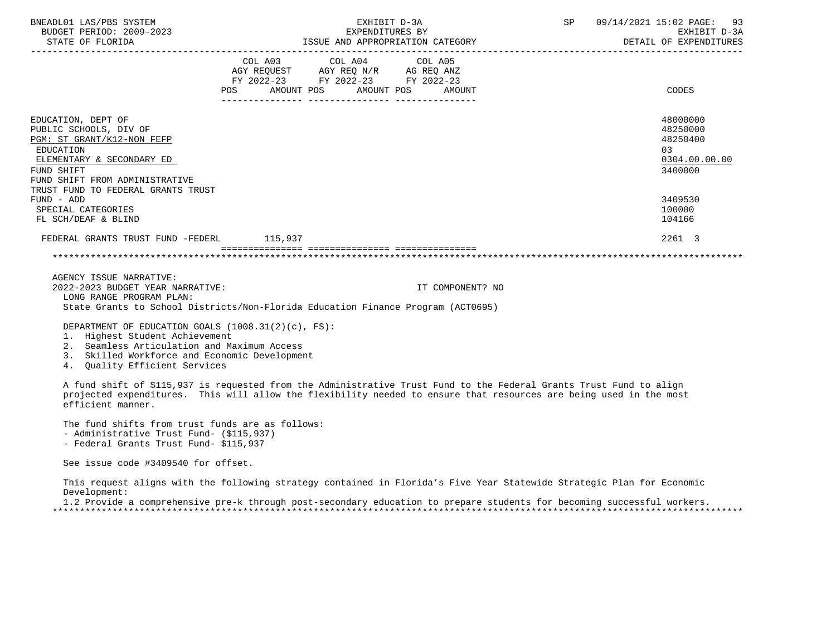| BNEADL01 LAS/PBS SYSTEM<br>BUDGET PERIOD: 2009-2023<br>STATE OF FLORIDA                                                                                              | EXHIBIT D-3A<br>EXPENDITURES BY<br>ISSUE AND APPROPRIATION CATEGORY                                                                   | 09/14/2021 15:02 PAGE: 93<br>SP<br>EXHIBIT D-3A<br>DETAIL OF EXPENDITURES |
|----------------------------------------------------------------------------------------------------------------------------------------------------------------------|---------------------------------------------------------------------------------------------------------------------------------------|---------------------------------------------------------------------------|
|                                                                                                                                                                      | COL A03 COL A04 COL A05<br>AGY REQUEST AGY REQ N/R AG REQ ANZ<br>FY 2022-23 FY 2022-23 FY 2022-23<br>POS AMOUNT POS AMOUNT POS AMOUNT | CODES                                                                     |
| EDUCATION, DEPT OF<br>PUBLIC SCHOOLS, DIV OF<br>PGM: ST GRANT/K12-NON FEFP<br>EDUCATION<br>ELEMENTARY & SECONDARY ED<br>FUND SHIFT<br>FUND SHIFT FROM ADMINISTRATIVE |                                                                                                                                       | 48000000<br>48250000<br>48250400<br>03<br>0304.00.00.00<br>3400000        |
| TRUST FUND TO FEDERAL GRANTS TRUST<br>FUND - ADD<br>SPECIAL CATEGORIES<br>FL SCH/DEAF & BLIND                                                                        |                                                                                                                                       | 3409530<br>100000<br>104166                                               |
| FEDERAL GRANTS TRUST FUND -FEDERL 115,937                                                                                                                            |                                                                                                                                       | 2261 3                                                                    |
|                                                                                                                                                                      |                                                                                                                                       |                                                                           |

 AGENCY ISSUE NARRATIVE: 2022-2023 BUDGET YEAR NARRATIVE: IT COMPONENT? NO LONG RANGE PROGRAM PLAN: State Grants to School Districts/Non-Florida Education Finance Program (ACT0695)

DEPARTMENT OF EDUCATION GOALS (1008.31(2)(c), FS):

- 1. Highest Student Achievement
- 2. Seamless Articulation and Maximum Access
- 3. Skilled Workforce and Economic Development
- 4. Quality Efficient Services

 A fund shift of \$115,937 is requested from the Administrative Trust Fund to the Federal Grants Trust Fund to align projected expenditures. This will allow the flexibility needed to ensure that resources are being used in the most efficient manner.

The fund shifts from trust funds are as follows:

- Administrative Trust Fund- (\$115,937)
- Federal Grants Trust Fund- \$115,937

See issue code #3409540 for offset.

 This request aligns with the following strategy contained in Florida's Five Year Statewide Strategic Plan for Economic Development:

 1.2 Provide a comprehensive pre-k through post-secondary education to prepare students for becoming successful workers. \*\*\*\*\*\*\*\*\*\*\*\*\*\*\*\*\*\*\*\*\*\*\*\*\*\*\*\*\*\*\*\*\*\*\*\*\*\*\*\*\*\*\*\*\*\*\*\*\*\*\*\*\*\*\*\*\*\*\*\*\*\*\*\*\*\*\*\*\*\*\*\*\*\*\*\*\*\*\*\*\*\*\*\*\*\*\*\*\*\*\*\*\*\*\*\*\*\*\*\*\*\*\*\*\*\*\*\*\*\*\*\*\*\*\*\*\*\*\*\*\*\*\*\*\*\*\*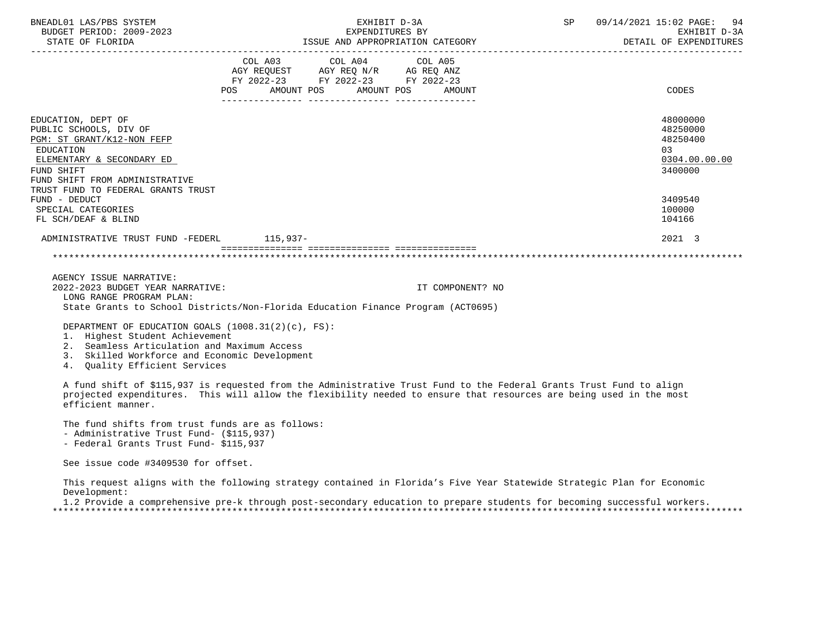| BNEADL01 LAS/PBS SYSTEM<br>BUDGET PERIOD: 2009-2023<br>STATE OF FLORIDA                                                                                                                                    | EXHIBIT D-3A<br>EXPENDITURES BY<br>ISSUE AND APPROPRIATION CATEGORY                                                                   | SP 09/14/2021 15:02 PAGE: 94<br>EXHIBIT D-3A<br>DETAIL OF EXPENDITURES |
|------------------------------------------------------------------------------------------------------------------------------------------------------------------------------------------------------------|---------------------------------------------------------------------------------------------------------------------------------------|------------------------------------------------------------------------|
|                                                                                                                                                                                                            | COL A03 COL A04 COL A05<br>AGY REQUEST AGY REQ N/R AG REQ ANZ<br>FY 2022-23 FY 2022-23 FY 2022-23<br>POS AMOUNT POS AMOUNT POS AMOUNT | CODES                                                                  |
| EDUCATION, DEPT OF<br>PUBLIC SCHOOLS, DIV OF<br>PGM: ST GRANT/K12-NON FEFP<br>EDUCATION<br>ELEMENTARY & SECONDARY ED<br>FUND SHIFT<br>FUND SHIFT FROM ADMINISTRATIVE<br>TRUST FUND TO FEDERAL GRANTS TRUST |                                                                                                                                       | 48000000<br>48250000<br>48250400<br>03<br>0304.00.00.00<br>3400000     |
| FUND - DEDUCT<br>SPECIAL CATEGORIES<br>FL SCH/DEAF & BLIND                                                                                                                                                 |                                                                                                                                       | 3409540<br>100000<br>104166                                            |
| ADMINISTRATIVE TRUST FUND -FEDERL 115.937-                                                                                                                                                                 |                                                                                                                                       | 2021 3                                                                 |
|                                                                                                                                                                                                            |                                                                                                                                       |                                                                        |

 AGENCY ISSUE NARRATIVE: 2022-2023 BUDGET YEAR NARRATIVE: IT COMPONENT? NO LONG RANGE PROGRAM PLAN: State Grants to School Districts/Non-Florida Education Finance Program (ACT0695)

DEPARTMENT OF EDUCATION GOALS (1008.31(2)(c), FS):

- 1. Highest Student Achievement
- 2. Seamless Articulation and Maximum Access
- 3. Skilled Workforce and Economic Development
- 4. Quality Efficient Services

 A fund shift of \$115,937 is requested from the Administrative Trust Fund to the Federal Grants Trust Fund to align projected expenditures. This will allow the flexibility needed to ensure that resources are being used in the most efficient manner.

The fund shifts from trust funds are as follows:

- Administrative Trust Fund- (\$115,937)
- Federal Grants Trust Fund- \$115,937

See issue code #3409530 for offset.

 This request aligns with the following strategy contained in Florida's Five Year Statewide Strategic Plan for Economic Development:

 1.2 Provide a comprehensive pre-k through post-secondary education to prepare students for becoming successful workers. \*\*\*\*\*\*\*\*\*\*\*\*\*\*\*\*\*\*\*\*\*\*\*\*\*\*\*\*\*\*\*\*\*\*\*\*\*\*\*\*\*\*\*\*\*\*\*\*\*\*\*\*\*\*\*\*\*\*\*\*\*\*\*\*\*\*\*\*\*\*\*\*\*\*\*\*\*\*\*\*\*\*\*\*\*\*\*\*\*\*\*\*\*\*\*\*\*\*\*\*\*\*\*\*\*\*\*\*\*\*\*\*\*\*\*\*\*\*\*\*\*\*\*\*\*\*\*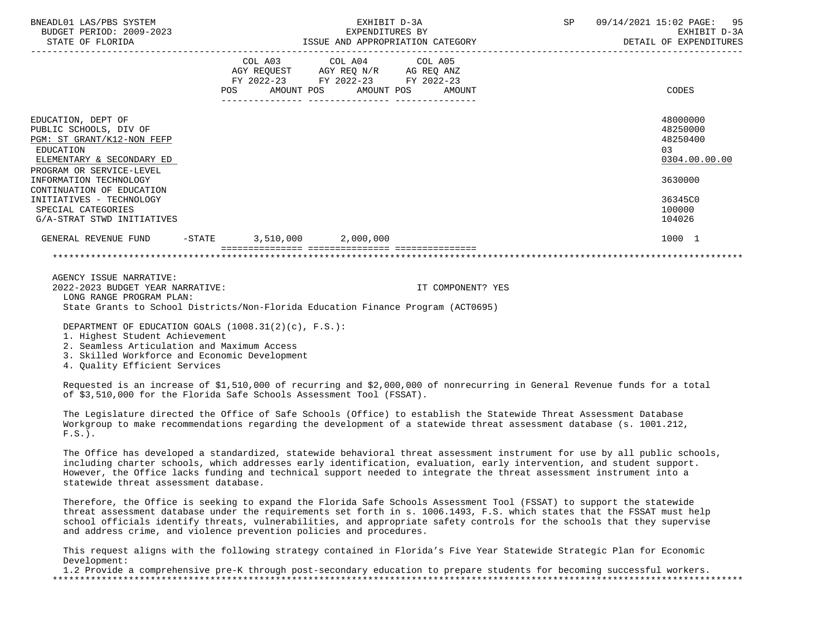| BNEADL01 LAS/PBS SYSTEM<br>BUDGET PERIOD: 2009-2023<br>STATE OF FLORIDA                                                                                                    |  | EXHIBIT D-3A<br>EXPENDITURES BY<br>ISSUE AND APPROPRIATION CATEGORY                               | SP                               | 09/14/2021 15:02 PAGE: 95<br>EXHIBIT D-3A<br>DETAIL OF EXPENDITURES |                                                                                |
|----------------------------------------------------------------------------------------------------------------------------------------------------------------------------|--|---------------------------------------------------------------------------------------------------|----------------------------------|---------------------------------------------------------------------|--------------------------------------------------------------------------------|
|                                                                                                                                                                            |  | COL A03 COL A04 COL A05<br>AGY REQUEST AGY REQ N/R AG REQ ANZ<br>FY 2022-23 FY 2022-23 FY 2022-23 | POS AMOUNT POS AMOUNT POS AMOUNT |                                                                     | CODES                                                                          |
| EDUCATION, DEPT OF<br>PUBLIC SCHOOLS, DIV OF<br>PGM: ST GRANT/K12-NON FEFP<br>EDUCATION<br>ELEMENTARY & SECONDARY ED<br>PROGRAM OR SERVICE-LEVEL<br>INFORMATION TECHNOLOGY |  |                                                                                                   |                                  |                                                                     | 48000000<br>48250000<br>48250400<br>0 <sub>3</sub><br>0304.00.00.00<br>3630000 |
| CONTINUATION OF EDUCATION<br>INITIATIVES - TECHNOLOGY<br>SPECIAL CATEGORIES<br>G/A-STRAT STWD INITIATIVES                                                                  |  |                                                                                                   |                                  |                                                                     | 36345C0<br>100000<br>104026                                                    |
| GENERAL REVENUE FUND -STATE 3,510,000 2,000,000                                                                                                                            |  |                                                                                                   |                                  |                                                                     | 1000 1                                                                         |
|                                                                                                                                                                            |  |                                                                                                   |                                  |                                                                     |                                                                                |

 AGENCY ISSUE NARRATIVE: 2022-2023 BUDGET YEAR NARRATIVE: IT COMPONENT? YES LONG RANGE PROGRAM PLAN: State Grants to School Districts/Non-Florida Education Finance Program (ACT0695)

DEPARTMENT OF EDUCATION GOALS (1008.31(2)(c), F.S.):

1. Highest Student Achievement

- 2. Seamless Articulation and Maximum Access
- 3. Skilled Workforce and Economic Development

4. Quality Efficient Services

 Requested is an increase of \$1,510,000 of recurring and \$2,000,000 of nonrecurring in General Revenue funds for a total of \$3,510,000 for the Florida Safe Schools Assessment Tool (FSSAT).

 The Legislature directed the Office of Safe Schools (Office) to establish the Statewide Threat Assessment Database Workgroup to make recommendations regarding the development of a statewide threat assessment database (s. 1001.212,  $F.S.$ ).

 The Office has developed a standardized, statewide behavioral threat assessment instrument for use by all public schools, including charter schools, which addresses early identification, evaluation, early intervention, and student support. However, the Office lacks funding and technical support needed to integrate the threat assessment instrument into a statewide threat assessment database.

 Therefore, the Office is seeking to expand the Florida Safe Schools Assessment Tool (FSSAT) to support the statewide threat assessment database under the requirements set forth in s. 1006.1493, F.S. which states that the FSSAT must help school officials identify threats, vulnerabilities, and appropriate safety controls for the schools that they supervise and address crime, and violence prevention policies and procedures.

 This request aligns with the following strategy contained in Florida's Five Year Statewide Strategic Plan for Economic Development:

 1.2 Provide a comprehensive pre-K through post-secondary education to prepare students for becoming successful workers. \*\*\*\*\*\*\*\*\*\*\*\*\*\*\*\*\*\*\*\*\*\*\*\*\*\*\*\*\*\*\*\*\*\*\*\*\*\*\*\*\*\*\*\*\*\*\*\*\*\*\*\*\*\*\*\*\*\*\*\*\*\*\*\*\*\*\*\*\*\*\*\*\*\*\*\*\*\*\*\*\*\*\*\*\*\*\*\*\*\*\*\*\*\*\*\*\*\*\*\*\*\*\*\*\*\*\*\*\*\*\*\*\*\*\*\*\*\*\*\*\*\*\*\*\*\*\*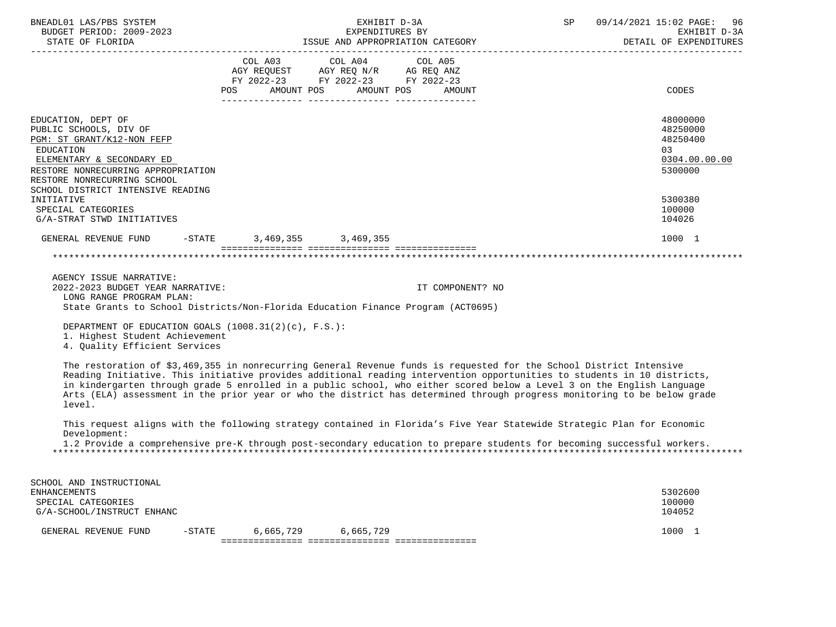| BNEADL01 LAS/PBS SYSTEM<br>BUDGET PERIOD: 2009-2023<br>STATE OF FLORIDA                                                                                                                                                                                                                                                                                                                                                                                                                                        |            |                                                                                                                                                                                                                                               | EXHIBIT D-3A<br>EXPENDITURES BY<br>ISSUE AND APPROPRIATION CATEGORY | SP | 09/14/2021 15:02 PAGE:<br>96<br>EXHIBIT D-3A<br>DETAIL OF EXPENDITURES |
|----------------------------------------------------------------------------------------------------------------------------------------------------------------------------------------------------------------------------------------------------------------------------------------------------------------------------------------------------------------------------------------------------------------------------------------------------------------------------------------------------------------|------------|-----------------------------------------------------------------------------------------------------------------------------------------------------------------------------------------------------------------------------------------------|---------------------------------------------------------------------|----|------------------------------------------------------------------------|
|                                                                                                                                                                                                                                                                                                                                                                                                                                                                                                                | <b>POS</b> | $\begin{tabular}{lllllllll} COL A03 & \multicolumn{2}{l}COL A04 & \multicolumn{2}{l}COL A05 \\ AGY REQUEST & \multicolumn{2}{l}AGY REQ N/R & \multicolumn{2}{l}AG REQ ANZ \\ \end{tabular}$<br>FY 2022-23 FY 2022-23 FY 2022-23<br>AMOUNT POS | AMOUNT POS<br>AMOUNT                                                |    | CODES                                                                  |
| EDUCATION, DEPT OF<br>PUBLIC SCHOOLS, DIV OF<br>PGM: ST GRANT/K12-NON FEFP<br>EDUCATION<br>ELEMENTARY & SECONDARY ED<br>RESTORE NONRECURRING APPROPRIATION<br>RESTORE NONRECURRING SCHOOL<br>SCHOOL DISTRICT INTENSIVE READING                                                                                                                                                                                                                                                                                 |            |                                                                                                                                                                                                                                               |                                                                     |    | 48000000<br>48250000<br>48250400<br>03<br>0304.00.00.00<br>5300000     |
| INITIATIVE<br>SPECIAL CATEGORIES<br>G/A-STRAT STWD INITIATIVES                                                                                                                                                                                                                                                                                                                                                                                                                                                 |            |                                                                                                                                                                                                                                               |                                                                     |    | 5300380<br>100000<br>104026                                            |
| GENERAL REVENUE FUND                                                                                                                                                                                                                                                                                                                                                                                                                                                                                           |            | $-STATE$ 3, 469, 355 3, 469, 355                                                                                                                                                                                                              |                                                                     |    | 1000 1                                                                 |
|                                                                                                                                                                                                                                                                                                                                                                                                                                                                                                                |            |                                                                                                                                                                                                                                               |                                                                     |    |                                                                        |
| AGENCY ISSUE NARRATIVE:<br>2022-2023 BUDGET YEAR NARRATIVE:<br>LONG RANGE PROGRAM PLAN:<br>State Grants to School Districts/Non-Florida Education Finance Program (ACT0695)                                                                                                                                                                                                                                                                                                                                    |            |                                                                                                                                                                                                                                               | IT COMPONENT? NO                                                    |    |                                                                        |
| DEPARTMENT OF EDUCATION GOALS (1008.31(2)(c), F.S.):<br>1. Highest Student Achievement<br>4. Ouality Efficient Services                                                                                                                                                                                                                                                                                                                                                                                        |            |                                                                                                                                                                                                                                               |                                                                     |    |                                                                        |
| The restoration of \$3,469,355 in nonrecurring General Revenue funds is requested for the School District Intensive<br>Reading Initiative. This initiative provides additional reading intervention opportunities to students in 10 districts,<br>in kindergarten through grade 5 enrolled in a public school, who either scored below a Level 3 on the English Language<br>Arts (ELA) assessment in the prior year or who the district has determined through progress monitoring to be below grade<br>level. |            |                                                                                                                                                                                                                                               |                                                                     |    |                                                                        |
| This request aligns with the following strategy contained in Florida's Five Year Statewide Strategic Plan for Economic<br>Development:<br>1.2 Provide a comprehensive pre-K through post-secondary education to prepare students for becoming successful workers.                                                                                                                                                                                                                                              |            |                                                                                                                                                                                                                                               |                                                                     |    |                                                                        |

| SCHOOL AND INSTRUCTIONAL   |           |           |           |         |
|----------------------------|-----------|-----------|-----------|---------|
| ENHANCEMENTS               |           |           |           | 5302600 |
| SPECIAL CATEGORIES         |           |           |           | 100000  |
| G/A-SCHOOL/INSTRUCT ENHANC |           |           |           | 104052  |
| GENERAL REVENUE FUND       | $-$ STATE | 6,665,729 | 6,665,729 | 1000    |
|                            |           |           |           |         |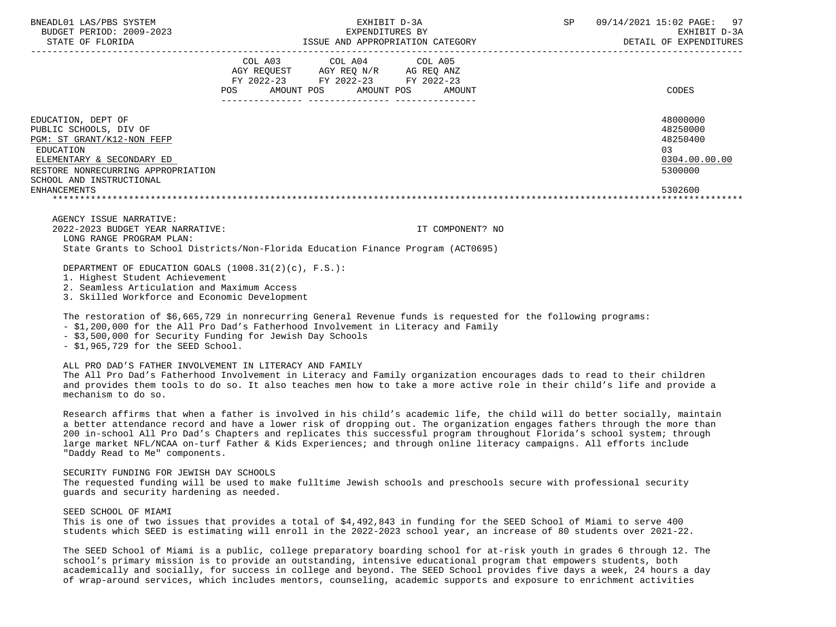| BNEADL01 LAS/PBS SYSTEM<br>BUDGET PERIOD: 2009-2023<br>STATE OF FLORIDA | EXHIBIT D-3A<br>ISSUE AND APPROPRIATION CATEGORY                                                                                            | 09/14/2021 15:02 PAGE: 97<br>SP<br>EXHIBIT D-3A<br>DETAIL OF EXPENDITURES |
|-------------------------------------------------------------------------|---------------------------------------------------------------------------------------------------------------------------------------------|---------------------------------------------------------------------------|
|                                                                         | COL A03 COL A04 COL A05<br>AGY REQUEST AGY REQ N/R AG REQ ANZ<br>FY 2022-23 FY 2022-23 FY 2022-23<br>AMOUNT POS AMOUNT POS<br>POS<br>AMOUNT | CODES                                                                     |
| EDUCATION, DEPT OF                                                      |                                                                                                                                             | 48000000                                                                  |
| PUBLIC SCHOOLS, DIV OF                                                  |                                                                                                                                             | 48250000                                                                  |
| PGM: ST GRANT/K12-NON FEFP                                              |                                                                                                                                             | 48250400<br>03                                                            |
| EDUCATION<br>ELEMENTARY & SECONDARY ED                                  |                                                                                                                                             | 0304.00.00.00                                                             |
| RESTORE NONRECURRING APPROPRIATION                                      |                                                                                                                                             | 5300000                                                                   |
| SCHOOL AND INSTRUCTIONAL                                                |                                                                                                                                             |                                                                           |
| <b>ENHANCEMENTS</b>                                                     |                                                                                                                                             | 5302600                                                                   |
|                                                                         |                                                                                                                                             |                                                                           |
| AGENCY ISSUE NARRATIVE:                                                 |                                                                                                                                             |                                                                           |
| 2022-2023 BUDGET YEAR NARRATIVE:                                        | IT COMPONENT? NO                                                                                                                            |                                                                           |
| LONG RANGE PROGRAM PLAN:                                                |                                                                                                                                             |                                                                           |

State Grants to School Districts/Non-Florida Education Finance Program (ACT0695)

DEPARTMENT OF EDUCATION GOALS (1008.31(2)(c), F.S.):

1. Highest Student Achievement

2. Seamless Articulation and Maximum Access

3. Skilled Workforce and Economic Development

The restoration of \$6,665,729 in nonrecurring General Revenue funds is requested for the following programs:

- \$1,200,000 for the All Pro Dad's Fatherhood Involvement in Literacy and Family

- \$3,500,000 for Security Funding for Jewish Day Schools

- \$1,965,729 for the SEED School.

ALL PRO DAD'S FATHER INVOLVEMENT IN LITERACY AND FAMILY

 The All Pro Dad's Fatherhood Involvement in Literacy and Family organization encourages dads to read to their children and provides them tools to do so. It also teaches men how to take a more active role in their child's life and provide a mechanism to do so.

 Research affirms that when a father is involved in his child's academic life, the child will do better socially, maintain a better attendance record and have a lower risk of dropping out. The organization engages fathers through the more than 200 in-school All Pro Dad's Chapters and replicates this successful program throughout Florida's school system; through large market NFL/NCAA on-turf Father & Kids Experiences; and through online literacy campaigns. All efforts include "Daddy Read to Me" components.

## SECURITY FUNDING FOR JEWISH DAY SCHOOLS

 The requested funding will be used to make fulltime Jewish schools and preschools secure with professional security guards and security hardening as needed.

SEED SCHOOL OF MIAMI

 This is one of two issues that provides a total of \$4,492,843 in funding for the SEED School of Miami to serve 400 students which SEED is estimating will enroll in the 2022-2023 school year, an increase of 80 students over 2021-22.

 The SEED School of Miami is a public, college preparatory boarding school for at-risk youth in grades 6 through 12. The school's primary mission is to provide an outstanding, intensive educational program that empowers students, both academically and socially, for success in college and beyond. The SEED School provides five days a week, 24 hours a day of wrap-around services, which includes mentors, counseling, academic supports and exposure to enrichment activities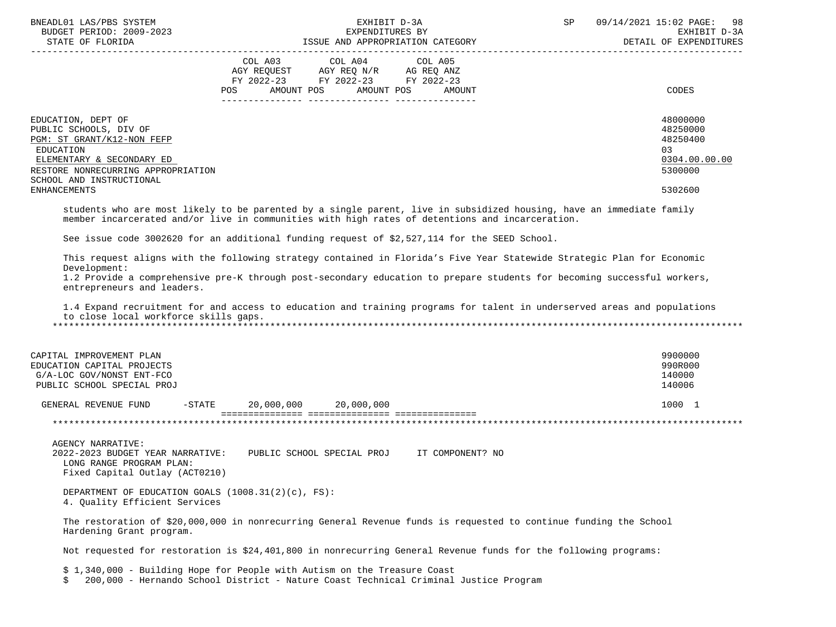| BNEADL01 LAS/PBS SYSTEM<br>BUDGET PERIOD: 2009-2023<br>STATE OF FLORIDA                                                                                                                                       | EXHIBIT D-3A<br>EXPENDITURES BY<br>ISSUE AND APPROPRIATION CATEGORY                                                                                                                                                                                                                                                                                                           | SP<br>09/14/2021 15:02 PAGE:<br>98<br>EXHIBIT D-3A<br>DETAIL OF EXPENDITURES  |
|---------------------------------------------------------------------------------------------------------------------------------------------------------------------------------------------------------------|-------------------------------------------------------------------------------------------------------------------------------------------------------------------------------------------------------------------------------------------------------------------------------------------------------------------------------------------------------------------------------|-------------------------------------------------------------------------------|
| COL A03<br>POS                                                                                                                                                                                                | COL A04<br>COL A05<br>AGY REQUEST AGY REQ N/R AG REQ ANZ<br>FY 2022-23 FY 2022-23 FY 2022-23<br>AMOUNT POS<br>AMOUNT POS<br>AMOUNT                                                                                                                                                                                                                                            | CODES                                                                         |
| EDUCATION, DEPT OF<br>PUBLIC SCHOOLS, DIV OF<br>PGM: ST GRANT/K12-NON FEFP<br>EDUCATION<br>ELEMENTARY & SECONDARY ED<br>RESTORE NONRECURRING APPROPRIATION<br>SCHOOL AND INSTRUCTIONAL<br><b>ENHANCEMENTS</b> |                                                                                                                                                                                                                                                                                                                                                                               | 48000000<br>48250000<br>48250400<br>03<br>0304.00.00.00<br>5300000<br>5302600 |
|                                                                                                                                                                                                               | students who are most likely to be parented by a single parent, live in subsidized housing, have an immediate family<br>member incarcerated and/or live in communities with high rates of detentions and incarceration.                                                                                                                                                       |                                                                               |
|                                                                                                                                                                                                               | See issue code 3002620 for an additional funding request of \$2,527,114 for the SEED School.                                                                                                                                                                                                                                                                                  |                                                                               |
| Development:<br>entrepreneurs and leaders.<br>to close local workforce skills gaps.                                                                                                                           | This request aligns with the following strategy contained in Florida's Five Year Statewide Strategic Plan for Economic<br>1.2 Provide a comprehensive pre-K through post-secondary education to prepare students for becoming successful workers,<br>1.4 Expand recruitment for and access to education and training programs for talent in underserved areas and populations |                                                                               |
| CAPITAL IMPROVEMENT PLAN<br>EDUCATION CAPITAL PROJECTS<br>G/A-LOC GOV/NONST ENT-FCO<br>PUBLIC SCHOOL SPECIAL PROJ                                                                                             |                                                                                                                                                                                                                                                                                                                                                                               | 9900000<br>990R000<br>140000<br>140006                                        |
| GENERAL REVENUE FUND<br>$-$ STATE                                                                                                                                                                             | 20,000,000 20,000,000                                                                                                                                                                                                                                                                                                                                                         | 1000 1                                                                        |
|                                                                                                                                                                                                               |                                                                                                                                                                                                                                                                                                                                                                               |                                                                               |
| <b>AGENCY NARRATIVE:</b><br>2022-2023 BUDGET YEAR NARRATIVE: PUBLIC SCHOOL SPECIAL PROJ TT COMPONENT? NO<br>LONG RANGE PROGRAM PLAN:<br>Fixed Capital Outlay (ACT0210)                                        |                                                                                                                                                                                                                                                                                                                                                                               |                                                                               |
| DEPARTMENT OF EDUCATION GOALS $(1008.31(2)(c), FS)$ :<br>4. Quality Efficient Services                                                                                                                        |                                                                                                                                                                                                                                                                                                                                                                               |                                                                               |
| Hardening Grant program.                                                                                                                                                                                      | The restoration of \$20,000,000 in nonrecurring General Revenue funds is requested to continue funding the School                                                                                                                                                                                                                                                             |                                                                               |
|                                                                                                                                                                                                               | Not requested for restoration is \$24,401,800 in nonrecurring General Revenue funds for the following programs:                                                                                                                                                                                                                                                               |                                                                               |
| \$ 1,340,000 - Building Hope for People with Autism on the Treasure Coast<br>Ŝ.                                                                                                                               | 200,000 - Hernando School District - Nature Coast Technical Criminal Justice Program                                                                                                                                                                                                                                                                                          |                                                                               |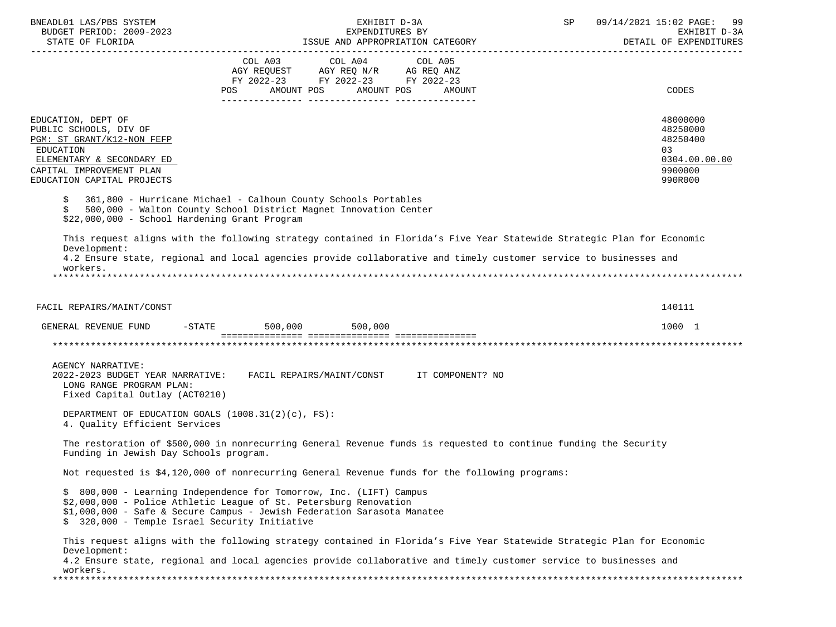| BNEADL01 LAS/PBS SYSTEM<br>BUDGET PERIOD: 2009-2023                                                                                                                            | EXHIBIT D-3A<br>EXPENDITURES BY                                                                                                                                                                                                             | SP 09/14/2021 15:02 PAGE: 99<br>EXHIBIT D-3A<br>DETAIL OF EXPENDITURES        |
|--------------------------------------------------------------------------------------------------------------------------------------------------------------------------------|---------------------------------------------------------------------------------------------------------------------------------------------------------------------------------------------------------------------------------------------|-------------------------------------------------------------------------------|
|                                                                                                                                                                                | COL A03 COL A04 COL A05<br>AGY REQUEST AGY REQ N/R AG REQ ANZ<br>FY 2022-23 FY 2022-23 FY 2022-23<br>AMOUNT POS AMOUNT POS<br>POS<br>AMOUNT                                                                                                 | CODES                                                                         |
| EDUCATION, DEPT OF<br>PUBLIC SCHOOLS, DIV OF<br>PGM: ST GRANT/K12-NON FEFP<br>EDUCATION<br>ELEMENTARY & SECONDARY ED<br>CAPITAL IMPROVEMENT PLAN<br>EDUCATION CAPITAL PROJECTS |                                                                                                                                                                                                                                             | 48000000<br>48250000<br>48250400<br>03<br>0304.00.00.00<br>9900000<br>990R000 |
| \$<br>\$<br>\$22,000,000 - School Hardening Grant Program                                                                                                                      | 361,800 - Hurricane Michael - Calhoun County Schools Portables<br>500,000 - Walton County School District Magnet Innovation Center                                                                                                          |                                                                               |
| Development:<br>workers.                                                                                                                                                       | This request aligns with the following strategy contained in Florida's Five Year Statewide Strategic Plan for Economic<br>4.2 Ensure state, regional and local agencies provide collaborative and timely customer service to businesses and |                                                                               |
| FACIL REPAIRS/MAINT/CONST                                                                                                                                                      |                                                                                                                                                                                                                                             | 140111                                                                        |
| GENERAL REVENUE FUND -STATE 500,000 500,000                                                                                                                                    |                                                                                                                                                                                                                                             | 1000 1                                                                        |
|                                                                                                                                                                                |                                                                                                                                                                                                                                             |                                                                               |
| <b>AGENCY NARRATIVE:</b><br>LONG RANGE PROGRAM PLAN:<br>Fixed Capital Outlay (ACT0210)                                                                                         | 2022-2023 BUDGET YEAR NARRATIVE: FACIL REPAIRS/MAINT/CONST IT COMPONENT? NO                                                                                                                                                                 |                                                                               |
| DEPARTMENT OF EDUCATION GOALS (1008.31(2)(c), FS):<br>4. Ouality Efficient Services                                                                                            |                                                                                                                                                                                                                                             |                                                                               |
| Funding in Jewish Day Schools program.                                                                                                                                         | The restoration of \$500,000 in nonrecurring General Revenue funds is requested to continue funding the Security                                                                                                                            |                                                                               |
|                                                                                                                                                                                | Not requested is \$4,120,000 of nonrecurring General Revenue funds for the following programs:                                                                                                                                              |                                                                               |
| \$ 320,000 - Temple Israel Security Initiative                                                                                                                                 | \$ 800,000 - Learning Independence for Tomorrow, Inc. (LIFT) Campus<br>\$2,000,000 - Police Athletic League of St. Petersburg Renovation<br>\$1,000,000 - Safe & Secure Campus - Jewish Federation Sarasota Manatee                         |                                                                               |
| Development:<br>workers.                                                                                                                                                       | This request aligns with the following strategy contained in Florida's Five Year Statewide Strategic Plan for Economic<br>4.2 Ensure state, regional and local agencies provide collaborative and timely customer service to businesses and |                                                                               |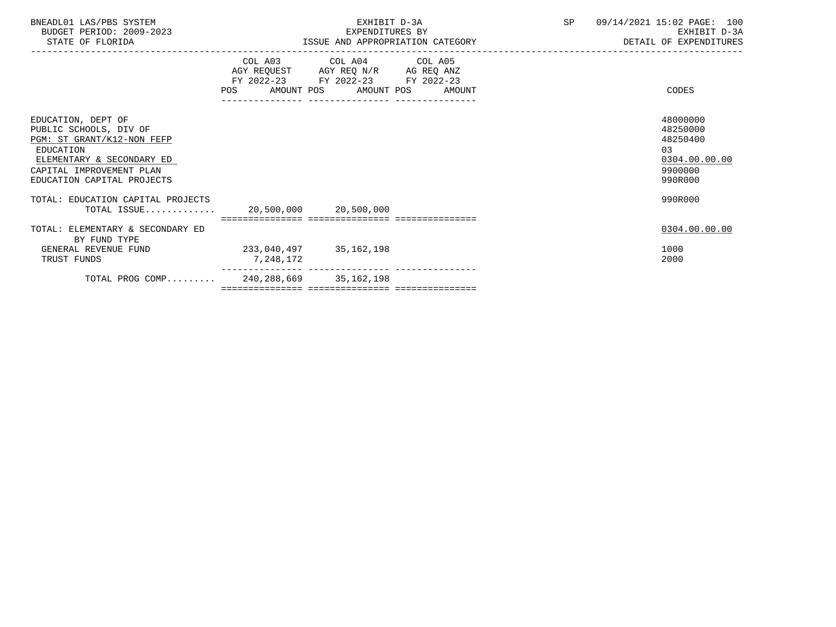| BNEADL01 LAS/PBS SYSTEM<br>BUDGET PERIOD: 2009-2023<br>STATE OF FLORIDA                                                                                                        |                                     | EXHIBIT D-3A<br>EXPENDITURES BY<br>ISSUE AND APPROPRIATION CATEGORY                                                                  | SP | 09/14/2021 15:02 PAGE: 100<br>EXHIBIT D-3A<br>DETAIL OF EXPENDITURES          |
|--------------------------------------------------------------------------------------------------------------------------------------------------------------------------------|-------------------------------------|--------------------------------------------------------------------------------------------------------------------------------------|----|-------------------------------------------------------------------------------|
|                                                                                                                                                                                | <b>POS</b>                          | COL A03 COL A04 COL A05<br>AGY REQUEST AGY REQ N/R AG REQ ANZ<br>FY 2022-23 FY 2022-23 FY 2022-23<br>AMOUNT POS AMOUNT POS<br>AMOUNT |    | CODES                                                                         |
| EDUCATION, DEPT OF<br>PUBLIC SCHOOLS, DIV OF<br>PGM: ST GRANT/K12-NON FEFP<br>EDUCATION<br>ELEMENTARY & SECONDARY ED<br>CAPITAL IMPROVEMENT PLAN<br>EDUCATION CAPITAL PROJECTS |                                     |                                                                                                                                      |    | 48000000<br>48250000<br>48250400<br>03<br>0304.00.00.00<br>9900000<br>990R000 |
| TOTAL: EDUCATION CAPITAL PROJECTS<br>TOTAL ISSUE                                                                                                                               | 20,500,000 20,500,000               |                                                                                                                                      |    | 990R000                                                                       |
| TOTAL: ELEMENTARY & SECONDARY ED<br>BY FUND TYPE<br>GENERAL REVENUE FUND<br>TRUST FUNDS                                                                                        | 233,040,497 35,162,198<br>7,248,172 |                                                                                                                                      |    | 0304.00.00.00<br>1000<br>2000                                                 |
| TOTAL PROG COMP 240,288,669 35,162,198                                                                                                                                         |                                     |                                                                                                                                      |    |                                                                               |

=============== =============== ===============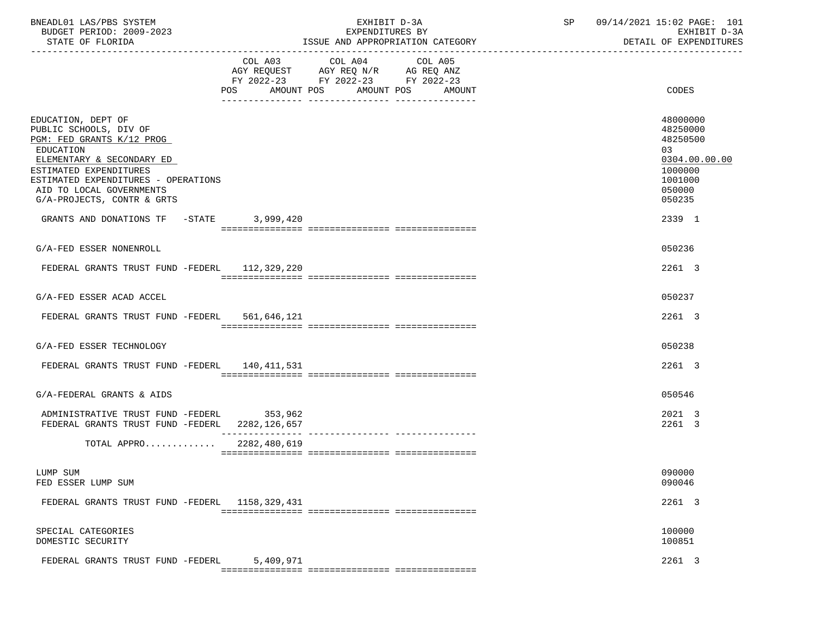| BNEADL01 LAS/PBS SYSTEM<br>BUDGET PERIOD: 2009-2023<br>STATE OF FLORIDA                                                                                                                                                                                                                    | EXHIBIT D-3A<br>EXPENDITURES BY<br>ISSUE AND APPROPRIATION CATEGORY                                                                            | SP | 09/14/2021 15:02 PAGE: 101<br>EXHIBIT D-3A<br>DETAIL OF EXPENDITURES                                        |
|--------------------------------------------------------------------------------------------------------------------------------------------------------------------------------------------------------------------------------------------------------------------------------------------|------------------------------------------------------------------------------------------------------------------------------------------------|----|-------------------------------------------------------------------------------------------------------------|
|                                                                                                                                                                                                                                                                                            | COL A03 COL A04 COL A05<br>AGY REQUEST AGY REQ N/R AG REQ ANZ<br>FY 2022-23 FY 2022-23 FY 2022-23<br>AMOUNT POS<br>AMOUNT POS<br>POS<br>AMOUNT |    | CODES                                                                                                       |
| EDUCATION, DEPT OF<br>PUBLIC SCHOOLS, DIV OF<br>PGM: FED GRANTS K/12 PROG<br>EDUCATION<br>ELEMENTARY & SECONDARY ED<br>ESTIMATED EXPENDITURES<br>ESTIMATED EXPENDITURES - OPERATIONS<br>AID TO LOCAL GOVERNMENTS<br>G/A-PROJECTS, CONTR & GRTS<br>GRANTS AND DONATIONS TF -STATE 3,999,420 |                                                                                                                                                |    | 48000000<br>48250000<br>48250500<br>03<br>0304.00.00.00<br>1000000<br>1001000<br>050000<br>050235<br>2339 1 |
| G/A-FED ESSER NONENROLL                                                                                                                                                                                                                                                                    |                                                                                                                                                |    | 050236                                                                                                      |
| FEDERAL GRANTS TRUST FUND -FEDERL 112,329,220                                                                                                                                                                                                                                              |                                                                                                                                                |    | 2261 3                                                                                                      |
| G/A-FED ESSER ACAD ACCEL                                                                                                                                                                                                                                                                   |                                                                                                                                                |    | 050237                                                                                                      |
| FEDERAL GRANTS TRUST FUND -FEDERL 561,646,121                                                                                                                                                                                                                                              |                                                                                                                                                |    | 2261 3                                                                                                      |
| G/A-FED ESSER TECHNOLOGY                                                                                                                                                                                                                                                                   |                                                                                                                                                |    | 050238                                                                                                      |
| FEDERAL GRANTS TRUST FUND -FEDERL 140,411,531                                                                                                                                                                                                                                              |                                                                                                                                                |    | 2261 3                                                                                                      |
| G/A-FEDERAL GRANTS & AIDS                                                                                                                                                                                                                                                                  |                                                                                                                                                |    | 050546                                                                                                      |
| ADMINISTRATIVE TRUST FUND -FEDERL 353,962<br>FEDERAL GRANTS TRUST FUND -FEDERL 2282,126,657                                                                                                                                                                                                |                                                                                                                                                |    | 2021 3<br>2261 3                                                                                            |
| TOTAL APPRO 2282,480,619                                                                                                                                                                                                                                                                   |                                                                                                                                                |    |                                                                                                             |
| LUMP SUM<br>FED ESSER LUMP SUM                                                                                                                                                                                                                                                             |                                                                                                                                                |    | 090000<br>090046                                                                                            |
| FEDERAL GRANTS TRUST FUND -FEDERL 1158,329,431                                                                                                                                                                                                                                             |                                                                                                                                                |    | 2261 3                                                                                                      |
| SPECIAL CATEGORIES<br>DOMESTIC SECURITY                                                                                                                                                                                                                                                    |                                                                                                                                                |    | 100000<br>100851                                                                                            |
| FEDERAL GRANTS TRUST FUND -FEDERL                                                                                                                                                                                                                                                          | 5,409,971                                                                                                                                      |    | 2261 3                                                                                                      |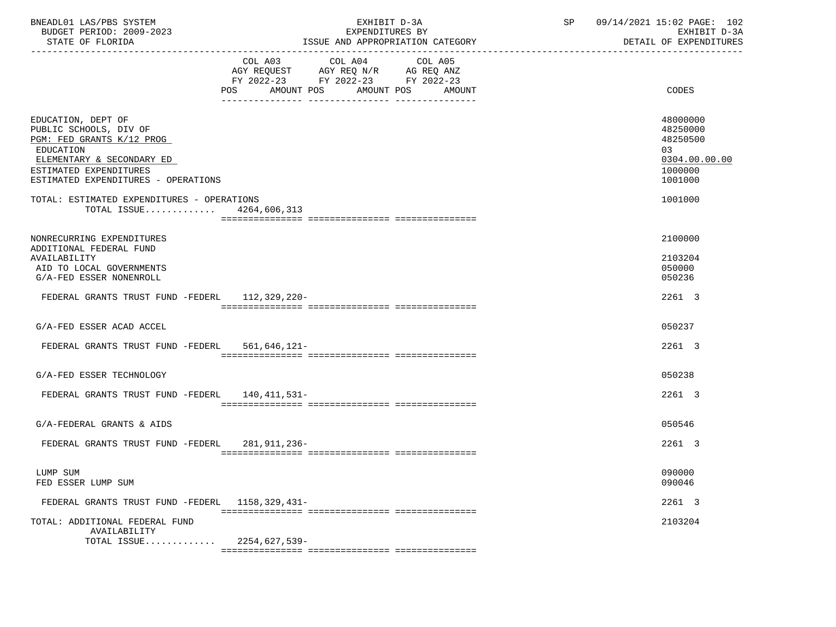| BNEADL01 LAS/PBS SYSTEM<br>BUDGET PERIOD: 2009-2023<br>STATE OF FLORIDA                                                                                                              | EXHIBIT D-3A<br>EXPENDITURES BY<br>ISSUE AND APPROPRIATION CATEGORY                                                                                  | SP<br>----------------------------- | 09/14/2021 15:02 PAGE: 102<br>EXHIBIT D-3A<br>DETAIL OF EXPENDITURES          |
|--------------------------------------------------------------------------------------------------------------------------------------------------------------------------------------|------------------------------------------------------------------------------------------------------------------------------------------------------|-------------------------------------|-------------------------------------------------------------------------------|
|                                                                                                                                                                                      | COL A04<br>COL A03<br>COL A05<br>AGY REQUEST AGY REQ N/R AG REQ ANZ<br>FY 2022-23 FY 2022-23 FY 2022-23<br>AMOUNT POS<br>AMOUNT POS<br>POS<br>AMOUNT |                                     | CODES                                                                         |
| EDUCATION, DEPT OF<br>PUBLIC SCHOOLS, DIV OF<br>PGM: FED GRANTS K/12 PROG<br>EDUCATION<br>ELEMENTARY & SECONDARY ED<br>ESTIMATED EXPENDITURES<br>ESTIMATED EXPENDITURES - OPERATIONS |                                                                                                                                                      |                                     | 48000000<br>48250000<br>48250500<br>03<br>0304.00.00.00<br>1000000<br>1001000 |
| TOTAL: ESTIMATED EXPENDITURES - OPERATIONS<br>TOTAL ISSUE 4264,606,313                                                                                                               |                                                                                                                                                      |                                     | 1001000                                                                       |
| NONRECURRING EXPENDITURES<br>ADDITIONAL FEDERAL FUND<br>AVAILABILITY<br>AID TO LOCAL GOVERNMENTS<br>G/A-FED ESSER NONENROLL                                                          |                                                                                                                                                      |                                     | 2100000<br>2103204<br>050000<br>050236                                        |
| FEDERAL GRANTS TRUST FUND -FEDERL 112,329,220-                                                                                                                                       |                                                                                                                                                      |                                     | 2261 3                                                                        |
| G/A-FED ESSER ACAD ACCEL                                                                                                                                                             |                                                                                                                                                      |                                     | 050237                                                                        |
| FEDERAL GRANTS TRUST FUND -FEDERL 561,646,121-                                                                                                                                       |                                                                                                                                                      |                                     | 2261 3                                                                        |
| G/A-FED ESSER TECHNOLOGY                                                                                                                                                             |                                                                                                                                                      |                                     | 050238                                                                        |
| FEDERAL GRANTS TRUST FUND -FEDERL 140,411,531-                                                                                                                                       |                                                                                                                                                      |                                     | 2261 3                                                                        |
| G/A-FEDERAL GRANTS & AIDS                                                                                                                                                            |                                                                                                                                                      |                                     | 050546                                                                        |
| FEDERAL GRANTS TRUST FUND -FEDERL                                                                                                                                                    | 281,911,236–                                                                                                                                         |                                     | 2261 3                                                                        |
| LUMP SUM<br>FED ESSER LUMP SUM                                                                                                                                                       |                                                                                                                                                      |                                     | 090000<br>090046                                                              |
| FEDERAL GRANTS TRUST FUND -FEDERL 1158, 329, 431-                                                                                                                                    |                                                                                                                                                      |                                     | 2261 3                                                                        |
| TOTAL: ADDITIONAL FEDERAL FUND<br>AVAILABILITY<br>TOTAL ISSUE                                                                                                                        | 2254,627,539-                                                                                                                                        |                                     | 2103204                                                                       |
|                                                                                                                                                                                      |                                                                                                                                                      |                                     |                                                                               |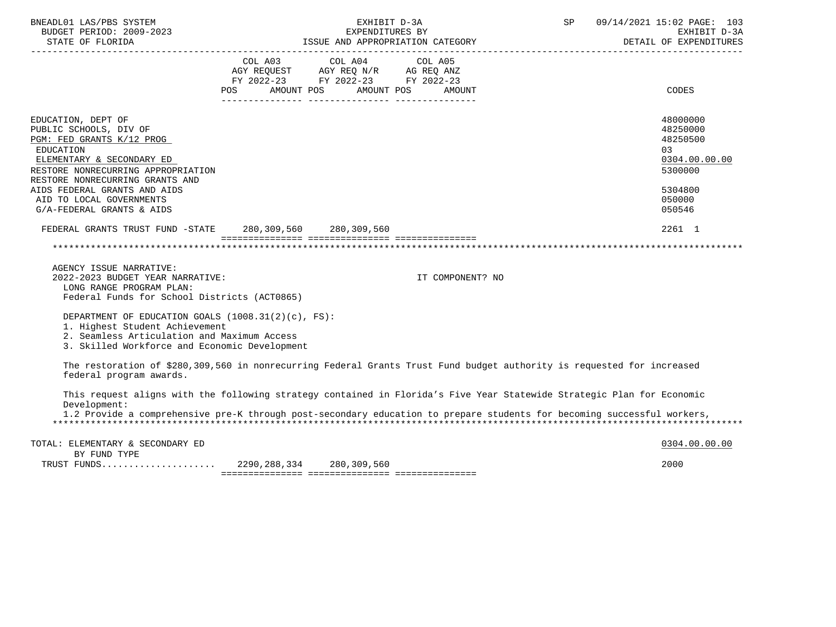| BNEADL01 LAS/PBS SYSTEM<br>BUDGET PERIOD: 2009-2023<br>STATE OF FLORIDA                                                                                                                                                                                                                      |                                                               | EXHIBIT D-3A<br>EXPENDITURES BY | ISSUE AND APPROPRIATION CATEGORY | SP | 09/14/2021 15:02 PAGE: 103<br>EXHIBIT D-3A<br>DETAIL OF EXPENDITURES<br>-----------------         |
|----------------------------------------------------------------------------------------------------------------------------------------------------------------------------------------------------------------------------------------------------------------------------------------------|---------------------------------------------------------------|---------------------------------|----------------------------------|----|---------------------------------------------------------------------------------------------------|
|                                                                                                                                                                                                                                                                                              | FY 2022-23 FY 2022-23 FY 2022-23<br>POS AMOUNT POS AMOUNT POS |                                 | AMOUNT                           |    | CODES                                                                                             |
| EDUCATION, DEPT OF<br>PUBLIC SCHOOLS, DIV OF<br>PGM: FED GRANTS K/12 PROG<br><b>EDUCATION</b><br>ELEMENTARY & SECONDARY ED<br>RESTORE NONRECURRING APPROPRIATION<br>RESTORE NONRECURRING GRANTS AND<br>AIDS FEDERAL GRANTS AND AIDS<br>AID TO LOCAL GOVERNMENTS<br>G/A-FEDERAL GRANTS & AIDS |                                                               |                                 |                                  |    | 48000000<br>48250000<br>48250500<br>03<br>0304.00.00.00<br>5300000<br>5304800<br>050000<br>050546 |
| FEDERAL GRANTS TRUST FUND -STATE 280,309,560 280,309,560                                                                                                                                                                                                                                     |                                                               |                                 |                                  |    | 2261 1                                                                                            |
|                                                                                                                                                                                                                                                                                              |                                                               |                                 |                                  |    |                                                                                                   |
| AGENCY ISSUE NARRATIVE:<br>2022-2023 BUDGET YEAR NARRATIVE:<br>LONG RANGE PROGRAM PLAN:<br>Federal Funds for School Districts (ACT0865)                                                                                                                                                      |                                                               |                                 | IT COMPONENT? NO                 |    |                                                                                                   |
| DEPARTMENT OF EDUCATION GOALS (1008.31(2)(c), FS):<br>1. Highest Student Achievement<br>2. Seamless Articulation and Maximum Access<br>3. Skilled Workforce and Economic Development                                                                                                         |                                                               |                                 |                                  |    |                                                                                                   |
| The restoration of \$280,309,560 in nonrecurring Federal Grants Trust Fund budget authority is requested for increased<br>federal program awards.                                                                                                                                            |                                                               |                                 |                                  |    |                                                                                                   |
| This request aligns with the following strategy contained in Florida's Five Year Statewide Strategic Plan for Economic<br>Development:<br>1.2 Provide a comprehensive pre-K through post-secondary education to prepare students for becoming successful workers,                            |                                                               |                                 |                                  |    |                                                                                                   |
| TOTAL: ELEMENTARY & SECONDARY ED<br>BY FUND TYPE<br>TRUST FUNDS                                                                                                                                                                                                                              | 2290,288,334                                                  | 280,309,560                     |                                  |    | 0304.00.00.00<br>2000                                                                             |

=============== =============== ===============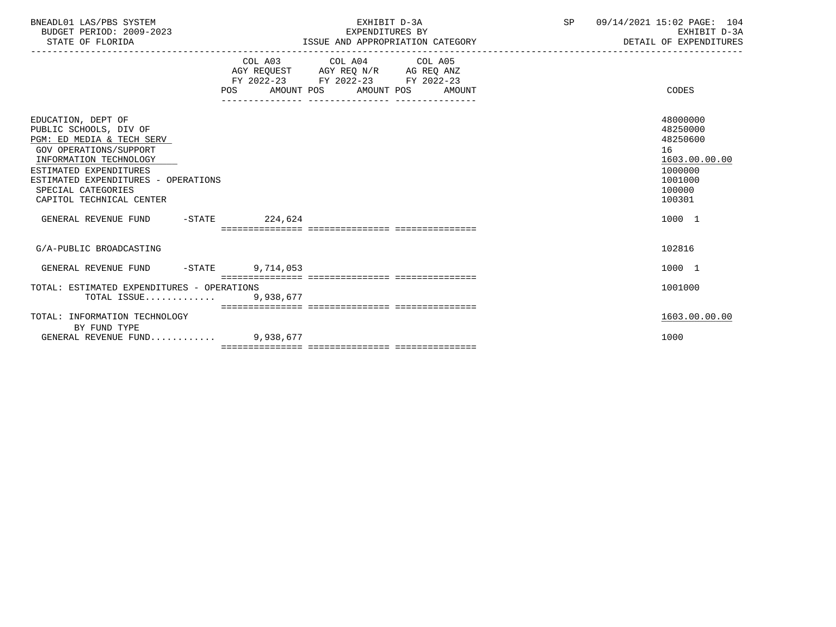| BNEADL01 LAS/PBS SYSTEM<br>BUDGET PERIOD: 2009-2023<br>STATE OF FLORIDA                                                                                                                                                                          |                                      | EXHIBIT D-3A<br>EXPENDITURES BY                                                                                                       | ISSUE AND APPROPRIATION CATEGORY | SP 09/14/2021 15:02 PAGE: 104<br>EXHIBIT D-3A<br>DETAIL OF EXPENDITURES                           |
|--------------------------------------------------------------------------------------------------------------------------------------------------------------------------------------------------------------------------------------------------|--------------------------------------|---------------------------------------------------------------------------------------------------------------------------------------|----------------------------------|---------------------------------------------------------------------------------------------------|
|                                                                                                                                                                                                                                                  |                                      | COL A03 COL A04 COL A05<br>AGY REQUEST AGY REQ N/R AG REQ ANZ<br>FY 2022-23 FY 2022-23 FY 2022-23<br>POS AMOUNT POS AMOUNT POS AMOUNT |                                  | CODES                                                                                             |
| EDUCATION, DEPT OF<br>PUBLIC SCHOOLS, DIV OF<br>PGM: ED MEDIA & TECH SERV<br>GOV OPERATIONS/SUPPORT<br>INFORMATION TECHNOLOGY<br>ESTIMATED EXPENDITURES<br>ESTIMATED EXPENDITURES - OPERATIONS<br>SPECIAL CATEGORIES<br>CAPITOL TECHNICAL CENTER |                                      |                                                                                                                                       |                                  | 48000000<br>48250000<br>48250600<br>16<br>1603.00.00.00<br>1000000<br>1001000<br>100000<br>100301 |
| GENERAL REVENUE FUND -STATE 224,624                                                                                                                                                                                                              | ____________________________________ |                                                                                                                                       |                                  | 1000 1                                                                                            |
| G/A-PUBLIC BROADCASTING                                                                                                                                                                                                                          |                                      |                                                                                                                                       |                                  | 102816                                                                                            |
| GENERAL REVENUE FUND -STATE 9,714,053                                                                                                                                                                                                            |                                      |                                                                                                                                       |                                  | 1000 1                                                                                            |
| TOTAL: ESTIMATED EXPENDITURES - OPERATIONS<br>TOTAL ISSUE 9,938,677                                                                                                                                                                              |                                      |                                                                                                                                       |                                  | 1001000                                                                                           |
| TOTAL: INFORMATION TECHNOLOGY<br>BY FUND TYPE<br>GENERAL REVENUE FUND 9.938.677                                                                                                                                                                  |                                      |                                                                                                                                       |                                  | 1603.00.00.00<br>1000                                                                             |
|                                                                                                                                                                                                                                                  |                                      |                                                                                                                                       |                                  |                                                                                                   |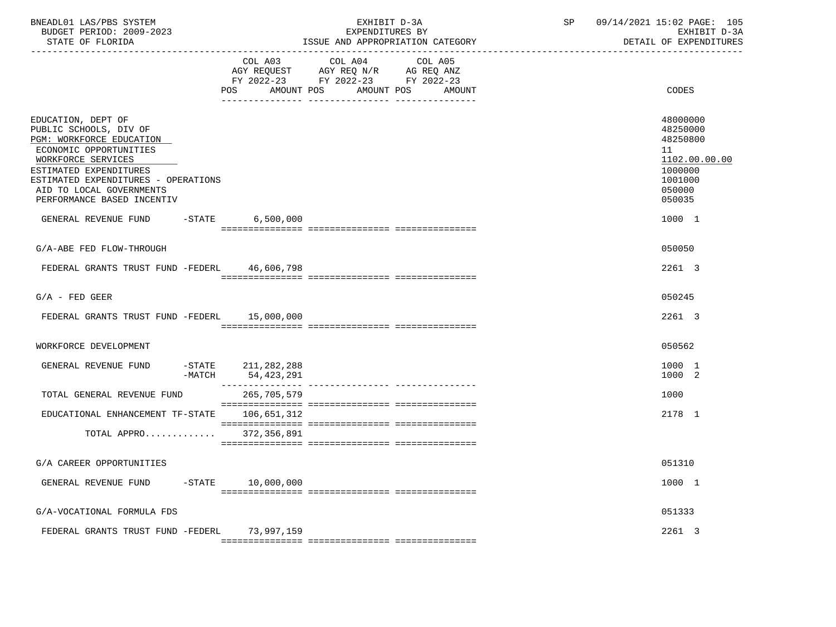| BNEADL01 LAS/PBS SYSTEM<br>BUDGET PERIOD: 2009-2023<br>STATE OF FLORIDA                                                                                                                                                                             | EXHIBIT D-3A<br>EXPENDITURES BY<br>ISSUE AND APPROPRIATION CATEGORY                                                                                                 | SP                | 09/14/2021 15:02 PAGE: 105<br>EXHIBIT D-3A<br>DETAIL OF EXPENDITURES                              |
|-----------------------------------------------------------------------------------------------------------------------------------------------------------------------------------------------------------------------------------------------------|---------------------------------------------------------------------------------------------------------------------------------------------------------------------|-------------------|---------------------------------------------------------------------------------------------------|
|                                                                                                                                                                                                                                                     | COL A03 COL A04<br>AGY REQUEST AGY REQ N/R AG REQ ANZ<br>FY 2022-23 FY 2022-23 FY 2022-23<br>POS<br>AMOUNT POS<br>AMOUNT POS<br>--- --------------- --------------- | COL A05<br>AMOUNT | CODES                                                                                             |
| EDUCATION, DEPT OF<br>PUBLIC SCHOOLS, DIV OF<br>PGM: WORKFORCE EDUCATION<br>ECONOMIC OPPORTUNITIES<br>WORKFORCE SERVICES<br>ESTIMATED EXPENDITURES<br>ESTIMATED EXPENDITURES - OPERATIONS<br>AID TO LOCAL GOVERNMENTS<br>PERFORMANCE BASED INCENTIV |                                                                                                                                                                     |                   | 48000000<br>48250000<br>48250800<br>11<br>1102.00.00.00<br>1000000<br>1001000<br>050000<br>050035 |
| GENERAL REVENUE FUND                                                                                                                                                                                                                                | $-STATE$ 6,500,000                                                                                                                                                  |                   | 1000 1                                                                                            |
| G/A-ABE FED FLOW-THROUGH                                                                                                                                                                                                                            |                                                                                                                                                                     |                   | 050050                                                                                            |
| FEDERAL GRANTS TRUST FUND -FEDERL 46,606,798                                                                                                                                                                                                        |                                                                                                                                                                     |                   | 2261 3                                                                                            |
| $G/A$ - FED GEER                                                                                                                                                                                                                                    |                                                                                                                                                                     |                   | 050245                                                                                            |
| FEDERAL GRANTS TRUST FUND -FEDERL 15,000,000                                                                                                                                                                                                        |                                                                                                                                                                     |                   | 2261 3                                                                                            |
| WORKFORCE DEVELOPMENT                                                                                                                                                                                                                               |                                                                                                                                                                     |                   | 050562                                                                                            |
| GENERAL REVENUE FUND<br>-MATCH                                                                                                                                                                                                                      | -STATE 211,282,288<br>54,423,291                                                                                                                                    |                   | 1000 1<br>1000 2                                                                                  |
| TOTAL GENERAL REVENUE FUND                                                                                                                                                                                                                          | 265,705,579                                                                                                                                                         |                   | 1000                                                                                              |
| EDUCATIONAL ENHANCEMENT TF-STATE 106,651,312                                                                                                                                                                                                        |                                                                                                                                                                     |                   | 2178 1                                                                                            |
| TOTAL APPRO 372,356,891                                                                                                                                                                                                                             |                                                                                                                                                                     |                   |                                                                                                   |
| G/A CAREER OPPORTUNITIES                                                                                                                                                                                                                            |                                                                                                                                                                     |                   | 051310                                                                                            |
| GENERAL REVENUE FUND                                                                                                                                                                                                                                | $-STATE$ 10,000,000                                                                                                                                                 |                   | 1000 1                                                                                            |
| G/A-VOCATIONAL FORMULA FDS                                                                                                                                                                                                                          |                                                                                                                                                                     |                   | 051333                                                                                            |
| FEDERAL GRANTS TRUST FUND -FEDERL                                                                                                                                                                                                                   | 73,997,159                                                                                                                                                          |                   | 2261 3                                                                                            |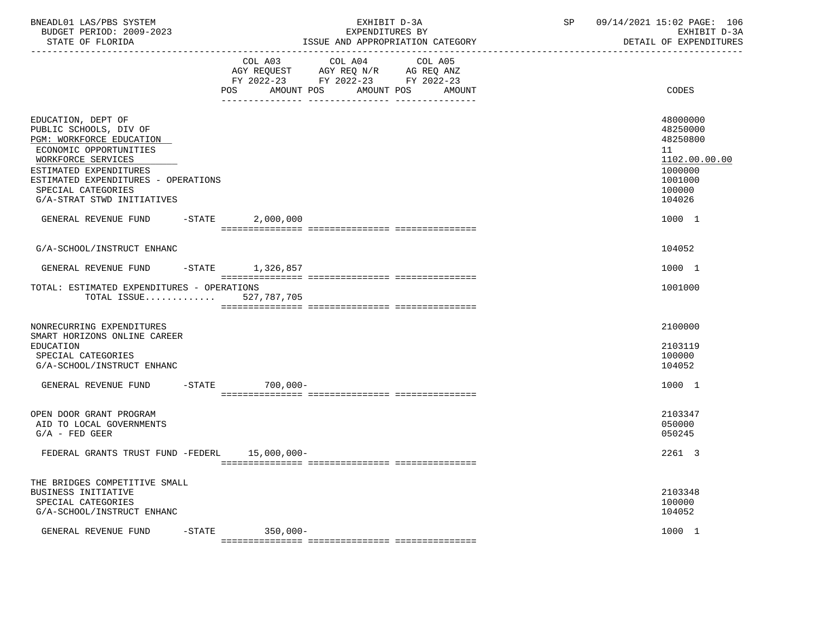| BNEADL01 LAS/PBS SYSTEM<br>BUDGET PERIOD: 2009-2023<br>STATE OF FLORIDA                                                                                                                                                                       |                  | EXHIBIT D-3A<br>EXPENDITURES BY<br>ISSUE AND APPROPRIATION CATEGORY                                                   |                   | SP 09/14/2021 15:02 PAGE: 106<br>EXHIBIT D-3A<br>DETAIL OF EXPENDITURES                           |
|-----------------------------------------------------------------------------------------------------------------------------------------------------------------------------------------------------------------------------------------------|------------------|-----------------------------------------------------------------------------------------------------------------------|-------------------|---------------------------------------------------------------------------------------------------|
|                                                                                                                                                                                                                                               | POS              | COL A03 COL A04<br>AGY REQUEST AGY REQ N/R AG REQ ANZ<br>FY 2022-23 FY 2022-23 FY 2022-23<br>AMOUNT POS<br>AMOUNT POS | COL A05<br>AMOUNT | CODES                                                                                             |
| EDUCATION, DEPT OF<br>PUBLIC SCHOOLS, DIV OF<br>PGM: WORKFORCE EDUCATION<br>ECONOMIC OPPORTUNITIES<br>WORKFORCE SERVICES<br>ESTIMATED EXPENDITURES<br>ESTIMATED EXPENDITURES - OPERATIONS<br>SPECIAL CATEGORIES<br>G/A-STRAT STWD INITIATIVES |                  |                                                                                                                       |                   | 48000000<br>48250000<br>48250800<br>11<br>1102.00.00.00<br>1000000<br>1001000<br>100000<br>104026 |
| GENERAL REVENUE FUND                                                                                                                                                                                                                          | $-STATE$         | 2,000,000                                                                                                             |                   | 1000 1                                                                                            |
| G/A-SCHOOL/INSTRUCT ENHANC                                                                                                                                                                                                                    |                  |                                                                                                                       |                   | 104052                                                                                            |
| GENERAL REVENUE FUND<br>TOTAL: ESTIMATED EXPENDITURES - OPERATIONS<br>TOTAL ISSUE                                                                                                                                                             | -STATE 1,326,857 | 527,787,705                                                                                                           |                   | 1000 1<br>1001000                                                                                 |
| NONRECURRING EXPENDITURES<br>SMART HORIZONS ONLINE CAREER<br>EDUCATION<br>SPECIAL CATEGORIES<br>G/A-SCHOOL/INSTRUCT ENHANC                                                                                                                    |                  |                                                                                                                       |                   | 2100000<br>2103119<br>100000<br>104052                                                            |
| GENERAL REVENUE FUND -STATE                                                                                                                                                                                                                   |                  | 700,000-                                                                                                              |                   | 1000 1                                                                                            |
| OPEN DOOR GRANT PROGRAM<br>AID TO LOCAL GOVERNMENTS<br>$G/A$ - FED GEER                                                                                                                                                                       |                  |                                                                                                                       |                   | 2103347<br>050000<br>050245                                                                       |
| FEDERAL GRANTS TRUST FUND -FEDERL 15,000,000-                                                                                                                                                                                                 |                  |                                                                                                                       |                   | 2261 3                                                                                            |
| THE BRIDGES COMPETITIVE SMALL<br>BUSINESS INITIATIVE<br>SPECIAL CATEGORIES<br>G/A-SCHOOL/INSTRUCT ENHANC<br>GENERAL REVENUE FUND                                                                                                              | $-$ STATE        | $350,000 -$                                                                                                           |                   | 2103348<br>100000<br>104052<br>1000 1                                                             |
|                                                                                                                                                                                                                                               |                  |                                                                                                                       |                   |                                                                                                   |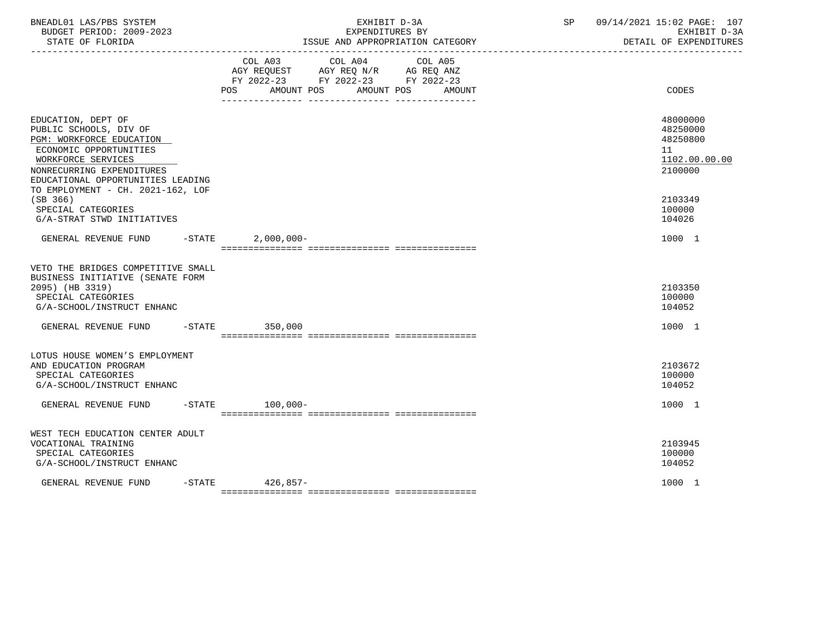| BNEADL01 LAS/PBS SYSTEM<br>BUDGET PERIOD: 2009-2023<br>STATE OF FLORIDA                                                                                                                                                         |           | EXHIBIT D-3A<br>EXPENDITURES BY<br>ISSUE AND APPROPRIATION CATEGORY |                                                                                                                                       |  |  |  | 09/14/2021 15:02 PAGE: 107<br>SP<br>EXHIBIT D-3A<br>DETAIL OF EXPENDITURES |  |
|---------------------------------------------------------------------------------------------------------------------------------------------------------------------------------------------------------------------------------|-----------|---------------------------------------------------------------------|---------------------------------------------------------------------------------------------------------------------------------------|--|--|--|----------------------------------------------------------------------------|--|
|                                                                                                                                                                                                                                 |           |                                                                     | COL A03 COL A04 COL A05<br>AGY REQUEST AGY REQ N/R AG REQ ANZ<br>FY 2022-23 FY 2022-23 FY 2022-23<br>POS AMOUNT POS AMOUNT POS AMOUNT |  |  |  | CODES                                                                      |  |
| EDUCATION, DEPT OF<br>PUBLIC SCHOOLS, DIV OF<br>PGM: WORKFORCE EDUCATION<br>ECONOMIC OPPORTUNITIES<br>WORKFORCE SERVICES<br>NONRECURRING EXPENDITURES<br>EDUCATIONAL OPPORTUNITIES LEADING<br>TO EMPLOYMENT - CH. 2021-162, LOF |           |                                                                     |                                                                                                                                       |  |  |  | 48000000<br>48250000<br>48250800<br>11<br>1102.00.00.00<br>2100000         |  |
| (SB 366)<br>SPECIAL CATEGORIES<br>G/A-STRAT STWD INITIATIVES                                                                                                                                                                    |           |                                                                     |                                                                                                                                       |  |  |  | 2103349<br>100000<br>104026                                                |  |
| GENERAL REVENUE FUND -STATE 2,000,000-                                                                                                                                                                                          |           |                                                                     |                                                                                                                                       |  |  |  | 1000 1                                                                     |  |
| VETO THE BRIDGES COMPETITIVE SMALL<br>BUSINESS INITIATIVE (SENATE FORM<br>2095) (HB 3319)<br>SPECIAL CATEGORIES<br>G/A-SCHOOL/INSTRUCT ENHANC                                                                                   |           |                                                                     |                                                                                                                                       |  |  |  | 2103350<br>100000<br>104052                                                |  |
| GENERAL REVENUE FUND -STATE 350,000                                                                                                                                                                                             |           |                                                                     |                                                                                                                                       |  |  |  | 1000 1                                                                     |  |
| LOTUS HOUSE WOMEN'S EMPLOYMENT<br>AND EDUCATION PROGRAM<br>SPECIAL CATEGORIES<br>G/A-SCHOOL/INSTRUCT ENHANC                                                                                                                     |           |                                                                     |                                                                                                                                       |  |  |  | 2103672<br>100000<br>104052                                                |  |
| GENERAL REVENUE FUND -STATE 100,000-                                                                                                                                                                                            |           |                                                                     |                                                                                                                                       |  |  |  | 1000 1                                                                     |  |
| WEST TECH EDUCATION CENTER ADULT<br>VOCATIONAL TRAINING<br>SPECIAL CATEGORIES<br>G/A-SCHOOL/INSTRUCT ENHANC                                                                                                                     |           |                                                                     |                                                                                                                                       |  |  |  | 2103945<br>100000<br>104052                                                |  |
| GENERAL REVENUE FUND                                                                                                                                                                                                            | $-$ STATE | 426,857-                                                            |                                                                                                                                       |  |  |  | 1000 1                                                                     |  |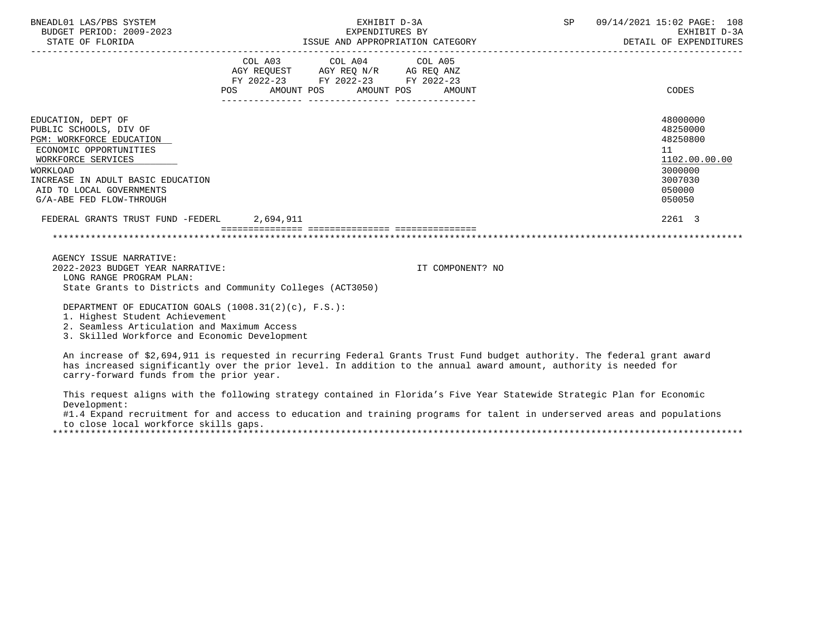| BNEADL01 LAS/PBS SYSTEM<br>BUDGET PERIOD: 2009-2023<br>STATE OF FLORIDA                                                                                                                                                           | EXHIBIT D-3A<br>EXPENDITURES BY                                                                                       | SP 09/14/2021 15:02 PAGE: 108<br>EXHIBIT D-3A<br>ISSUE AND APPROPRIATION CATEGORY<br>DETAIL OF EXPENDITURES |                                                                                  |               |
|-----------------------------------------------------------------------------------------------------------------------------------------------------------------------------------------------------------------------------------|-----------------------------------------------------------------------------------------------------------------------|-------------------------------------------------------------------------------------------------------------|----------------------------------------------------------------------------------|---------------|
|                                                                                                                                                                                                                                   | COL A03 COL A04 COL A05<br>AGY REQUEST AGY REQ N/R AG REQ ANZ<br>FY 2022-23 FY 2022-23 FY 2022-23<br>________________ | POS AMOUNT POS AMOUNT POS AMOUNT                                                                            | <b>CODES</b>                                                                     |               |
| EDUCATION, DEPT OF<br>PUBLIC SCHOOLS, DIV OF<br>PGM: WORKFORCE EDUCATION<br>ECONOMIC OPPORTUNITIES<br>WORKFORCE SERVICES<br>WORKLOAD<br>INCREASE IN ADULT BASIC EDUCATION<br>AID TO LOCAL GOVERNMENTS<br>G/A-ABE FED FLOW-THROUGH |                                                                                                                       |                                                                                                             | 48000000<br>48250000<br>48250800<br>11<br>3000000<br>3007030<br>050000<br>050050 | 1102.00.00.00 |
| FEDERAL GRANTS TRUST FUND -FEDERL 2,694,911                                                                                                                                                                                       |                                                                                                                       |                                                                                                             | 2261 3                                                                           |               |
|                                                                                                                                                                                                                                   | ecesse essessesses                                                                                                    |                                                                                                             |                                                                                  |               |
| AGENCY ISSUE NARRATIVE:<br>2022-2023 BUDGET YEAR NARRATIVE:<br>LONG RANGE PROGRAM PLAN:<br>State Grants to Districts and Community Colleges (ACT3050)                                                                             |                                                                                                                       | IT COMPONENT? NO                                                                                            |                                                                                  |               |
| DEPARTMENT OF EDUCATION GOALS (1008.31(2)(c), F.S.):<br>1. Highest Student Achievement<br>2. Seamless Articulation and Maximum Access                                                                                             |                                                                                                                       |                                                                                                             |                                                                                  |               |

3. Skilled Workforce and Economic Development

 An increase of \$2,694,911 is requested in recurring Federal Grants Trust Fund budget authority. The federal grant award has increased significantly over the prior level. In addition to the annual award amount, authority is needed for carry-forward funds from the prior year.

 This request aligns with the following strategy contained in Florida's Five Year Statewide Strategic Plan for Economic Development:

#1.4 Expand recruitment for and access to education and training programs for talent in underserved areas and populations to close local workforce skills gaps.

\*\*\*\*\*\*\*\*\*\*\*\*\*\*\*\*\*\*\*\*\*\*\*\*\*\*\*\*\*\*\*\*\*\*\*\*\*\*\*\*\*\*\*\*\*\*\*\*\*\*\*\*\*\*\*\*\*\*\*\*\*\*\*\*\*\*\*\*\*\*\*\*\*\*\*\*\*\*\*\*\*\*\*\*\*\*\*\*\*\*\*\*\*\*\*\*\*\*\*\*\*\*\*\*\*\*\*\*\*\*\*\*\*\*\*\*\*\*\*\*\*\*\*\*\*\*\*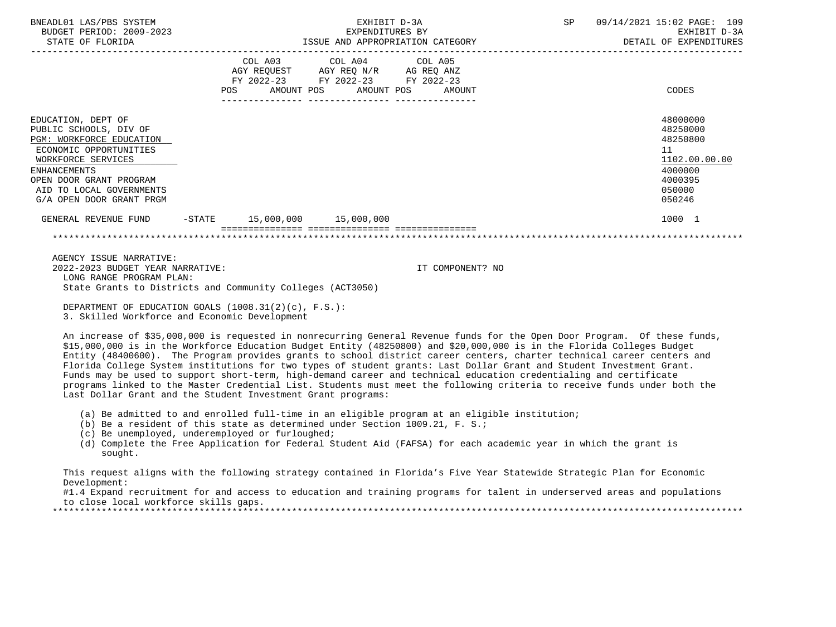| BNEADL01 LAS/PBS SYSTEM<br>BUDGET PERIOD: 2009-2023<br>STATE OF FLORIDA                                                                                                                                                            |                                                                                                                                                                              | EXHIBIT D-3A<br>EXPENDITURES BY | ISSUE AND APPROPRIATION CATEGORY | SP | 09/14/2021 15:02 PAGE: 109<br>EXHIBIT D-3A<br>DETAIL OF EXPENDITURES                              |
|------------------------------------------------------------------------------------------------------------------------------------------------------------------------------------------------------------------------------------|------------------------------------------------------------------------------------------------------------------------------------------------------------------------------|---------------------------------|----------------------------------|----|---------------------------------------------------------------------------------------------------|
|                                                                                                                                                                                                                                    | $\begin{tabular}{llll} AGY & REQUEST \qquad & AGY & REQ & N/R \qquad & AG & REQ & ANZ \end{tabular}$<br>FY 2022-23 FY 2022-23 FY 2022-23<br>POS AMOUNT POS AMOUNT POS AMOUNT | COL A03 COL A04 COL A05         |                                  |    | CODES                                                                                             |
| EDUCATION, DEPT OF<br>PUBLIC SCHOOLS, DIV OF<br>PGM: WORKFORCE EDUCATION<br>ECONOMIC OPPORTUNITIES<br>WORKFORCE SERVICES<br><b>ENHANCEMENTS</b><br>OPEN DOOR GRANT PROGRAM<br>AID TO LOCAL GOVERNMENTS<br>G/A OPEN DOOR GRANT PRGM |                                                                                                                                                                              |                                 |                                  |    | 48000000<br>48250000<br>48250800<br>11<br>1102.00.00.00<br>4000000<br>4000395<br>050000<br>050246 |
| GENERAL REVENUE FUND -STATE 15,000,000 15,000,000                                                                                                                                                                                  |                                                                                                                                                                              |                                 |                                  |    | 1000 1                                                                                            |
|                                                                                                                                                                                                                                    |                                                                                                                                                                              |                                 |                                  |    |                                                                                                   |
| AGENCY ISSUE NARRATIVE:<br>2022-2023 BUDGET YEAR NARRATIVE:<br>LONG RANGE PROGRAM PLAN:<br>State Grants to Districts and Community Colleges (ACT3050)                                                                              |                                                                                                                                                                              |                                 | IT COMPONENT? NO                 |    |                                                                                                   |
| DEPARTMENT OF EDUCATION GOALS $(1008.31(2)(c), F.S.):$                                                                                                                                                                             |                                                                                                                                                                              |                                 |                                  |    |                                                                                                   |

3. Skilled Workforce and Economic Development

 An increase of \$35,000,000 is requested in nonrecurring General Revenue funds for the Open Door Program. Of these funds, \$15,000,000 is in the Workforce Education Budget Entity (48250800) and \$20,000,000 is in the Florida Colleges Budget Entity (48400600). The Program provides grants to school district career centers, charter technical career centers and Florida College System institutions for two types of student grants: Last Dollar Grant and Student Investment Grant. Funds may be used to support short-term, high-demand career and technical education credentialing and certificate programs linked to the Master Credential List. Students must meet the following criteria to receive funds under both the Last Dollar Grant and the Student Investment Grant programs:

- (a) Be admitted to and enrolled full-time in an eligible program at an eligible institution;
- (b) Be a resident of this state as determined under Section 1009.21, F. S.;
- (c) Be unemployed, underemployed or furloughed;
- (d) Complete the Free Application for Federal Student Aid (FAFSA) for each academic year in which the grant is sought.

 This request aligns with the following strategy contained in Florida's Five Year Statewide Strategic Plan for Economic Development:

 #1.4 Expand recruitment for and access to education and training programs for talent in underserved areas and populations to close local workforce skills gaps.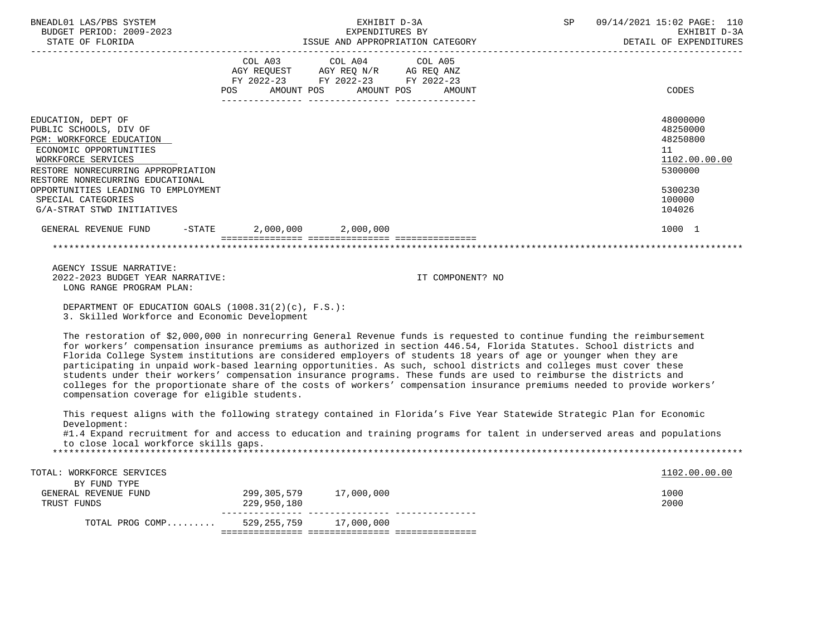| BNEADL01 LAS/PBS SYSTEM<br>BUDGET PERIOD: 2009-2023<br>STATE OF FLORIDA                                                                                                                                                                                                                       | EXHIBIT D-3A<br>EXPENDITURES BY                                                                                                | ISSUE AND APPROPRIATION CATEGORY | SP 09/14/2021 15:02 PAGE: 110<br>EXHIBIT D-3A<br>DETAIL OF EXPENDITURES                           |
|-----------------------------------------------------------------------------------------------------------------------------------------------------------------------------------------------------------------------------------------------------------------------------------------------|--------------------------------------------------------------------------------------------------------------------------------|----------------------------------|---------------------------------------------------------------------------------------------------|
|                                                                                                                                                                                                                                                                                               | COL A03 COL A04 COL A05<br>AGY REQUEST AGY REQ N/R AG REQ ANZ<br>FY 2022-23 FY 2022-23 FY 2022-23<br>POS AMOUNT POS AMOUNT POS | AMOUNT                           | CODES                                                                                             |
| EDUCATION, DEPT OF<br>PUBLIC SCHOOLS, DIV OF<br>PGM: WORKFORCE EDUCATION<br>ECONOMIC OPPORTUNITIES<br>WORKFORCE SERVICES<br>RESTORE NONRECURRING APPROPRIATION<br>RESTORE NONRECURRING EDUCATIONAL<br>OPPORTUNITIES LEADING TO EMPLOYMENT<br>SPECIAL CATEGORIES<br>G/A-STRAT STWD INITIATIVES |                                                                                                                                |                                  | 48000000<br>48250000<br>48250800<br>11<br>1102.00.00.00<br>5300000<br>5300230<br>100000<br>104026 |
| GENERAL REVENUE FUND -STATE 2,000,000 2,000,000                                                                                                                                                                                                                                               |                                                                                                                                |                                  | 1000 1                                                                                            |
|                                                                                                                                                                                                                                                                                               |                                                                                                                                |                                  |                                                                                                   |
| AGENCY ISSUE NARRATIVE:<br>2022-2023 BUDGET YEAR NARRATIVE:<br>LONG RANGE PROGRAM PLAN:                                                                                                                                                                                                       |                                                                                                                                | IT COMPONENT? NO                 |                                                                                                   |
| DEPARTMENT OF EDUCATION GOALS $(1008.31(2)(c)$ , F.S.):<br>3. Skilled Workforce and Economic Development                                                                                                                                                                                      |                                                                                                                                |                                  |                                                                                                   |

 The restoration of \$2,000,000 in nonrecurring General Revenue funds is requested to continue funding the reimbursement for workers' compensation insurance premiums as authorized in section 446.54, Florida Statutes. School districts and Florida College System institutions are considered employers of students 18 years of age or younger when they are participating in unpaid work-based learning opportunities. As such, school districts and colleges must cover these students under their workers' compensation insurance programs. These funds are used to reimburse the districts and colleges for the proportionate share of the costs of workers' compensation insurance premiums needed to provide workers' compensation coverage for eligible students.

 This request aligns with the following strategy contained in Florida's Five Year Statewide Strategic Plan for Economic Development:

 #1.4 Expand recruitment for and access to education and training programs for talent in underserved areas and populations to close local workforce skills gaps.

| TOTAL: WORKFORCE SERVICES |             |            | 1102.00.00.00 |
|---------------------------|-------------|------------|---------------|
| BY FUND TYPE              |             |            |               |
| GENERAL REVENUE FUND      | 299,305,579 | 17,000,000 | 1000          |
| TRUST FUNDS               | 229,950,180 |            | 2000          |
| TOTAL PROG COMP           | 529,255,759 | 17,000,000 |               |
|                           |             |            |               |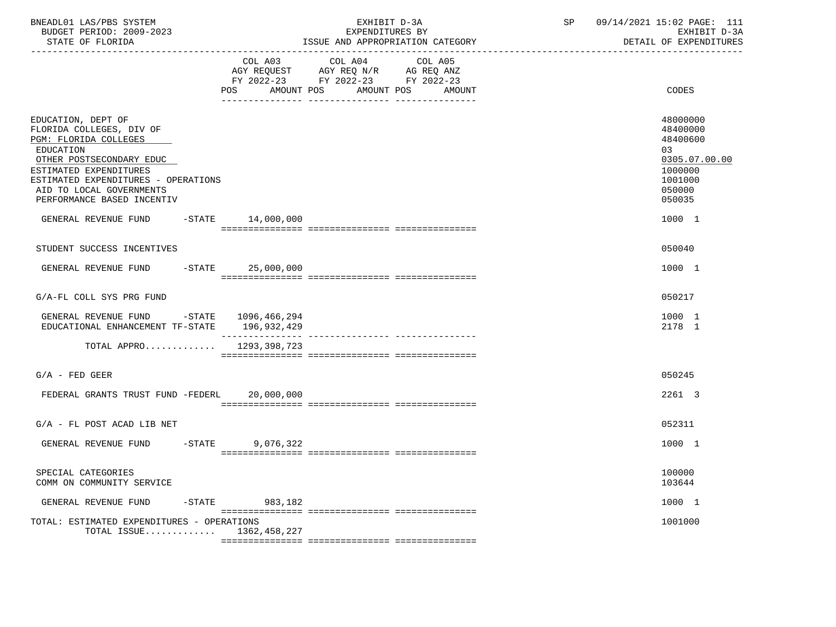| BNEADL01 LAS/PBS SYSTEM<br>BUDGET PERIOD: 2009-2023<br>STATE OF FLORIDA                                                                                                                                                                     |                   |                              | EXHIBIT D-3A<br>EXPENDITURES BY<br>ISSUE AND APPROPRIATION CATEGORY<br>-----------------------------                 | SP | 09/14/2021 15:02 PAGE: 111<br>EXHIBIT D-3A<br>DETAIL OF EXPENDITURES                              |
|---------------------------------------------------------------------------------------------------------------------------------------------------------------------------------------------------------------------------------------------|-------------------|------------------------------|----------------------------------------------------------------------------------------------------------------------|----|---------------------------------------------------------------------------------------------------|
|                                                                                                                                                                                                                                             |                   | COL A03<br>AMOUNT POS<br>POS | COL A04<br>COL A05<br>AGY REQUEST AGY REQ N/R AG REQ ANZ<br>FY 2022-23 FY 2022-23 FY 2022-23<br>AMOUNT POS<br>AMOUNT |    | CODES                                                                                             |
| EDUCATION, DEPT OF<br>FLORIDA COLLEGES, DIV OF<br>PGM: FLORIDA COLLEGES<br>EDUCATION<br>OTHER POSTSECONDARY EDUC<br>ESTIMATED EXPENDITURES<br>ESTIMATED EXPENDITURES - OPERATIONS<br>AID TO LOCAL GOVERNMENTS<br>PERFORMANCE BASED INCENTIV |                   |                              |                                                                                                                      |    | 48000000<br>48400000<br>48400600<br>03<br>0305.07.00.00<br>1000000<br>1001000<br>050000<br>050035 |
| GENERAL REVENUE FUND                                                                                                                                                                                                                        |                   | $-STATE$ 14,000,000          |                                                                                                                      |    | 1000 1                                                                                            |
| STUDENT SUCCESS INCENTIVES                                                                                                                                                                                                                  |                   |                              |                                                                                                                      |    | 050040                                                                                            |
| GENERAL REVENUE FUND                                                                                                                                                                                                                        |                   | $-STATE$ 25,000,000          |                                                                                                                      |    | 1000 1                                                                                            |
| G/A-FL COLL SYS PRG FUND                                                                                                                                                                                                                    |                   |                              |                                                                                                                      |    | 050217                                                                                            |
| GENERAL REVENUE FUND -STATE 1096,466,294<br>EDUCATIONAL ENHANCEMENT TF-STATE 196,932,429                                                                                                                                                    |                   | _______________              | __________________________________                                                                                   |    | 1000 1<br>2178 1                                                                                  |
| TOTAL APPRO $1293,398,723$                                                                                                                                                                                                                  |                   |                              |                                                                                                                      |    |                                                                                                   |
| $G/A$ - FED GEER                                                                                                                                                                                                                            |                   |                              |                                                                                                                      |    | 050245                                                                                            |
| FEDERAL GRANTS TRUST FUND -FEDERL 20,000,000                                                                                                                                                                                                |                   |                              |                                                                                                                      |    | 2261 3                                                                                            |
| $G/A$ - FL POST ACAD LIB NET                                                                                                                                                                                                                |                   |                              |                                                                                                                      |    | 052311                                                                                            |
| GENERAL REVENUE FUND                                                                                                                                                                                                                        | $-$ STATE         | 9,076,322                    |                                                                                                                      |    | 1000 1                                                                                            |
| SPECIAL CATEGORIES<br>COMM ON COMMUNITY SERVICE                                                                                                                                                                                             |                   |                              |                                                                                                                      |    | 100000<br>103644                                                                                  |
| GENERAL REVENUE FUND                                                                                                                                                                                                                        | $-\mathtt{STATE}$ | 983,182                      |                                                                                                                      |    | 1000 1                                                                                            |
| TOTAL: ESTIMATED EXPENDITURES - OPERATIONS<br>TOTAL ISSUE 1362,458,227                                                                                                                                                                      |                   |                              |                                                                                                                      |    | 1001000                                                                                           |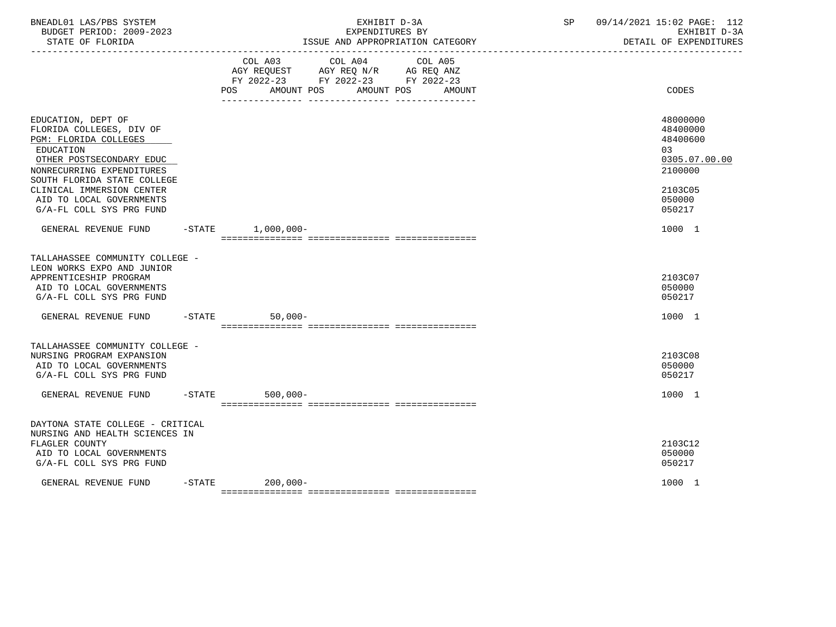| BNEADL01 LAS/PBS SYSTEM<br>BUDGET PERIOD: 2009-2023<br>STATE OF FLORIDA                                                                                                                                                                                           |           | EXHIBIT D-3A<br>EXPENDITURES BY<br>ISSUE AND APPROPRIATION CATEGORY                                                                   | 09/14/2021 15:02 PAGE: 112<br>SP<br>EXHIBIT D-3A<br>DETAIL OF EXPENDITURES                        |
|-------------------------------------------------------------------------------------------------------------------------------------------------------------------------------------------------------------------------------------------------------------------|-----------|---------------------------------------------------------------------------------------------------------------------------------------|---------------------------------------------------------------------------------------------------|
|                                                                                                                                                                                                                                                                   |           | COL A03 COL A04 COL A05<br>AGY REQUEST AGY REQ N/R AG REQ ANZ<br>FY 2022-23 FY 2022-23 FY 2022-23<br>POS AMOUNT POS AMOUNT POS AMOUNT | CODES                                                                                             |
| EDUCATION, DEPT OF<br>FLORIDA COLLEGES, DIV OF<br>PGM: FLORIDA COLLEGES<br>EDUCATION<br>OTHER POSTSECONDARY EDUC<br>NONRECURRING EXPENDITURES<br>SOUTH FLORIDA STATE COLLEGE<br>CLINICAL IMMERSION CENTER<br>AID TO LOCAL GOVERNMENTS<br>G/A-FL COLL SYS PRG FUND |           |                                                                                                                                       | 48000000<br>48400000<br>48400600<br>03<br>0305.07.00.00<br>2100000<br>2103C05<br>050000<br>050217 |
| GENERAL REVENUE FUND                                                                                                                                                                                                                                              |           | $-STATE$ 1,000,000-                                                                                                                   | 1000 1                                                                                            |
| TALLAHASSEE COMMUNITY COLLEGE -<br>LEON WORKS EXPO AND JUNIOR<br>APPRENTICESHIP PROGRAM<br>AID TO LOCAL GOVERNMENTS<br>G/A-FL COLL SYS PRG FUND                                                                                                                   |           |                                                                                                                                       | 2103C07<br>050000<br>050217                                                                       |
| GENERAL REVENUE FUND                                                                                                                                                                                                                                              |           | $-STATE$<br>$50,000-$                                                                                                                 | 1000 1                                                                                            |
| TALLAHASSEE COMMUNITY COLLEGE -<br>NURSING PROGRAM EXPANSION<br>AID TO LOCAL GOVERNMENTS<br>G/A-FL COLL SYS PRG FUND<br>GENERAL REVENUE FUND                                                                                                                      |           | $-$ STATE<br>$500,000 -$                                                                                                              | 2103C08<br>050000<br>050217<br>1000 1                                                             |
|                                                                                                                                                                                                                                                                   |           |                                                                                                                                       |                                                                                                   |
| DAYTONA STATE COLLEGE - CRITICAL<br>NURSING AND HEALTH SCIENCES IN<br>FLAGLER COUNTY<br>AID TO LOCAL GOVERNMENTS<br>G/A-FL COLL SYS PRG FUND                                                                                                                      |           |                                                                                                                                       | 2103C12<br>050000<br>050217                                                                       |
| GENERAL REVENUE FUND                                                                                                                                                                                                                                              | $-$ STATE | $200,000-$                                                                                                                            | 1000 1                                                                                            |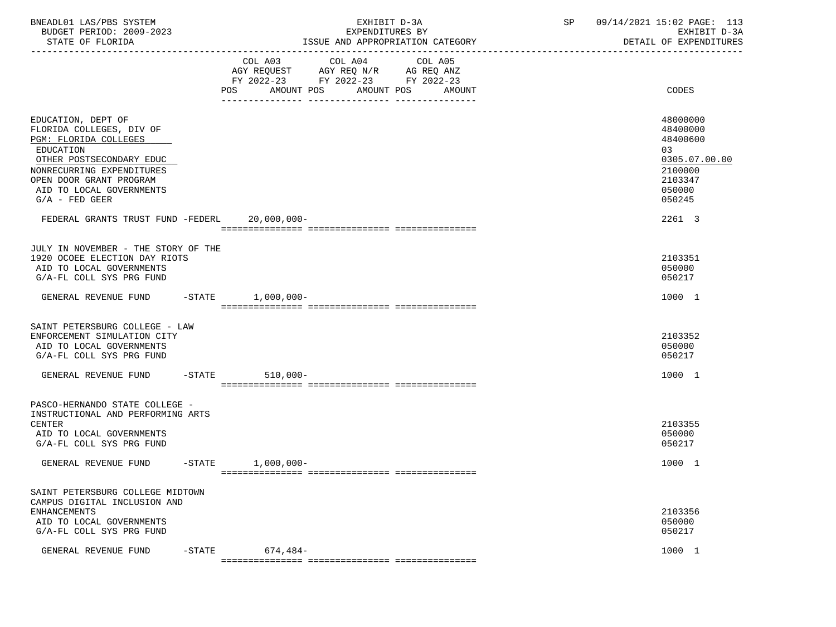| BNEADL01 LAS/PBS SYSTEM<br>BUDGET PERIOD: 2009-2023<br>STATE OF FLORIDA                                                                                                                                                  | EXHIBIT D-3A<br>EXPENDITURES BY<br>ISSUE AND APPROPRIATION CATEGORY                                                                      | 09/14/2021 15:02 PAGE: 113<br>SP<br>EXHIBIT D-3A<br>DETAIL OF EXPENDITURES                        |
|--------------------------------------------------------------------------------------------------------------------------------------------------------------------------------------------------------------------------|------------------------------------------------------------------------------------------------------------------------------------------|---------------------------------------------------------------------------------------------------|
|                                                                                                                                                                                                                          | COL A03 COL A04<br>COL A05<br>AGY REQUEST AGY REQ N/R AG REQ ANZ<br>FY 2022-23 FY 2022-23 FY 2022-23<br>POS AMOUNT POS AMOUNT POS AMOUNT | CODES                                                                                             |
| EDUCATION, DEPT OF<br>FLORIDA COLLEGES, DIV OF<br>PGM: FLORIDA COLLEGES<br>EDUCATION<br>OTHER POSTSECONDARY EDUC<br>NONRECURRING EXPENDITURES<br>OPEN DOOR GRANT PROGRAM<br>AID TO LOCAL GOVERNMENTS<br>$G/A$ - FED GEER |                                                                                                                                          | 48000000<br>48400000<br>48400600<br>03<br>0305.07.00.00<br>2100000<br>2103347<br>050000<br>050245 |
| FEDERAL GRANTS TRUST FUND -FEDERL 20,000,000-                                                                                                                                                                            |                                                                                                                                          | 2261 3                                                                                            |
| JULY IN NOVEMBER - THE STORY OF THE<br>1920 OCOEE ELECTION DAY RIOTS<br>AID TO LOCAL GOVERNMENTS<br>G/A-FL COLL SYS PRG FUND                                                                                             |                                                                                                                                          | 2103351<br>050000<br>050217                                                                       |
| GENERAL REVENUE FUND -STATE 1,000,000-                                                                                                                                                                                   |                                                                                                                                          | 1000 1                                                                                            |
| SAINT PETERSBURG COLLEGE - LAW<br>ENFORCEMENT SIMULATION CITY<br>AID TO LOCAL GOVERNMENTS<br>G/A-FL COLL SYS PRG FUND                                                                                                    |                                                                                                                                          | 2103352<br>050000<br>050217                                                                       |
| GENERAL REVENUE FUND -STATE 510,000-                                                                                                                                                                                     |                                                                                                                                          | 1000 1                                                                                            |
| PASCO-HERNANDO STATE COLLEGE -<br>INSTRUCTIONAL AND PERFORMING ARTS<br>CENTER<br>AID TO LOCAL GOVERNMENTS<br>G/A-FL COLL SYS PRG FUND                                                                                    |                                                                                                                                          | 2103355<br>050000<br>050217                                                                       |
| GENERAL REVENUE FUND -STATE 1,000,000-                                                                                                                                                                                   |                                                                                                                                          | 1000 1                                                                                            |
| SAINT PETERSBURG COLLEGE MIDTOWN<br>CAMPUS DIGITAL INCLUSION AND<br><b>ENHANCEMENTS</b><br>AID TO LOCAL GOVERNMENTS<br>G/A-FL COLL SYS PRG FUND                                                                          |                                                                                                                                          | 2103356<br>050000<br>050217                                                                       |
| GENERAL REVENUE FUND<br>$-STATE$                                                                                                                                                                                         | $674,484-$                                                                                                                               | 1000 1                                                                                            |
|                                                                                                                                                                                                                          |                                                                                                                                          |                                                                                                   |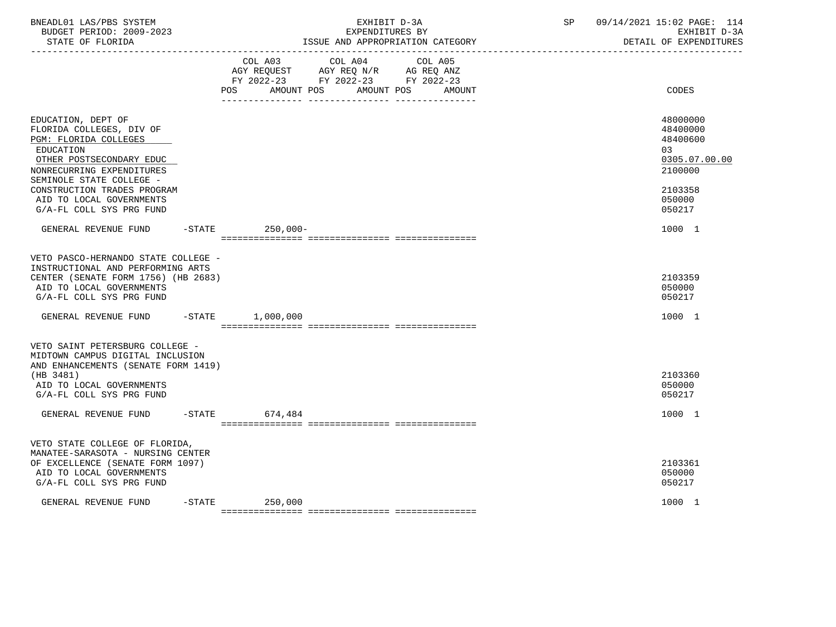| BNEADL01 LAS/PBS SYSTEM<br>BUDGET PERIOD: 2009-2023<br>STATE OF FLORIDA                                                                                                          | EXHIBIT D-3A<br>EXPENDITURES BY<br>ISSUE AND APPROPRIATION CATEGORY                                                                      | 09/14/2021 15:02 PAGE: 114<br>SP<br>EXHIBIT D-3A<br>DETAIL OF EXPENDITURES |
|----------------------------------------------------------------------------------------------------------------------------------------------------------------------------------|------------------------------------------------------------------------------------------------------------------------------------------|----------------------------------------------------------------------------|
|                                                                                                                                                                                  | COL A03 COL A04<br>COL A05<br>AGY REQUEST AGY REQ N/R AG REQ ANZ<br>FY 2022-23 FY 2022-23 FY 2022-23<br>POS AMOUNT POS AMOUNT POS AMOUNT | CODES                                                                      |
| EDUCATION, DEPT OF<br>FLORIDA COLLEGES, DIV OF<br>PGM: FLORIDA COLLEGES<br><b>EDUCATION</b><br>OTHER POSTSECONDARY EDUC<br>NONRECURRING EXPENDITURES<br>SEMINOLE STATE COLLEGE - |                                                                                                                                          | 48000000<br>48400000<br>48400600<br>03<br>0305.07.00.00<br>2100000         |
| CONSTRUCTION TRADES PROGRAM<br>AID TO LOCAL GOVERNMENTS<br>G/A-FL COLL SYS PRG FUND                                                                                              |                                                                                                                                          | 2103358<br>050000<br>050217                                                |
| GENERAL REVENUE FUND -STATE 250,000-                                                                                                                                             |                                                                                                                                          | 1000 1                                                                     |
| VETO PASCO-HERNANDO STATE COLLEGE -<br>INSTRUCTIONAL AND PERFORMING ARTS<br>CENTER (SENATE FORM 1756) (HB 2683)<br>AID TO LOCAL GOVERNMENTS<br>G/A-FL COLL SYS PRG FUND          |                                                                                                                                          | 2103359<br>050000<br>050217                                                |
| GENERAL REVENUE FUND -STATE 1,000,000                                                                                                                                            |                                                                                                                                          | 1000 1                                                                     |
| VETO SAINT PETERSBURG COLLEGE -<br>MIDTOWN CAMPUS DIGITAL INCLUSION<br>AND ENHANCEMENTS (SENATE FORM 1419)<br>(HB 3481)<br>AID TO LOCAL GOVERNMENTS<br>G/A-FL COLL SYS PRG FUND  |                                                                                                                                          | 2103360<br>050000<br>050217                                                |
| GENERAL REVENUE FUND -STATE 674,484                                                                                                                                              |                                                                                                                                          | 1000 1                                                                     |
| VETO STATE COLLEGE OF FLORIDA,<br>MANATEE-SARASOTA - NURSING CENTER<br>OF EXCELLENCE (SENATE FORM 1097)<br>AID TO LOCAL GOVERNMENTS<br>G/A-FL COLL SYS PRG FUND                  |                                                                                                                                          | 2103361<br>050000<br>050217                                                |
| GENERAL REVENUE FUND                                                                                                                                                             | $-$ STATE<br>250,000                                                                                                                     | 1000 1                                                                     |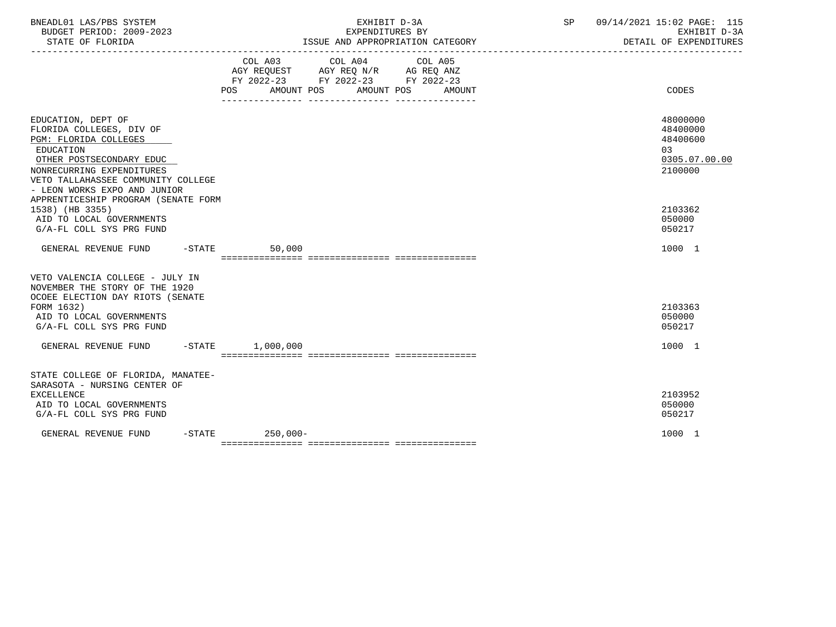| BNEADL01 LAS/PBS SYSTEM<br>BUDGET PERIOD: 2009-2023                                                                                                                                                                        |                                                                                                                              | EXHIBIT D-3A<br>EXPENDITURES BY                                                                                                                                                                                                                 | 09/14/2021 15:02 PAGE: 115<br>SP<br>EXHIBIT D-3A<br>DETAIL OF EXPENDITURES |
|----------------------------------------------------------------------------------------------------------------------------------------------------------------------------------------------------------------------------|------------------------------------------------------------------------------------------------------------------------------|-------------------------------------------------------------------------------------------------------------------------------------------------------------------------------------------------------------------------------------------------|----------------------------------------------------------------------------|
|                                                                                                                                                                                                                            | POS FOR THE POST OF THE STATE STATE STATE STATE STATE STATE STATE STATE STATE STATE STATE STATE STATE STATE ST<br>AMOUNT POS | COL A03 COL A04 COL A05<br>$\begin{tabular}{lllllll} AGY & \texttt{REQUEST} & \texttt{AGY} & \texttt{REG} & \texttt{N/R} & \texttt{AG} & \texttt{REQ} & \texttt{ANZ} \end{tabular}$<br>FY 2022-23 FY 2022-23 FY 2022-23<br>AMOUNT POS<br>AMOUNT | CODES                                                                      |
| EDUCATION, DEPT OF<br>FLORIDA COLLEGES, DIV OF<br>PGM: FLORIDA COLLEGES<br><b>EDUCATION</b><br>OTHER POSTSECONDARY EDUC<br>NONRECURRING EXPENDITURES<br>VETO TALLAHASSEE COMMUNITY COLLEGE<br>- LEON WORKS EXPO AND JUNIOR |                                                                                                                              |                                                                                                                                                                                                                                                 | 48000000<br>48400000<br>48400600<br>03<br>0305.07.00.00<br>2100000         |
| APPRENTICESHIP PROGRAM (SENATE FORM<br>1538) (HB 3355)<br>AID TO LOCAL GOVERNMENTS<br>G/A-FL COLL SYS PRG FUND                                                                                                             |                                                                                                                              |                                                                                                                                                                                                                                                 | 2103362<br>050000<br>050217                                                |
| GENERAL REVENUE FUND -STATE                                                                                                                                                                                                | 50,000                                                                                                                       |                                                                                                                                                                                                                                                 | 1000 1                                                                     |
| VETO VALENCIA COLLEGE - JULY IN<br>NOVEMBER THE STORY OF THE 1920<br>OCOEE ELECTION DAY RIOTS (SENATE<br>FORM 1632)<br>AID TO LOCAL GOVERNMENTS<br>G/A-FL COLL SYS PRG FUND                                                |                                                                                                                              |                                                                                                                                                                                                                                                 | 2103363<br>050000<br>050217                                                |
| GENERAL REVENUE FUND -STATE 1,000,000                                                                                                                                                                                      |                                                                                                                              |                                                                                                                                                                                                                                                 | 1000 1                                                                     |
| STATE COLLEGE OF FLORIDA, MANATEE-<br>SARASOTA - NURSING CENTER OF<br><b>EXCELLENCE</b><br>AID TO LOCAL GOVERNMENTS<br>G/A-FL COLL SYS PRG FUND                                                                            |                                                                                                                              |                                                                                                                                                                                                                                                 | 2103952<br>050000<br>050217                                                |
| GENERAL REVENUE FUND                                                                                                                                                                                                       | $-STATE$ 250,000-                                                                                                            |                                                                                                                                                                                                                                                 | 1000 1                                                                     |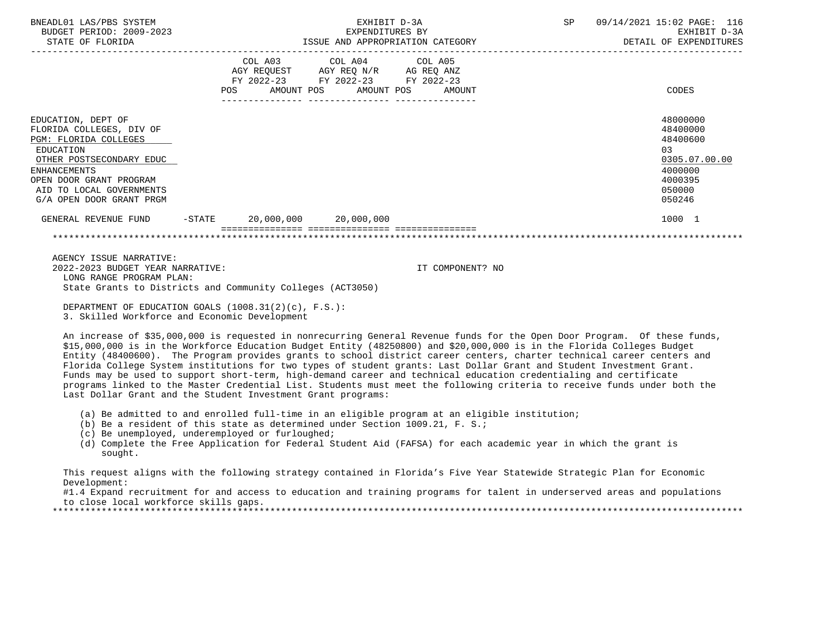| BNEADL01 LAS/PBS SYSTEM<br>BUDGET PERIOD: 2009-2023<br>STATE OF FLORIDA                                                                                                                                                    |                                                                                                                                                                                                                                  | EXHIBIT D-3A<br>EXPENDITURES BY | ISSUE AND APPROPRIATION CATEGORY | SP | 09/14/2021 15:02 PAGE: 116<br>EXHIBIT D-3A<br>DETAIL OF EXPENDITURES                              |
|----------------------------------------------------------------------------------------------------------------------------------------------------------------------------------------------------------------------------|----------------------------------------------------------------------------------------------------------------------------------------------------------------------------------------------------------------------------------|---------------------------------|----------------------------------|----|---------------------------------------------------------------------------------------------------|
|                                                                                                                                                                                                                            | $\begin{tabular}{lllllll} AGY & \texttt{REQUEST} & \texttt{AGY} & \texttt{REG} & \texttt{N/R} & \texttt{AG} & \texttt{REQ} & \texttt{ANZ} \end{tabular}$<br>FY 2022-23 FY 2022-23 FY 2022-23<br>POS AMOUNT POS AMOUNT POS AMOUNT | COL A03 COL A04 COL A05         |                                  |    | CODES                                                                                             |
| EDUCATION, DEPT OF<br>FLORIDA COLLEGES, DIV OF<br>PGM: FLORIDA COLLEGES<br>EDUCATION<br>OTHER POSTSECONDARY EDUC<br><b>ENHANCEMENTS</b><br>OPEN DOOR GRANT PROGRAM<br>AID TO LOCAL GOVERNMENTS<br>G/A OPEN DOOR GRANT PRGM |                                                                                                                                                                                                                                  |                                 |                                  |    | 48000000<br>48400000<br>48400600<br>03<br>0305.07.00.00<br>4000000<br>4000395<br>050000<br>050246 |
| GENERAL REVENUE FUND -STATE 20,000,000 20,000,000                                                                                                                                                                          |                                                                                                                                                                                                                                  |                                 |                                  |    | 1000 1                                                                                            |
|                                                                                                                                                                                                                            |                                                                                                                                                                                                                                  |                                 |                                  |    |                                                                                                   |
| AGENCY ISSUE NARRATIVE:<br>2022-2023 BUDGET YEAR NARRATIVE:<br>LONG RANGE PROGRAM PLAN:<br>State Grants to Districts and Community Colleges (ACT3050)<br>DEPARTMENT OF EDUCATION GOALS $(1008.31(2)(c)$ . F.S.):           |                                                                                                                                                                                                                                  |                                 | IT COMPONENT? NO                 |    |                                                                                                   |

3. Skilled Workforce and Economic Development

 An increase of \$35,000,000 is requested in nonrecurring General Revenue funds for the Open Door Program. Of these funds, \$15,000,000 is in the Workforce Education Budget Entity (48250800) and \$20,000,000 is in the Florida Colleges Budget Entity (48400600). The Program provides grants to school district career centers, charter technical career centers and Florida College System institutions for two types of student grants: Last Dollar Grant and Student Investment Grant. Funds may be used to support short-term, high-demand career and technical education credentialing and certificate programs linked to the Master Credential List. Students must meet the following criteria to receive funds under both the Last Dollar Grant and the Student Investment Grant programs:

- (a) Be admitted to and enrolled full-time in an eligible program at an eligible institution;
- (b) Be a resident of this state as determined under Section 1009.21, F. S.;
- (c) Be unemployed, underemployed or furloughed;
- (d) Complete the Free Application for Federal Student Aid (FAFSA) for each academic year in which the grant is sought.

 This request aligns with the following strategy contained in Florida's Five Year Statewide Strategic Plan for Economic Development:

 #1.4 Expand recruitment for and access to education and training programs for talent in underserved areas and populations to close local workforce skills gaps.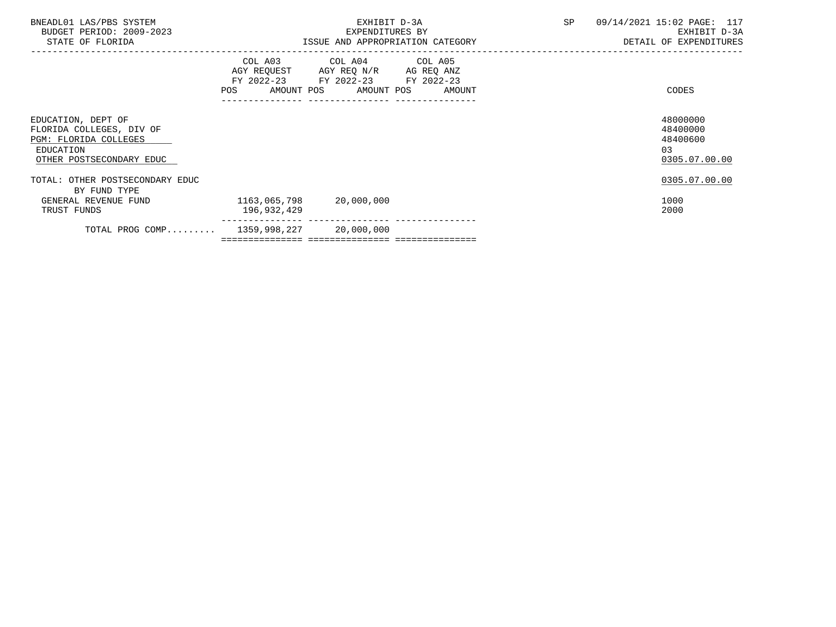| BNEADL01 LAS/PBS SYSTEM<br>BUDGET PERIOD: 2009-2023<br>STATE OF FLORIDA                                          |              | EXHIBIT D-3A<br>EXPENDITURES BY<br>ISSUE AND APPROPRIATION CATEGORY                                                               | SP | 09/14/2021 15:02 PAGE: 117<br>EXHIBIT D-3A<br>DETAIL OF EXPENDITURES |
|------------------------------------------------------------------------------------------------------------------|--------------|-----------------------------------------------------------------------------------------------------------------------------------|----|----------------------------------------------------------------------|
|                                                                                                                  | POS          | COL A03 COL A04 COL A05<br>AGY REQUEST AGY REQ N/R AG REQ ANZ<br>FY 2022-23 FY 2022-23 FY 2022-23<br>AMOUNT POS AMOUNT POS AMOUNT |    | CODES                                                                |
| EDUCATION, DEPT OF<br>FLORIDA COLLEGES, DIV OF<br>PGM: FLORIDA COLLEGES<br>EDUCATION<br>OTHER POSTSECONDARY EDUC |              |                                                                                                                                   |    | 48000000<br>48400000<br>48400600<br>03<br>0305.07.00.00              |
| TOTAL: OTHER POSTSECONDARY EDUC<br>BY FUND TYPE<br>GENERAL REVENUE FUND                                          | 1163,065,798 | 20,000,000                                                                                                                        |    | 0305.07.00.00<br>1000                                                |
| TRUST FUNDS<br>TOTAL PROG COMP $1359,998,227$ 20,000,000                                                         | 196,932,429  |                                                                                                                                   |    | 2000                                                                 |
|                                                                                                                  |              |                                                                                                                                   |    |                                                                      |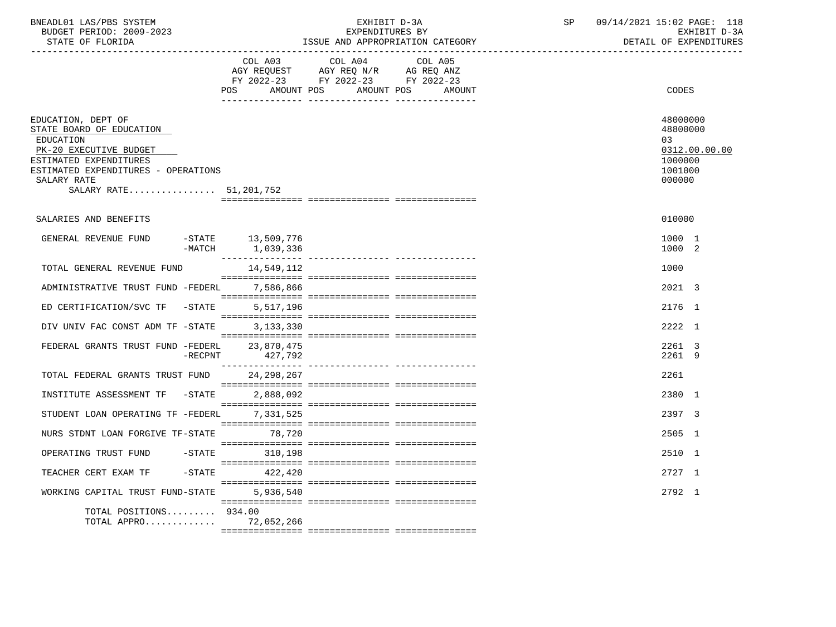| BNEADL01 LAS/PBS SYSTEM<br>BUDGET PERIOD: 2009-2023<br>STATE OF FLORIDA                                                                                                                           |                 |                                | EXHIBIT D-3A<br>EXPENDITURES BY<br>ISSUE AND APPROPRIATION CATEGORY                                                              | SP | 09/14/2021 15:02 PAGE: 118<br>EXHIBIT D-3A<br>DETAIL OF EXPENDITURES         |
|---------------------------------------------------------------------------------------------------------------------------------------------------------------------------------------------------|-----------------|--------------------------------|----------------------------------------------------------------------------------------------------------------------------------|----|------------------------------------------------------------------------------|
|                                                                                                                                                                                                   |                 | COL A03                        | COL A04<br>COL A05<br>AGY REQUEST AGY REQ N/R AG REQ ANZ<br>FY 2022-23 FY 2022-23 FY 2022-23<br>POS AMOUNT POS AMOUNT POS AMOUNT |    | <b>CODES</b>                                                                 |
| EDUCATION, DEPT OF<br>STATE BOARD OF EDUCATION<br>EDUCATION<br>PK-20 EXECUTIVE BUDGET<br>ESTIMATED EXPENDITURES<br>ESTIMATED EXPENDITURES - OPERATIONS<br>SALARY RATE<br>SALARY RATE 51, 201, 752 |                 |                                |                                                                                                                                  |    | 48000000<br>48800000<br>0.3<br>0312.00.00.00<br>1000000<br>1001000<br>000000 |
| SALARIES AND BENEFITS                                                                                                                                                                             |                 |                                |                                                                                                                                  |    | 010000                                                                       |
| GENERAL REVENUE FUND                                                                                                                                                                              | $-MATCH$        | -STATE 13,509,776<br>1,039,336 |                                                                                                                                  |    | 1000 1<br>1000 2                                                             |
| TOTAL GENERAL REVENUE FUND                                                                                                                                                                        |                 | 14,549,112                     |                                                                                                                                  |    | 1000                                                                         |
| ADMINISTRATIVE TRUST FUND -FEDERL                                                                                                                                                                 |                 | 7,586,866                      |                                                                                                                                  |    | 2021 3                                                                       |
| ED CERTIFICATION/SVC TF                                                                                                                                                                           | $-STATE$        | 5,517,196                      |                                                                                                                                  |    | 2176 1                                                                       |
| DIV UNIV FAC CONST ADM TF -STATE                                                                                                                                                                  |                 | 3,133,330                      |                                                                                                                                  |    | 2222 1                                                                       |
| FEDERAL GRANTS TRUST FUND -FEDERL                                                                                                                                                                 | $-{\rm RECPNT}$ | 23,870,475<br>427,792          |                                                                                                                                  |    | 2261 3<br>2261 9                                                             |
| TOTAL FEDERAL GRANTS TRUST FUND                                                                                                                                                                   |                 | 24, 298, 267                   |                                                                                                                                  |    | 2261                                                                         |
| INSTITUTE ASSESSMENT TF -STATE                                                                                                                                                                    |                 | 2,888,092                      |                                                                                                                                  |    | 2380 1                                                                       |
| STUDENT LOAN OPERATING TF -FEDERL                                                                                                                                                                 |                 | 7,331,525                      |                                                                                                                                  |    | 2397 3                                                                       |
| NURS STDNT LOAN FORGIVE TF-STATE 78,720                                                                                                                                                           |                 |                                |                                                                                                                                  |    | 2505 1                                                                       |
| OPERATING TRUST FUND                                                                                                                                                                              |                 | -STATE 310.198                 |                                                                                                                                  |    | 2510 1                                                                       |
| TEACHER CERT EXAM TF                                                                                                                                                                              |                 | $-$ STATE 422, 420             |                                                                                                                                  |    | 2727 1                                                                       |
| WORKING CAPITAL TRUST FUND-STATE                                                                                                                                                                  |                 | 5,936,540                      |                                                                                                                                  |    | 2792 1                                                                       |
| TOTAL POSITIONS 934.00<br>TOTAL APPRO 72,052,266                                                                                                                                                  |                 |                                |                                                                                                                                  |    |                                                                              |
|                                                                                                                                                                                                   |                 |                                |                                                                                                                                  |    |                                                                              |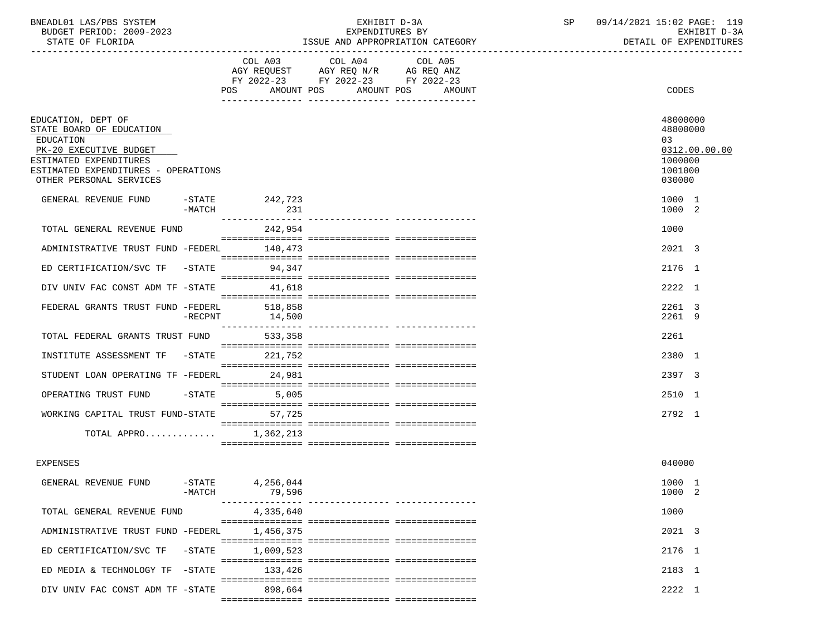| BNEADL01 LAS/PBS SYSTEM |                          |
|-------------------------|--------------------------|
|                         | BUDGET PERIOD: 2009-2023 |

| BNEADL01 LAS/PBS SYSTEM<br>BUDGET PERIOD: 2009-2023<br>STATE OF FLORIDA                                                                                                           |                 |                       | EXHIBIT D-3A<br>EXPENDITURES BY<br>ISSUE AND APPROPRIATION CATEGORY                                     | SP                | 09/14/2021 15:02 PAGE: 119<br>EXHIBIT D-3A<br>DETAIL OF EXPENDITURES |  |                                                                             |
|-----------------------------------------------------------------------------------------------------------------------------------------------------------------------------------|-----------------|-----------------------|---------------------------------------------------------------------------------------------------------|-------------------|----------------------------------------------------------------------|--|-----------------------------------------------------------------------------|
|                                                                                                                                                                                   |                 | POS<br>AMOUNT POS     | COL A03 COL A04<br>AGY REQUEST AGY REQ N/R AG REQ ANZ<br>FY 2022-23 FY 2022-23 FY 2022-23<br>AMOUNT POS | COL A05<br>AMOUNT |                                                                      |  | CODES                                                                       |
| EDUCATION, DEPT OF<br>STATE BOARD OF EDUCATION<br>EDUCATION<br>PK-20 EXECUTIVE BUDGET<br>ESTIMATED EXPENDITURES<br>ESTIMATED EXPENDITURES - OPERATIONS<br>OTHER PERSONAL SERVICES |                 |                       |                                                                                                         |                   |                                                                      |  | 48000000<br>48800000<br>03<br>0312.00.00.00<br>1000000<br>1001000<br>030000 |
| GENERAL REVENUE FUND                                                                                                                                                              | -MATCH          | -STATE 242,723<br>231 |                                                                                                         |                   |                                                                      |  | 1000 1<br>1000 2                                                            |
| TOTAL GENERAL REVENUE FUND                                                                                                                                                        |                 | 242,954               |                                                                                                         |                   |                                                                      |  | 1000                                                                        |
| ADMINISTRATIVE TRUST FUND -FEDERL 140,473                                                                                                                                         |                 |                       |                                                                                                         |                   |                                                                      |  | 2021 3                                                                      |
| ED CERTIFICATION/SVC TF -STATE 94,347                                                                                                                                             |                 |                       |                                                                                                         |                   |                                                                      |  | 2176 1                                                                      |
| DIV UNIV FAC CONST ADM TF -STATE 41,618                                                                                                                                           |                 |                       |                                                                                                         |                   |                                                                      |  | 2222 1                                                                      |
| FEDERAL GRANTS TRUST FUND -FEDERL 518,858                                                                                                                                         | $-{\rm RECPNT}$ | 14,500                |                                                                                                         |                   |                                                                      |  | 2261 3<br>2261 9                                                            |
| TOTAL FEDERAL GRANTS TRUST FUND                                                                                                                                                   |                 | 533,358               |                                                                                                         |                   |                                                                      |  | 2261                                                                        |
| INSTITUTE ASSESSMENT TF -STATE 221,752                                                                                                                                            |                 |                       |                                                                                                         |                   |                                                                      |  | 2380 1                                                                      |
| STUDENT LOAN OPERATING TF -FEDERL                                                                                                                                                 |                 | 24,981                |                                                                                                         |                   |                                                                      |  | 2397 3                                                                      |
| OPERATING TRUST FUND -STATE                                                                                                                                                       |                 | 5,005                 |                                                                                                         |                   |                                                                      |  | 2510 1                                                                      |
| WORKING CAPITAL TRUST FUND-STATE 57,725                                                                                                                                           |                 |                       |                                                                                                         |                   |                                                                      |  | 2792 1                                                                      |
| TOTAL APPRO                                                                                                                                                                       |                 | 1,362,213             |                                                                                                         |                   |                                                                      |  |                                                                             |
| <b>EXPENSES</b>                                                                                                                                                                   |                 |                       |                                                                                                         |                   |                                                                      |  | 040000                                                                      |

| GENERAL REVENUE FUND              | $-$ STATE<br>$-MATCH$ | 4,256,044<br>79,596 |      | 1000 1<br>1000 2 |  |
|-----------------------------------|-----------------------|---------------------|------|------------------|--|
| TOTAL GENERAL REVENUE FUND        |                       | 4,335,640           | 1000 |                  |  |
| ADMINISTRATIVE TRUST FUND -FEDERL |                       | 1,456,375           |      | 2021 3           |  |
| ED CERTIFICATION/SVC TF -STATE    |                       | 1,009,523           |      | 2176 1           |  |
| ED MEDIA & TECHNOLOGY TF -STATE   |                       | 133,426             |      | 2183 1           |  |
| DIV UNIV FAC CONST ADM TF -STATE  |                       | 898,664             |      | 2222 1           |  |
|                                   |                       |                     |      |                  |  |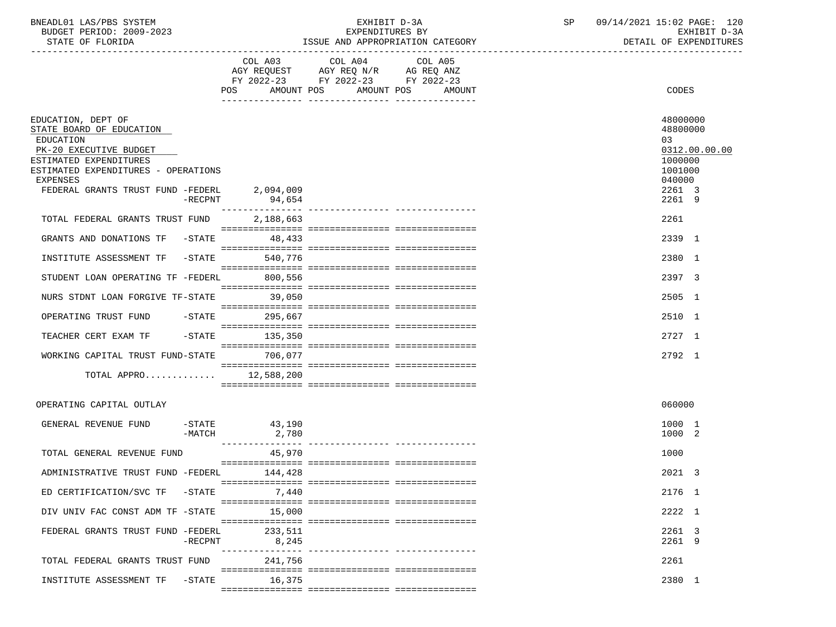| BNEADL01 LAS/PBS SYSTEM  | EXHIBIT D-3A                     | 09/14/2021 15:02 PAGE: 120 |
|--------------------------|----------------------------------|----------------------------|
| BUDGET PERIOD: 2009-2023 | EXPENDITURES BY                  | EXHIBIT D-3A               |
| STATE OF FLORIDA         | ISSUE AND APPROPRIATION CATEGORY | DETAIL OF EXPENDITURES     |

|                                                |                                   | FY 2022-23 FY 2022-23 FY 2022-23<br>POS AMOUNT POS AMOUNT POS | AMOUNT | CODES                |               |
|------------------------------------------------|-----------------------------------|---------------------------------------------------------------|--------|----------------------|---------------|
|                                                |                                   |                                                               |        |                      |               |
| EDUCATION, DEPT OF<br>STATE BOARD OF EDUCATION |                                   |                                                               |        | 48000000<br>48800000 |               |
| <b>EDUCATION</b><br>PK-20 EXECUTIVE BUDGET     |                                   |                                                               |        | 03                   | 0312.00.00.00 |
| ESTIMATED EXPENDITURES                         |                                   |                                                               |        | 1000000              |               |
| ESTIMATED EXPENDITURES - OPERATIONS            |                                   |                                                               |        | 1001000              |               |
| <b>EXPENSES</b>                                |                                   |                                                               |        | 040000               |               |
| FEDERAL GRANTS TRUST FUND -FEDERL              | 2,094,009                         |                                                               |        | 2261 3               |               |
|                                                | $-RECPNT$<br>94,654               |                                                               |        | 2261 9               |               |
| TOTAL FEDERAL GRANTS TRUST FUND                | 2,188,663                         |                                                               |        | 2261                 |               |
| GRANTS AND DONATIONS TF -STATE                 | 48,433                            |                                                               |        | 2339 1               |               |
| INSTITUTE ASSESSMENT TF -STATE                 | 540.776                           |                                                               |        | 2380 1               |               |
|                                                |                                   |                                                               |        |                      |               |
| STUDENT LOAN OPERATING TF -FEDERL              | 800,556                           |                                                               |        | 2397 3               |               |
| NURS STDNT LOAN FORGIVE TF-STATE               | 39,050                            |                                                               |        | 2505 1               |               |
| OPERATING TRUST FUND -STATE 295,667            |                                   |                                                               |        | 2510 1               |               |
| TEACHER CERT EXAM TF                           | $-$ STATE<br>135,350              |                                                               |        | 2727 1               |               |
|                                                |                                   |                                                               |        |                      |               |
| WORKING CAPITAL TRUST FUND-STATE               | 706,077                           |                                                               |        | 2792 1               |               |
| TOTAL APPRO $12,588,200$                       |                                   |                                                               |        |                      |               |
|                                                |                                   |                                                               |        |                      |               |
| OPERATING CAPITAL OUTLAY                       |                                   |                                                               |        | 060000               |               |
| GENERAL REVENUE FUND                           | $-$ STATE 43,190                  |                                                               |        | 1000 1               |               |
|                                                | -MATCH<br>2,780<br>______________ |                                                               |        | 1000 2               |               |
| TOTAL GENERAL REVENUE FUND                     | 45,970                            |                                                               |        | 1000                 |               |
| ADMINISTRATIVE TRUST FUND -FEDERL              | 144,428                           |                                                               |        | 2021 3               |               |
|                                                |                                   |                                                               |        |                      |               |
| ED CERTIFICATION/SVC TF -STATE 7,440           |                                   |                                                               |        | 2176 1               |               |
| DIV UNIV FAC CONST ADM TF -STATE               | 15,000                            |                                                               |        | 2222 1               |               |
| FEDERAL GRANTS TRUST FUND -FEDERL              | 233,511                           |                                                               |        | 2261 3               |               |
|                                                | $-$ RECPNT<br>8,245               |                                                               |        | 2261 9               |               |
| TOTAL FEDERAL GRANTS TRUST FUND                | 241,756                           |                                                               |        | 2261                 |               |
|                                                |                                   |                                                               |        |                      |               |
| INSTITUTE ASSESSMENT TF -STATE                 | 16,375                            |                                                               |        | 2380 1               |               |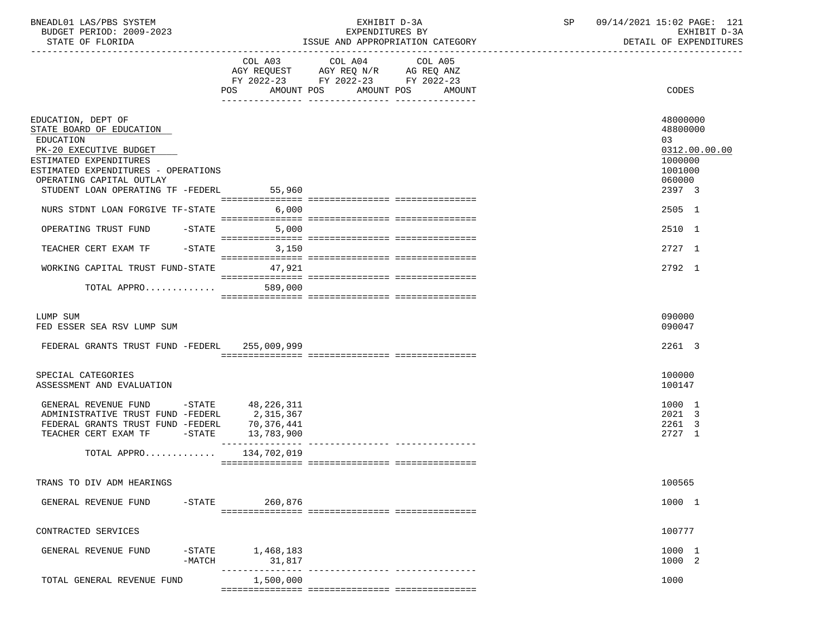| BNEADL01 LAS/PBS SYSTEM  | EXHIBI.<br>$D = 5P$ | $15:02$ PAGE:<br>14/2021<br>09/1 | 101<br>⊥∠⊥ |
|--------------------------|---------------------|----------------------------------|------------|
| BUDGET PERIOD: 2009-2023 | EXPENDITURES BY     | D-3A<br>EXHIBIT                  |            |
|                          |                     | ----------------------           |            |

STATE OF FLORIDA **ISSUE AND APPROPRIATION CATEGORY ISSUE AND APPROPRIATION** CATEGORY

|                                               |                      | $\begin{tabular}{lllllllllll} &\multicolumn{4}{l}{{\text{COL A03}}}&\multicolumn{4}{l}{\text{COL A04}}&\multicolumn{4}{l}{\text{COL A05}}\\ &\multicolumn{4}{l}{\text{AGY REQUEST}}&\multicolumn{4}{l}{\text{AGY REQ ANZ}}\\ \multicolumn{4}{l}{\text{AGY REQUEST}}&\multicolumn{4}{l}{\text{AGY REQ ANZ}}\\ \end{tabular}$ |                                  |               |
|-----------------------------------------------|----------------------|-----------------------------------------------------------------------------------------------------------------------------------------------------------------------------------------------------------------------------------------------------------------------------------------------------------------------------|----------------------------------|---------------|
|                                               |                      | FY 2022-23 FY 2022-23 FY 2022-23                                                                                                                                                                                                                                                                                            |                                  |               |
|                                               |                      |                                                                                                                                                                                                                                                                                                                             |                                  |               |
|                                               |                      |                                                                                                                                                                                                                                                                                                                             | POS AMOUNT POS AMOUNT POS AMOUNT | CODES         |
|                                               |                      |                                                                                                                                                                                                                                                                                                                             |                                  |               |
|                                               |                      |                                                                                                                                                                                                                                                                                                                             |                                  |               |
| EDUCATION, DEPT OF                            |                      |                                                                                                                                                                                                                                                                                                                             |                                  | 48000000      |
| STATE BOARD OF EDUCATION                      |                      |                                                                                                                                                                                                                                                                                                                             |                                  | 48800000      |
| EDUCATION                                     |                      |                                                                                                                                                                                                                                                                                                                             |                                  | 03            |
| PK-20 EXECUTIVE BUDGET                        |                      |                                                                                                                                                                                                                                                                                                                             |                                  | 0312.00.00.00 |
| ESTIMATED EXPENDITURES                        |                      |                                                                                                                                                                                                                                                                                                                             |                                  | 1000000       |
|                                               |                      |                                                                                                                                                                                                                                                                                                                             |                                  |               |
| ESTIMATED EXPENDITURES - OPERATIONS           |                      |                                                                                                                                                                                                                                                                                                                             |                                  | 1001000       |
| OPERATING CAPITAL OUTLAY                      |                      |                                                                                                                                                                                                                                                                                                                             |                                  | 060000        |
| STUDENT LOAN OPERATING TF -FEDERL             | 55,960               |                                                                                                                                                                                                                                                                                                                             |                                  | 2397 3        |
|                                               |                      |                                                                                                                                                                                                                                                                                                                             |                                  |               |
| NURS STDNT LOAN FORGIVE TF-STATE              | 6,000                |                                                                                                                                                                                                                                                                                                                             |                                  | 2505 1        |
|                                               |                      |                                                                                                                                                                                                                                                                                                                             |                                  |               |
| OPERATING TRUST FUND<br>-STATE                | 5,000                |                                                                                                                                                                                                                                                                                                                             |                                  | 2510 1        |
|                                               |                      |                                                                                                                                                                                                                                                                                                                             |                                  |               |
| $-$ STATE                                     |                      |                                                                                                                                                                                                                                                                                                                             |                                  |               |
| TEACHER CERT EXAM TF                          | 3,150                |                                                                                                                                                                                                                                                                                                                             |                                  | 2727 1        |
|                                               |                      |                                                                                                                                                                                                                                                                                                                             |                                  |               |
| WORKING CAPITAL TRUST FUND-STATE 47,921       |                      |                                                                                                                                                                                                                                                                                                                             |                                  | 2792 1        |
|                                               |                      |                                                                                                                                                                                                                                                                                                                             |                                  |               |
| TOTAL APPRO                                   | 589,000              |                                                                                                                                                                                                                                                                                                                             |                                  |               |
|                                               |                      |                                                                                                                                                                                                                                                                                                                             |                                  |               |
|                                               |                      |                                                                                                                                                                                                                                                                                                                             |                                  |               |
| LUMP SUM                                      |                      |                                                                                                                                                                                                                                                                                                                             |                                  | 090000        |
| FED ESSER SEA RSV LUMP SUM                    |                      |                                                                                                                                                                                                                                                                                                                             |                                  | 090047        |
|                                               |                      |                                                                                                                                                                                                                                                                                                                             |                                  |               |
|                                               |                      |                                                                                                                                                                                                                                                                                                                             |                                  |               |
| FEDERAL GRANTS TRUST FUND -FEDERL 255,009,999 |                      |                                                                                                                                                                                                                                                                                                                             |                                  | 2261 3        |
|                                               |                      |                                                                                                                                                                                                                                                                                                                             |                                  |               |
|                                               |                      |                                                                                                                                                                                                                                                                                                                             |                                  |               |
| SPECIAL CATEGORIES                            |                      |                                                                                                                                                                                                                                                                                                                             |                                  | 100000        |
| ASSESSMENT AND EVALUATION                     |                      |                                                                                                                                                                                                                                                                                                                             |                                  | 100147        |
|                                               |                      |                                                                                                                                                                                                                                                                                                                             |                                  |               |
| GENERAL REVENUE FUND -STATE 48,226,311        |                      |                                                                                                                                                                                                                                                                                                                             |                                  | 1000 1        |
| ADMINISTRATIVE TRUST FUND -FEDERL 2,315,367   |                      |                                                                                                                                                                                                                                                                                                                             |                                  | 2021 3        |
| FEDERAL GRANTS TRUST FUND -FEDERL 70,376,441  |                      |                                                                                                                                                                                                                                                                                                                             |                                  | 2261 3        |
|                                               |                      |                                                                                                                                                                                                                                                                                                                             |                                  |               |
| TEACHER CERT EXAM TF                          | $-$ STATE 13,783,900 |                                                                                                                                                                                                                                                                                                                             |                                  | 2727 1        |
|                                               |                      |                                                                                                                                                                                                                                                                                                                             |                                  |               |
| TOTAL APPRO                                   | 134,702,019          |                                                                                                                                                                                                                                                                                                                             |                                  |               |
|                                               |                      |                                                                                                                                                                                                                                                                                                                             |                                  |               |
|                                               |                      |                                                                                                                                                                                                                                                                                                                             |                                  |               |
| TRANS TO DIV ADM HEARINGS                     |                      |                                                                                                                                                                                                                                                                                                                             |                                  | 100565        |
|                                               |                      |                                                                                                                                                                                                                                                                                                                             |                                  |               |
| GENERAL REVENUE FUND<br>$-$ STATE             | 260,876              |                                                                                                                                                                                                                                                                                                                             |                                  | 1000 1        |
|                                               |                      |                                                                                                                                                                                                                                                                                                                             |                                  |               |
|                                               |                      |                                                                                                                                                                                                                                                                                                                             |                                  |               |
|                                               |                      |                                                                                                                                                                                                                                                                                                                             |                                  |               |
| CONTRACTED SERVICES                           |                      |                                                                                                                                                                                                                                                                                                                             |                                  | 100777        |
|                                               |                      |                                                                                                                                                                                                                                                                                                                             |                                  |               |
| GENERAL REVENUE FUND<br>$-$ STATE             | 1,468,183            |                                                                                                                                                                                                                                                                                                                             |                                  | 1000 1        |
| $-MATCH$                                      | 31,817               |                                                                                                                                                                                                                                                                                                                             |                                  | 1000 2        |
|                                               |                      |                                                                                                                                                                                                                                                                                                                             |                                  |               |
| TOTAL GENERAL REVENUE FUND                    | 1,500,000            |                                                                                                                                                                                                                                                                                                                             |                                  | 1000          |
|                                               |                      |                                                                                                                                                                                                                                                                                                                             |                                  |               |
|                                               |                      |                                                                                                                                                                                                                                                                                                                             |                                  |               |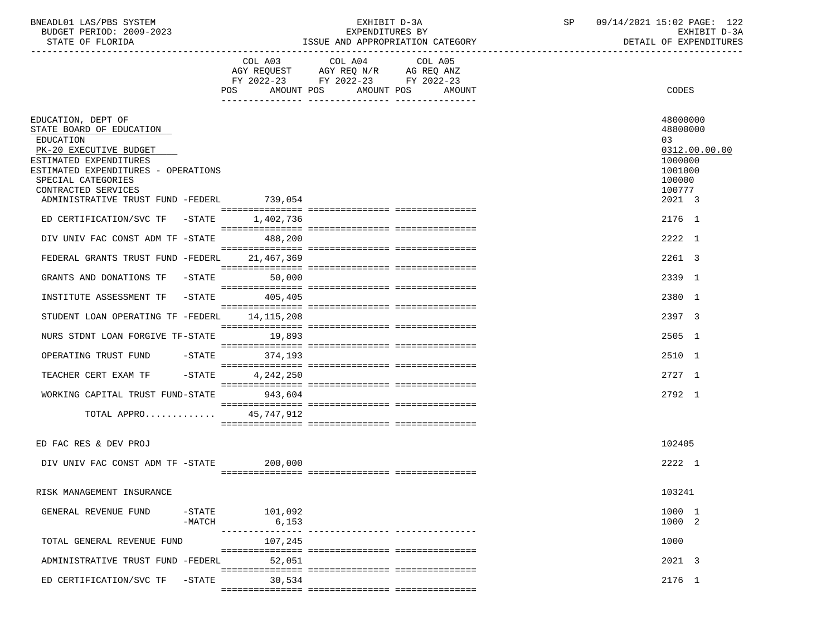## BNEADL01 LAS/PBS SYSTEM EXHIBIT D-3A SP 09/14/2021 15:02 PAGE: 122 BUDGET PERIOD: 2009-2023 EXPENDITURES BY EXHIBIT D-3A ISSUE AND APPROPRIATION CATEGORY

|                                                                                                                                                                              | POS<br>AMOUNT POS    | COL A03 COL A04 COL A05<br>AGY REQUEST AGY REQ N/R AG REQ ANZ<br>FY 2022-23 FY 2022-23 FY 2022-23 | AMOUNT POS<br>AMOUNT | CODES                                                                       |  |
|------------------------------------------------------------------------------------------------------------------------------------------------------------------------------|----------------------|---------------------------------------------------------------------------------------------------|----------------------|-----------------------------------------------------------------------------|--|
|                                                                                                                                                                              |                      |                                                                                                   |                      |                                                                             |  |
| EDUCATION, DEPT OF<br>STATE BOARD OF EDUCATION<br>EDUCATION<br>PK-20 EXECUTIVE BUDGET<br>ESTIMATED EXPENDITURES<br>ESTIMATED EXPENDITURES - OPERATIONS<br>SPECIAL CATEGORIES |                      |                                                                                                   |                      | 48000000<br>48800000<br>03<br>0312.00.00.00<br>1000000<br>1001000<br>100000 |  |
| CONTRACTED SERVICES                                                                                                                                                          |                      |                                                                                                   |                      | 100777                                                                      |  |
| ADMINISTRATIVE TRUST FUND -FEDERL 739,054                                                                                                                                    |                      |                                                                                                   |                      | 2021 3                                                                      |  |
| ED CERTIFICATION/SVC TF -STATE                                                                                                                                               | 1,402,736            |                                                                                                   |                      | 2176 1                                                                      |  |
| DIV UNIV FAC CONST ADM TF -STATE                                                                                                                                             | 488,200              |                                                                                                   |                      | 2222 1                                                                      |  |
|                                                                                                                                                                              |                      |                                                                                                   |                      |                                                                             |  |
| FEDERAL GRANTS TRUST FUND -FEDERL                                                                                                                                            | 21,467,369           |                                                                                                   |                      | 2261 3                                                                      |  |
| GRANTS AND DONATIONS TF -STATE                                                                                                                                               | 50,000               |                                                                                                   |                      | 2339 1                                                                      |  |
| INSTITUTE ASSESSMENT TF<br>-STATE                                                                                                                                            | 405,405              |                                                                                                   |                      | 2380 1                                                                      |  |
| STUDENT LOAN OPERATING TF -FEDERL                                                                                                                                            | 14,115,208           |                                                                                                   |                      | 2397 3                                                                      |  |
|                                                                                                                                                                              |                      |                                                                                                   |                      |                                                                             |  |
| NURS STDNT LOAN FORGIVE TF-STATE                                                                                                                                             | 19,893               |                                                                                                   |                      | 2505 1                                                                      |  |
| OPERATING TRUST FUND<br>$-$ STATE                                                                                                                                            | 374,193              |                                                                                                   |                      | 2510 1                                                                      |  |
| TEACHER CERT EXAM TF<br>$-$ STATE                                                                                                                                            | 4,242,250            |                                                                                                   |                      | 2727 1                                                                      |  |
| WORKING CAPITAL TRUST FUND-STATE                                                                                                                                             | 943,604              |                                                                                                   |                      | 2792 1                                                                      |  |
|                                                                                                                                                                              |                      |                                                                                                   |                      |                                                                             |  |
| TOTAL APPRO                                                                                                                                                                  | 45,747,912           |                                                                                                   |                      |                                                                             |  |
|                                                                                                                                                                              |                      |                                                                                                   |                      |                                                                             |  |
| ED FAC RES & DEV PROJ                                                                                                                                                        |                      |                                                                                                   |                      | 102405                                                                      |  |
| DIV UNIV FAC CONST ADM TF -STATE                                                                                                                                             | 200,000              |                                                                                                   |                      | 2222 1                                                                      |  |
|                                                                                                                                                                              |                      |                                                                                                   |                      |                                                                             |  |
| RISK MANAGEMENT INSURANCE                                                                                                                                                    |                      |                                                                                                   |                      | 103241                                                                      |  |
| $-$ STATE<br>GENERAL REVENUE FUND                                                                                                                                            | 101,092              |                                                                                                   |                      | 1000 1                                                                      |  |
| $-MATCH$                                                                                                                                                                     | 6,153                |                                                                                                   |                      | 1000 2                                                                      |  |
| TOTAL GENERAL REVENUE FUND                                                                                                                                                   | ---------<br>107,245 |                                                                                                   |                      | 1000                                                                        |  |
| ADMINISTRATIVE TRUST FUND -FEDERL                                                                                                                                            | 52,051               |                                                                                                   |                      | 2021 3                                                                      |  |
| ED CERTIFICATION/SVC TF<br>$-STATE$                                                                                                                                          | 30,534               |                                                                                                   |                      | 2176 1                                                                      |  |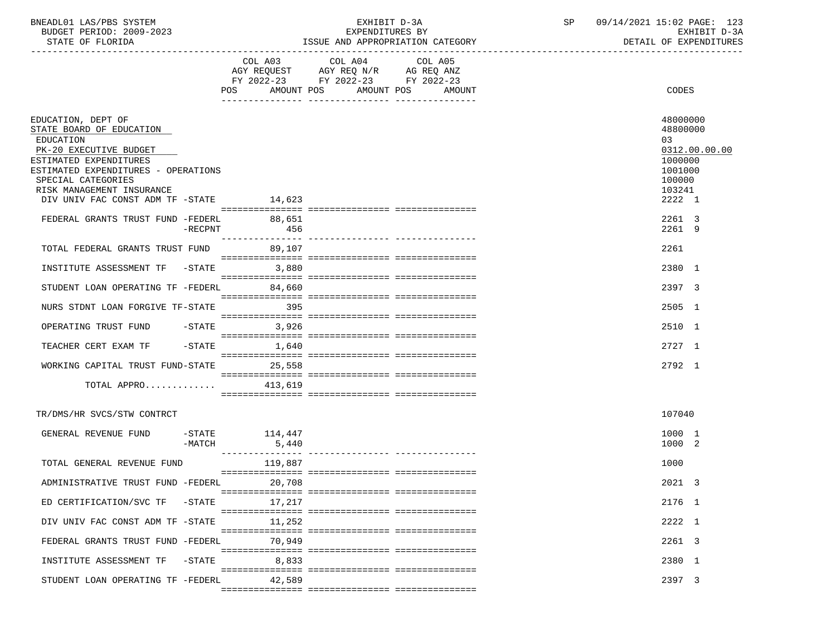| BNEADL01 LAS/PBS SYSTEM  | EXHIBIT D-3A                     | 09/14/2021 15:02 PAGE: 1<br>123 |
|--------------------------|----------------------------------|---------------------------------|
| BUDGET PERIOD: 2009-2023 | EXPENDITURES BY                  | EXHIBIT D-3A                    |
| STATE OF FLORIDA         | ISSUE AND APPROPRIATION CATEGORY | DETAIL OF EXPENDITURES          |

|                                                                                                                 |                                    | FY 2022-23 FY 2022-23 FY 2022-23 |  |                                       |               |
|-----------------------------------------------------------------------------------------------------------------|------------------------------------|----------------------------------|--|---------------------------------------|---------------|
|                                                                                                                 | POS AMOUNT POS AMOUNT POS AMOUNT   |                                  |  | CODES                                 |               |
|                                                                                                                 |                                    |                                  |  |                                       |               |
| EDUCATION, DEPT OF<br>STATE BOARD OF EDUCATION<br>EDUCATION<br>PK-20 EXECUTIVE BUDGET<br>ESTIMATED EXPENDITURES |                                    |                                  |  | 48000000<br>48800000<br>03<br>1000000 | 0312.00.00.00 |
| ESTIMATED EXPENDITURES - OPERATIONS<br>SPECIAL CATEGORIES                                                       |                                    |                                  |  | 1001000<br>100000                     |               |
| RISK MANAGEMENT INSURANCE<br>DIV UNIV FAC CONST ADM TF -STATE 14,623                                            |                                    |                                  |  | 103241<br>2222 1                      |               |
| FEDERAL GRANTS TRUST FUND -FEDERL<br>-RECPNT                                                                    | 88,651<br>456<br>_________________ |                                  |  | 2261 3<br>2261 9                      |               |
| TOTAL FEDERAL GRANTS TRUST FUND 89,107                                                                          |                                    |                                  |  | 2261                                  |               |
| INSTITUTE ASSESSMENT TF -STATE 3,880                                                                            |                                    |                                  |  | 2380 1                                |               |
| STUDENT LOAN OPERATING TF -FEDERL                                                                               | 84,660                             |                                  |  | 2397 3                                |               |
| NURS STDNT LOAN FORGIVE TF-STATE                                                                                | 395                                |                                  |  | 2505 1                                |               |
| OPERATING TRUST FUND                                                                                            | $-STATE$ 3,926                     |                                  |  | 2510 1                                |               |
| TEACHER CERT EXAM TF                                                                                            | $-STATE$<br>1,640                  |                                  |  | 2727 1                                |               |
| WORKING CAPITAL TRUST FUND-STATE 25,558<br>TOTAL APPRO $413,619$                                                |                                    |                                  |  | 2792 1                                |               |
|                                                                                                                 |                                    |                                  |  |                                       |               |
| TR/DMS/HR SVCS/STW CONTRCT                                                                                      |                                    |                                  |  | 107040                                |               |
| GENERAL REVENUE FUND<br>$-MATCH$                                                                                | $-$ STATE $114,447$<br>5,440       |                                  |  | 1000 1<br>1000 2                      |               |
| TOTAL GENERAL REVENUE FUND                                                                                      | 119,887                            |                                  |  | 1000                                  |               |
| ADMINISTRATIVE TRUST FUND -FEDERL 20,708                                                                        |                                    |                                  |  | 2021 3                                |               |
| ED CERTIFICATION/SVC TF -STATE                                                                                  | 17,217                             |                                  |  | 2176 1                                |               |
| DIV UNIV FAC CONST ADM TF -STATE                                                                                | 11,252                             |                                  |  | 2222 1                                |               |
| FEDERAL GRANTS TRUST FUND -FEDERL                                                                               | 70,949                             |                                  |  | 2261 3                                |               |
| INSTITUTE ASSESSMENT TF -STATE                                                                                  | 8,833                              |                                  |  | 2380 1                                |               |
| STUDENT LOAN OPERATING TF -FEDERL                                                                               | 42,589                             |                                  |  | 2397 3                                |               |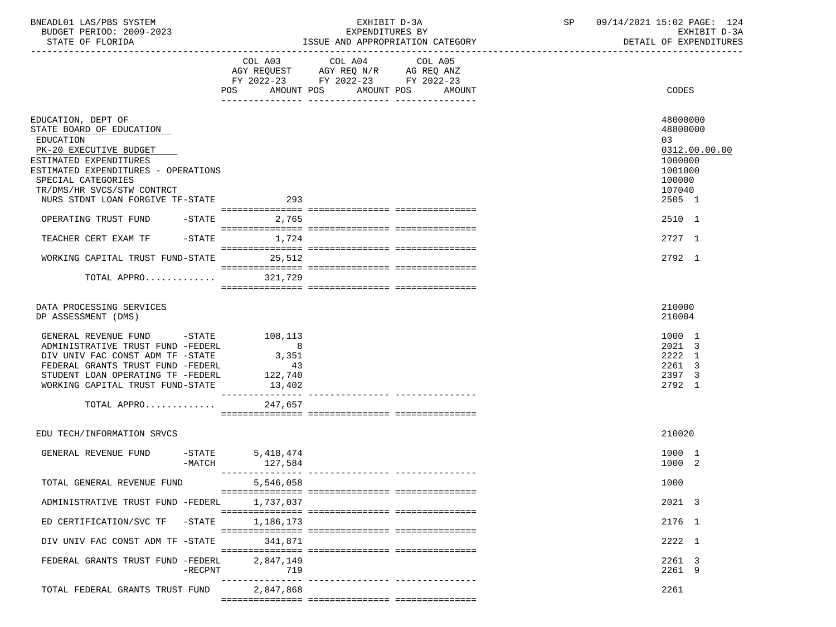| BNEADL01 LAS/PBS SYSTEM |                          |
|-------------------------|--------------------------|
|                         | BUDGET PERIOD: 2009-2023 |

## BUDGET PERIOD: 2009-2023 EXPENDITURES BY EXHIBIT D-3A ISSUE AND APPROPRIATION CATEGORY

|                                                                                                                                                                                                                            |                                                                        | FY 2022-23 FY 2022-23 FY 2022-23 |                                 |                                                          |
|----------------------------------------------------------------------------------------------------------------------------------------------------------------------------------------------------------------------------|------------------------------------------------------------------------|----------------------------------|---------------------------------|----------------------------------------------------------|
|                                                                                                                                                                                                                            | POS AMOUNT POS AMOUNT POS                                              |                                  | AMOUNT                          | CODES                                                    |
| EDUCATION, DEPT OF<br>STATE BOARD OF EDUCATION<br>EDUCATION<br>PK-20 EXECUTIVE BUDGET<br>ESTIMATED EXPENDITURES                                                                                                            |                                                                        |                                  |                                 | 48000000<br>48800000<br>03<br>0312.00.00.00<br>1000000   |
| ESTIMATED EXPENDITURES - OPERATIONS<br>SPECIAL CATEGORIES                                                                                                                                                                  |                                                                        |                                  |                                 | 1001000<br>100000                                        |
| TR/DMS/HR SVCS/STW CONTRCT<br>NURS STDNT LOAN FORGIVE TF-STATE                                                                                                                                                             | 293                                                                    |                                  |                                 | 107040<br>2505 1                                         |
| OPERATING TRUST FUND<br>$-\mathtt{STATE}$                                                                                                                                                                                  | 2,765                                                                  |                                  |                                 | 2510 1                                                   |
| TEACHER CERT EXAM TF<br>$-$ STATE                                                                                                                                                                                          | 1,724                                                                  |                                  |                                 | 2727 1                                                   |
| WORKING CAPITAL TRUST FUND-STATE                                                                                                                                                                                           | 25,512                                                                 |                                  |                                 | 2792 1                                                   |
| TOTAL APPRO                                                                                                                                                                                                                | 321,729                                                                |                                  |                                 |                                                          |
| DATA PROCESSING SERVICES<br>DP ASSESSMENT (DMS)                                                                                                                                                                            |                                                                        |                                  |                                 | 210000<br>210004                                         |
| GENERAL REVENUE FUND -STATE 108,113<br>ADMINISTRATIVE TRUST FUND -FEDERL<br>DIV UNIV FAC CONST ADM TF -STATE<br>FEDERAL GRANTS TRUST FUND -FEDERL<br>STUDENT LOAN OPERATING TF -FEDERL<br>WORKING CAPITAL TRUST FUND-STATE | 8 <sup>8</sup><br>3,351<br>43<br>122,740<br>13,402<br>________________ |                                  |                                 | 1000 1<br>2021 3<br>2222 1<br>2261 3<br>2397 3<br>2792 1 |
| TOTAL APPRO                                                                                                                                                                                                                | 247,657                                                                |                                  |                                 |                                                          |
| EDU TECH/INFORMATION SRVCS                                                                                                                                                                                                 |                                                                        |                                  |                                 | 210020                                                   |
| GENERAL REVENUE FUND<br>$-MATCH$                                                                                                                                                                                           | -STATE 5,418,474<br>127,584                                            |                                  |                                 | 1000 1<br>1000 2                                         |
| TOTAL GENERAL REVENUE FUND                                                                                                                                                                                                 | 5,546,058                                                              |                                  |                                 | 1000                                                     |
| ADMINISTRATIVE TRUST FUND -FEDERL                                                                                                                                                                                          | 1,737,037                                                              |                                  |                                 | 2021 3                                                   |
| ED CERTIFICATION/SVC TF -STATE                                                                                                                                                                                             | 1,186,173                                                              |                                  |                                 | 2176 1                                                   |
| DIV UNIV FAC CONST ADM TF -STATE                                                                                                                                                                                           | 341.871                                                                |                                  |                                 | 2222 1                                                   |
| FEDERAL GRANTS TRUST FUND -FEDERL<br>$-$ RECPNT                                                                                                                                                                            | 2,847,149<br>719                                                       |                                  | --------------- --------------- | 2261 3<br>2261 9                                         |
| TOTAL FEDERAL GRANTS TRUST FUND 2,847,868                                                                                                                                                                                  |                                                                        |                                  |                                 | 2261                                                     |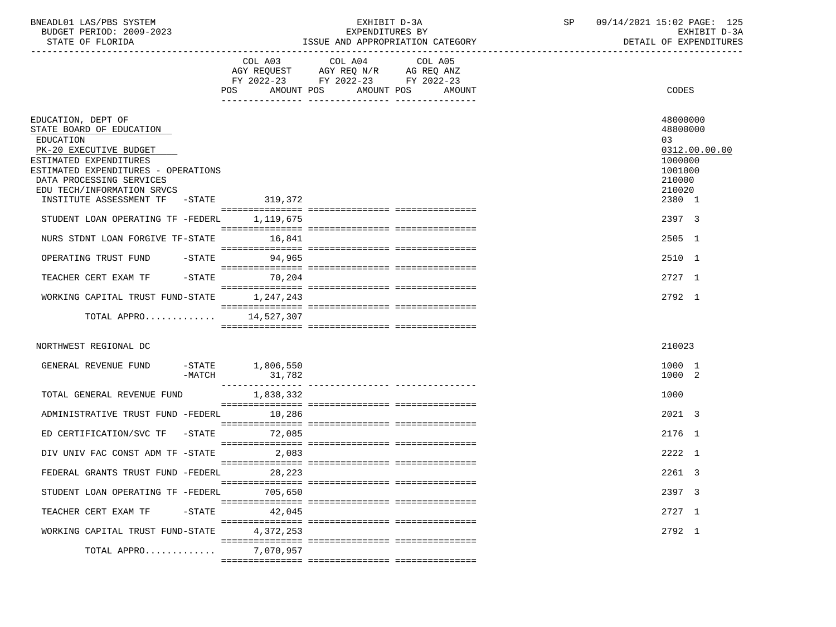| BNEADL01 LAS/PBS SYSTEM  | EXHIBIT D-3A    |  | 09/14/2021 15:02 PAGE: 125 |  |
|--------------------------|-----------------|--|----------------------------|--|
| BUDGET PERIOD: 2009-2023 | EXPENDITURES BY |  | EXHIBIT D-3A               |  |

|                                                                                                                                                                                                                                                            | COL A03<br>AMOUNT POS<br>POS | COL A04<br>AGY REQUEST AGY REQ N/R AG REQ ANZ<br>FY 2022-23 FY 2022-23 FY 2022-23 | COL A05<br>AMOUNT POS AMOUNT | CODES                                                                                           |
|------------------------------------------------------------------------------------------------------------------------------------------------------------------------------------------------------------------------------------------------------------|------------------------------|-----------------------------------------------------------------------------------|------------------------------|-------------------------------------------------------------------------------------------------|
|                                                                                                                                                                                                                                                            |                              |                                                                                   |                              |                                                                                                 |
| EDUCATION, DEPT OF<br>STATE BOARD OF EDUCATION<br>EDUCATION<br>PK-20 EXECUTIVE BUDGET<br>ESTIMATED EXPENDITURES<br>ESTIMATED EXPENDITURES - OPERATIONS<br>DATA PROCESSING SERVICES<br>EDU TECH/INFORMATION SRVCS<br>INSTITUTE ASSESSMENT TF -STATE 319,372 |                              |                                                                                   |                              | 48000000<br>48800000<br>03<br>0312.00.00.00<br>1000000<br>1001000<br>210000<br>210020<br>2380 1 |
|                                                                                                                                                                                                                                                            |                              |                                                                                   |                              |                                                                                                 |
| STUDENT LOAN OPERATING TF -FEDERL 1, 119, 675                                                                                                                                                                                                              |                              |                                                                                   |                              | 2397 3                                                                                          |
| NURS STDNT LOAN FORGIVE TF-STATE                                                                                                                                                                                                                           | 16,841                       |                                                                                   |                              | 2505 1                                                                                          |
| OPERATING TRUST FUND                                                                                                                                                                                                                                       | -STATE 94,965                |                                                                                   |                              | 2510 1                                                                                          |
| $-STATE$<br>TEACHER CERT EXAM TF                                                                                                                                                                                                                           | 70,204                       |                                                                                   |                              | 2727 1                                                                                          |
| WORKING CAPITAL TRUST FUND-STATE 1,247,243                                                                                                                                                                                                                 |                              |                                                                                   |                              | 2792 1                                                                                          |
| TOTAL APPRO                                                                                                                                                                                                                                                | 14,527,307                   |                                                                                   |                              |                                                                                                 |
| NORTHWEST REGIONAL DC                                                                                                                                                                                                                                      |                              |                                                                                   |                              | 210023                                                                                          |
| GENERAL REVENUE FUND<br>-MATCH                                                                                                                                                                                                                             | $-STATE$ 1,806,550           |                                                                                   |                              | 1000 1<br>1000 2                                                                                |
| TOTAL GENERAL REVENUE FUND                                                                                                                                                                                                                                 | 1,838,332                    |                                                                                   |                              | 1000                                                                                            |
| ADMINISTRATIVE TRUST FUND -FEDERL                                                                                                                                                                                                                          | 10,286                       |                                                                                   |                              | 2021 3                                                                                          |
| ED CERTIFICATION/SVC TF -STATE 72,085                                                                                                                                                                                                                      |                              |                                                                                   |                              | 2176 1                                                                                          |
| DIV UNIV FAC CONST ADM TF -STATE                                                                                                                                                                                                                           | 2,083                        |                                                                                   |                              | 2222 1                                                                                          |
| FEDERAL GRANTS TRUST FUND -FEDERL                                                                                                                                                                                                                          | 28, 223                      |                                                                                   |                              | 2261 3                                                                                          |
| STUDENT LOAN OPERATING TF -FEDERL 705,650                                                                                                                                                                                                                  |                              |                                                                                   |                              | 2397 3                                                                                          |
| TEACHER CERT EXAM TF -STATE                                                                                                                                                                                                                                | 42,045                       |                                                                                   |                              | 2727 1                                                                                          |
| WORKING CAPITAL TRUST FUND-STATE                                                                                                                                                                                                                           | 4,372,253                    |                                                                                   |                              | 2792 1                                                                                          |
| TOTAL APPRO                                                                                                                                                                                                                                                | 7,070,957                    |                                                                                   |                              |                                                                                                 |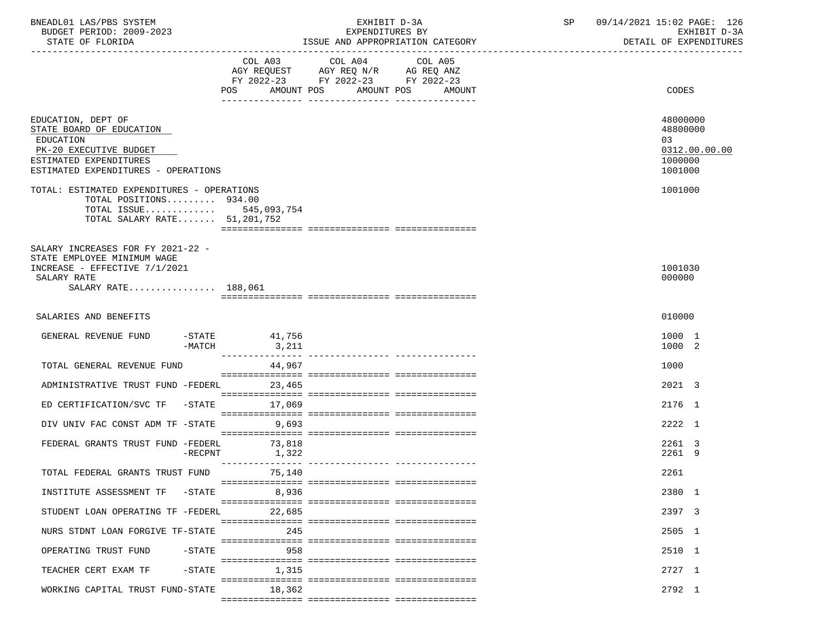| BNEADL01 LAS/PBS SYSTEM<br>BUDGET PERIOD: 2009-2023<br>STATE OF FLORIDA                                                                                |           | EXHIBIT D-3A<br>EXPENDITURES BY<br>ISSUE AND APPROPRIATION CATEGORY                                                                            | SP and the set of the set of the set of the set of the set of the set of the set of the set of the set of the s | 09/14/2021 15:02 PAGE: 126<br>EXHIBIT D-3A<br>DETAIL OF EXPENDITURES |
|--------------------------------------------------------------------------------------------------------------------------------------------------------|-----------|------------------------------------------------------------------------------------------------------------------------------------------------|-----------------------------------------------------------------------------------------------------------------|----------------------------------------------------------------------|
|                                                                                                                                                        |           | COL A03<br>COL A04<br>COL A05<br>AGY REQUEST AGY REQ N/R AG REQ ANZ<br>FY 2022-23 FY 2022-23 FY 2022-23<br>POS AMOUNT POS<br>AMOUNT POS AMOUNT |                                                                                                                 | CODES                                                                |
| EDUCATION, DEPT OF<br>STATE BOARD OF EDUCATION<br>EDUCATION<br>PK-20 EXECUTIVE BUDGET<br>ESTIMATED EXPENDITURES<br>ESTIMATED EXPENDITURES - OPERATIONS |           |                                                                                                                                                |                                                                                                                 | 48000000<br>48800000<br>03<br>0312.00.00.00<br>1000000<br>1001000    |
| TOTAL: ESTIMATED EXPENDITURES - OPERATIONS<br>TOTAL POSITIONS 934.00<br>TOTAL ISSUE 545,093,754<br>TOTAL SALARY RATE 51,201,752                        |           |                                                                                                                                                |                                                                                                                 | 1001000                                                              |
| SALARY INCREASES FOR FY 2021-22 -<br>STATE EMPLOYEE MINIMUM WAGE<br>INCREASE - EFFECTIVE 7/1/2021<br>SALARY RATE<br>SALARY RATE 188,061                |           |                                                                                                                                                |                                                                                                                 | 1001030<br>000000                                                    |
| SALARIES AND BENEFITS                                                                                                                                  |           |                                                                                                                                                |                                                                                                                 | 010000                                                               |
| GENERAL REVENUE FUND                                                                                                                                   | $-MATCH$  | $-$ STATE 41,756                                                                                                                               |                                                                                                                 | 1000 1<br>1000 2                                                     |
| TOTAL GENERAL REVENUE FUND                                                                                                                             |           | 44,967                                                                                                                                         |                                                                                                                 | 1000                                                                 |
| ADMINISTRATIVE TRUST FUND -FEDERL                                                                                                                      |           | 23,465                                                                                                                                         |                                                                                                                 | 2021 3                                                               |
| ED CERTIFICATION/SVC TF -STATE 17,069                                                                                                                  |           |                                                                                                                                                |                                                                                                                 | 2176 1                                                               |
| DIV UNIV FAC CONST ADM TF -STATE 9,693                                                                                                                 |           |                                                                                                                                                |                                                                                                                 | 2222 1                                                               |
| FEDERAL GRANTS TRUST FUND -FEDERL 73,818                                                                                                               | -RECPNT   | 1,322                                                                                                                                          |                                                                                                                 | 2261 3<br>2261 9                                                     |
| TOTAL FEDERAL GRANTS TRUST FUND                                                                                                                        |           | 75,140                                                                                                                                         |                                                                                                                 | 2261                                                                 |
| INSTITUTE ASSESSMENT TF -STATE                                                                                                                         |           | 8,936                                                                                                                                          |                                                                                                                 | 2380 1                                                               |
| STUDENT LOAN OPERATING TF -FEDERL                                                                                                                      |           | 22,685                                                                                                                                         |                                                                                                                 | 2397 3                                                               |
| NURS STDNT LOAN FORGIVE TF-STATE                                                                                                                       |           | 245                                                                                                                                            |                                                                                                                 | 2505 1                                                               |
| OPERATING TRUST FUND                                                                                                                                   | $-$ STATE | 958                                                                                                                                            |                                                                                                                 | 2510 1                                                               |
| TEACHER CERT EXAM TF                                                                                                                                   | $-$ STATE | 1,315                                                                                                                                          |                                                                                                                 | 2727 1                                                               |
| WORKING CAPITAL TRUST FUND-STATE                                                                                                                       |           | 18,362                                                                                                                                         |                                                                                                                 | 2792 1                                                               |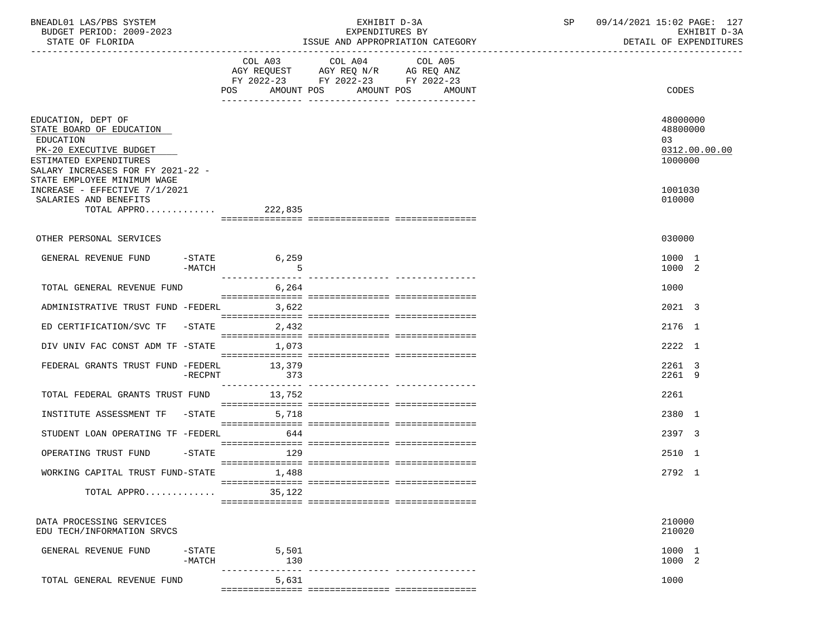| BNEADL01 LAS/PBS SYSTEM<br>BUDGET PERIOD: 2009-2023<br>STATE OF FLORIDA                                                                              |                       |                        | EXHIBIT D-3A<br>EXPENDITURES BY<br>ISSUE AND APPROPRIATION CATEGORY                                                                                                                                                                                          |        | SP 09/14/2021 15:02 PAGE: 127<br>DETAIL OF EXPENDITURES | EXHIBIT D-3A  |
|------------------------------------------------------------------------------------------------------------------------------------------------------|-----------------------|------------------------|--------------------------------------------------------------------------------------------------------------------------------------------------------------------------------------------------------------------------------------------------------------|--------|---------------------------------------------------------|---------------|
|                                                                                                                                                      |                       |                        | COL A03 COL A04 COL A05<br>$\begin{tabular}{lllllllll} \bf AGY & \bf REQUEST & \bf AGY & \bf REQ & \tt N/R & \tt AG & \tt REQ & \tt ANZ \\ \bf FY & \tt 2022-23 & \tt FY & \tt 2022-23 & \tt FY & \tt 2022-23 \\ \end{tabular}$<br>POS AMOUNT POS AMOUNT POS | AMOUNT | CODES                                                   |               |
| EDUCATION, DEPT OF<br>STATE BOARD OF EDUCATION<br>EDUCATION<br>PK-20 EXECUTIVE BUDGET<br>ESTIMATED EXPENDITURES<br>SALARY INCREASES FOR FY 2021-22 - |                       |                        |                                                                                                                                                                                                                                                              |        | 48000000<br>48800000<br>0.3<br>1000000                  | 0312.00.00.00 |
| STATE EMPLOYEE MINIMUM WAGE<br>INCREASE - EFFECTIVE 7/1/2021<br>SALARIES AND BENEFITS<br>TOTAL APPRO 222,835                                         |                       |                        |                                                                                                                                                                                                                                                              |        | 1001030<br>010000                                       |               |
|                                                                                                                                                      |                       |                        |                                                                                                                                                                                                                                                              |        |                                                         |               |
| OTHER PERSONAL SERVICES                                                                                                                              |                       |                        |                                                                                                                                                                                                                                                              |        | 030000                                                  |               |
| GENERAL REVENUE FUND                                                                                                                                 | -MATCH                | $-STATE$<br>6,259<br>5 |                                                                                                                                                                                                                                                              |        | 1000 1<br>1000 2                                        |               |
| TOTAL GENERAL REVENUE FUND                                                                                                                           |                       | 6,264                  |                                                                                                                                                                                                                                                              |        | 1000                                                    |               |
| ADMINISTRATIVE TRUST FUND -FEDERL                                                                                                                    |                       | 3,622                  |                                                                                                                                                                                                                                                              |        | 2021 3                                                  |               |
| ED CERTIFICATION/SVC TF -STATE                                                                                                                       |                       | 2,432                  |                                                                                                                                                                                                                                                              |        | 2176 1                                                  |               |
| DIV UNIV FAC CONST ADM TF -STATE 1,073                                                                                                               |                       |                        |                                                                                                                                                                                                                                                              |        | 2222 1                                                  |               |
| FEDERAL GRANTS TRUST FUND -FEDERL 13,379                                                                                                             | -RECPNT               | 373                    |                                                                                                                                                                                                                                                              |        | 2261 3<br>2261 9                                        |               |
| TOTAL FEDERAL GRANTS TRUST FUND 13,752                                                                                                               |                       |                        |                                                                                                                                                                                                                                                              |        | 2261                                                    |               |
| INSTITUTE ASSESSMENT TF -STATE                                                                                                                       |                       | 5,718                  |                                                                                                                                                                                                                                                              |        | 2380 1                                                  |               |
| STUDENT LOAN OPERATING TF -FEDERL                                                                                                                    |                       | 644                    |                                                                                                                                                                                                                                                              |        | 2397 3                                                  |               |
| OPERATING TRUST FUND -STATE 129                                                                                                                      |                       |                        |                                                                                                                                                                                                                                                              |        | 2510 1                                                  |               |
|                                                                                                                                                      |                       |                        |                                                                                                                                                                                                                                                              |        |                                                         |               |
| WORKING CAPITAL TRUST FUND-STATE                                                                                                                     |                       | 1,488                  |                                                                                                                                                                                                                                                              |        | 2792 1                                                  |               |
| TOTAL APPRO                                                                                                                                          |                       | 35,122                 |                                                                                                                                                                                                                                                              |        |                                                         |               |
| DATA PROCESSING SERVICES<br>EDU TECH/INFORMATION SRVCS                                                                                               |                       |                        |                                                                                                                                                                                                                                                              |        | 210000<br>210020                                        |               |
| GENERAL REVENUE FUND                                                                                                                                 | $-$ STATE<br>$-MATCH$ | 5,501<br>130           |                                                                                                                                                                                                                                                              |        | 1000 1<br>1000 2                                        |               |
| TOTAL GENERAL REVENUE FUND                                                                                                                           |                       | 5,631                  |                                                                                                                                                                                                                                                              |        | 1000                                                    |               |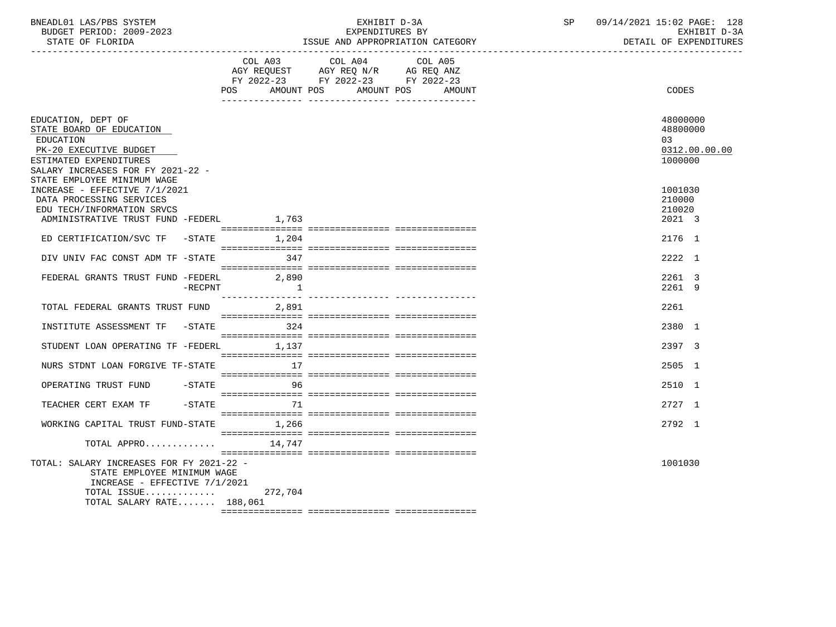| BNEADL01 LAS/PBS SYSTEM |                  |                          |  | RXHIRIT D-3A              |  |
|-------------------------|------------------|--------------------------|--|---------------------------|--|
|                         |                  | BUDGET PERIOD: 2009-2023 |  | EXPENDITURES BY           |  |
|                         | STATE OF FLORIDA |                          |  | ISSUE AND APPROPRIATION C |  |

## EXHIBIT D-3A SP 09/14/2021 15:02 PAGE: 128<br>KPENDITURES BY SEREDIT D-3A

DETAIL OF EXPENDITURES

| , <del>. .</del> . <del>. .</del><br>∩⊓<br>LORIDA | $ \alpha$ $\alpha$ $\tau$ $\tau$<br><b>ATT</b><br>. TOTA<br>LOOUL<br>CAILGONI<br>FINUFINIAI.<br><b>AIL</b> | . טועב |
|---------------------------------------------------|------------------------------------------------------------------------------------------------------------|--------|
|                                                   |                                                                                                            |        |

 COL A03 COL A04 COL A05 AGY REQUEST AGY REQ N/R AG REQ ANZ

|                                                                                                                                                                   | FY 2022-23<br>AMOUNT POS<br>POS | FY 2022-23<br>AMOUNT POS | FY 2022-23 | AMOUNT |  | CODES                                 |               |
|-------------------------------------------------------------------------------------------------------------------------------------------------------------------|---------------------------------|--------------------------|------------|--------|--|---------------------------------------|---------------|
| EDUCATION, DEPT OF<br>STATE BOARD OF EDUCATION<br><b>EDUCATION</b><br>PK-20 EXECUTIVE BUDGET<br>ESTIMATED EXPENDITURES<br>SALARY INCREASES FOR FY 2021-22 -       |                                 |                          |            |        |  | 48000000<br>48800000<br>03<br>1000000 | 0312.00.00.00 |
| STATE EMPLOYEE MINIMUM WAGE<br>INCREASE - EFFECTIVE 7/1/2021<br>DATA PROCESSING SERVICES<br>EDU TECH/INFORMATION SRVCS<br>ADMINISTRATIVE TRUST FUND -FEDERL 1,763 |                                 |                          |            |        |  | 1001030<br>210000<br>210020<br>2021 3 |               |
| ED CERTIFICATION/SVC TF<br>$-$ STATE                                                                                                                              | 1,204                           |                          |            |        |  | 2176 1                                |               |
| DIV UNIV FAC CONST ADM TF -STATE                                                                                                                                  | 347                             |                          |            |        |  | 2222 1                                |               |
| FEDERAL GRANTS TRUST FUND -FEDERL<br>$-$ RECPNT                                                                                                                   | 2,890<br>$\sim$ 1               |                          |            |        |  | 2261 3<br>2261 9                      |               |
| TOTAL FEDERAL GRANTS TRUST FUND                                                                                                                                   | 2,891                           |                          |            |        |  | 2261                                  |               |
| INSTITUTE ASSESSMENT TF<br>$-$ STATE                                                                                                                              | 324                             |                          |            |        |  | 2380 1                                |               |
| STUDENT LOAN OPERATING TF -FEDERL                                                                                                                                 | 1,137                           |                          |            |        |  | 2397 3                                |               |
| NURS STDNT LOAN FORGIVE TF-STATE                                                                                                                                  | 17                              |                          |            |        |  | 2505 1                                |               |
| OPERATING TRUST FUND<br>$-$ STATE                                                                                                                                 | 96                              |                          |            |        |  | 2510 1                                |               |
| $-STATE$<br>TEACHER CERT EXAM TF                                                                                                                                  | 71                              |                          |            |        |  | 2727 1                                |               |
| WORKING CAPITAL TRUST FUND-STATE                                                                                                                                  | 1,266                           |                          |            |        |  | 2792 1                                |               |
| TOTAL APPRO                                                                                                                                                       | 14,747                          |                          |            |        |  |                                       |               |
| TOTAL: SALARY INCREASES FOR FY 2021-22 -<br>STATE EMPLOYEE MINIMUM WAGE<br>INCREASE - EFFECTIVE $7/1/2021$<br>TOTAL ISSUE<br>TOTAL SALARY RATE 188,061            | 272,704                         |                          |            |        |  | 1001030                               |               |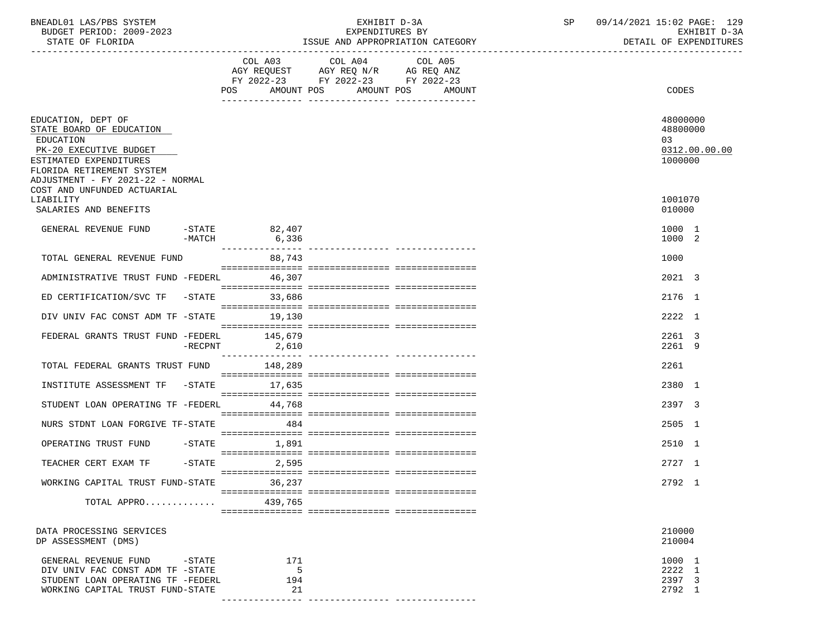| BNEADL01 LAS/PBS SYSTEM<br>BUDGET PERIOD: 2009-2023<br>STATE OF FLORIDA                                                                                                                                         |                   |                          | EXHIBIT D-3A<br>EXPENDITURES BY                                                                   | ISSUE AND APPROPRIATION CATEGORY | SP | 09/14/2021 15:02 PAGE: 129<br>EXHIBIT D-3A<br>DETAIL OF EXPENDITURES |
|-----------------------------------------------------------------------------------------------------------------------------------------------------------------------------------------------------------------|-------------------|--------------------------|---------------------------------------------------------------------------------------------------|----------------------------------|----|----------------------------------------------------------------------|
|                                                                                                                                                                                                                 |                   |                          | COL A03 COL A04 COL A05<br>AGY REQUEST AGY REQ N/R AG REQ ANZ<br>FY 2022-23 FY 2022-23 FY 2022-23 |                                  |    |                                                                      |
|                                                                                                                                                                                                                 |                   | AMOUNT POS<br>POS        | AMOUNT POS                                                                                        | AMOUNT                           |    | CODES                                                                |
| EDUCATION, DEPT OF<br>STATE BOARD OF EDUCATION<br>EDUCATION<br>PK-20 EXECUTIVE BUDGET<br>ESTIMATED EXPENDITURES<br>FLORIDA RETIREMENT SYSTEM<br>ADJUSTMENT - FY 2021-22 - NORMAL<br>COST AND UNFUNDED ACTUARIAL |                   |                          |                                                                                                   |                                  |    | 48000000<br>48800000<br>03<br>0312.00.00.00<br>1000000               |
| LIABILITY<br>SALARIES AND BENEFITS                                                                                                                                                                              |                   |                          |                                                                                                   |                                  |    | 1001070<br>010000                                                    |
| GENERAL REVENUE FUND                                                                                                                                                                                            | -MATCH            | $-STATE$ 82,407<br>6,336 |                                                                                                   |                                  |    | 1000 1<br>1000 2                                                     |
| TOTAL GENERAL REVENUE FUND                                                                                                                                                                                      |                   | 88,743                   |                                                                                                   |                                  |    | 1000                                                                 |
| ADMINISTRATIVE TRUST FUND -FEDERL 46,307                                                                                                                                                                        |                   |                          |                                                                                                   |                                  |    | 2021 3                                                               |
| ED CERTIFICATION/SVC TF -STATE 33,686                                                                                                                                                                           |                   |                          |                                                                                                   |                                  |    | 2176 1                                                               |
| DIV UNIV FAC CONST ADM TF -STATE 19,130                                                                                                                                                                         |                   |                          |                                                                                                   |                                  |    | 2222 1                                                               |
| FEDERAL GRANTS TRUST FUND -FEDERL 145,679                                                                                                                                                                       | $-$ RECPNT        | 2,610                    |                                                                                                   |                                  |    | 2261 3<br>2261 9                                                     |
| TOTAL FEDERAL GRANTS TRUST FUND                                                                                                                                                                                 |                   | 148,289                  |                                                                                                   |                                  |    | 2261                                                                 |
| INSTITUTE ASSESSMENT TF -STATE                                                                                                                                                                                  |                   | 17,635                   |                                                                                                   |                                  |    | 2380 1                                                               |
| STUDENT LOAN OPERATING TF -FEDERL 44,768                                                                                                                                                                        |                   |                          |                                                                                                   |                                  |    | 2397 3                                                               |
| NURS STDNT LOAN FORGIVE TF-STATE                                                                                                                                                                                |                   | 484                      |                                                                                                   |                                  |    | 2505 1                                                               |
| OPERATING TRUST FUND -STATE                                                                                                                                                                                     |                   | 1,891                    |                                                                                                   |                                  |    | 2510 1                                                               |
| TEACHER CERT EXAM TF                                                                                                                                                                                            |                   | $-$ STATE 2,595          |                                                                                                   |                                  |    | 2727 1                                                               |
| WORKING CAPITAL TRUST FUND-STATE                                                                                                                                                                                |                   | 36,237                   |                                                                                                   |                                  |    | 2792 1                                                               |
| TOTAL APPRO                                                                                                                                                                                                     |                   | 439,765                  |                                                                                                   |                                  |    |                                                                      |
|                                                                                                                                                                                                                 |                   |                          |                                                                                                   |                                  |    |                                                                      |
| DATA PROCESSING SERVICES<br>DP ASSESSMENT (DMS)                                                                                                                                                                 |                   |                          |                                                                                                   |                                  |    | 210000<br>210004                                                     |
| GENERAL REVENUE FUND<br>DIV UNIV FAC CONST ADM TF -STATE<br>STUDENT LOAN OPERATING TF -FEDERL<br>WORKING CAPITAL TRUST FUND-STATE                                                                               | $-\mathtt{STATE}$ | 171<br>5<br>194<br>21    |                                                                                                   |                                  |    | 1000 1<br>2222 1<br>2397 3<br>2792 1                                 |

--------------- --------------- ---------------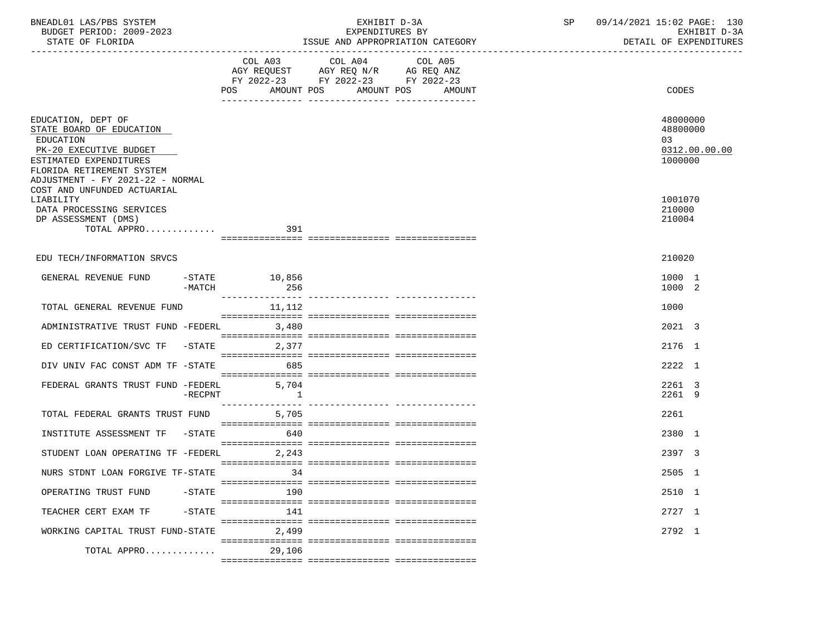| BNEADL01 LAS/PBS SYSTEM<br>BUDGET PERIOD: 2009-2023<br>STATE OF FLORIDA                                                                                                                                                      |              | EXHIBIT D-3A<br>EXPENDITURES BY<br>ISSUE AND APPROPRIATION CATEGORY                                                                   | SP | 09/14/2021 15:02 PAGE: 130<br>EXHIBIT D-3A<br>DETAIL OF EXPENDITURES |
|------------------------------------------------------------------------------------------------------------------------------------------------------------------------------------------------------------------------------|--------------|---------------------------------------------------------------------------------------------------------------------------------------|----|----------------------------------------------------------------------|
|                                                                                                                                                                                                                              |              | COL A03 COL A04 COL A05<br>AGY REQUEST AGY REQ N/R AG REQ ANZ<br>FY 2022-23 FY 2022-23 FY 2022-23<br>POS AMOUNT POS AMOUNT POS AMOUNT |    | CODES                                                                |
| EDUCATION, DEPT OF<br>STATE BOARD OF EDUCATION<br>EDUCATION<br>PK-20 EXECUTIVE BUDGET<br>ESTIMATED EXPENDITURES<br>FLORIDA RETIREMENT SYSTEM<br>ADJUSTMENT - FY 2021-22 - NORMAL<br>COST AND UNFUNDED ACTUARIAL<br>LIABILITY |              |                                                                                                                                       |    | 48000000<br>48800000<br>03<br>0312.00.00.00<br>1000000<br>1001070    |
| DATA PROCESSING SERVICES<br>DP ASSESSMENT (DMS)<br>$\texttt{TOTAL} \texttt{APPRO}.\dots \dots \dots \dots \dots \qquad \qquad \texttt{391}$                                                                                  |              |                                                                                                                                       |    | 210000<br>210004                                                     |
| EDU TECH/INFORMATION SRVCS                                                                                                                                                                                                   |              |                                                                                                                                       |    | 210020                                                               |
| GENERAL REVENUE FUND -STATE 10,856<br>-MATCH                                                                                                                                                                                 | 256          |                                                                                                                                       |    | 1000 1<br>1000 2                                                     |
| TOTAL GENERAL REVENUE FUND                                                                                                                                                                                                   | 11,112       |                                                                                                                                       |    | 1000                                                                 |
| ADMINISTRATIVE TRUST FUND -FEDERL 3,480                                                                                                                                                                                      |              |                                                                                                                                       |    | 2021 3                                                               |
| ED CERTIFICATION/SVC TF $-$ STATE 2,377                                                                                                                                                                                      |              |                                                                                                                                       |    | 2176 1                                                               |
| DIV UNIV FAC CONST ADM TF -STATE                                                                                                                                                                                             | 685          |                                                                                                                                       |    | 2222 1                                                               |
| FEDERAL GRANTS TRUST FUND -FEDERL 5,704<br>$-$ RECPNT                                                                                                                                                                        | $\mathbf{1}$ |                                                                                                                                       |    | 2261 3<br>2261 9                                                     |
| TOTAL FEDERAL GRANTS TRUST FUND 5,705                                                                                                                                                                                        |              |                                                                                                                                       |    | 2261                                                                 |
| INSTITUTE ASSESSMENT TF -STATE                                                                                                                                                                                               | 640          |                                                                                                                                       |    | 2380 1                                                               |
| STUDENT LOAN OPERATING TF -FEDERL 2,243                                                                                                                                                                                      |              |                                                                                                                                       |    | 2397 3                                                               |
| NURS STDNT LOAN FORGIVE TF-STATE                                                                                                                                                                                             | 34           |                                                                                                                                       |    | 2505 1                                                               |
| OPERATING TRUST FUND<br>$-$ STATE                                                                                                                                                                                            | 190          |                                                                                                                                       |    | 2510 1                                                               |
| TEACHER CERT EXAM TF<br>$-$ STATE                                                                                                                                                                                            | 141          |                                                                                                                                       |    | 2727 1                                                               |
| WORKING CAPITAL TRUST FUND-STATE                                                                                                                                                                                             | 2,499        |                                                                                                                                       |    | 2792 1                                                               |
| TOTAL APPRO                                                                                                                                                                                                                  | 29,106       |                                                                                                                                       |    |                                                                      |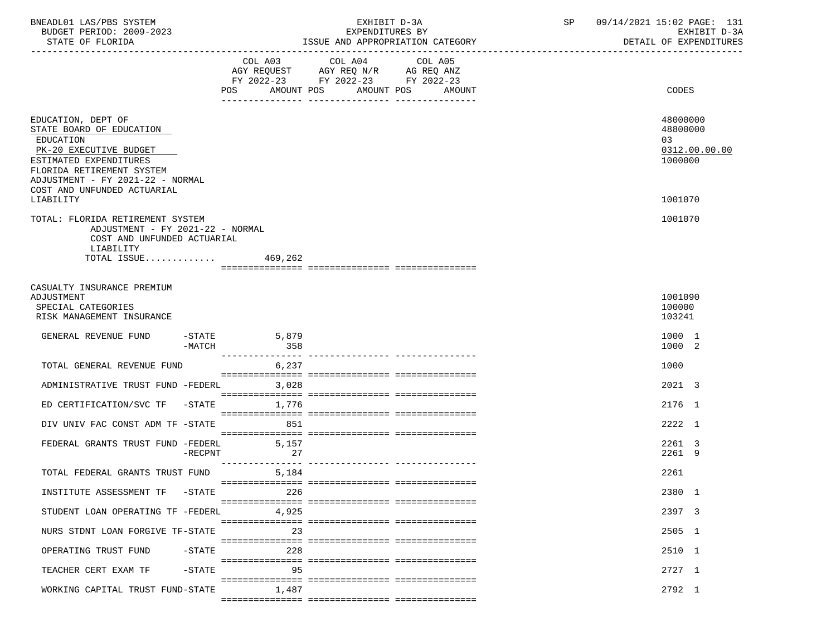| BNEADL01 LAS/PBS SYSTEM<br>BUDGET PERIOD: 2009-2023<br>STATE OF FLORIDA                                                                                                                                                      |           |       | EXPENDITURES BY                                                                                   | EXHIBIT D-3A<br>ISSUE AND APPROPRIATION CATEGORY | SP | 09/14/2021 15:02 PAGE: 131<br>EXHIBIT D-3A<br>DETAIL OF EXPENDITURES |
|------------------------------------------------------------------------------------------------------------------------------------------------------------------------------------------------------------------------------|-----------|-------|---------------------------------------------------------------------------------------------------|--------------------------------------------------|----|----------------------------------------------------------------------|
|                                                                                                                                                                                                                              |           |       | COL A03 COL A04 COL A05<br>AGY REQUEST AGY REQ N/R AG REQ ANZ<br>FY 2022-23 FY 2022-23 FY 2022-23 | POS AMOUNT POS AMOUNT POS AMOUNT                 |    | <b>CODES</b>                                                         |
| EDUCATION, DEPT OF<br>STATE BOARD OF EDUCATION<br>EDUCATION<br>PK-20 EXECUTIVE BUDGET<br>ESTIMATED EXPENDITURES<br>FLORIDA RETIREMENT SYSTEM<br>ADJUSTMENT - FY 2021-22 - NORMAL<br>COST AND UNFUNDED ACTUARIAL<br>LIABILITY |           |       |                                                                                                   |                                                  |    | 48000000<br>48800000<br>03<br>0312.00.00.00<br>1000000<br>1001070    |
| TOTAL: FLORIDA RETIREMENT SYSTEM<br>ADJUSTMENT - FY 2021-22 - NORMAL<br>COST AND UNFUNDED ACTUARIAL<br>LIABILITY<br>TOTAL ISSUE $469,262$                                                                                    |           |       |                                                                                                   |                                                  |    | 1001070                                                              |
| CASUALTY INSURANCE PREMIUM<br>ADJUSTMENT<br>SPECIAL CATEGORIES<br>RISK MANAGEMENT INSURANCE                                                                                                                                  |           |       |                                                                                                   |                                                  |    | 1001090<br>100000<br>103241                                          |
| GENERAL REVENUE FUND -STATE 5,879                                                                                                                                                                                            | $-MATCH$  | 358   |                                                                                                   |                                                  |    | 1000 1<br>1000 2                                                     |
| TOTAL GENERAL REVENUE FUND                                                                                                                                                                                                   |           | 6,237 |                                                                                                   |                                                  |    | 1000                                                                 |
| ADMINISTRATIVE TRUST FUND -FEDERL<br>ED CERTIFICATION/SVC TF -STATE 1,776                                                                                                                                                    |           | 3,028 |                                                                                                   |                                                  |    | 2021 3<br>2176 1                                                     |
| DIV UNIV FAC CONST ADM TF -STATE                                                                                                                                                                                             |           | 851   |                                                                                                   |                                                  |    | 2222 1                                                               |
| FEDERAL GRANTS TRUST FUND -FEDERL 5,157                                                                                                                                                                                      | $-RECPNT$ | 27    |                                                                                                   |                                                  |    | 2261 3<br>2261 9                                                     |
| TOTAL FEDERAL GRANTS TRUST FUND                                                                                                                                                                                              |           | 5,184 |                                                                                                   |                                                  |    | 2261                                                                 |
| INSTITUTE ASSESSMENT TF -STATE                                                                                                                                                                                               |           | 226   |                                                                                                   |                                                  |    | 2380 1                                                               |
| STUDENT LOAN OPERATING TF -FEDERL                                                                                                                                                                                            |           | 4,925 |                                                                                                   |                                                  |    | 2397 3                                                               |
| NURS STDNT LOAN FORGIVE TF-STATE                                                                                                                                                                                             |           | 23    |                                                                                                   |                                                  |    | 2505 1                                                               |
| OPERATING TRUST FUND                                                                                                                                                                                                         | $-$ STATE | 228   |                                                                                                   |                                                  |    | 2510 1                                                               |
| TEACHER CERT EXAM TF                                                                                                                                                                                                         | $-$ STATE | 95    |                                                                                                   |                                                  |    | 2727 1                                                               |
| WORKING CAPITAL TRUST FUND-STATE                                                                                                                                                                                             |           | 1,487 |                                                                                                   |                                                  |    | 2792 1                                                               |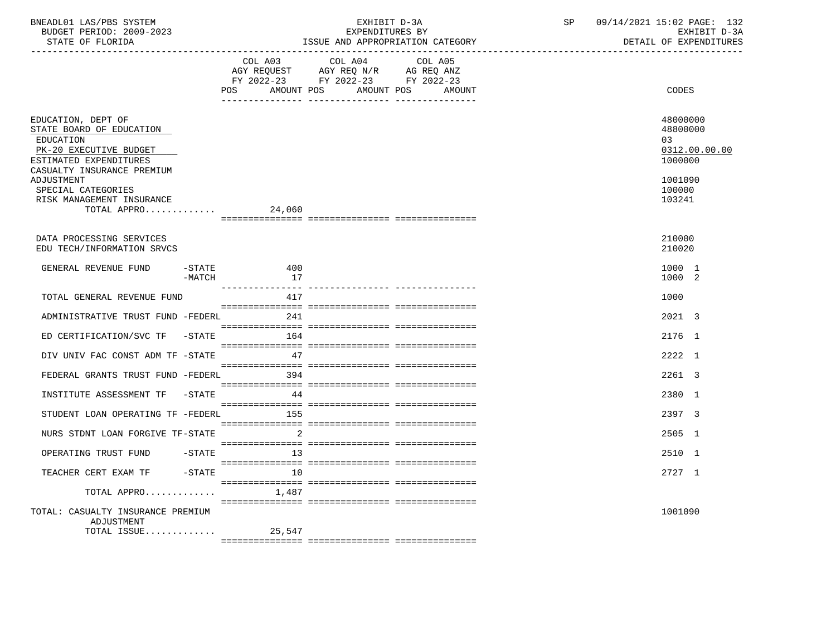| BNEADL01 LAS/PBS SYSTEM<br>BUDGET PERIOD: 2009-2023<br>STATE OF FLORIDA<br>_______________________________                                                  |                     |                         | EXHIBIT D-3A                                                                                                                  | EXPENDITURES BY<br>ISSUE AND APPROPRIATION CATEGORY | SP | 09/14/2021 15:02 PAGE: 132<br>EXHIBIT D-3A<br>DETAIL OF EXPENDITURES |
|-------------------------------------------------------------------------------------------------------------------------------------------------------------|---------------------|-------------------------|-------------------------------------------------------------------------------------------------------------------------------|-----------------------------------------------------|----|----------------------------------------------------------------------|
|                                                                                                                                                             |                     | POS<br>AMOUNT POS       | COL A03 COL A04<br>AGY REQUEST AGY REQ N/R AG REQ ANZ<br>FY 2022-23 FY 2022-23 FY 2022-23<br>____ _______________ ___________ | COL A05<br>AMOUNT POS<br>AMOUNT                     |    | <b>CODES</b>                                                         |
| EDUCATION, DEPT OF<br>STATE BOARD OF EDUCATION<br>EDUCATION<br>PK-20 EXECUTIVE BUDGET<br>ESTIMATED EXPENDITURES<br>CASUALTY INSURANCE PREMIUM<br>ADJUSTMENT |                     |                         |                                                                                                                               |                                                     |    | 48000000<br>48800000<br>03<br>0312.00.00.00<br>1000000<br>1001090    |
| SPECIAL CATEGORIES<br>RISK MANAGEMENT INSURANCE<br>TOTAL APPRO 24,060                                                                                       |                     |                         |                                                                                                                               |                                                     |    | 100000<br>103241                                                     |
| DATA PROCESSING SERVICES<br>EDU TECH/INFORMATION SRVCS                                                                                                      |                     |                         |                                                                                                                               |                                                     |    | 210000<br>210020                                                     |
| GENERAL REVENUE FUND                                                                                                                                        | $-$ STATE<br>-MATCH | 400<br>17               |                                                                                                                               |                                                     |    | 1000 1<br>1000 2                                                     |
| TOTAL GENERAL REVENUE FUND                                                                                                                                  |                     | ----------------<br>417 |                                                                                                                               |                                                     |    | 1000                                                                 |
| ADMINISTRATIVE TRUST FUND -FEDERL                                                                                                                           |                     | 241                     |                                                                                                                               |                                                     |    | 2021 3                                                               |
| ED CERTIFICATION/SVC TF -STATE                                                                                                                              |                     | 164                     |                                                                                                                               |                                                     |    | 2176 1                                                               |
| DIV UNIV FAC CONST ADM TF -STATE                                                                                                                            |                     | 47                      |                                                                                                                               |                                                     |    | 2222 1                                                               |
| FEDERAL GRANTS TRUST FUND -FEDERL                                                                                                                           |                     | 394                     |                                                                                                                               |                                                     |    | 2261 3                                                               |
| INSTITUTE ASSESSMENT TF -STATE                                                                                                                              |                     | 44                      |                                                                                                                               |                                                     |    | 2380 1                                                               |
| STUDENT LOAN OPERATING TF -FEDERL                                                                                                                           |                     | 155                     |                                                                                                                               |                                                     |    | 2397 3                                                               |
| NURS STDNT LOAN FORGIVE TF-STATE                                                                                                                            |                     | 2                       |                                                                                                                               |                                                     |    | 2505 1                                                               |
| OPERATING TRUST FUND                                                                                                                                        | $-\mathtt{STATE}$   | 13                      |                                                                                                                               |                                                     |    | 2510 1                                                               |
| TEACHER CERT EXAM TF                                                                                                                                        | $-$ STATE           | 10                      |                                                                                                                               |                                                     |    | 2727 1                                                               |
| TOTAL APPRO                                                                                                                                                 |                     | 1,487                   |                                                                                                                               |                                                     |    |                                                                      |
| TOTAL: CASUALTY INSURANCE PREMIUM<br>ADJUSTMENT<br>TOTAL ISSUE                                                                                              |                     | 25,547                  |                                                                                                                               |                                                     |    | 1001090                                                              |
|                                                                                                                                                             |                     |                         |                                                                                                                               |                                                     |    |                                                                      |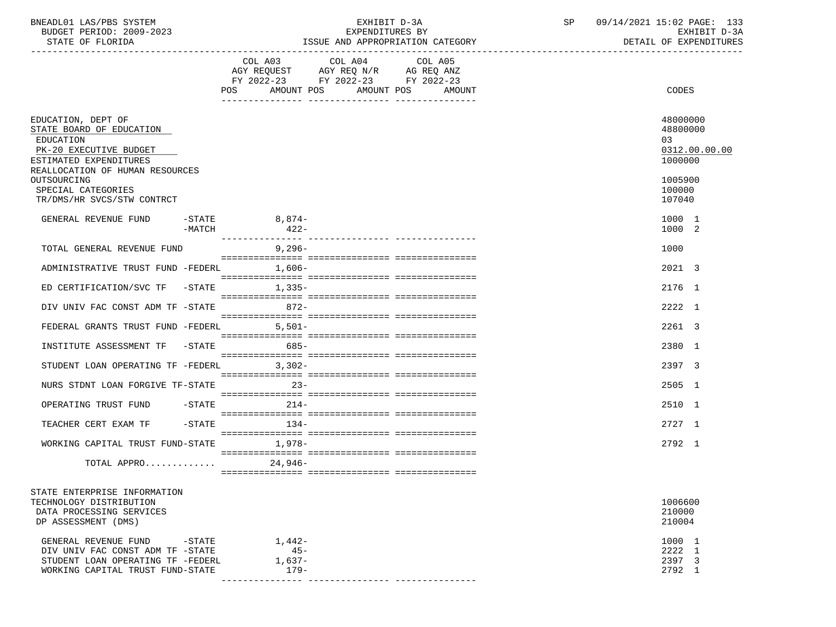| BNEADL01 LAS/PBS SYSTEM |                          |
|-------------------------|--------------------------|
|                         | BUDGET PERIOD: 2009-2023 |

| BNEADL01 LAS/PBS SYSTEM<br>BUDGET PERIOD: 2009-2023<br>STATE OF FLORIDA                                                                                                                                               |          |                              | EXHIBIT D-3A<br>EXPENDITURES BY<br>ISSUE AND APPROPRIATION CATEGORY                                                                   | SP | 09/14/2021 15:02 PAGE: 133<br>EXHIBIT D-3A<br>DETAIL OF EXPENDITURES                  |
|-----------------------------------------------------------------------------------------------------------------------------------------------------------------------------------------------------------------------|----------|------------------------------|---------------------------------------------------------------------------------------------------------------------------------------|----|---------------------------------------------------------------------------------------|
|                                                                                                                                                                                                                       |          |                              | COL A03 COL A04 COL A05<br>AGY REQUEST AGY REQ N/R AG REQ ANZ<br>FY 2022-23 FY 2022-23 FY 2022-23<br>POS AMOUNT POS AMOUNT POS AMOUNT |    | CODES                                                                                 |
| EDUCATION, DEPT OF<br>STATE BOARD OF EDUCATION<br>EDUCATION<br>PK-20 EXECUTIVE BUDGET<br>ESTIMATED EXPENDITURES<br>REALLOCATION OF HUMAN RESOURCES<br>OUTSOURCING<br>SPECIAL CATEGORIES<br>TR/DMS/HR SVCS/STW CONTRCT |          |                              |                                                                                                                                       |    | 48000000<br>48800000<br>03<br>0312.00.00.00<br>1000000<br>1005900<br>100000<br>107040 |
| GENERAL REVENUE FUND                                                                                                                                                                                                  | $-MATCH$ | -STATE 8,874-<br>-MATCH 422- |                                                                                                                                       |    | 1000 1<br>1000 2                                                                      |
| TOTAL GENERAL REVENUE FUND                                                                                                                                                                                            |          | 9,296-                       |                                                                                                                                       |    | 1000                                                                                  |
| ADMINISTRATIVE TRUST FUND -FEDERL 1,606-                                                                                                                                                                              |          |                              |                                                                                                                                       |    | 2021 3                                                                                |
| ED CERTIFICATION/SVC TF -STATE 1,335-                                                                                                                                                                                 |          |                              |                                                                                                                                       |    | 2176 1                                                                                |
| DIV UNIV FAC CONST ADM TF -STATE 672-                                                                                                                                                                                 |          |                              |                                                                                                                                       |    | 2222 1                                                                                |
| FEDERAL GRANTS TRUST FUND -FEDERL 5,501-                                                                                                                                                                              |          |                              |                                                                                                                                       |    | 2261 3                                                                                |
| INSTITUTE ASSESSMENT TF -STATE 685-                                                                                                                                                                                   |          |                              |                                                                                                                                       |    | 2380 1                                                                                |
| STUDENT LOAN OPERATING TF -FEDERL 3,302-                                                                                                                                                                              |          |                              |                                                                                                                                       |    | 2397 3                                                                                |
| NURS STDNT LOAN FORGIVE TF-STATE 23-                                                                                                                                                                                  |          |                              |                                                                                                                                       |    | 2505 1                                                                                |
| OPERATING TRUST FUND -STATE                                                                                                                                                                                           |          | $214-$                       |                                                                                                                                       |    | 2510 1                                                                                |
| TEACHER CERT EXAM TF                                                                                                                                                                                                  |          | $-$ STATE $134-$             |                                                                                                                                       |    | $2727$ 1                                                                              |
| WORKING CAPITAL TRUST FUND-STATE 1,978-                                                                                                                                                                               |          |                              |                                                                                                                                       |    | 2792 1                                                                                |
| TOTAL APPRO                                                                                                                                                                                                           |          | 24,946-                      |                                                                                                                                       |    |                                                                                       |
| CEASE EMERICATOR INFORMATION                                                                                                                                                                                          |          |                              |                                                                                                                                       |    |                                                                                       |

| STATE ENTERPRISE INFORMATION      |          |         |
|-----------------------------------|----------|---------|
| TECHNOLOGY DISTRIBUTION           |          | 1006600 |
| DATA PROCESSING SERVICES          |          | 210000  |
| DP ASSESSMENT (DMS)               |          | 210004  |
| GENERAL REVENUE FUND<br>-STATE    | 1,442-   | 1000 1  |
| DIV UNIV FAC CONST ADM TF -STATE  | $45 -$   | 2222 1  |
| STUDENT LOAN OPERATING TF -FEDERL | $1.637-$ | 2397 3  |
| WORKING CAPITAL TRUST FUND-STATE  | $179-$   | 2792 1  |
|                                   |          |         |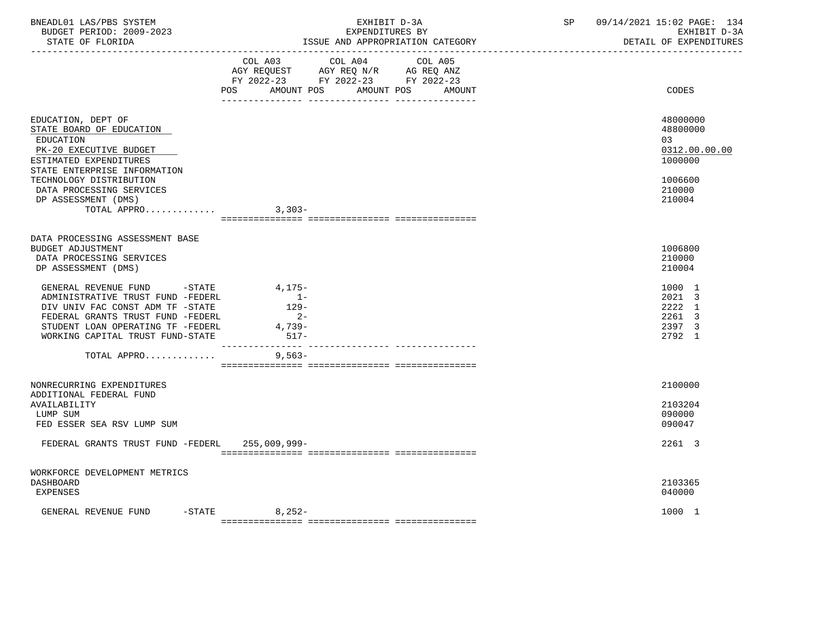| BNEADL01 LAS/PBS SYSTEM<br>BUDGET PERIOD: 2009-2023<br>STATE OF FLORIDA                                                                                                                                                                                                                                                                                    | EXHIBIT D-3A<br>EXPENDITURES BY<br>ISSUE AND APPROPRIATION CATEGORY                                                                         | 09/14/2021 15:02 PAGE: 134<br>SP<br>EXHIBIT D-3A<br>DETAIL OF EXPENDITURES              |
|------------------------------------------------------------------------------------------------------------------------------------------------------------------------------------------------------------------------------------------------------------------------------------------------------------------------------------------------------------|---------------------------------------------------------------------------------------------------------------------------------------------|-----------------------------------------------------------------------------------------|
|                                                                                                                                                                                                                                                                                                                                                            | COL A03 COL A04 COL A05<br>AGY REQUEST AGY REQ N/R AG REQ ANZ<br>FY 2022-23 FY 2022-23 FY 2022-23<br>POS<br>AMOUNT POS AMOUNT POS<br>AMOUNT | CODES                                                                                   |
| EDUCATION, DEPT OF<br>STATE BOARD OF EDUCATION<br>EDUCATION<br>PK-20 EXECUTIVE BUDGET<br>ESTIMATED EXPENDITURES<br>STATE ENTERPRISE INFORMATION<br>TECHNOLOGY DISTRIBUTION<br>DATA PROCESSING SERVICES                                                                                                                                                     |                                                                                                                                             | 48000000<br>48800000<br>03<br>0312.00.00.00<br>1000000<br>1006600<br>210000             |
| DP ASSESSMENT (DMS)<br>TOTAL APPRO                                                                                                                                                                                                                                                                                                                         | $3,303-$                                                                                                                                    | 210004                                                                                  |
| DATA PROCESSING ASSESSMENT BASE<br><b>BUDGET ADJUSTMENT</b><br>DATA PROCESSING SERVICES<br>DP ASSESSMENT (DMS)<br>GENERAL REVENUE FUND -STATE 4,175-<br>ADMINISTRATIVE TRUST FUND -FEDERL<br>DIV UNIV FAC CONST ADM TF -STATE<br>FEDERAL GRANTS TRUST FUND -FEDERL<br>STUDENT LOAN OPERATING TF -FEDERL<br>WORKING CAPITAL TRUST FUND-STATE<br>TOTAL APPRO | $1 -$<br>$129 -$<br>$2 -$<br>$4,739-$<br>517-<br>$9,563-$                                                                                   | 1006800<br>210000<br>210004<br>1000 1<br>2021 3<br>2222 1<br>2261 3<br>2397 3<br>2792 1 |
| NONRECURRING EXPENDITURES<br>ADDITIONAL FEDERAL FUND<br>AVAILABILITY<br>LUMP SUM<br>FED ESSER SEA RSV LUMP SUM                                                                                                                                                                                                                                             |                                                                                                                                             | 2100000<br>2103204<br>090000<br>090047                                                  |
| FEDERAL GRANTS TRUST FUND -FEDERL 255,009,999-                                                                                                                                                                                                                                                                                                             |                                                                                                                                             | 2261 3                                                                                  |
| WORKFORCE DEVELOPMENT METRICS<br><b>DASHBOARD</b><br><b>EXPENSES</b>                                                                                                                                                                                                                                                                                       |                                                                                                                                             | 2103365<br>040000                                                                       |
| GENERAL REVENUE FUND -STATE                                                                                                                                                                                                                                                                                                                                | $8,252-$                                                                                                                                    | 1000 1                                                                                  |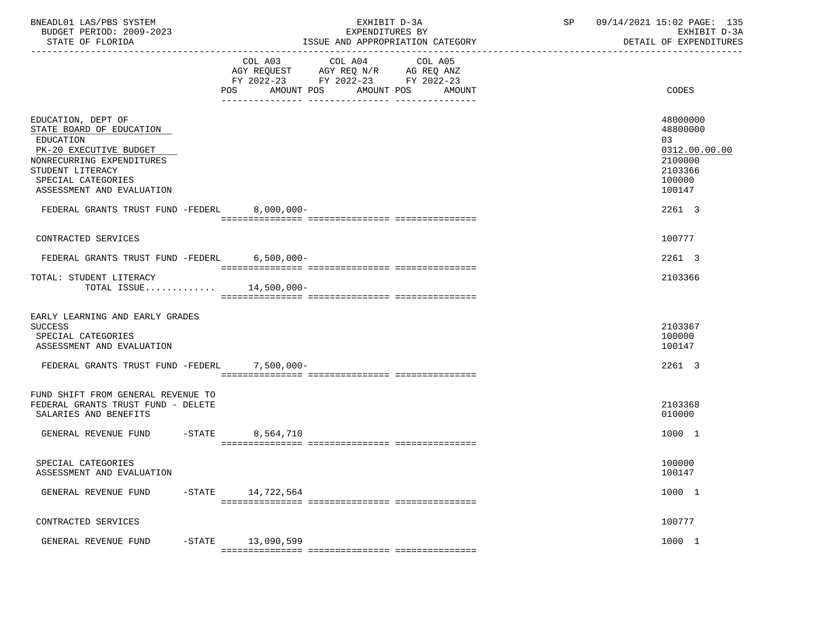| BNEADL01 LAS/PBS SYSTEM |                  |                          |  | EXHIBIT D-3A                     |
|-------------------------|------------------|--------------------------|--|----------------------------------|
|                         |                  | BUDGET PERIOD: 2009-2023 |  | EXPENDITURES BY                  |
|                         | STATE OF FLORIDA |                          |  | ISSUE AND APPROPRIATION CATEGORY |

|                                                                                                                                                                                           | COL A04 COL A05<br>COL A03<br>AGY REQUEST AGY REQ N/R AG REQ ANZ              |                                                                                       |
|-------------------------------------------------------------------------------------------------------------------------------------------------------------------------------------------|-------------------------------------------------------------------------------|---------------------------------------------------------------------------------------|
|                                                                                                                                                                                           | FY 2022-23 FY 2022-23 FY 2022-23<br>AMOUNT POS<br>AMOUNT POS<br>POS<br>AMOUNT | CODES                                                                                 |
| EDUCATION, DEPT OF<br>STATE BOARD OF EDUCATION<br>EDUCATION<br>PK-20 EXECUTIVE BUDGET<br>NONRECURRING EXPENDITURES<br>STUDENT LITERACY<br>SPECIAL CATEGORIES<br>ASSESSMENT AND EVALUATION |                                                                               | 48000000<br>48800000<br>03<br>0312.00.00.00<br>2100000<br>2103366<br>100000<br>100147 |
| FEDERAL GRANTS TRUST FUND -FEDERL 8,000,000-                                                                                                                                              |                                                                               | 2261 3                                                                                |
| CONTRACTED SERVICES                                                                                                                                                                       |                                                                               | 100777                                                                                |
| FEDERAL GRANTS TRUST FUND -FEDERL                                                                                                                                                         | $6,500,000 -$                                                                 | 2261 3                                                                                |
| TOTAL: STUDENT LITERACY<br>TOTAL ISSUE $14,500,000-$                                                                                                                                      |                                                                               | 2103366                                                                               |
| EARLY LEARNING AND EARLY GRADES<br><b>SUCCESS</b><br>SPECIAL CATEGORIES<br>ASSESSMENT AND EVALUATION                                                                                      |                                                                               | 2103367<br>100000<br>100147                                                           |
| FEDERAL GRANTS TRUST FUND -FEDERL                                                                                                                                                         | $7,500,000 -$                                                                 | 2261 3                                                                                |
| FUND SHIFT FROM GENERAL REVENUE TO<br>FEDERAL GRANTS TRUST FUND - DELETE<br>SALARIES AND BENEFITS                                                                                         |                                                                               | 2103368<br>010000                                                                     |
| GENERAL REVENUE FUND<br>$ STATE$                                                                                                                                                          | 8,564,710                                                                     | 1000 1                                                                                |
| SPECIAL CATEGORIES<br>ASSESSMENT AND EVALUATION                                                                                                                                           |                                                                               | 100000<br>100147                                                                      |
| GENERAL REVENUE FUND -STATE 14,722,564                                                                                                                                                    |                                                                               | 1000 1                                                                                |
| CONTRACTED SERVICES                                                                                                                                                                       |                                                                               | 100777                                                                                |
| GENERAL REVENUE FUND -STATE 13,090,599                                                                                                                                                    |                                                                               | 1000 1                                                                                |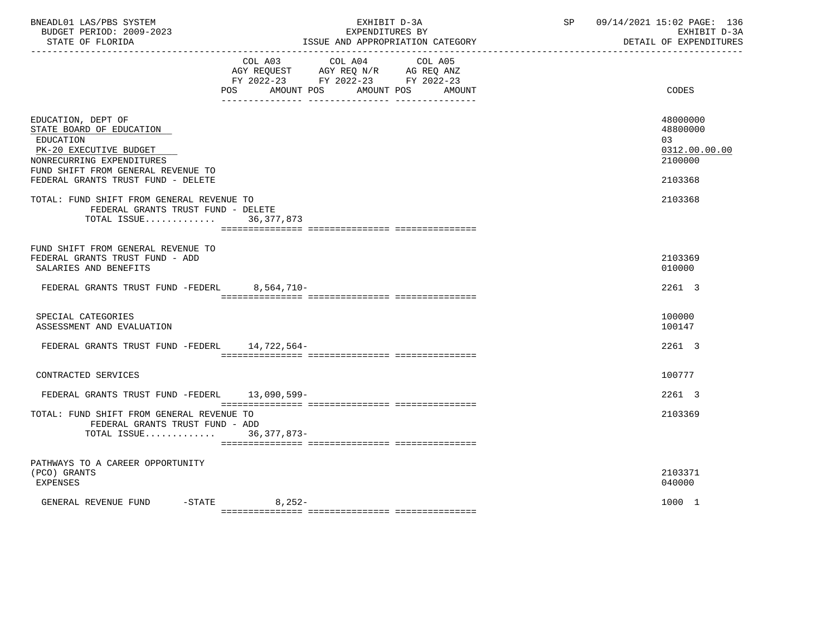| BNEADL01 LAS/PBS SYSTEM<br>BUDGET PERIOD: 2009-2023<br>STATE OF FLORIDA                                                                                                                        | EXHIBIT D-3A<br>EXPENDITURES BY<br>ISSUE AND APPROPRIATION CATEGORY                                                                                                               | SP and the set of the set of the set of the set of the set of the set of the set of the set of the set of the set of the set of the set of the set of the set of the set of the set of the set of the set of the set of the se<br>09/14/2021 15:02 PAGE: 136<br>EXHIBIT D-3A<br>DETAIL OF EXPENDITURES |
|------------------------------------------------------------------------------------------------------------------------------------------------------------------------------------------------|-----------------------------------------------------------------------------------------------------------------------------------------------------------------------------------|--------------------------------------------------------------------------------------------------------------------------------------------------------------------------------------------------------------------------------------------------------------------------------------------------------|
|                                                                                                                                                                                                | COL A03 COL A04 COL A05<br>AGY REQUEST AGY REQ N/R AG REQ ANZ<br>FY 2022-23 FY 2022-23 FY 2022-23<br>POS<br>AMOUNT POS<br>AMOUNT POS<br>AMOUNT<br>____ _______________ __________ | CODES                                                                                                                                                                                                                                                                                                  |
| EDUCATION, DEPT OF<br>STATE BOARD OF EDUCATION<br>EDUCATION<br>PK-20 EXECUTIVE BUDGET<br>NONRECURRING EXPENDITURES<br>FUND SHIFT FROM GENERAL REVENUE TO<br>FEDERAL GRANTS TRUST FUND - DELETE |                                                                                                                                                                                   | 48000000<br>48800000<br>03<br>0312.00.00.00<br>2100000<br>2103368                                                                                                                                                                                                                                      |
| TOTAL: FUND SHIFT FROM GENERAL REVENUE TO<br>FEDERAL GRANTS TRUST FUND - DELETE<br>TOTAL ISSUE 36,377,873                                                                                      |                                                                                                                                                                                   | 2103368                                                                                                                                                                                                                                                                                                |
| FUND SHIFT FROM GENERAL REVENUE TO<br>FEDERAL GRANTS TRUST FUND - ADD<br>SALARIES AND BENEFITS                                                                                                 |                                                                                                                                                                                   | 2103369<br>010000                                                                                                                                                                                                                                                                                      |
| FEDERAL GRANTS TRUST FUND -FEDERL 8,564,710-                                                                                                                                                   |                                                                                                                                                                                   | 2261 3                                                                                                                                                                                                                                                                                                 |
| SPECIAL CATEGORIES<br>ASSESSMENT AND EVALUATION                                                                                                                                                |                                                                                                                                                                                   | 100000<br>100147                                                                                                                                                                                                                                                                                       |
| FEDERAL GRANTS TRUST FUND -FEDERL                                                                                                                                                              | 14,722,564-                                                                                                                                                                       | 2261 3                                                                                                                                                                                                                                                                                                 |
| CONTRACTED SERVICES                                                                                                                                                                            |                                                                                                                                                                                   | 100777                                                                                                                                                                                                                                                                                                 |
| FEDERAL GRANTS TRUST FUND -FEDERL 13,090,599-                                                                                                                                                  |                                                                                                                                                                                   | 2261 3                                                                                                                                                                                                                                                                                                 |
| TOTAL: FUND SHIFT FROM GENERAL REVENUE TO<br>FEDERAL GRANTS TRUST FUND - ADD<br>TOTAL ISSUE 36,377,873-                                                                                        |                                                                                                                                                                                   | 2103369                                                                                                                                                                                                                                                                                                |
| PATHWAYS TO A CAREER OPPORTUNITY<br>(PCO) GRANTS<br>EXPENSES                                                                                                                                   |                                                                                                                                                                                   | 2103371<br>040000                                                                                                                                                                                                                                                                                      |
| GENERAL REVENUE FUND                                                                                                                                                                           | $-STATE$ 8, 252-                                                                                                                                                                  | 1000 1                                                                                                                                                                                                                                                                                                 |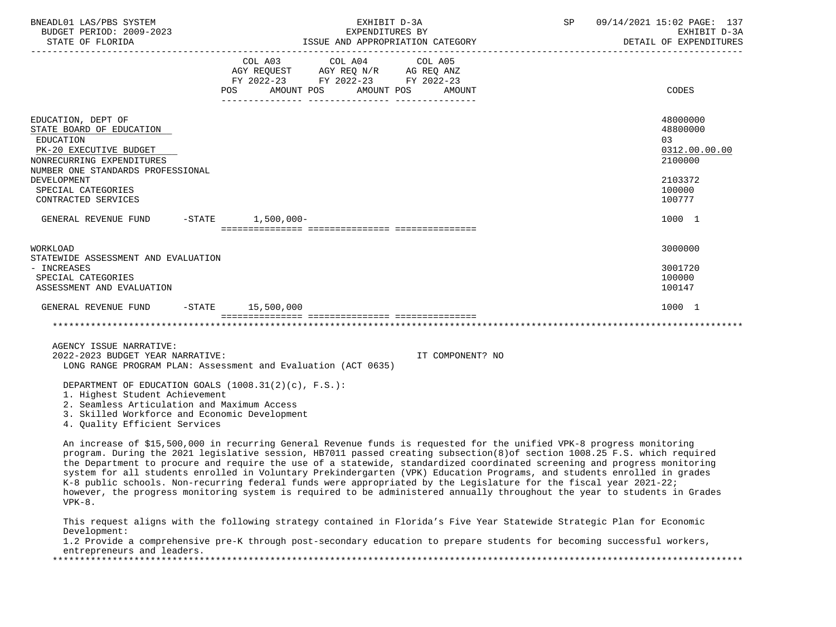| BNEADL01 LAS/PBS SYSTEM<br>BUDGET PERIOD: 2009-2023                                                                                                                                                                     |                                                                                                                                | EXHIBIT D-3A<br>EXPENDITURES BY | SP | 09/14/2021 15:02 PAGE: 137<br>EXHIBIT D-3A<br>DETAIL OF EXPENDITURES                   |
|-------------------------------------------------------------------------------------------------------------------------------------------------------------------------------------------------------------------------|--------------------------------------------------------------------------------------------------------------------------------|---------------------------------|----|----------------------------------------------------------------------------------------|
|                                                                                                                                                                                                                         | COL A03 COL A04 COL A05<br>AGY REQUEST AGY REQ N/R AG REQ ANZ<br>FY 2022-23 FY 2022-23 FY 2022-23<br>POS AMOUNT POS AMOUNT POS | AMOUNT                          |    | CODES                                                                                  |
| EDUCATION, DEPT OF<br>STATE BOARD OF EDUCATION<br>EDUCATION<br>PK-20 EXECUTIVE BUDGET<br>NONRECURRING EXPENDITURES<br>NUMBER ONE STANDARDS PROFESSIONAL<br>DEVELOPMENT<br>SPECIAL CATEGORIES<br>CONTRACTED SERVICES     |                                                                                                                                |                                 |    | 48000000<br>48800000<br>0.3<br>0312.00.00.00<br>2100000<br>2103372<br>100000<br>100777 |
| GENERAL REVENUE FUND -STATE 1,500,000-                                                                                                                                                                                  |                                                                                                                                |                                 |    | 1000 1                                                                                 |
| WORKLOAD<br>STATEWIDE ASSESSMENT AND EVALUATION<br>- INCREASES<br>SPECIAL CATEGORIES<br>ASSESSMENT AND EVALUATION                                                                                                       |                                                                                                                                |                                 |    | 3000000<br>3001720<br>100000<br>100147                                                 |
| GENERAL REVENUE FUND -STATE 15,500,000                                                                                                                                                                                  |                                                                                                                                |                                 |    | 1000 1                                                                                 |
|                                                                                                                                                                                                                         |                                                                                                                                |                                 |    |                                                                                        |
| AGENCY ISSUE NARRATIVE:<br>2022-2023 BUDGET YEAR NARRATIVE:                                                                                                                                                             | LONG RANGE PROGRAM PLAN: Assessment and Evaluation (ACT 0635)                                                                  | IT COMPONENT? NO                |    |                                                                                        |
| DEPARTMENT OF EDUCATION GOALS (1008.31(2)(c), F.S.):<br>1. Highest Student Achievement<br>2. Seamless Articulation and Maximum Access<br>3. Skilled Workforce and Economic Development<br>4. Quality Efficient Services |                                                                                                                                |                                 |    |                                                                                        |

 An increase of \$15,500,000 in recurring General Revenue funds is requested for the unified VPK-8 progress monitoring program. During the 2021 legislative session, HB7011 passed creating subsection(8)of section 1008.25 F.S. which required the Department to procure and require the use of a statewide, standardized coordinated screening and progress monitoring system for all students enrolled in Voluntary Prekindergarten (VPK) Education Programs, and students enrolled in grades  $K-8$  public schools. Non-recurring federal funds were appropriated by the Legislature for the fiscal year 2021-22; however, the progress monitoring system is required to be administered annually throughout the year to students in Grades VPK-8.

 This request aligns with the following strategy contained in Florida's Five Year Statewide Strategic Plan for Economic Development:

 1.2 Provide a comprehensive pre-K through post-secondary education to prepare students for becoming successful workers, entrepreneurs and leaders. \*\*\*\*\*\*\*\*\*\*\*\*\*\*\*\*\*\*\*\*\*\*\*\*\*\*\*\*\*\*\*\*\*\*\*\*\*\*\*\*\*\*\*\*\*\*\*\*\*\*\*\*\*\*\*\*\*\*\*\*\*\*\*\*\*\*\*\*\*\*\*\*\*\*\*\*\*\*\*\*\*\*\*\*\*\*\*\*\*\*\*\*\*\*\*\*\*\*\*\*\*\*\*\*\*\*\*\*\*\*\*\*\*\*\*\*\*\*\*\*\*\*\*\*\*\*\*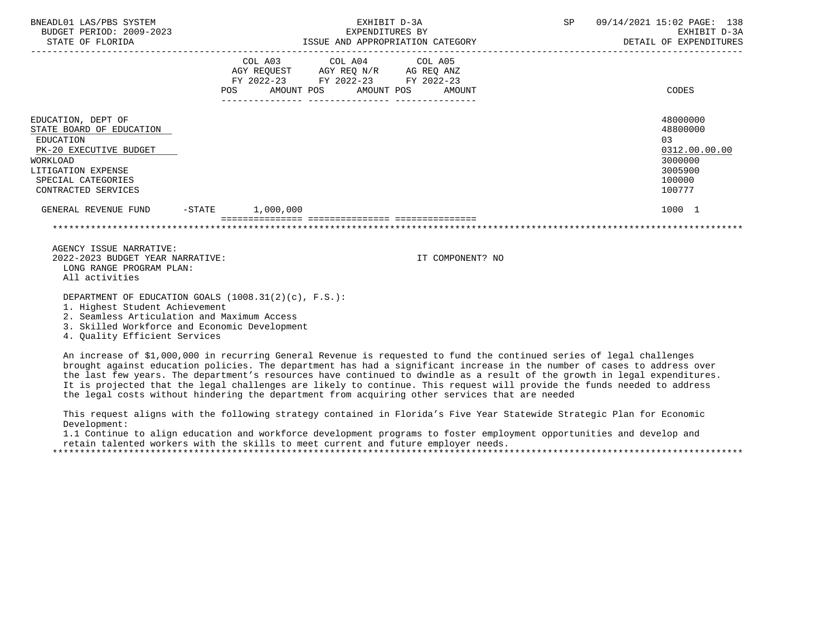| BNEADL01 LAS/PBS SYSTEM<br>BUDGET PERIOD: 2009-2023<br>STATE OF FLORIDA                                                                                              |     | EXHIBIT D-3A<br>EXPENDITURES BY<br>ISSUE AND APPROPRIATION CATEGORY                                                                                                                                                     |  |                       | SP               | 09/14/2021 15:02 PAGE: 138<br>EXHIBIT D-3A<br>DETAIL OF EXPENDITURES |                                                                                       |
|----------------------------------------------------------------------------------------------------------------------------------------------------------------------|-----|-------------------------------------------------------------------------------------------------------------------------------------------------------------------------------------------------------------------------|--|-----------------------|------------------|----------------------------------------------------------------------|---------------------------------------------------------------------------------------|
|                                                                                                                                                                      | POS | COL A03 COL A04 COL A05<br>$\begin{tabular}{lllllll} AGY & \texttt{REQUEST} & \texttt{AGY} & \texttt{REG} & \texttt{N/R} & \texttt{AG} & \texttt{REQ} & \texttt{ANZ} \end{tabular}$<br>FY 2022-23 FY 2022-23 FY 2022-23 |  | AMOUNT POS AMOUNT POS | AMOUNT           |                                                                      | CODES                                                                                 |
| EDUCATION, DEPT OF<br>STATE BOARD OF EDUCATION<br>EDUCATION<br>PK-20 EXECUTIVE BUDGET<br>WORKLOAD<br>LITIGATION EXPENSE<br>SPECIAL CATEGORIES<br>CONTRACTED SERVICES |     |                                                                                                                                                                                                                         |  |                       |                  |                                                                      | 48000000<br>48800000<br>03<br>0312.00.00.00<br>3000000<br>3005900<br>100000<br>100777 |
| GENERAL REVENUE FUND -STATE 1,000,000                                                                                                                                |     |                                                                                                                                                                                                                         |  |                       |                  |                                                                      | 1000 1                                                                                |
|                                                                                                                                                                      |     |                                                                                                                                                                                                                         |  |                       |                  |                                                                      |                                                                                       |
| AGENCY ISSUE NARRATIVE:<br>2022-2023 BUDGET YEAR NARRATIVE:<br>LONG RANGE PROGRAM PLAN:<br>All activities                                                            |     |                                                                                                                                                                                                                         |  |                       | IT COMPONENT? NO |                                                                      |                                                                                       |

DEPARTMENT OF EDUCATION GOALS (1008.31(2)(c), F.S.):

1. Highest Student Achievement

2. Seamless Articulation and Maximum Access

3. Skilled Workforce and Economic Development

4. Quality Efficient Services

 An increase of \$1,000,000 in recurring General Revenue is requested to fund the continued series of legal challenges brought against education policies. The department has had a significant increase in the number of cases to address over the last few years. The department's resources have continued to dwindle as a result of the growth in legal expenditures. It is projected that the legal challenges are likely to continue. This request will provide the funds needed to address the legal costs without hindering the department from acquiring other services that are needed

 This request aligns with the following strategy contained in Florida's Five Year Statewide Strategic Plan for Economic Development:

 1.1 Continue to align education and workforce development programs to foster employment opportunities and develop and retain talented workers with the skills to meet current and future employer needs.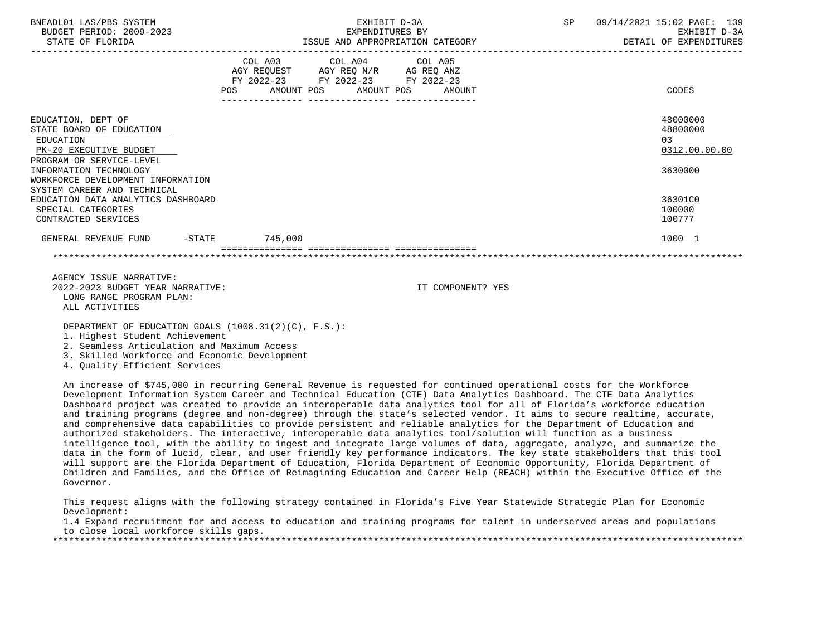| BNEADL01 LAS/PBS SYSTEM<br>BUDGET PERIOD: 2009-2023<br>STATE OF FLORIDA                                                                                                                                         |     | EXHIBIT D-3A<br>EXPENDITURES BY<br>ISSUE AND APPROPRIATION CATEGORY                                                        | SP                | 09/14/2021 15:02 PAGE: 139<br>EXHIBIT D-3A<br>DETAIL OF EXPENDITURES |                                                        |
|-----------------------------------------------------------------------------------------------------------------------------------------------------------------------------------------------------------------|-----|----------------------------------------------------------------------------------------------------------------------------|-------------------|----------------------------------------------------------------------|--------------------------------------------------------|
|                                                                                                                                                                                                                 | POS | COL A03 COL A04 COL A05<br>AGY REQUEST AGY REQ N/R AG REQ ANZ<br>FY 2022-23 FY 2022-23 FY 2022-23<br>AMOUNT POS AMOUNT POS | AMOUNT            |                                                                      | CODES                                                  |
| EDUCATION, DEPT OF<br>STATE BOARD OF EDUCATION<br>EDUCATION<br>PK-20 EXECUTIVE BUDGET<br>PROGRAM OR SERVICE-LEVEL<br>INFORMATION TECHNOLOGY<br>WORKFORCE DEVELOPMENT INFORMATION<br>SYSTEM CAREER AND TECHNICAL |     |                                                                                                                            |                   |                                                                      | 48000000<br>48800000<br>03<br>0312.00.00.00<br>3630000 |
| EDUCATION DATA ANALYTICS DASHBOARD<br>SPECIAL CATEGORIES<br>CONTRACTED SERVICES                                                                                                                                 |     |                                                                                                                            |                   |                                                                      | 36301C0<br>100000<br>100777                            |
| GENERAL REVENUE FUND -STATE 745,000                                                                                                                                                                             |     |                                                                                                                            |                   |                                                                      | 1000 1                                                 |
|                                                                                                                                                                                                                 |     |                                                                                                                            |                   |                                                                      |                                                        |
| AGENCY ISSUE NARRATIVE:<br>2022-2023 BUDGET YEAR NARRATIVE:<br>LONG RANGE PROGRAM PLAN:<br>ALL ACTIVITIES                                                                                                       |     |                                                                                                                            | IT COMPONENT? YES |                                                                      |                                                        |
| DEPARTMENT OF EDUCATION GOALS (1008.31(2)(C), F.S.):<br>1. Highest Student Achievement<br>2 Coomlogg Articulation and Maximum Aggoog                                                                            |     |                                                                                                                            |                   |                                                                      |                                                        |

2. Seamless Articulation and Maximum Access

3. Skilled Workforce and Economic Development

4. Quality Efficient Services

 An increase of \$745,000 in recurring General Revenue is requested for continued operational costs for the Workforce Development Information System Career and Technical Education (CTE) Data Analytics Dashboard. The CTE Data Analytics Dashboard project was created to provide an interoperable data analytics tool for all of Florida's workforce education and training programs (degree and non-degree) through the state's selected vendor. It aims to secure realtime, accurate, and comprehensive data capabilities to provide persistent and reliable analytics for the Department of Education and authorized stakeholders. The interactive, interoperable data analytics tool/solution will function as a business intelligence tool, with the ability to ingest and integrate large volumes of data, aggregate, analyze, and summarize the data in the form of lucid, clear, and user friendly key performance indicators. The key state stakeholders that this tool will support are the Florida Department of Education, Florida Department of Economic Opportunity, Florida Department of Children and Families, and the Office of Reimagining Education and Career Help (REACH) within the Executive Office of the Governor.

 This request aligns with the following strategy contained in Florida's Five Year Statewide Strategic Plan for Economic Development:

 1.4 Expand recruitment for and access to education and training programs for talent in underserved areas and populations to close local workforce skills gaps.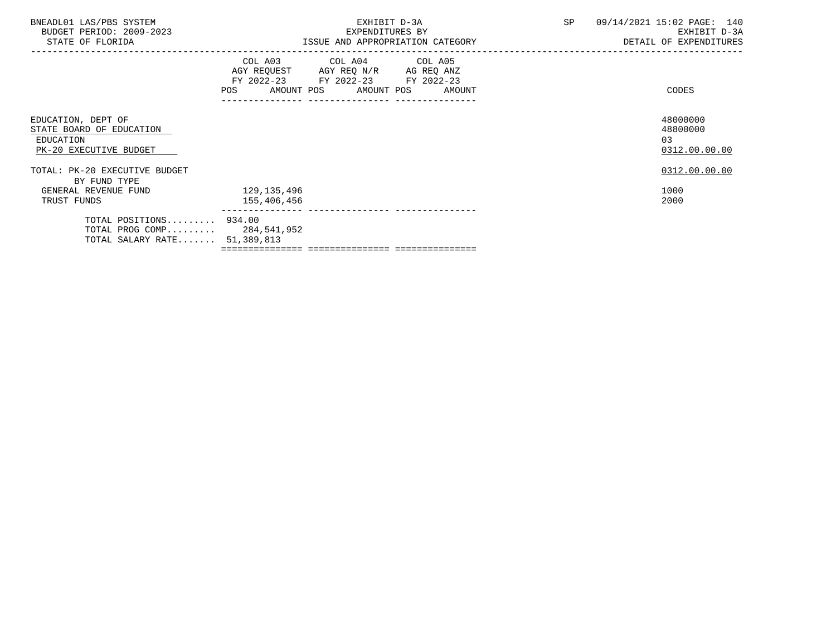|                                                                                       | EXHIBIT D-3A<br>EXPENDITURES BY | SP                                | 09/14/2021 15:02 PAGE: 140<br>EXHIBIT D-3A<br>DETAIL OF EXPENDITURES                                                                                                      |
|---------------------------------------------------------------------------------------|---------------------------------|-----------------------------------|---------------------------------------------------------------------------------------------------------------------------------------------------------------------------|
|                                                                                       |                                 |                                   | CODES                                                                                                                                                                     |
|                                                                                       |                                 |                                   | 48000000<br>48800000<br>0.3<br>0312.00.00.00                                                                                                                              |
|                                                                                       |                                 |                                   | 0312.00.00.00                                                                                                                                                             |
| 129,135,496<br>155,406,456                                                            |                                 |                                   | 1000<br>2000                                                                                                                                                              |
| TOTAL POSITIONS 934.00<br>TOTAL PROG COMP 284,541,952<br>TOTAL SALARY RATE 51,389,813 |                                 |                                   |                                                                                                                                                                           |
|                                                                                       |                                 | ---------------- ---------------- | ISSUE AND APPROPRIATION CATEGORY<br>COL A03 COL A04 COL A05<br>AGY REQUEST AGY REQ N/R AG REQ ANZ<br>FY 2022-23 FY 2022-23 FY 2022-23<br>POS AMOUNT POS AMOUNT POS AMOUNT |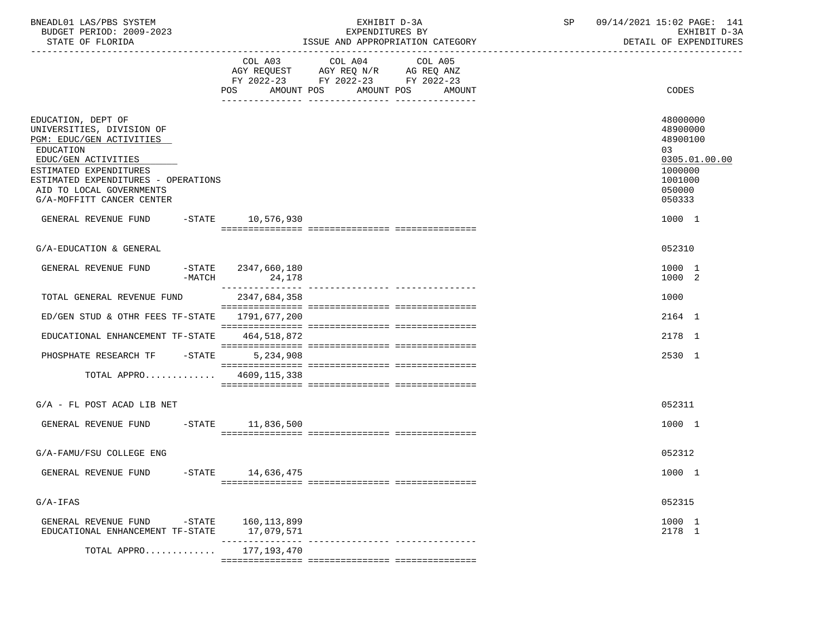| BNEADL01 LAS/PBS SYSTEM<br>BUDGET PERIOD: 2009-2023<br>STATE OF FLORIDA                                                                                                                                                                   |                               | EXHIBIT D-3A<br>EXPENDITURES BY<br>ISSUE AND APPROPRIATION CATEGORY                                                          | SP 09/14/2021 15:02 PAGE: 141<br>EXHIBIT D-3A<br>DETAIL OF EXPENDITURES                           |
|-------------------------------------------------------------------------------------------------------------------------------------------------------------------------------------------------------------------------------------------|-------------------------------|------------------------------------------------------------------------------------------------------------------------------|---------------------------------------------------------------------------------------------------|
|                                                                                                                                                                                                                                           | AMOUNT POS<br>POS             | COL A03 COL A04<br>COL A05<br>AGY REQUEST AGY REQ N/R AG REQ ANZ<br>FY 2022-23 FY 2022-23 FY 2022-23<br>AMOUNT POS<br>AMOUNT | CODES                                                                                             |
| EDUCATION, DEPT OF<br>UNIVERSITIES, DIVISION OF<br>PGM: EDUC/GEN ACTIVITIES<br>EDUCATION<br>EDUC/GEN ACTIVITIES<br>ESTIMATED EXPENDITURES<br>ESTIMATED EXPENDITURES - OPERATIONS<br>AID TO LOCAL GOVERNMENTS<br>G/A-MOFFITT CANCER CENTER |                               |                                                                                                                              | 48000000<br>48900000<br>48900100<br>03<br>0305.01.00.00<br>1000000<br>1001000<br>050000<br>050333 |
| GENERAL REVENUE FUND -STATE 10,576,930                                                                                                                                                                                                    |                               |                                                                                                                              | 1000 1                                                                                            |
| G/A-EDUCATION & GENERAL                                                                                                                                                                                                                   |                               |                                                                                                                              | 052310                                                                                            |
| GENERAL REVENUE FUND<br>-MATCH                                                                                                                                                                                                            | -STATE 2347,660,180<br>24,178 |                                                                                                                              | 1000 1<br>1000 2                                                                                  |
| TOTAL GENERAL REVENUE FUND                                                                                                                                                                                                                | 2347,684,358                  |                                                                                                                              | 1000                                                                                              |
| ED/GEN STUD & OTHR FEES TF-STATE 1791,677,200                                                                                                                                                                                             |                               |                                                                                                                              | 2164 1                                                                                            |
| EDUCATIONAL ENHANCEMENT TF-STATE                                                                                                                                                                                                          | 464,518,872                   |                                                                                                                              | 2178 1                                                                                            |
| PHOSPHATE RESEARCH TF -STATE                                                                                                                                                                                                              | 5,234,908                     |                                                                                                                              | 2530 1                                                                                            |
| TOTAL APPRO $4609, 115, 338$                                                                                                                                                                                                              |                               |                                                                                                                              |                                                                                                   |
| $G/A$ - FL POST ACAD LIB NET                                                                                                                                                                                                              |                               |                                                                                                                              | 052311                                                                                            |
| GENERAL REVENUE FUND -STATE 11,836,500                                                                                                                                                                                                    |                               |                                                                                                                              | 1000 1                                                                                            |
| G/A-FAMU/FSU COLLEGE ENG                                                                                                                                                                                                                  |                               |                                                                                                                              | 052312                                                                                            |
| GENERAL REVENUE FUND<br>$-$ STATE                                                                                                                                                                                                         | 14,636,475                    |                                                                                                                              | 1000 1                                                                                            |
| $G/A-IFAS$                                                                                                                                                                                                                                |                               |                                                                                                                              | 052315                                                                                            |
| GENERAL REVENUE FUND<br>$-$ STATE<br>EDUCATIONAL ENHANCEMENT TF-STATE                                                                                                                                                                     | 160,113,899<br>17,079,571     |                                                                                                                              | 1000 1<br>2178 1                                                                                  |
| TOTAL APPRO                                                                                                                                                                                                                               | 177, 193, 470                 |                                                                                                                              |                                                                                                   |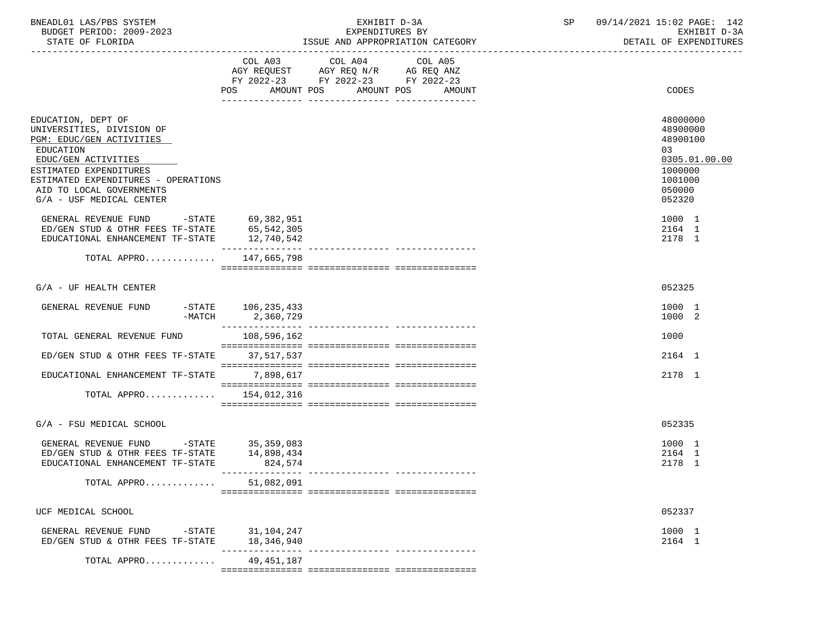| BNEADL01 LAS/PBS SYSTEM |                  |                          | EXHIBIT D-3A                     |  |
|-------------------------|------------------|--------------------------|----------------------------------|--|
|                         |                  | BUDGET PERIOD: 2009-2023 | EXPENDITURES BY                  |  |
|                         | STATE OF FLORIDA |                          | ISSUE AND APPROPRIATION CATEGORY |  |

|                                                                                                                                                                                                                                          | COL A03<br>AMOUNT POS<br><b>POS</b> | COL A04<br>$\begin{tabular}{lllllll} AGY & \texttt{REQUEST} & \texttt{AGY REQ} & \texttt{N/R} & \texttt{AG REQ} & \texttt{ANZ} \end{tabular}$<br>FY 2022-23 FY 2022-23 FY 2022-23 | COL A05<br>AMOUNT POS<br>AMOUNT | CODES                                                                                             |
|------------------------------------------------------------------------------------------------------------------------------------------------------------------------------------------------------------------------------------------|-------------------------------------|-----------------------------------------------------------------------------------------------------------------------------------------------------------------------------------|---------------------------------|---------------------------------------------------------------------------------------------------|
| EDUCATION, DEPT OF<br>UNIVERSITIES, DIVISION OF<br>PGM: EDUC/GEN ACTIVITIES<br>EDUCATION<br>EDUC/GEN ACTIVITIES<br>ESTIMATED EXPENDITURES<br>ESTIMATED EXPENDITURES - OPERATIONS<br>AID TO LOCAL GOVERNMENTS<br>G/A - USF MEDICAL CENTER |                                     |                                                                                                                                                                                   |                                 | 48000000<br>48900000<br>48900100<br>03<br>0305.01.00.00<br>1000000<br>1001000<br>050000<br>052320 |
| GENERAL REVENUE FUND -STATE 69,382,951<br>ED/GEN STUD & OTHR FEES TF-STATE 65,542,305<br>EDUCATIONAL ENHANCEMENT TF-STATE                                                                                                                | 12,740,542                          |                                                                                                                                                                                   |                                 | 1000 1<br>2164 1<br>2178 1                                                                        |
| TOTAL APPRO                                                                                                                                                                                                                              | 147,665,798                         |                                                                                                                                                                                   |                                 |                                                                                                   |
| $G/A$ - UF HEALTH CENTER                                                                                                                                                                                                                 |                                     |                                                                                                                                                                                   |                                 | 052325                                                                                            |
| $-\mathtt{STATE}$<br>GENERAL REVENUE FUND<br>$-MATCH$                                                                                                                                                                                    | 106,235,433<br>2,360,729            |                                                                                                                                                                                   |                                 | 1000 1<br>1000 2                                                                                  |
| TOTAL GENERAL REVENUE FUND                                                                                                                                                                                                               | 108,596,162                         |                                                                                                                                                                                   |                                 | 1000                                                                                              |
| ED/GEN STUD & OTHR FEES TF-STATE                                                                                                                                                                                                         | 37,517,537                          |                                                                                                                                                                                   |                                 | 2164 1                                                                                            |
| EDUCATIONAL ENHANCEMENT TF-STATE                                                                                                                                                                                                         | 7,898,617                           |                                                                                                                                                                                   |                                 | 2178 1                                                                                            |
| TOTAL APPRO $154,012,316$                                                                                                                                                                                                                |                                     |                                                                                                                                                                                   |                                 |                                                                                                   |
| G/A - FSU MEDICAL SCHOOL                                                                                                                                                                                                                 |                                     |                                                                                                                                                                                   |                                 | 052335                                                                                            |
| GENERAL REVENUE FUND -STATE 35,359,083<br>ED/GEN STUD & OTHR FEES TF-STATE 14,898,434<br>EDUCATIONAL ENHANCEMENT TF-STATE                                                                                                                | 824,574<br>________________         |                                                                                                                                                                                   |                                 | 1000 1<br>2164 1<br>2178 1                                                                        |
| TOTAL APPRO                                                                                                                                                                                                                              | 51,082,091                          |                                                                                                                                                                                   |                                 |                                                                                                   |
| UCF MEDICAL SCHOOL                                                                                                                                                                                                                       |                                     |                                                                                                                                                                                   |                                 | 052337                                                                                            |
| GENERAL REVENUE FUND -STATE 31,104,247<br>$ED/GEN$ STUD & OTHR FEES TF-STATE $18,346,940$                                                                                                                                                |                                     |                                                                                                                                                                                   |                                 | 1000 1<br>2164 1                                                                                  |
| TOTAL APPRO                                                                                                                                                                                                                              | 49,451,187                          |                                                                                                                                                                                   |                                 |                                                                                                   |

 $=$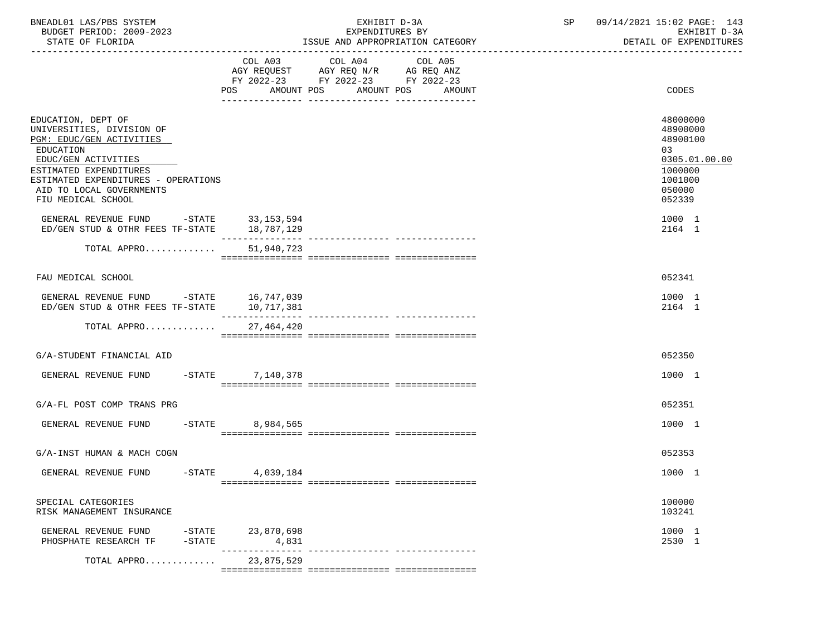| BNEADL01 LAS/PBS SYSTEM<br>BUDGET PERIOD: 2009-2023<br>STATE OF FLORIDA                                                                                                                                                            |                     | EXHIBIT D-3A<br>EXPENDITURES BY<br>ISSUE AND APPROPRIATION CATEGORY                                                       | ------------------------------ | SP 09/14/2021 15:02 PAGE: 143<br>EXHIBIT D-3A<br>DETAIL OF EXPENDITURES                           |  |
|------------------------------------------------------------------------------------------------------------------------------------------------------------------------------------------------------------------------------------|---------------------|---------------------------------------------------------------------------------------------------------------------------|--------------------------------|---------------------------------------------------------------------------------------------------|--|
|                                                                                                                                                                                                                                    | AMOUNT POS<br>POS   | COL A03 COL A04<br>COL A05<br>AGY REQUEST AGY REQ N/R AG REQ ANZ<br>FY 2022-23 FY 2022-23 FY 2022-23<br>AMOUNT POS AMOUNT |                                | CODES                                                                                             |  |
| EDUCATION, DEPT OF<br>UNIVERSITIES, DIVISION OF<br>PGM: EDUC/GEN ACTIVITIES<br>EDUCATION<br>EDUC/GEN ACTIVITIES<br>ESTIMATED EXPENDITURES<br>ESTIMATED EXPENDITURES - OPERATIONS<br>AID TO LOCAL GOVERNMENTS<br>FIU MEDICAL SCHOOL |                     |                                                                                                                           |                                | 48000000<br>48900000<br>48900100<br>03<br>0305.01.00.00<br>1000000<br>1001000<br>050000<br>052339 |  |
| GENERAL REVENUE FUND -STATE 33,153,594<br>ED/GEN STUD & OTHR FEES TF-STATE 18,787,129                                                                                                                                              |                     |                                                                                                                           |                                | 1000 1<br>2164 1                                                                                  |  |
| TOTAL APPRO                                                                                                                                                                                                                        | 51,940,723          |                                                                                                                           |                                |                                                                                                   |  |
| FAU MEDICAL SCHOOL                                                                                                                                                                                                                 |                     |                                                                                                                           |                                | 052341                                                                                            |  |
| GENERAL REVENUE FUND -STATE 16,747,039<br>ED/GEN STUD & OTHR FEES TF-STATE 10,717,381                                                                                                                                              |                     |                                                                                                                           |                                | 1000 1<br>2164 1                                                                                  |  |
| TOTAL APPRO 27,464,420                                                                                                                                                                                                             |                     |                                                                                                                           |                                |                                                                                                   |  |
| G/A-STUDENT FINANCIAL AID                                                                                                                                                                                                          |                     |                                                                                                                           |                                | 052350                                                                                            |  |
| GENERAL REVENUE FUND                                                                                                                                                                                                               | -STATE 7, 140, 378  |                                                                                                                           |                                | 1000 1                                                                                            |  |
| G/A-FL POST COMP TRANS PRG                                                                                                                                                                                                         |                     |                                                                                                                           |                                | 052351                                                                                            |  |
| GENERAL REVENUE FUND<br>$-$ STATE                                                                                                                                                                                                  | 8,984,565           |                                                                                                                           |                                | 1000 1                                                                                            |  |
| G/A-INST HUMAN & MACH COGN                                                                                                                                                                                                         |                     |                                                                                                                           |                                | 052353                                                                                            |  |
| GENERAL REVENUE FUND<br>$-$ STATE                                                                                                                                                                                                  | 4,039,184           |                                                                                                                           |                                | 1000 1                                                                                            |  |
| SPECIAL CATEGORIES<br>RISK MANAGEMENT INSURANCE                                                                                                                                                                                    |                     |                                                                                                                           |                                | 100000<br>103241                                                                                  |  |
| GENERAL REVENUE FUND<br>$-$ STATE<br>PHOSPHATE RESEARCH TF<br>$-$ STATE                                                                                                                                                            | 23,870,698<br>4,831 |                                                                                                                           |                                | 1000 1<br>2530 1                                                                                  |  |
| TOTAL APPRO                                                                                                                                                                                                                        | 23,875,529          |                                                                                                                           |                                |                                                                                                   |  |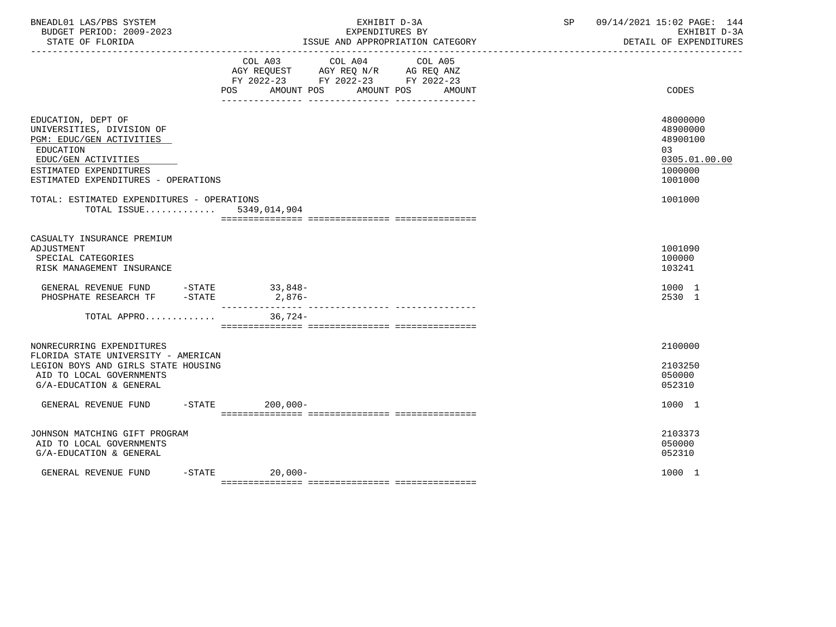| BNEADL01 LAS/PBS SYSTEM<br>BUDGET PERIOD: 2009-2023<br>STATE OF FLORIDA                                                                                                          |                  | EXHIBIT D-3A<br>EXPENDITURES BY<br>ISSUE AND APPROPRIATION CATEGORY<br>_________________________________ | SP | 09/14/2021 15:02 PAGE: 144<br>EXHIBIT D-3A<br>DETAIL OF EXPENDITURES          |
|----------------------------------------------------------------------------------------------------------------------------------------------------------------------------------|------------------|----------------------------------------------------------------------------------------------------------|----|-------------------------------------------------------------------------------|
|                                                                                                                                                                                  |                  | COL A03 COL A04 COL A05<br>FY 2022-23 FY 2022-23 FY 2022-23<br>POS AMOUNT POS AMOUNT POS<br>AMOUNT       |    | CODES                                                                         |
| EDUCATION, DEPT OF<br>UNIVERSITIES, DIVISION OF<br>PGM: EDUC/GEN ACTIVITIES<br>EDUCATION<br>EDUC/GEN ACTIVITIES<br>ESTIMATED EXPENDITURES<br>ESTIMATED EXPENDITURES - OPERATIONS |                  |                                                                                                          |    | 48000000<br>48900000<br>48900100<br>03<br>0305.01.00.00<br>1000000<br>1001000 |
| TOTAL: ESTIMATED EXPENDITURES - OPERATIONS<br>TOTAL ISSUE 5349,014,904                                                                                                           |                  |                                                                                                          |    | 1001000                                                                       |
| CASUALTY INSURANCE PREMIUM<br>ADJUSTMENT<br>SPECIAL CATEGORIES<br>RISK MANAGEMENT INSURANCE                                                                                      |                  |                                                                                                          |    | 1001090<br>100000<br>103241                                                   |
| GENERAL REVENUE FUND -STATE 33,848-<br>PHOSPHATE RESEARCH TF -STATE 2,876-                                                                                                       |                  |                                                                                                          |    | 1000 1<br>2530 1                                                              |
| TOTAL APPRO 36,724-                                                                                                                                                              |                  |                                                                                                          |    |                                                                               |
| NONRECURRING EXPENDITURES<br>FLORIDA STATE UNIVERSITY - AMERICAN<br>LEGION BOYS AND GIRLS STATE HOUSING<br>AID TO LOCAL GOVERNMENTS<br>G/A-EDUCATION & GENERAL                   |                  |                                                                                                          |    | 2100000<br>2103250<br>050000<br>052310                                        |
| GENERAL REVENUE FUND -STATE 200,000-                                                                                                                                             |                  |                                                                                                          |    | 1000 1                                                                        |
| JOHNSON MATCHING GIFT PROGRAM<br>AID TO LOCAL GOVERNMENTS<br>G/A-EDUCATION & GENERAL                                                                                             |                  |                                                                                                          |    | 2103373<br>050000<br>052310                                                   |
| GENERAL REVENUE FUND                                                                                                                                                             | $-STATE$ 20,000- |                                                                                                          |    | 1000 1                                                                        |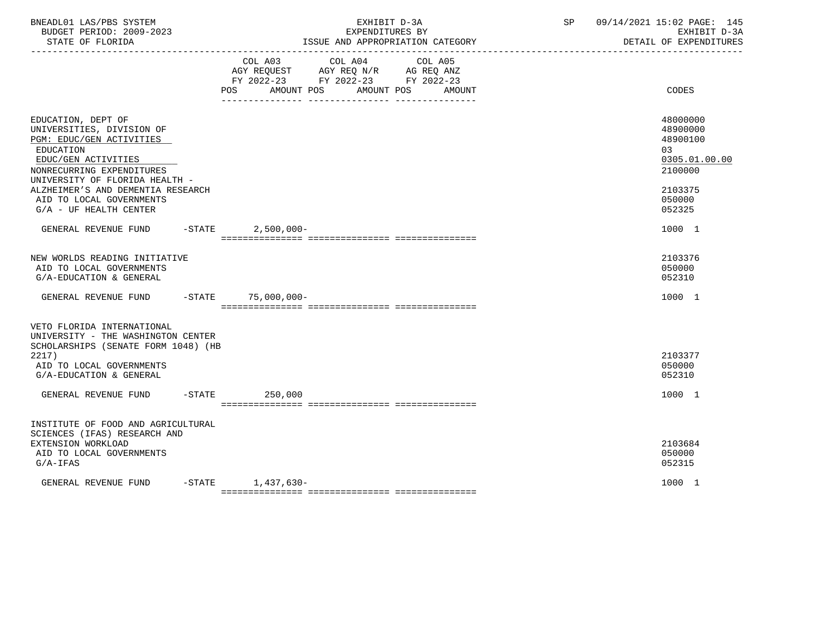| BNEADL01 LAS/PBS SYSTEM<br>BUDGET PERIOD: 2009-2023<br>STATE OF FLORIDA<br>------------------                                                                                  | EXHIBIT D-3A<br>EXPENDITURES BY<br>ISSUE AND APPROPRIATION CATEGORY                                                                      | 09/14/2021 15:02 PAGE: 145<br>SP<br>EXHIBIT D-3A<br>DETAIL OF EXPENDITURES |
|--------------------------------------------------------------------------------------------------------------------------------------------------------------------------------|------------------------------------------------------------------------------------------------------------------------------------------|----------------------------------------------------------------------------|
|                                                                                                                                                                                | COL A03 COL A04 COL A05<br>AGY REQUEST AGY REQ N/R AG REQ ANZ<br>FY 2022-23 FY 2022-23 FY 2022-23<br>POS AMOUNT POS AMOUNT POS<br>AMOUNT | CODES                                                                      |
| EDUCATION, DEPT OF<br>UNIVERSITIES, DIVISION OF<br>PGM: EDUC/GEN ACTIVITIES<br>EDUCATION<br>EDUC/GEN ACTIVITIES<br>NONRECURRING EXPENDITURES<br>UNIVERSITY OF FLORIDA HEALTH - |                                                                                                                                          | 48000000<br>48900000<br>48900100<br>03<br>0305.01.00.00<br>2100000         |
| ALZHEIMER'S AND DEMENTIA RESEARCH<br>AID TO LOCAL GOVERNMENTS<br>$G/A$ - UF HEALTH CENTER                                                                                      |                                                                                                                                          | 2103375<br>050000<br>052325                                                |
| GENERAL REVENUE FUND -STATE 2,500,000-                                                                                                                                         |                                                                                                                                          | 1000 1                                                                     |
| NEW WORLDS READING INITIATIVE<br>AID TO LOCAL GOVERNMENTS<br>G/A-EDUCATION & GENERAL                                                                                           |                                                                                                                                          | 2103376<br>050000<br>052310                                                |
| GENERAL REVENUE FUND -STATE                                                                                                                                                    | 75,000,000-                                                                                                                              | 1000 1                                                                     |
| VETO FLORIDA INTERNATIONAL<br>UNIVERSITY - THE WASHINGTON CENTER<br>SCHOLARSHIPS (SENATE FORM 1048) (HB<br>2217<br>AID TO LOCAL GOVERNMENTS<br>G/A-EDUCATION & GENERAL         |                                                                                                                                          | 2103377<br>050000<br>052310                                                |
| GENERAL REVENUE FUND                                                                                                                                                           | $-$ STATE 250,000                                                                                                                        | 1000 1                                                                     |
| INSTITUTE OF FOOD AND AGRICULTURAL<br>SCIENCES (IFAS) RESEARCH AND<br>EXTENSION WORKLOAD<br>AID TO LOCAL GOVERNMENTS<br>$G/A-IFAS$                                             |                                                                                                                                          | 2103684<br>050000<br>052315                                                |
| GENERAL REVENUE FUND                                                                                                                                                           | $-STATE$ 1, 437, 630-                                                                                                                    | 1000 1                                                                     |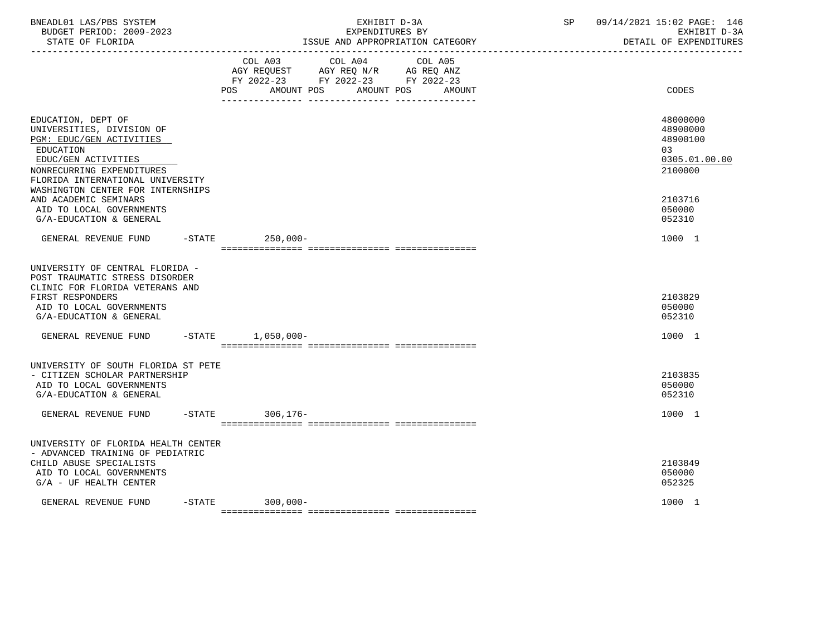| BNEADL01 LAS/PBS SYSTEM<br>BUDGET PERIOD: 2009-2023<br>STATE OF FLORIDA                                                                                                                                               | EXHIBIT D-3A<br>EXPENDITURES BY<br>ISSUE AND APPROPRIATION CATEGORY                                                                   | 09/14/2021 15:02 PAGE: 146<br>SP<br>EXHIBIT D-3A<br>DETAIL OF EXPENDITURES |
|-----------------------------------------------------------------------------------------------------------------------------------------------------------------------------------------------------------------------|---------------------------------------------------------------------------------------------------------------------------------------|----------------------------------------------------------------------------|
|                                                                                                                                                                                                                       | COL A03 COL A04 COL A05<br>AGY REQUEST AGY REQ N/R AG REQ ANZ<br>FY 2022-23 FY 2022-23 FY 2022-23<br>POS AMOUNT POS AMOUNT POS AMOUNT | CODES                                                                      |
| EDUCATION, DEPT OF<br>UNIVERSITIES, DIVISION OF<br>PGM: EDUC/GEN ACTIVITIES<br>EDUCATION<br>EDUC/GEN ACTIVITIES<br>NONRECURRING EXPENDITURES<br>FLORIDA INTERNATIONAL UNIVERSITY<br>WASHINGTON CENTER FOR INTERNSHIPS |                                                                                                                                       | 48000000<br>48900000<br>48900100<br>03<br>0305.01.00.00<br>2100000         |
| AND ACADEMIC SEMINARS<br>AID TO LOCAL GOVERNMENTS<br>G/A-EDUCATION & GENERAL                                                                                                                                          |                                                                                                                                       | 2103716<br>050000<br>052310                                                |
| GENERAL REVENUE FUND                                                                                                                                                                                                  | -STATE 250,000-                                                                                                                       | 1000 1                                                                     |
| UNIVERSITY OF CENTRAL FLORIDA -<br>POST TRAUMATIC STRESS DISORDER<br>CLINIC FOR FLORIDA VETERANS AND<br>FIRST RESPONDERS<br>AID TO LOCAL GOVERNMENTS<br>G/A-EDUCATION & GENERAL                                       |                                                                                                                                       | 2103829<br>050000<br>052310                                                |
| GENERAL REVENUE FUND -STATE                                                                                                                                                                                           | $1,050,000-$                                                                                                                          | 1000 1                                                                     |
| UNIVERSITY OF SOUTH FLORIDA ST PETE<br>- CITIZEN SCHOLAR PARTNERSHIP<br>AID TO LOCAL GOVERNMENTS<br>G/A-EDUCATION & GENERAL                                                                                           |                                                                                                                                       | 2103835<br>050000<br>052310                                                |
| GENERAL REVENUE FUND -STATE 306,176-                                                                                                                                                                                  |                                                                                                                                       | 1000 1                                                                     |
| UNIVERSITY OF FLORIDA HEALTH CENTER<br>- ADVANCED TRAINING OF PEDIATRIC<br>CHILD ABUSE SPECIALISTS<br>AID TO LOCAL GOVERNMENTS<br>$G/A$ - UF HEALTH CENTER                                                            |                                                                                                                                       | 2103849<br>050000<br>052325                                                |
| GENERAL REVENUE FUND                                                                                                                                                                                                  | $-STATE$ 300,000-                                                                                                                     | 1000 1                                                                     |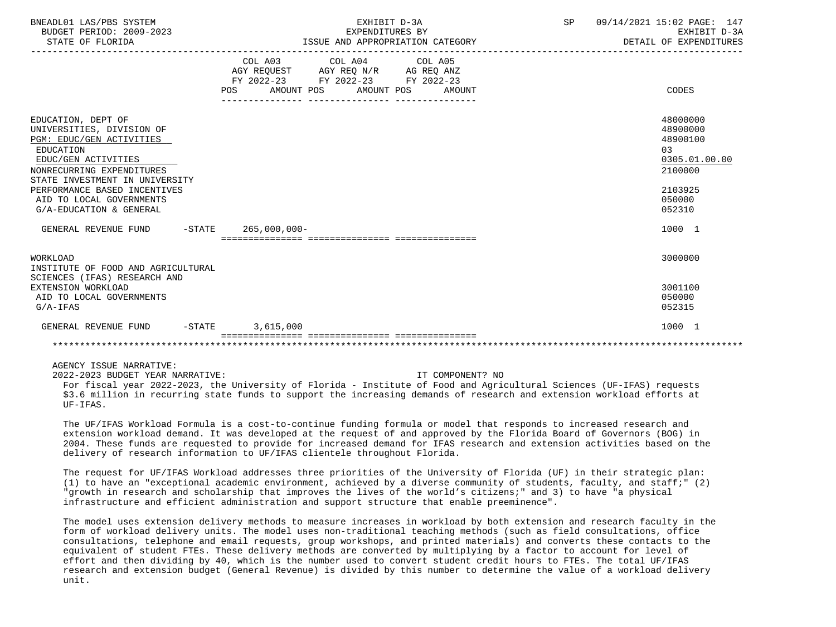| BNEADL01 LAS/PBS SYSTEM<br>BUDGET PERIOD: 2009-2023<br>STATE OF FLORIDA                                                                                                                                                                                               | EXHIBIT D-3A<br>EXPENDITURES BY<br>ISSUE AND APPROPRIATION CATEGORY                                                                                     | SP | 09/14/2021 15:02 PAGE: 147<br>EXHIBIT D-3A<br>DETAIL OF EXPENDITURES                               |
|-----------------------------------------------------------------------------------------------------------------------------------------------------------------------------------------------------------------------------------------------------------------------|---------------------------------------------------------------------------------------------------------------------------------------------------------|----|----------------------------------------------------------------------------------------------------|
|                                                                                                                                                                                                                                                                       | COL A03 COL A04 COL A05<br>AGY REQUEST AGY REQ $N/R$ AG REQ ANZ<br>FY 2022-23 FY 2022-23 FY 2022-23<br><b>POS</b><br>AMOUNT POS<br>AMOUNT POS<br>AMOUNT |    | CODES                                                                                              |
| EDUCATION, DEPT OF<br>UNIVERSITIES, DIVISION OF<br>PGM: EDUC/GEN ACTIVITIES<br>EDUCATION<br>EDUC/GEN ACTIVITIES<br>NONRECURRING EXPENDITURES<br>STATE INVESTMENT IN UNIVERSITY<br>PERFORMANCE BASED INCENTIVES<br>AID TO LOCAL GOVERNMENTS<br>G/A-EDUCATION & GENERAL |                                                                                                                                                         |    | 48000000<br>48900000<br>48900100<br>0.3<br>0305.01.00.00<br>2100000<br>2103925<br>050000<br>052310 |
| GENERAL REVENUE FUND -STATE 265,000,000-                                                                                                                                                                                                                              |                                                                                                                                                         |    | 1000 1                                                                                             |
| WORKLOAD<br>INSTITUTE OF FOOD AND AGRICULTURAL<br>SCIENCES (IFAS) RESEARCH AND                                                                                                                                                                                        |                                                                                                                                                         |    | 3000000                                                                                            |
| EXTENSION WORKLOAD<br>AID TO LOCAL GOVERNMENTS<br>$G/A-IFAS$                                                                                                                                                                                                          |                                                                                                                                                         |    | 3001100<br>050000<br>052315                                                                        |
| GENERAL REVENUE FUND                                                                                                                                                                                                                                                  | $-$ STATE<br>3,615,000                                                                                                                                  |    | 1000 1                                                                                             |
|                                                                                                                                                                                                                                                                       |                                                                                                                                                         |    |                                                                                                    |

2022-2023 BUDGET YEAR NARRATIVE: IT COMPONENT? NO

 For fiscal year 2022-2023, the University of Florida - Institute of Food and Agricultural Sciences (UF-IFAS) requests \$3.6 million in recurring state funds to support the increasing demands of research and extension workload efforts at UF-IFAS.

 The UF/IFAS Workload Formula is a cost-to-continue funding formula or model that responds to increased research and extension workload demand. It was developed at the request of and approved by the Florida Board of Governors (BOG) in 2004. These funds are requested to provide for increased demand for IFAS research and extension activities based on the delivery of research information to UF/IFAS clientele throughout Florida.

 The request for UF/IFAS Workload addresses three priorities of the University of Florida (UF) in their strategic plan: (1) to have an "exceptional academic environment, achieved by a diverse community of students, faculty, and staff;" (2) "growth in research and scholarship that improves the lives of the world's citizens;" and 3) to have "a physical infrastructure and efficient administration and support structure that enable preeminence".

 The model uses extension delivery methods to measure increases in workload by both extension and research faculty in the form of workload delivery units. The model uses non-traditional teaching methods (such as field consultations, office consultations, telephone and email requests, group workshops, and printed materials) and converts these contacts to the equivalent of student FTEs. These delivery methods are converted by multiplying by a factor to account for level of effort and then dividing by 40, which is the number used to convert student credit hours to FTEs. The total UF/IFAS research and extension budget (General Revenue) is divided by this number to determine the value of a workload delivery unit.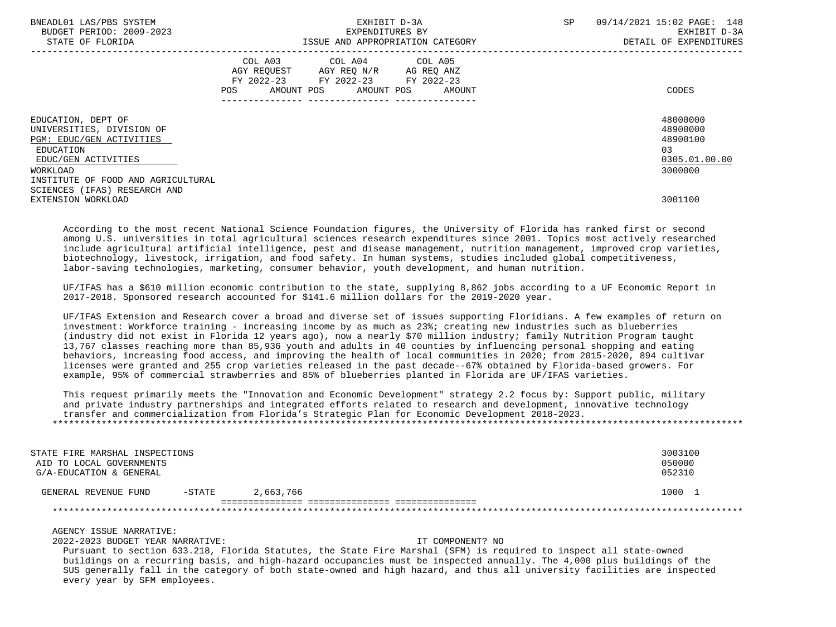| BNEADL01 LAS/PBS SYSTEM<br>BUDGET PERIOD: 2009-2023<br>STATE OF FLORIDA                                                                                           | EXHIBIT D-3A<br>EXPENDITURES BY<br>ISSUE AND APPROPRIATION CATEGORY |                                                                                                                            |        | <b>SP</b> | 09/14/2021 15:02 PAGE: 148<br>EXHIBIT D-3A<br>DETAIL OF EXPENDITURES |
|-------------------------------------------------------------------------------------------------------------------------------------------------------------------|---------------------------------------------------------------------|----------------------------------------------------------------------------------------------------------------------------|--------|-----------|----------------------------------------------------------------------|
|                                                                                                                                                                   | POS                                                                 | COL A03 COL A04 COL A05<br>AGY REQUEST AGY REQ N/R AG REQ ANZ<br>FY 2022-23 FY 2022-23 FY 2022-23<br>AMOUNT POS AMOUNT POS | AMOUNT |           | CODES                                                                |
| EDUCATION, DEPT OF<br>UNIVERSITIES, DIVISION OF<br>PGM: EDUC/GEN ACTIVITIES<br>EDUCATION<br>EDUC/GEN ACTIVITIES<br>WORKLOAD<br>INSTITUTE OF FOOD AND AGRICULTURAL |                                                                     |                                                                                                                            |        |           | 48000000<br>48900000<br>48900100<br>03<br>0305.01.00.00<br>3000000   |
| SCIENCES (IFAS) RESEARCH AND<br>EXTENSION WORKLOAD                                                                                                                |                                                                     |                                                                                                                            |        |           | 3001100                                                              |

 According to the most recent National Science Foundation figures, the University of Florida has ranked first or second among U.S. universities in total agricultural sciences research expenditures since 2001. Topics most actively researched include agricultural artificial intelligence, pest and disease management, nutrition management, improved crop varieties, biotechnology, livestock, irrigation, and food safety. In human systems, studies included global competitiveness, labor-saving technologies, marketing, consumer behavior, youth development, and human nutrition.

 UF/IFAS has a \$610 million economic contribution to the state, supplying 8,862 jobs according to a UF Economic Report in 2017-2018. Sponsored research accounted for \$141.6 million dollars for the 2019-2020 year.

 UF/IFAS Extension and Research cover a broad and diverse set of issues supporting Floridians. A few examples of return on investment: Workforce training - increasing income by as much as 23%; creating new industries such as blueberries (industry did not exist in Florida 12 years ago), now a nearly \$70 million industry; family Nutrition Program taught 13,767 classes reaching more than 85,936 youth and adults in 40 counties by influencing personal shopping and eating behaviors, increasing food access, and improving the health of local communities in 2020; from 2015-2020, 894 cultivar licenses were granted and 255 crop varieties released in the past decade--67% obtained by Florida-based growers. For example, 95% of commercial strawberries and 85% of blueberries planted in Florida are UF/IFAS varieties.

 This request primarily meets the "Innovation and Economic Development" strategy 2.2 focus by: Support public, military and private industry partnerships and integrated efforts related to research and development, innovative technology transfer and commercialization from Florida's Strategic Plan for Economic Development 2018-2023. \*\*\*\*\*\*\*\*\*\*\*\*\*\*\*\*\*\*\*\*\*\*\*\*\*\*\*\*\*\*\*\*\*\*\*\*\*\*\*\*\*\*\*\*\*\*\*\*\*\*\*\*\*\*\*\*\*\*\*\*\*\*\*\*\*\*\*\*\*\*\*\*\*\*\*\*\*\*\*\*\*\*\*\*\*\*\*\*\*\*\*\*\*\*\*\*\*\*\*\*\*\*\*\*\*\*\*\*\*\*\*\*\*\*\*\*\*\*\*\*\*\*\*\*\*\*\*

| STATE FIRE MARSHAL INSPECTIONS<br>AID TO LOCAL GOVERNMENTS<br>G/A-EDUCATION & GENERAL |          |           | 3003100<br>050000<br>052310 |
|---------------------------------------------------------------------------------------|----------|-----------|-----------------------------|
| GENERAL REVENUE FUND                                                                  | $-STATE$ | 2,663,766 | 1000                        |
|                                                                                       |          |           |                             |

AGENCY ISSUE NARRATIVE:

2022-2023 BUDGET YEAR NARRATIVE: IT COMPONENT? NO

 Pursuant to section 633.218, Florida Statutes, the State Fire Marshal (SFM) is required to inspect all state-owned buildings on a recurring basis, and high-hazard occupancies must be inspected annually. The 4,000 plus buildings of the SUS generally fall in the category of both state-owned and high hazard, and thus all university facilities are inspected every year by SFM employees.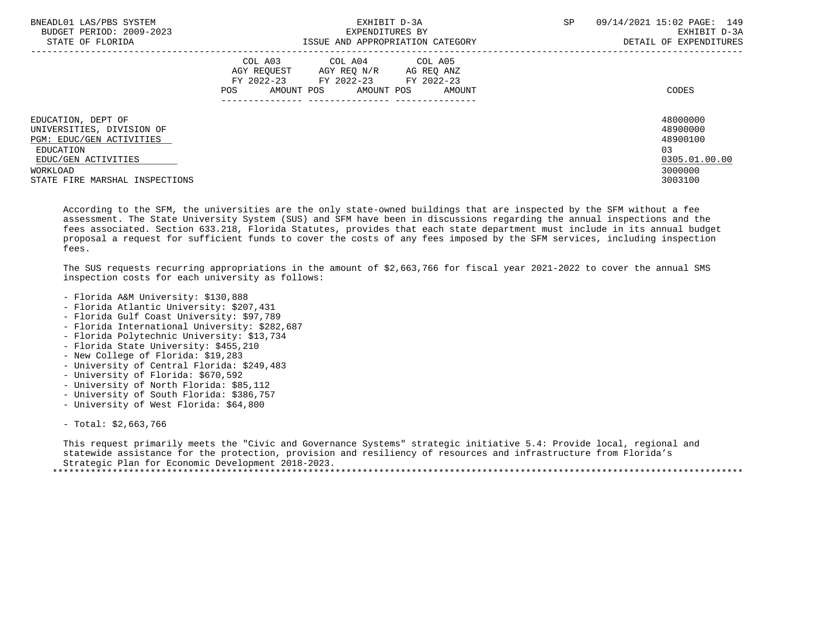| BNEADL01 LAS/PBS SYSTEM<br>BUDGET PERIOD: 2009-2023<br>STATE OF FLORIDA                                                                                       | EXHIBIT D-3A<br>EXPENDITURES BY<br>ISSUE AND APPROPRIATION CATEGORY                                                                               | 09/14/2021 15:02 PAGE: 149<br>SP<br>EXHIBIT D-3A<br>DETAIL OF EXPENDITURES                |
|---------------------------------------------------------------------------------------------------------------------------------------------------------------|---------------------------------------------------------------------------------------------------------------------------------------------------|-------------------------------------------------------------------------------------------|
|                                                                                                                                                               | COL A03 COL A04 COL A05<br>AGY REOUEST<br>AGY REQ N/R<br>AG REQ ANZ<br>FY 2022-23 FY 2022-23 FY 2022-23<br>AMOUNT POS AMOUNT POS<br>POS<br>AMOUNT | CODES                                                                                     |
| EDUCATION, DEPT OF<br>UNIVERSITIES, DIVISION OF<br>PGM: EDUC/GEN ACTIVITIES<br>EDUCATION<br>EDUC/GEN ACTIVITIES<br>WORKLOAD<br>STATE FIRE MARSHAL INSPECTIONS |                                                                                                                                                   | 48000000<br>48900000<br>48900100<br>0 <sub>3</sub><br>0305.01.00.00<br>3000000<br>3003100 |

 According to the SFM, the universities are the only state-owned buildings that are inspected by the SFM without a fee assessment. The State University System (SUS) and SFM have been in discussions regarding the annual inspections and the fees associated. Section 633.218, Florida Statutes, provides that each state department must include in its annual budget proposal a request for sufficient funds to cover the costs of any fees imposed by the SFM services, including inspection fees.

 The SUS requests recurring appropriations in the amount of \$2,663,766 for fiscal year 2021-2022 to cover the annual SMS inspection costs for each university as follows:

- Florida A&M University: \$130,888
- Florida Atlantic University: \$207,431
- Florida Gulf Coast University: \$97,789
- Florida International University: \$282,687
- Florida Polytechnic University: \$13,734
- Florida State University: \$455,210
- New College of Florida: \$19,283
- University of Central Florida: \$249,483
- University of Florida: \$670,592
- University of North Florida: \$85,112
- University of South Florida: \$386,757
- University of West Florida: \$64,800
- Total: \$2,663,766

 This request primarily meets the "Civic and Governance Systems" strategic initiative 5.4: Provide local, regional and statewide assistance for the protection, provision and resiliency of resources and infrastructure from Florida's Strategic Plan for Economic Development 2018-2023. \*\*\*\*\*\*\*\*\*\*\*\*\*\*\*\*\*\*\*\*\*\*\*\*\*\*\*\*\*\*\*\*\*\*\*\*\*\*\*\*\*\*\*\*\*\*\*\*\*\*\*\*\*\*\*\*\*\*\*\*\*\*\*\*\*\*\*\*\*\*\*\*\*\*\*\*\*\*\*\*\*\*\*\*\*\*\*\*\*\*\*\*\*\*\*\*\*\*\*\*\*\*\*\*\*\*\*\*\*\*\*\*\*\*\*\*\*\*\*\*\*\*\*\*\*\*\*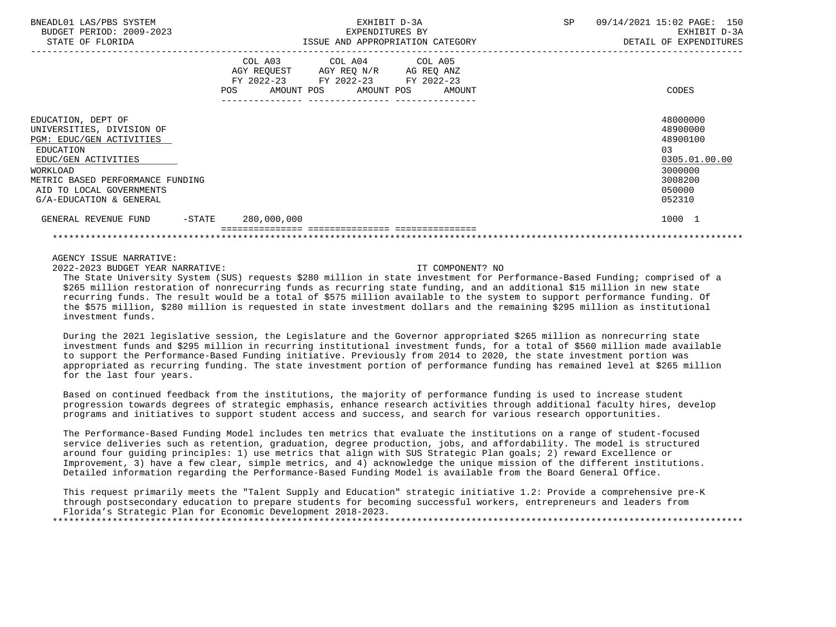| BNEADL01 LAS/PBS SYSTEM<br>BUDGET PERIOD: 2009-2023<br>STATE OF FLORIDA                                                                                                                                                | EXHIBIT D-3A<br>EXPENDITURES BY<br>ISSUE AND APPROPRIATION CATEGORY                                                                                | 09/14/2021 15:02 PAGE: 150<br>SP<br>EXHIBIT D-3A<br>DETAIL OF EXPENDITURES                         |
|------------------------------------------------------------------------------------------------------------------------------------------------------------------------------------------------------------------------|----------------------------------------------------------------------------------------------------------------------------------------------------|----------------------------------------------------------------------------------------------------|
|                                                                                                                                                                                                                        | COL A03 COL A04 COL A05<br>AGY REQUEST AGY REQ N/R AG REQ ANZ<br>FY 2022-23 FY 2022-23 FY 2022-23<br>AMOUNT POS AMOUNT POS<br><b>POS</b><br>AMOUNT | CODES                                                                                              |
| EDUCATION, DEPT OF<br>UNIVERSITIES, DIVISION OF<br>PGM: EDUC/GEN ACTIVITIES<br>EDUCATION<br>EDUC/GEN ACTIVITIES<br>WORKLOAD<br>METRIC BASED PERFORMANCE FUNDING<br>AID TO LOCAL GOVERNMENTS<br>G/A-EDUCATION & GENERAL |                                                                                                                                                    | 48000000<br>48900000<br>48900100<br>0.3<br>0305.01.00.00<br>3000000<br>3008200<br>050000<br>052310 |
| $-$ STATE<br>GENERAL REVENUE FUND                                                                                                                                                                                      | 280,000,000                                                                                                                                        | 1000 1                                                                                             |
|                                                                                                                                                                                                                        |                                                                                                                                                    |                                                                                                    |

2022-2023 BUDGET YEAR NARRATIVE: IT COMPONENT? NO

 The State University System (SUS) requests \$280 million in state investment for Performance-Based Funding; comprised of a \$265 million restoration of nonrecurring funds as recurring state funding, and an additional \$15 million in new state recurring funds. The result would be a total of \$575 million available to the system to support performance funding. Of the \$575 million, \$280 million is requested in state investment dollars and the remaining \$295 million as institutional investment funds.

 During the 2021 legislative session, the Legislature and the Governor appropriated \$265 million as nonrecurring state investment funds and \$295 million in recurring institutional investment funds, for a total of \$560 million made available to support the Performance-Based Funding initiative. Previously from 2014 to 2020, the state investment portion was appropriated as recurring funding. The state investment portion of performance funding has remained level at \$265 million for the last four years.

 Based on continued feedback from the institutions, the majority of performance funding is used to increase student progression towards degrees of strategic emphasis, enhance research activities through additional faculty hires, develop programs and initiatives to support student access and success, and search for various research opportunities.

 The Performance-Based Funding Model includes ten metrics that evaluate the institutions on a range of student-focused service deliveries such as retention, graduation, degree production, jobs, and affordability. The model is structured around four guiding principles: 1) use metrics that align with SUS Strategic Plan goals; 2) reward Excellence or Improvement, 3) have a few clear, simple metrics, and 4) acknowledge the unique mission of the different institutions. Detailed information regarding the Performance-Based Funding Model is available from the Board General Office.

 This request primarily meets the "Talent Supply and Education" strategic initiative 1.2: Provide a comprehensive pre-K through postsecondary education to prepare students for becoming successful workers, entrepreneurs and leaders from Florida's Strategic Plan for Economic Development 2018-2023.

\*\*\*\*\*\*\*\*\*\*\*\*\*\*\*\*\*\*\*\*\*\*\*\*\*\*\*\*\*\*\*\*\*\*\*\*\*\*\*\*\*\*\*\*\*\*\*\*\*\*\*\*\*\*\*\*\*\*\*\*\*\*\*\*\*\*\*\*\*\*\*\*\*\*\*\*\*\*\*\*\*\*\*\*\*\*\*\*\*\*\*\*\*\*\*\*\*\*\*\*\*\*\*\*\*\*\*\*\*\*\*\*\*\*\*\*\*\*\*\*\*\*\*\*\*\*\*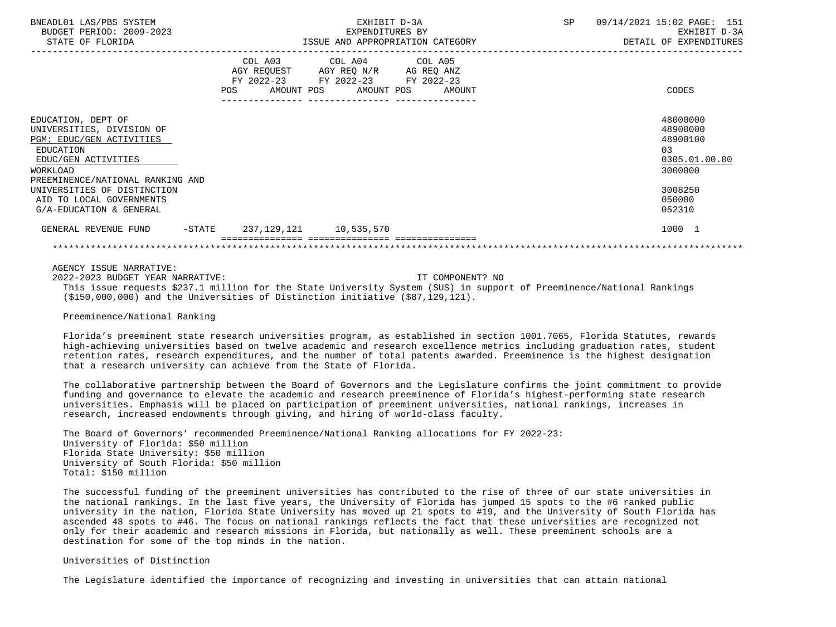| BNEADL01 LAS/PBS SYSTEM<br>BUDGET PERIOD: 2009-2023<br>STATE OF FLORIDA                                                                                         |  | EXPENDITURES BY                                                                                                                       | EXHIBIT D-3A | ISSUE AND APPROPRIATION CATEGORY | SP | 09/14/2021 15:02 PAGE: 151<br>EXHIBIT D-3A<br>DETAIL OF EXPENDITURES           |
|-----------------------------------------------------------------------------------------------------------------------------------------------------------------|--|---------------------------------------------------------------------------------------------------------------------------------------|--------------|----------------------------------|----|--------------------------------------------------------------------------------|
|                                                                                                                                                                 |  | COL A03 COL A04 COL A05<br>AGY REQUEST AGY REQ N/R AG REQ ANZ<br>FY 2022-23 FY 2022-23 FY 2022-23<br>POS AMOUNT POS AMOUNT POS AMOUNT |              |                                  |    | CODES                                                                          |
| EDUCATION, DEPT OF<br>UNIVERSITIES, DIVISION OF<br>PGM: EDUC/GEN ACTIVITIES<br>EDUCATION<br>EDUC/GEN ACTIVITIES<br>WORKLOAD<br>PREEMINENCE/NATIONAL RANKING AND |  |                                                                                                                                       |              |                                  |    | 48000000<br>48900000<br>48900100<br>0 <sub>3</sub><br>0305.01.00.00<br>3000000 |
| UNIVERSITIES OF DISTINCTION<br>AID TO LOCAL GOVERNMENTS<br>G/A-EDUCATION & GENERAL                                                                              |  |                                                                                                                                       |              |                                  |    | 3008250<br>050000<br>052310                                                    |
| GENERAL REVENUE FUND -STATE 237, 129, 121 10, 535, 570                                                                                                          |  |                                                                                                                                       |              |                                  |    | 1000 1                                                                         |
|                                                                                                                                                                 |  |                                                                                                                                       |              |                                  |    |                                                                                |

 2022-2023 BUDGET YEAR NARRATIVE: IT COMPONENT? NO This issue requests \$237.1 million for the State University System (SUS) in support of Preeminence/National Rankings (\$150,000,000) and the Universities of Distinction initiative (\$87,129,121).

Preeminence/National Ranking

 Florida's preeminent state research universities program, as established in section 1001.7065, Florida Statutes, rewards high-achieving universities based on twelve academic and research excellence metrics including graduation rates, student retention rates, research expenditures, and the number of total patents awarded. Preeminence is the highest designation that a research university can achieve from the State of Florida.

 The collaborative partnership between the Board of Governors and the Legislature confirms the joint commitment to provide funding and governance to elevate the academic and research preeminence of Florida's highest-performing state research universities. Emphasis will be placed on participation of preeminent universities, national rankings, increases in research, increased endowments through giving, and hiring of world-class faculty.

 The Board of Governors' recommended Preeminence/National Ranking allocations for FY 2022-23: University of Florida: \$50 million Florida State University: \$50 million University of South Florida: \$50 million Total: \$150 million

 The successful funding of the preeminent universities has contributed to the rise of three of our state universities in the national rankings. In the last five years, the University of Florida has jumped 15 spots to the #6 ranked public university in the nation, Florida State University has moved up 21 spots to #19, and the University of South Florida has ascended 48 spots to #46. The focus on national rankings reflects the fact that these universities are recognized not only for their academic and research missions in Florida, but nationally as well. These preeminent schools are a destination for some of the top minds in the nation.

Universities of Distinction

The Legislature identified the importance of recognizing and investing in universities that can attain national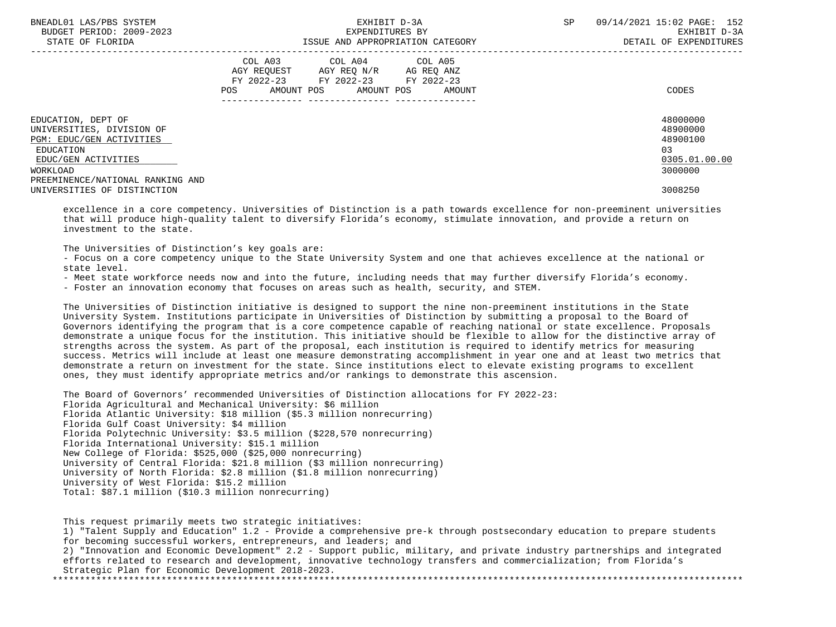| BNEADL01 LAS/PBS SYSTEM<br>BUDGET PERIOD: 2009-2023<br>STATE OF FLORIDA | EXHIBIT D-3A<br>EXPENDITURES BY<br>ISSUE AND APPROPRIATION CATEGORY                                                                            | 09/14/2021 15:02 PAGE: 152<br><b>SP</b><br>EXHIBIT D-3A<br>DETAIL OF EXPENDITURES |
|-------------------------------------------------------------------------|------------------------------------------------------------------------------------------------------------------------------------------------|-----------------------------------------------------------------------------------|
|                                                                         | COL A03 COL A04 COL A05<br>AGY REOUEST AGY REO N/R<br>AG REQ ANZ<br>FY 2022-23 FY 2022-23 FY 2022-23<br>AMOUNT POS AMOUNT POS<br>POS<br>AMOUNT | CODES                                                                             |
| EDUCATION, DEPT OF<br>UNIVERSITIES, DIVISION OF                         |                                                                                                                                                | 48000000<br>48900000                                                              |
| PGM: EDUC/GEN ACTIVITIES                                                |                                                                                                                                                | 48900100                                                                          |
| EDUCATION                                                               |                                                                                                                                                | 03                                                                                |
| EDUC/GEN ACTIVITIES<br>WORKLOAD<br>PREEMINENCE/NATIONAL RANKING AND     |                                                                                                                                                | 0305.01.00.00<br>3000000                                                          |
| UNIVERSITIES OF DISTINCTION                                             |                                                                                                                                                | 3008250                                                                           |

 excellence in a core competency. Universities of Distinction is a path towards excellence for non-preeminent universities that will produce high-quality talent to diversify Florida's economy, stimulate innovation, and provide a return on investment to the state.

The Universities of Distinction's key goals are:

 - Focus on a core competency unique to the State University System and one that achieves excellence at the national or state level.

- Meet state workforce needs now and into the future, including needs that may further diversify Florida's economy.

- Foster an innovation economy that focuses on areas such as health, security, and STEM.

 The Universities of Distinction initiative is designed to support the nine non-preeminent institutions in the State University System. Institutions participate in Universities of Distinction by submitting a proposal to the Board of Governors identifying the program that is a core competence capable of reaching national or state excellence. Proposals demonstrate a unique focus for the institution. This initiative should be flexible to allow for the distinctive array of strengths across the system. As part of the proposal, each institution is required to identify metrics for measuring success. Metrics will include at least one measure demonstrating accomplishment in year one and at least two metrics that demonstrate a return on investment for the state. Since institutions elect to elevate existing programs to excellent ones, they must identify appropriate metrics and/or rankings to demonstrate this ascension.

 The Board of Governors' recommended Universities of Distinction allocations for FY 2022-23: Florida Agricultural and Mechanical University: \$6 million Florida Atlantic University: \$18 million (\$5.3 million nonrecurring) Florida Gulf Coast University: \$4 million Florida Polytechnic University: \$3.5 million (\$228,570 nonrecurring) Florida International University: \$15.1 million New College of Florida: \$525,000 (\$25,000 nonrecurring) University of Central Florida: \$21.8 million (\$3 million nonrecurring) University of North Florida: \$2.8 million (\$1.8 million nonrecurring) University of West Florida: \$15.2 million Total: \$87.1 million (\$10.3 million nonrecurring)

 This request primarily meets two strategic initiatives: 1) "Talent Supply and Education" 1.2 - Provide a comprehensive pre-k through postsecondary education to prepare students for becoming successful workers, entrepreneurs, and leaders; and 2) "Innovation and Economic Development" 2.2 - Support public, military, and private industry partnerships and integrated efforts related to research and development, innovative technology transfers and commercialization; from Florida's Strategic Plan for Economic Development 2018-2023. \*\*\*\*\*\*\*\*\*\*\*\*\*\*\*\*\*\*\*\*\*\*\*\*\*\*\*\*\*\*\*\*\*\*\*\*\*\*\*\*\*\*\*\*\*\*\*\*\*\*\*\*\*\*\*\*\*\*\*\*\*\*\*\*\*\*\*\*\*\*\*\*\*\*\*\*\*\*\*\*\*\*\*\*\*\*\*\*\*\*\*\*\*\*\*\*\*\*\*\*\*\*\*\*\*\*\*\*\*\*\*\*\*\*\*\*\*\*\*\*\*\*\*\*\*\*\*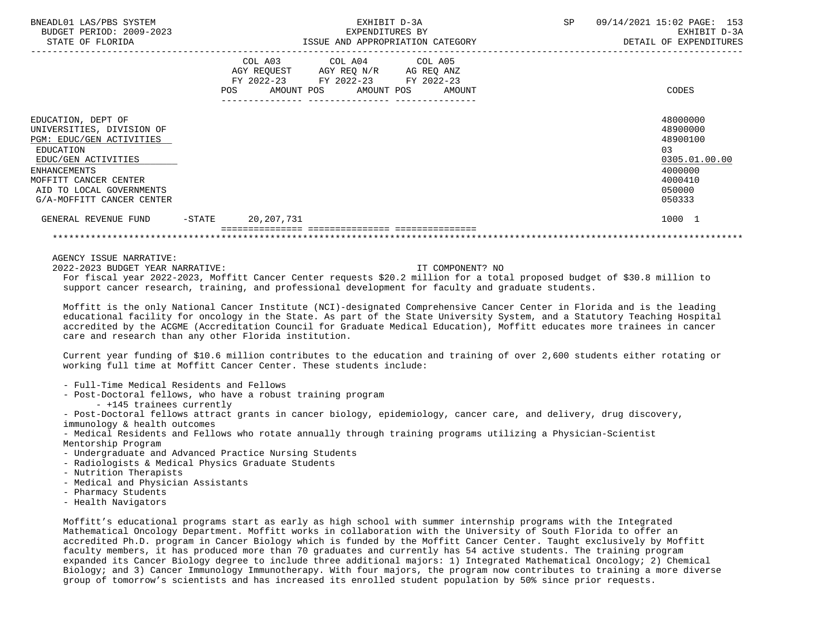| BNEADL01 LAS/PBS SYSTEM<br>BUDGET PERIOD: 2009-2023<br>STATE OF FLORIDA                                                                                                                                                  |           |                                                                                                                            | EXHIBIT D-3A<br>EXPENDITURES BY<br>ISSUE AND APPROPRIATION CATEGORY |        | SP | 09/14/2021 15:02 PAGE: 153<br>EXHIBIT D-3A<br>DETAIL OF EXPENDITURES                              |
|--------------------------------------------------------------------------------------------------------------------------------------------------------------------------------------------------------------------------|-----------|----------------------------------------------------------------------------------------------------------------------------|---------------------------------------------------------------------|--------|----|---------------------------------------------------------------------------------------------------|
|                                                                                                                                                                                                                          | POS       | COL A03 COL A04 COL A05<br>AGY REQUEST AGY REQ N/R AG REQ ANZ<br>FY 2022-23 FY 2022-23 FY 2022-23<br>AMOUNT POS AMOUNT POS |                                                                     | AMOUNT |    | CODES                                                                                             |
| EDUCATION, DEPT OF<br>UNIVERSITIES, DIVISION OF<br>PGM: EDUC/GEN ACTIVITIES<br>EDUCATION<br>EDUC/GEN ACTIVITIES<br><b>ENHANCEMENTS</b><br>MOFFITT CANCER CENTER<br>AID TO LOCAL GOVERNMENTS<br>G/A-MOFFITT CANCER CENTER |           |                                                                                                                            |                                                                     |        |    | 48000000<br>48900000<br>48900100<br>03<br>0305.01.00.00<br>4000000<br>4000410<br>050000<br>050333 |
| GENERAL REVENUE FUND                                                                                                                                                                                                     | $-$ STATE | 20,207,731                                                                                                                 |                                                                     |        |    | 1000 1                                                                                            |
|                                                                                                                                                                                                                          |           |                                                                                                                            |                                                                     |        |    |                                                                                                   |

2022-2023 BUDGET YEAR NARRATIVE: IT COMPONENT? NO

 For fiscal year 2022-2023, Moffitt Cancer Center requests \$20.2 million for a total proposed budget of \$30.8 million to support cancer research, training, and professional development for faculty and graduate students.

 Moffitt is the only National Cancer Institute (NCI)-designated Comprehensive Cancer Center in Florida and is the leading educational facility for oncology in the State. As part of the State University System, and a Statutory Teaching Hospital accredited by the ACGME (Accreditation Council for Graduate Medical Education), Moffitt educates more trainees in cancer care and research than any other Florida institution.

 Current year funding of \$10.6 million contributes to the education and training of over 2,600 students either rotating or working full time at Moffitt Cancer Center. These students include:

- Full-Time Medical Residents and Fellows
- Post-Doctoral fellows, who have a robust training program
	- +145 trainees currently

 - Post-Doctoral fellows attract grants in cancer biology, epidemiology, cancer care, and delivery, drug discovery, immunology & health outcomes

 - Medical Residents and Fellows who rotate annually through training programs utilizing a Physician-Scientist Mentorship Program

- Undergraduate and Advanced Practice Nursing Students
- Radiologists & Medical Physics Graduate Students
- Nutrition Therapists
- Medical and Physician Assistants
- Pharmacy Students
- Health Navigators

 Moffitt's educational programs start as early as high school with summer internship programs with the Integrated Mathematical Oncology Department. Moffitt works in collaboration with the University of South Florida to offer an accredited Ph.D. program in Cancer Biology which is funded by the Moffitt Cancer Center. Taught exclusively by Moffitt faculty members, it has produced more than 70 graduates and currently has 54 active students. The training program expanded its Cancer Biology degree to include three additional majors: 1) Integrated Mathematical Oncology; 2) Chemical Biology; and 3) Cancer Immunology Immunotherapy. With four majors, the program now contributes to training a more diverse group of tomorrow's scientists and has increased its enrolled student population by 50% since prior requests.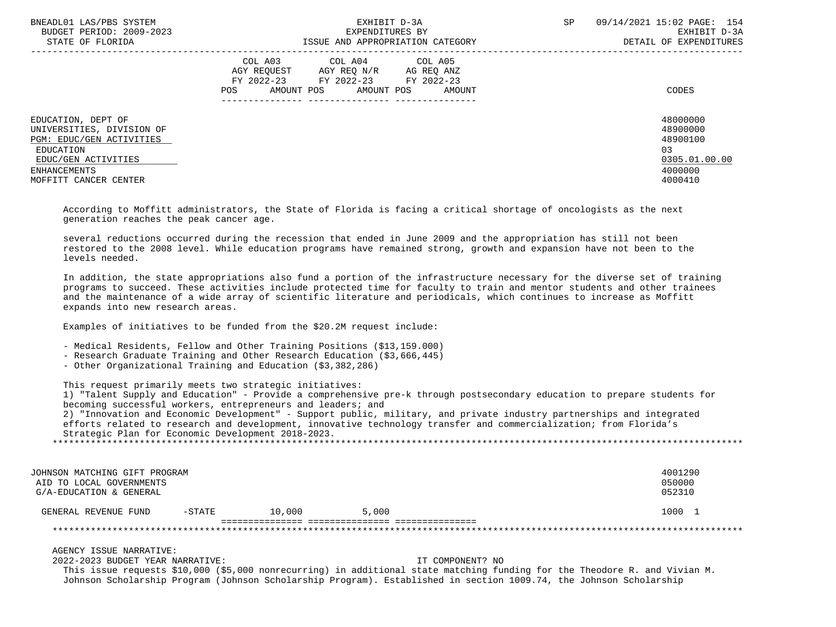| BNEADL01 LAS/PBS SYSTEM<br>BUDGET PERIOD: 2009-2023<br>STATE OF FLORIDA                                                                                  | EXHIBIT D-3A<br>EXPENDITURES BY<br>ISSUE AND APPROPRIATION CATEGORY                                                                                  | 09/14/2021 15:02 PAGE: 154<br><b>SP</b><br>EXHIBIT D-3A<br>DETAIL OF EXPENDITURES      |
|----------------------------------------------------------------------------------------------------------------------------------------------------------|------------------------------------------------------------------------------------------------------------------------------------------------------|----------------------------------------------------------------------------------------|
| EDUCATION, DEPT OF<br>UNIVERSITIES, DIVISION OF<br>PGM: EDUC/GEN ACTIVITIES<br>EDUCATION<br>EDUC/GEN ACTIVITIES<br>ENHANCEMENTS<br>MOFFITT CANCER CENTER | COL A03 COL A04 COL A05<br>AGY REOUEST<br>AGY REO N/R<br>AG REO ANZ<br>FY 2022-23 FY 2022-23 FY 2022-23<br>AMOUNT POS<br>AMOUNT POS<br>AMOUNT<br>POS | CODES<br>48000000<br>48900000<br>48900100<br>03<br>0305.01.00.00<br>4000000<br>4000410 |
|                                                                                                                                                          |                                                                                                                                                      |                                                                                        |

 According to Moffitt administrators, the State of Florida is facing a critical shortage of oncologists as the next generation reaches the peak cancer age.

 several reductions occurred during the recession that ended in June 2009 and the appropriation has still not been restored to the 2008 level. While education programs have remained strong, growth and expansion have not been to the levels needed.

 In addition, the state appropriations also fund a portion of the infrastructure necessary for the diverse set of training programs to succeed. These activities include protected time for faculty to train and mentor students and other trainees and the maintenance of a wide array of scientific literature and periodicals, which continues to increase as Moffitt expands into new research areas.

Examples of initiatives to be funded from the \$20.2M request include:

- Medical Residents, Fellow and Other Training Positions (\$13,159.000)

- Research Graduate Training and Other Research Education (\$3,666,445)
- Other Organizational Training and Education (\$3,382,286)

This request primarily meets two strategic initiatives:

 1) "Talent Supply and Education" - Provide a comprehensive pre-k through postsecondary education to prepare students for becoming successful workers, entrepreneurs and leaders; and

 2) "Innovation and Economic Development" - Support public, military, and private industry partnerships and integrated efforts related to research and development, innovative technology transfer and commercialization; from Florida's Strategic Plan for Economic Development 2018-2023.

\*\*\*\*\*\*\*\*\*\*\*\*\*\*\*\*\*\*\*\*\*\*\*\*\*\*\*\*\*\*\*\*\*\*\*\*\*\*\*\*\*\*\*\*\*\*\*\*\*\*\*\*\*\*\*\*\*\*\*\*\*\*\*\*\*\*\*\*\*\*\*\*\*\*\*\*\*\*\*\*\*\*\*\*\*\*\*\*\*\*\*\*\*\*\*\*\*\*\*\*\*\*\*\*\*\*\*\*\*\*\*\*\*\*\*\*\*\*\*\*\*\*\*\*\*\*\*

| JOHNSON MATCHING GIFT PROGRAM |          |        |       | 4001290 |
|-------------------------------|----------|--------|-------|---------|
| AID TO LOCAL GOVERNMENTS      |          |        |       | 050000  |
| G/A-EDUCATION & GENERAL       |          |        |       | 052310  |
| GENERAL REVENUE FUND          | $-STATE$ | 10.000 | 5,000 | 1000    |
|                               |          |        |       |         |
|                               |          |        |       |         |

AGENCY ISSUE NARRATIVE:

2022-2023 BUDGET YEAR NARRATIVE: IT COMPONENT? NO

 This issue requests \$10,000 (\$5,000 nonrecurring) in additional state matching funding for the Theodore R. and Vivian M. Johnson Scholarship Program (Johnson Scholarship Program). Established in section 1009.74, the Johnson Scholarship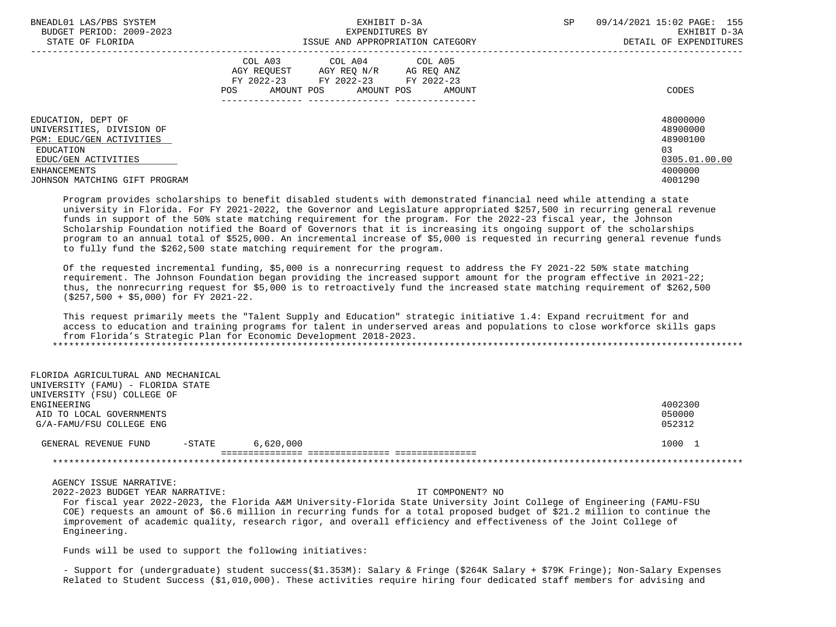| BNEADL01 LAS/PBS SYSTEM<br>BUDGET PERIOD: 2009-2023                                                                             | EXHIBIT D-3A<br>EXPENDITURES BY                                                                                                                         | SP<br>09/14/2021 15:02 PAGE: 155<br>EXHIBIT D-3A                    |
|---------------------------------------------------------------------------------------------------------------------------------|---------------------------------------------------------------------------------------------------------------------------------------------------------|---------------------------------------------------------------------|
| STATE OF FLORIDA                                                                                                                | ISSUE AND APPROPRIATION CATEGORY                                                                                                                        | DETAIL OF EXPENDITURES                                              |
|                                                                                                                                 | COL A03 COL A04 COL A05<br>AGY REOUEST<br>AGY REO N/R AG REO ANZ<br>FY 2022-23<br>FY 2022-23<br>FY 2022-23<br>AMOUNT POS<br>AMOUNT POS<br>POS<br>AMOUNT | CODES                                                               |
| EDUCATION, DEPT OF<br>UNIVERSITIES, DIVISION OF<br>PGM: EDUC/GEN ACTIVITIES<br>EDUCATION<br>EDUC/GEN ACTIVITIES<br>ENHANCEMENTS |                                                                                                                                                         | 48000000<br>48900000<br>48900100<br>0.3<br>0305.01.00.00<br>4000000 |
| JOHNSON MATCHING GIFT PROGRAM                                                                                                   |                                                                                                                                                         | 4001290                                                             |

 Program provides scholarships to benefit disabled students with demonstrated financial need while attending a state university in Florida. For FY 2021-2022, the Governor and Legislature appropriated \$257,500 in recurring general revenue funds in support of the 50% state matching requirement for the program. For the 2022-23 fiscal year, the Johnson Scholarship Foundation notified the Board of Governors that it is increasing its ongoing support of the scholarships program to an annual total of \$525,000. An incremental increase of \$5,000 is requested in recurring general revenue funds to fully fund the \$262,500 state matching requirement for the program.

 Of the requested incremental funding, \$5,000 is a nonrecurring request to address the FY 2021-22 50% state matching requirement. The Johnson Foundation began providing the increased support amount for the program effective in 2021-22; thus, the nonrecurring request for \$5,000 is to retroactively fund the increased state matching requirement of \$262,500 (\$257,500 + \$5,000) for FY 2021-22.

 This request primarily meets the "Talent Supply and Education" strategic initiative 1.4: Expand recruitment for and access to education and training programs for talent in underserved areas and populations to close workforce skills gaps from Florida's Strategic Plan for Economic Development 2018-2023. \*\*\*\*\*\*\*\*\*\*\*\*\*\*\*\*\*\*\*\*\*\*\*\*\*\*\*\*\*\*\*\*\*\*\*\*\*\*\*\*\*\*\*\*\*\*\*\*\*\*\*\*\*\*\*\*\*\*\*\*\*\*\*\*\*\*\*\*\*\*\*\*\*\*\*\*\*\*\*\*\*\*\*\*\*\*\*\*\*\*\*\*\*\*\*\*\*\*\*\*\*\*\*\*\*\*\*\*\*\*\*\*\*\*\*\*\*\*\*\*\*\*\*\*\*\*\*

| FLORIDA AGRICULTURAL AND MECHANICAL |           |         |
|-------------------------------------|-----------|---------|
| UNIVERSITY (FAMU) - FLORIDA STATE   |           |         |
| UNIVERSITY (FSU) COLLEGE OF         |           |         |
| ENGINEERING                         |           | 4002300 |
| AID TO LOCAL GOVERNMENTS            |           | 050000  |
| G/A-FAMU/FSU COLLEGE ENG            |           | 052312  |
| $-$ STATE<br>GENERAL REVENUE FUND   | 6.620.000 | 1000 1  |
|                                     |           |         |
|                                     |           |         |

AGENCY ISSUE NARRATIVE:

2022-2023 BUDGET YEAR NARRATIVE: IT COMPONENT? NO

 For fiscal year 2022-2023, the Florida A&M University-Florida State University Joint College of Engineering (FAMU-FSU COE) requests an amount of \$6.6 million in recurring funds for a total proposed budget of \$21.2 million to continue the improvement of academic quality, research rigor, and overall efficiency and effectiveness of the Joint College of Engineering.

Funds will be used to support the following initiatives:

 - Support for (undergraduate) student success(\$1.353M): Salary & Fringe (\$264K Salary + \$79K Fringe); Non-Salary Expenses Related to Student Success (\$1,010,000). These activities require hiring four dedicated staff members for advising and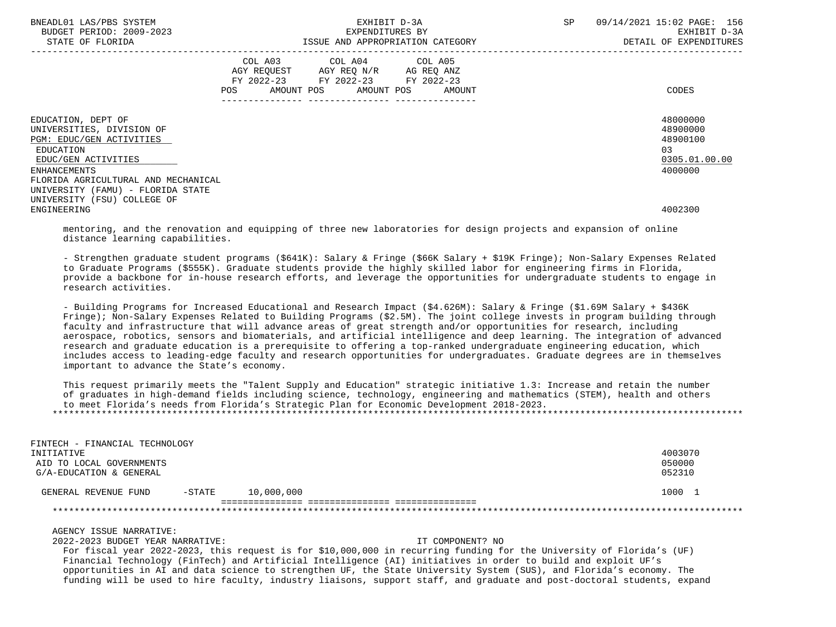| BNEADL01 LAS/PBS SYSTEM<br>BUDGET PERIOD: 2009-2023<br>STATE OF FLORIDA                                                         |     | EXHIBIT D-3A<br>EXPENDITURES BY<br>ISSUE AND APPROPRIATION CATEGORY                                                    | SP         | 09/14/2021 15:02 PAGE: 156<br>EXHIBIT D-3A<br>DETAIL OF EXPENDITURES |                                                                    |
|---------------------------------------------------------------------------------------------------------------------------------|-----|------------------------------------------------------------------------------------------------------------------------|------------|----------------------------------------------------------------------|--------------------------------------------------------------------|
|                                                                                                                                 | POS | COL A03 COL A04 COL A05<br>AGY REOUEST AGY REO N/R AG REO ANZ<br>FY 2022-23 FY 2022-23<br>AMOUNT POS AMOUNT POS AMOUNT | FY 2022-23 |                                                                      | CODES                                                              |
| EDUCATION, DEPT OF<br>UNIVERSITIES, DIVISION OF<br>PGM: EDUC/GEN ACTIVITIES<br>EDUCATION<br>EDUC/GEN ACTIVITIES<br>ENHANCEMENTS |     |                                                                                                                        |            |                                                                      | 48000000<br>48900000<br>48900100<br>03<br>0305.01.00.00<br>4000000 |
| FLORIDA AGRICULTURAL AND MECHANICAL<br>UNIVERSITY (FAMU) - FLORIDA STATE<br>UNIVERSITY (FSU) COLLEGE OF<br>ENGINEERING          |     |                                                                                                                        |            |                                                                      | 4002300                                                            |

 mentoring, and the renovation and equipping of three new laboratories for design projects and expansion of online distance learning capabilities.

 - Strengthen graduate student programs (\$641K): Salary & Fringe (\$66K Salary + \$19K Fringe); Non-Salary Expenses Related to Graduate Programs (\$555K). Graduate students provide the highly skilled labor for engineering firms in Florida, provide a backbone for in-house research efforts, and leverage the opportunities for undergraduate students to engage in research activities.

 - Building Programs for Increased Educational and Research Impact (\$4.626M): Salary & Fringe (\$1.69M Salary + \$436K Fringe); Non-Salary Expenses Related to Building Programs (\$2.5M). The joint college invests in program building through faculty and infrastructure that will advance areas of great strength and/or opportunities for research, including aerospace, robotics, sensors and biomaterials, and artificial intelligence and deep learning. The integration of advanced research and graduate education is a prerequisite to offering a top-ranked undergraduate engineering education, which includes access to leading-edge faculty and research opportunities for undergraduates. Graduate degrees are in themselves important to advance the State's economy.

 This request primarily meets the "Talent Supply and Education" strategic initiative 1.3: Increase and retain the number of graduates in high-demand fields including science, technology, engineering and mathematics (STEM), health and others to meet Florida's needs from Florida's Strategic Plan for Economic Development 2018-2023. \*\*\*\*\*\*\*\*\*\*\*\*\*\*\*\*\*\*\*\*\*\*\*\*\*\*\*\*\*\*\*\*\*\*\*\*\*\*\*\*\*\*\*\*\*\*\*\*\*\*\*\*\*\*\*\*\*\*\*\*\*\*\*\*\*\*\*\*\*\*\*\*\*\*\*\*\*\*\*\*\*\*\*\*\*\*\*\*\*\*\*\*\*\*\*\*\*\*\*\*\*\*\*\*\*\*\*\*\*\*\*\*\*\*\*\*\*\*\*\*\*\*\*\*\*\*\*

| FINTECH - FINANCIAL TECHNOLOGY |           |            |         |
|--------------------------------|-----------|------------|---------|
| INITIATIVE                     |           |            | 4003070 |
| AID TO LOCAL GOVERNMENTS       |           |            | 050000  |
| G/A-EDUCATION & GENERAL        |           |            | 052310  |
| GENERAL REVENUE FUND           | $-$ STATE | 10,000,000 | 1000 1  |
|                                |           |            |         |
|                                |           |            |         |

AGENCY ISSUE NARRATIVE:

2022-2023 BUDGET YEAR NARRATIVE: IT COMPONENT? NO

 For fiscal year 2022-2023, this request is for \$10,000,000 in recurring funding for the University of Florida's (UF) Financial Technology (FinTech) and Artificial Intelligence (AI) initiatives in order to build and exploit UF's opportunities in AI and data science to strengthen UF, the State University System (SUS), and Florida's economy. The funding will be used to hire faculty, industry liaisons, support staff, and graduate and post-doctoral students, expand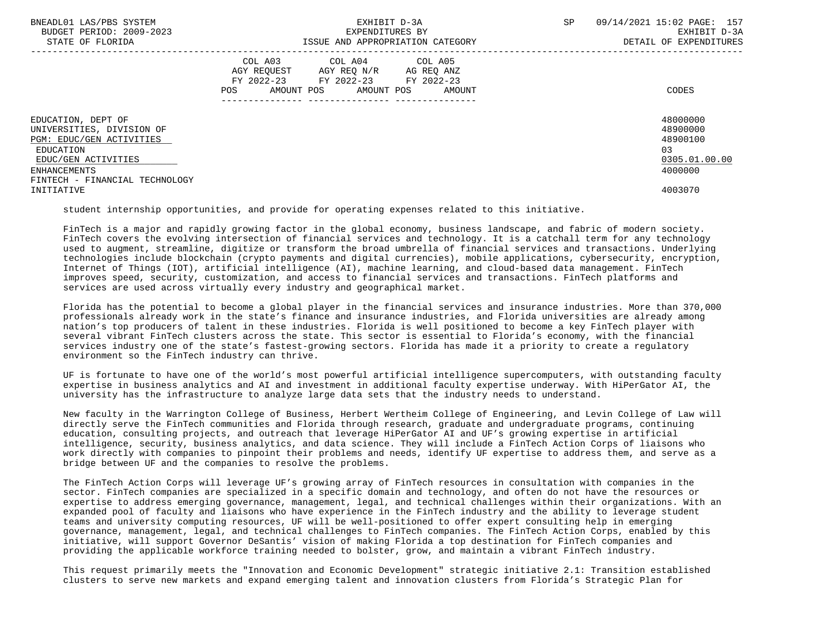| BNEADL01 LAS/PBS SYSTEM<br>BUDGET PERIOD: 2009-2023<br>STATE OF FLORIDA                                                                                           | EXHIBIT D-3A<br>EXPENDITURES BY<br>ISSUE AND APPROPRIATION CATEGORY                                                                         | 09/14/2021 15:02 PAGE: 157<br>SP<br>EXHIBIT D-3A<br>DETAIL OF EXPENDITURES     |
|-------------------------------------------------------------------------------------------------------------------------------------------------------------------|---------------------------------------------------------------------------------------------------------------------------------------------|--------------------------------------------------------------------------------|
|                                                                                                                                                                   | COL A03 COL A04 COL A05<br>AGY REQUEST AGY REQ N/R AG REQ ANZ<br>FY 2022-23 FY 2022-23 FY 2022-23<br>AMOUNT POS AMOUNT POS<br>POS<br>AMOUNT | CODES                                                                          |
| EDUCATION, DEPT OF<br>UNIVERSITIES, DIVISION OF<br>PGM: EDUC/GEN ACTIVITIES<br>EDUCATION<br>EDUC/GEN ACTIVITIES<br>ENHANCEMENTS<br>FINTECH - FINANCIAL TECHNOLOGY |                                                                                                                                             | 48000000<br>48900000<br>48900100<br>0 <sub>3</sub><br>0305.01.00.00<br>4000000 |
| INITIATIVE                                                                                                                                                        |                                                                                                                                             | 4003070                                                                        |

student internship opportunities, and provide for operating expenses related to this initiative.

 FinTech is a major and rapidly growing factor in the global economy, business landscape, and fabric of modern society. FinTech covers the evolving intersection of financial services and technology. It is a catchall term for any technology used to augment, streamline, digitize or transform the broad umbrella of financial services and transactions. Underlying technologies include blockchain (crypto payments and digital currencies), mobile applications, cybersecurity, encryption, Internet of Things (IOT), artificial intelligence (AI), machine learning, and cloud-based data management. FinTech improves speed, security, customization, and access to financial services and transactions. FinTech platforms and services are used across virtually every industry and geographical market.

 Florida has the potential to become a global player in the financial services and insurance industries. More than 370,000 professionals already work in the state's finance and insurance industries, and Florida universities are already among nation's top producers of talent in these industries. Florida is well positioned to become a key FinTech player with several vibrant FinTech clusters across the state. This sector is essential to Florida's economy, with the financial services industry one of the state's fastest-growing sectors. Florida has made it a priority to create a regulatory environment so the FinTech industry can thrive.

 UF is fortunate to have one of the world's most powerful artificial intelligence supercomputers, with outstanding faculty expertise in business analytics and AI and investment in additional faculty expertise underway. With HiPerGator AI, the university has the infrastructure to analyze large data sets that the industry needs to understand.

 New faculty in the Warrington College of Business, Herbert Wertheim College of Engineering, and Levin College of Law will directly serve the FinTech communities and Florida through research, graduate and undergraduate programs, continuing education, consulting projects, and outreach that leverage HiPerGator AI and UF's growing expertise in artificial intelligence, security, business analytics, and data science. They will include a FinTech Action Corps of liaisons who work directly with companies to pinpoint their problems and needs, identify UF expertise to address them, and serve as a bridge between UF and the companies to resolve the problems.

 The FinTech Action Corps will leverage UF's growing array of FinTech resources in consultation with companies in the sector. FinTech companies are specialized in a specific domain and technology, and often do not have the resources or expertise to address emerging governance, management, legal, and technical challenges within their organizations. With an expanded pool of faculty and liaisons who have experience in the FinTech industry and the ability to leverage student teams and university computing resources, UF will be well-positioned to offer expert consulting help in emerging governance, management, legal, and technical challenges to FinTech companies. The FinTech Action Corps, enabled by this initiative, will support Governor DeSantis' vision of making Florida a top destination for FinTech companies and providing the applicable workforce training needed to bolster, grow, and maintain a vibrant FinTech industry.

 This request primarily meets the "Innovation and Economic Development" strategic initiative 2.1: Transition established clusters to serve new markets and expand emerging talent and innovation clusters from Florida's Strategic Plan for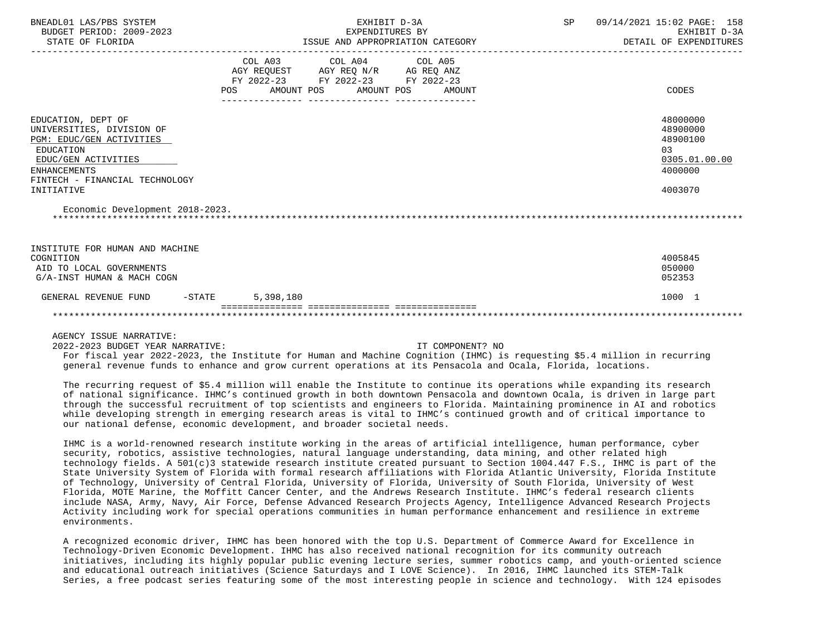| BNEADL01 LAS/PBS SYSTEM<br>BUDGET PERIOD: 2009-2023<br>STATE OF FLORIDA                                                                                                                |           | EXHIBIT D-3A<br>EXPENDITURES BY                                                                   | ISSUE AND APPROPRIATION CATEGORY | SP | 09/14/2021 15:02 PAGE: 158<br>EXHIBIT D-3A<br>DETAIL OF EXPENDITURES          |
|----------------------------------------------------------------------------------------------------------------------------------------------------------------------------------------|-----------|---------------------------------------------------------------------------------------------------|----------------------------------|----|-------------------------------------------------------------------------------|
|                                                                                                                                                                                        | POS       | COL A03 COL A04 COL A05<br>AGY REQUEST AGY REQ N/R AG REQ ANZ<br>FY 2022-23 FY 2022-23 FY 2022-23 | AMOUNT POS AMOUNT POS AMOUNT     |    | CODES                                                                         |
| EDUCATION, DEPT OF<br>UNIVERSITIES, DIVISION OF<br>PGM: EDUC/GEN ACTIVITIES<br>EDUCATION<br>EDUC/GEN ACTIVITIES<br><b>ENHANCEMENTS</b><br>FINTECH - FINANCIAL TECHNOLOGY<br>INITIATIVE |           |                                                                                                   |                                  |    | 48000000<br>48900000<br>48900100<br>03<br>0305.01.00.00<br>4000000<br>4003070 |
| Economic Development 2018-2023.                                                                                                                                                        |           |                                                                                                   |                                  |    |                                                                               |
| INSTITUTE FOR HUMAN AND MACHINE<br>COGNITION<br>AID TO LOCAL GOVERNMENTS<br>G/A-INST HUMAN & MACH COGN                                                                                 |           |                                                                                                   |                                  |    | 4005845<br>050000<br>052353                                                   |
| $-STATE$<br>GENERAL REVENUE FUND                                                                                                                                                       | 5,398,180 |                                                                                                   |                                  |    | 1000 1                                                                        |
|                                                                                                                                                                                        |           |                                                                                                   |                                  |    |                                                                               |
| AGENCY ISSUE NARRATIVE:                                                                                                                                                                |           |                                                                                                   |                                  |    |                                                                               |

2022-2023 BUDGET YEAR NARRATIVE: IT COMPONENT? NO

 For fiscal year 2022-2023, the Institute for Human and Machine Cognition (IHMC) is requesting \$5.4 million in recurring general revenue funds to enhance and grow current operations at its Pensacola and Ocala, Florida, locations.

 The recurring request of \$5.4 million will enable the Institute to continue its operations while expanding its research of national significance. IHMC's continued growth in both downtown Pensacola and downtown Ocala, is driven in large part through the successful recruitment of top scientists and engineers to Florida. Maintaining prominence in AI and robotics while developing strength in emerging research areas is vital to IHMC's continued growth and of critical importance to our national defense, economic development, and broader societal needs.

 IHMC is a world-renowned research institute working in the areas of artificial intelligence, human performance, cyber security, robotics, assistive technologies, natural language understanding, data mining, and other related high technology fields. A 501(c)3 statewide research institute created pursuant to Section 1004.447 F.S., IHMC is part of the State University System of Florida with formal research affiliations with Florida Atlantic University, Florida Institute of Technology, University of Central Florida, University of Florida, University of South Florida, University of West Florida, MOTE Marine, the Moffitt Cancer Center, and the Andrews Research Institute. IHMC's federal research clients include NASA, Army, Navy, Air Force, Defense Advanced Research Projects Agency, Intelligence Advanced Research Projects Activity including work for special operations communities in human performance enhancement and resilience in extreme environments.

 A recognized economic driver, IHMC has been honored with the top U.S. Department of Commerce Award for Excellence in Technology-Driven Economic Development. IHMC has also received national recognition for its community outreach initiatives, including its highly popular public evening lecture series, summer robotics camp, and youth-oriented science and educational outreach initiatives (Science Saturdays and I LOVE Science). In 2016, IHMC launched its STEM-Talk Series, a free podcast series featuring some of the most interesting people in science and technology. With 124 episodes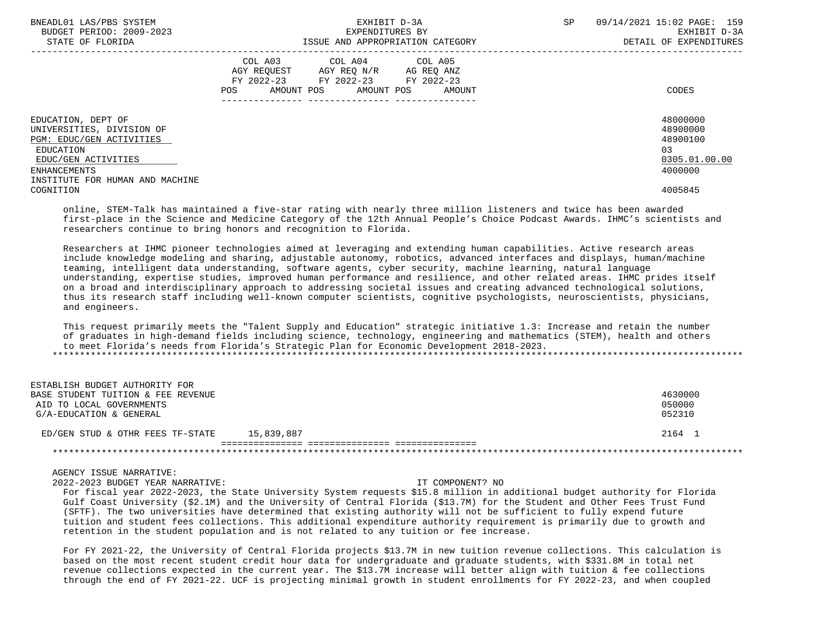| BNEADL01 LAS/PBS SYSTEM<br>BUDGET PERIOD: 2009-2023 |     | EXHIBIT D-3A<br>EXPENDITURES BY                                                                                                      | SP | 09/14/2021 15:02 PAGE: 159<br>EXHIBIT D-3A |  |
|-----------------------------------------------------|-----|--------------------------------------------------------------------------------------------------------------------------------------|----|--------------------------------------------|--|
| STATE OF FLORIDA                                    |     | ISSUE AND APPROPRIATION CATEGORY                                                                                                     |    | DETAIL OF EXPENDITURES                     |  |
|                                                     | POS | COL A03 COL A04 COL A05<br>AGY REQUEST AGY REQ N/R AG REQ ANZ<br>FY 2022-23 FY 2022-23 FY 2022-23<br>AMOUNT POS AMOUNT POS<br>AMOUNT |    | CODES                                      |  |
| EDUCATION, DEPT OF<br>UNIVERSITIES, DIVISION OF     |     |                                                                                                                                      |    | 48000000<br>48900000                       |  |
| PGM: EDUC/GEN ACTIVITIES                            |     |                                                                                                                                      |    | 48900100                                   |  |
| EDUCATION                                           |     |                                                                                                                                      |    | 03                                         |  |
| EDUC/GEN ACTIVITIES                                 |     |                                                                                                                                      |    | 0305.01.00.00                              |  |
| ENHANCEMENTS                                        |     |                                                                                                                                      |    | 4000000                                    |  |
| INSTITUTE FOR HUMAN AND MACHINE                     |     |                                                                                                                                      |    |                                            |  |
| COGNITION                                           |     |                                                                                                                                      |    | 4005845                                    |  |

 online, STEM-Talk has maintained a five-star rating with nearly three million listeners and twice has been awarded first-place in the Science and Medicine Category of the 12th Annual People's Choice Podcast Awards. IHMC's scientists and researchers continue to bring honors and recognition to Florida.

 Researchers at IHMC pioneer technologies aimed at leveraging and extending human capabilities. Active research areas include knowledge modeling and sharing, adjustable autonomy, robotics, advanced interfaces and displays, human/machine teaming, intelligent data understanding, software agents, cyber security, machine learning, natural language understanding, expertise studies, improved human performance and resilience, and other related areas. IHMC prides itself on a broad and interdisciplinary approach to addressing societal issues and creating advanced technological solutions, thus its research staff including well-known computer scientists, cognitive psychologists, neuroscientists, physicians, and engineers.

 This request primarily meets the "Talent Supply and Education" strategic initiative 1.3: Increase and retain the number of graduates in high-demand fields including science, technology, engineering and mathematics (STEM), health and others to meet Florida's needs from Florida's Strategic Plan for Economic Development 2018-2023. \*\*\*\*\*\*\*\*\*\*\*\*\*\*\*\*\*\*\*\*\*\*\*\*\*\*\*\*\*\*\*\*\*\*\*\*\*\*\*\*\*\*\*\*\*\*\*\*\*\*\*\*\*\*\*\*\*\*\*\*\*\*\*\*\*\*\*\*\*\*\*\*\*\*\*\*\*\*\*\*\*\*\*\*\*\*\*\*\*\*\*\*\*\*\*\*\*\*\*\*\*\*\*\*\*\*\*\*\*\*\*\*\*\*\*\*\*\*\*\*\*\*\*\*\*\*\*

| ESTABLISH BUDGET AUTHORITY FOR     |            |         |
|------------------------------------|------------|---------|
| BASE STUDENT TUITION & FEE REVENUE |            | 4630000 |
| AID TO LOCAL GOVERNMENTS           |            | 050000  |
| G/A-EDUCATION & GENERAL            |            | 052310  |
| ED/GEN STUD & OTHR FEES TF-STATE   | 15,839,887 | 2164 1  |
|                                    |            |         |
|                                    |            |         |

## AGENCY ISSUE NARRATIVE:

2022-2023 BUDGET YEAR NARRATIVE: IT COMPONENT? NO

 For fiscal year 2022-2023, the State University System requests \$15.8 million in additional budget authority for Florida Gulf Coast University (\$2.1M) and the University of Central Florida (\$13.7M) for the Student and Other Fees Trust Fund (SFTF). The two universities have determined that existing authority will not be sufficient to fully expend future tuition and student fees collections. This additional expenditure authority requirement is primarily due to growth and retention in the student population and is not related to any tuition or fee increase.

 For FY 2021-22, the University of Central Florida projects \$13.7M in new tuition revenue collections. This calculation is based on the most recent student credit hour data for undergraduate and graduate students, with \$331.8M in total net revenue collections expected in the current year. The \$13.7M increase will better align with tuition & fee collections through the end of FY 2021-22. UCF is projecting minimal growth in student enrollments for FY 2022-23, and when coupled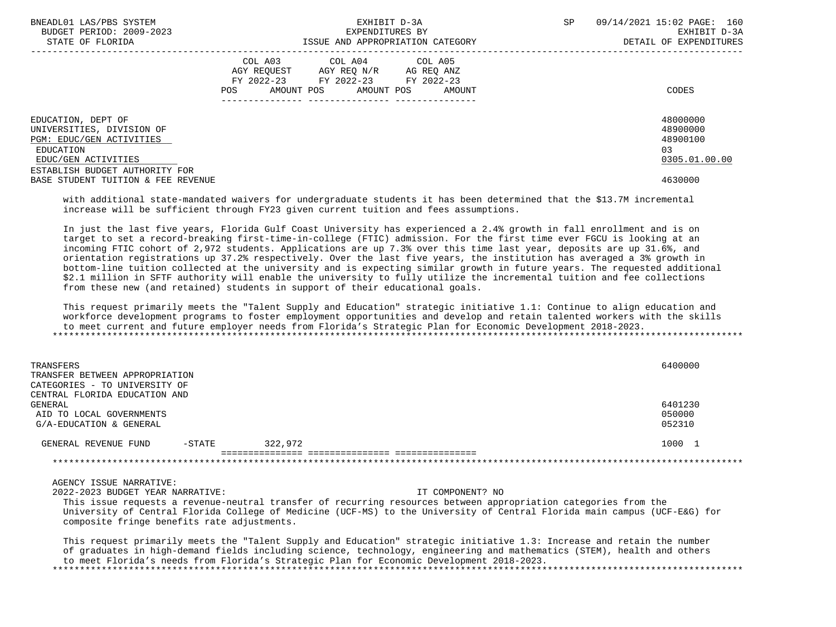| BNEADL01 LAS/PBS SYSTEM<br>BUDGET PERIOD: 2009-2023                                                                                               | EXHIBIT D-3A<br>EXPENDITURES BY                                                                                                                   | SP | 09/14/2021 15:02 PAGE: 160<br>EXHIBIT D-3A              |
|---------------------------------------------------------------------------------------------------------------------------------------------------|---------------------------------------------------------------------------------------------------------------------------------------------------|----|---------------------------------------------------------|
| STATE OF FLORIDA                                                                                                                                  | ISSUE AND APPROPRIATION CATEGORY                                                                                                                  |    | DETAIL OF EXPENDITURES                                  |
|                                                                                                                                                   | COL A03 COL A04 COL A05<br>AGY REOUEST<br>AGY REO N/R<br>AG REO ANZ<br>FY 2022-23 FY 2022-23 FY 2022-23<br>AMOUNT POS AMOUNT POS<br>AMOUNT<br>POS |    | CODES                                                   |
| EDUCATION, DEPT OF<br>UNIVERSITIES, DIVISION OF<br>PGM: EDUC/GEN ACTIVITIES<br>EDUCATION<br>EDUC/GEN ACTIVITIES<br>ESTABLISH BUDGET AUTHORITY FOR |                                                                                                                                                   |    | 48000000<br>48900000<br>48900100<br>03<br>0305.01.00.00 |
| BASE STUDENT TUITION & FEE REVENUE                                                                                                                |                                                                                                                                                   |    | 4630000                                                 |

 with additional state-mandated waivers for undergraduate students it has been determined that the \$13.7M incremental increase will be sufficient through FY23 given current tuition and fees assumptions.

 In just the last five years, Florida Gulf Coast University has experienced a 2.4% growth in fall enrollment and is on target to set a record-breaking first-time-in-college (FTIC) admission. For the first time ever FGCU is looking at an incoming FTIC cohort of 2,972 students. Applications are up 7.3% over this time last year, deposits are up 31.6%, and orientation registrations up 37.2% respectively. Over the last five years, the institution has averaged a 3% growth in bottom-line tuition collected at the university and is expecting similar growth in future years. The requested additional \$2.1 million in SFTF authority will enable the university to fully utilize the incremental tuition and fee collections from these new (and retained) students in support of their educational goals.

 This request primarily meets the "Talent Supply and Education" strategic initiative 1.1: Continue to align education and workforce development programs to foster employment opportunities and develop and retain talented workers with the skills to meet current and future employer needs from Florida's Strategic Plan for Economic Development 2018-2023. \*\*\*\*\*\*\*\*\*\*\*\*\*\*\*\*\*\*\*\*\*\*\*\*\*\*\*\*\*\*\*\*\*\*\*\*\*\*\*\*\*\*\*\*\*\*\*\*\*\*\*\*\*\*\*\*\*\*\*\*\*\*\*\*\*\*\*\*\*\*\*\*\*\*\*\*\*\*\*\*\*\*\*\*\*\*\*\*\*\*\*\*\*\*\*\*\*\*\*\*\*\*\*\*\*\*\*\*\*\*\*\*\*\*\*\*\*\*\*\*\*\*\*\*\*\*\*

| TRANSFERS<br>TRANSFER BETWEEN APPROPRIATION<br>CATEGORIES - TO UNIVERSITY OF                    |           |         | 6400000                     |
|-------------------------------------------------------------------------------------------------|-----------|---------|-----------------------------|
| CENTRAL FLORIDA EDUCATION AND<br>GENERAL<br>AID TO LOCAL GOVERNMENTS<br>G/A-EDUCATION & GENERAL |           |         | 6401230<br>050000<br>052310 |
| GENERAL REVENUE FUND                                                                            | $-$ STATE | 322,972 | 1000 1                      |
|                                                                                                 |           |         |                             |

AGENCY ISSUE NARRATIVE:

2022-2023 BUDGET YEAR NARRATIVE: IT COMPONENT? NO

 This issue requests a revenue-neutral transfer of recurring resources between appropriation categories from the University of Central Florida College of Medicine (UCF-MS) to the University of Central Florida main campus (UCF-E&G) for composite fringe benefits rate adjustments.

 This request primarily meets the "Talent Supply and Education" strategic initiative 1.3: Increase and retain the number of graduates in high-demand fields including science, technology, engineering and mathematics (STEM), health and others to meet Florida's needs from Florida's Strategic Plan for Economic Development 2018-2023. \*\*\*\*\*\*\*\*\*\*\*\*\*\*\*\*\*\*\*\*\*\*\*\*\*\*\*\*\*\*\*\*\*\*\*\*\*\*\*\*\*\*\*\*\*\*\*\*\*\*\*\*\*\*\*\*\*\*\*\*\*\*\*\*\*\*\*\*\*\*\*\*\*\*\*\*\*\*\*\*\*\*\*\*\*\*\*\*\*\*\*\*\*\*\*\*\*\*\*\*\*\*\*\*\*\*\*\*\*\*\*\*\*\*\*\*\*\*\*\*\*\*\*\*\*\*\*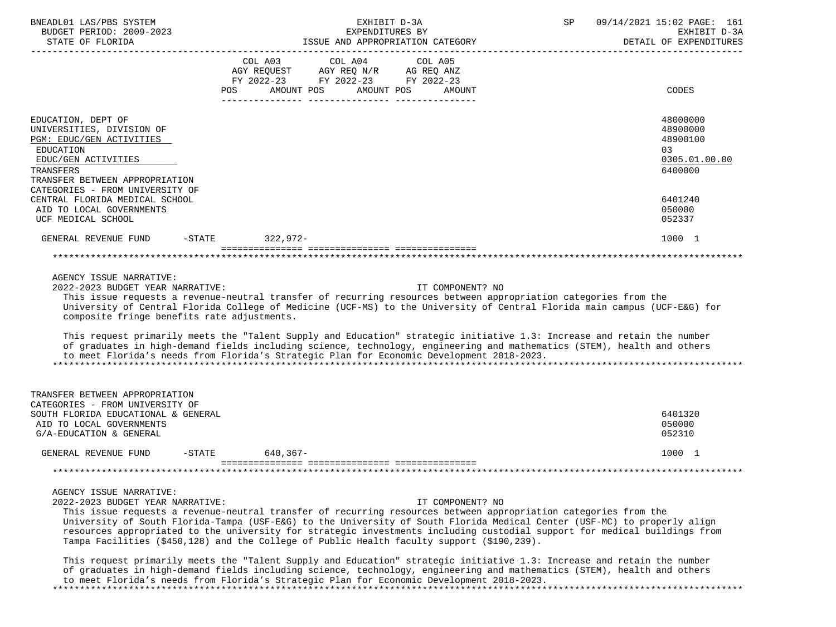| BNEADL01 LAS/PBS SYSTEM                                                                                                                                                                                                                                                                                                                                                                                                                                                                                                                                                                                                                                                            | EXHIBIT D-3A                                                                      |                                     | SP                               | 09/14/2021 15:02 PAGE: 161 |                                        |
|------------------------------------------------------------------------------------------------------------------------------------------------------------------------------------------------------------------------------------------------------------------------------------------------------------------------------------------------------------------------------------------------------------------------------------------------------------------------------------------------------------------------------------------------------------------------------------------------------------------------------------------------------------------------------------|-----------------------------------------------------------------------------------|-------------------------------------|----------------------------------|----------------------------|----------------------------------------|
| BUDGET PERIOD: 2009-2023<br>STATE OF FLORIDA                                                                                                                                                                                                                                                                                                                                                                                                                                                                                                                                                                                                                                       |                                                                                   | EXPENDITURES BY                     | ISSUE AND APPROPRIATION CATEGORY |                            | EXHIBIT D-3A<br>DETAIL OF EXPENDITURES |
|                                                                                                                                                                                                                                                                                                                                                                                                                                                                                                                                                                                                                                                                                    | COL A03<br>AGY REQUEST AGY REQ N/R AG REQ ANZ<br>FY 2022-23 FY 2022-23 FY 2022-23 | COL A04                             | COL A05                          |                            |                                        |
|                                                                                                                                                                                                                                                                                                                                                                                                                                                                                                                                                                                                                                                                                    | POS<br>AMOUNT POS                                                                 | AMOUNT POS                          | AMOUNT                           |                            | <b>CODES</b>                           |
| EDUCATION, DEPT OF                                                                                                                                                                                                                                                                                                                                                                                                                                                                                                                                                                                                                                                                 |                                                                                   |                                     |                                  |                            | 48000000                               |
| UNIVERSITIES, DIVISION OF<br>PGM: EDUC/GEN ACTIVITIES                                                                                                                                                                                                                                                                                                                                                                                                                                                                                                                                                                                                                              |                                                                                   |                                     |                                  |                            | 48900000<br>48900100                   |
| EDUCATION<br>EDUC/GEN ACTIVITIES                                                                                                                                                                                                                                                                                                                                                                                                                                                                                                                                                                                                                                                   |                                                                                   |                                     |                                  |                            | 03<br>0305.01.00.00                    |
| TRANSFERS                                                                                                                                                                                                                                                                                                                                                                                                                                                                                                                                                                                                                                                                          |                                                                                   |                                     |                                  |                            | 6400000                                |
| TRANSFER BETWEEN APPROPRIATION                                                                                                                                                                                                                                                                                                                                                                                                                                                                                                                                                                                                                                                     |                                                                                   |                                     |                                  |                            |                                        |
| CATEGORIES - FROM UNIVERSITY OF<br>CENTRAL FLORIDA MEDICAL SCHOOL                                                                                                                                                                                                                                                                                                                                                                                                                                                                                                                                                                                                                  |                                                                                   |                                     |                                  |                            | 6401240                                |
| AID TO LOCAL GOVERNMENTS<br>UCF MEDICAL SCHOOL                                                                                                                                                                                                                                                                                                                                                                                                                                                                                                                                                                                                                                     |                                                                                   |                                     |                                  |                            | 050000<br>052337                       |
| GENERAL REVENUE FUND                                                                                                                                                                                                                                                                                                                                                                                                                                                                                                                                                                                                                                                               | -STATE 322,972-                                                                   |                                     |                                  |                            | 1000 1                                 |
|                                                                                                                                                                                                                                                                                                                                                                                                                                                                                                                                                                                                                                                                                    |                                                                                   |                                     |                                  |                            |                                        |
| 2022-2023 BUDGET YEAR NARRATIVE:<br>This issue requests a revenue-neutral transfer of recurring resources between appropriation categories from the<br>University of Central Florida College of Medicine (UCF-MS) to the University of Central Florida main campus (UCF-E&G) for<br>composite fringe benefits rate adjustments.<br>This request primarily meets the "Talent Supply and Education" strategic initiative 1.3: Increase and retain the number<br>of graduates in high-demand fields including science, technology, engineering and mathematics (STEM), health and others<br>to meet Florida's needs from Florida's Strategic Plan for Economic Development 2018-2023. |                                                                                   |                                     |                                  |                            |                                        |
| TRANSFER BETWEEN APPROPRIATION<br>CATEGORIES - FROM UNIVERSITY OF                                                                                                                                                                                                                                                                                                                                                                                                                                                                                                                                                                                                                  |                                                                                   |                                     |                                  |                            |                                        |
| SOUTH FLORIDA EDUCATIONAL & GENERAL                                                                                                                                                                                                                                                                                                                                                                                                                                                                                                                                                                                                                                                |                                                                                   |                                     |                                  |                            | 6401320                                |
| AID TO LOCAL GOVERNMENTS<br>G/A-EDUCATION & GENERAL                                                                                                                                                                                                                                                                                                                                                                                                                                                                                                                                                                                                                                |                                                                                   |                                     |                                  |                            | 050000<br>052310                       |
| GENERAL REVENUE FUND<br>-STATE                                                                                                                                                                                                                                                                                                                                                                                                                                                                                                                                                                                                                                                     | $640, 367 -$                                                                      |                                     |                                  |                            | 1000 1                                 |
| *******************************                                                                                                                                                                                                                                                                                                                                                                                                                                                                                                                                                                                                                                                    |                                                                                   | *********************************** |                                  |                            |                                        |
| AGENCY ISSUE NARRATIVE:<br>2022-2023 BUDGET YEAR NARRATIVE:<br>This issue requests a revenue-neutral transfer of recurring resources between appropriation categories from the<br>University of South Florida-Tampa (USF-E&G) to the University of South Florida Medical Center (USF-MC) to properly align<br>resources appropriated to the university for strategic investments including custodial support for medical buildings from<br>Tampa Facilities (\$450,128) and the College of Public Health faculty support (\$190,239).                                                                                                                                              |                                                                                   |                                     | IT COMPONENT? NO                 |                            |                                        |
| This request primarily meets the "Talent Supply and Education" strategic initiative 1.3: Increase and retain the number<br>of graduates in high-demand fields including science, technology, engineering and mathematics (STEM), health and others<br>to meet Florida's needs from Florida's Strategic Plan for Economic Development 2018-2023.                                                                                                                                                                                                                                                                                                                                    |                                                                                   |                                     |                                  | *****************          |                                        |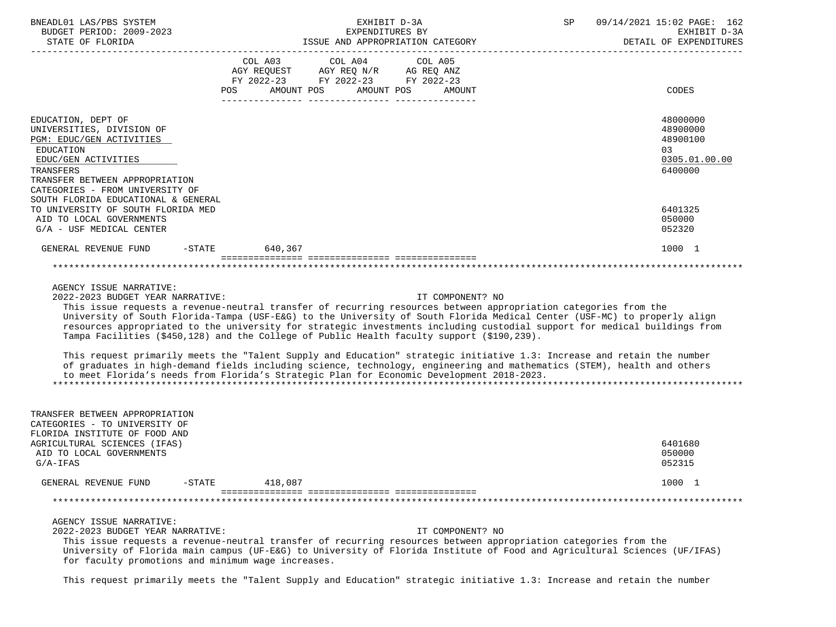| BNEADL01 LAS/PBS SYSTEM                                                                                                                                                                                              |           |                 |                                    |            | EXHIBIT D-3A |                  | SP | 09/14/2021 15:02 PAGE: 162             |
|----------------------------------------------------------------------------------------------------------------------------------------------------------------------------------------------------------------------|-----------|-----------------|------------------------------------|------------|--------------|------------------|----|----------------------------------------|
| BUDGET PERIOD: 2009-2023                                                                                                                                                                                             |           | EXPENDITURES BY |                                    |            |              |                  |    | EXHIBIT D-3A<br>DETAIL OF EXPENDITURES |
|                                                                                                                                                                                                                      |           |                 |                                    |            |              |                  |    |                                        |
|                                                                                                                                                                                                                      |           |                 | COL A03 COL A04 COL A05            |            |              |                  |    |                                        |
|                                                                                                                                                                                                                      |           |                 | AGY REQUEST AGY REQ N/R AG REQ ANZ |            |              |                  |    |                                        |
|                                                                                                                                                                                                                      |           |                 | FY 2022-23 FY 2022-23 FY 2022-23   |            |              |                  |    |                                        |
|                                                                                                                                                                                                                      | POS       |                 | AMOUNT POS                         | AMOUNT POS |              | AMOUNT           |    | CODES                                  |
|                                                                                                                                                                                                                      |           |                 |                                    |            |              |                  |    |                                        |
| EDUCATION, DEPT OF                                                                                                                                                                                                   |           |                 |                                    |            |              |                  |    | 48000000                               |
| UNIVERSITIES, DIVISION OF                                                                                                                                                                                            |           |                 |                                    |            |              |                  |    | 48900000                               |
| PGM: EDUC/GEN ACTIVITIES                                                                                                                                                                                             |           |                 |                                    |            |              |                  |    | 48900100                               |
| EDUCATION                                                                                                                                                                                                            |           |                 |                                    |            |              |                  |    | 03                                     |
| EDUC/GEN ACTIVITIES                                                                                                                                                                                                  |           |                 |                                    |            |              |                  |    | 0305.01.00.00                          |
| TRANSFERS                                                                                                                                                                                                            |           |                 |                                    |            |              |                  |    | 6400000                                |
| TRANSFER BETWEEN APPROPRIATION                                                                                                                                                                                       |           |                 |                                    |            |              |                  |    |                                        |
| CATEGORIES - FROM UNIVERSITY OF                                                                                                                                                                                      |           |                 |                                    |            |              |                  |    |                                        |
| SOUTH FLORIDA EDUCATIONAL & GENERAL                                                                                                                                                                                  |           |                 |                                    |            |              |                  |    |                                        |
| TO UNIVERSITY OF SOUTH FLORIDA MED                                                                                                                                                                                   |           |                 |                                    |            |              |                  |    | 6401325                                |
| AID TO LOCAL GOVERNMENTS                                                                                                                                                                                             |           |                 |                                    |            |              |                  |    | 050000                                 |
| G/A - USF MEDICAL CENTER                                                                                                                                                                                             |           |                 |                                    |            |              |                  |    | 052320                                 |
| GENERAL REVENUE FUND                                                                                                                                                                                                 | $-STATE$  | 640,367         |                                    |            |              |                  |    | 1000 1                                 |
|                                                                                                                                                                                                                      |           |                 |                                    |            |              |                  |    |                                        |
|                                                                                                                                                                                                                      |           |                 |                                    |            |              |                  |    |                                        |
| AGENCY ISSUE NARRATIVE:                                                                                                                                                                                              |           |                 |                                    |            |              |                  |    |                                        |
| 2022-2023 BUDGET YEAR NARRATIVE:                                                                                                                                                                                     |           |                 |                                    |            |              | IT COMPONENT? NO |    |                                        |
| This issue requests a revenue-neutral transfer of recurring resources between appropriation categories from the                                                                                                      |           |                 |                                    |            |              |                  |    |                                        |
| University of South Florida-Tampa (USF-E&G) to the University of South Florida Medical Center (USF-MC) to properly align                                                                                             |           |                 |                                    |            |              |                  |    |                                        |
| resources appropriated to the university for strategic investments including custodial support for medical buildings from                                                                                            |           |                 |                                    |            |              |                  |    |                                        |
| Tampa Facilities (\$450,128) and the College of Public Health faculty support (\$190,239).                                                                                                                           |           |                 |                                    |            |              |                  |    |                                        |
|                                                                                                                                                                                                                      |           |                 |                                    |            |              |                  |    |                                        |
| This request primarily meets the "Talent Supply and Education" strategic initiative 1.3: Increase and retain the number                                                                                              |           |                 |                                    |            |              |                  |    |                                        |
| of graduates in high-demand fields including science, technology, engineering and mathematics (STEM), health and others<br>to meet Florida's needs from Florida's Strategic Plan for Economic Development 2018-2023. |           |                 |                                    |            |              |                  |    |                                        |
|                                                                                                                                                                                                                      |           |                 |                                    |            |              |                  |    |                                        |
|                                                                                                                                                                                                                      |           |                 |                                    |            |              |                  |    |                                        |
|                                                                                                                                                                                                                      |           |                 |                                    |            |              |                  |    |                                        |
| TRANSFER BETWEEN APPROPRIATION                                                                                                                                                                                       |           |                 |                                    |            |              |                  |    |                                        |
| CATEGORIES - TO UNIVERSITY OF                                                                                                                                                                                        |           |                 |                                    |            |              |                  |    |                                        |
| FLORIDA INSTITUTE OF FOOD AND                                                                                                                                                                                        |           |                 |                                    |            |              |                  |    |                                        |
| AGRICULTURAL SCIENCES (IFAS)                                                                                                                                                                                         |           |                 |                                    |            |              |                  |    | 6401680                                |
| AID TO LOCAL GOVERNMENTS                                                                                                                                                                                             |           |                 |                                    |            |              |                  |    | 050000                                 |
| $G/A-IFAS$                                                                                                                                                                                                           |           |                 |                                    |            |              |                  |    | 052315                                 |
| GENERAL REVENUE FUND                                                                                                                                                                                                 | $-$ STATE | 418,087         |                                    |            |              |                  |    | 1000 1                                 |
|                                                                                                                                                                                                                      |           |                 |                                    |            |              |                  |    |                                        |
|                                                                                                                                                                                                                      |           |                 |                                    |            |              |                  |    |                                        |
| AGENCY ISSUE NARRATIVE:                                                                                                                                                                                              |           |                 |                                    |            |              |                  |    |                                        |
| 2022-2023 BUDGET YEAR NARRATIVE:                                                                                                                                                                                     |           |                 |                                    |            |              | IT COMPONENT? NO |    |                                        |
| This issue requests a revenue-neutral transfer of recurring resources between appropriation categories from the                                                                                                      |           |                 |                                    |            |              |                  |    |                                        |
| University of Florida main campus (UF-E&G) to University of Florida Institute of Food and Agricultural Sciences (UF/IFAS)                                                                                            |           |                 |                                    |            |              |                  |    |                                        |
| for faculty promotions and minimum wage increases.                                                                                                                                                                   |           |                 |                                    |            |              |                  |    |                                        |
|                                                                                                                                                                                                                      |           |                 |                                    |            |              |                  |    |                                        |
| This request primarily meets the "Talent Supply and Education" strategic initiative 1.3: Increase and retain the number                                                                                              |           |                 |                                    |            |              |                  |    |                                        |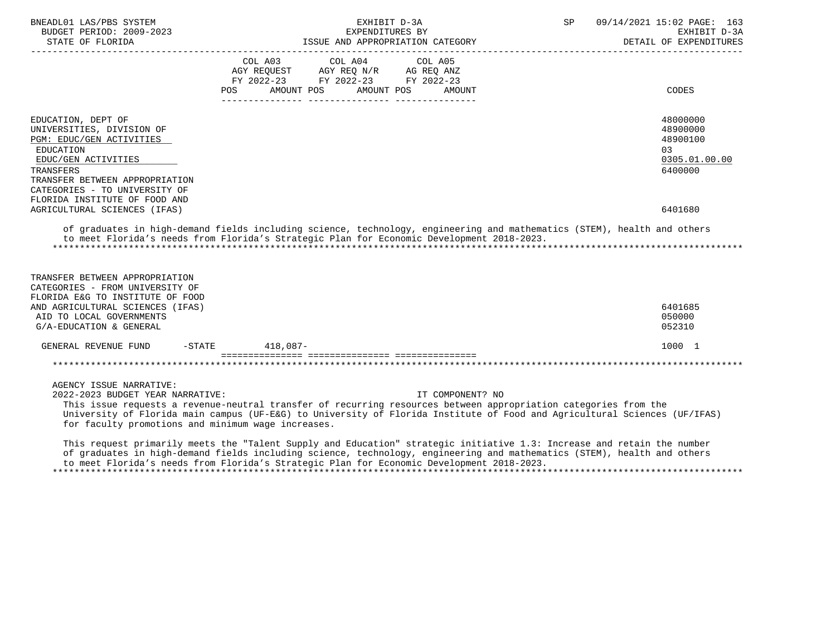| BNEADL01 LAS/PBS SYSTEM<br>BUDGET PERIOD: 2009-2023                                                                                                            |                    | EXHIBIT D-3A<br>EXPENDITURES BY                                                                                          | SP                                                                                                                                                                                                                                                               | 09/14/2021 15:02 PAGE: 163<br>EXHIBIT D-3A<br>DETAIL OF EXPENDITURES |
|----------------------------------------------------------------------------------------------------------------------------------------------------------------|--------------------|--------------------------------------------------------------------------------------------------------------------------|------------------------------------------------------------------------------------------------------------------------------------------------------------------------------------------------------------------------------------------------------------------|----------------------------------------------------------------------|
|                                                                                                                                                                | COL A03<br>POS     | COL A04<br>COL A05<br>AGY REQUEST AGY REQ N/R AG REQ ANZ<br>FY 2022-23 FY 2022-23 FY 2022-23<br>AMOUNT POS<br>AMOUNT POS | AMOUNT                                                                                                                                                                                                                                                           | CODES                                                                |
|                                                                                                                                                                |                    |                                                                                                                          |                                                                                                                                                                                                                                                                  |                                                                      |
| EDUCATION, DEPT OF<br>UNIVERSITIES, DIVISION OF<br>PGM: EDUC/GEN ACTIVITIES<br>EDUCATION<br>EDUC/GEN ACTIVITIES<br>TRANSFERS<br>TRANSFER BETWEEN APPROPRIATION |                    |                                                                                                                          |                                                                                                                                                                                                                                                                  | 48000000<br>48900000<br>48900100<br>03<br>0305.01.00.00<br>6400000   |
| CATEGORIES - TO UNIVERSITY OF<br>FLORIDA INSTITUTE OF FOOD AND<br>AGRICULTURAL SCIENCES (IFAS)                                                                 |                    |                                                                                                                          |                                                                                                                                                                                                                                                                  | 6401680                                                              |
| to meet Florida's needs from Florida's Strategic Plan for Economic Development 2018-2023.                                                                      |                    |                                                                                                                          | of graduates in high-demand fields including science, technology, engineering and mathematics (STEM), health and others                                                                                                                                          |                                                                      |
| TRANSFER BETWEEN APPROPRIATION<br>CATEGORIES - FROM UNIVERSITY OF<br>FLORIDA E&G TO INSTITUTE OF FOOD<br>AND AGRICULTURAL SCIENCES (IFAS)                      |                    |                                                                                                                          |                                                                                                                                                                                                                                                                  | 6401685                                                              |
| AID TO LOCAL GOVERNMENTS<br>G/A-EDUCATION & GENERAL                                                                                                            |                    |                                                                                                                          |                                                                                                                                                                                                                                                                  | 050000<br>052310                                                     |
| GENERAL REVENUE FUND                                                                                                                                           | $-$ STATE 418,087- |                                                                                                                          |                                                                                                                                                                                                                                                                  | 1000 1                                                               |
|                                                                                                                                                                |                    |                                                                                                                          |                                                                                                                                                                                                                                                                  |                                                                      |
| AGENCY ISSUE NARRATIVE:<br>2022-2023 BUDGET YEAR NARRATIVE:<br>for faculty promotions and minimum wage increases.                                              |                    |                                                                                                                          | IT COMPONENT? NO<br>This issue requests a revenue-neutral transfer of recurring resources between appropriation categories from the<br>University of Florida main campus (UF-E&G) to University of Florida Institute of Food and Agricultural Sciences (UF/IFAS) |                                                                      |
| to meet Florida's needs from Florida's Strategic Plan for Economic Development 2018-2023.                                                                      |                    |                                                                                                                          | This request primarily meets the "Talent Supply and Education" strategic initiative 1.3: Increase and retain the number<br>of graduates in high-demand fields including science, technology, engineering and mathematics (STEM), health and others               |                                                                      |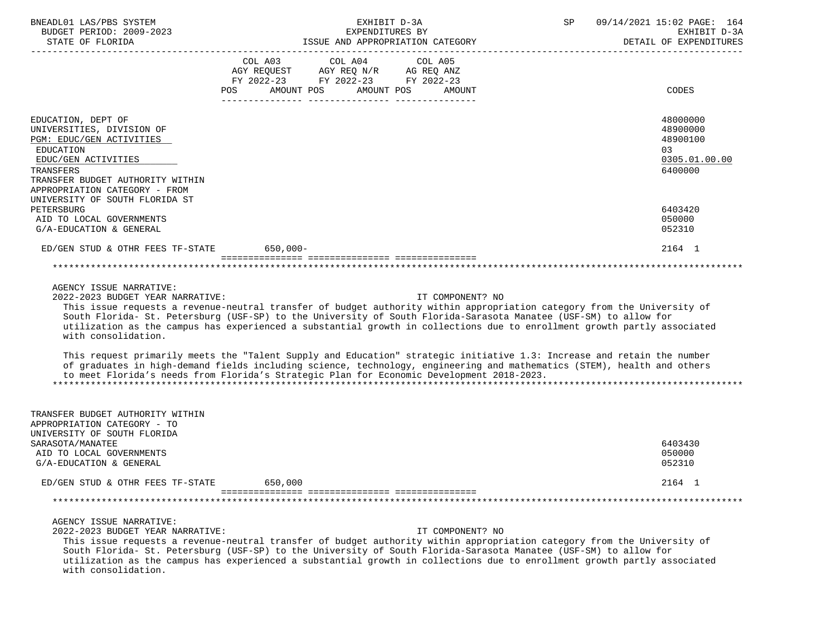| BNEADL01 LAS/PBS SYSTEM<br>BUDGET PERIOD: 2009-2023                                                                                                              | EXHIBIT D-3A<br>SP<br>EXPENDITURES BY                                                                                                                                                                                                                                                                                                                                                       | 09/14/2021 15:02 PAGE: 164<br>EXHIBIT D-3A<br>DETAIL OF EXPENDITURES |
|------------------------------------------------------------------------------------------------------------------------------------------------------------------|---------------------------------------------------------------------------------------------------------------------------------------------------------------------------------------------------------------------------------------------------------------------------------------------------------------------------------------------------------------------------------------------|----------------------------------------------------------------------|
|                                                                                                                                                                  | COL A03 COL A04 COL A05<br>AGY REQUEST AGY REQ N/R AG REQ ANZ<br>FY 2022-23 FY 2022-23 FY 2022-23<br>AMOUNT POS AMOUNT POS<br>POS<br>AMOUNT                                                                                                                                                                                                                                                 | CODES                                                                |
|                                                                                                                                                                  |                                                                                                                                                                                                                                                                                                                                                                                             |                                                                      |
| EDUCATION, DEPT OF<br>UNIVERSITIES, DIVISION OF<br>PGM: EDUC/GEN ACTIVITIES<br>EDUCATION<br>EDUC/GEN ACTIVITIES<br>TRANSFERS<br>TRANSFER BUDGET AUTHORITY WITHIN |                                                                                                                                                                                                                                                                                                                                                                                             | 48000000<br>48900000<br>48900100<br>03<br>0305.01.00.00<br>6400000   |
| APPROPRIATION CATEGORY - FROM                                                                                                                                    |                                                                                                                                                                                                                                                                                                                                                                                             |                                                                      |
| UNIVERSITY OF SOUTH FLORIDA ST                                                                                                                                   |                                                                                                                                                                                                                                                                                                                                                                                             |                                                                      |
| PETERSBURG<br>AID TO LOCAL GOVERNMENTS<br>G/A-EDUCATION & GENERAL                                                                                                |                                                                                                                                                                                                                                                                                                                                                                                             | 6403420<br>050000<br>052310                                          |
| ED/GEN STUD & OTHR FEES TF-STATE 650,000-                                                                                                                        |                                                                                                                                                                                                                                                                                                                                                                                             | 2164 1                                                               |
|                                                                                                                                                                  |                                                                                                                                                                                                                                                                                                                                                                                             |                                                                      |
|                                                                                                                                                                  |                                                                                                                                                                                                                                                                                                                                                                                             |                                                                      |
| AGENCY ISSUE NARRATIVE:<br>2022-2023 BUDGET YEAR NARRATIVE:<br>with consolidation.                                                                               | IT COMPONENT? NO<br>This issue requests a revenue-neutral transfer of budget authority within appropriation category from the University of<br>South Florida- St. Petersburg (USF-SP) to the University of South Florida-Sarasota Manatee (USF-SM) to allow for<br>utilization as the campus has experienced a substantial growth in collections due to enrollment growth partly associated |                                                                      |
|                                                                                                                                                                  | This request primarily meets the "Talent Supply and Education" strategic initiative 1.3: Increase and retain the number<br>of graduates in high-demand fields including science, technology, engineering and mathematics (STEM), health and others<br>to meet Florida's needs from Florida's Strategic Plan for Economic Development 2018-2023.                                             |                                                                      |
| TRANSFER BUDGET AUTHORITY WITHIN<br>APPROPRIATION CATEGORY - TO<br>UNIVERSITY OF SOUTH FLORIDA<br>SARASOTA/MANATEE                                               |                                                                                                                                                                                                                                                                                                                                                                                             | 6403430                                                              |
| AID TO LOCAL GOVERNMENTS<br>G/A-EDUCATION & GENERAL                                                                                                              |                                                                                                                                                                                                                                                                                                                                                                                             | 050000<br>052310                                                     |
| ED/GEN STUD & OTHR FEES TF-STATE                                                                                                                                 | 650,000                                                                                                                                                                                                                                                                                                                                                                                     | 2164 1                                                               |
|                                                                                                                                                                  |                                                                                                                                                                                                                                                                                                                                                                                             |                                                                      |
|                                                                                                                                                                  |                                                                                                                                                                                                                                                                                                                                                                                             |                                                                      |
| AGENCY ISSUE NARRATIVE:<br>2022-2023 BUDGET YEAR NARRATIVE:<br>with consolidation.                                                                               | IT COMPONENT? NO<br>This issue requests a revenue-neutral transfer of budget authority within appropriation category from the University of<br>South Florida- St. Petersburg (USF-SP) to the University of South Florida-Sarasota Manatee (USF-SM) to allow for<br>utilization as the campus has experienced a substantial growth in collections due to enrollment growth partly associated |                                                                      |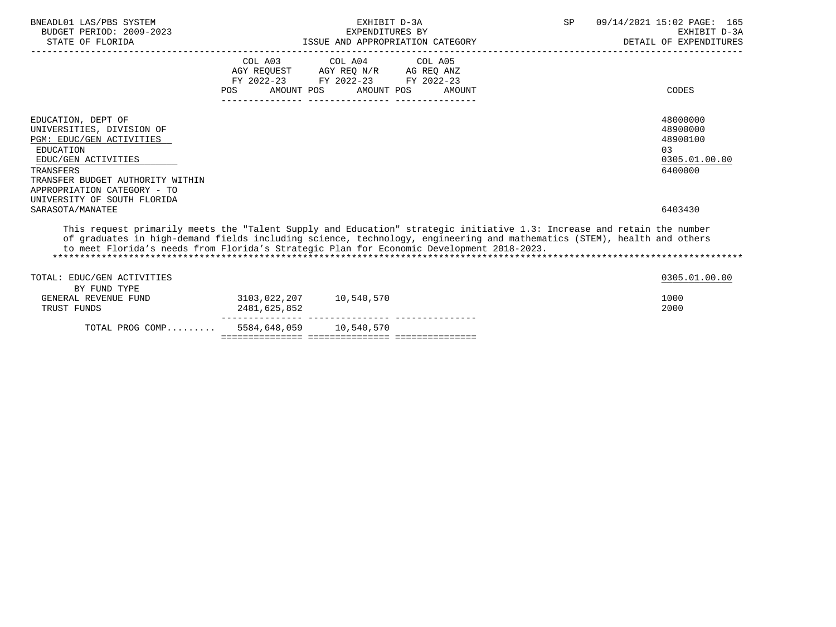| TOTAL PROG COMP 5584,648,059 10,540,570                                                                                                                                                                                                                                                                                                                                       |                                                                        |                                 |                                  |    |                                            |
|-------------------------------------------------------------------------------------------------------------------------------------------------------------------------------------------------------------------------------------------------------------------------------------------------------------------------------------------------------------------------------|------------------------------------------------------------------------|---------------------------------|----------------------------------|----|--------------------------------------------|
| BY FUND TYPE<br>GENERAL REVENUE FUND<br>TRUST FUNDS                                                                                                                                                                                                                                                                                                                           | 2481,625,852                                                           | 3103,022,207 10,540,570         |                                  |    | 1000<br>2000                               |
| This request primarily meets the "Talent Supply and Education" strategic initiative 1.3: Increase and retain the number<br>of graduates in high-demand fields including science, technology, engineering and mathematics (STEM), health and others<br>to meet Florida's needs from Florida's Strategic Plan for Economic Development 2018-2023.<br>TOTAL: EDUC/GEN ACTIVITIES |                                                                        |                                 |                                  |    | 0305.01.00.00                              |
| TRANSFER BUDGET AUTHORITY WITHIN<br>APPROPRIATION CATEGORY - TO<br>UNIVERSITY OF SOUTH FLORIDA<br>SARASOTA/MANATEE                                                                                                                                                                                                                                                            |                                                                        |                                 |                                  |    | 6403430                                    |
| EDUC/GEN ACTIVITIES<br>TRANSFERS                                                                                                                                                                                                                                                                                                                                              |                                                                        |                                 |                                  |    | 0305.01.00.00<br>6400000                   |
| PGM: EDUC/GEN ACTIVITIES<br>EDUCATION                                                                                                                                                                                                                                                                                                                                         |                                                                        |                                 |                                  |    | 48900100<br>0.3                            |
| EDUCATION, DEPT OF<br>UNIVERSITIES, DIVISION OF                                                                                                                                                                                                                                                                                                                               |                                                                        |                                 |                                  |    | 48000000<br>48900000                       |
|                                                                                                                                                                                                                                                                                                                                                                               |                                                                        |                                 |                                  |    |                                            |
|                                                                                                                                                                                                                                                                                                                                                                               | <b>POS</b>                                                             | AMOUNT POS AMOUNT POS           | AMOUNT                           |    | CODES                                      |
|                                                                                                                                                                                                                                                                                                                                                                               | AGY REQUEST AGY REQ N/R AG REQ ANZ<br>FY 2022-23 FY 2022-23 FY 2022-23 |                                 |                                  |    |                                            |
|                                                                                                                                                                                                                                                                                                                                                                               |                                                                        | COL A03 COL A04 COL A05         |                                  |    |                                            |
| STATE OF FLORIDA                                                                                                                                                                                                                                                                                                                                                              |                                                                        |                                 | ISSUE AND APPROPRIATION CATEGORY |    | DETAIL OF EXPENDITURES                     |
| BNEADL01 LAS/PBS SYSTEM<br>BUDGET PERIOD: 2009-2023                                                                                                                                                                                                                                                                                                                           |                                                                        | EXHIBIT D-3A<br>EXPENDITURES BY |                                  | SP | 09/14/2021 15:02 PAGE: 165<br>EXHIBIT D-3A |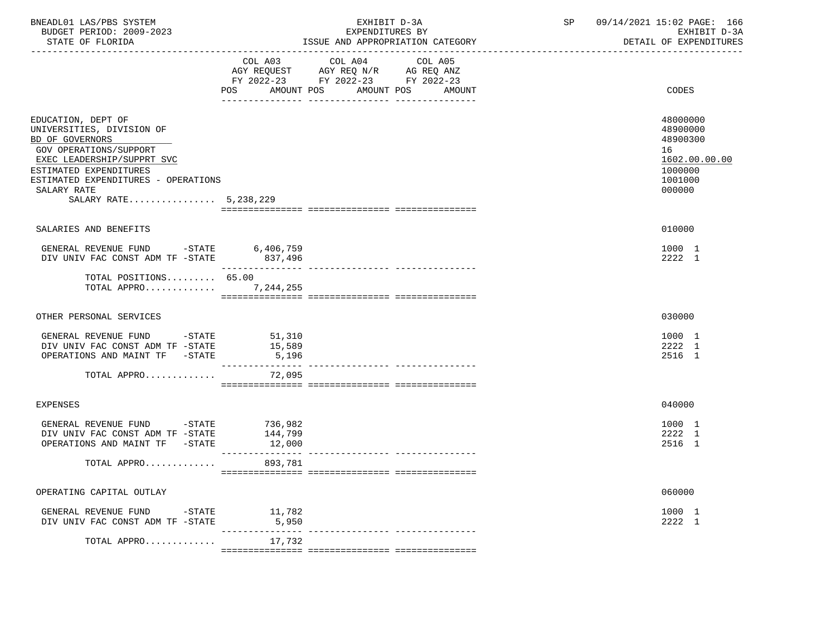| COL A03 COL A04 COL A05<br>AGY REQUEST AGY REQ N/R AG REQ ANZ<br>FY 2022-23 FY 2022-23 FY 2022-23<br>POS AMOUNT POS AMOUNT POS<br>AMOUNT<br>EDUCATION, DEPT OF<br>UNIVERSITIES, DIVISION OF<br>BD OF GOVERNORS<br>GOV OPERATIONS/SUPPORT<br>16<br>EXEC LEADERSHIP/SUPPRT SVC<br>ESTIMATED EXPENDITURES<br>ESTIMATED EXPENDITURES - OPERATIONS<br>SALARY RATE<br>SALARY RATE 5,238,229<br>SALARIES AND BENEFITS<br>GENERAL REVENUE FUND -STATE 6,406,759<br>DIV UNIV FAC CONST ADM TF -STATE 837,496<br>TOTAL POSITIONS 65.00<br>TOTAL APPRO 7,244,255<br>OTHER PERSONAL SERVICES<br>GENERAL REVENUE FUND -STATE 51,310<br>DIV UNIV FAC CONST ADM TF -STATE<br>15,589<br>OPERATIONS AND MAINT TF -STATE<br>5,196<br>________________<br>TOTAL APPRO<br>72,095<br>EXPENSES<br>736,982<br>144,799<br>GENERAL REVENUE FUND -STATE<br>DIV UNIV FAC CONST ADM TF -STATE<br>OPERATIONS AND MAINT TF -STATE<br>12,000<br>TOTAL APPRO 893,781<br>OPERATING CAPITAL OUTLAY<br>GENERAL REVENUE FUND -STATE 11,782 | BNEADL01 LAS/PBS SYSTEM<br>BUDGET PERIOD: 2009-2023<br>STATE OF FLORIDA | EXHIBIT D-3A<br>EXPENDITURES BY | ISSUE AND APPROPRIATION CATEGORY | SP 09/14/2021 15:02 PAGE: 166<br>EXHIBIT D-3A<br>DETAIL OF EXPENDITURES           |  |
|--------------------------------------------------------------------------------------------------------------------------------------------------------------------------------------------------------------------------------------------------------------------------------------------------------------------------------------------------------------------------------------------------------------------------------------------------------------------------------------------------------------------------------------------------------------------------------------------------------------------------------------------------------------------------------------------------------------------------------------------------------------------------------------------------------------------------------------------------------------------------------------------------------------------------------------------------------------------------------------------------------|-------------------------------------------------------------------------|---------------------------------|----------------------------------|-----------------------------------------------------------------------------------|--|
|                                                                                                                                                                                                                                                                                                                                                                                                                                                                                                                                                                                                                                                                                                                                                                                                                                                                                                                                                                                                        |                                                                         |                                 |                                  | CODES                                                                             |  |
|                                                                                                                                                                                                                                                                                                                                                                                                                                                                                                                                                                                                                                                                                                                                                                                                                                                                                                                                                                                                        |                                                                         |                                 |                                  | 48000000<br>48900000<br>48900300<br>1602.00.00.00<br>1000000<br>1001000<br>000000 |  |
|                                                                                                                                                                                                                                                                                                                                                                                                                                                                                                                                                                                                                                                                                                                                                                                                                                                                                                                                                                                                        |                                                                         |                                 |                                  | 010000                                                                            |  |
|                                                                                                                                                                                                                                                                                                                                                                                                                                                                                                                                                                                                                                                                                                                                                                                                                                                                                                                                                                                                        |                                                                         |                                 |                                  | 1000 1<br>2222 1                                                                  |  |
|                                                                                                                                                                                                                                                                                                                                                                                                                                                                                                                                                                                                                                                                                                                                                                                                                                                                                                                                                                                                        |                                                                         |                                 |                                  |                                                                                   |  |
|                                                                                                                                                                                                                                                                                                                                                                                                                                                                                                                                                                                                                                                                                                                                                                                                                                                                                                                                                                                                        |                                                                         |                                 |                                  | 030000                                                                            |  |
|                                                                                                                                                                                                                                                                                                                                                                                                                                                                                                                                                                                                                                                                                                                                                                                                                                                                                                                                                                                                        |                                                                         |                                 |                                  | 1000 1<br>2222 1<br>2516 1                                                        |  |
|                                                                                                                                                                                                                                                                                                                                                                                                                                                                                                                                                                                                                                                                                                                                                                                                                                                                                                                                                                                                        |                                                                         |                                 |                                  |                                                                                   |  |
|                                                                                                                                                                                                                                                                                                                                                                                                                                                                                                                                                                                                                                                                                                                                                                                                                                                                                                                                                                                                        |                                                                         |                                 |                                  | 040000                                                                            |  |
|                                                                                                                                                                                                                                                                                                                                                                                                                                                                                                                                                                                                                                                                                                                                                                                                                                                                                                                                                                                                        |                                                                         |                                 |                                  | 1000 1<br>2222 1<br>2516 1                                                        |  |
|                                                                                                                                                                                                                                                                                                                                                                                                                                                                                                                                                                                                                                                                                                                                                                                                                                                                                                                                                                                                        |                                                                         |                                 |                                  |                                                                                   |  |
|                                                                                                                                                                                                                                                                                                                                                                                                                                                                                                                                                                                                                                                                                                                                                                                                                                                                                                                                                                                                        |                                                                         |                                 |                                  | 060000                                                                            |  |
| DIV UNIV FAC CONST ADM TF -STATE<br>5,950                                                                                                                                                                                                                                                                                                                                                                                                                                                                                                                                                                                                                                                                                                                                                                                                                                                                                                                                                              |                                                                         |                                 |                                  | 1000 1<br>2222 1                                                                  |  |
| 17,732<br>TOTAL APPRO                                                                                                                                                                                                                                                                                                                                                                                                                                                                                                                                                                                                                                                                                                                                                                                                                                                                                                                                                                                  |                                                                         |                                 |                                  |                                                                                   |  |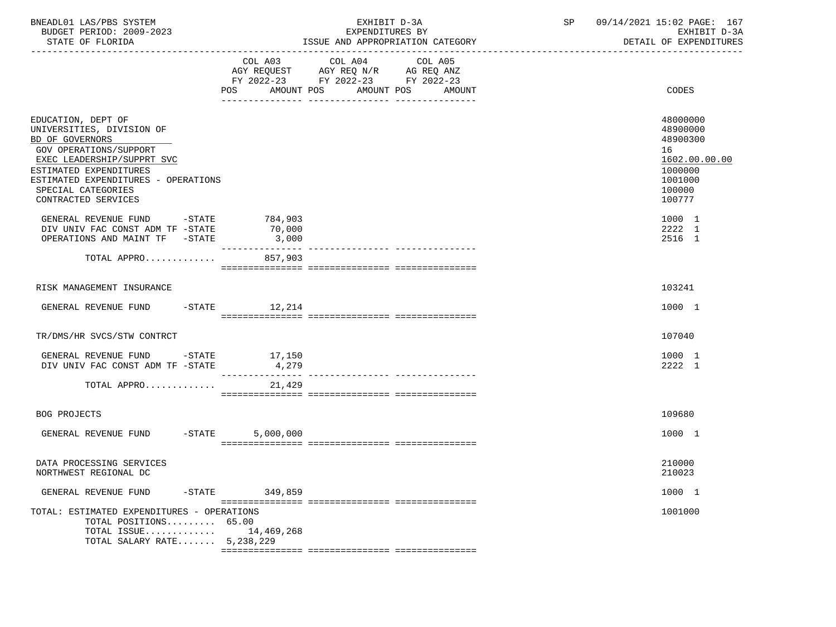| BNEADL01 LAS/PBS SYSTEM<br>BUDGET PERIOD: 2009-2023<br>STATE OF FLORIDA                                                                                                                                                                                                                                     |                   | EXHIBIT D-3A<br>EXPENDITURES BY<br>ISSUE AND APPROPRIATION CATEGORY                                                                         | SP<br>------------------------------------- | 09/14/2021 15:02 PAGE: 167<br>EXHIBIT D-3A<br>DETAIL OF EXPENDITURES                                                  |
|-------------------------------------------------------------------------------------------------------------------------------------------------------------------------------------------------------------------------------------------------------------------------------------------------------------|-------------------|---------------------------------------------------------------------------------------------------------------------------------------------|---------------------------------------------|-----------------------------------------------------------------------------------------------------------------------|
|                                                                                                                                                                                                                                                                                                             |                   | COL A03 COL A04<br>COL A05<br>AGY REQUEST AGY REQ N/R AG REQ ANZ<br>FY 2022-23 FY 2022-23 FY 2022-23<br>POS AMOUNT POS AMOUNT POS<br>AMOUNT |                                             | CODES                                                                                                                 |
| EDUCATION, DEPT OF<br>UNIVERSITIES, DIVISION OF<br>BD OF GOVERNORS<br>GOV OPERATIONS/SUPPORT<br>EXEC LEADERSHIP/SUPPRT SVC<br>ESTIMATED EXPENDITURES<br>ESTIMATED EXPENDITURES - OPERATIONS<br>SPECIAL CATEGORIES<br>CONTRACTED SERVICES<br>GENERAL REVENUE FUND -STATE<br>DIV UNIV FAC CONST ADM TF -STATE | 784,903<br>70,000 |                                                                                                                                             |                                             | 48000000<br>48900000<br>48900300<br>16<br>1602.00.00.00<br>1000000<br>1001000<br>100000<br>100777<br>1000 1<br>2222 1 |
| OPERATIONS AND MAINT TF -STATE<br>TOTAL APPRO                                                                                                                                                                                                                                                               | 3,000<br>857,903  |                                                                                                                                             |                                             | 2516 1                                                                                                                |
| RISK MANAGEMENT INSURANCE                                                                                                                                                                                                                                                                                   |                   |                                                                                                                                             |                                             | 103241                                                                                                                |
| GENERAL REVENUE FUND                                                                                                                                                                                                                                                                                        | $-STATE$ 12, 214  |                                                                                                                                             |                                             | 1000 1                                                                                                                |
| TR/DMS/HR SVCS/STW CONTRCT                                                                                                                                                                                                                                                                                  |                   |                                                                                                                                             |                                             | 107040                                                                                                                |
| GENERAL REVENUE FUND -STATE 17,150<br>DIV UNIV FAC CONST ADM TF -STATE 4,279                                                                                                                                                                                                                                |                   |                                                                                                                                             |                                             | 1000 1<br>2222 1                                                                                                      |
| TOTAL APPRO                                                                                                                                                                                                                                                                                                 | 21,429            |                                                                                                                                             |                                             |                                                                                                                       |
| <b>BOG PROJECTS</b>                                                                                                                                                                                                                                                                                         |                   |                                                                                                                                             |                                             | 109680                                                                                                                |
| GENERAL REVENUE FUND -STATE                                                                                                                                                                                                                                                                                 | 5,000,000         |                                                                                                                                             |                                             | 1000 1                                                                                                                |
| DATA PROCESSING SERVICES<br>NORTHWEST REGIONAL DC                                                                                                                                                                                                                                                           |                   |                                                                                                                                             |                                             | 210000<br>210023                                                                                                      |
| GENERAL REVENUE FUND<br>$-$ STATE                                                                                                                                                                                                                                                                           | 349.859           |                                                                                                                                             |                                             | 1000 1                                                                                                                |
| TOTAL: ESTIMATED EXPENDITURES - OPERATIONS<br>TOTAL POSITIONS 65.00<br>TOTAL ISSUE<br>TOTAL SALARY RATE $5,238,229$                                                                                                                                                                                         | 14,469,268        |                                                                                                                                             |                                             | 1001000                                                                                                               |
|                                                                                                                                                                                                                                                                                                             |                   |                                                                                                                                             |                                             |                                                                                                                       |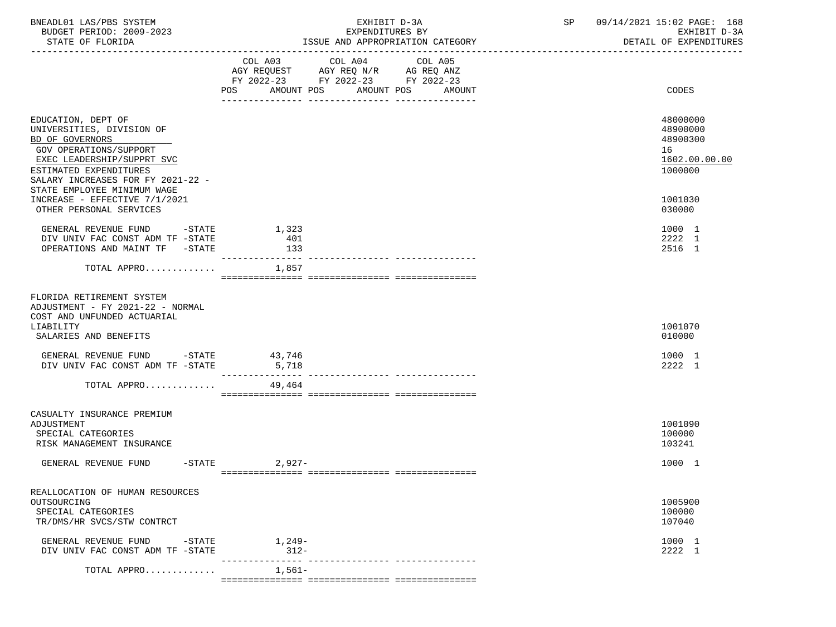| BNEADL01 LAS/PBS SYSTEM<br>BUDGET PERIOD: 2009-2023<br>STATE OF FLORIDA                                                                                                                   | EXHIBIT D-3A<br>EXPENDITURES BY<br>ISSUE AND APPROPRIATION CATEGORY        | SP 09/14/2021 15:02 PAGE: 168<br>EXHIBIT D-3A<br>DETAIL OF EXPENDITURES |
|-------------------------------------------------------------------------------------------------------------------------------------------------------------------------------------------|----------------------------------------------------------------------------|-------------------------------------------------------------------------|
|                                                                                                                                                                                           | FY 2022-23 FY 2022-23 FY 2022-23<br>POS<br>AMOUNT POS AMOUNT POS<br>AMOUNT | CODES                                                                   |
| EDUCATION, DEPT OF<br>UNIVERSITIES, DIVISION OF<br>BD OF GOVERNORS<br>GOV OPERATIONS/SUPPORT<br>EXEC LEADERSHIP/SUPPRT SVC<br>ESTIMATED EXPENDITURES<br>SALARY INCREASES FOR FY 2021-22 - |                                                                            | 48000000<br>48900000<br>48900300<br>16<br>1602.00.00.00<br>1000000      |
| STATE EMPLOYEE MINIMUM WAGE<br>INCREASE - EFFECTIVE 7/1/2021<br>OTHER PERSONAL SERVICES                                                                                                   |                                                                            | 1001030<br>030000                                                       |
| GENERAL REVENUE FUND -STATE<br>DIV UNIV FAC CONST ADM TF -STATE<br>OPERATIONS AND MAINT TF -STATE                                                                                         | 1,323<br>401<br>133<br>---------------                                     | 1000 1<br>2222 1<br>2516 1                                              |
| TOTAL APPRO                                                                                                                                                                               | 1,857                                                                      |                                                                         |
| FLORIDA RETIREMENT SYSTEM<br>ADJUSTMENT - FY 2021-22 - NORMAL<br>COST AND UNFUNDED ACTUARIAL<br>LIABILITY<br>SALARIES AND BENEFITS                                                        |                                                                            | 1001070<br>010000                                                       |
| GENERAL REVENUE FUND -STATE 43,746<br>DIV UNIV FAC CONST ADM TF -STATE                                                                                                                    | 5,718                                                                      | 1000 1<br>2222 1                                                        |
| TOTAL APPRO                                                                                                                                                                               | 49,464                                                                     |                                                                         |
| CASUALTY INSURANCE PREMIUM<br>ADJUSTMENT<br>SPECIAL CATEGORIES<br>RISK MANAGEMENT INSURANCE                                                                                               |                                                                            | 1001090<br>100000<br>103241                                             |
| GENERAL REVENUE FUND -STATE 2,927-                                                                                                                                                        |                                                                            | 1000 1                                                                  |
| REALLOCATION OF HUMAN RESOURCES<br>OUTSOURCING<br>SPECIAL CATEGORIES<br>TR/DMS/HR SVCS/STW CONTRCT                                                                                        |                                                                            | 1005900<br>100000<br>107040                                             |
| GENERAL REVENUE FUND -STATE 1,249-<br>DIV UNIV FAC CONST ADM TF -STATE                                                                                                                    | $312-$<br>---------------- ----------------<br>________________            | 1000 1<br>2222 1                                                        |
| TOTAL APPRO                                                                                                                                                                               | 1,561–<br>, concessorescent concessorescent concessorescent                |                                                                         |